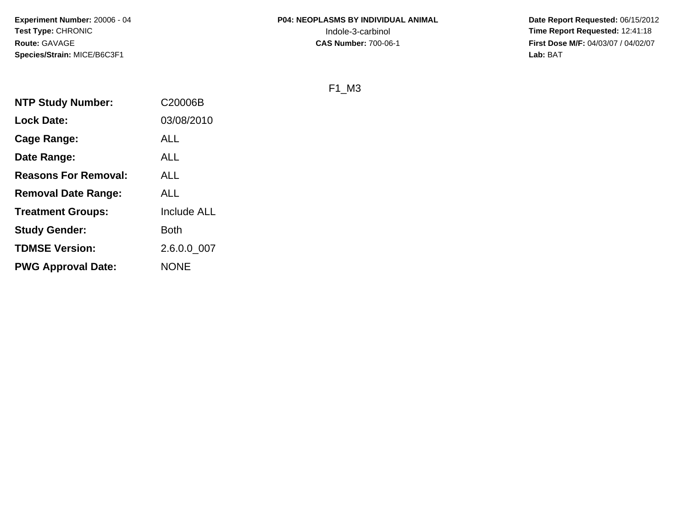**Date Report Requested:** 06/15/2012 **First Dose M/F:** 04/03/07 / 04/02/07<br>Lab: BAT **Lab:** BAT

F1\_M3

| <b>NTP Study Number:</b>    | C20006B     |
|-----------------------------|-------------|
| <b>Lock Date:</b>           | 03/08/2010  |
| <b>Cage Range:</b>          | <b>ALL</b>  |
| Date Range:                 | ALL         |
| <b>Reasons For Removal:</b> | <b>ALL</b>  |
| <b>Removal Date Range:</b>  | <b>ALL</b>  |
| <b>Treatment Groups:</b>    | Include ALL |
| <b>Study Gender:</b>        | <b>Both</b> |
| <b>TDMSE Version:</b>       | 2.6.0.0_007 |
| <b>PWG Approval Date:</b>   | <b>NONE</b> |
|                             |             |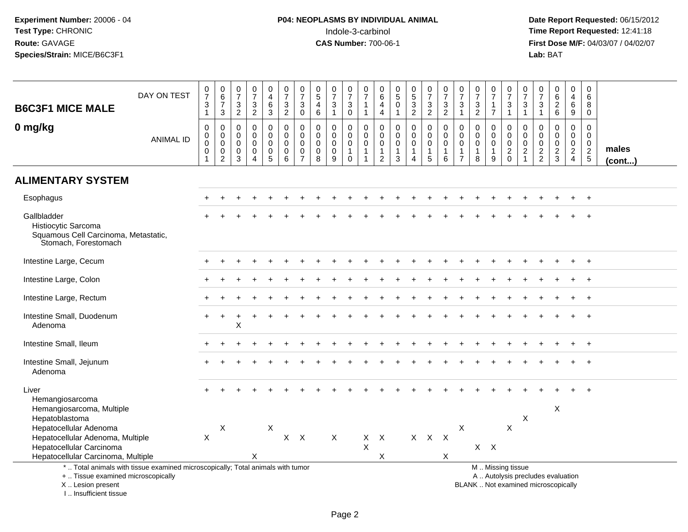# **P04: NEOPLASMS BY INDIVIDUAL ANIMAL**<br>Indole-3-carbinol Indole-3-carbinol **Time Report Requested:** 12:41:18

| <b>B6C3F1 MICE MALE</b>                                                                            | DAY ON TEST                                                                     | $\frac{0}{7}$<br>$\ensuremath{\mathsf{3}}$<br>$\mathbf{1}$   | $\begin{array}{c} 0 \\ 6 \\ 7 \end{array}$<br>3                             | 0<br>$\overline{7}$<br>$\ensuremath{\mathsf{3}}$<br>$\overline{2}$ | $\frac{0}{7}$<br>$\frac{3}{2}$                                 | 0<br>$\overline{4}$<br>$\,6\,$<br>3                 | $\begin{array}{c} 0 \\ 7 \end{array}$<br>$\ensuremath{\mathsf{3}}$<br>$\overline{2}$ | $\frac{0}{7}$<br>$\ensuremath{\mathsf{3}}$<br>$\pmb{0}$      | $\begin{array}{c} 0 \\ 5 \end{array}$<br>$\overline{4}$<br>$6\phantom{1}$ | $\frac{0}{7}$<br>$\ensuremath{\mathsf{3}}$<br>$\mathbf{1}$ | $\begin{array}{c} 0 \\ 7 \end{array}$<br>$\ensuremath{\mathsf{3}}$<br>$\mathbf 0$ | $\frac{0}{7}$<br>$\overline{1}$<br>$\overline{1}$                             | 0<br>$\overline{6}$<br>$\overline{4}$<br>$\overline{4}$                 | $\begin{array}{c} 0 \\ 5 \end{array}$<br>$\pmb{0}$<br>$\mathbf{1}$ | $\begin{array}{c} 0 \\ 5 \\ 3 \end{array}$<br>$\overline{2}$      | $\begin{array}{c} 0 \\ 7 \end{array}$<br>$\frac{3}{2}$              | $\frac{0}{7}$<br>$\frac{3}{2}$                                         | $\begin{array}{c} 0 \\ 7 \end{array}$<br>$\ensuremath{\mathsf{3}}$<br>$\overline{1}$ | $\begin{array}{c} 0 \\ 7 \end{array}$<br>$\frac{3}{2}$         | $\frac{0}{7}$<br>1<br>$\overline{7}$      | $\frac{0}{7}$<br>$\frac{3}{1}$                                                   | $\frac{0}{7}$<br>$\ensuremath{\mathsf{3}}$<br>$\mathbf{1}$               | 0<br>$\overline{7}$<br>$\ensuremath{\mathsf{3}}$<br>$\mathbf{1}$ | $\begin{matrix} 0 \\ 6 \\ 2 \end{matrix}$<br>$6\phantom{1}$ | 0<br>$\overline{4}$<br>$\,6\,$<br>9                                    | $\mathbf 0$<br>6<br>8<br>$\mathbf 0$                         |                       |
|----------------------------------------------------------------------------------------------------|---------------------------------------------------------------------------------|--------------------------------------------------------------|-----------------------------------------------------------------------------|--------------------------------------------------------------------|----------------------------------------------------------------|-----------------------------------------------------|--------------------------------------------------------------------------------------|--------------------------------------------------------------|---------------------------------------------------------------------------|------------------------------------------------------------|-----------------------------------------------------------------------------------|-------------------------------------------------------------------------------|-------------------------------------------------------------------------|--------------------------------------------------------------------|-------------------------------------------------------------------|---------------------------------------------------------------------|------------------------------------------------------------------------|--------------------------------------------------------------------------------------|----------------------------------------------------------------|-------------------------------------------|----------------------------------------------------------------------------------|--------------------------------------------------------------------------|------------------------------------------------------------------|-------------------------------------------------------------|------------------------------------------------------------------------|--------------------------------------------------------------|-----------------------|
| 0 mg/kg                                                                                            | <b>ANIMAL ID</b>                                                                | $\pmb{0}$<br>$\overline{0}$<br>$\mathbf 0$<br>$\overline{1}$ | $\pmb{0}$<br>$\pmb{0}$<br>$\boldsymbol{0}$<br>$\mathbf 0$<br>$\overline{2}$ | $\mathbf 0$<br>0<br>$\mathbf 0$<br>0<br>3                          | $\mathbf 0$<br>$\pmb{0}$<br>$\mathbf 0$<br>0<br>$\overline{4}$ | 0<br>$\mathbf 0$<br>$\mathbf 0$<br>$\mathbf 0$<br>5 | $\mathbf 0$<br>$\mathbf 0$<br>$\mathbf 0$<br>0<br>6                                  | 0<br>$\pmb{0}$<br>$\mathbf 0$<br>$\pmb{0}$<br>$\overline{7}$ | $\mathbf 0$<br>$\mathbf 0$<br>$\mathbf 0$<br>$\mathbf 0$<br>8             | $\mathbf 0$<br>$\pmb{0}$<br>0<br>$\pmb{0}$<br>9            | 0<br>$\mathbf 0$<br>$\mathbf 0$<br>$\mathbf{1}$<br>$\mathbf 0$                    | $\mathbf 0$<br>$\mathbf 0$<br>$\mathbf 0$<br>$\overline{1}$<br>$\overline{1}$ | $\mathbf 0$<br>$\mathbf 0$<br>$\mathbf 0$<br>$\mathbf{1}$<br>$\sqrt{2}$ | $\mathbf 0$<br>$\mathbf 0$<br>$\mathbf 0$<br>$\mathbf{1}$<br>3     | 0<br>$\mathbf 0$<br>$\mathbf 0$<br>$\mathbf{1}$<br>$\overline{4}$ | $\boldsymbol{0}$<br>$\mathbf 0$<br>$\mathbf 0$<br>$\mathbf{1}$<br>5 | $\mathbf 0$<br>$\mathsf{O}\xspace$<br>$\mathbf 0$<br>$\mathbf{1}$<br>6 | $\mathbf 0$<br>$\mathbf 0$<br>$\mathbf 0$<br>$\mathbf{1}$<br>$\overline{7}$          | $\mathbf 0$<br>$\mathsf 0$<br>$\mathbf 0$<br>$\mathbf{1}$<br>8 | 0<br>$\mathbf 0$<br>$\mathbf 0$<br>1<br>9 | 0<br>$\mathsf{O}\xspace$<br>$\ddot{\mathbf{0}}$<br>$\overline{2}$<br>$\mathbf 0$ | $\mathbf 0$<br>$\mathbf 0$<br>$\mathbf 0$<br>$\sqrt{2}$<br>$\mathbf{1}$  | $\mathbf 0$<br>0<br>0<br>$\frac{2}{2}$                           | $\mathbf 0$<br>$\mathbf 0$<br>$\mathbf 0$<br>$\frac{2}{3}$  | $\mathbf 0$<br>$\overline{0}$<br>0<br>$\overline{2}$<br>$\overline{4}$ | $\mathbf 0$<br>$\mathbf 0$<br>$\mathbf 0$<br>$\sqrt{2}$<br>5 | males<br>$($ cont $)$ |
| <b>ALIMENTARY SYSTEM</b>                                                                           |                                                                                 |                                                              |                                                                             |                                                                    |                                                                |                                                     |                                                                                      |                                                              |                                                                           |                                                            |                                                                                   |                                                                               |                                                                         |                                                                    |                                                                   |                                                                     |                                                                        |                                                                                      |                                                                |                                           |                                                                                  |                                                                          |                                                                  |                                                             |                                                                        |                                                              |                       |
| Esophagus                                                                                          |                                                                                 |                                                              |                                                                             |                                                                    |                                                                |                                                     |                                                                                      |                                                              |                                                                           |                                                            |                                                                                   |                                                                               |                                                                         |                                                                    |                                                                   |                                                                     |                                                                        |                                                                                      |                                                                |                                           |                                                                                  |                                                                          |                                                                  |                                                             |                                                                        |                                                              |                       |
| Gallbladder<br>Histiocytic Sarcoma<br>Squamous Cell Carcinoma, Metastatic,<br>Stomach, Forestomach |                                                                                 |                                                              |                                                                             |                                                                    |                                                                |                                                     |                                                                                      |                                                              |                                                                           |                                                            |                                                                                   |                                                                               |                                                                         |                                                                    |                                                                   |                                                                     |                                                                        |                                                                                      |                                                                |                                           |                                                                                  |                                                                          |                                                                  |                                                             |                                                                        |                                                              |                       |
| Intestine Large, Cecum                                                                             |                                                                                 |                                                              |                                                                             |                                                                    |                                                                |                                                     |                                                                                      |                                                              |                                                                           |                                                            |                                                                                   |                                                                               |                                                                         |                                                                    |                                                                   |                                                                     |                                                                        |                                                                                      |                                                                |                                           |                                                                                  |                                                                          |                                                                  |                                                             | ÷                                                                      | $\overline{+}$                                               |                       |
| Intestine Large, Colon                                                                             |                                                                                 |                                                              |                                                                             |                                                                    |                                                                |                                                     |                                                                                      |                                                              |                                                                           |                                                            |                                                                                   |                                                                               |                                                                         |                                                                    |                                                                   |                                                                     |                                                                        |                                                                                      |                                                                |                                           |                                                                                  |                                                                          |                                                                  |                                                             |                                                                        |                                                              |                       |
| Intestine Large, Rectum                                                                            |                                                                                 |                                                              |                                                                             |                                                                    |                                                                |                                                     |                                                                                      |                                                              |                                                                           |                                                            |                                                                                   |                                                                               |                                                                         |                                                                    |                                                                   |                                                                     |                                                                        |                                                                                      |                                                                |                                           |                                                                                  |                                                                          |                                                                  |                                                             |                                                                        |                                                              |                       |
| Intestine Small, Duodenum<br>Adenoma                                                               |                                                                                 |                                                              |                                                                             | X                                                                  |                                                                |                                                     |                                                                                      |                                                              |                                                                           |                                                            |                                                                                   |                                                                               |                                                                         |                                                                    |                                                                   |                                                                     |                                                                        |                                                                                      |                                                                |                                           |                                                                                  |                                                                          |                                                                  |                                                             |                                                                        |                                                              |                       |
| Intestine Small, Ileum                                                                             |                                                                                 |                                                              |                                                                             |                                                                    |                                                                |                                                     |                                                                                      |                                                              |                                                                           |                                                            |                                                                                   |                                                                               |                                                                         |                                                                    |                                                                   |                                                                     |                                                                        |                                                                                      |                                                                |                                           |                                                                                  |                                                                          |                                                                  |                                                             |                                                                        |                                                              |                       |
| Intestine Small, Jejunum<br>Adenoma                                                                |                                                                                 |                                                              |                                                                             |                                                                    |                                                                |                                                     |                                                                                      |                                                              |                                                                           |                                                            |                                                                                   |                                                                               |                                                                         |                                                                    |                                                                   |                                                                     |                                                                        |                                                                                      |                                                                |                                           |                                                                                  |                                                                          |                                                                  |                                                             |                                                                        | $\overline{+}$                                               |                       |
| Liver<br>Hemangiosarcoma<br>Hemangiosarcoma, Multiple                                              |                                                                                 |                                                              |                                                                             |                                                                    |                                                                |                                                     |                                                                                      |                                                              |                                                                           |                                                            |                                                                                   |                                                                               |                                                                         |                                                                    |                                                                   |                                                                     |                                                                        |                                                                                      |                                                                |                                           |                                                                                  |                                                                          |                                                                  | X                                                           |                                                                        |                                                              |                       |
| Hepatoblastoma<br>Hepatocellular Adenoma                                                           |                                                                                 |                                                              | X                                                                           |                                                                    |                                                                | X                                                   |                                                                                      |                                                              |                                                                           |                                                            |                                                                                   |                                                                               |                                                                         |                                                                    |                                                                   |                                                                     |                                                                        | $\pmb{\times}$                                                                       |                                                                |                                           | $\mathsf X$                                                                      | $\mathsf X$                                                              |                                                                  |                                                             |                                                                        |                                                              |                       |
| Hepatocellular Adenoma, Multiple                                                                   |                                                                                 | $\mathsf X$                                                  |                                                                             |                                                                    |                                                                |                                                     | $\mathsf{X}$                                                                         | $\mathsf{X}$                                                 |                                                                           | X                                                          |                                                                                   | X                                                                             | $\boldsymbol{X}$                                                        |                                                                    | X                                                                 | X X                                                                 |                                                                        |                                                                                      |                                                                |                                           |                                                                                  |                                                                          |                                                                  |                                                             |                                                                        |                                                              |                       |
| Hepatocellular Carcinoma                                                                           |                                                                                 |                                                              |                                                                             |                                                                    |                                                                |                                                     |                                                                                      |                                                              |                                                                           |                                                            |                                                                                   | $\boldsymbol{\mathsf{X}}$                                                     |                                                                         |                                                                    |                                                                   |                                                                     |                                                                        |                                                                                      | $X$ $X$                                                        |                                           |                                                                                  |                                                                          |                                                                  |                                                             |                                                                        |                                                              |                       |
| Hepatocellular Carcinoma, Multiple                                                                 |                                                                                 |                                                              |                                                                             |                                                                    | Χ                                                              |                                                     |                                                                                      |                                                              |                                                                           |                                                            |                                                                                   |                                                                               | X                                                                       |                                                                    |                                                                   |                                                                     | X                                                                      |                                                                                      |                                                                |                                           |                                                                                  |                                                                          |                                                                  |                                                             |                                                                        |                                                              |                       |
| +  Tissue examined microscopically<br>X  Lesion present<br>I Insufficient tissue                   | *  Total animals with tissue examined microscopically; Total animals with tumor |                                                              |                                                                             |                                                                    |                                                                |                                                     |                                                                                      |                                                              |                                                                           |                                                            |                                                                                   |                                                                               |                                                                         |                                                                    |                                                                   |                                                                     |                                                                        |                                                                                      |                                                                |                                           | M  Missing tissue                                                                | A  Autolysis precludes evaluation<br>BLANK  Not examined microscopically |                                                                  |                                                             |                                                                        |                                                              |                       |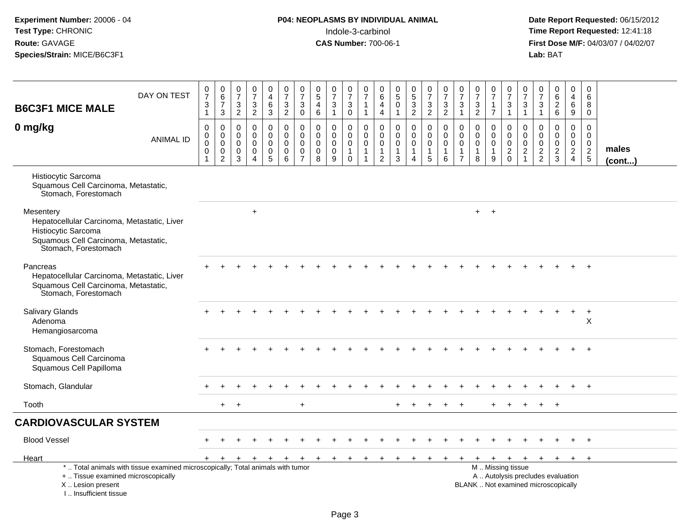# **P04: NEOPLASMS BY INDIVIDUAL ANIMAL**<br>Indole-3-carbinol Indole-3-carbinol **Time Report Requested:** 12:41:18

| <b>B6C3F1 MICE MALE</b>                                                                                                                         | DAY ON TEST                                                                     | $\frac{0}{7}$<br>$\sqrt{3}$<br>$\mathbf{1}$                               | 0<br>$6\phantom{a}$<br>$\overline{7}$<br>3                   | $\frac{0}{7}$<br>$\ensuremath{\mathsf{3}}$<br>$\overline{2}$ | $\frac{0}{7}$<br>$\frac{3}{2}$                                          | 0<br>$\overline{\mathbf{4}}$<br>$\,6\,$<br>3                             | $\frac{0}{7}$<br>$\frac{3}{2}$                                | 0<br>$\overline{7}$<br>$\mathbf{3}$<br>$\mathbf 0$ | 0<br>$\overline{5}$<br>$\overline{4}$<br>6                    | 0<br>$\overline{7}$<br>3<br>$\mathbf{1}$            | $\frac{0}{7}$<br>$\sqrt{3}$<br>$\mathbf 0$                      | 0<br>$\overline{7}$<br>$\mathbf{1}$<br>$\mathbf{1}$            | 0<br>$\,6$<br>$\overline{4}$<br>4                                            | $\begin{array}{c} 0 \\ 5 \end{array}$<br>$\pmb{0}$<br>$\mathbf{1}$ | $\begin{array}{c} 0 \\ 5 \end{array}$<br>$\frac{3}{2}$ | $\begin{array}{c} 0 \\ 7 \end{array}$<br>$\frac{3}{2}$         | 0<br>$\overline{7}$<br>$\mathbf{3}$<br>$\overline{2}$ | $\frac{0}{7}$<br>$\mathfrak{Z}$<br>$\mathbf{1}$                              | $\frac{0}{7}$<br>$\frac{3}{2}$                    | $\frac{0}{7}$<br>$\mathbf{1}$<br>$\overline{7}$          | 0<br>$\overline{7}$<br>$\ensuremath{\mathsf{3}}$<br>$\mathbf{1}$ | 0<br>$\overline{7}$<br>$\sqrt{3}$<br>$\mathbf{1}$       | $\begin{array}{c} 0 \\ 7 \end{array}$<br>$\mathbf{3}$<br>$\mathbf{1}$ | 0<br>$\overline{6}$<br>$\overline{\mathbf{c}}$<br>$\,6\,$                | 0<br>$\overline{4}$<br>6<br>9                    | 0<br>$\,6\,$<br>8<br>$\mathbf 0$                        |                       |
|-------------------------------------------------------------------------------------------------------------------------------------------------|---------------------------------------------------------------------------------|---------------------------------------------------------------------------|--------------------------------------------------------------|--------------------------------------------------------------|-------------------------------------------------------------------------|--------------------------------------------------------------------------|---------------------------------------------------------------|----------------------------------------------------|---------------------------------------------------------------|-----------------------------------------------------|-----------------------------------------------------------------|----------------------------------------------------------------|------------------------------------------------------------------------------|--------------------------------------------------------------------|--------------------------------------------------------|----------------------------------------------------------------|-------------------------------------------------------|------------------------------------------------------------------------------|---------------------------------------------------|----------------------------------------------------------|------------------------------------------------------------------|---------------------------------------------------------|-----------------------------------------------------------------------|--------------------------------------------------------------------------|--------------------------------------------------|---------------------------------------------------------|-----------------------|
| 0 mg/kg                                                                                                                                         | <b>ANIMAL ID</b>                                                                | $\pmb{0}$<br>$\boldsymbol{0}$<br>$\mathbf 0$<br>$\pmb{0}$<br>$\mathbf{1}$ | 0<br>$\pmb{0}$<br>$\mathbf 0$<br>$\pmb{0}$<br>$\overline{c}$ | $\mathbf 0$<br>$\mathbf 0$<br>$\mathbf 0$<br>0<br>3          | $\mathbf 0$<br>$\mathbf 0$<br>$\Omega$<br>$\mathsf 0$<br>$\overline{4}$ | 0<br>$\mathbf 0$<br>$\mathbf 0$<br>$\mathsf{O}\xspace$<br>$\overline{5}$ | $\mathbf 0$<br>$\mathbf 0$<br>$\mathbf 0$<br>$\mathbf 0$<br>6 | 0<br>$\Omega$<br>$\Omega$<br>0<br>$\overline{7}$   | $\mathbf 0$<br>$\mathbf{0}$<br>$\mathbf{0}$<br>$\pmb{0}$<br>8 | 0<br>$\mathbf 0$<br>$\mathbf 0$<br>$\mathbf 0$<br>9 | 0<br>$\mathsf{O}$<br>$\mathbf 0$<br>$\mathbf{1}$<br>$\mathbf 0$ | $\mathbf 0$<br>$\mathbf 0$<br>$\mathbf 0$<br>$\mathbf{1}$<br>1 | $\mathbf 0$<br>$\mathbf{0}$<br>$\mathbf 0$<br>$\mathbf{1}$<br>$\overline{2}$ | $\mathbf 0$<br>$\mathbf 0$<br>0<br>$\mathbf{1}$<br>3               | 0<br>$\mathbf 0$<br>0<br>$\mathbf{1}$<br>4             | $\mathbf 0$<br>$\mathbf 0$<br>$\mathbf 0$<br>$\mathbf{1}$<br>5 | $\mathbf 0$<br>$\Omega$<br>$\mathbf 0$<br>1<br>6      | $\mathbf 0$<br>$\mathbf{0}$<br>$\mathbf 0$<br>$\mathbf{1}$<br>$\overline{7}$ | 0<br>$\Omega$<br>$\mathbf 0$<br>$\mathbf{1}$<br>8 | 0<br>$\mathbf 0$<br>$\mathbf 0$<br>$\mathbf{1}$<br>$9\,$ | $\mathbf 0$<br>$\mathbf 0$<br>$\mathbf 0$<br>$\frac{2}{0}$       | $\mathbf 0$<br>$\mathbf 0$<br>$\mathbf 0$<br>$\sqrt{2}$ | $\mathbf 0$<br>$\Omega$<br>$\mathbf 0$<br>$\frac{2}{2}$               | 0<br>$\mathbf 0$<br>$\mathbf 0$<br>$\frac{2}{3}$                         | 0<br>$\mathbf 0$<br>$\mathbf 0$<br>$\frac{2}{4}$ | $\Omega$<br>$\mathbf 0$<br>$\mathbf 0$<br>$\frac{2}{5}$ | males<br>$($ cont $)$ |
| Histiocytic Sarcoma<br>Squamous Cell Carcinoma, Metastatic,<br>Stomach, Forestomach                                                             |                                                                                 |                                                                           |                                                              |                                                              |                                                                         |                                                                          |                                                               |                                                    |                                                               |                                                     |                                                                 |                                                                |                                                                              |                                                                    |                                                        |                                                                |                                                       |                                                                              |                                                   |                                                          |                                                                  |                                                         |                                                                       |                                                                          |                                                  |                                                         |                       |
| Mesentery<br>Hepatocellular Carcinoma, Metastatic, Liver<br>Histiocytic Sarcoma<br>Squamous Cell Carcinoma, Metastatic,<br>Stomach, Forestomach |                                                                                 |                                                                           |                                                              |                                                              | $\ddot{}$                                                               |                                                                          |                                                               |                                                    |                                                               |                                                     |                                                                 |                                                                |                                                                              |                                                                    |                                                        |                                                                |                                                       |                                                                              |                                                   | $+$ $+$                                                  |                                                                  |                                                         |                                                                       |                                                                          |                                                  |                                                         |                       |
| Pancreas<br>Hepatocellular Carcinoma, Metastatic, Liver<br>Squamous Cell Carcinoma, Metastatic,<br>Stomach, Forestomach                         |                                                                                 |                                                                           |                                                              |                                                              |                                                                         |                                                                          |                                                               |                                                    |                                                               |                                                     |                                                                 |                                                                |                                                                              |                                                                    |                                                        |                                                                |                                                       |                                                                              |                                                   |                                                          |                                                                  |                                                         |                                                                       |                                                                          |                                                  |                                                         |                       |
| <b>Salivary Glands</b><br>Adenoma<br>Hemangiosarcoma                                                                                            |                                                                                 |                                                                           |                                                              |                                                              |                                                                         |                                                                          |                                                               |                                                    |                                                               |                                                     |                                                                 |                                                                |                                                                              |                                                                    |                                                        |                                                                |                                                       |                                                                              |                                                   |                                                          |                                                                  |                                                         |                                                                       |                                                                          | $+$                                              | $+$<br>X                                                |                       |
| Stomach, Forestomach<br>Squamous Cell Carcinoma<br>Squamous Cell Papilloma                                                                      |                                                                                 |                                                                           |                                                              |                                                              |                                                                         |                                                                          |                                                               |                                                    |                                                               |                                                     |                                                                 |                                                                |                                                                              |                                                                    |                                                        |                                                                |                                                       |                                                                              |                                                   |                                                          |                                                                  |                                                         |                                                                       |                                                                          |                                                  | $\ddot{}$                                               |                       |
| Stomach, Glandular                                                                                                                              |                                                                                 |                                                                           |                                                              |                                                              |                                                                         |                                                                          |                                                               |                                                    |                                                               |                                                     |                                                                 |                                                                |                                                                              |                                                                    |                                                        |                                                                |                                                       |                                                                              |                                                   |                                                          |                                                                  |                                                         |                                                                       |                                                                          |                                                  | $+$                                                     |                       |
| Tooth                                                                                                                                           |                                                                                 |                                                                           | $+$                                                          | $\ddot{}$                                                    |                                                                         |                                                                          |                                                               | $\ddot{}$                                          |                                                               |                                                     |                                                                 |                                                                |                                                                              |                                                                    |                                                        |                                                                |                                                       |                                                                              |                                                   |                                                          |                                                                  |                                                         |                                                                       | $+$                                                                      |                                                  |                                                         |                       |
| <b>CARDIOVASCULAR SYSTEM</b>                                                                                                                    |                                                                                 |                                                                           |                                                              |                                                              |                                                                         |                                                                          |                                                               |                                                    |                                                               |                                                     |                                                                 |                                                                |                                                                              |                                                                    |                                                        |                                                                |                                                       |                                                                              |                                                   |                                                          |                                                                  |                                                         |                                                                       |                                                                          |                                                  |                                                         |                       |
| <b>Blood Vessel</b>                                                                                                                             |                                                                                 |                                                                           |                                                              |                                                              |                                                                         |                                                                          |                                                               |                                                    |                                                               |                                                     |                                                                 |                                                                |                                                                              |                                                                    |                                                        |                                                                |                                                       |                                                                              |                                                   |                                                          |                                                                  |                                                         |                                                                       |                                                                          |                                                  | $+$                                                     |                       |
| Heart                                                                                                                                           |                                                                                 |                                                                           | $+$                                                          | $\ddot{}$                                                    | $\ddot{}$                                                               | $\ddot{}$                                                                | $\ddot{}$                                                     | $+$                                                | $+$                                                           | $+$                                                 | $+$                                                             | $+$                                                            | ÷                                                                            |                                                                    |                                                        |                                                                |                                                       |                                                                              | $\div$                                            | $+$                                                      | $+$                                                              |                                                         | $+$ $+$ $+$                                                           |                                                                          | $+$                                              | $^{+}$                                                  |                       |
| +  Tissue examined microscopically<br>X  Lesion present<br>I., Insufficient tissue                                                              | *  Total animals with tissue examined microscopically; Total animals with tumor |                                                                           |                                                              |                                                              |                                                                         |                                                                          |                                                               |                                                    |                                                               |                                                     |                                                                 |                                                                |                                                                              |                                                                    |                                                        |                                                                |                                                       |                                                                              |                                                   |                                                          | M  Missing tissue                                                |                                                         |                                                                       | A  Autolysis precludes evaluation<br>BLANK  Not examined microscopically |                                                  |                                                         |                       |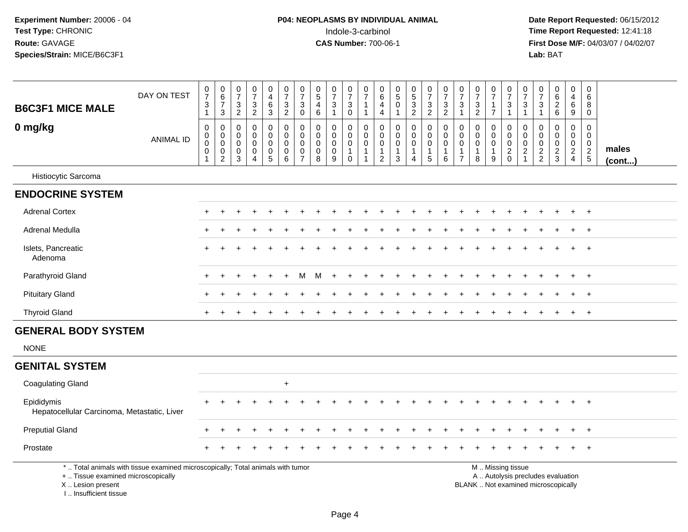| <b>B6C3F1 MICE MALE</b>                                                            | DAY ON TEST                                                                     | $\frac{0}{7}$<br>3<br>$\mathbf{1}$                                        | $\begin{array}{c} 0 \\ 6 \end{array}$<br>$\boldsymbol{7}$<br>$\mathbf{3}$ | 0<br>$\boldsymbol{7}$<br>$\mathbf{3}$<br>$\overline{c}$ | $\begin{array}{c} 0 \\ 7 \end{array}$<br>$\sqrt{3}$<br>$\overline{2}$             | $\pmb{0}$<br>$\overline{4}$<br>$\,6\,$<br>$\ensuremath{\mathsf{3}}$          | $\frac{0}{7}$<br>$\mathsf 3$<br>$\overline{c}$                | $\begin{array}{c} 0 \\ 7 \end{array}$<br>$\mathbf{3}$<br>$\mathbf 0$ | $\pmb{0}$<br>$\sqrt{5}$<br>$\overline{4}$<br>$\,6\,$ | $\frac{0}{7}$<br>$\sqrt{3}$<br>$\mathbf{1}$      | $\frac{0}{7}$<br>$\mathbf{3}$<br>$\mathsf{O}\xspace$           | $\begin{array}{c} 0 \\ 7 \end{array}$<br>$\overline{1}$<br>$\overline{1}$ | $\,0\,$<br>$\,6$<br>4<br>$\overline{4}$                                        | $\mathbf 0$<br>$\sqrt{5}$<br>$\mathbf 0$<br>1          | $\begin{array}{c} 0 \\ 5 \\ 3 \end{array}$<br>$\sqrt{2}$                   | $\frac{0}{7}$<br>$\mathbf{3}$<br>$\overline{2}$               | $\frac{0}{7}$<br>$\mathbf 3$<br>$\overline{2}$                  | $\frac{0}{7}$<br>3<br>$\mathbf{1}$                     | $\frac{0}{7}$<br>$\sqrt{3}$<br>$\boldsymbol{2}$                     | $\begin{array}{c} 0 \\ 7 \end{array}$<br>$\mathbf{1}$<br>$\overline{7}$             | $\frac{0}{7}$<br>$\ensuremath{\mathsf{3}}$<br>$\overline{1}$ | $\frac{0}{7}$<br>$\sqrt{3}$<br>$\overline{1}$                | 0<br>$\overline{7}$<br>3<br>$\mathbf{1}$                | $\pmb{0}$<br>6<br>$\overline{2}$<br>6                                    | $\pmb{0}$<br>$\overline{4}$<br>6<br>$9\,$               | $\pmb{0}$<br>$\,6\,$<br>8<br>$\mathbf 0$               |                       |
|------------------------------------------------------------------------------------|---------------------------------------------------------------------------------|---------------------------------------------------------------------------|---------------------------------------------------------------------------|---------------------------------------------------------|-----------------------------------------------------------------------------------|------------------------------------------------------------------------------|---------------------------------------------------------------|----------------------------------------------------------------------|------------------------------------------------------|--------------------------------------------------|----------------------------------------------------------------|---------------------------------------------------------------------------|--------------------------------------------------------------------------------|--------------------------------------------------------|----------------------------------------------------------------------------|---------------------------------------------------------------|-----------------------------------------------------------------|--------------------------------------------------------|---------------------------------------------------------------------|-------------------------------------------------------------------------------------|--------------------------------------------------------------|--------------------------------------------------------------|---------------------------------------------------------|--------------------------------------------------------------------------|---------------------------------------------------------|--------------------------------------------------------|-----------------------|
| 0 mg/kg                                                                            | <b>ANIMAL ID</b>                                                                | $\mathbf 0$<br>$\pmb{0}$<br>$\boldsymbol{0}$<br>$\pmb{0}$<br>$\mathbf{1}$ | $\Omega$<br>$\mathbf 0$<br>$\mathbf 0$<br>$\pmb{0}$<br>$\boldsymbol{2}$   | $\Omega$<br>0<br>0<br>0<br>$\mathbf{3}$                 | $\mathbf 0$<br>$\mathbf 0$<br>$\mathbf 0$<br>$\mathbf 0$<br>$\boldsymbol{\Delta}$ | $\pmb{0}$<br>$\pmb{0}$<br>$\pmb{0}$<br>$\begin{array}{c} 0 \\ 5 \end{array}$ | $\mathbf 0$<br>$\mathbf 0$<br>$\mathbf 0$<br>$\mathbf 0$<br>6 | $\mathbf 0$<br>$\boldsymbol{0}$<br>$\boldsymbol{0}$<br>$\frac{0}{7}$ | $\mathbf 0$<br>$\mathbf 0$<br>$\mathbf 0$<br>0<br>8  | $\Omega$<br>$\mathbf 0$<br>$\mathbf 0$<br>0<br>9 | $\mathbf 0$<br>0<br>$\mathbf 0$<br>$\mathbf{1}$<br>$\mathbf 0$ | $\Omega$<br>$\mathbf 0$<br>$\mathbf 0$<br>$\overline{1}$<br>1             | $\pmb{0}$<br>$\mathsf{O}\xspace$<br>$\pmb{0}$<br>$\mathbf 1$<br>$\overline{c}$ | $\mathbf 0$<br>0<br>0<br>$\mathbf 1$<br>$\mathfrak{Z}$ | $\mathbf 0$<br>$\mathbf 0$<br>$\mathbf 0$<br>$\mathbf 1$<br>$\overline{4}$ | 0<br>$\mathsf 0$<br>$\mathbf 0$<br>$\mathbf{1}$<br>$\sqrt{5}$ | $\Omega$<br>$\mathbf 0$<br>$\mathbf 0$<br>$\mathbf{1}$<br>$6\,$ | 0<br>$\mathbf 0$<br>$\mathbf 0$<br>1<br>$\overline{7}$ | $\Omega$<br>$\mathbf 0$<br>$\mathsf{O}\xspace$<br>$\mathbf{1}$<br>8 | $\mathbf 0$<br>$\mathbf 0$<br>$\mathsf{O}\xspace$<br>$\mathbf{1}$<br>$\overline{9}$ | $\Omega$<br>$\mathsf{O}$<br>$\mathbf 0$<br>$^2_{\rm 0}$      | $\Omega$<br>$\mathbf 0$<br>$\boldsymbol{0}$<br>$\frac{2}{1}$ | $\Omega$<br>$\mathbf 0$<br>$\mathbf 0$<br>$\frac{2}{2}$ | $\Omega$<br>$\mathbf 0$<br>$\mathbf 0$<br>$\frac{2}{3}$                  | $\Omega$<br>$\mathbf 0$<br>$\mathbf 0$<br>$\frac{2}{4}$ | $\mathbf 0$<br>$\mathbf 0$<br>$\pmb{0}$<br>$rac{2}{5}$ | males<br>$($ cont $)$ |
| Histiocytic Sarcoma                                                                |                                                                                 |                                                                           |                                                                           |                                                         |                                                                                   |                                                                              |                                                               |                                                                      |                                                      |                                                  |                                                                |                                                                           |                                                                                |                                                        |                                                                            |                                                               |                                                                 |                                                        |                                                                     |                                                                                     |                                                              |                                                              |                                                         |                                                                          |                                                         |                                                        |                       |
| <b>ENDOCRINE SYSTEM</b>                                                            |                                                                                 |                                                                           |                                                                           |                                                         |                                                                                   |                                                                              |                                                               |                                                                      |                                                      |                                                  |                                                                |                                                                           |                                                                                |                                                        |                                                                            |                                                               |                                                                 |                                                        |                                                                     |                                                                                     |                                                              |                                                              |                                                         |                                                                          |                                                         |                                                        |                       |
| <b>Adrenal Cortex</b>                                                              |                                                                                 |                                                                           |                                                                           |                                                         |                                                                                   |                                                                              |                                                               |                                                                      |                                                      |                                                  |                                                                |                                                                           |                                                                                |                                                        |                                                                            |                                                               |                                                                 |                                                        |                                                                     |                                                                                     |                                                              |                                                              |                                                         |                                                                          |                                                         | $\overline{+}$                                         |                       |
| Adrenal Medulla                                                                    |                                                                                 |                                                                           |                                                                           |                                                         |                                                                                   |                                                                              |                                                               |                                                                      |                                                      |                                                  |                                                                |                                                                           |                                                                                |                                                        |                                                                            |                                                               |                                                                 |                                                        |                                                                     |                                                                                     |                                                              |                                                              |                                                         |                                                                          |                                                         | $\ddot{}$                                              |                       |
| Islets, Pancreatic<br>Adenoma                                                      |                                                                                 |                                                                           |                                                                           |                                                         |                                                                                   |                                                                              |                                                               |                                                                      |                                                      |                                                  |                                                                |                                                                           |                                                                                |                                                        |                                                                            |                                                               |                                                                 |                                                        |                                                                     |                                                                                     |                                                              |                                                              |                                                         |                                                                          |                                                         |                                                        |                       |
| Parathyroid Gland                                                                  |                                                                                 |                                                                           |                                                                           |                                                         |                                                                                   |                                                                              |                                                               |                                                                      | м                                                    |                                                  |                                                                |                                                                           |                                                                                |                                                        |                                                                            |                                                               |                                                                 |                                                        |                                                                     |                                                                                     |                                                              |                                                              |                                                         |                                                                          |                                                         | $\ddot{}$                                              |                       |
| <b>Pituitary Gland</b>                                                             |                                                                                 |                                                                           |                                                                           |                                                         |                                                                                   |                                                                              |                                                               |                                                                      |                                                      |                                                  |                                                                |                                                                           |                                                                                |                                                        |                                                                            |                                                               |                                                                 |                                                        |                                                                     |                                                                                     |                                                              |                                                              |                                                         |                                                                          |                                                         | $\div$                                                 |                       |
| <b>Thyroid Gland</b>                                                               |                                                                                 | $\pm$                                                                     |                                                                           |                                                         |                                                                                   |                                                                              |                                                               |                                                                      |                                                      |                                                  |                                                                |                                                                           |                                                                                |                                                        |                                                                            |                                                               |                                                                 |                                                        |                                                                     |                                                                                     |                                                              |                                                              |                                                         |                                                                          | $\ddot{}$                                               | $\overline{+}$                                         |                       |
| <b>GENERAL BODY SYSTEM</b>                                                         |                                                                                 |                                                                           |                                                                           |                                                         |                                                                                   |                                                                              |                                                               |                                                                      |                                                      |                                                  |                                                                |                                                                           |                                                                                |                                                        |                                                                            |                                                               |                                                                 |                                                        |                                                                     |                                                                                     |                                                              |                                                              |                                                         |                                                                          |                                                         |                                                        |                       |
| <b>NONE</b>                                                                        |                                                                                 |                                                                           |                                                                           |                                                         |                                                                                   |                                                                              |                                                               |                                                                      |                                                      |                                                  |                                                                |                                                                           |                                                                                |                                                        |                                                                            |                                                               |                                                                 |                                                        |                                                                     |                                                                                     |                                                              |                                                              |                                                         |                                                                          |                                                         |                                                        |                       |
| <b>GENITAL SYSTEM</b>                                                              |                                                                                 |                                                                           |                                                                           |                                                         |                                                                                   |                                                                              |                                                               |                                                                      |                                                      |                                                  |                                                                |                                                                           |                                                                                |                                                        |                                                                            |                                                               |                                                                 |                                                        |                                                                     |                                                                                     |                                                              |                                                              |                                                         |                                                                          |                                                         |                                                        |                       |
| <b>Coagulating Gland</b>                                                           |                                                                                 |                                                                           |                                                                           |                                                         |                                                                                   |                                                                              | $\ddot{}$                                                     |                                                                      |                                                      |                                                  |                                                                |                                                                           |                                                                                |                                                        |                                                                            |                                                               |                                                                 |                                                        |                                                                     |                                                                                     |                                                              |                                                              |                                                         |                                                                          |                                                         |                                                        |                       |
| Epididymis<br>Hepatocellular Carcinoma, Metastatic, Liver                          |                                                                                 |                                                                           |                                                                           |                                                         |                                                                                   |                                                                              |                                                               |                                                                      |                                                      |                                                  |                                                                |                                                                           |                                                                                |                                                        |                                                                            |                                                               |                                                                 |                                                        |                                                                     |                                                                                     |                                                              |                                                              |                                                         |                                                                          | $\ddot{}$                                               | $\ddot{}$                                              |                       |
| <b>Preputial Gland</b>                                                             |                                                                                 |                                                                           |                                                                           |                                                         |                                                                                   |                                                                              |                                                               |                                                                      |                                                      |                                                  |                                                                |                                                                           |                                                                                |                                                        |                                                                            |                                                               |                                                                 |                                                        |                                                                     |                                                                                     |                                                              |                                                              |                                                         |                                                                          |                                                         | $\ddot{}$                                              |                       |
| Prostate                                                                           |                                                                                 |                                                                           |                                                                           |                                                         |                                                                                   |                                                                              |                                                               |                                                                      |                                                      |                                                  |                                                                |                                                                           |                                                                                |                                                        |                                                                            |                                                               |                                                                 |                                                        |                                                                     |                                                                                     |                                                              |                                                              |                                                         |                                                                          |                                                         |                                                        |                       |
| +  Tissue examined microscopically<br>X  Lesion present<br>I., Insufficient tissue | *  Total animals with tissue examined microscopically; Total animals with tumor |                                                                           |                                                                           |                                                         |                                                                                   |                                                                              |                                                               |                                                                      |                                                      |                                                  |                                                                |                                                                           |                                                                                |                                                        |                                                                            |                                                               |                                                                 |                                                        |                                                                     |                                                                                     | M  Missing tissue                                            |                                                              |                                                         | A  Autolysis precludes evaluation<br>BLANK  Not examined microscopically |                                                         |                                                        |                       |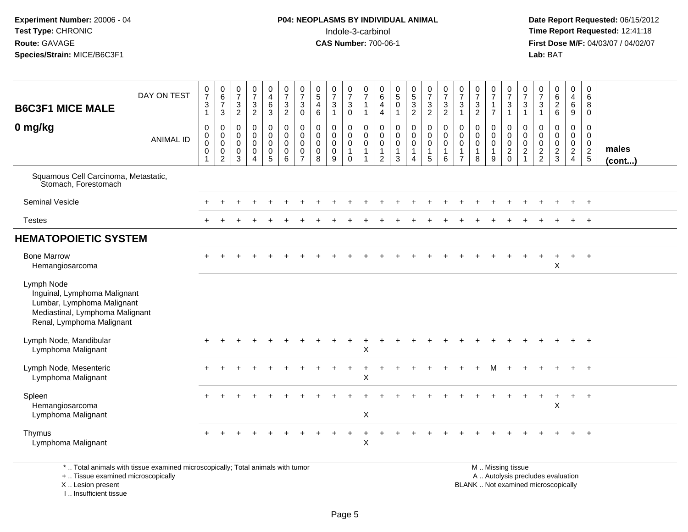#### **P04: NEOPLASMS BY INDIVIDUAL ANIMAL**Indole-3-carbinol **Time Report Requested:** 12:41:18

 **Date Report Requested:** 06/15/2012 **First Dose M/F:** 04/03/07 / 04/02/07<br>Lab: BAT **Lab:** BAT

| <b>B6C3F1 MICE MALE</b><br>0 mg/kg                                                                                                       | DAY ON TEST<br><b>ANIMAL ID</b> | $\frac{0}{7}$<br>$\mathbf{3}$<br>$\overline{1}$<br>$\pmb{0}$<br>$\begin{smallmatrix}0\\0\end{smallmatrix}$<br>$\mathbf 0$<br>$\overline{1}$ | $\begin{array}{c} 0 \\ 6 \\ 7 \end{array}$<br>$\mathbf{3}$<br>$\pmb{0}$<br>$\overline{0}$ <sub>0</sub><br>$\pmb{0}$<br>$\overline{2}$ | $\frac{0}{7}$<br>3<br>$\overline{2}$<br>$\mathbf 0$<br>$\mathbf 0$<br>$\mathbf 0$<br>$\mathbf 0$<br>3 | $\frac{0}{7}$<br>$\frac{3}{2}$<br>$\mathbf 0$<br>$\mathbf 0$<br>$\mathbf 0$<br>$\mathbf 0$<br>$\boldsymbol{\Lambda}$ | 0<br>$\overline{\mathbf{4}}$<br>$\,6\,$<br>$\mathbf{3}$<br>$\pmb{0}$<br>$\mathbf 0$<br>$\mathsf 0$<br>$\mathbf 0$<br>5 | $\frac{0}{7}$<br>$\mathbf{3}$<br>$\overline{2}$<br>$\pmb{0}$<br>$\overline{0}$<br>$\mathbf 0$<br>$\mathbf 0$<br>6 | $\frac{0}{7}$<br>3<br>$\mathbf 0$<br>$\mathbf 0$<br>$\mathsf{O}\xspace$<br>$\mathbf 0$<br>$\mathbf 0$<br>$\overline{7}$ | $\begin{array}{c} 0 \\ 5 \end{array}$<br>$\overline{4}$<br>6<br>0<br>$\pmb{0}$<br>0<br>$\mathbf 0$<br>8 | $\frac{0}{7}$<br>$\sqrt{3}$<br>$\mathbf{1}$<br>$\mathbf 0$<br>$\ddot{\mathbf{0}}$<br>$\mathbf 0$<br>$\mathbf 0$<br>9 | $\frac{0}{7}$<br>3<br>$\mathbf 0$<br>0<br>$\ddot{\mathbf{0}}$<br>$\mathbf 0$<br>$\overline{1}$<br>$\mathbf 0$ | $\frac{0}{7}$<br>$\mathbf{1}$<br>$\mathbf{1}$<br>$\pmb{0}$<br>$\overline{0}$<br>$\mathbf 0$<br>$\mathbf{1}$<br>$\mathbf{1}$ | 0<br>$6\phantom{a}$<br>4<br>$\overline{4}$<br>0<br>$\mathbf 0$<br>$\mathbf 0$<br>$\mathbf 1$<br>$\overline{2}$ | $\begin{array}{c} 0 \\ 5 \\ 0 \end{array}$<br>$\mathbf{1}$<br>$\mathbf 0$<br>$\ddot{\mathbf{0}}$<br>$\ddot{\mathbf{0}}$<br>$\mathbf{1}$<br>3 | $\begin{array}{c} 0 \\ 5 \\ 3 \\ 2 \end{array}$<br>$\begin{smallmatrix} 0\\0 \end{smallmatrix}$<br>$\overline{0}$<br>$\mathbf{1}$<br>$\overline{4}$ | $\frac{0}{7}$<br>$\mathbf{3}$<br>$\overline{2}$<br>$\begin{smallmatrix}0\0\end{smallmatrix}$<br>$\mathbf 0$<br>5 | $\frac{0}{7}$<br>$\frac{3}{2}$<br>$_{\rm 0}^{\rm 0}$<br>$\ddot{\mathbf{0}}$<br>$\overline{1}$<br>6 | $\frac{0}{7}$<br>$\mathbf{3}$<br>$\mathbf{1}$<br>0<br>$\mathbf 0$<br>$\mathbf 0$<br>$\overline{1}$<br>$\overline{7}$ | $\frac{0}{7}$<br>$\mathbf{3}$<br>2<br>$\pmb{0}$<br>$\mathsf 0$<br>$\mathbf 0$<br>$\mathbf{1}$<br>8 | $\frac{0}{7}$<br>$\mathbf{1}$<br>$\overline{7}$<br>0<br>$\mathbf 0$<br>0<br>$\mathbf{1}$<br>9 | $\frac{0}{7}$<br>$\mathbf{3}$<br>$\mathbf{1}$<br>0<br>$\ddot{\mathbf{0}}$<br>$\mathbf 0$<br>$\overline{c}$<br>$\Omega$ | $\frac{0}{7}$<br>$\mathbf{3}$<br>$\mathbf{1}$<br>$\pmb{0}$<br>$\ddot{\mathbf{0}}$<br>$\ddot{\mathbf{0}}$<br>$\overline{2}$ | $\frac{0}{7}$<br>3<br>$\overline{1}$<br>$\mathbf 0$<br>$\mathbf 0$<br>$\mathsf{O}\xspace$<br>$\frac{2}{2}$ | 0626<br>$\mathbf 0$<br>$\mathbf 0$<br>$\mathbf 0$<br>$\frac{2}{3}$ | 0<br>$\frac{4}{6}$<br>$\overline{9}$<br>$\pmb{0}$<br>$\ddot{\mathbf{0}}$<br>$\mathbf 0$<br>$\frac{2}{4}$ | 0<br>6<br>8<br>$\mathbf{0}$<br>$\mathbf 0$<br>$\overline{0}$<br>$\frac{0}{2}$<br>5 | males<br>$($ cont $)$ |
|------------------------------------------------------------------------------------------------------------------------------------------|---------------------------------|---------------------------------------------------------------------------------------------------------------------------------------------|---------------------------------------------------------------------------------------------------------------------------------------|-------------------------------------------------------------------------------------------------------|----------------------------------------------------------------------------------------------------------------------|------------------------------------------------------------------------------------------------------------------------|-------------------------------------------------------------------------------------------------------------------|-------------------------------------------------------------------------------------------------------------------------|---------------------------------------------------------------------------------------------------------|----------------------------------------------------------------------------------------------------------------------|---------------------------------------------------------------------------------------------------------------|-----------------------------------------------------------------------------------------------------------------------------|----------------------------------------------------------------------------------------------------------------|----------------------------------------------------------------------------------------------------------------------------------------------|-----------------------------------------------------------------------------------------------------------------------------------------------------|------------------------------------------------------------------------------------------------------------------|----------------------------------------------------------------------------------------------------|----------------------------------------------------------------------------------------------------------------------|----------------------------------------------------------------------------------------------------|-----------------------------------------------------------------------------------------------|------------------------------------------------------------------------------------------------------------------------|----------------------------------------------------------------------------------------------------------------------------|------------------------------------------------------------------------------------------------------------|--------------------------------------------------------------------|----------------------------------------------------------------------------------------------------------|------------------------------------------------------------------------------------|-----------------------|
| Squamous Cell Carcinoma, Metastatic,<br>Stomach, Forestomach                                                                             |                                 |                                                                                                                                             |                                                                                                                                       |                                                                                                       |                                                                                                                      |                                                                                                                        |                                                                                                                   |                                                                                                                         |                                                                                                         |                                                                                                                      |                                                                                                               |                                                                                                                             |                                                                                                                |                                                                                                                                              |                                                                                                                                                     |                                                                                                                  |                                                                                                    |                                                                                                                      |                                                                                                    |                                                                                               |                                                                                                                        |                                                                                                                            |                                                                                                            |                                                                    |                                                                                                          |                                                                                    |                       |
| <b>Seminal Vesicle</b>                                                                                                                   |                                 |                                                                                                                                             |                                                                                                                                       |                                                                                                       |                                                                                                                      |                                                                                                                        |                                                                                                                   |                                                                                                                         |                                                                                                         |                                                                                                                      |                                                                                                               |                                                                                                                             |                                                                                                                |                                                                                                                                              |                                                                                                                                                     |                                                                                                                  |                                                                                                    |                                                                                                                      |                                                                                                    |                                                                                               |                                                                                                                        |                                                                                                                            |                                                                                                            |                                                                    |                                                                                                          | $\overline{ }$                                                                     |                       |
| <b>Testes</b>                                                                                                                            |                                 |                                                                                                                                             |                                                                                                                                       |                                                                                                       |                                                                                                                      |                                                                                                                        |                                                                                                                   |                                                                                                                         |                                                                                                         |                                                                                                                      |                                                                                                               |                                                                                                                             |                                                                                                                |                                                                                                                                              |                                                                                                                                                     |                                                                                                                  |                                                                                                    |                                                                                                                      |                                                                                                    |                                                                                               |                                                                                                                        |                                                                                                                            |                                                                                                            |                                                                    |                                                                                                          | $\overline{+}$                                                                     |                       |
| <b>HEMATOPOIETIC SYSTEM</b>                                                                                                              |                                 |                                                                                                                                             |                                                                                                                                       |                                                                                                       |                                                                                                                      |                                                                                                                        |                                                                                                                   |                                                                                                                         |                                                                                                         |                                                                                                                      |                                                                                                               |                                                                                                                             |                                                                                                                |                                                                                                                                              |                                                                                                                                                     |                                                                                                                  |                                                                                                    |                                                                                                                      |                                                                                                    |                                                                                               |                                                                                                                        |                                                                                                                            |                                                                                                            |                                                                    |                                                                                                          |                                                                                    |                       |
| <b>Bone Marrow</b><br>Hemangiosarcoma                                                                                                    |                                 |                                                                                                                                             |                                                                                                                                       |                                                                                                       |                                                                                                                      |                                                                                                                        |                                                                                                                   |                                                                                                                         |                                                                                                         |                                                                                                                      |                                                                                                               |                                                                                                                             |                                                                                                                |                                                                                                                                              |                                                                                                                                                     |                                                                                                                  |                                                                                                    |                                                                                                                      |                                                                                                    |                                                                                               |                                                                                                                        |                                                                                                                            |                                                                                                            | X                                                                  |                                                                                                          | $\overline{1}$                                                                     |                       |
| Lymph Node<br>Inguinal, Lymphoma Malignant<br>Lumbar, Lymphoma Malignant<br>Mediastinal, Lymphoma Malignant<br>Renal, Lymphoma Malignant |                                 |                                                                                                                                             |                                                                                                                                       |                                                                                                       |                                                                                                                      |                                                                                                                        |                                                                                                                   |                                                                                                                         |                                                                                                         |                                                                                                                      |                                                                                                               |                                                                                                                             |                                                                                                                |                                                                                                                                              |                                                                                                                                                     |                                                                                                                  |                                                                                                    |                                                                                                                      |                                                                                                    |                                                                                               |                                                                                                                        |                                                                                                                            |                                                                                                            |                                                                    |                                                                                                          |                                                                                    |                       |
| Lymph Node, Mandibular<br>Lymphoma Malignant                                                                                             |                                 |                                                                                                                                             |                                                                                                                                       |                                                                                                       |                                                                                                                      |                                                                                                                        |                                                                                                                   |                                                                                                                         |                                                                                                         |                                                                                                                      |                                                                                                               | X                                                                                                                           |                                                                                                                |                                                                                                                                              |                                                                                                                                                     |                                                                                                                  |                                                                                                    |                                                                                                                      |                                                                                                    |                                                                                               |                                                                                                                        |                                                                                                                            |                                                                                                            |                                                                    |                                                                                                          |                                                                                    |                       |
| Lymph Node, Mesenteric<br>Lymphoma Malignant                                                                                             |                                 |                                                                                                                                             |                                                                                                                                       |                                                                                                       |                                                                                                                      |                                                                                                                        |                                                                                                                   |                                                                                                                         |                                                                                                         |                                                                                                                      |                                                                                                               | $\boldsymbol{\mathsf{X}}$                                                                                                   |                                                                                                                |                                                                                                                                              |                                                                                                                                                     |                                                                                                                  |                                                                                                    |                                                                                                                      |                                                                                                    |                                                                                               |                                                                                                                        |                                                                                                                            |                                                                                                            |                                                                    |                                                                                                          |                                                                                    |                       |
| Spleen<br>Hemangiosarcoma<br>Lymphoma Malignant                                                                                          |                                 |                                                                                                                                             |                                                                                                                                       |                                                                                                       |                                                                                                                      |                                                                                                                        |                                                                                                                   |                                                                                                                         |                                                                                                         |                                                                                                                      |                                                                                                               | $\times$                                                                                                                    |                                                                                                                |                                                                                                                                              |                                                                                                                                                     |                                                                                                                  |                                                                                                    |                                                                                                                      |                                                                                                    |                                                                                               |                                                                                                                        |                                                                                                                            |                                                                                                            | $\mathsf{X}$                                                       |                                                                                                          | $\overline{1}$                                                                     |                       |
| Thymus<br>Lymphoma Malignant                                                                                                             |                                 |                                                                                                                                             |                                                                                                                                       |                                                                                                       |                                                                                                                      |                                                                                                                        |                                                                                                                   |                                                                                                                         |                                                                                                         |                                                                                                                      |                                                                                                               | $\boldsymbol{\mathsf{X}}$                                                                                                   |                                                                                                                |                                                                                                                                              |                                                                                                                                                     |                                                                                                                  |                                                                                                    |                                                                                                                      |                                                                                                    |                                                                                               |                                                                                                                        |                                                                                                                            |                                                                                                            |                                                                    |                                                                                                          |                                                                                    |                       |

\* .. Total animals with tissue examined microscopically; Total animals with tumor

+ .. Tissue examined microscopically

 Lesion present BLANK .. Not examined microscopicallyX .. Lesion present

I .. Insufficient tissue

 M .. Missing tissuey the contract of the contract of the contract of the contract of the contract of the contract of the contract of  $A$ . Autolysis precludes evaluation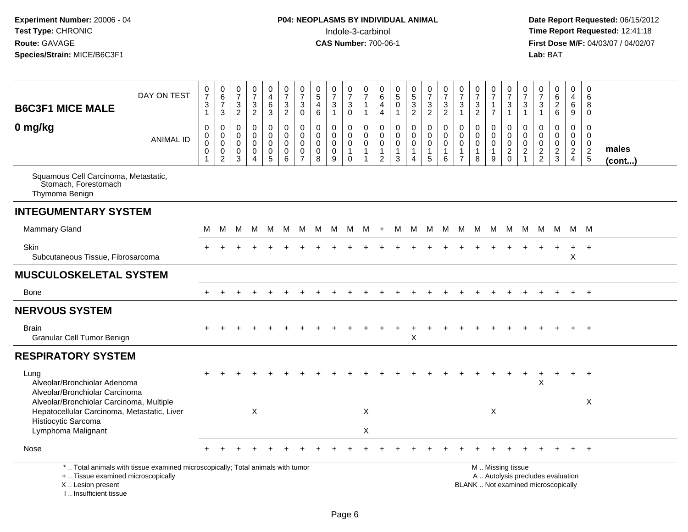| <b>B6C3F1 MICE MALE</b>                                                                                                              | DAY ON TEST                                                                     | $\frac{0}{7}$<br>3<br>$\mathbf{1}$           | $\begin{array}{c} 0 \\ 6 \end{array}$<br>$\overline{7}$<br>$\mathbf{3}$        | $\begin{array}{c} 0 \\ 7 \end{array}$<br>3<br>$\overline{2}$  | $\begin{array}{c} 0 \\ 7 \end{array}$<br>$\frac{3}{2}$                    | 0<br>$\overline{4}$<br>$\,6\,$<br>$\overline{3}$                 | $\frac{0}{7}$<br>$\sqrt{3}$<br>$\overline{2}$     | $\frac{0}{7}$<br>3<br>$\mathsf{O}\xspace$              | $\begin{smallmatrix}0\0\5\end{smallmatrix}$<br>$\overline{4}$<br>$\,6\,$ | $\frac{0}{7}$<br>$\sqrt{3}$<br>$\mathbf{1}$ | $\begin{smallmatrix}0\\7\end{smallmatrix}$<br>$\sqrt{3}$<br>$\mathbf 0$ | 0<br>$\overline{7}$<br>$\overline{1}$<br>$\mathbf{1}$                       | 0<br>$\,6\,$<br>$\overline{4}$<br>4                                       | 0<br>$\overline{5}$<br>$\mathbf 0$<br>$\mathbf{1}$                        | $\begin{array}{c} 0 \\ 5 \\ 3 \\ 2 \end{array}$      | $\begin{array}{c} 0 \\ 7 \end{array}$<br>$\frac{3}{2}$                      | $\begin{array}{c} 0 \\ 7 \end{array}$<br>$\frac{3}{2}$ | $\frac{0}{7}$<br>$\mathbf 3$<br>$\mathbf{1}$                      | $\frac{0}{7}$<br>$\frac{3}{2}$                                 | $\frac{0}{7}$<br>1<br>$\overline{7}$                 | $\frac{0}{7}$<br>$\sqrt{3}$<br>$\mathbf{1}$     | 0<br>$\overline{7}$<br>3<br>$\mathbf{1}$                                    | 0<br>$\overline{7}$<br>$\sqrt{3}$<br>$\mathbf{1}$          | 0626                                                                     | $\mathbf 0$<br>$\overline{4}$<br>$\,6\,$<br>$\overline{9}$ | 0<br>$\,6\,$<br>8<br>$\mathbf 0$                         |                 |
|--------------------------------------------------------------------------------------------------------------------------------------|---------------------------------------------------------------------------------|----------------------------------------------|--------------------------------------------------------------------------------|---------------------------------------------------------------|---------------------------------------------------------------------------|------------------------------------------------------------------|---------------------------------------------------|--------------------------------------------------------|--------------------------------------------------------------------------|---------------------------------------------|-------------------------------------------------------------------------|-----------------------------------------------------------------------------|---------------------------------------------------------------------------|---------------------------------------------------------------------------|------------------------------------------------------|-----------------------------------------------------------------------------|--------------------------------------------------------|-------------------------------------------------------------------|----------------------------------------------------------------|------------------------------------------------------|-------------------------------------------------|-----------------------------------------------------------------------------|------------------------------------------------------------|--------------------------------------------------------------------------|------------------------------------------------------------|----------------------------------------------------------|-----------------|
| 0 mg/kg                                                                                                                              | <b>ANIMAL ID</b>                                                                | $\mathbf 0$<br>0<br>0<br>0<br>$\overline{1}$ | $\pmb{0}$<br>$\pmb{0}$<br>$\ddot{\mathbf{0}}$<br>$\mathbf 0$<br>$\overline{2}$ | $\mathbf 0$<br>$\mathbf 0$<br>$\mathbf 0$<br>$\mathbf 0$<br>3 | $\pmb{0}$<br>$\mathbf{0}$<br>$\mathbf 0$<br>$\mathbf 0$<br>$\overline{4}$ | 0<br>$\mathbf 0$<br>$\mathbf 0$<br>$\mathbf 0$<br>$\overline{5}$ | $\pmb{0}$<br>$\mathbf 0$<br>$\mathbf 0$<br>0<br>6 | 0<br>$\mathbf 0$<br>$\mathbf 0$<br>0<br>$\overline{7}$ | $\mathbf 0$<br>$\mathbf 0$<br>$\mathbf 0$<br>0<br>8                      | $\mathbf 0$<br>$\mathbf 0$<br>0<br>0<br>9   | $\mathbf 0$<br>0<br>$\mathbf 0$<br>$\mathbf{1}$<br>$\mathbf 0$          | $\mathbf 0$<br>$\mathbf 0$<br>$\mathbf 0$<br>$\mathbf{1}$<br>$\overline{1}$ | $\pmb{0}$<br>$\mathbf 0$<br>$\mathbf 0$<br>$\mathbf{1}$<br>$\overline{2}$ | $\pmb{0}$<br>$\mathbf 0$<br>$\mathbf 0$<br>$\mathbf{1}$<br>$\overline{3}$ | $\mathbf 0$<br>$\mathbf 0$<br>0<br>$\mathbf{1}$<br>4 | $\mathsf 0$<br>$\mathbf 0$<br>$\mathbf 0$<br>$\mathbf{1}$<br>$\overline{5}$ | $\pmb{0}$<br>0<br>0<br>$\mathbf{1}$<br>6               | $\mathbf 0$<br>0<br>$\mathbf 0$<br>$\mathbf{1}$<br>$\overline{7}$ | $\mathbf 0$<br>$\mathbf 0$<br>$\mathbf 0$<br>$\mathbf{1}$<br>8 | 0<br>$\mathbf 0$<br>$\mathbf 0$<br>$\mathbf{1}$<br>9 | 0<br>$\mathbf 0$<br>$\mathbf 0$<br>$^2_{\rm 0}$ | $\mathbf 0$<br>$\mathbf 0$<br>$\mathbf 0$<br>$\overline{c}$<br>$\mathbf{1}$ | $\mathbf 0$<br>$\mathbf 0$<br>$\mathbf 0$<br>$\frac{2}{2}$ | $\mathbf 0$<br>$\mathbf 0$<br>$\pmb{0}$<br>$\frac{2}{3}$                 | 0<br>$\mathbf 0$<br>$\pmb{0}$<br>$\frac{2}{4}$             | $\mathbf 0$<br>$\mathbf 0$<br>$\mathbf 0$<br>$rac{2}{5}$ | males<br>(cont) |
| Squamous Cell Carcinoma, Metastatic,<br>Stomach, Forestomach<br>Thymoma Benign                                                       |                                                                                 |                                              |                                                                                |                                                               |                                                                           |                                                                  |                                                   |                                                        |                                                                          |                                             |                                                                         |                                                                             |                                                                           |                                                                           |                                                      |                                                                             |                                                        |                                                                   |                                                                |                                                      |                                                 |                                                                             |                                                            |                                                                          |                                                            |                                                          |                 |
| <b>INTEGUMENTARY SYSTEM</b>                                                                                                          |                                                                                 |                                              |                                                                                |                                                               |                                                                           |                                                                  |                                                   |                                                        |                                                                          |                                             |                                                                         |                                                                             |                                                                           |                                                                           |                                                      |                                                                             |                                                        |                                                                   |                                                                |                                                      |                                                 |                                                                             |                                                            |                                                                          |                                                            |                                                          |                 |
| <b>Mammary Gland</b>                                                                                                                 |                                                                                 | M                                            | M                                                                              | M                                                             | M                                                                         | M                                                                | M                                                 | M                                                      | M                                                                        | M                                           | M                                                                       | M                                                                           | $+$                                                                       | М                                                                         | M                                                    | M                                                                           | M                                                      | M                                                                 | M                                                              | M                                                    | M                                               | M                                                                           | M                                                          | M                                                                        |                                                            | M M                                                      |                 |
| <b>Skin</b><br>Subcutaneous Tissue, Fibrosarcoma                                                                                     |                                                                                 |                                              |                                                                                |                                                               |                                                                           |                                                                  |                                                   |                                                        |                                                                          |                                             |                                                                         |                                                                             |                                                                           |                                                                           |                                                      |                                                                             |                                                        |                                                                   |                                                                |                                                      |                                                 |                                                                             |                                                            |                                                                          | $\mathsf X$                                                | $\overline{+}$                                           |                 |
| <b>MUSCULOSKELETAL SYSTEM</b>                                                                                                        |                                                                                 |                                              |                                                                                |                                                               |                                                                           |                                                                  |                                                   |                                                        |                                                                          |                                             |                                                                         |                                                                             |                                                                           |                                                                           |                                                      |                                                                             |                                                        |                                                                   |                                                                |                                                      |                                                 |                                                                             |                                                            |                                                                          |                                                            |                                                          |                 |
| Bone                                                                                                                                 |                                                                                 |                                              |                                                                                |                                                               |                                                                           |                                                                  |                                                   |                                                        |                                                                          |                                             |                                                                         |                                                                             |                                                                           |                                                                           |                                                      |                                                                             |                                                        |                                                                   |                                                                |                                                      |                                                 |                                                                             |                                                            |                                                                          |                                                            | $+$                                                      |                 |
| <b>NERVOUS SYSTEM</b>                                                                                                                |                                                                                 |                                              |                                                                                |                                                               |                                                                           |                                                                  |                                                   |                                                        |                                                                          |                                             |                                                                         |                                                                             |                                                                           |                                                                           |                                                      |                                                                             |                                                        |                                                                   |                                                                |                                                      |                                                 |                                                                             |                                                            |                                                                          |                                                            |                                                          |                 |
| <b>Brain</b><br>Granular Cell Tumor Benign                                                                                           |                                                                                 |                                              |                                                                                |                                                               |                                                                           |                                                                  |                                                   |                                                        |                                                                          |                                             |                                                                         |                                                                             |                                                                           |                                                                           | X                                                    |                                                                             |                                                        |                                                                   |                                                                |                                                      |                                                 |                                                                             |                                                            |                                                                          |                                                            | $+$                                                      |                 |
| <b>RESPIRATORY SYSTEM</b>                                                                                                            |                                                                                 |                                              |                                                                                |                                                               |                                                                           |                                                                  |                                                   |                                                        |                                                                          |                                             |                                                                         |                                                                             |                                                                           |                                                                           |                                                      |                                                                             |                                                        |                                                                   |                                                                |                                                      |                                                 |                                                                             |                                                            |                                                                          |                                                            |                                                          |                 |
| Lung<br>Alveolar/Bronchiolar Adenoma<br>Alveolar/Bronchiolar Carcinoma                                                               |                                                                                 |                                              |                                                                                |                                                               |                                                                           |                                                                  |                                                   |                                                        |                                                                          |                                             |                                                                         |                                                                             |                                                                           |                                                                           |                                                      |                                                                             |                                                        |                                                                   |                                                                |                                                      |                                                 |                                                                             | X                                                          |                                                                          | $+$                                                        | $+$                                                      |                 |
| Alveolar/Bronchiolar Carcinoma, Multiple<br>Hepatocellular Carcinoma, Metastatic, Liver<br>Histiocytic Sarcoma<br>Lymphoma Malignant |                                                                                 |                                              |                                                                                |                                                               | Χ                                                                         |                                                                  |                                                   |                                                        |                                                                          |                                             |                                                                         | $\boldsymbol{\mathsf{X}}$<br>$\boldsymbol{\mathsf{X}}$                      |                                                                           |                                                                           |                                                      |                                                                             |                                                        |                                                                   |                                                                | Χ                                                    |                                                 |                                                                             |                                                            |                                                                          |                                                            | X                                                        |                 |
| Nose                                                                                                                                 |                                                                                 |                                              |                                                                                |                                                               |                                                                           |                                                                  |                                                   |                                                        |                                                                          |                                             |                                                                         |                                                                             |                                                                           |                                                                           |                                                      |                                                                             |                                                        |                                                                   |                                                                |                                                      |                                                 |                                                                             |                                                            |                                                                          |                                                            |                                                          |                 |
| +  Tissue examined microscopically<br>X  Lesion present<br>L. Insufficient tissue                                                    | *  Total animals with tissue examined microscopically; Total animals with tumor |                                              |                                                                                |                                                               |                                                                           |                                                                  |                                                   |                                                        |                                                                          |                                             |                                                                         |                                                                             |                                                                           |                                                                           |                                                      |                                                                             |                                                        |                                                                   |                                                                |                                                      | M  Missing tissue                               |                                                                             |                                                            | A  Autolysis precludes evaluation<br>BLANK  Not examined microscopically |                                                            |                                                          |                 |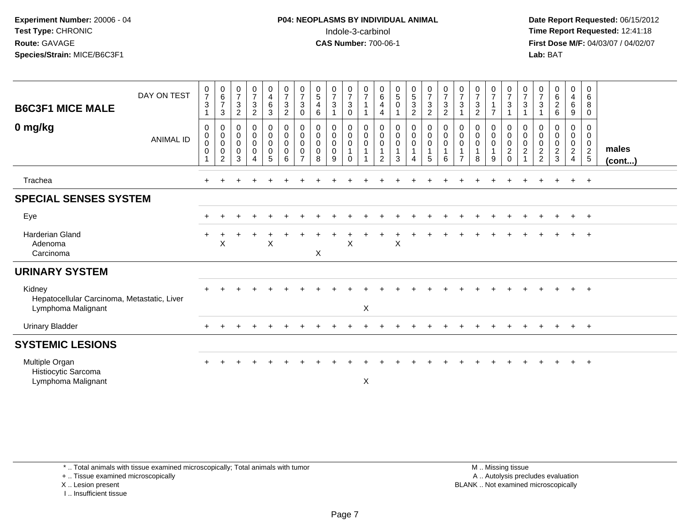# **P04: NEOPLASMS BY INDIVIDUAL ANIMAL**Indole-3-carbinol **Time Report Requested:** 12:41:18

 **Date Report Requested:** 06/15/2012 **First Dose M/F:** 04/03/07 / 04/02/07<br>Lab: BAT **Lab:** BAT

| <b>B6C3F1 MICE MALE</b><br>0 mg/kg                                          | DAY ON TEST<br><b>ANIMAL ID</b> | $\frac{0}{7}$<br>$\mathbf{3}$<br>0<br>$\begin{smallmatrix} 0\\0 \end{smallmatrix}$<br>$\mathbf 0$ | $\begin{matrix} 0 \\ 6 \\ 7 \end{matrix}$<br>3<br>0<br>$\pmb{0}$<br>$\pmb{0}$<br>$\pmb{0}$<br>2 | $\frac{0}{7}$<br>$\sqrt{3}$<br>$\overline{c}$<br>0<br>$\boldsymbol{0}$<br>$\pmb{0}$<br>$\mathbf 0$<br>3 | $\frac{0}{7}$<br>$\mathbf{3}$<br>$\overline{a}$<br>0<br>$\boldsymbol{0}$<br>$\boldsymbol{0}$<br>$\mathbf 0$<br>4 | $\begin{array}{c} 0 \\ 4 \\ 6 \end{array}$<br>$\mathbf{3}$<br>0<br>$_{\rm 0}^{\rm 0}$<br>$\pmb{0}$<br>5 | $\frac{0}{7}$<br>$\sqrt{3}$<br>$\boldsymbol{2}$<br>$\mathbf 0$<br>$\pmb{0}$<br>$\pmb{0}$<br>$\pmb{0}$<br>$6\phantom{1}$ | $\frac{0}{7}$<br>$\mathbf 3$<br>0<br>$\boldsymbol{0}$<br>$\begin{smallmatrix} 0\\0 \end{smallmatrix}$<br>$\pmb{0}$<br>$\overline{7}$ | $\begin{array}{c} 0 \\ 5 \\ 4 \end{array}$<br>6<br>0<br>$\pmb{0}$<br>$\mathbf 0$<br>$\mathbf 0$<br>8 | $\frac{0}{7}$<br>$\mathbf{3}$<br>0<br>$\pmb{0}$<br>$\pmb{0}$<br>$\mathbf 0$<br>9 | $\begin{array}{c} 0 \\ 7 \\ 3 \end{array}$<br>$\mathbf 0$<br>$\pmb{0}$<br>$\begin{matrix} 0 \\ 0 \\ 1 \end{matrix}$<br>$\Omega$ | $\frac{0}{7}$<br>$\mathbf{1}$<br>$\mathbf{1}$<br>0<br>$_{\rm 0}^{\rm 0}$<br>$\mathbf{1}$<br>1 | $\begin{matrix} 0 \\ 6 \end{matrix}$<br>$\overline{4}$<br>4<br>0<br>0<br>$\pmb{0}$<br>$\overline{1}$<br>2 | $\begin{array}{c} 0 \\ 5 \\ 0 \end{array}$<br>$\begin{smallmatrix}0\\0\\0\end{smallmatrix}$<br>$\overline{1}$<br>3 | $\begin{array}{c} 0 \\ 5 \\ 3 \end{array}$<br>$\sqrt{2}$<br>$\overline{0}$<br>$\pmb{0}$<br>$\pmb{0}$<br>$\mathbf{1}$<br>4 | $\frac{0}{7}$<br>$\mathbf{3}$<br>$\overline{c}$<br>0<br>$\pmb{0}$<br>$\pmb{0}$<br>$\mathbf{1}$<br>5 | $\frac{0}{7}$<br>$\mathbf{3}$<br>$\overline{c}$<br>$\begin{smallmatrix}0\0\0\end{smallmatrix}$<br>$\pmb{0}$<br>$\mathbf{1}$<br>6 | $\frac{0}{7}$<br>$\sqrt{3}$<br>0<br>$\pmb{0}$<br>$\pmb{0}$<br>$\mathbf{1}$<br>$\overline{7}$ | $\frac{0}{7}$<br>$\sqrt{3}$<br>$\overline{2}$<br>$\mathbf 0$<br>$\overline{0}$<br>$\mathbf{1}$<br>8 | $\frac{0}{7}$<br>$\mathbf{1}$<br>$\overline{7}$<br>0<br>$\pmb{0}$<br>$\mathbf 0$<br>$\overline{1}$<br>9 | $\begin{array}{c} 0 \\ 7 \\ 3 \end{array}$<br>$\mathbf{1}$<br>$\mathbf 0$<br>$\begin{matrix} 0 \\ 0 \\ 2 \end{matrix}$<br>$\Omega$ | $\frac{0}{7}$<br>3<br>0<br>$\pmb{0}$<br>$\boldsymbol{0}$<br>$\overline{c}$ | $\frac{0}{7}$<br>$\sqrt{3}$<br>0<br>0<br>$\frac{0}{2}$ | $\begin{matrix} 0 \\ 6 \\ 2 \end{matrix}$<br>6<br>0<br>$\pmb{0}$<br>$\pmb{0}$<br>$\frac{2}{3}$ | $\begin{array}{c} 0 \\ 4 \\ 6 \end{array}$<br>9<br>$\mathbf{0}$<br>$\mathbf 0$<br>$\pmb{0}$<br>$\frac{2}{4}$ | 0<br>$\,6\,$<br>8<br>$\mathbf 0$<br>0<br>$\mathbf 0$<br>$\begin{array}{c} 0 \\ 2 \\ 5 \end{array}$ | males<br>(cont) |
|-----------------------------------------------------------------------------|---------------------------------|---------------------------------------------------------------------------------------------------|-------------------------------------------------------------------------------------------------|---------------------------------------------------------------------------------------------------------|------------------------------------------------------------------------------------------------------------------|---------------------------------------------------------------------------------------------------------|-------------------------------------------------------------------------------------------------------------------------|--------------------------------------------------------------------------------------------------------------------------------------|------------------------------------------------------------------------------------------------------|----------------------------------------------------------------------------------|---------------------------------------------------------------------------------------------------------------------------------|-----------------------------------------------------------------------------------------------|-----------------------------------------------------------------------------------------------------------|--------------------------------------------------------------------------------------------------------------------|---------------------------------------------------------------------------------------------------------------------------|-----------------------------------------------------------------------------------------------------|----------------------------------------------------------------------------------------------------------------------------------|----------------------------------------------------------------------------------------------|-----------------------------------------------------------------------------------------------------|---------------------------------------------------------------------------------------------------------|------------------------------------------------------------------------------------------------------------------------------------|----------------------------------------------------------------------------|--------------------------------------------------------|------------------------------------------------------------------------------------------------|--------------------------------------------------------------------------------------------------------------|----------------------------------------------------------------------------------------------------|-----------------|
| Trachea                                                                     |                                 |                                                                                                   |                                                                                                 |                                                                                                         |                                                                                                                  |                                                                                                         |                                                                                                                         |                                                                                                                                      |                                                                                                      |                                                                                  |                                                                                                                                 |                                                                                               |                                                                                                           |                                                                                                                    |                                                                                                                           |                                                                                                     |                                                                                                                                  |                                                                                              |                                                                                                     |                                                                                                         |                                                                                                                                    |                                                                            |                                                        | $\div$                                                                                         | $\ddot{}$                                                                                                    | $+$                                                                                                |                 |
| <b>SPECIAL SENSES SYSTEM</b>                                                |                                 |                                                                                                   |                                                                                                 |                                                                                                         |                                                                                                                  |                                                                                                         |                                                                                                                         |                                                                                                                                      |                                                                                                      |                                                                                  |                                                                                                                                 |                                                                                               |                                                                                                           |                                                                                                                    |                                                                                                                           |                                                                                                     |                                                                                                                                  |                                                                                              |                                                                                                     |                                                                                                         |                                                                                                                                    |                                                                            |                                                        |                                                                                                |                                                                                                              |                                                                                                    |                 |
| Eye                                                                         |                                 |                                                                                                   |                                                                                                 |                                                                                                         |                                                                                                                  |                                                                                                         |                                                                                                                         |                                                                                                                                      |                                                                                                      |                                                                                  |                                                                                                                                 |                                                                                               |                                                                                                           |                                                                                                                    |                                                                                                                           |                                                                                                     |                                                                                                                                  |                                                                                              |                                                                                                     |                                                                                                         |                                                                                                                                    |                                                                            |                                                        |                                                                                                | $\pm$                                                                                                        | $+$                                                                                                |                 |
| Harderian Gland<br>Adenoma<br>Carcinoma                                     |                                 |                                                                                                   | X                                                                                               |                                                                                                         |                                                                                                                  | $\mathsf X$                                                                                             |                                                                                                                         |                                                                                                                                      | $\mathsf X$                                                                                          |                                                                                  | Χ                                                                                                                               |                                                                                               |                                                                                                           | Χ                                                                                                                  |                                                                                                                           |                                                                                                     |                                                                                                                                  |                                                                                              |                                                                                                     |                                                                                                         |                                                                                                                                    |                                                                            |                                                        |                                                                                                |                                                                                                              | $\overline{ }$                                                                                     |                 |
| <b>URINARY SYSTEM</b>                                                       |                                 |                                                                                                   |                                                                                                 |                                                                                                         |                                                                                                                  |                                                                                                         |                                                                                                                         |                                                                                                                                      |                                                                                                      |                                                                                  |                                                                                                                                 |                                                                                               |                                                                                                           |                                                                                                                    |                                                                                                                           |                                                                                                     |                                                                                                                                  |                                                                                              |                                                                                                     |                                                                                                         |                                                                                                                                    |                                                                            |                                                        |                                                                                                |                                                                                                              |                                                                                                    |                 |
| Kidney<br>Hepatocellular Carcinoma, Metastatic, Liver<br>Lymphoma Malignant |                                 |                                                                                                   |                                                                                                 |                                                                                                         |                                                                                                                  |                                                                                                         |                                                                                                                         |                                                                                                                                      |                                                                                                      |                                                                                  |                                                                                                                                 | $\boldsymbol{\mathsf{X}}$                                                                     |                                                                                                           |                                                                                                                    |                                                                                                                           |                                                                                                     |                                                                                                                                  |                                                                                              |                                                                                                     |                                                                                                         |                                                                                                                                    |                                                                            |                                                        |                                                                                                | $\ddot{}$                                                                                                    | $+$                                                                                                |                 |
| <b>Urinary Bladder</b>                                                      |                                 |                                                                                                   |                                                                                                 |                                                                                                         |                                                                                                                  |                                                                                                         |                                                                                                                         |                                                                                                                                      |                                                                                                      |                                                                                  |                                                                                                                                 |                                                                                               |                                                                                                           |                                                                                                                    |                                                                                                                           |                                                                                                     |                                                                                                                                  |                                                                                              |                                                                                                     |                                                                                                         |                                                                                                                                    |                                                                            |                                                        | $\pm$                                                                                          | $+$                                                                                                          | $+$                                                                                                |                 |
| <b>SYSTEMIC LESIONS</b>                                                     |                                 |                                                                                                   |                                                                                                 |                                                                                                         |                                                                                                                  |                                                                                                         |                                                                                                                         |                                                                                                                                      |                                                                                                      |                                                                                  |                                                                                                                                 |                                                                                               |                                                                                                           |                                                                                                                    |                                                                                                                           |                                                                                                     |                                                                                                                                  |                                                                                              |                                                                                                     |                                                                                                         |                                                                                                                                    |                                                                            |                                                        |                                                                                                |                                                                                                              |                                                                                                    |                 |
| Multiple Organ<br>Histiocytic Sarcoma<br>Lymphoma Malignant                 |                                 |                                                                                                   |                                                                                                 |                                                                                                         |                                                                                                                  |                                                                                                         |                                                                                                                         |                                                                                                                                      |                                                                                                      |                                                                                  |                                                                                                                                 | X                                                                                             |                                                                                                           |                                                                                                                    |                                                                                                                           |                                                                                                     |                                                                                                                                  |                                                                                              |                                                                                                     |                                                                                                         |                                                                                                                                    |                                                                            |                                                        |                                                                                                |                                                                                                              | $+$                                                                                                |                 |

\* .. Total animals with tissue examined microscopically; Total animals with tumor

+ .. Tissue examined microscopically

X .. Lesion present

I .. Insufficient tissue

 M .. Missing tissuey the contract of the contract of the contract of the contract of the contract of the contract of the contract of  $A$ . Autolysis precludes evaluation Lesion present BLANK .. Not examined microscopically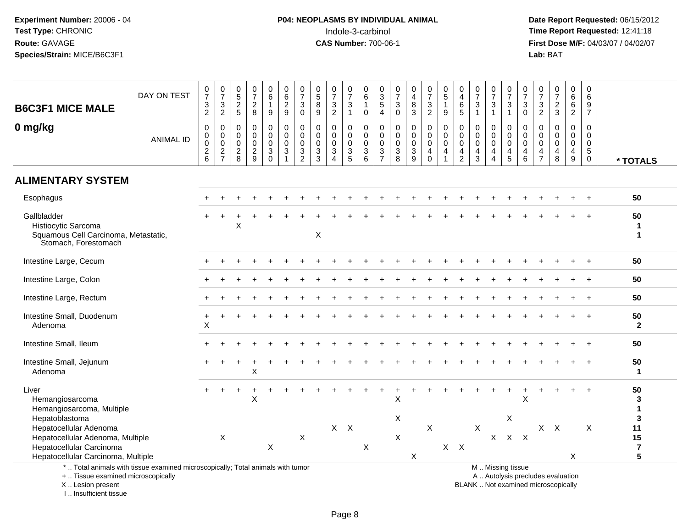# **P04: NEOPLASMS BY INDIVIDUAL ANIMAL**Indole-3-carbinol **Time Report Requested:** 12:41:18

 **Date Report Requested:** 06/15/2012 **First Dose M/F:** 04/03/07 / 04/02/07<br>Lab: BAT **Lab:** BAT

|                                                                                                          |                                                                                 | 0                                                        | 0                                                |                                                            | 0                                                      |                                                                                     | 0                                         |                                                                             |                                                                         | 0                                                                          | 0                                                                | 0                                                               |                                                            |                                                                        | 0                                                               |                                                             |                                                                            | 0                                                                 | 0                                                              | 0                                                                           | 0                                                                                             | 0                                                             | 0                                                                                           | 0                                                | 0                                      | 0                                                       |                                           |
|----------------------------------------------------------------------------------------------------------|---------------------------------------------------------------------------------|----------------------------------------------------------|--------------------------------------------------|------------------------------------------------------------|--------------------------------------------------------|-------------------------------------------------------------------------------------|-------------------------------------------|-----------------------------------------------------------------------------|-------------------------------------------------------------------------|----------------------------------------------------------------------------|------------------------------------------------------------------|-----------------------------------------------------------------|------------------------------------------------------------|------------------------------------------------------------------------|-----------------------------------------------------------------|-------------------------------------------------------------|----------------------------------------------------------------------------|-------------------------------------------------------------------|----------------------------------------------------------------|-----------------------------------------------------------------------------|-----------------------------------------------------------------------------------------------|---------------------------------------------------------------|---------------------------------------------------------------------------------------------|--------------------------------------------------|----------------------------------------|---------------------------------------------------------|-------------------------------------------|
| <b>B6C3F1 MICE MALE</b>                                                                                  | DAY ON TEST                                                                     | $\overline{7}$<br>$\ensuremath{\mathsf{3}}$              | $\overline{7}$<br>$\mathbf{3}$                   | $\begin{array}{c} 0 \\ 5 \end{array}$<br>$\overline{2}$    | $\overline{7}$<br>$\overline{a}$                       | $\begin{matrix} 0 \\ 6 \end{matrix}$<br>$\mathbf{1}$                                | $\overline{6}$<br>$\overline{2}$          | $\frac{0}{7}$<br>$\mathsf 3$                                                | $\begin{matrix} 0 \\ 5 \end{matrix}$<br>$\overline{8}$                  | $\overline{7}$<br>$\ensuremath{\mathsf{3}}$                                | $\overline{7}$<br>$\sqrt{3}$                                     | $\,6\,$<br>$\overline{1}$                                       | $\frac{0}{3}$<br>$\overline{5}$                            | $\frac{0}{7}$<br>$\ensuremath{\mathsf{3}}$                             | $\overline{4}$<br>$\bf 8$                                       | $\frac{0}{7}$<br>$\ensuremath{\mathsf{3}}$                  | $\begin{matrix} 0 \\ 5 \end{matrix}$<br>$\mathbf{1}$                       | $\overline{4}$<br>$\,6$                                           | $\overline{7}$<br>$\ensuremath{\mathsf{3}}$                    | $\overline{7}$<br>$\sqrt{3}$                                                | $\overline{7}$<br>3                                                                           | $\frac{5}{7}$<br>$\sqrt{3}$                                   | $\overline{7}$<br>$\ensuremath{\mathsf{3}}$                                                 | $\overline{7}$<br>$\overline{2}$                 | $6\phantom{a}$<br>6                    | 6<br>9                                                  |                                           |
|                                                                                                          |                                                                                 | 2                                                        | $\overline{2}$                                   | 5                                                          | 8                                                      | 9                                                                                   | 9                                         | $\mathbf 0$                                                                 | 9                                                                       | $\overline{2}$                                                             | $\overline{1}$                                                   | $\mathbf 0$                                                     | $\overline{4}$                                             | $\mathbf 0$                                                            | 3                                                               | $\overline{2}$                                              | 9                                                                          | 5                                                                 |                                                                | $\mathbf{1}$                                                                | $\overline{1}$                                                                                | $\Omega$                                                      | 2                                                                                           | $\mathbf{3}$                                     | $\overline{2}$                         | $\overline{7}$                                          |                                           |
| 0 mg/kg                                                                                                  | <b>ANIMAL ID</b>                                                                | $\mathbf 0$<br>$\mathbf 0$<br>$\pmb{0}$<br>$\frac{2}{6}$ | $\mathbf 0$<br>0<br>$\mathbf 0$<br>$\frac{2}{7}$ | $\mathbf 0$<br>$\mathbf 0$<br>$\mathbf 0$<br>$\frac{2}{8}$ | $\mathbf 0$<br>0<br>$\mathbf 0$<br>$\overline{c}$<br>9 | $\pmb{0}$<br>$\ddot{\mathbf{0}}$<br>$\mathsf 0$<br>$\overline{3}$<br>$\overline{0}$ | $\mathbf 0$<br>$\mathbf 0$<br>0<br>3<br>1 | $\mathbf 0$<br>$\mathbf 0$<br>$\mathbf 0$<br>$\mathbf{3}$<br>$\overline{2}$ | $\mathbf 0$<br>0<br>$\mathsf{O}\xspace$<br>$\sqrt{3}$<br>$\overline{3}$ | $\mathbf{0}$<br>$\mathbf 0$<br>$\mathbf 0$<br>$\sqrt{3}$<br>$\overline{4}$ | $\mathbf 0$<br>$\ddot{\mathbf{0}}$<br>$\pmb{0}$<br>$\frac{3}{5}$ | $\mathbf{0}$<br>$\mathbf 0$<br>$\mathbf 0$<br>$\mathbf{3}$<br>6 | $\mathbf 0$<br>$\mathbf 0$<br>$\mathsf 0$<br>$\frac{3}{7}$ | $\mathbf 0$<br>$\pmb{0}$<br>$\mathsf{O}\xspace$<br>3<br>$\overline{8}$ | 0<br>$\mathsf 0$<br>$\mathbf 0$<br>$\sqrt{3}$<br>$\overline{9}$ | $\mathbf 0$<br>$\pmb{0}$<br>$\mathbf 0$<br>4<br>$\mathbf 0$ | $\Omega$<br>$\mathbf 0$<br>$\mathbf 0$<br>$\overline{4}$<br>$\overline{1}$ | $\mathbf 0$<br>0<br>$\pmb{0}$<br>$\overline{4}$<br>$\overline{2}$ | $\mathbf 0$<br>$\mathbf 0$<br>$\mathbf 0$<br>4<br>$\mathbf{3}$ | $\mathbf 0$<br>$\mathbf 0$<br>$\pmb{0}$<br>$\overline{4}$<br>$\overline{4}$ | $\mathbf 0$<br>$\mathbf 0$<br>$\mathbf 0$<br>$\overline{4}$<br>$\overline{5}$                 | $\Omega$<br>$\mathbf 0$<br>$\mathbf 0$<br>4<br>$6\phantom{a}$ | $\mathbf 0$<br>$\boldsymbol{0}$<br>$\mathbf 0$<br>$\overline{\mathbf{4}}$<br>$\overline{7}$ | $\Omega$<br>$\mathbf 0$<br>$\mathbf 0$<br>4<br>8 | $\Omega$<br>$\mathbf 0$<br>0<br>4<br>9 | $\Omega$<br>$\Omega$<br>$\mathbf 0$<br>5<br>$\mathbf 0$ | * TOTALS                                  |
| <b>ALIMENTARY SYSTEM</b>                                                                                 |                                                                                 |                                                          |                                                  |                                                            |                                                        |                                                                                     |                                           |                                                                             |                                                                         |                                                                            |                                                                  |                                                                 |                                                            |                                                                        |                                                                 |                                                             |                                                                            |                                                                   |                                                                |                                                                             |                                                                                               |                                                               |                                                                                             |                                                  |                                        |                                                         |                                           |
| Esophagus                                                                                                |                                                                                 |                                                          |                                                  |                                                            |                                                        |                                                                                     |                                           |                                                                             |                                                                         |                                                                            |                                                                  |                                                                 |                                                            |                                                                        |                                                                 |                                                             |                                                                            |                                                                   |                                                                |                                                                             |                                                                                               |                                                               |                                                                                             |                                                  |                                        |                                                         | 50                                        |
| Gallbladder<br>Histiocytic Sarcoma<br>Squamous Cell Carcinoma, Metastatic,<br>Stomach, Forestomach       |                                                                                 |                                                          |                                                  | X                                                          |                                                        |                                                                                     |                                           |                                                                             | $\pmb{\times}$                                                          |                                                                            |                                                                  |                                                                 |                                                            |                                                                        |                                                                 |                                                             |                                                                            |                                                                   |                                                                |                                                                             |                                                                                               |                                                               |                                                                                             |                                                  |                                        |                                                         | 50<br>-1<br>1                             |
| Intestine Large, Cecum                                                                                   |                                                                                 |                                                          |                                                  |                                                            |                                                        |                                                                                     |                                           |                                                                             |                                                                         |                                                                            |                                                                  |                                                                 |                                                            |                                                                        |                                                                 |                                                             |                                                                            |                                                                   |                                                                |                                                                             |                                                                                               |                                                               |                                                                                             |                                                  |                                        |                                                         | 50                                        |
| Intestine Large, Colon                                                                                   |                                                                                 |                                                          |                                                  |                                                            |                                                        |                                                                                     |                                           |                                                                             |                                                                         |                                                                            |                                                                  |                                                                 |                                                            |                                                                        |                                                                 |                                                             |                                                                            |                                                                   |                                                                |                                                                             |                                                                                               |                                                               |                                                                                             |                                                  |                                        |                                                         | 50                                        |
| Intestine Large, Rectum                                                                                  |                                                                                 |                                                          |                                                  |                                                            |                                                        |                                                                                     |                                           |                                                                             |                                                                         |                                                                            |                                                                  |                                                                 |                                                            |                                                                        |                                                                 |                                                             |                                                                            |                                                                   |                                                                |                                                                             |                                                                                               |                                                               |                                                                                             |                                                  |                                        |                                                         | 50                                        |
| Intestine Small, Duodenum<br>Adenoma                                                                     |                                                                                 | $\ddot{}$<br>X                                           |                                                  |                                                            |                                                        |                                                                                     |                                           |                                                                             |                                                                         |                                                                            |                                                                  |                                                                 |                                                            |                                                                        |                                                                 |                                                             |                                                                            |                                                                   |                                                                |                                                                             |                                                                                               |                                                               |                                                                                             |                                                  |                                        |                                                         | 50<br>$\overline{2}$                      |
| Intestine Small, Ileum                                                                                   |                                                                                 |                                                          |                                                  |                                                            |                                                        |                                                                                     |                                           |                                                                             |                                                                         |                                                                            |                                                                  |                                                                 |                                                            |                                                                        |                                                                 |                                                             |                                                                            |                                                                   |                                                                |                                                                             |                                                                                               |                                                               |                                                                                             |                                                  |                                        |                                                         | 50                                        |
| Intestine Small, Jejunum<br>Adenoma                                                                      |                                                                                 |                                                          |                                                  |                                                            | X                                                      |                                                                                     |                                           |                                                                             |                                                                         |                                                                            |                                                                  |                                                                 |                                                            |                                                                        |                                                                 |                                                             |                                                                            |                                                                   |                                                                |                                                                             |                                                                                               |                                                               |                                                                                             |                                                  |                                        |                                                         | 50<br>$\mathbf 1$                         |
| Liver<br>Hemangiosarcoma<br>Hemangiosarcoma, Multiple                                                    |                                                                                 |                                                          |                                                  |                                                            | Χ                                                      |                                                                                     |                                           |                                                                             |                                                                         |                                                                            |                                                                  |                                                                 |                                                            | Χ                                                                      |                                                                 |                                                             |                                                                            |                                                                   |                                                                |                                                                             |                                                                                               | X                                                             |                                                                                             |                                                  |                                        |                                                         | 50<br>3<br>$\mathbf{1}$                   |
| Hepatoblastoma<br>Hepatocellular Adenoma<br>Hepatocellular Adenoma, Multiple<br>Hepatocellular Carcinoma |                                                                                 |                                                          | $\boldsymbol{\mathsf{X}}$                        |                                                            |                                                        | X                                                                                   |                                           | $\mathsf X$                                                                 |                                                                         |                                                                            | $X$ $X$                                                          | X                                                               |                                                            | X<br>X                                                                 |                                                                 | X                                                           |                                                                            | $X$ $X$                                                           | X                                                              |                                                                             | X<br>$X$ $X$ $X$                                                                              |                                                               |                                                                                             | $X$ $X$                                          |                                        | X                                                       | $\mathbf 3$<br>11<br>15<br>$\overline{7}$ |
| Hepatocellular Carcinoma, Multiple<br>+  Tissue examined microscopically<br>X  Lesion present            | *  Total animals with tissue examined microscopically; Total animals with tumor |                                                          |                                                  |                                                            |                                                        |                                                                                     |                                           |                                                                             |                                                                         |                                                                            |                                                                  |                                                                 |                                                            |                                                                        | X                                                               |                                                             |                                                                            |                                                                   |                                                                |                                                                             | M  Missing tissue<br>A  Autolysis precludes evaluation<br>BLANK  Not examined microscopically |                                                               |                                                                                             |                                                  | X                                      |                                                         | 5                                         |

I .. Insufficient tissue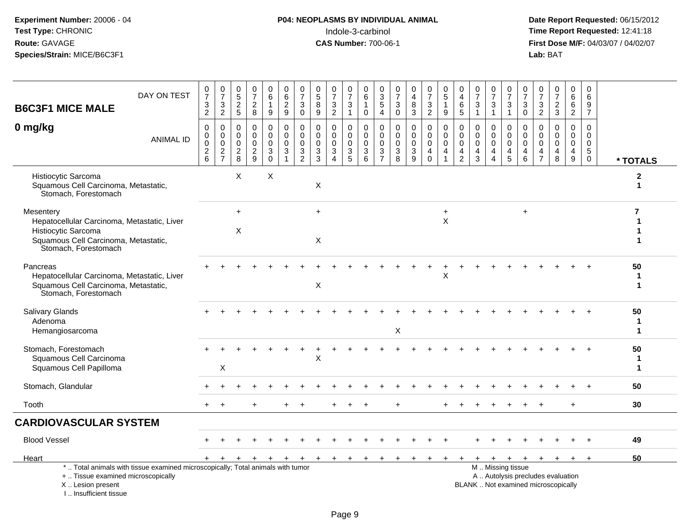# **P04: NEOPLASMS BY INDIVIDUAL ANIMAL**<br>Indole-3-carbinol Indole-3-carbinol **Time Report Requested:** 12:41:18

| <b>B6C3F1 MICE MALE</b>                                                                                                                         | DAY ON TEST                                                                     | $\frac{0}{7}$<br>$\frac{3}{2}$                       | $\begin{array}{c} 0 \\ 7 \end{array}$<br>$\mathsf 3$<br>$\overline{2}$ | $\begin{array}{c} 0 \\ 5 \end{array}$<br>$\frac{2}{5}$    | $\frac{0}{7}$<br>$\sqrt{2}$<br>8                      | 0<br>$6\phantom{a}$<br>$\mathbf{1}$<br>$9\,$             | 0<br>$\,6\,$<br>$\frac{2}{9}$                                         | $\frac{0}{7}$<br>$\ensuremath{\mathsf{3}}$<br>$\mathbf 0$                 | 0<br>$\overline{5}$<br>$\bf 8$<br>9                           | $\boldsymbol{0}$<br>$\overline{7}$<br>$\mathbf{3}$<br>$\overline{2}$                | 0<br>$\overline{7}$<br>3<br>$\mathbf{1}$  | $\Omega$<br>6<br>$\mathbf{1}$<br>$\mathbf 0$                 | 0<br>$\ensuremath{\mathsf{3}}$<br>$\mathbf 5$<br>$\overline{4}$                     | 0<br>$\overline{7}$<br>$\ensuremath{\mathsf{3}}$<br>$\mathbf 0$ | $_4^{\rm 0}$<br>$\bf 8$<br>$\mathbf{3}$                                 | $\frac{0}{7}$<br>$\frac{3}{2}$                                        | $\begin{array}{c} 0 \\ 5 \end{array}$<br>$\mathbf{1}$<br>9                    | 0<br>$\overline{\mathbf{4}}$<br>6<br>5              | 0<br>$\overline{7}$<br>$\sqrt{3}$<br>$\overline{1}$                           | $\frac{0}{7}$<br>3<br>$\mathbf{1}$                          | 0<br>$\overline{7}$<br>$\mathbf{3}$<br>$\overline{1}$ | 0<br>$\overline{7}$<br>$\sqrt{3}$<br>$\mathbf 0$                 | 0<br>$\overline{7}$<br>3<br>$\overline{2}$                        | 0<br>$\overline{7}$<br>$\overline{c}$<br>$\mathbf{3}$                    | 0<br>6<br>$\,6$<br>$\overline{2}$                           | 0<br>6<br>9<br>$\overline{7}$                                               |          |  |
|-------------------------------------------------------------------------------------------------------------------------------------------------|---------------------------------------------------------------------------------|------------------------------------------------------|------------------------------------------------------------------------|-----------------------------------------------------------|-------------------------------------------------------|----------------------------------------------------------|-----------------------------------------------------------------------|---------------------------------------------------------------------------|---------------------------------------------------------------|-------------------------------------------------------------------------------------|-------------------------------------------|--------------------------------------------------------------|-------------------------------------------------------------------------------------|-----------------------------------------------------------------|-------------------------------------------------------------------------|-----------------------------------------------------------------------|-------------------------------------------------------------------------------|-----------------------------------------------------|-------------------------------------------------------------------------------|-------------------------------------------------------------|-------------------------------------------------------|------------------------------------------------------------------|-------------------------------------------------------------------|--------------------------------------------------------------------------|-------------------------------------------------------------|-----------------------------------------------------------------------------|----------|--|
| 0 mg/kg                                                                                                                                         | <b>ANIMAL ID</b>                                                                | $\pmb{0}$<br>$\pmb{0}$<br>$\pmb{0}$<br>$\frac{2}{6}$ | $\pmb{0}$<br>$\mathbf 0$<br>$\mathbf 0$<br>$\frac{2}{7}$               | $\mathbf 0$<br>$\mathbf 0$<br>$\mathbf 0$<br>$_{\rm 8}^2$ | $\mathbf 0$<br>$\Omega$<br>$\pmb{0}$<br>$\frac{2}{9}$ | $\mathbf 0$<br>$\mathbf 0$<br>$\pmb{0}$<br>3<br>$\Omega$ | $\pmb{0}$<br>$\mathbf 0$<br>$\pmb{0}$<br>$\sqrt{3}$<br>$\overline{1}$ | $\pmb{0}$<br>$\mathbf 0$<br>$\mathbf 0$<br>$\mathbf{3}$<br>$\overline{2}$ | $\mathbf 0$<br>$\Omega$<br>$\mathbf 0$<br>3<br>$\overline{3}$ | $\mathbf 0$<br>$\mathbf 0$<br>$\mathbf 0$<br>$\mathbf{3}$<br>$\boldsymbol{\Lambda}$ | 0<br>$\mathbf 0$<br>$\mathsf 0$<br>3<br>5 | $\mathbf 0$<br>$\mathbf 0$<br>$\pmb{0}$<br>$\mathbf{3}$<br>6 | $\mathbf 0$<br>$\mathbf 0$<br>$\mathsf{O}\xspace$<br>$\mathbf{3}$<br>$\overline{7}$ | $\mathbf 0$<br>$\Omega$<br>$\mathbf 0$<br>3<br>$\overline{8}$   | $\mathbf 0$<br>$\mathbf 0$<br>$\pmb{0}$<br>$\sqrt{3}$<br>$\overline{9}$ | $\mathbf 0$<br>$\mathbf 0$<br>$\pmb{0}$<br>$\overline{4}$<br>$\Omega$ | $\mathbf 0$<br>$\mathbf 0$<br>$\mathsf 0$<br>$\overline{4}$<br>$\overline{1}$ | 0<br>$\Omega$<br>$\mathbf 0$<br>4<br>$\overline{2}$ | $\mathbf 0$<br>$\mathbf 0$<br>$\mathbf 0$<br>$\overline{4}$<br>$\overline{3}$ | 0<br>$\Omega$<br>$\mathbf 0$<br>4<br>$\boldsymbol{\Lambda}$ | 0<br>0<br>$\mathbf 0$<br>4<br>5                       | $\mathbf 0$<br>$\mathbf 0$<br>$\mathbf 0$<br>$\overline{4}$<br>6 | $\mathbf 0$<br>$\mathbf{0}$<br>$\mathbf 0$<br>4<br>$\overline{7}$ | $\Omega$<br>$\Omega$<br>$\mathbf 0$<br>4<br>8                            | $\mathbf 0$<br>$\Omega$<br>$\pmb{0}$<br>$\overline{4}$<br>9 | $\mathbf 0$<br>$\mathbf 0$<br>$\mathbf 0$<br>$5\phantom{.0}$<br>$\mathbf 0$ | * TOTALS |  |
| Histiocytic Sarcoma<br>Squamous Cell Carcinoma, Metastatic,<br>Stomach, Forestomach                                                             |                                                                                 |                                                      |                                                                        | X                                                         |                                                       | X                                                        |                                                                       |                                                                           | X                                                             |                                                                                     |                                           |                                                              |                                                                                     |                                                                 |                                                                         |                                                                       |                                                                               |                                                     |                                                                               |                                                             |                                                       |                                                                  |                                                                   |                                                                          |                                                             |                                                                             | 2<br>1   |  |
| Mesentery<br>Hepatocellular Carcinoma, Metastatic, Liver<br>Histiocytic Sarcoma<br>Squamous Cell Carcinoma, Metastatic,<br>Stomach, Forestomach |                                                                                 |                                                      |                                                                        | $+$<br>X                                                  |                                                       |                                                          |                                                                       |                                                                           | $+$<br>X                                                      |                                                                                     |                                           |                                                              |                                                                                     |                                                                 |                                                                         |                                                                       | $\ddot{}$<br>$\sf X$                                                          |                                                     |                                                                               |                                                             |                                                       | $\ddot{}$                                                        |                                                                   |                                                                          |                                                             |                                                                             | 7        |  |
| Pancreas<br>Hepatocellular Carcinoma, Metastatic, Liver<br>Squamous Cell Carcinoma, Metastatic,<br>Stomach, Forestomach                         |                                                                                 |                                                      |                                                                        |                                                           |                                                       |                                                          |                                                                       |                                                                           | X                                                             |                                                                                     |                                           |                                                              |                                                                                     |                                                                 |                                                                         |                                                                       | X                                                                             |                                                     |                                                                               |                                                             |                                                       |                                                                  |                                                                   |                                                                          |                                                             |                                                                             | 50<br>1  |  |
| Salivary Glands<br>Adenoma<br>Hemangiosarcoma                                                                                                   |                                                                                 |                                                      |                                                                        |                                                           |                                                       |                                                          |                                                                       |                                                                           |                                                               |                                                                                     |                                           |                                                              |                                                                                     | X                                                               |                                                                         |                                                                       |                                                                               |                                                     |                                                                               |                                                             |                                                       |                                                                  |                                                                   |                                                                          |                                                             |                                                                             | 50<br>1  |  |
| Stomach, Forestomach<br>Squamous Cell Carcinoma<br>Squamous Cell Papilloma                                                                      |                                                                                 |                                                      | X                                                                      |                                                           |                                                       |                                                          |                                                                       |                                                                           | X                                                             |                                                                                     |                                           |                                                              |                                                                                     |                                                                 |                                                                         |                                                                       |                                                                               |                                                     |                                                                               |                                                             |                                                       |                                                                  |                                                                   |                                                                          |                                                             |                                                                             | 50<br>1  |  |
| Stomach, Glandular                                                                                                                              |                                                                                 |                                                      |                                                                        |                                                           |                                                       |                                                          |                                                                       |                                                                           |                                                               |                                                                                     |                                           |                                                              |                                                                                     |                                                                 |                                                                         |                                                                       |                                                                               |                                                     |                                                                               |                                                             |                                                       |                                                                  |                                                                   |                                                                          |                                                             |                                                                             | 50       |  |
| Tooth                                                                                                                                           |                                                                                 |                                                      |                                                                        |                                                           |                                                       |                                                          |                                                                       |                                                                           |                                                               |                                                                                     |                                           |                                                              |                                                                                     |                                                                 |                                                                         |                                                                       |                                                                               |                                                     |                                                                               |                                                             |                                                       |                                                                  |                                                                   |                                                                          | $+$                                                         |                                                                             | 30       |  |
| <b>CARDIOVASCULAR SYSTEM</b>                                                                                                                    |                                                                                 |                                                      |                                                                        |                                                           |                                                       |                                                          |                                                                       |                                                                           |                                                               |                                                                                     |                                           |                                                              |                                                                                     |                                                                 |                                                                         |                                                                       |                                                                               |                                                     |                                                                               |                                                             |                                                       |                                                                  |                                                                   |                                                                          |                                                             |                                                                             |          |  |
| <b>Blood Vessel</b>                                                                                                                             |                                                                                 |                                                      |                                                                        |                                                           |                                                       |                                                          |                                                                       |                                                                           |                                                               |                                                                                     |                                           |                                                              |                                                                                     |                                                                 |                                                                         |                                                                       |                                                                               |                                                     |                                                                               |                                                             |                                                       |                                                                  |                                                                   |                                                                          |                                                             |                                                                             | 49       |  |
| Heart                                                                                                                                           |                                                                                 | $+$                                                  |                                                                        | +                                                         |                                                       | $\div$                                                   | $\ddot{}$                                                             | $+$                                                                       | $+$                                                           | $+$                                                                                 | $+$                                       |                                                              |                                                                                     |                                                                 |                                                                         |                                                                       |                                                                               |                                                     |                                                                               | $\ddot{}$                                                   | $\ddot{}$                                             | $+$                                                              | $+$                                                               | $\ddot{}$                                                                | $\ddot{}$                                                   | $\ddot{}$                                                                   | 50       |  |
| +  Tissue examined microscopically<br>X  Lesion present<br>I Insufficient tissue                                                                | *  Total animals with tissue examined microscopically; Total animals with tumor |                                                      |                                                                        |                                                           |                                                       |                                                          |                                                                       |                                                                           |                                                               |                                                                                     |                                           |                                                              |                                                                                     |                                                                 |                                                                         |                                                                       |                                                                               |                                                     |                                                                               |                                                             | M  Missing tissue                                     |                                                                  |                                                                   | A  Autolysis precludes evaluation<br>BLANK  Not examined microscopically |                                                             |                                                                             |          |  |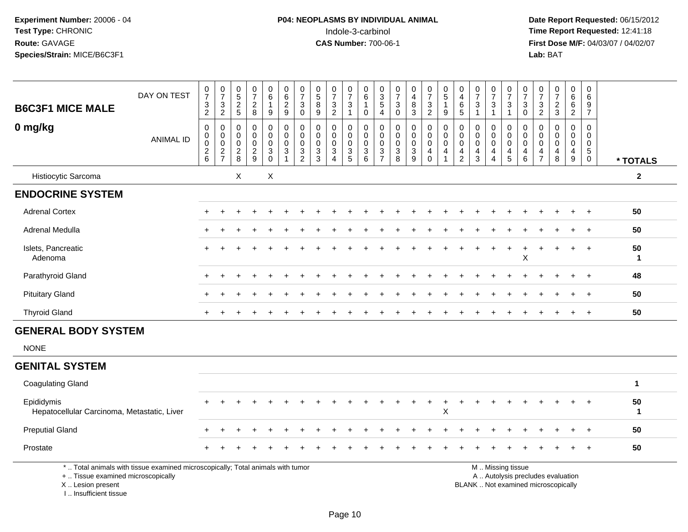# **P04: NEOPLASMS BY INDIVIDUAL ANIMAL**<br>Indole-3-carbinol Indole-3-carbinol **Time Report Requested:** 12:41:18

| <b>B6C3F1 MICE MALE</b>                                                                                                                                             | DAY ON TEST      | 0<br>$\overline{7}$<br>$\frac{3}{2}$            | $\begin{array}{c} 0 \\ 7 \end{array}$<br>$\frac{3}{2}$        | $^{\rm 0}_{\rm 5}$<br>$rac{2}{5}$     | $\begin{array}{c} 0 \\ 7 \end{array}$<br>$_{8}^{\rm 2}$ | $\begin{array}{c} 0 \\ 6 \end{array}$<br>$\boldsymbol{9}$ | $\begin{array}{c} 0 \\ 6 \end{array}$<br>$\frac{2}{9}$                     | $\begin{array}{c} 0 \\ 7 \end{array}$<br>$\sqrt{3}$<br>$\pmb{0}$ | 0<br>$\overline{5}$<br>$\,8\,$<br>$\boldsymbol{9}$                  | $\frac{0}{7}$<br>$\sqrt{3}$<br>$\overline{2}$                                          | $\frac{0}{7}$<br>3<br>$\mathbf{1}$     | $_{6}^{\rm 0}$<br>$\mathbf{1}$<br>0 | $\begin{array}{c} 0 \\ 3 \\ 5 \\ 4 \end{array}$ | $\begin{smallmatrix}0\\7\end{smallmatrix}$<br>$_{\rm 0}^3$             | $\pmb{0}$<br>$\overline{4}$<br>8<br>$\mathbf 3$                              | $\begin{array}{c} 0 \\ 7 \end{array}$<br>$\frac{3}{2}$ | $\begin{array}{c} 0 \\ 5 \end{array}$<br>$\mathbf{1}$<br>9                          | $\mathbf 0$<br>$\overline{\mathbf{4}}$<br>6<br>$\overline{5}$      | $\begin{array}{c} 0 \\ 7 \end{array}$<br>$\sqrt{3}$<br>$\mathbf{1}$ | $\begin{array}{c} 0 \\ 7 \end{array}$<br>$\frac{3}{1}$                               | $\frac{0}{7}$<br>$\frac{3}{1}$                                           | $\begin{smallmatrix}0\\7\end{smallmatrix}$<br>$_{\rm 0}^3$               | 0<br>$\overline{7}$<br>3<br>$\overline{2}$             | $\begin{array}{c} 0 \\ 7 \end{array}$<br>$\frac{2}{3}$                                     | $\begin{array}{c} 0 \\ 6 \end{array}$<br>$\frac{6}{2}$                             | $\pmb{0}$<br>$\,6\,$<br>$\frac{9}{7}$                           |                    |
|---------------------------------------------------------------------------------------------------------------------------------------------------------------------|------------------|-------------------------------------------------|---------------------------------------------------------------|---------------------------------------|---------------------------------------------------------|-----------------------------------------------------------|----------------------------------------------------------------------------|------------------------------------------------------------------|---------------------------------------------------------------------|----------------------------------------------------------------------------------------|----------------------------------------|-------------------------------------|-------------------------------------------------|------------------------------------------------------------------------|------------------------------------------------------------------------------|--------------------------------------------------------|-------------------------------------------------------------------------------------|--------------------------------------------------------------------|---------------------------------------------------------------------|--------------------------------------------------------------------------------------|--------------------------------------------------------------------------|--------------------------------------------------------------------------|--------------------------------------------------------|--------------------------------------------------------------------------------------------|------------------------------------------------------------------------------------|-----------------------------------------------------------------|--------------------|
| 0 mg/kg                                                                                                                                                             | <b>ANIMAL ID</b> | $\pmb{0}$<br>0<br>$\pmb{0}$<br>$^2\phantom{1}6$ | $\boldsymbol{0}$<br>$\mathbf 0$<br>$\pmb{0}$<br>$\frac{2}{7}$ | $\mathbf 0$<br>0<br>0<br>$^2_{\bf 8}$ | 0<br>$\mathbf 0$<br>$\mathbf 0$<br>$\frac{2}{9}$        | $\pmb{0}$<br>$\mathbf 0$<br>$\mathbf 0$<br>$_{0}^{3}$     | $\mathbf 0$<br>$\mathbf 0$<br>$\mathbf 0$<br>$\mathsf 3$<br>$\overline{1}$ | $\pmb{0}$<br>$\mathbf 0$<br>0<br>$\frac{3}{2}$                   | $\pmb{0}$<br>$\mathbf 0$<br>$\mathbf 0$<br>$\sqrt{3}$<br>$\sqrt{3}$ | $\pmb{0}$<br>$\mathbf 0$<br>$\mathbf 0$<br>$\ensuremath{\mathsf{3}}$<br>$\overline{4}$ | 0<br>$\mathbf 0$<br>0<br>$\frac{3}{5}$ | 0<br>0<br>$\mathbf 0$<br>$^3$ 6     | $\mathbf 0$<br>0<br>$\pmb{0}$<br>$\frac{3}{7}$  | $\mathbf 0$<br>0<br>$\pmb{0}$<br>$\begin{array}{c} 3 \\ 8 \end{array}$ | $\pmb{0}$<br>$\mathbf 0$<br>0<br>$\ensuremath{\mathsf{3}}$<br>$\overline{9}$ | 0<br>0<br>$\mathsf 0$<br>$^4_{\rm 0}$                  | $\mathbf 0$<br>$\mathbf 0$<br>$\mathsf{O}\xspace$<br>$\overline{4}$<br>$\mathbf{1}$ | 0<br>$\mathbf 0$<br>0<br>$\overline{\mathbf{4}}$<br>$\overline{2}$ | $\mathbf 0$<br>$\mathbf 0$<br>0<br>$\frac{4}{3}$                    | $\mathbf 0$<br>$\mathbf 0$<br>$\pmb{0}$<br>$\overline{\mathbf{4}}$<br>$\overline{4}$ | 0<br>$\mathbf 0$<br>$\mathbf 0$<br>$\begin{array}{c} 4 \\ 5 \end{array}$ | 0<br>$\mathbf 0$<br>$\mathbf 0$<br>$\begin{array}{c} 4 \\ 6 \end{array}$ | 0<br>$\mathbf 0$<br>$\mathbf 0$<br>4<br>$\overline{7}$ | $\mathbf 0$<br>$\mathbf 0$<br>$\mathsf{O}\xspace$<br>$\begin{array}{c} 4 \\ 8 \end{array}$ | $\mathsf 0$<br>$\mathbf 0$<br>$\mathbf 0$<br>$\begin{array}{c} 4 \\ 9 \end{array}$ | $\mathbf 0$<br>0<br>$\mathbf 0$<br>$\sqrt{5}$<br>$\overline{0}$ | * TOTALS           |
| Histiocytic Sarcoma                                                                                                                                                 |                  |                                                 |                                                               | X                                     |                                                         | X                                                         |                                                                            |                                                                  |                                                                     |                                                                                        |                                        |                                     |                                                 |                                                                        |                                                                              |                                                        |                                                                                     |                                                                    |                                                                     |                                                                                      |                                                                          |                                                                          |                                                        |                                                                                            |                                                                                    |                                                                 | $\boldsymbol{2}$   |
| <b>ENDOCRINE SYSTEM</b>                                                                                                                                             |                  |                                                 |                                                               |                                       |                                                         |                                                           |                                                                            |                                                                  |                                                                     |                                                                                        |                                        |                                     |                                                 |                                                                        |                                                                              |                                                        |                                                                                     |                                                                    |                                                                     |                                                                                      |                                                                          |                                                                          |                                                        |                                                                                            |                                                                                    |                                                                 |                    |
| <b>Adrenal Cortex</b>                                                                                                                                               |                  |                                                 |                                                               |                                       |                                                         |                                                           |                                                                            |                                                                  |                                                                     |                                                                                        |                                        |                                     |                                                 |                                                                        |                                                                              |                                                        |                                                                                     |                                                                    |                                                                     |                                                                                      |                                                                          |                                                                          |                                                        |                                                                                            |                                                                                    | $\ddot{}$                                                       | 50                 |
| Adrenal Medulla                                                                                                                                                     |                  |                                                 |                                                               |                                       |                                                         |                                                           |                                                                            |                                                                  |                                                                     |                                                                                        |                                        |                                     |                                                 |                                                                        |                                                                              |                                                        |                                                                                     |                                                                    |                                                                     |                                                                                      |                                                                          |                                                                          |                                                        |                                                                                            |                                                                                    |                                                                 | 50                 |
| Islets, Pancreatic<br>Adenoma                                                                                                                                       |                  |                                                 |                                                               |                                       |                                                         |                                                           |                                                                            |                                                                  |                                                                     |                                                                                        |                                        |                                     |                                                 |                                                                        |                                                                              |                                                        |                                                                                     |                                                                    |                                                                     |                                                                                      | $\ddot{}$                                                                | $\mathsf X$                                                              |                                                        |                                                                                            | $\ddot{}$                                                                          | $\ddot{}$                                                       | 50<br>$\mathbf{1}$ |
| Parathyroid Gland                                                                                                                                                   |                  |                                                 |                                                               |                                       |                                                         |                                                           |                                                                            |                                                                  |                                                                     |                                                                                        |                                        |                                     |                                                 |                                                                        |                                                                              |                                                        |                                                                                     |                                                                    |                                                                     |                                                                                      |                                                                          |                                                                          |                                                        |                                                                                            |                                                                                    |                                                                 | 48                 |
| <b>Pituitary Gland</b>                                                                                                                                              |                  |                                                 |                                                               |                                       |                                                         |                                                           |                                                                            |                                                                  |                                                                     |                                                                                        |                                        |                                     |                                                 |                                                                        |                                                                              |                                                        |                                                                                     |                                                                    |                                                                     |                                                                                      |                                                                          |                                                                          |                                                        |                                                                                            | $\div$                                                                             | $\overline{+}$                                                  | 50                 |
| <b>Thyroid Gland</b>                                                                                                                                                |                  | +                                               |                                                               |                                       |                                                         |                                                           |                                                                            |                                                                  |                                                                     |                                                                                        |                                        |                                     |                                                 |                                                                        |                                                                              |                                                        |                                                                                     |                                                                    |                                                                     |                                                                                      |                                                                          |                                                                          |                                                        |                                                                                            | $\div$                                                                             | $\ddot{}$                                                       | 50                 |
| <b>GENERAL BODY SYSTEM</b><br><b>NONE</b>                                                                                                                           |                  |                                                 |                                                               |                                       |                                                         |                                                           |                                                                            |                                                                  |                                                                     |                                                                                        |                                        |                                     |                                                 |                                                                        |                                                                              |                                                        |                                                                                     |                                                                    |                                                                     |                                                                                      |                                                                          |                                                                          |                                                        |                                                                                            |                                                                                    |                                                                 |                    |
| <b>GENITAL SYSTEM</b>                                                                                                                                               |                  |                                                 |                                                               |                                       |                                                         |                                                           |                                                                            |                                                                  |                                                                     |                                                                                        |                                        |                                     |                                                 |                                                                        |                                                                              |                                                        |                                                                                     |                                                                    |                                                                     |                                                                                      |                                                                          |                                                                          |                                                        |                                                                                            |                                                                                    |                                                                 |                    |
| <b>Coagulating Gland</b>                                                                                                                                            |                  |                                                 |                                                               |                                       |                                                         |                                                           |                                                                            |                                                                  |                                                                     |                                                                                        |                                        |                                     |                                                 |                                                                        |                                                                              |                                                        |                                                                                     |                                                                    |                                                                     |                                                                                      |                                                                          |                                                                          |                                                        |                                                                                            |                                                                                    |                                                                 | $\mathbf{1}$       |
| Epididymis<br>Hepatocellular Carcinoma, Metastatic, Liver                                                                                                           |                  |                                                 |                                                               |                                       |                                                         |                                                           |                                                                            |                                                                  |                                                                     |                                                                                        |                                        |                                     |                                                 |                                                                        |                                                                              | $\ddot{}$                                              | X                                                                                   |                                                                    |                                                                     |                                                                                      |                                                                          |                                                                          |                                                        |                                                                                            |                                                                                    |                                                                 | 50<br>$\mathbf{1}$ |
| <b>Preputial Gland</b>                                                                                                                                              |                  |                                                 |                                                               |                                       |                                                         |                                                           |                                                                            |                                                                  |                                                                     |                                                                                        |                                        |                                     |                                                 |                                                                        |                                                                              |                                                        |                                                                                     |                                                                    |                                                                     |                                                                                      |                                                                          |                                                                          |                                                        |                                                                                            |                                                                                    |                                                                 | 50                 |
| Prostate                                                                                                                                                            |                  |                                                 |                                                               |                                       |                                                         |                                                           |                                                                            |                                                                  |                                                                     |                                                                                        |                                        |                                     |                                                 |                                                                        |                                                                              |                                                        |                                                                                     |                                                                    |                                                                     |                                                                                      |                                                                          |                                                                          |                                                        |                                                                                            |                                                                                    |                                                                 | 50                 |
| *  Total animals with tissue examined microscopically; Total animals with tumor<br>+  Tissue examined microscopically<br>X  Lesion present<br>I Insufficient tissue |                  |                                                 |                                                               |                                       |                                                         |                                                           |                                                                            |                                                                  |                                                                     |                                                                                        |                                        |                                     |                                                 |                                                                        |                                                                              |                                                        |                                                                                     |                                                                    |                                                                     | M  Missing tissue                                                                    |                                                                          |                                                                          |                                                        | A  Autolysis precludes evaluation<br>BLANK  Not examined microscopically                   |                                                                                    |                                                                 |                    |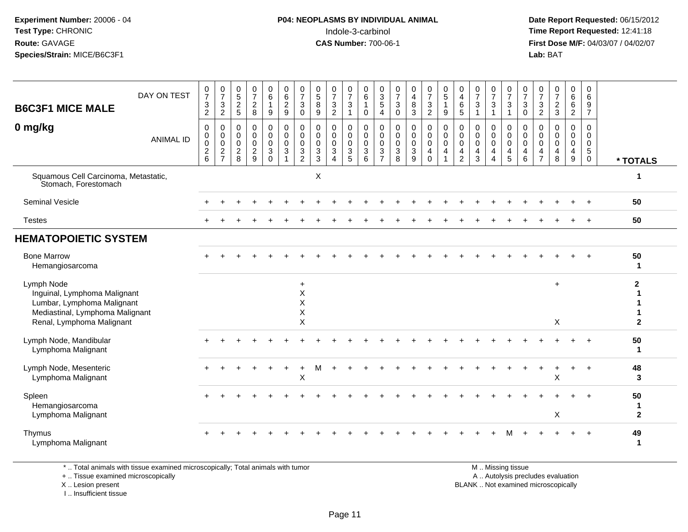#### **P04: NEOPLASMS BY INDIVIDUAL ANIMAL**Indole-3-carbinol **Time Report Requested:** 12:41:18

 **Date Report Requested:** 06/15/2012 **First Dose M/F:** 04/03/07 / 04/02/07<br>Lab: BAT **Lab:** BAT

| <b>B6C3F1 MICE MALE</b>                                                                                                                  | DAY ON TEST      | 0<br>$\overline{7}$<br>$\frac{3}{2}$ | $\frac{0}{7}$<br>$\frac{3}{2}$               | 0,52,5                                             | $\frac{0}{7}$<br>$\sqrt{2}$<br>$\boldsymbol{8}$                  | $\begin{matrix} 0 \\ 6 \end{matrix}$<br>$\boldsymbol{9}$ | 0<br>$6^{\circ}$<br>$\frac{2}{9}$                                                    | $\frac{0}{7}$<br>$\mathbf 3$<br>$\pmb{0}$                                               | $\begin{array}{c} 0 \\ 5 \end{array}$<br>8<br>$\boldsymbol{9}$                         | $\frac{0}{7}$<br>$\frac{3}{2}$                                                     | $\frac{0}{7}$<br>$\ensuremath{\mathsf{3}}$<br>$\mathbf{1}$ | 0<br>$6^{\circ}$<br>$\mathbf{1}$<br>$\pmb{0}$           | $\begin{array}{c} 0 \\ 3 \\ 5 \end{array}$<br>$\overline{4}$ | $\frac{0}{7}$<br>$\ensuremath{\mathsf{3}}$<br>$\pmb{0}$ | $\begin{smallmatrix}0\0\4\end{smallmatrix}$<br>$\frac{8}{3}$ | $\frac{0}{7}$<br>$\frac{3}{2}$                    | 0<br>$\overline{5}$<br>$\mathbf{1}$<br>$\boldsymbol{9}$ | 0<br>$\overline{4}$<br>$\frac{6}{5}$                                        | $\frac{0}{7}$<br>$\frac{3}{1}$                                   | $\frac{0}{7}$<br>$\ensuremath{\mathsf{3}}$<br>$\mathbf{1}$ | $\frac{0}{7}$<br>$\frac{3}{1}$                                  | $\frac{0}{7}$<br>$\ensuremath{\mathsf{3}}$<br>$\mathsf{O}\xspace$   | $\frac{0}{7}$<br>3<br>$\overline{c}$         | $\frac{0}{7}$<br>$\frac{2}{3}$                   | $\begin{matrix} 0 \\ 6 \end{matrix}$<br>$\frac{6}{2}$  | 0<br>6<br>$\frac{9}{7}$                                             |                                |
|------------------------------------------------------------------------------------------------------------------------------------------|------------------|--------------------------------------|----------------------------------------------|----------------------------------------------------|------------------------------------------------------------------|----------------------------------------------------------|--------------------------------------------------------------------------------------|-----------------------------------------------------------------------------------------|----------------------------------------------------------------------------------------|------------------------------------------------------------------------------------|------------------------------------------------------------|---------------------------------------------------------|--------------------------------------------------------------|---------------------------------------------------------|--------------------------------------------------------------|---------------------------------------------------|---------------------------------------------------------|-----------------------------------------------------------------------------|------------------------------------------------------------------|------------------------------------------------------------|-----------------------------------------------------------------|---------------------------------------------------------------------|----------------------------------------------|--------------------------------------------------|--------------------------------------------------------|---------------------------------------------------------------------|--------------------------------|
| 0 mg/kg                                                                                                                                  | <b>ANIMAL ID</b> | 0<br>0<br>$\pmb{0}$<br>$^2$ 6        | 0<br>$\pmb{0}$<br>$\pmb{0}$<br>$\frac{2}{7}$ | 0<br>$\mathbf 0$<br>$\mathbf 0$<br>$\sqrt{2}$<br>8 | $\mathbf 0$<br>$\mathbf 0$<br>$\mathbf 0$<br>$\overline{c}$<br>9 | 0<br>0<br>$\mathbf 0$<br>$\mathbf{3}$<br>$\Omega$        | 0<br>$\pmb{0}$<br>$\ddot{\mathbf{0}}$<br>$\ensuremath{\mathsf{3}}$<br>$\overline{1}$ | $\pmb{0}$<br>$\overline{0}$<br>$\pmb{0}$<br>$\ensuremath{\mathsf{3}}$<br>$\overline{2}$ | $\mathbf 0$<br>$\mathbf 0$<br>$\mathbf 0$<br>$\ensuremath{\mathsf{3}}$<br>$\mathbf{3}$ | $\mathbf 0$<br>$\mathbf 0$<br>$\mathbf 0$<br>$\ensuremath{\mathsf{3}}$<br>$\Delta$ | 0<br>0<br>$\mathbf 0$<br>$\mathsf 3$<br>5                  | 0<br>0<br>$\mathbf 0$<br>$\ensuremath{\mathsf{3}}$<br>6 | 0<br>$\mathbf 0$<br>$\mathbf 0$<br>3<br>$\overline{7}$       | 0<br>0<br>$\pmb{0}$<br>$\ensuremath{\mathsf{3}}$<br>8   | $\pmb{0}$<br>$\pmb{0}$<br>$\pmb{0}$<br>$\sqrt{3}$<br>9       | 0<br>$\pmb{0}$<br>$\mathbf 0$<br>4<br>$\mathbf 0$ | 0<br>$\mathbf 0$<br>$\mathbf 0$<br>4<br>$\mathbf{1}$    | 0<br>$\mathsf{O}\xspace$<br>$\mathbf 0$<br>$\overline{4}$<br>$\overline{2}$ | 0<br>0<br>$\mathbf 0$<br>$\overline{\mathbf{4}}$<br>$\mathbf{3}$ | 0<br>$\mathbf 0$<br>$\mathbf 0$<br>4<br>$\overline{4}$     | 0<br>$\mathbf 0$<br>$\mathbf 0$<br>$\overline{4}$<br>$\sqrt{5}$ | 0<br>$\mathbf 0$<br>$\mathsf 0$<br>$\overline{4}$<br>$6\phantom{1}$ | 0<br>0<br>$\mathbf 0$<br>4<br>$\overline{7}$ | $\Omega$<br>$\mathbf 0$<br>$\mathbf 0$<br>4<br>8 | 0<br>$\mathbf 0$<br>$\mathsf 0$<br>$\overline{4}$<br>9 | $\Omega$<br>$\mathbf 0$<br>$\mathbf 0$<br>$\sqrt{5}$<br>$\mathbf 0$ | * TOTALS                       |
| Squamous Cell Carcinoma, Metastatic,<br>Stomach, Forestomach                                                                             |                  |                                      |                                              |                                                    |                                                                  |                                                          |                                                                                      |                                                                                         | X                                                                                      |                                                                                    |                                                            |                                                         |                                                              |                                                         |                                                              |                                                   |                                                         |                                                                             |                                                                  |                                                            |                                                                 |                                                                     |                                              |                                                  |                                                        |                                                                     | $\mathbf 1$                    |
| <b>Seminal Vesicle</b>                                                                                                                   |                  |                                      |                                              |                                                    |                                                                  |                                                          |                                                                                      |                                                                                         |                                                                                        |                                                                                    |                                                            |                                                         |                                                              |                                                         |                                                              |                                                   |                                                         |                                                                             |                                                                  |                                                            |                                                                 |                                                                     |                                              |                                                  |                                                        |                                                                     | 50                             |
| <b>Testes</b>                                                                                                                            |                  |                                      |                                              |                                                    |                                                                  |                                                          |                                                                                      |                                                                                         |                                                                                        |                                                                                    |                                                            |                                                         |                                                              |                                                         |                                                              |                                                   |                                                         |                                                                             |                                                                  |                                                            |                                                                 |                                                                     |                                              |                                                  |                                                        | $+$                                                                 | 50                             |
| <b>HEMATOPOIETIC SYSTEM</b>                                                                                                              |                  |                                      |                                              |                                                    |                                                                  |                                                          |                                                                                      |                                                                                         |                                                                                        |                                                                                    |                                                            |                                                         |                                                              |                                                         |                                                              |                                                   |                                                         |                                                                             |                                                                  |                                                            |                                                                 |                                                                     |                                              |                                                  |                                                        |                                                                     |                                |
| <b>Bone Marrow</b><br>Hemangiosarcoma                                                                                                    |                  |                                      |                                              |                                                    |                                                                  |                                                          |                                                                                      |                                                                                         |                                                                                        |                                                                                    |                                                            |                                                         |                                                              |                                                         |                                                              |                                                   |                                                         |                                                                             |                                                                  |                                                            |                                                                 |                                                                     |                                              |                                                  |                                                        |                                                                     | 50<br>$\blacktriangleleft$     |
| Lymph Node<br>Inguinal, Lymphoma Malignant<br>Lumbar, Lymphoma Malignant<br>Mediastinal, Lymphoma Malignant<br>Renal, Lymphoma Malignant |                  |                                      |                                              |                                                    |                                                                  |                                                          |                                                                                      | $\ddot{}$<br>X<br>X<br>X<br>$\mathsf{X}$                                                |                                                                                        |                                                                                    |                                                            |                                                         |                                                              |                                                         |                                                              |                                                   |                                                         |                                                                             |                                                                  |                                                            |                                                                 |                                                                     |                                              | $+$<br>$\pmb{\times}$                            |                                                        |                                                                     | $\mathbf{2}$<br>$\overline{2}$ |
| Lymph Node, Mandibular<br>Lymphoma Malignant                                                                                             |                  |                                      |                                              |                                                    |                                                                  |                                                          |                                                                                      |                                                                                         |                                                                                        |                                                                                    |                                                            |                                                         |                                                              |                                                         |                                                              |                                                   |                                                         |                                                                             |                                                                  |                                                            |                                                                 |                                                                     |                                              |                                                  |                                                        |                                                                     | 50<br>$\mathbf{1}$             |
| Lymph Node, Mesenteric<br>Lymphoma Malignant                                                                                             |                  |                                      |                                              |                                                    |                                                                  |                                                          |                                                                                      | $\ddot{}$<br>X                                                                          | м                                                                                      |                                                                                    |                                                            |                                                         |                                                              |                                                         |                                                              |                                                   |                                                         |                                                                             |                                                                  |                                                            |                                                                 |                                                                     |                                              | Χ                                                |                                                        | $\overline{+}$                                                      | 48<br>3                        |
| Spleen<br>Hemangiosarcoma<br>Lymphoma Malignant                                                                                          |                  |                                      |                                              |                                                    |                                                                  |                                                          |                                                                                      |                                                                                         |                                                                                        |                                                                                    |                                                            |                                                         |                                                              |                                                         |                                                              |                                                   |                                                         |                                                                             |                                                                  |                                                            |                                                                 |                                                                     |                                              | X                                                |                                                        |                                                                     | 50<br>1<br>$\overline{2}$      |
| Thymus<br>Lymphoma Malignant                                                                                                             |                  |                                      |                                              |                                                    |                                                                  |                                                          |                                                                                      |                                                                                         |                                                                                        |                                                                                    |                                                            |                                                         |                                                              |                                                         |                                                              |                                                   |                                                         |                                                                             |                                                                  |                                                            |                                                                 |                                                                     |                                              |                                                  |                                                        |                                                                     | 49<br>1                        |

\* .. Total animals with tissue examined microscopically; Total animals with tumor

+ .. Tissue examined microscopically

X .. Lesion present

I .. Insufficient tissue

M .. Missing tissue

y the contract of the contract of the contract of the contract of the contract of the contract of the contract of  $A$ . Autolysis precludes evaluation Lesion present BLANK .. Not examined microscopically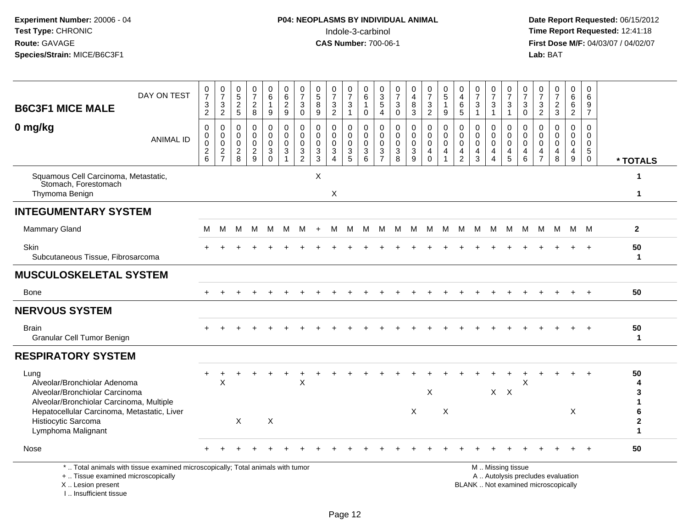**Date Report Requested:** 06/15/2012 **First Dose M/F:** 04/03/07 / 04/02/07<br>Lab: BAT **Lab:** BAT

| <b>B6C3F1 MICE MALE</b>                                                                                                                                                                  | DAY ON TEST                                                                     | $\frac{0}{7}$<br>$\frac{3}{2}$                 | $\frac{0}{7}$<br>$\frac{3}{2}$               | 0<br>$\overline{5}$<br>$\boldsymbol{2}$<br>5 | 0<br>$\overline{7}$<br>$\sqrt{2}$<br>8                        | 0<br>6<br>1<br>9                                    | 0<br>6<br>$\sqrt{2}$<br>9                                       | $\begin{array}{c} 0 \\ 7 \end{array}$<br>$\sqrt{3}$<br>$\mathbf 0$           | 0<br>$\overline{5}$<br>8<br>9                                         | 0<br>$\overline{7}$<br>$\ensuremath{\mathsf{3}}$<br>$\overline{2}$ | 0<br>$\overline{7}$<br>$\sqrt{3}$<br>$\mathbf{1}$                              | 0<br>6<br>$\mathbf 1$<br>$\mathbf 0$      | 0<br>$\sqrt{3}$<br>5<br>4                    | 0<br>$\overline{7}$<br>3<br>$\mathbf 0$  | 0<br>$\overline{\mathbf{4}}$<br>$\,8\,$<br>3                    | 0<br>$\overline{7}$<br>$\ensuremath{\mathsf{3}}$<br>$\overline{2}$ | 0<br>$\overline{5}$<br>$\overline{1}$<br>9             | 0<br>$\overline{4}$<br>6<br>5                          | 0<br>$\overline{7}$<br>$\mathbf{3}$<br>$\overline{1}$ | $\frac{0}{7}$<br>3<br>1                                       | 0<br>$\overline{7}$<br>$\mathbf{3}$<br>$\mathbf{1}$                                           | 0<br>$\overline{7}$<br>3<br>$\mathbf 0$                                | 0<br>$\overline{7}$<br>$\mathbf{3}$<br>2                | 0<br>$\overline{7}$<br>$\boldsymbol{2}$<br>3  | 0<br>6<br>6<br>$\overline{2}$             | 0<br>$6\phantom{1}$<br>9<br>$\overline{7}$                             |                        |
|------------------------------------------------------------------------------------------------------------------------------------------------------------------------------------------|---------------------------------------------------------------------------------|------------------------------------------------|----------------------------------------------|----------------------------------------------|---------------------------------------------------------------|-----------------------------------------------------|-----------------------------------------------------------------|------------------------------------------------------------------------------|-----------------------------------------------------------------------|--------------------------------------------------------------------|--------------------------------------------------------------------------------|-------------------------------------------|----------------------------------------------|------------------------------------------|-----------------------------------------------------------------|--------------------------------------------------------------------|--------------------------------------------------------|--------------------------------------------------------|-------------------------------------------------------|---------------------------------------------------------------|-----------------------------------------------------------------------------------------------|------------------------------------------------------------------------|---------------------------------------------------------|-----------------------------------------------|-------------------------------------------|------------------------------------------------------------------------|------------------------|
| 0 mg/kg                                                                                                                                                                                  | <b>ANIMAL ID</b>                                                                | 0<br>0<br>$\mathsf{O}\xspace$<br>$\frac{2}{6}$ | 0<br>$\pmb{0}$<br>$\pmb{0}$<br>$\frac{2}{7}$ | 0<br>0<br>$\mathbf 0$<br>$\overline{c}$<br>8 | $\mathbf 0$<br>$\Omega$<br>$\mathbf 0$<br>$\overline{c}$<br>9 | $\mathbf 0$<br>0<br>$\mathbf 0$<br>3<br>$\mathbf 0$ | 0<br>$\mathbf 0$<br>$\mathbf 0$<br>$\sqrt{3}$<br>$\overline{1}$ | 0<br>$\pmb{0}$<br>$\mathbf 0$<br>$\ensuremath{\mathsf{3}}$<br>$\overline{2}$ | $\mathbf 0$<br>$\mathbf 0$<br>$\mathbf 0$<br>$\sqrt{3}$<br>$\sqrt{3}$ | $\mathbf{0}$<br>$\Omega$<br>$\mathbf 0$<br>3<br>$\overline{4}$     | 0<br>$\mathbf 0$<br>$\mathbf 0$<br>$\ensuremath{\mathsf{3}}$<br>$\overline{5}$ | 0<br>$\mathbf 0$<br>$\mathbf 0$<br>3<br>6 | 0<br>$\mathbf 0$<br>0<br>3<br>$\overline{7}$ | 0<br>0<br>$\mathbf 0$<br>$\sqrt{3}$<br>8 | 0<br>$\mathbf 0$<br>$\pmb{0}$<br>$\sqrt{3}$<br>$\boldsymbol{9}$ | 0<br>$\mathbf 0$<br>$\mathbf 0$<br>4<br>$\mathbf 0$                | 0<br>$\mathbf 0$<br>$\mathbf 0$<br>4<br>$\overline{1}$ | 0<br>$\mathbf 0$<br>$\mathbf 0$<br>4<br>$\overline{c}$ | $\mathbf 0$<br>$\Omega$<br>$\mathbf 0$<br>4<br>3      | $\Omega$<br>$\mathbf 0$<br>$\mathbf 0$<br>4<br>$\overline{4}$ | 0<br>$\mathbf 0$<br>$\mathbf 0$<br>4<br>$\sqrt{5}$                                            | $\mathbf 0$<br>$\mathbf 0$<br>$\mathbf 0$<br>$\overline{4}$<br>$\,6\,$ | $\Omega$<br>$\Omega$<br>$\Omega$<br>4<br>$\overline{7}$ | $\Omega$<br>$\Omega$<br>$\mathbf 0$<br>4<br>8 | 0<br>$\mathbf 0$<br>$\mathbf 0$<br>4<br>9 | $\mathbf 0$<br>$\mathbf 0$<br>$\mathbf 0$<br>$\sqrt{5}$<br>$\mathbf 0$ | * TOTALS               |
| Squamous Cell Carcinoma, Metastatic,<br>Stomach, Forestomach<br>Thymoma Benign                                                                                                           |                                                                                 |                                                |                                              |                                              |                                                               |                                                     |                                                                 |                                                                              | X                                                                     | X                                                                  |                                                                                |                                           |                                              |                                          |                                                                 |                                                                    |                                                        |                                                        |                                                       |                                                               |                                                                                               |                                                                        |                                                         |                                               |                                           |                                                                        | 1<br>1                 |
| <b>INTEGUMENTARY SYSTEM</b>                                                                                                                                                              |                                                                                 |                                                |                                              |                                              |                                                               |                                                     |                                                                 |                                                                              |                                                                       |                                                                    |                                                                                |                                           |                                              |                                          |                                                                 |                                                                    |                                                        |                                                        |                                                       |                                                               |                                                                                               |                                                                        |                                                         |                                               |                                           |                                                                        |                        |
| <b>Mammary Gland</b>                                                                                                                                                                     |                                                                                 | М                                              | м                                            | м                                            | M                                                             | M                                                   | M                                                               | M                                                                            | $\ddot{}$                                                             | м                                                                  | M                                                                              | M                                         | M                                            | M                                        | M                                                               | M                                                                  | M                                                      | M                                                      | M                                                     | M                                                             | M                                                                                             | M                                                                      | M                                                       | М                                             | M M                                       |                                                                        | $\mathbf{2}$           |
| Skin<br>Subcutaneous Tissue, Fibrosarcoma                                                                                                                                                |                                                                                 |                                                |                                              |                                              |                                                               |                                                     |                                                                 |                                                                              |                                                                       |                                                                    |                                                                                |                                           |                                              |                                          |                                                                 |                                                                    |                                                        |                                                        |                                                       |                                                               |                                                                                               |                                                                        |                                                         |                                               |                                           |                                                                        | 50<br>$\mathbf 1$      |
| <b>MUSCULOSKELETAL SYSTEM</b>                                                                                                                                                            |                                                                                 |                                                |                                              |                                              |                                                               |                                                     |                                                                 |                                                                              |                                                                       |                                                                    |                                                                                |                                           |                                              |                                          |                                                                 |                                                                    |                                                        |                                                        |                                                       |                                                               |                                                                                               |                                                                        |                                                         |                                               |                                           |                                                                        |                        |
| Bone                                                                                                                                                                                     |                                                                                 |                                                |                                              |                                              |                                                               |                                                     |                                                                 |                                                                              |                                                                       |                                                                    |                                                                                |                                           |                                              |                                          |                                                                 |                                                                    |                                                        |                                                        |                                                       |                                                               |                                                                                               |                                                                        |                                                         |                                               |                                           |                                                                        | 50                     |
| <b>NERVOUS SYSTEM</b>                                                                                                                                                                    |                                                                                 |                                                |                                              |                                              |                                                               |                                                     |                                                                 |                                                                              |                                                                       |                                                                    |                                                                                |                                           |                                              |                                          |                                                                 |                                                                    |                                                        |                                                        |                                                       |                                                               |                                                                                               |                                                                        |                                                         |                                               |                                           |                                                                        |                        |
| <b>Brain</b><br>Granular Cell Tumor Benign                                                                                                                                               |                                                                                 |                                                |                                              |                                              |                                                               |                                                     |                                                                 |                                                                              |                                                                       |                                                                    |                                                                                |                                           |                                              |                                          |                                                                 |                                                                    |                                                        |                                                        |                                                       |                                                               |                                                                                               |                                                                        |                                                         |                                               |                                           | $\div$                                                                 | 50<br>$\mathbf 1$      |
| <b>RESPIRATORY SYSTEM</b>                                                                                                                                                                |                                                                                 |                                                |                                              |                                              |                                                               |                                                     |                                                                 |                                                                              |                                                                       |                                                                    |                                                                                |                                           |                                              |                                          |                                                                 |                                                                    |                                                        |                                                        |                                                       |                                                               |                                                                                               |                                                                        |                                                         |                                               |                                           |                                                                        |                        |
| Lung<br>Alveolar/Bronchiolar Adenoma<br>Alveolar/Bronchiolar Carcinoma<br>Alveolar/Bronchiolar Carcinoma, Multiple<br>Hepatocellular Carcinoma, Metastatic, Liver<br>Histiocytic Sarcoma |                                                                                 |                                                | $\pmb{\times}$                               | X                                            |                                                               | X                                                   |                                                                 | Χ                                                                            |                                                                       |                                                                    |                                                                                |                                           |                                              |                                          | $\times$                                                        | $\boldsymbol{\mathsf{X}}$                                          | $\times$                                               |                                                        |                                                       |                                                               | $X$ $X$                                                                                       | X                                                                      |                                                         |                                               | X                                         |                                                                        | 50<br>4<br>3<br>6<br>2 |
| Lymphoma Malignant                                                                                                                                                                       |                                                                                 |                                                |                                              |                                              |                                                               |                                                     |                                                                 |                                                                              |                                                                       |                                                                    |                                                                                |                                           |                                              |                                          |                                                                 |                                                                    |                                                        |                                                        |                                                       |                                                               |                                                                                               |                                                                        |                                                         |                                               |                                           |                                                                        | 1                      |
| Nose                                                                                                                                                                                     |                                                                                 |                                                |                                              |                                              |                                                               |                                                     |                                                                 |                                                                              |                                                                       |                                                                    |                                                                                |                                           |                                              |                                          |                                                                 |                                                                    |                                                        |                                                        |                                                       |                                                               |                                                                                               |                                                                        |                                                         |                                               | $\ddot{}$                                 | $+$                                                                    | 50                     |
| +  Tissue examined microscopically<br>X  Lesion present                                                                                                                                  | *  Total animals with tissue examined microscopically; Total animals with tumor |                                                |                                              |                                              |                                                               |                                                     |                                                                 |                                                                              |                                                                       |                                                                    |                                                                                |                                           |                                              |                                          |                                                                 |                                                                    |                                                        |                                                        |                                                       |                                                               | M  Missing tissue<br>A  Autolysis precludes evaluation<br>BLANK  Not examined microscopically |                                                                        |                                                         |                                               |                                           |                                                                        |                        |

Page 12

X .. Lesion present I .. Insufficient tissue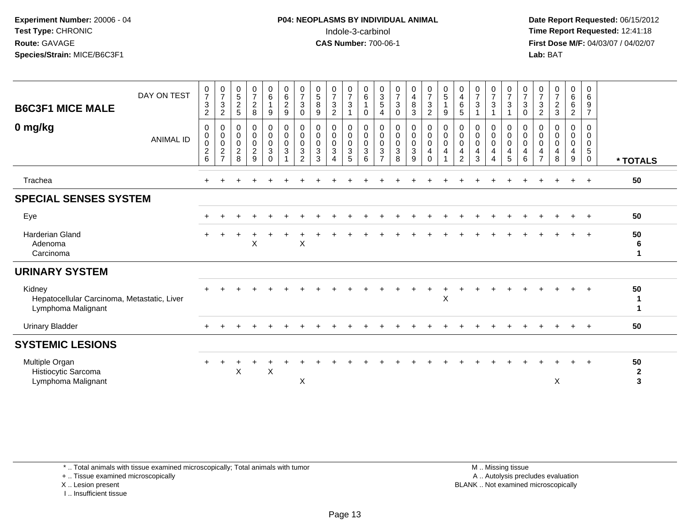# **P04: NEOPLASMS BY INDIVIDUAL ANIMAL**<br>Indole-3-carbinol Indole-3-carbinol **Time Report Requested:** 12:41:18

 **Date Report Requested:** 06/15/2012 **First Dose M/F:** 04/03/07 / 04/02/07<br>Lab: BAT **Lab:** BAT

| <b>B6C3F1 MICE MALE</b>                                                     | DAY ON TEST      | $\frac{0}{7}$<br>$\mathbf{3}$<br>$\overline{2}$  | $\frac{0}{7}$<br>$\mathbf{3}$<br>$\overline{2}$             | $\begin{array}{c} 0 \\ 5 \end{array}$<br>$\frac{2}{5}$ | $\frac{0}{7}$<br>$\boldsymbol{2}$<br>8                 | $\begin{matrix} 0 \\ 6 \end{matrix}$<br>$\mathbf{1}$<br>9                         | $\begin{matrix}0\\6\end{matrix}$<br>$\overline{2}$<br>$9\,$ | $\frac{0}{7}$<br>$\mathbf{3}$<br>$\mathbf{0}$                                | $\begin{smallmatrix}0\0\5\end{smallmatrix}$<br>$\, 8$<br>9 | $\frac{0}{7}$<br>$\sqrt{3}$<br>$\overline{2}$       | $\frac{0}{7}$<br>$\sqrt{3}$<br>$\overline{1}$       | $\begin{array}{c} 0 \\ 6 \end{array}$<br>$\mathbf{1}$<br>$\mathbf 0$ | 0<br>$\mathsf 3$<br>5<br>4                   | $\frac{0}{7}$<br>$\sqrt{3}$<br>0                                | 0<br>$\overline{\mathbf{4}}$<br>$\bf 8$<br>3     | $\mathbf 0$<br>$\boldsymbol{7}$<br>$\mathsf 3$<br>$\overline{2}$            | $\begin{matrix}0\\5\end{matrix}$<br>$\mathbf{1}$<br>9                    | 0<br>$\overline{4}$<br>6<br>5                        | $\frac{0}{7}$<br>$\sqrt{3}$                        | $\frac{0}{7}$<br>$\mathbf{3}$<br>$\mathbf{1}$      | $\frac{0}{7}$<br>3              | $\frac{0}{7}$<br>$\mathbf{3}$<br>$\mathbf 0$                                       | 0<br>$\overline{7}$<br>$\sqrt{3}$<br>$\overline{2}$                 | $\frac{0}{7}$<br>$\overline{c}$<br>$\mathbf{3}$ | $_6^0$<br>6<br>$\overline{c}$                      | 0<br>6<br>9<br>$\overline{7}$ |                         |
|-----------------------------------------------------------------------------|------------------|--------------------------------------------------|-------------------------------------------------------------|--------------------------------------------------------|--------------------------------------------------------|-----------------------------------------------------------------------------------|-------------------------------------------------------------|------------------------------------------------------------------------------|------------------------------------------------------------|-----------------------------------------------------|-----------------------------------------------------|----------------------------------------------------------------------|----------------------------------------------|-----------------------------------------------------------------|--------------------------------------------------|-----------------------------------------------------------------------------|--------------------------------------------------------------------------|------------------------------------------------------|----------------------------------------------------|----------------------------------------------------|---------------------------------|------------------------------------------------------------------------------------|---------------------------------------------------------------------|-------------------------------------------------|----------------------------------------------------|-------------------------------|-------------------------|
| 0 mg/kg                                                                     | <b>ANIMAL ID</b> | 0<br>$\pmb{0}$<br>$\,0\,$<br>$\overline{c}$<br>6 | 0<br>$\,0\,$<br>$\mathbf 0$<br>$\sqrt{2}$<br>$\overline{7}$ | 0<br>0<br>$\mathsf{O}\xspace$<br>$\boldsymbol{2}$<br>8 | 0<br>$\mathbf 0$<br>$\pmb{0}$<br>$\boldsymbol{2}$<br>9 | $\mathbf 0$<br>$\pmb{0}$<br>$\pmb{0}$<br>$\ensuremath{\mathsf{3}}$<br>$\mathbf 0$ | $\pmb{0}$<br>$\pmb{0}$<br>$\mathbf 0$<br>$\sqrt{3}$<br>1    | 0<br>$\pmb{0}$<br>$\mathbf 0$<br>$\ensuremath{\mathsf{3}}$<br>$\overline{2}$ | 0<br>$\pmb{0}$<br>0<br>$\sqrt{3}$<br>3                     | 0<br>$\pmb{0}$<br>0<br>$\sqrt{3}$<br>$\overline{4}$ | 0<br>$\mathbf 0$<br>$\mathbf 0$<br>$\mathsf 3$<br>5 | 0<br>$\mathsf 0$<br>$\mathbf 0$<br>$\sqrt{3}$<br>6                   | 0<br>0<br>$\mathbf 0$<br>3<br>$\overline{7}$ | 0<br>$\mathbf 0$<br>$\pmb{0}$<br>$\ensuremath{\mathsf{3}}$<br>8 | 0<br>$\pmb{0}$<br>$\pmb{0}$<br>$\mathbf{3}$<br>9 | $\mathbf{0}$<br>$\mathbf 0$<br>$\mathbf 0$<br>$\overline{4}$<br>$\mathbf 0$ | 0<br>$\pmb{0}$<br>$\mathbf 0$<br>$\overline{\mathbf{4}}$<br>$\mathbf{1}$ | 0<br>$\mathsf{O}\xspace$<br>0<br>4<br>$\overline{2}$ | 0<br>$\pmb{0}$<br>$\pmb{0}$<br>$\overline{4}$<br>3 | 0<br>$\pmb{0}$<br>$\pmb{0}$<br>4<br>$\overline{4}$ | 0<br>0<br>$\mathbf 0$<br>4<br>5 | 0<br>$\boldsymbol{0}$<br>$\mathbf 0$<br>$\overline{\mathbf{4}}$<br>$6\phantom{1}6$ | 0<br>$\mathbf 0$<br>$\mathbf 0$<br>$\overline{4}$<br>$\overline{7}$ | $\mathbf 0$<br>0<br>$\mathbf 0$<br>4<br>8       | 0<br>$\pmb{0}$<br>$\pmb{0}$<br>$\overline{4}$<br>9 | 0<br>0<br>0<br>5<br>0         | * TOTALS                |
| Trachea                                                                     |                  |                                                  |                                                             |                                                        |                                                        |                                                                                   |                                                             |                                                                              |                                                            |                                                     |                                                     |                                                                      |                                              |                                                                 |                                                  |                                                                             |                                                                          |                                                      |                                                    |                                                    |                                 |                                                                                    |                                                                     |                                                 | $\ddot{}$                                          | $+$                           | 50                      |
| <b>SPECIAL SENSES SYSTEM</b>                                                |                  |                                                  |                                                             |                                                        |                                                        |                                                                                   |                                                             |                                                                              |                                                            |                                                     |                                                     |                                                                      |                                              |                                                                 |                                                  |                                                                             |                                                                          |                                                      |                                                    |                                                    |                                 |                                                                                    |                                                                     |                                                 |                                                    |                               |                         |
| Eye                                                                         |                  |                                                  |                                                             |                                                        |                                                        |                                                                                   |                                                             |                                                                              |                                                            |                                                     |                                                     |                                                                      |                                              |                                                                 |                                                  |                                                                             |                                                                          |                                                      |                                                    |                                                    |                                 |                                                                                    |                                                                     |                                                 |                                                    | $+$                           | 50                      |
| <b>Harderian Gland</b><br>Adenoma<br>Carcinoma                              |                  |                                                  |                                                             |                                                        | X                                                      |                                                                                   |                                                             | $\mathsf X$                                                                  |                                                            |                                                     |                                                     |                                                                      |                                              |                                                                 |                                                  |                                                                             |                                                                          |                                                      |                                                    |                                                    |                                 |                                                                                    |                                                                     |                                                 |                                                    |                               | 50<br>6<br>1            |
| <b>URINARY SYSTEM</b>                                                       |                  |                                                  |                                                             |                                                        |                                                        |                                                                                   |                                                             |                                                                              |                                                            |                                                     |                                                     |                                                                      |                                              |                                                                 |                                                  |                                                                             |                                                                          |                                                      |                                                    |                                                    |                                 |                                                                                    |                                                                     |                                                 |                                                    |                               |                         |
| Kidney<br>Hepatocellular Carcinoma, Metastatic, Liver<br>Lymphoma Malignant |                  |                                                  |                                                             |                                                        |                                                        |                                                                                   |                                                             |                                                                              |                                                            |                                                     |                                                     |                                                                      |                                              |                                                                 |                                                  |                                                                             | X                                                                        |                                                      |                                                    |                                                    |                                 |                                                                                    |                                                                     |                                                 |                                                    |                               | 50<br>1<br>1            |
| <b>Urinary Bladder</b>                                                      |                  |                                                  |                                                             |                                                        |                                                        |                                                                                   |                                                             |                                                                              |                                                            |                                                     |                                                     |                                                                      |                                              |                                                                 |                                                  |                                                                             |                                                                          |                                                      |                                                    |                                                    |                                 |                                                                                    |                                                                     |                                                 | $\pm$                                              | $\ddot{}$                     | 50                      |
| <b>SYSTEMIC LESIONS</b>                                                     |                  |                                                  |                                                             |                                                        |                                                        |                                                                                   |                                                             |                                                                              |                                                            |                                                     |                                                     |                                                                      |                                              |                                                                 |                                                  |                                                                             |                                                                          |                                                      |                                                    |                                                    |                                 |                                                                                    |                                                                     |                                                 |                                                    |                               |                         |
| Multiple Organ<br>Histiocytic Sarcoma<br>Lymphoma Malignant                 |                  |                                                  |                                                             | X                                                      |                                                        | X                                                                                 |                                                             | X                                                                            |                                                            |                                                     |                                                     |                                                                      |                                              |                                                                 |                                                  |                                                                             |                                                                          |                                                      |                                                    |                                                    |                                 |                                                                                    |                                                                     | X                                               |                                                    |                               | 50<br>$\mathbf{2}$<br>3 |

\* .. Total animals with tissue examined microscopically; Total animals with tumor

+ .. Tissue examined microscopically

X .. Lesion present

I .. Insufficient tissue

 M .. Missing tissuey the contract of the contract of the contract of the contract of the contract of the contract of the contract of  $A$ . Autolysis precludes evaluation Lesion present BLANK .. Not examined microscopically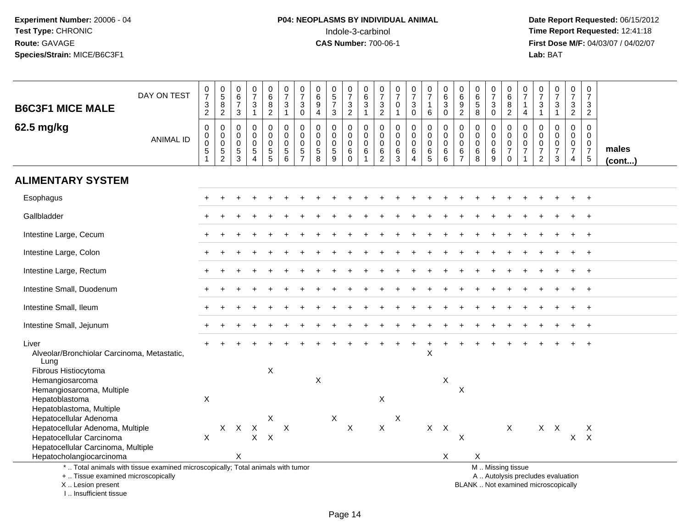# **P04: NEOPLASMS BY INDIVIDUAL ANIMAL**<br>Indole-3-carbinol Indole-3-carbinol **Time Report Requested:** 12:41:18

 **Date Report Requested:** 06/15/2012 **First Dose M/F:** 04/03/07 / 04/02/07<br>Lab: BAT **Lab:** BAT

| <b>B6C3F1 MICE MALE</b>                                                                                                                    | DAY ON TEST      | $\frac{0}{7}$<br>$\frac{3}{2}$         | $\begin{array}{c} 0 \\ 5 \end{array}$<br>$\frac{8}{2}$ | $\boldsymbol{0}$<br>$6\phantom{1}6$<br>$\overline{7}$<br>$\mathbf{3}$ | $\frac{0}{7}$<br>$\frac{3}{1}$                                         | 0<br>6<br>$\begin{smallmatrix} 8 \\ 2 \end{smallmatrix}$                 | $\begin{array}{c} 0 \\ 7 \end{array}$<br>$\ensuremath{\mathsf{3}}$<br>$\mathbf{1}$ | $\begin{array}{c} 0 \\ 7 \end{array}$<br>$\mathbf{3}$<br>$\mathbf 0$ | 0<br>$\,6\,$<br>$\boldsymbol{9}$<br>$\overline{4}$          | $\begin{array}{c} 0 \\ 5 \\ 7 \end{array}$<br>3                                | $\frac{0}{7}$<br>$\frac{3}{2}$             | $\pmb{0}$<br>6<br>$\ensuremath{\mathsf{3}}$<br>$\mathbf{1}$ | 0<br>$\overline{7}$<br>$\ensuremath{\mathsf{3}}$<br>$\overline{2}$ | 0<br>$\overline{7}$<br>$\pmb{0}$<br>$\mathbf{1}$ | $\frac{0}{7}$<br>$\ensuremath{\mathsf{3}}$<br>0 | $\begin{array}{c} 0 \\ 7 \end{array}$<br>$\mathbf{1}$<br>6         | $\pmb{0}$<br>6<br>$\sqrt{3}$<br>$\mathbf 0$         | 0<br>$\,6\,$<br>9<br>$\overline{2}$          | $\pmb{0}$<br>$6\phantom{a}$<br>5<br>8                  | $\begin{array}{c} 0 \\ 7 \end{array}$<br>$\ensuremath{\mathsf{3}}$<br>$\mathbf 0$ | $\mathbf 0$<br>$6\overline{6}$<br>$\bf 8$<br>$\overline{2}$      | $\pmb{0}$<br>$\overline{7}$<br>$\mathbf{1}$<br>$\overline{4}$                         | $\pmb{0}$<br>$\overline{7}$<br>$\ensuremath{\mathsf{3}}$<br>$\overline{1}$ | $\begin{array}{c} 0 \\ 7 \end{array}$<br>$\ensuremath{\mathsf{3}}$<br>$\mathbf{1}$ | $\frac{0}{7}$<br>$\frac{3}{2}$                                      | $\frac{0}{7}$<br>$\frac{3}{2}$                                                         |                       |
|--------------------------------------------------------------------------------------------------------------------------------------------|------------------|----------------------------------------|--------------------------------------------------------|-----------------------------------------------------------------------|------------------------------------------------------------------------|--------------------------------------------------------------------------|------------------------------------------------------------------------------------|----------------------------------------------------------------------|-------------------------------------------------------------|--------------------------------------------------------------------------------|--------------------------------------------|-------------------------------------------------------------|--------------------------------------------------------------------|--------------------------------------------------|-------------------------------------------------|--------------------------------------------------------------------|-----------------------------------------------------|----------------------------------------------|--------------------------------------------------------|-----------------------------------------------------------------------------------|------------------------------------------------------------------|---------------------------------------------------------------------------------------|----------------------------------------------------------------------------|------------------------------------------------------------------------------------|---------------------------------------------------------------------|----------------------------------------------------------------------------------------|-----------------------|
| 62.5 mg/kg                                                                                                                                 | <b>ANIMAL ID</b> | 0<br>$\pmb{0}$<br>$\pmb{0}$<br>5<br>-1 | 0<br>$\pmb{0}$<br>$\pmb{0}$<br>$\frac{5}{2}$           | $\mathbf 0$<br>$\mathbf 0$<br>$\mathbf 0$<br>$\frac{5}{3}$            | $\mathbf 0$<br>$\Omega$<br>$\mathbf 0$<br>$\sqrt{5}$<br>$\overline{4}$ | 0<br>$\mathbf 0$<br>$\mathbf 0$<br>$\begin{array}{c} 5 \\ 5 \end{array}$ | 0<br>$\pmb{0}$<br>$\pmb{0}$<br>$\frac{5}{6}$                                       | 0<br>$\mathbf 0$<br>$\mathbf 0$<br>$\frac{5}{7}$                     | 0<br>$\Omega$<br>0<br>$\begin{array}{c} 5 \\ 8 \end{array}$ | $\mathbf 0$<br>$\mathbf 0$<br>$\boldsymbol{0}$<br>$\sqrt{5}$<br>$\overline{9}$ | 0<br>$\mathbf 0$<br>0<br>$\,6$<br>$\Omega$ | 0<br>$\mathbf 0$<br>$\mathbf 0$<br>$\,6$<br>$\mathbf{1}$    | $\mathbf 0$<br>$\mathbf 0$<br>0<br>$^6_2$                          | $\mathbf 0$<br>$\Omega$<br>$\mathbf 0$<br>$^6_3$ | 0<br>$\mathbf 0$<br>$\mathbf 0$<br>6<br>4       | $\mathbf 0$<br>$\mathbf 0$<br>$\pmb{0}$<br>$\,6$<br>$\overline{5}$ | $\mathbf 0$<br>$\mathbf 0$<br>$\mathbf 0$<br>6<br>6 | 0<br>$\mathbf 0$<br>0<br>6<br>$\overline{7}$ | $\mathbf 0$<br>$\mathbf 0$<br>0<br>6<br>$\overline{8}$ | $\mathbf 0$<br>$\mathbf 0$<br>$\pmb{0}$<br>6<br>9                                 | 0<br>$\mathbf 0$<br>$\mathbf 0$<br>$\overline{7}$<br>$\mathbf 0$ | $\mathbf 0$<br>$\mathbf 0$<br>$\mathsf{O}\xspace$<br>$\overline{7}$<br>$\overline{1}$ | 0<br>$\mathbf 0$<br>0<br>$\overline{7}$<br>$\sqrt{2}$                      | $\mathbf 0$<br>$\mathbf 0$<br>$\pmb{0}$<br>$\overline{7}$<br>$\mathbf{3}$          | 0<br>$\mathbf 0$<br>$\begin{smallmatrix}0\\7\end{smallmatrix}$<br>4 | $\overline{0}$<br>$\mathbf 0$<br>$\mathsf{O}\xspace$<br>$\boldsymbol{7}$<br>$\sqrt{5}$ | males<br>$($ cont $)$ |
| <b>ALIMENTARY SYSTEM</b>                                                                                                                   |                  |                                        |                                                        |                                                                       |                                                                        |                                                                          |                                                                                    |                                                                      |                                                             |                                                                                |                                            |                                                             |                                                                    |                                                  |                                                 |                                                                    |                                                     |                                              |                                                        |                                                                                   |                                                                  |                                                                                       |                                                                            |                                                                                    |                                                                     |                                                                                        |                       |
| Esophagus                                                                                                                                  |                  |                                        |                                                        |                                                                       |                                                                        |                                                                          |                                                                                    |                                                                      |                                                             |                                                                                |                                            |                                                             |                                                                    |                                                  |                                                 |                                                                    |                                                     |                                              |                                                        |                                                                                   |                                                                  |                                                                                       |                                                                            |                                                                                    |                                                                     | $\ddot{}$                                                                              |                       |
| Gallbladder                                                                                                                                |                  |                                        |                                                        |                                                                       |                                                                        |                                                                          |                                                                                    |                                                                      |                                                             |                                                                                |                                            |                                                             |                                                                    |                                                  |                                                 |                                                                    |                                                     |                                              |                                                        |                                                                                   |                                                                  |                                                                                       |                                                                            |                                                                                    |                                                                     |                                                                                        |                       |
| Intestine Large, Cecum                                                                                                                     |                  |                                        |                                                        |                                                                       |                                                                        |                                                                          |                                                                                    |                                                                      |                                                             |                                                                                |                                            |                                                             |                                                                    |                                                  |                                                 |                                                                    |                                                     |                                              |                                                        |                                                                                   |                                                                  |                                                                                       |                                                                            |                                                                                    |                                                                     |                                                                                        |                       |
| Intestine Large, Colon                                                                                                                     |                  |                                        |                                                        |                                                                       |                                                                        |                                                                          |                                                                                    |                                                                      |                                                             |                                                                                |                                            |                                                             |                                                                    |                                                  |                                                 |                                                                    |                                                     |                                              |                                                        |                                                                                   |                                                                  |                                                                                       |                                                                            |                                                                                    |                                                                     | $\ddot{}$                                                                              |                       |
| Intestine Large, Rectum                                                                                                                    |                  |                                        |                                                        |                                                                       |                                                                        |                                                                          |                                                                                    |                                                                      |                                                             |                                                                                |                                            |                                                             |                                                                    |                                                  |                                                 |                                                                    |                                                     |                                              |                                                        |                                                                                   |                                                                  |                                                                                       |                                                                            |                                                                                    |                                                                     | $\ddot{}$                                                                              |                       |
| Intestine Small, Duodenum                                                                                                                  |                  |                                        |                                                        |                                                                       |                                                                        |                                                                          |                                                                                    |                                                                      |                                                             |                                                                                |                                            |                                                             |                                                                    |                                                  |                                                 |                                                                    |                                                     |                                              |                                                        |                                                                                   |                                                                  |                                                                                       |                                                                            |                                                                                    |                                                                     | $\ddot{}$                                                                              |                       |
| Intestine Small, Ileum                                                                                                                     |                  |                                        |                                                        |                                                                       |                                                                        |                                                                          |                                                                                    |                                                                      |                                                             |                                                                                |                                            |                                                             |                                                                    |                                                  |                                                 |                                                                    |                                                     |                                              |                                                        |                                                                                   |                                                                  |                                                                                       |                                                                            |                                                                                    |                                                                     | $\div$                                                                                 |                       |
| Intestine Small, Jejunum                                                                                                                   |                  |                                        |                                                        |                                                                       |                                                                        |                                                                          |                                                                                    |                                                                      |                                                             |                                                                                |                                            |                                                             |                                                                    |                                                  |                                                 |                                                                    |                                                     |                                              |                                                        |                                                                                   |                                                                  |                                                                                       |                                                                            |                                                                                    |                                                                     |                                                                                        |                       |
| Liver<br>Alveolar/Bronchiolar Carcinoma, Metastatic,<br>Lung                                                                               |                  |                                        |                                                        |                                                                       |                                                                        |                                                                          |                                                                                    |                                                                      |                                                             |                                                                                |                                            |                                                             |                                                                    |                                                  |                                                 | X                                                                  |                                                     |                                              |                                                        |                                                                                   |                                                                  |                                                                                       |                                                                            |                                                                                    |                                                                     |                                                                                        |                       |
| Fibrous Histiocytoma<br>Hemangiosarcoma<br>Hemangiosarcoma, Multiple                                                                       |                  |                                        |                                                        |                                                                       |                                                                        | X                                                                        |                                                                                    |                                                                      | X                                                           |                                                                                |                                            |                                                             |                                                                    |                                                  |                                                 |                                                                    | X                                                   | X                                            |                                                        |                                                                                   |                                                                  |                                                                                       |                                                                            |                                                                                    |                                                                     |                                                                                        |                       |
| Hepatoblastoma<br>Hepatoblastoma, Multiple<br>Hepatocellular Adenoma                                                                       |                  | X                                      |                                                        |                                                                       |                                                                        | X                                                                        |                                                                                    |                                                                      |                                                             | X                                                                              |                                            |                                                             | X                                                                  | X                                                |                                                 |                                                                    |                                                     |                                              |                                                        |                                                                                   |                                                                  |                                                                                       |                                                                            |                                                                                    |                                                                     |                                                                                        |                       |
| Hepatocellular Adenoma, Multiple<br>Hepatocellular Carcinoma<br>Hepatocellular Carcinoma, Multiple                                         |                  | X                                      |                                                        | $X$ $X$                                                               | X<br>$\mathsf{X}$                                                      | $\times$                                                                 | $\boldsymbol{X}$                                                                   |                                                                      |                                                             |                                                                                | $\boldsymbol{\mathsf{X}}$                  |                                                             | X                                                                  |                                                  |                                                 |                                                                    | $X$ $X$                                             | X                                            |                                                        |                                                                                   | $\sf X$                                                          |                                                                                       |                                                                            | $X$ $X$                                                                            | X                                                                   | X<br>$\times$                                                                          |                       |
| Hepatocholangiocarcinoma                                                                                                                   |                  |                                        |                                                        | X                                                                     |                                                                        |                                                                          |                                                                                    |                                                                      |                                                             |                                                                                |                                            |                                                             |                                                                    |                                                  |                                                 |                                                                    | $\mathsf{X}$                                        |                                              | $\boldsymbol{\mathsf{X}}$                              |                                                                                   |                                                                  |                                                                                       |                                                                            |                                                                                    |                                                                     |                                                                                        |                       |
| *  Total animals with tissue examined microscopically; Total animals with tumor<br>+  Tissue examined microscopically<br>X  Lesion present |                  |                                        |                                                        |                                                                       |                                                                        |                                                                          |                                                                                    |                                                                      |                                                             |                                                                                |                                            |                                                             |                                                                    |                                                  |                                                 |                                                                    |                                                     |                                              |                                                        |                                                                                   | M  Missing tissue                                                |                                                                                       |                                                                            | A  Autolysis precludes evaluation<br>BLANK  Not examined microscopically           |                                                                     |                                                                                        |                       |

I .. Insufficient tissue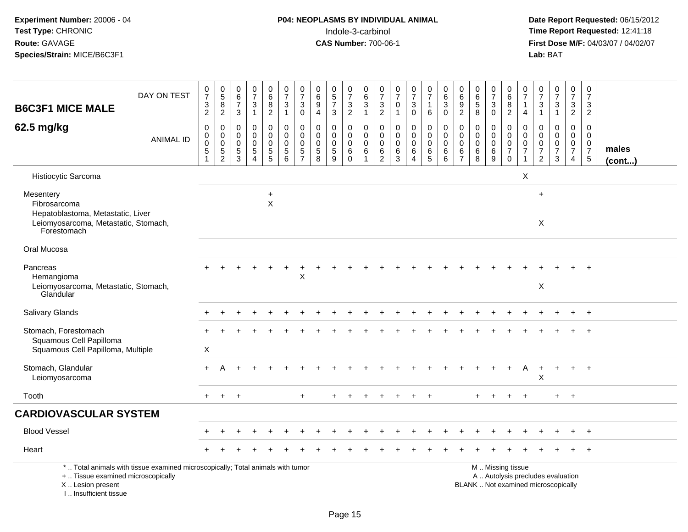# **P04: NEOPLASMS BY INDIVIDUAL ANIMAL**<br>Indole-3-carbinol Indole-3-carbinol **Time Report Requested:** 12:41:18

 **Date Report Requested:** 06/15/2012 **First Dose M/F:** 04/03/07 / 04/02/07<br>Lab: BAT **Lab:** BAT

| <b>B6C3F1 MICE MALE</b>                                                                                               | DAY ON TEST                                                                     | $\frac{0}{7}$<br>$\frac{3}{2}$                                                                | $\begin{array}{c} 0 \\ 5 \end{array}$<br>$\bf 8$<br>$\overline{c}$                    | 0<br>$\,6\,$<br>$\overline{7}$<br>3                           | $\frac{0}{7}$<br>$\sqrt{3}$<br>$\overline{1}$                               | 0<br>6<br>$\bf 8$<br>$\overline{2}$                       | $\frac{0}{7}$<br>$\sqrt{3}$<br>$\mathbf{1}$                            | $\frac{0}{7}$<br>$\mathbf{3}$<br>$\mathbf 0$                              | 0<br>$6\phantom{a}$<br>$\boldsymbol{9}$<br>$\overline{4}$                | $\begin{array}{c} 0 \\ 5 \\ 7 \end{array}$<br>3        | $\frac{0}{7}$<br>$\ensuremath{\mathsf{3}}$<br>$\overline{2}$ | 0<br>$6\phantom{a}$<br>$\sqrt{3}$<br>$\mathbf{1}$          | $\frac{0}{7}$<br>$\sqrt{3}$<br>$\overline{2}$      | $\frac{0}{7}$<br>$\pmb{0}$<br>$\overline{1}$                         | $\frac{0}{7}$<br>3<br>$\mathbf 0$               | $\frac{0}{7}$<br>$\mathbf{1}$<br>$\,6\,$                         | $\begin{array}{c} 0 \\ 6 \end{array}$<br>$\mathbf{3}$<br>$\mathbf 0$ | $\pmb{0}$<br>$6\phantom{a}$<br>$\boldsymbol{9}$<br>$\overline{2}$ | $\begin{array}{c} 0 \\ 6 \end{array}$<br>$\,$ 5 $\,$<br>8 | $\frac{0}{7}$<br>$\ensuremath{\mathsf{3}}$<br>$\mathbf 0$      | 0<br>6<br>$\, 8$<br>$\overline{2}$                                                 | 0<br>$\overline{7}$<br>1<br>$\overline{4}$             | $\frac{0}{7}$<br>$\ensuremath{\mathsf{3}}$<br>$\mathbf{1}$                               | $\frac{0}{7}$<br>$\mathbf{3}$<br>$\mathbf{1}$                            | $\frac{0}{7}$<br>$\mathbf{3}$<br>$\overline{2}$        | $\boldsymbol{0}$<br>$\overline{7}$<br>$\mathsf 3$<br>$\overline{2}$ |                       |
|-----------------------------------------------------------------------------------------------------------------------|---------------------------------------------------------------------------------|-----------------------------------------------------------------------------------------------|---------------------------------------------------------------------------------------|---------------------------------------------------------------|-----------------------------------------------------------------------------|-----------------------------------------------------------|------------------------------------------------------------------------|---------------------------------------------------------------------------|--------------------------------------------------------------------------|--------------------------------------------------------|--------------------------------------------------------------|------------------------------------------------------------|----------------------------------------------------|----------------------------------------------------------------------|-------------------------------------------------|------------------------------------------------------------------|----------------------------------------------------------------------|-------------------------------------------------------------------|-----------------------------------------------------------|----------------------------------------------------------------|------------------------------------------------------------------------------------|--------------------------------------------------------|------------------------------------------------------------------------------------------|--------------------------------------------------------------------------|--------------------------------------------------------|---------------------------------------------------------------------|-----------------------|
|                                                                                                                       |                                                                                 |                                                                                               |                                                                                       |                                                               |                                                                             |                                                           |                                                                        |                                                                           |                                                                          |                                                        |                                                              |                                                            |                                                    |                                                                      |                                                 |                                                                  |                                                                      |                                                                   |                                                           |                                                                |                                                                                    |                                                        |                                                                                          |                                                                          |                                                        |                                                                     |                       |
| 62.5 mg/kg                                                                                                            | <b>ANIMAL ID</b>                                                                | $\mathbf 0$<br>$\mathsf{O}\xspace$<br>$\mathsf{O}\xspace$<br>$\overline{5}$<br>$\overline{1}$ | $\mathbf 0$<br>$\mathsf{O}\xspace$<br>$\mathbf 0$<br>$\overline{5}$<br>$\overline{2}$ | $\mathbf 0$<br>$\mathbf 0$<br>0<br>$\sqrt{5}$<br>$\mathbf{3}$ | $\pmb{0}$<br>$\mathbf 0$<br>$\mathbf 0$<br>$\overline{5}$<br>$\overline{4}$ | 0<br>$\pmb{0}$<br>$\mathbf 0$<br>$\sqrt{5}$<br>$\sqrt{5}$ | $\mathbf 0$<br>$\mathbf 0$<br>$\mathbf 0$<br>$\overline{5}$<br>$\,6\,$ | $\mathbf 0$<br>$\mathbf 0$<br>$\mathbf 0$<br>$\sqrt{5}$<br>$\overline{7}$ | $\mathbf 0$<br>$\mathbf 0$<br>$\mathsf{O}\xspace$<br>$\overline{5}$<br>8 | 0<br>$\mathbf 0$<br>$\mathbf 0$<br>$\overline{5}$<br>9 | 0<br>$\mathbf 0$<br>$\mathbf 0$<br>$\,6$<br>$\pmb{0}$        | 0<br>$\mathbf 0$<br>$\mathbf 0$<br>$\,6\,$<br>$\mathbf{1}$ | 0<br>$\mathbf 0$<br>0<br>$\,6\,$<br>$\overline{c}$ | $\mathbf 0$<br>$\mathbf 0$<br>$\mathbf 0$<br>$\,6\,$<br>$\mathbf{3}$ | 0<br>$\mathbf 0$<br>$\mathbf 0$<br>$\,6\,$<br>4 | $\mathbf 0$<br>$\mathbf 0$<br>$\mathbf 0$<br>$\overline{6}$<br>5 | $\mathbf 0$<br>$\mathbf 0$<br>$\mathbf 0$<br>$\,6\,$<br>6            | $\mathbf 0$<br>$\mathbf 0$<br>0<br>6<br>$\overline{7}$            | 0<br>$\mathbf 0$<br>$\mathbf 0$<br>$6\overline{6}$<br>8   | 0<br>$\mathbf 0$<br>$\mathbf 0$<br>$\,6\,$<br>$\boldsymbol{9}$ | $\mathbf 0$<br>$\mathbf 0$<br>$\mathsf 0$<br>$\overline{7}$<br>$\mathsf{O}\xspace$ | $\mathbf 0$<br>$\mathbf 0$<br>0<br>$\overline{7}$<br>1 | $\overline{0}$<br>$\mathbf 0$<br>$\mathsf{O}\xspace$<br>$\overline{7}$<br>$\overline{2}$ | 0<br>$\mathbf 0$<br>$\mathbf 0$<br>$\overline{7}$<br>$\mathbf{3}$        | 0<br>$\mathbf 0$<br>$\mathbf 0$<br>$\overline{7}$<br>4 | 0<br>$\mathbf 0$<br>$\mathbf 0$<br>$\overline{7}$<br>$\sqrt{5}$     | males<br>$($ cont $)$ |
| Histiocytic Sarcoma                                                                                                   |                                                                                 |                                                                                               |                                                                                       |                                                               |                                                                             |                                                           |                                                                        |                                                                           |                                                                          |                                                        |                                                              |                                                            |                                                    |                                                                      |                                                 |                                                                  |                                                                      |                                                                   |                                                           |                                                                |                                                                                    | $\mathsf{X}$                                           |                                                                                          |                                                                          |                                                        |                                                                     |                       |
| Mesentery<br>Fibrosarcoma<br>Hepatoblastoma, Metastatic, Liver<br>Leiomyosarcoma, Metastatic, Stomach,<br>Forestomach |                                                                                 |                                                                                               |                                                                                       |                                                               |                                                                             | $\ddot{}$<br>$\times$                                     |                                                                        |                                                                           |                                                                          |                                                        |                                                              |                                                            |                                                    |                                                                      |                                                 |                                                                  |                                                                      |                                                                   |                                                           |                                                                |                                                                                    |                                                        | $\ddot{}$<br>$\boldsymbol{\mathsf{X}}$                                                   |                                                                          |                                                        |                                                                     |                       |
| Oral Mucosa                                                                                                           |                                                                                 |                                                                                               |                                                                                       |                                                               |                                                                             |                                                           |                                                                        |                                                                           |                                                                          |                                                        |                                                              |                                                            |                                                    |                                                                      |                                                 |                                                                  |                                                                      |                                                                   |                                                           |                                                                |                                                                                    |                                                        |                                                                                          |                                                                          |                                                        |                                                                     |                       |
| Pancreas<br>Hemangioma<br>Leiomyosarcoma, Metastatic, Stomach,<br>Glandular                                           |                                                                                 |                                                                                               |                                                                                       |                                                               |                                                                             |                                                           |                                                                        | $\pmb{\times}$                                                            |                                                                          |                                                        |                                                              |                                                            |                                                    |                                                                      |                                                 |                                                                  |                                                                      |                                                                   |                                                           |                                                                |                                                                                    |                                                        | $\mathsf X$                                                                              |                                                                          |                                                        |                                                                     |                       |
| <b>Salivary Glands</b>                                                                                                |                                                                                 |                                                                                               |                                                                                       |                                                               |                                                                             |                                                           |                                                                        |                                                                           |                                                                          |                                                        |                                                              |                                                            |                                                    |                                                                      |                                                 |                                                                  |                                                                      |                                                                   |                                                           |                                                                |                                                                                    |                                                        |                                                                                          |                                                                          |                                                        | $+$                                                                 |                       |
| Stomach, Forestomach<br>Squamous Cell Papilloma<br>Squamous Cell Papilloma, Multiple                                  |                                                                                 | $\times$                                                                                      |                                                                                       |                                                               |                                                                             |                                                           |                                                                        |                                                                           |                                                                          |                                                        |                                                              |                                                            |                                                    |                                                                      |                                                 |                                                                  |                                                                      |                                                                   |                                                           |                                                                |                                                                                    |                                                        |                                                                                          |                                                                          |                                                        |                                                                     |                       |
| Stomach, Glandular<br>Leiomyosarcoma                                                                                  |                                                                                 | $+$                                                                                           | А                                                                                     |                                                               |                                                                             |                                                           |                                                                        |                                                                           |                                                                          |                                                        |                                                              |                                                            |                                                    |                                                                      |                                                 |                                                                  |                                                                      |                                                                   |                                                           |                                                                |                                                                                    | A                                                      | $\ddot{}$<br>X                                                                           | $\ddot{}$                                                                | $\ddot{}$                                              | $+$                                                                 |                       |
| Tooth                                                                                                                 |                                                                                 | $+$                                                                                           | $+$                                                                                   | $+$                                                           |                                                                             |                                                           |                                                                        | $\ddot{}$                                                                 |                                                                          | $\ddot{}$                                              |                                                              |                                                            |                                                    |                                                                      |                                                 |                                                                  |                                                                      |                                                                   |                                                           |                                                                |                                                                                    | $+$                                                    |                                                                                          | $+$                                                                      | $+$                                                    |                                                                     |                       |
| <b>CARDIOVASCULAR SYSTEM</b>                                                                                          |                                                                                 |                                                                                               |                                                                                       |                                                               |                                                                             |                                                           |                                                                        |                                                                           |                                                                          |                                                        |                                                              |                                                            |                                                    |                                                                      |                                                 |                                                                  |                                                                      |                                                                   |                                                           |                                                                |                                                                                    |                                                        |                                                                                          |                                                                          |                                                        |                                                                     |                       |
| <b>Blood Vessel</b>                                                                                                   |                                                                                 |                                                                                               |                                                                                       |                                                               |                                                                             |                                                           |                                                                        |                                                                           |                                                                          |                                                        |                                                              |                                                            |                                                    |                                                                      |                                                 |                                                                  |                                                                      |                                                                   |                                                           |                                                                |                                                                                    |                                                        |                                                                                          |                                                                          |                                                        |                                                                     |                       |
| Heart                                                                                                                 |                                                                                 |                                                                                               |                                                                                       |                                                               |                                                                             |                                                           |                                                                        |                                                                           |                                                                          |                                                        |                                                              |                                                            |                                                    |                                                                      |                                                 |                                                                  |                                                                      |                                                                   |                                                           |                                                                |                                                                                    |                                                        |                                                                                          |                                                                          |                                                        | $+$                                                                 |                       |
| +  Tissue examined microscopically<br>X  Lesion present                                                               | *  Total animals with tissue examined microscopically; Total animals with tumor |                                                                                               |                                                                                       |                                                               |                                                                             |                                                           |                                                                        |                                                                           |                                                                          |                                                        |                                                              |                                                            |                                                    |                                                                      |                                                 |                                                                  |                                                                      |                                                                   |                                                           |                                                                | M  Missing tissue                                                                  |                                                        |                                                                                          | A  Autolysis precludes evaluation<br>BLANK  Not examined microscopically |                                                        |                                                                     |                       |

I .. Insufficient tissue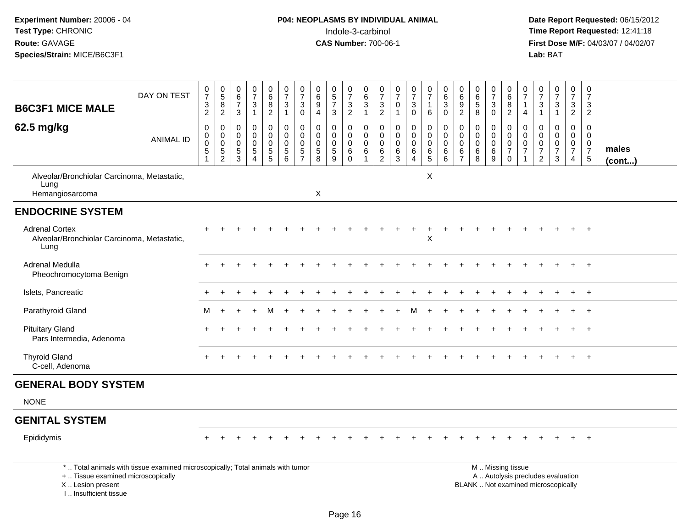I .. Insufficient tissue

# **P04: NEOPLASMS BY INDIVIDUAL ANIMAL**<br>Indole-3-carbinol Indole-3-carbinol **Time Report Requested:** 12:41:18

|                                                                              |                                                                                 |                                                            |                                                                 | $\pmb{0}$                                             |                                                                           |                                                        |                                |                                                       |                                                    | $\pmb{0}$                                                     |                                                        | 0                                                  |                                          |                                 |                                                                      |                                                           | 0                                     |                                       | 0                                      |                                       | 0                                                                | $\boldsymbol{0}$                                                    | $\pmb{0}$                                                                       |                                                                          |                                              | 0                                                                           |                       |
|------------------------------------------------------------------------------|---------------------------------------------------------------------------------|------------------------------------------------------------|-----------------------------------------------------------------|-------------------------------------------------------|---------------------------------------------------------------------------|--------------------------------------------------------|--------------------------------|-------------------------------------------------------|----------------------------------------------------|---------------------------------------------------------------|--------------------------------------------------------|----------------------------------------------------|------------------------------------------|---------------------------------|----------------------------------------------------------------------|-----------------------------------------------------------|---------------------------------------|---------------------------------------|----------------------------------------|---------------------------------------|------------------------------------------------------------------|---------------------------------------------------------------------|---------------------------------------------------------------------------------|--------------------------------------------------------------------------|----------------------------------------------|-----------------------------------------------------------------------------|-----------------------|
|                                                                              | DAY ON TEST                                                                     | $\frac{0}{7}$                                              | $\begin{array}{c} 0 \\ 5 \end{array}$                           | $\,6\,$                                               | $\begin{smallmatrix}0\\7\end{smallmatrix}$                                | $_{6}^{\rm 0}$                                         | $\frac{0}{7}$                  | $\frac{0}{7}$                                         | 0<br>$\,6\,$                                       | $\overline{5}$                                                | $\frac{0}{7}$                                          | $\,6\,$                                            | $\frac{0}{7}$                            | 0<br>$\overline{7}$             | $\frac{0}{7}$                                                        | $\begin{smallmatrix}0\\7\end{smallmatrix}$                | $\,6$                                 | $\begin{array}{c} 0 \\ 6 \end{array}$ | $\,6\,$                                | $\frac{0}{7}$                         | $\,6\,$                                                          | $\overline{7}$                                                      | $\overline{7}$                                                                  | $\frac{0}{7}$                                                            | $\frac{0}{7}$                                | $\overline{7}$                                                              |                       |
| <b>B6C3F1 MICE MALE</b>                                                      |                                                                                 | $\frac{3}{2}$                                              | $\bf 8$<br>$\overline{2}$                                       | $\overline{7}$<br>$\mathbf{3}$                        | $\mathbf{3}$<br>$\mathbf{1}$                                              | $\frac{8}{2}$                                          | 3<br>$\mathbf{1}$              | $\sqrt{3}$<br>$\mathbf 0$                             | $9\,$<br>$\overline{4}$                            | $\overline{7}$<br>$\mathbf{3}$                                | 3<br>$\overline{c}$                                    | $\mathbf{3}$<br>$\mathbf{1}$                       | $\frac{3}{2}$                            | 0<br>$\mathbf{1}$               | $\ensuremath{\mathsf{3}}$<br>$\mathbf 0$                             | $\mathbf{1}$<br>$\,6\,$                                   | 3<br>$\mathbf 0$                      | $\boldsymbol{9}$<br>$\overline{2}$    | $\sqrt{5}$<br>$\overline{8}$           | $\mathbf{3}$<br>$\mathbf 0$           | 8<br>2                                                           | $\overline{1}$<br>$\overline{4}$                                    | 3<br>$\mathbf{1}$                                                               | $\mathbf{3}$<br>$\mathbf{1}$                                             | $\mathbf{3}$<br>$\overline{2}$               | $\frac{3}{2}$                                                               |                       |
| 62.5 mg/kg                                                                   | <b>ANIMAL ID</b>                                                                | 0<br>$\boldsymbol{0}$<br>0<br>$\sqrt{5}$<br>$\overline{1}$ | 0<br>$\mathbf 0$<br>$\mathbf 0$<br>$\sqrt{5}$<br>$\overline{c}$ | 0<br>$\overline{0}$<br>$\mathbf 0$<br>$\sqrt{5}$<br>3 | $\mathbf 0$<br>$\mathbf 0$<br>$\mathbf 0$<br>$\sqrt{5}$<br>$\overline{4}$ | 0<br>$\mathsf{O}$<br>0<br>$\sqrt{5}$<br>$\overline{5}$ | 0<br>0<br>0<br>$\sqrt{5}$<br>6 | 0<br>$\mathbf 0$<br>$\boldsymbol{0}$<br>$\frac{5}{7}$ | 0<br>$\mathbf 0$<br>$\mathbf 0$<br>$\sqrt{5}$<br>8 | $\Omega$<br>$\mathbf 0$<br>$\mathbf 0$<br>$\overline{5}$<br>9 | 0<br>$\mathbf 0$<br>$\mathbf 0$<br>$\,6\,$<br>$\Omega$ | 0<br>$\mathbf 0$<br>0<br>$\,6\,$<br>$\overline{1}$ | 0<br>0<br>0<br>$\,6\,$<br>$\overline{2}$ | 0<br>$\mathbf 0$<br>0<br>6<br>3 | 0<br>$\mathsf{O}\xspace$<br>$\mathbf 0$<br>$\,6\,$<br>$\overline{4}$ | 0<br>$\mathbf 0$<br>$\mathbf 0$<br>$\,6\,$<br>$\,$ 5 $\,$ | 0<br>$\mathbf 0$<br>0<br>$\,6\,$<br>6 | 0<br>0<br>0<br>6<br>$\overline{7}$    | $\Omega$<br>$\mathbf 0$<br>0<br>6<br>8 | 0<br>$\mathbf 0$<br>0<br>$\,6\,$<br>9 | 0<br>$\mathbf 0$<br>$\mathbf 0$<br>$\overline{7}$<br>$\mathbf 0$ | 0<br>$\mathbf 0$<br>$\mathbf 0$<br>$\overline{7}$<br>$\overline{1}$ | $\mathbf 0$<br>$\mathbf 0$<br>$\mathbf 0$<br>$\boldsymbol{7}$<br>$\overline{c}$ | $\Omega$<br>$\mathbf 0$<br>0<br>$\overline{7}$<br>3                      | 0<br>$\mathbf 0$<br>0<br>$\overline{7}$<br>4 | $\pmb{0}$<br>$\mathbf 0$<br>$\mathbf 0$<br>$\overline{7}$<br>$\overline{5}$ | males<br>$($ cont $)$ |
| Alveolar/Bronchiolar Carcinoma, Metastatic,<br>Lung<br>Hemangiosarcoma       |                                                                                 |                                                            |                                                                 |                                                       |                                                                           |                                                        |                                |                                                       | $\boldsymbol{\mathsf{X}}$                          |                                                               |                                                        |                                                    |                                          |                                 |                                                                      | X                                                         |                                       |                                       |                                        |                                       |                                                                  |                                                                     |                                                                                 |                                                                          |                                              |                                                                             |                       |
| <b>ENDOCRINE SYSTEM</b>                                                      |                                                                                 |                                                            |                                                                 |                                                       |                                                                           |                                                        |                                |                                                       |                                                    |                                                               |                                                        |                                                    |                                          |                                 |                                                                      |                                                           |                                       |                                       |                                        |                                       |                                                                  |                                                                     |                                                                                 |                                                                          |                                              |                                                                             |                       |
| <b>Adrenal Cortex</b><br>Alveolar/Bronchiolar Carcinoma, Metastatic,<br>Lung |                                                                                 |                                                            |                                                                 |                                                       |                                                                           |                                                        |                                |                                                       |                                                    |                                                               |                                                        |                                                    |                                          |                                 |                                                                      | $\ddot{}$<br>X                                            |                                       |                                       |                                        |                                       |                                                                  |                                                                     |                                                                                 |                                                                          |                                              |                                                                             |                       |
| Adrenal Medulla<br>Pheochromocytoma Benign                                   |                                                                                 |                                                            |                                                                 |                                                       |                                                                           |                                                        |                                |                                                       |                                                    |                                                               |                                                        |                                                    |                                          |                                 |                                                                      |                                                           |                                       |                                       |                                        |                                       |                                                                  |                                                                     |                                                                                 |                                                                          |                                              | $\ddot{}$                                                                   |                       |
| Islets, Pancreatic                                                           |                                                                                 |                                                            |                                                                 |                                                       |                                                                           |                                                        |                                |                                                       |                                                    |                                                               |                                                        |                                                    |                                          |                                 |                                                                      |                                                           |                                       |                                       |                                        |                                       |                                                                  |                                                                     |                                                                                 |                                                                          |                                              | $\ddot{}$                                                                   |                       |
| Parathyroid Gland                                                            |                                                                                 | м                                                          |                                                                 |                                                       |                                                                           |                                                        |                                |                                                       |                                                    |                                                               |                                                        |                                                    |                                          |                                 |                                                                      |                                                           |                                       |                                       |                                        |                                       |                                                                  |                                                                     |                                                                                 |                                                                          |                                              |                                                                             |                       |
| <b>Pituitary Gland</b><br>Pars Intermedia, Adenoma                           |                                                                                 |                                                            |                                                                 |                                                       |                                                                           |                                                        |                                |                                                       |                                                    |                                                               |                                                        |                                                    |                                          |                                 |                                                                      |                                                           |                                       |                                       |                                        |                                       |                                                                  |                                                                     |                                                                                 |                                                                          |                                              |                                                                             |                       |
| <b>Thyroid Gland</b><br>C-cell, Adenoma                                      |                                                                                 |                                                            |                                                                 |                                                       |                                                                           |                                                        |                                |                                                       |                                                    |                                                               |                                                        |                                                    |                                          |                                 |                                                                      |                                                           |                                       |                                       |                                        |                                       |                                                                  |                                                                     |                                                                                 |                                                                          |                                              | $\overline{+}$                                                              |                       |
| <b>GENERAL BODY SYSTEM</b>                                                   |                                                                                 |                                                            |                                                                 |                                                       |                                                                           |                                                        |                                |                                                       |                                                    |                                                               |                                                        |                                                    |                                          |                                 |                                                                      |                                                           |                                       |                                       |                                        |                                       |                                                                  |                                                                     |                                                                                 |                                                                          |                                              |                                                                             |                       |
| <b>NONE</b>                                                                  |                                                                                 |                                                            |                                                                 |                                                       |                                                                           |                                                        |                                |                                                       |                                                    |                                                               |                                                        |                                                    |                                          |                                 |                                                                      |                                                           |                                       |                                       |                                        |                                       |                                                                  |                                                                     |                                                                                 |                                                                          |                                              |                                                                             |                       |
| <b>GENITAL SYSTEM</b>                                                        |                                                                                 |                                                            |                                                                 |                                                       |                                                                           |                                                        |                                |                                                       |                                                    |                                                               |                                                        |                                                    |                                          |                                 |                                                                      |                                                           |                                       |                                       |                                        |                                       |                                                                  |                                                                     |                                                                                 |                                                                          |                                              |                                                                             |                       |
| Epididymis                                                                   |                                                                                 |                                                            |                                                                 |                                                       |                                                                           |                                                        |                                |                                                       |                                                    |                                                               |                                                        |                                                    |                                          |                                 |                                                                      |                                                           |                                       |                                       |                                        |                                       |                                                                  |                                                                     |                                                                                 |                                                                          |                                              |                                                                             |                       |
| +  Tissue examined microscopically<br>X  Lesion present                      | *  Total animals with tissue examined microscopically; Total animals with tumor |                                                            |                                                                 |                                                       |                                                                           |                                                        |                                |                                                       |                                                    |                                                               |                                                        |                                                    |                                          |                                 |                                                                      |                                                           |                                       |                                       |                                        |                                       | M  Missing tissue                                                |                                                                     |                                                                                 | A  Autolysis precludes evaluation<br>BLANK  Not examined microscopically |                                              |                                                                             |                       |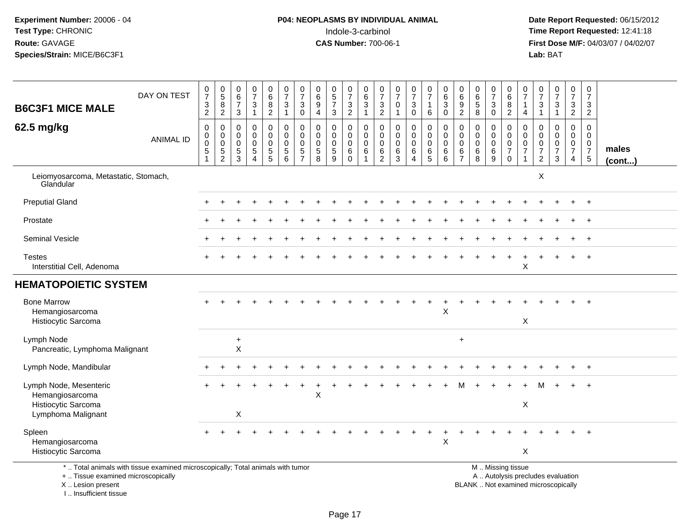# **P04: NEOPLASMS BY INDIVIDUAL ANIMAL**<br>Indole-3-carbinol Indole-3-carbinol **Time Report Requested:** 12:41:18

 **Date Report Requested:** 06/15/2012 **First Dose M/F:** 04/03/07 / 04/02/07<br>Lab: BAT **Lab:** BAT

|                                                                                 | DAY ON TEST      | $\frac{0}{7}$             | $\begin{array}{c} 0 \\ 5 \end{array}$ | $\begin{array}{c} 0 \\ 6 \end{array}$ | $\frac{0}{7}$  | $\begin{matrix} 0 \\ 6 \end{matrix}$ | $\frac{0}{7}$            | 0<br>$\overline{7}$        | 0<br>6                     | $\begin{array}{c} 0 \\ 5 \\ 7 \end{array}$ | $\frac{0}{7}$              | 0<br>$6\phantom{a}$    | 0<br>$\overline{7}$             | $\frac{0}{7}$              | $\frac{0}{7}$            | $\frac{0}{7}$                      | $\begin{matrix} 0 \\ 6 \end{matrix}$ | 0<br>$\,6\,$     | $\begin{matrix} 0 \\ 6 \\ 5 \end{matrix}$ | 0<br>$\overline{7}$        | 0<br>$\,6\,$               | 0<br>$\overline{7}$       | $\frac{0}{7}$  | $\frac{0}{7}$             | 0<br>$\overline{7}$ | 0<br>$\overline{7}$        |        |
|---------------------------------------------------------------------------------|------------------|---------------------------|---------------------------------------|---------------------------------------|----------------|--------------------------------------|--------------------------|----------------------------|----------------------------|--------------------------------------------|----------------------------|------------------------|---------------------------------|----------------------------|--------------------------|------------------------------------|--------------------------------------|------------------|-------------------------------------------|----------------------------|----------------------------|---------------------------|----------------|---------------------------|---------------------|----------------------------|--------|
| <b>B6C3F1 MICE MALE</b>                                                         |                  | $\ensuremath{\mathsf{3}}$ | $\,8\,$                               | $\boldsymbol{7}$                      | $\mathbf{3}$   | $\bf 8$                              | $\sqrt{3}$               | $\mathbf{3}$               | $\boldsymbol{9}$           |                                            | $\sqrt{3}$                 | $\sqrt{3}$             | $\frac{3}{2}$                   | $\mathsf{O}\xspace$        | 3                        | $\mathbf{1}$                       | $\overline{3}$                       | $\boldsymbol{9}$ |                                           | $\mathbf{3}$               | $\, 8$                     | $\mathbf{1}$              | 3              | $\ensuremath{\mathsf{3}}$ | $\mathsf 3$         | 3                          |        |
|                                                                                 |                  | $\overline{2}$            | $\overline{c}$                        | $\ensuremath{\mathsf{3}}$             | $\mathbf{1}$   | $\overline{2}$                       | $\overline{1}$           | 0                          | 4                          | $\mathbf{3}$                               | $\overline{2}$             | -1                     |                                 | $\mathbf{1}$               | 0                        | 6                                  | $\mathbf 0$                          | $\boldsymbol{2}$ | $\,8\,$                                   | $\mathbf 0$                | $\overline{2}$             | 4                         | $\mathbf{1}$   | $\mathbf{1}$              | $\overline{2}$      | $\overline{2}$             |        |
| 62.5 mg/kg                                                                      |                  | $\mathbf 0$               | 0                                     | $\mathbf 0$                           | 0              | 0                                    | $\mathbf 0$              | 0                          | $\mathbf 0$                | 0                                          | $\mathbf 0$                | $\mathbf 0$            | $\mathbf 0$                     | $\mathbf 0$                | 0                        | 0                                  | 0                                    | 0                | $\mathbf 0$                               | 0                          | $\mathbf 0$<br>$\mathbf 0$ | 0                         | 0              | $\mathbf 0$               | $\mathbf 0$         | $\Omega$                   |        |
|                                                                                 | <b>ANIMAL ID</b> | $\pmb{0}$<br>$\mathbf 0$  | $\mathbf 0$<br>$\mathbf 0$            | $\mathbf 0$<br>$\mathbf 0$            | $\pmb{0}$<br>0 | $\overline{0}$<br>0                  | $\pmb{0}$<br>$\mathbf 0$ | $\mathbf 0$<br>$\mathbf 0$ | $\mathbf 0$<br>$\mathbf 0$ | $\mathbf 0$<br>$\mathbf 0$                 | $\mathbf 0$<br>$\mathbf 0$ | $\pmb{0}$<br>$\pmb{0}$ | $\boldsymbol{0}$<br>$\mathbf 0$ | $\mathbf 0$<br>$\mathbf 0$ | $\mathsf{O}\xspace$<br>0 | $\mathsf{O}\xspace$<br>$\mathbf 0$ | $\mathsf{O}\xspace$<br>$\mathbf 0$   | 0<br>$\mathbf 0$ | $\pmb{0}$<br>$\mathbf 0$                  | $\mathbf 0$<br>$\mathbf 0$ | $\mathbf 0$                | $\mathbf 0$<br>0          | $\Omega$<br>0  | $\pmb{0}$<br>$\pmb{0}$    | $\mathbf 0$<br>0    | $\mathbf 0$<br>$\mathbf 0$ |        |
|                                                                                 |                  | $\sqrt{5}$                | 5                                     | 5                                     | 5              | $\sqrt{5}$                           | $\sqrt{5}$               | $\sqrt{5}$                 | $\sqrt{5}$                 | $\sqrt{5}$                                 | 6                          | $\,6\,$                | $\,6\,$                         | $\,6\,$                    | $\,6\,$                  | 6                                  | 6                                    | 6                | $\,6\,$                                   | $\,6\,$                    | $\boldsymbol{7}$           | $\overline{7}$            | $\overline{7}$ | $\overline{7}$            | $\overline{7}$      | $\overline{7}$             | males  |
|                                                                                 |                  | $\mathbf 1$               | 2                                     | 3                                     | $\overline{A}$ | 5                                    | 6                        | $\overline{7}$             | 8                          | 9                                          | $\Omega$                   |                        | $\overline{2}$                  | 3                          | 4                        | 5                                  | 6                                    | $\overline{7}$   | 8                                         | 9                          | $\mathbf 0$                |                           | $\overline{2}$ | 3                         | 4                   | $5\phantom{.0}$            | (cont) |
| Leiomyosarcoma, Metastatic, Stomach,<br>Glandular                               |                  |                           |                                       |                                       |                |                                      |                          |                            |                            |                                            |                            |                        |                                 |                            |                          |                                    |                                      |                  |                                           |                            |                            |                           | X              |                           |                     |                            |        |
| <b>Preputial Gland</b>                                                          |                  |                           |                                       |                                       |                |                                      |                          |                            |                            |                                            |                            |                        |                                 |                            |                          |                                    |                                      |                  |                                           |                            |                            |                           |                |                           |                     | $+$                        |        |
| Prostate                                                                        |                  |                           |                                       |                                       |                |                                      |                          |                            |                            |                                            |                            |                        |                                 |                            |                          |                                    |                                      |                  |                                           |                            |                            |                           |                |                           |                     |                            |        |
| Seminal Vesicle                                                                 |                  |                           |                                       |                                       |                |                                      |                          |                            |                            |                                            |                            |                        |                                 |                            |                          |                                    |                                      |                  |                                           |                            |                            |                           |                |                           |                     | $^{+}$                     |        |
| <b>Testes</b>                                                                   |                  |                           |                                       |                                       |                |                                      |                          |                            |                            |                                            |                            |                        |                                 |                            |                          |                                    |                                      |                  |                                           |                            |                            |                           |                |                           |                     |                            |        |
| Interstitial Cell, Adenoma                                                      |                  |                           |                                       |                                       |                |                                      |                          |                            |                            |                                            |                            |                        |                                 |                            |                          |                                    |                                      |                  |                                           |                            |                            | Χ                         |                |                           |                     |                            |        |
| <b>HEMATOPOIETIC SYSTEM</b>                                                     |                  |                           |                                       |                                       |                |                                      |                          |                            |                            |                                            |                            |                        |                                 |                            |                          |                                    |                                      |                  |                                           |                            |                            |                           |                |                           |                     |                            |        |
| <b>Bone Marrow</b>                                                              |                  |                           |                                       |                                       |                |                                      |                          |                            |                            |                                            |                            |                        |                                 |                            |                          |                                    |                                      |                  |                                           |                            |                            |                           |                |                           |                     | $+$                        |        |
| Hemangiosarcoma                                                                 |                  |                           |                                       |                                       |                |                                      |                          |                            |                            |                                            |                            |                        |                                 |                            |                          |                                    | X                                    |                  |                                           |                            |                            |                           |                |                           |                     |                            |        |
| Histiocytic Sarcoma                                                             |                  |                           |                                       |                                       |                |                                      |                          |                            |                            |                                            |                            |                        |                                 |                            |                          |                                    |                                      |                  |                                           |                            |                            | $\boldsymbol{\mathsf{X}}$ |                |                           |                     |                            |        |
| Lymph Node                                                                      |                  |                           |                                       | $\ddot{}$                             |                |                                      |                          |                            |                            |                                            |                            |                        |                                 |                            |                          |                                    |                                      | $+$              |                                           |                            |                            |                           |                |                           |                     |                            |        |
| Pancreatic, Lymphoma Malignant                                                  |                  |                           |                                       | X                                     |                |                                      |                          |                            |                            |                                            |                            |                        |                                 |                            |                          |                                    |                                      |                  |                                           |                            |                            |                           |                |                           |                     |                            |        |
| Lymph Node, Mandibular                                                          |                  |                           |                                       |                                       |                |                                      |                          |                            |                            |                                            |                            |                        |                                 |                            |                          |                                    |                                      |                  |                                           |                            |                            |                           |                |                           |                     | $\div$                     |        |
| Lymph Node, Mesenteric                                                          |                  |                           |                                       |                                       |                |                                      |                          |                            |                            |                                            |                            |                        |                                 |                            |                          |                                    |                                      |                  |                                           |                            |                            |                           |                |                           | $\ddot{}$           | $^{+}$                     |        |
| Hemangiosarcoma                                                                 |                  |                           |                                       |                                       |                |                                      |                          |                            | X                          |                                            |                            |                        |                                 |                            |                          |                                    |                                      |                  |                                           |                            |                            |                           |                |                           |                     |                            |        |
| Histiocytic Sarcoma                                                             |                  |                           |                                       |                                       |                |                                      |                          |                            |                            |                                            |                            |                        |                                 |                            |                          |                                    |                                      |                  |                                           |                            |                            | $\sf X$                   |                |                           |                     |                            |        |
| Lymphoma Malignant                                                              |                  |                           |                                       | $\boldsymbol{\mathsf{X}}$             |                |                                      |                          |                            |                            |                                            |                            |                        |                                 |                            |                          |                                    |                                      |                  |                                           |                            |                            |                           |                |                           |                     |                            |        |
| Spleen                                                                          |                  |                           |                                       |                                       |                |                                      |                          |                            |                            |                                            |                            |                        |                                 |                            |                          |                                    | $\ddot{}$                            |                  |                                           |                            |                            |                           |                |                           |                     |                            |        |
| Hemangiosarcoma                                                                 |                  |                           |                                       |                                       |                |                                      |                          |                            |                            |                                            |                            |                        |                                 |                            |                          |                                    | X                                    |                  |                                           |                            |                            |                           |                |                           |                     |                            |        |
| Histiocytic Sarcoma                                                             |                  |                           |                                       |                                       |                |                                      |                          |                            |                            |                                            |                            |                        |                                 |                            |                          |                                    |                                      |                  |                                           |                            |                            | $\mathsf X$               |                |                           |                     |                            |        |
| *  Total animals with tissue examined microscopically; Total animals with tumor |                  |                           |                                       |                                       |                |                                      |                          |                            |                            |                                            |                            |                        |                                 |                            |                          |                                    |                                      |                  |                                           |                            | M  Missing tissue          |                           |                |                           |                     |                            |        |

+ .. Tissue examined microscopically

X .. Lesion present

I .. Insufficient tissue

y the contract of the contract of the contract of the contract of the contract of the contract of the contract of  $A$ . Autolysis precludes evaluation

Lesion present BLANK .. Not examined microscopically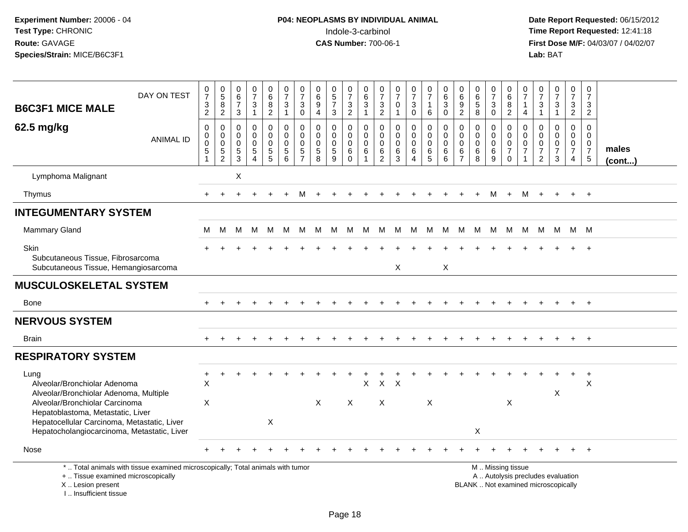| <b>B6C3F1 MICE MALE</b>                                                                                                                                                                                                                             | DAY ON TEST                                                                     | $\frac{0}{7}$<br>$\ensuremath{\mathsf{3}}$<br>$\overline{2}$                    | $\begin{array}{c} 0 \\ 5 \end{array}$<br>$\overline{8}$<br>$\overline{2}$  | $\begin{array}{c} 0 \\ 6 \end{array}$<br>$\overline{7}$<br>$\mathbf{3}$ | $\frac{0}{7}$<br>3<br>$\mathbf{1}$                              | $\begin{array}{c} 0 \\ 6 \end{array}$<br>$\bf 8$<br>$\overline{2}$ | $\frac{0}{7}$<br>$\ensuremath{\mathsf{3}}$<br>$\mathbf{1}$  | $\frac{0}{7}$<br>$\ensuremath{\mathsf{3}}$<br>$\mathbf 0$                   | $\mathbf 0$<br>$6\phantom{a}$<br>$\boldsymbol{9}$<br>$\overline{4}$ | $\begin{array}{c} 0 \\ 5 \end{array}$<br>$\overline{7}$<br>$\mathbf{3}$ | $\begin{array}{c} 0 \\ 7 \end{array}$<br>3<br>$\overline{2}$ | 0<br>$\overline{6}$<br>$\overline{3}$<br>$\mathbf{1}$       | 0<br>$\overline{7}$<br>$\frac{3}{2}$                | $\begin{array}{c} 0 \\ 7 \end{array}$<br>$\pmb{0}$<br>$\mathbf{1}$ | $\begin{smallmatrix}0\\7\end{smallmatrix}$<br>$\ensuremath{\mathsf{3}}$<br>$\mathbf 0$ | $\frac{0}{7}$<br>$\mathbf{1}$<br>6                  | $\begin{array}{c} 0 \\ 6 \end{array}$<br>$\ensuremath{\mathsf{3}}$<br>$\mathbf 0$ | $\begin{array}{c} 0 \\ 6 \end{array}$<br>$\frac{9}{2}$           | $_6^0$<br>5<br>8                          | $\begin{array}{c} 0 \\ 7 \end{array}$<br>$\frac{3}{0}$  | 0<br>$\overline{6}$<br>$\frac{8}{2}$                                                          | 0<br>$\frac{5}{7}$<br>$\overline{1}$<br>$\overline{4}$                        | $\frac{0}{7}$<br>$\ensuremath{\mathsf{3}}$<br>$\mathbf{1}$ | $\frac{0}{7}$<br>$\ensuremath{\mathsf{3}}$<br>$\mathbf{1}$ | $\begin{smallmatrix}0\\7\end{smallmatrix}$<br>$\frac{3}{2}$                   | 0<br>$\overline{7}$<br>3<br>$\overline{2}$          |                       |
|-----------------------------------------------------------------------------------------------------------------------------------------------------------------------------------------------------------------------------------------------------|---------------------------------------------------------------------------------|---------------------------------------------------------------------------------|----------------------------------------------------------------------------|-------------------------------------------------------------------------|-----------------------------------------------------------------|--------------------------------------------------------------------|-------------------------------------------------------------|-----------------------------------------------------------------------------|---------------------------------------------------------------------|-------------------------------------------------------------------------|--------------------------------------------------------------|-------------------------------------------------------------|-----------------------------------------------------|--------------------------------------------------------------------|----------------------------------------------------------------------------------------|-----------------------------------------------------|-----------------------------------------------------------------------------------|------------------------------------------------------------------|-------------------------------------------|---------------------------------------------------------|-----------------------------------------------------------------------------------------------|-------------------------------------------------------------------------------|------------------------------------------------------------|------------------------------------------------------------|-------------------------------------------------------------------------------|-----------------------------------------------------|-----------------------|
| 62.5 mg/kg                                                                                                                                                                                                                                          | <b>ANIMAL ID</b>                                                                | $\boldsymbol{0}$<br>$\mathbf 0$<br>$\mathbf 0$<br>$\,$ 5 $\,$<br>$\overline{1}$ | $\mathbf 0$<br>$\mathbf 0$<br>$\mathbf 0$<br>$\,$ 5 $\,$<br>$\overline{2}$ | $\Omega$<br>$\mathbf 0$<br>$\Omega$<br>$\sqrt{5}$<br>3                  | 0<br>$\mathbf 0$<br>$\mathbf 0$<br>$\sqrt{5}$<br>$\overline{4}$ | $\mathsf 0$<br>$\mathbf 0$<br>$\mathbf 0$<br>$\,$ 5 $\,$<br>5      | $\mathbf 0$<br>$\pmb{0}$<br>$\mathbf 0$<br>$\,$ 5 $\,$<br>6 | $\mathbf 0$<br>$\mathbf 0$<br>$\mathbf{0}$<br>$\,$ 5 $\,$<br>$\overline{7}$ | $\mathbf 0$<br>$\mathbf 0$<br>$\mathbf 0$<br>$\sqrt{5}$<br>8        | 0<br>$\mathbf 0$<br>$\mathbf 0$<br>$\,$ 5 $\,$<br>9                     | $\mathbf 0$<br>$\mathbf 0$<br>$\mathbf 0$<br>6<br>$\Omega$   | $\mathbf 0$<br>$\mathsf{O}\xspace$<br>$\mathbf 0$<br>6<br>1 | $\mathbf 0$<br>$\mathbf 0$<br>$\mathbf 0$<br>6<br>2 | 0<br>$\pmb{0}$<br>$\mathbf 0$<br>$\,6\,$<br>$\mathbf{3}$           | 0<br>$\mathbf 0$<br>$\mathbf 0$<br>$\,6\,$<br>$\overline{4}$                           | $\mathbf 0$<br>$\mathbf 0$<br>$\mathbf 0$<br>6<br>5 | $\mathbf 0$<br>$\mathbf 0$<br>$\Omega$<br>6<br>6                                  | $\mathbf 0$<br>$\mathbf 0$<br>$\mathbf 0$<br>6<br>$\overline{7}$ | 0<br>$\mathbf 0$<br>$\mathbf 0$<br>6<br>8 | 0<br>$\mathsf{O}\xspace$<br>$\mathbf 0$<br>$\,6\,$<br>9 | $\mathbf 0$<br>$\mathbf 0$<br>$\mathbf 0$<br>$\overline{7}$<br>$\mathbf 0$                    | $\mathbf 0$<br>$\mathbf 0$<br>$\mathbf 0$<br>$\overline{7}$<br>$\overline{1}$ | $\mathbf 0$<br>$\mathbf 0$<br>0<br>$\boldsymbol{7}$<br>2   | 0<br>$\mathbf 0$<br>$\mathbf 0$<br>$\overline{7}$<br>3     | $\mathbf 0$<br>$\mathbf 0$<br>$\mathbf 0$<br>$\overline{7}$<br>$\overline{4}$ | $\Omega$<br>$\mathbf 0$<br>0<br>$\overline{7}$<br>5 | males<br>$($ cont $)$ |
| Lymphoma Malignant                                                                                                                                                                                                                                  |                                                                                 |                                                                                 |                                                                            | $\boldsymbol{\mathsf{X}}$                                               |                                                                 |                                                                    |                                                             |                                                                             |                                                                     |                                                                         |                                                              |                                                             |                                                     |                                                                    |                                                                                        |                                                     |                                                                                   |                                                                  |                                           |                                                         |                                                                                               |                                                                               |                                                            |                                                            |                                                                               |                                                     |                       |
| Thymus                                                                                                                                                                                                                                              |                                                                                 | $\ddot{}$                                                                       | $\ddot{}$                                                                  |                                                                         |                                                                 |                                                                    |                                                             | м                                                                           |                                                                     |                                                                         |                                                              |                                                             |                                                     |                                                                    |                                                                                        |                                                     |                                                                                   |                                                                  | $\pm$                                     | M                                                       | $+$                                                                                           | M                                                                             | $+$                                                        | $+$                                                        | $+$                                                                           | $+$                                                 |                       |
| <b>INTEGUMENTARY SYSTEM</b>                                                                                                                                                                                                                         |                                                                                 |                                                                                 |                                                                            |                                                                         |                                                                 |                                                                    |                                                             |                                                                             |                                                                     |                                                                         |                                                              |                                                             |                                                     |                                                                    |                                                                                        |                                                     |                                                                                   |                                                                  |                                           |                                                         |                                                                                               |                                                                               |                                                            |                                                            |                                                                               |                                                     |                       |
| <b>Mammary Gland</b>                                                                                                                                                                                                                                |                                                                                 | м                                                                               | м                                                                          | M                                                                       | M                                                               | M                                                                  | M                                                           | M                                                                           | M                                                                   | M                                                                       | M                                                            | M                                                           |                                                     | M M M                                                              |                                                                                        | M                                                   | M                                                                                 | M                                                                | M                                         | M                                                       | M                                                                                             | M                                                                             | M                                                          | M                                                          | M M                                                                           |                                                     |                       |
| Skin<br>Subcutaneous Tissue, Fibrosarcoma<br>Subcutaneous Tissue, Hemangiosarcoma                                                                                                                                                                   |                                                                                 |                                                                                 |                                                                            |                                                                         |                                                                 |                                                                    |                                                             |                                                                             |                                                                     |                                                                         |                                                              |                                                             |                                                     | X                                                                  |                                                                                        |                                                     | X                                                                                 |                                                                  |                                           |                                                         |                                                                                               |                                                                               |                                                            |                                                            |                                                                               |                                                     |                       |
| <b>MUSCULOSKELETAL SYSTEM</b>                                                                                                                                                                                                                       |                                                                                 |                                                                                 |                                                                            |                                                                         |                                                                 |                                                                    |                                                             |                                                                             |                                                                     |                                                                         |                                                              |                                                             |                                                     |                                                                    |                                                                                        |                                                     |                                                                                   |                                                                  |                                           |                                                         |                                                                                               |                                                                               |                                                            |                                                            |                                                                               |                                                     |                       |
| Bone                                                                                                                                                                                                                                                |                                                                                 |                                                                                 |                                                                            |                                                                         |                                                                 |                                                                    |                                                             |                                                                             |                                                                     |                                                                         |                                                              |                                                             |                                                     |                                                                    |                                                                                        |                                                     |                                                                                   |                                                                  |                                           |                                                         |                                                                                               |                                                                               |                                                            |                                                            |                                                                               | $\ddot{}$                                           |                       |
| <b>NERVOUS SYSTEM</b>                                                                                                                                                                                                                               |                                                                                 |                                                                                 |                                                                            |                                                                         |                                                                 |                                                                    |                                                             |                                                                             |                                                                     |                                                                         |                                                              |                                                             |                                                     |                                                                    |                                                                                        |                                                     |                                                                                   |                                                                  |                                           |                                                         |                                                                                               |                                                                               |                                                            |                                                            |                                                                               |                                                     |                       |
| <b>Brain</b>                                                                                                                                                                                                                                        |                                                                                 |                                                                                 |                                                                            |                                                                         |                                                                 |                                                                    |                                                             |                                                                             |                                                                     |                                                                         |                                                              |                                                             |                                                     |                                                                    |                                                                                        |                                                     |                                                                                   |                                                                  |                                           |                                                         |                                                                                               |                                                                               |                                                            |                                                            |                                                                               | $+$                                                 |                       |
| <b>RESPIRATORY SYSTEM</b>                                                                                                                                                                                                                           |                                                                                 |                                                                                 |                                                                            |                                                                         |                                                                 |                                                                    |                                                             |                                                                             |                                                                     |                                                                         |                                                              |                                                             |                                                     |                                                                    |                                                                                        |                                                     |                                                                                   |                                                                  |                                           |                                                         |                                                                                               |                                                                               |                                                            |                                                            |                                                                               |                                                     |                       |
| Lung<br>Alveolar/Bronchiolar Adenoma<br>Alveolar/Bronchiolar Adenoma, Multiple<br>Alveolar/Bronchiolar Carcinoma<br>Hepatoblastoma, Metastatic, Liver<br>Hepatocellular Carcinoma, Metastatic, Liver<br>Hepatocholangiocarcinoma, Metastatic, Liver |                                                                                 | $\ddot{}$<br>$\boldsymbol{\mathsf{X}}$<br>X                                     |                                                                            |                                                                         |                                                                 | $\boldsymbol{\mathsf{X}}$                                          |                                                             |                                                                             | $\mathsf{X}$                                                        |                                                                         | X                                                            | X                                                           | X                                                   | $X$ $X$                                                            |                                                                                        | X                                                   |                                                                                   |                                                                  | X                                         |                                                         | X                                                                                             |                                                                               |                                                            | X                                                          |                                                                               | $\ddot{}$<br>X                                      |                       |
| Nose                                                                                                                                                                                                                                                |                                                                                 |                                                                                 |                                                                            |                                                                         |                                                                 |                                                                    |                                                             |                                                                             |                                                                     |                                                                         |                                                              |                                                             |                                                     |                                                                    |                                                                                        |                                                     |                                                                                   |                                                                  |                                           |                                                         |                                                                                               |                                                                               |                                                            |                                                            |                                                                               |                                                     |                       |
| +  Tissue examined microscopically<br>X  Lesion present<br>I Insufficient tissue                                                                                                                                                                    | *  Total animals with tissue examined microscopically; Total animals with tumor |                                                                                 |                                                                            |                                                                         |                                                                 |                                                                    |                                                             |                                                                             |                                                                     |                                                                         |                                                              |                                                             |                                                     |                                                                    |                                                                                        |                                                     |                                                                                   |                                                                  |                                           |                                                         | M  Missing tissue<br>A  Autolysis precludes evaluation<br>BLANK  Not examined microscopically |                                                                               |                                                            |                                                            |                                                                               |                                                     |                       |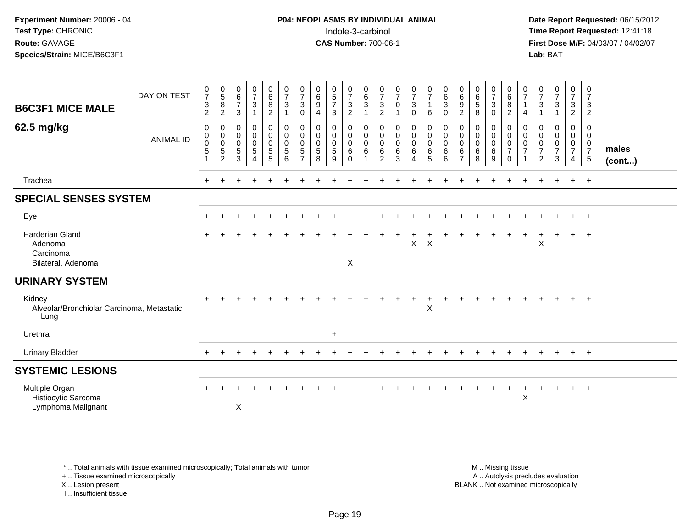**Date Report Requested:** 06/15/2012 **First Dose M/F:** 04/03/07 / 04/02/07<br>Lab: BAT **Lab:** BAT

| <b>B6C3F1 MICE MALE</b>                                                                | DAY ON TEST      | $\frac{0}{7}$<br>$\sqrt{3}$<br>$\overline{2}$ | $\begin{array}{c} 0 \\ 5 \\ 8 \end{array}$<br>$\overline{c}$ | $\begin{array}{c} 0 \\ 6 \end{array}$<br>$\overline{7}$<br>$\mathbf{3}$ | $\frac{0}{7}$<br>$\mathbf{3}$                                     | $\begin{matrix} 0 \\ 6 \end{matrix}$<br>$\bf 8$<br>$\overline{a}$                   | $\frac{0}{7}$<br>$\ensuremath{\mathsf{3}}$<br>1                      | $\frac{0}{7}$<br>$\ensuremath{\mathsf{3}}$<br>$\mathbf 0$ | $\begin{matrix} 0 \\ 6 \\ 9 \end{matrix}$<br>$\overline{4}$          | $\begin{array}{c} 0 \\ 5 \\ 7 \end{array}$<br>$\sqrt{3}$   | $\frac{0}{7}$<br>3<br>$\overline{c}$                     | $\begin{matrix} 0 \\ 6 \end{matrix}$<br>3    | $\frac{0}{7}$<br>$\frac{3}{2}$                                    | $\frac{0}{7}$<br>$\pmb{0}$                            | $\frac{0}{7}$<br>$\ensuremath{\mathsf{3}}$<br>$\pmb{0}$                          | $\frac{0}{7}$<br>$\mathbf{1}$<br>$\,6\,$         | $\begin{array}{c} 0 \\ 6 \end{array}$<br>$\ensuremath{\mathsf{3}}$<br>0 | $\begin{matrix} 0 \\ 6 \end{matrix}$<br>$\boldsymbol{9}$<br>$\overline{c}$ | $\begin{array}{c} 0 \\ 6 \\ 5 \end{array}$<br>8          | $\frac{0}{7}$<br>$\mathbf{3}$<br>$\mathbf 0$                           | $\begin{array}{c} 0 \\ 6 \end{array}$<br>$\, 8$<br>$\sqrt{2}$ | $\frac{0}{7}$<br>$\overline{1}$<br>4                                        | $\frac{0}{7}$<br>$\ensuremath{\mathsf{3}}$<br>1 | $\frac{0}{7}$<br>$\mathbf{3}$                               | $\begin{smallmatrix}0\\7\end{smallmatrix}$<br>$\frac{3}{2}$                 | $\frac{0}{7}$<br>$\mathsf 3$<br>$\overline{2}$  |                 |
|----------------------------------------------------------------------------------------|------------------|-----------------------------------------------|--------------------------------------------------------------|-------------------------------------------------------------------------|-------------------------------------------------------------------|-------------------------------------------------------------------------------------|----------------------------------------------------------------------|-----------------------------------------------------------|----------------------------------------------------------------------|------------------------------------------------------------|----------------------------------------------------------|----------------------------------------------|-------------------------------------------------------------------|-------------------------------------------------------|----------------------------------------------------------------------------------|--------------------------------------------------|-------------------------------------------------------------------------|----------------------------------------------------------------------------|----------------------------------------------------------|------------------------------------------------------------------------|---------------------------------------------------------------|-----------------------------------------------------------------------------|-------------------------------------------------|-------------------------------------------------------------|-----------------------------------------------------------------------------|-------------------------------------------------|-----------------|
| 62.5 mg/kg                                                                             | <b>ANIMAL ID</b> | 0<br>0<br>$\,0\,$<br>$\sqrt{5}$               | $\mathbf 0$<br>$\begin{matrix}0\\0\\5\\2\end{matrix}$        | $\mathbf 0$<br>$\pmb{0}$<br>$\mathsf{O}\xspace$<br>$\sqrt{5}$<br>3      | 0<br>0<br>$\mathsf{O}\xspace$<br>$\overline{5}$<br>$\overline{4}$ | 0<br>$\ddot{\mathbf{0}}$<br>$\ddot{\mathbf{0}}$<br>$\overline{5}$<br>$\overline{5}$ | 0<br>$\pmb{0}$<br>$\overline{0}$<br>$\overline{5}$<br>$6\phantom{a}$ | 0<br>0<br>$\mathbf 0$<br>$\sqrt{5}$<br>$\overline{7}$     | $\mathbf 0$<br>$\ddot{\mathbf{0}}$<br>$\mathbf 0$<br>$\sqrt{5}$<br>8 | 0<br>$\mathbf 0$<br>$\mathsf{O}\xspace$<br>$\sqrt{5}$<br>9 | 0<br>$\mathbf 0$<br>$\mathsf{O}\xspace$<br>6<br>$\Omega$ | 0<br>$\mathsf{O}\xspace$<br>$\mathbf 0$<br>6 | 0<br>$\boldsymbol{0}$<br>$\mathbf 0$<br>$\,6\,$<br>$\overline{2}$ | 0<br>$\overline{0}$<br>$0$<br>$\,6\,$<br>$\mathbf{3}$ | $\mathbf 0$<br>$\mathsf{O}\xspace$<br>$\ddot{\mathbf{0}}$<br>6<br>$\overline{4}$ | 0<br>$\pmb{0}$<br>$\overline{0}$<br>$\,6\,$<br>5 | 0<br>0<br>$\mathbf 0$<br>6<br>6                                         | 0<br>$\mathsf{O}\xspace$<br>$\mathbf 0$<br>$\,6\,$<br>$\overline{7}$       | 0<br>$\pmb{0}$<br>$\pmb{0}$<br>$\,6\,$<br>$\overline{8}$ | $\mathbf 0$<br>$\mathbf 0$<br>$\mathbf 0$<br>$\,6\,$<br>$\overline{9}$ | 0<br>$\pmb{0}$<br>$\pmb{0}$<br>$\overline{7}$<br>$\Omega$     | $\mathbf 0$<br>$\mathbf 0$<br>$\mathbf 0$<br>$\overline{7}$<br>$\mathbf{1}$ | 0<br>0<br>0<br>$\overline{7}$<br>$\overline{2}$ | 0<br>$\mathbf 0$<br>$\boldsymbol{0}$<br>$\overline{7}$<br>3 | 0<br>$\mathbf 0$<br>$\begin{array}{c} 0 \\ 7 \end{array}$<br>$\overline{4}$ | 0<br>$\mathbf 0$<br>$\frac{0}{7}$<br>$\sqrt{5}$ | males<br>(cont) |
| Trachea                                                                                |                  |                                               |                                                              |                                                                         |                                                                   |                                                                                     |                                                                      |                                                           |                                                                      |                                                            |                                                          |                                              |                                                                   |                                                       |                                                                                  |                                                  |                                                                         |                                                                            |                                                          |                                                                        |                                                               |                                                                             |                                                 |                                                             | $+$                                                                         | $+$                                             |                 |
| <b>SPECIAL SENSES SYSTEM</b>                                                           |                  |                                               |                                                              |                                                                         |                                                                   |                                                                                     |                                                                      |                                                           |                                                                      |                                                            |                                                          |                                              |                                                                   |                                                       |                                                                                  |                                                  |                                                                         |                                                                            |                                                          |                                                                        |                                                               |                                                                             |                                                 |                                                             |                                                                             |                                                 |                 |
| Eye                                                                                    |                  |                                               |                                                              |                                                                         |                                                                   |                                                                                     |                                                                      |                                                           |                                                                      |                                                            |                                                          |                                              |                                                                   |                                                       |                                                                                  |                                                  |                                                                         |                                                                            |                                                          |                                                                        |                                                               |                                                                             |                                                 |                                                             | $\pm$                                                                       | $^{+}$                                          |                 |
| Harderian Gland<br>Adenoma<br>Carcinoma<br>Bilateral, Adenoma                          |                  |                                               |                                                              |                                                                         |                                                                   |                                                                                     |                                                                      |                                                           |                                                                      |                                                            | X                                                        |                                              |                                                                   |                                                       | $\mathsf{X}$                                                                     | $\boldsymbol{\mathsf{X}}$                        |                                                                         |                                                                            |                                                          |                                                                        |                                                               |                                                                             | X                                               |                                                             | $+$                                                                         | $^{+}$                                          |                 |
|                                                                                        |                  |                                               |                                                              |                                                                         |                                                                   |                                                                                     |                                                                      |                                                           |                                                                      |                                                            |                                                          |                                              |                                                                   |                                                       |                                                                                  |                                                  |                                                                         |                                                                            |                                                          |                                                                        |                                                               |                                                                             |                                                 |                                                             |                                                                             |                                                 |                 |
| <b>URINARY SYSTEM</b><br>Kidney<br>Alveolar/Bronchiolar Carcinoma, Metastatic,<br>Lung |                  |                                               |                                                              |                                                                         |                                                                   |                                                                                     |                                                                      |                                                           |                                                                      |                                                            |                                                          |                                              |                                                                   |                                                       |                                                                                  | $\div$<br>$\boldsymbol{\mathsf{X}}$              |                                                                         |                                                                            |                                                          |                                                                        |                                                               |                                                                             |                                                 |                                                             | $+$                                                                         | $+$                                             |                 |
| Urethra                                                                                |                  |                                               |                                                              |                                                                         |                                                                   |                                                                                     |                                                                      |                                                           |                                                                      | $\ddot{}$                                                  |                                                          |                                              |                                                                   |                                                       |                                                                                  |                                                  |                                                                         |                                                                            |                                                          |                                                                        |                                                               |                                                                             |                                                 |                                                             |                                                                             |                                                 |                 |
| <b>Urinary Bladder</b>                                                                 |                  | $+$                                           |                                                              |                                                                         |                                                                   |                                                                                     |                                                                      |                                                           |                                                                      |                                                            |                                                          |                                              |                                                                   |                                                       |                                                                                  |                                                  |                                                                         |                                                                            |                                                          |                                                                        |                                                               |                                                                             |                                                 | $\ddot{}$                                                   | $+$                                                                         | $+$                                             |                 |
| <b>SYSTEMIC LESIONS</b>                                                                |                  |                                               |                                                              |                                                                         |                                                                   |                                                                                     |                                                                      |                                                           |                                                                      |                                                            |                                                          |                                              |                                                                   |                                                       |                                                                                  |                                                  |                                                                         |                                                                            |                                                          |                                                                        |                                                               |                                                                             |                                                 |                                                             |                                                                             |                                                 |                 |
| Multiple Organ<br>Histiocytic Sarcoma<br>Lymphoma Malignant                            |                  |                                               |                                                              | X                                                                       |                                                                   |                                                                                     |                                                                      |                                                           |                                                                      |                                                            |                                                          |                                              |                                                                   |                                                       |                                                                                  |                                                  |                                                                         |                                                                            |                                                          |                                                                        | $\ddot{}$                                                     | $\ddot{}$<br>X                                                              |                                                 | $\div$                                                      | $+$                                                                         | $+$                                             |                 |

\* .. Total animals with tissue examined microscopically; Total animals with tumor

+ .. Tissue examined microscopically

X .. Lesion present

I .. Insufficient tissue

 M .. Missing tissuey the contract of the contract of the contract of the contract of the contract of the contract of the contract of  $A$ . Autolysis precludes evaluation Lesion present BLANK .. Not examined microscopically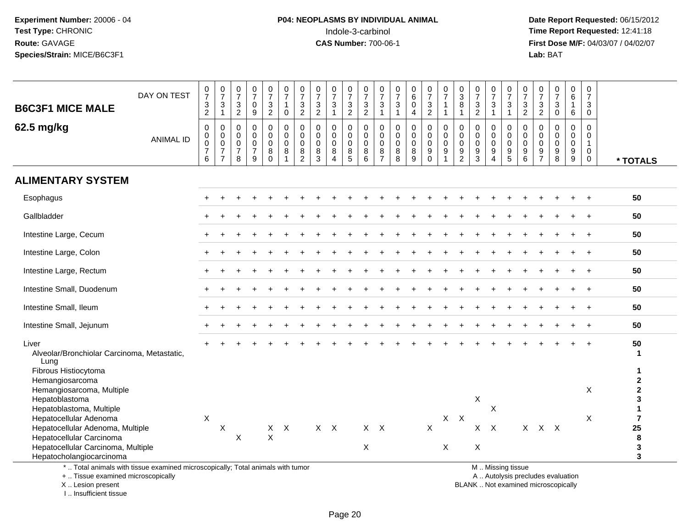# **P04: NEOPLASMS BY INDIVIDUAL ANIMAL**Indole-3-carbinol **Time Report Requested:** 12:41:18

 **Date Report Requested:** 06/15/2012 **First Dose M/F:** 04/03/07 / 04/02/07<br>Lab: BAT **Lab:** BAT

| <b>B6C3F1 MICE MALE</b>                                                                                                                                  | DAY ON TEST      | $\frac{0}{7}$<br>$\mathfrak{S}$<br>$\overline{2}$                       | $\frac{0}{7}$<br>3<br>$\mathbf{1}$                                  | $\frac{0}{7}$<br>$\sqrt{3}$<br>$\overline{c}$                    | $\frac{0}{7}$<br>$\pmb{0}$<br>$\boldsymbol{9}$                   | $\begin{smallmatrix}0\\7\end{smallmatrix}$<br>$\ensuremath{\mathsf{3}}$<br>$\overline{2}$ | $\frac{0}{7}$<br>$\overline{1}$<br>$\mathbf 0$                         | $\frac{0}{7}$<br>$\ensuremath{\mathsf{3}}$<br>2                        | $\frac{0}{7}$<br>$\sqrt{3}$<br>$\overline{c}$             | $\frac{0}{7}$<br>$\mathbf{3}$<br>$\mathbf{1}$              | $\frac{0}{7}$<br>$\frac{3}{2}$                           | $\begin{array}{c} 0 \\ 7 \end{array}$<br>$\ensuremath{\mathsf{3}}$<br>$\overline{2}$ | $\frac{0}{7}$<br>$\ensuremath{\mathsf{3}}$<br>$\overline{1}$ | $\frac{0}{7}$<br>$\sqrt{3}$<br>$\mathbf{1}$                 | 0<br>$\overline{6}$<br>$\pmb{0}$<br>4                        | $\frac{0}{7}$<br>$\frac{3}{2}$                                                  | 0<br>$\overline{7}$<br>1             | $\frac{0}{3}$<br>$\bf 8$<br>$\mathbf{1}$                         | $\frac{0}{7}$<br>$\ensuremath{\mathsf{3}}$<br>$\overline{2}$ | $\frac{0}{7}$<br>$\ensuremath{\mathsf{3}}$<br>$\mathbf{1}$                    | $\frac{0}{7}$<br>$\ensuremath{\mathsf{3}}$<br>$\mathbf{1}$ | $\frac{0}{7}$<br>$\frac{3}{2}$                                                     | $\frac{0}{7}$<br>$\frac{3}{2}$                             | $\frac{0}{7}$<br>$\ensuremath{\mathsf{3}}$<br>$\pmb{0}$    | 0<br>$6\overline{6}$<br>$\mathbf{1}$<br>6                          | 0<br>$\overline{7}$<br>3<br>$\mathbf 0$ |                                                         |
|----------------------------------------------------------------------------------------------------------------------------------------------------------|------------------|-------------------------------------------------------------------------|---------------------------------------------------------------------|------------------------------------------------------------------|------------------------------------------------------------------|-------------------------------------------------------------------------------------------|------------------------------------------------------------------------|------------------------------------------------------------------------|-----------------------------------------------------------|------------------------------------------------------------|----------------------------------------------------------|--------------------------------------------------------------------------------------|--------------------------------------------------------------|-------------------------------------------------------------|--------------------------------------------------------------|---------------------------------------------------------------------------------|--------------------------------------|------------------------------------------------------------------|--------------------------------------------------------------|-------------------------------------------------------------------------------|------------------------------------------------------------|------------------------------------------------------------------------------------|------------------------------------------------------------|------------------------------------------------------------|--------------------------------------------------------------------|-----------------------------------------|---------------------------------------------------------|
| 62.5 mg/kg                                                                                                                                               | <b>ANIMAL ID</b> | $\mathbf 0$<br>0<br>$\mathsf{O}\xspace$<br>$\overline{\mathbf{7}}$<br>6 | 0<br>$\mathbf 0$<br>$\mathbf 0$<br>$\overline{7}$<br>$\overline{7}$ | $\mathbf 0$<br>$\mathbf 0$<br>$\mathbf 0$<br>$\overline{7}$<br>8 | $\mathbf 0$<br>$\mathbf 0$<br>$\mathbf 0$<br>$\overline{7}$<br>9 | $\mathbf{0}$<br>$\mathbf 0$<br>$\mathsf{O}\xspace$<br>$\,8\,$<br>$\mathbf 0$              | $\mathbf 0$<br>$\mathbf 0$<br>$\mathbf 0$<br>$\,8\,$<br>$\overline{1}$ | $\mathbf 0$<br>$\mathbf 0$<br>$\mathbf 0$<br>$\,8\,$<br>$\overline{2}$ | $\mathbf 0$<br>$\mathbf 0$<br>$\mathbf 0$<br>$\,8\,$<br>3 | $\mathbf 0$<br>0<br>$\pmb{0}$<br>$\bf 8$<br>$\overline{4}$ | 0<br>$\mathbf 0$<br>$\mathbf 0$<br>$\bf 8$<br>$\sqrt{5}$ | 0<br>$\pmb{0}$<br>$\pmb{0}$<br>$\,8\,$<br>$\,6\,$                                    | 0<br>0<br>$\mathbf 0$<br>$\bf 8$<br>$\overline{7}$           | $\mathbf 0$<br>$\pmb{0}$<br>$\overline{0}$<br>$\frac{8}{8}$ | 0<br>$\mathbf 0$<br>$\pmb{0}$<br>$\bf 8$<br>$\boldsymbol{9}$ | $\mathbf 0$<br>$\mathbf 0$<br>$\overline{0}$<br>$\boldsymbol{9}$<br>$\mathbf 0$ | $\mathbf 0$<br>0<br>$\mathbf 0$<br>9 | 0<br>$\mathsf{O}\xspace$<br>$\ddot{\mathbf{0}}$<br>$\frac{9}{2}$ | 0<br>$\mathbf 0$<br>$\pmb{0}$<br>$\boldsymbol{9}$<br>3       | 0<br>$\mathbf 0$<br>$\ddot{\mathbf{0}}$<br>$\boldsymbol{9}$<br>$\overline{4}$ | $\mathbf 0$<br>$\mathsf 0$<br>$\mathbf 0$<br>$\frac{9}{5}$ | $\mathbf 0$<br>$\mathbf 0$<br>$\mathbf 0$<br>$\begin{array}{c} 9 \\ 6 \end{array}$ | $\mathbf 0$<br>$\mathbf 0$<br>$\mathbf 0$<br>$\frac{9}{7}$ | $\mathbf 0$<br>$\mathbf 0$<br>$\mathbf 0$<br>$\frac{9}{8}$ | $\mathbf 0$<br>$\mathbf 0$<br>$\mathbf 0$<br>$\boldsymbol{9}$<br>9 | $\Omega$<br>0<br>$\mathbf 1$<br>0<br>0  | * TOTALS                                                |
| <b>ALIMENTARY SYSTEM</b>                                                                                                                                 |                  |                                                                         |                                                                     |                                                                  |                                                                  |                                                                                           |                                                                        |                                                                        |                                                           |                                                            |                                                          |                                                                                      |                                                              |                                                             |                                                              |                                                                                 |                                      |                                                                  |                                                              |                                                                               |                                                            |                                                                                    |                                                            |                                                            |                                                                    |                                         |                                                         |
| Esophagus                                                                                                                                                |                  |                                                                         |                                                                     |                                                                  |                                                                  |                                                                                           |                                                                        |                                                                        |                                                           |                                                            |                                                          |                                                                                      |                                                              |                                                             |                                                              |                                                                                 |                                      |                                                                  |                                                              |                                                                               |                                                            |                                                                                    |                                                            |                                                            |                                                                    |                                         | 50                                                      |
| Gallbladder                                                                                                                                              |                  |                                                                         |                                                                     |                                                                  |                                                                  |                                                                                           |                                                                        |                                                                        |                                                           |                                                            |                                                          |                                                                                      |                                                              |                                                             |                                                              |                                                                                 |                                      |                                                                  |                                                              |                                                                               |                                                            |                                                                                    |                                                            |                                                            |                                                                    |                                         | 50                                                      |
| Intestine Large, Cecum                                                                                                                                   |                  |                                                                         |                                                                     |                                                                  |                                                                  |                                                                                           |                                                                        |                                                                        |                                                           |                                                            |                                                          |                                                                                      |                                                              |                                                             |                                                              |                                                                                 |                                      |                                                                  |                                                              |                                                                               |                                                            |                                                                                    |                                                            |                                                            |                                                                    |                                         | 50                                                      |
| Intestine Large, Colon                                                                                                                                   |                  |                                                                         |                                                                     |                                                                  |                                                                  |                                                                                           |                                                                        |                                                                        |                                                           |                                                            |                                                          |                                                                                      |                                                              |                                                             |                                                              |                                                                                 |                                      |                                                                  |                                                              |                                                                               |                                                            |                                                                                    |                                                            |                                                            |                                                                    |                                         | 50                                                      |
| Intestine Large, Rectum                                                                                                                                  |                  |                                                                         |                                                                     |                                                                  |                                                                  |                                                                                           |                                                                        |                                                                        |                                                           |                                                            |                                                          |                                                                                      |                                                              |                                                             |                                                              |                                                                                 |                                      |                                                                  |                                                              |                                                                               |                                                            |                                                                                    |                                                            |                                                            |                                                                    |                                         | 50                                                      |
| Intestine Small, Duodenum                                                                                                                                |                  |                                                                         |                                                                     |                                                                  |                                                                  |                                                                                           |                                                                        |                                                                        |                                                           |                                                            |                                                          |                                                                                      |                                                              |                                                             |                                                              |                                                                                 |                                      |                                                                  |                                                              |                                                                               |                                                            |                                                                                    |                                                            |                                                            |                                                                    |                                         | 50                                                      |
| Intestine Small, Ileum                                                                                                                                   |                  |                                                                         |                                                                     |                                                                  |                                                                  |                                                                                           |                                                                        |                                                                        |                                                           |                                                            |                                                          |                                                                                      |                                                              |                                                             |                                                              |                                                                                 |                                      |                                                                  |                                                              |                                                                               |                                                            |                                                                                    |                                                            |                                                            |                                                                    |                                         | 50                                                      |
| Intestine Small, Jejunum                                                                                                                                 |                  |                                                                         |                                                                     |                                                                  |                                                                  |                                                                                           |                                                                        |                                                                        |                                                           |                                                            |                                                          |                                                                                      |                                                              |                                                             |                                                              |                                                                                 |                                      |                                                                  |                                                              |                                                                               |                                                            |                                                                                    |                                                            |                                                            |                                                                    |                                         | 50                                                      |
| Liver<br>Alveolar/Bronchiolar Carcinoma, Metastatic,<br>Lung                                                                                             |                  |                                                                         |                                                                     |                                                                  |                                                                  |                                                                                           |                                                                        |                                                                        |                                                           |                                                            |                                                          |                                                                                      |                                                              |                                                             |                                                              |                                                                                 |                                      |                                                                  |                                                              |                                                                               |                                                            |                                                                                    |                                                            |                                                            |                                                                    |                                         | 50<br>1                                                 |
| Fibrous Histiocytoma<br>Hemangiosarcoma<br>Hemangiosarcoma, Multiple<br>Hepatoblastoma<br>Hepatoblastoma, Multiple                                       |                  |                                                                         |                                                                     |                                                                  |                                                                  |                                                                                           |                                                                        |                                                                        |                                                           |                                                            |                                                          |                                                                                      |                                                              |                                                             |                                                              |                                                                                 |                                      |                                                                  | X                                                            | X                                                                             |                                                            |                                                                                    |                                                            |                                                            |                                                                    | X                                       | 1<br>$\mathbf 2$<br>$\overline{2}$<br>3<br>$\mathbf{1}$ |
| Hepatocellular Adenoma<br>Hepatocellular Adenoma, Multiple<br>Hepatocellular Carcinoma<br>Hepatocellular Carcinoma, Multiple<br>Hepatocholangiocarcinoma |                  | X                                                                       | $\boldsymbol{\mathsf{X}}$                                           | $\boldsymbol{\mathsf{X}}$                                        |                                                                  | $\pmb{\times}$                                                                            | $X$ $X$                                                                |                                                                        |                                                           | $X$ $X$                                                    |                                                          | X                                                                                    | $X$ $X$                                                      |                                                             |                                                              | $\mathsf{X}$                                                                    | $\boldsymbol{\mathsf{X}}$            | $X$ $X$                                                          | X<br>X                                                       | $\mathsf{X}$                                                                  |                                                            |                                                                                    | $X$ $X$ $X$                                                |                                                            |                                                                    | X                                       | $\overline{7}$<br>25<br>8<br>$\mathbf{3}$<br>3          |
| *  Total animals with tissue examined microscopically; Total animals with tumor<br>+  Tissue examined microscopically                                    |                  |                                                                         |                                                                     |                                                                  |                                                                  |                                                                                           |                                                                        |                                                                        |                                                           |                                                            |                                                          |                                                                                      |                                                              |                                                             |                                                              |                                                                                 |                                      |                                                                  |                                                              |                                                                               | M  Missing tissue<br>A  Autolysis precludes evaluation     |                                                                                    |                                                            |                                                            |                                                                    |                                         |                                                         |

X .. Lesion present I .. Insufficient tissue

Lesion present BLANK .. Not examined microscopically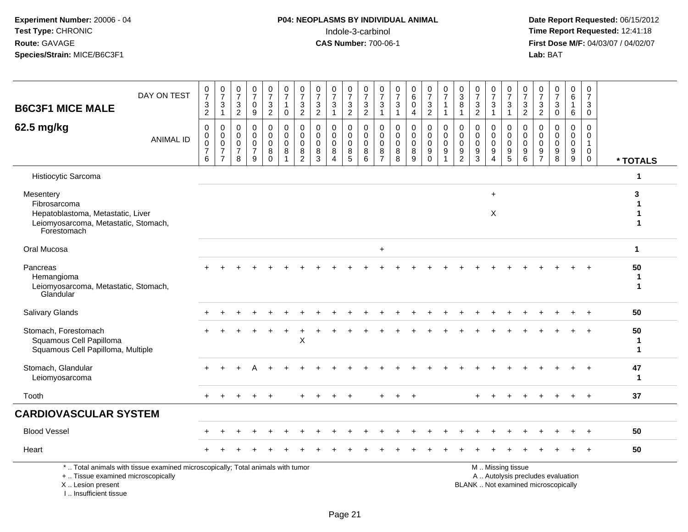I .. Insufficient tissue

# **P04: NEOPLASMS BY INDIVIDUAL ANIMAL**<br>Indole-3-carbinol Indole-3-carbinol **Time Report Requested:** 12:41:18

| <b>B6C3F1 MICE MALE</b>                                                                                               | DAY ON TEST                                                                     | $\frac{0}{7}$<br>3<br>$\overline{c}$               | $\frac{0}{7}$<br>$\mathbf{3}$<br>$\overline{1}$                               | 0<br>$\overline{7}$<br>$\mathbf{3}$<br>$\overline{2}$  | 0<br>$\overline{7}$<br>$\mathbf 0$<br>9                         | $\frac{0}{7}$<br>$\ensuremath{\mathsf{3}}$<br>$\overline{2}$ | $\begin{smallmatrix}0\\7\end{smallmatrix}$<br>$\mathbf{1}$<br>$\mathbf 0$ | $\frac{0}{7}$<br>$\sqrt{3}$<br>$\overline{2}$                    | $\boldsymbol{0}$<br>$\overline{7}$<br>$\ensuremath{\mathsf{3}}$<br>$\overline{2}$ | 0<br>$\overline{7}$<br>$\mathbf{3}$<br>$\overline{1}$ | $\frac{0}{7}$<br>$\mathbf{3}$<br>$\overline{2}$ | $\frac{0}{7}$<br>$\ensuremath{\mathsf{3}}$<br>$\sqrt{2}$              | $\begin{array}{c} 0 \\ 7 \end{array}$<br>$\sqrt{3}$<br>$\mathbf{1}$ | $\frac{0}{7}$<br>$\sqrt{3}$<br>$\mathbf{1}$           | $\begin{array}{c} 0 \\ 6 \end{array}$<br>$\mathbf 0$<br>$\overline{4}$ | $\frac{0}{7}$<br>3<br>$\overline{a}$                | $\frac{0}{7}$<br>$\mathbf{1}$<br>$\mathbf{1}$                       | $_3^0$<br>8<br>$\mathbf{1}$                                                   | 0<br>$\overline{7}$<br>$\sqrt{3}$<br>$\overline{c}$ | $\frac{0}{7}$<br>$\ensuremath{\mathsf{3}}$<br>$\overline{1}$                | $\frac{0}{7}$<br>$\sqrt{3}$<br>$\overline{1}$      | $\frac{0}{7}$<br>$\frac{3}{2}$                                                   | 0<br>$\overline{7}$<br>$\ensuremath{\mathsf{3}}$<br>$\overline{2}$ | 0<br>$\overline{7}$<br>$\mathbf{3}$<br>$\mathbf 0$ | $_{6}^{\rm 0}$<br>$\mathbf{1}$<br>6                 | 0<br>$\overline{7}$<br>$\mathbf{3}$<br>$\mathbf 0$                          |                        |
|-----------------------------------------------------------------------------------------------------------------------|---------------------------------------------------------------------------------|----------------------------------------------------|-------------------------------------------------------------------------------|--------------------------------------------------------|-----------------------------------------------------------------|--------------------------------------------------------------|---------------------------------------------------------------------------|------------------------------------------------------------------|-----------------------------------------------------------------------------------|-------------------------------------------------------|-------------------------------------------------|-----------------------------------------------------------------------|---------------------------------------------------------------------|-------------------------------------------------------|------------------------------------------------------------------------|-----------------------------------------------------|---------------------------------------------------------------------|-------------------------------------------------------------------------------|-----------------------------------------------------|-----------------------------------------------------------------------------|----------------------------------------------------|----------------------------------------------------------------------------------|--------------------------------------------------------------------|----------------------------------------------------|-----------------------------------------------------|-----------------------------------------------------------------------------|------------------------|
| 62.5 mg/kg                                                                                                            | <b>ANIMAL ID</b>                                                                | 0<br>$\pmb{0}$<br>$\pmb{0}$<br>$\overline{7}$<br>6 | $\mathbf 0$<br>$\mathbf 0$<br>$\mathbf 0$<br>$\overline{7}$<br>$\overline{7}$ | 0<br>$\mathbf 0$<br>$\mathbf 0$<br>$\overline{7}$<br>8 | $\mathbf 0$<br>$\Omega$<br>$\mathbf 0$<br>$\boldsymbol{7}$<br>9 | 0<br>$\mathbf 0$<br>$\pmb{0}$<br>8<br>$\mathbf 0$            | 0<br>$\overline{0}$<br>$\mathbf 0$<br>8<br>-1                             | $\mathbf 0$<br>$\mathbf 0$<br>$\mathbf 0$<br>8<br>$\overline{2}$ | $\mathbf 0$<br>$\mathbf 0$<br>$\mathbf 0$<br>8<br>$\mathbf{3}$                    | $\mathbf 0$<br>$\mathbf 0$<br>$\mathbf 0$<br>8<br>4   | 0<br>$\mathbf 0$<br>$\mathbf 0$<br>8<br>5       | 0<br>$\mathbf 0$<br>$\mathsf{O}\xspace$<br>$\bf 8$<br>$6\overline{6}$ | 0<br>$\mathbf 0$<br>$\mathbf 0$<br>$\,8\,$<br>$\overline{7}$        | $\mathbf 0$<br>$\mathbf 0$<br>$\mathbf 0$<br>$_{8}^8$ | $\mathbf 0$<br>$\mathbf 0$<br>$\mathbf 0$<br>8<br>9                    | 0<br>$\mathbf 0$<br>$\mathbf 0$<br>9<br>$\mathbf 0$ | 0<br>$\mathbf 0$<br>$\mathbf 0$<br>$\overline{9}$<br>$\overline{1}$ | $\mathbf 0$<br>$\mathbf 0$<br>$\mathbf 0$<br>$\overline{9}$<br>$\overline{2}$ | $\Omega$<br>$\mathbf 0$<br>0<br>9<br>3              | 0<br>$\mathbf 0$<br>$\mathbf 0$<br>$\overline{9}$<br>$\boldsymbol{\Lambda}$ | 0<br>$\mathbf 0$<br>$\mathbf 0$<br>9<br>$\sqrt{5}$ | $\mathbf 0$<br>$\mathbf 0$<br>$\mathbf 0$<br>$\boldsymbol{9}$<br>$6\phantom{1}6$ | $\mathbf 0$<br>$\Omega$<br>$\mathbf 0$<br>9<br>$\overline{7}$      | $\Omega$<br>$\Omega$<br>$\mathbf 0$<br>9<br>8      | $\mathbf 0$<br>$\mathbf 0$<br>$\mathsf 0$<br>$^9_9$ | $\mathbf 0$<br>$\mathbf 0$<br>$\mathbf{1}$<br>$\overline{0}$<br>$\mathbf 0$ | * TOTALS               |
| Histiocytic Sarcoma                                                                                                   |                                                                                 |                                                    |                                                                               |                                                        |                                                                 |                                                              |                                                                           |                                                                  |                                                                                   |                                                       |                                                 |                                                                       |                                                                     |                                                       |                                                                        |                                                     |                                                                     |                                                                               |                                                     |                                                                             |                                                    |                                                                                  |                                                                    |                                                    |                                                     |                                                                             | 1                      |
| Mesentery<br>Fibrosarcoma<br>Hepatoblastoma, Metastatic, Liver<br>Leiomyosarcoma, Metastatic, Stomach,<br>Forestomach |                                                                                 |                                                    |                                                                               |                                                        |                                                                 |                                                              |                                                                           |                                                                  |                                                                                   |                                                       |                                                 |                                                                       |                                                                     |                                                       |                                                                        |                                                     |                                                                     |                                                                               |                                                     | $\ddot{}$<br>X                                                              |                                                    |                                                                                  |                                                                    |                                                    |                                                     |                                                                             | 3<br>1<br>$\mathbf 1$  |
| Oral Mucosa                                                                                                           |                                                                                 |                                                    |                                                                               |                                                        |                                                                 |                                                              |                                                                           |                                                                  |                                                                                   |                                                       |                                                 |                                                                       | $\ddot{}$                                                           |                                                       |                                                                        |                                                     |                                                                     |                                                                               |                                                     |                                                                             |                                                    |                                                                                  |                                                                    |                                                    |                                                     |                                                                             | $\mathbf{1}$           |
| Pancreas<br>Hemangioma<br>Leiomyosarcoma, Metastatic, Stomach,<br>Glandular                                           |                                                                                 |                                                    |                                                                               |                                                        |                                                                 |                                                              |                                                                           |                                                                  |                                                                                   |                                                       |                                                 |                                                                       |                                                                     |                                                       |                                                                        |                                                     |                                                                     |                                                                               |                                                     |                                                                             |                                                    |                                                                                  |                                                                    |                                                    |                                                     |                                                                             | 50<br>1<br>$\mathbf 1$ |
| Salivary Glands                                                                                                       |                                                                                 |                                                    |                                                                               |                                                        |                                                                 |                                                              |                                                                           |                                                                  |                                                                                   |                                                       |                                                 |                                                                       |                                                                     |                                                       |                                                                        |                                                     |                                                                     |                                                                               |                                                     |                                                                             |                                                    |                                                                                  |                                                                    |                                                    |                                                     | $\ddot{}$                                                                   | 50                     |
| Stomach, Forestomach<br>Squamous Cell Papilloma<br>Squamous Cell Papilloma, Multiple                                  |                                                                                 |                                                    |                                                                               |                                                        |                                                                 |                                                              |                                                                           | $\pmb{\times}$                                                   |                                                                                   |                                                       |                                                 |                                                                       |                                                                     |                                                       |                                                                        |                                                     |                                                                     |                                                                               |                                                     |                                                                             |                                                    |                                                                                  |                                                                    |                                                    |                                                     |                                                                             | 50<br>-1<br>1          |
| Stomach, Glandular<br>Leiomyosarcoma                                                                                  |                                                                                 | $\div$                                             |                                                                               |                                                        | Δ                                                               |                                                              |                                                                           |                                                                  |                                                                                   |                                                       |                                                 |                                                                       |                                                                     |                                                       |                                                                        |                                                     |                                                                     |                                                                               |                                                     |                                                                             |                                                    |                                                                                  |                                                                    |                                                    |                                                     | $+$                                                                         | 47<br>1                |
| Tooth                                                                                                                 |                                                                                 | $+$                                                |                                                                               |                                                        |                                                                 | $\ddot{}$                                                    |                                                                           |                                                                  |                                                                                   |                                                       | $\ddot{}$                                       |                                                                       | $\ddot{}$                                                           | $+$                                                   | $\ddot{}$                                                              |                                                     |                                                                     |                                                                               | $+$                                                 |                                                                             | ÷                                                  |                                                                                  |                                                                    |                                                    | $\ddot{}$                                           | $+$                                                                         | 37                     |
| <b>CARDIOVASCULAR SYSTEM</b>                                                                                          |                                                                                 |                                                    |                                                                               |                                                        |                                                                 |                                                              |                                                                           |                                                                  |                                                                                   |                                                       |                                                 |                                                                       |                                                                     |                                                       |                                                                        |                                                     |                                                                     |                                                                               |                                                     |                                                                             |                                                    |                                                                                  |                                                                    |                                                    |                                                     |                                                                             |                        |
| <b>Blood Vessel</b>                                                                                                   |                                                                                 |                                                    |                                                                               |                                                        |                                                                 |                                                              |                                                                           |                                                                  |                                                                                   |                                                       |                                                 |                                                                       |                                                                     |                                                       |                                                                        |                                                     |                                                                     |                                                                               |                                                     |                                                                             |                                                    |                                                                                  |                                                                    |                                                    |                                                     |                                                                             | 50                     |
| Heart                                                                                                                 |                                                                                 |                                                    |                                                                               |                                                        |                                                                 |                                                              |                                                                           |                                                                  |                                                                                   |                                                       |                                                 |                                                                       |                                                                     |                                                       |                                                                        |                                                     |                                                                     |                                                                               |                                                     |                                                                             |                                                    |                                                                                  |                                                                    |                                                    |                                                     |                                                                             | 50                     |
| +  Tissue examined microscopically<br>X  Lesion present                                                               | *  Total animals with tissue examined microscopically; Total animals with tumor |                                                    |                                                                               |                                                        |                                                                 |                                                              |                                                                           |                                                                  |                                                                                   |                                                       |                                                 |                                                                       |                                                                     |                                                       |                                                                        |                                                     |                                                                     |                                                                               | BLANK  Not examined microscopically                 |                                                                             | M  Missing tissue                                  |                                                                                  |                                                                    | A  Autolysis precludes evaluation                  |                                                     |                                                                             |                        |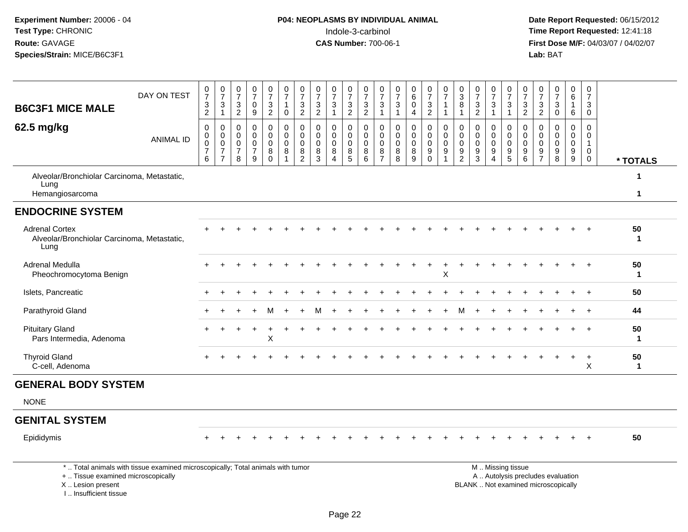I .. Insufficient tissue

# **P04: NEOPLASMS BY INDIVIDUAL ANIMAL**Indole-3-carbinol **Time Report Requested:** 12:41:18

 **Date Report Requested:** 06/15/2012 **First Dose M/F:** 04/03/07 / 04/02/07<br>Lab: BAT **Lab:** BAT

| <b>B6C3F1 MICE MALE</b>                                                      | DAY ON TEST                                                                     | 0<br>$\bar{7}$<br>3<br>$\overline{c}$ | $\frac{0}{7}$<br>$\ensuremath{\mathsf{3}}$<br>$\mathbf{1}$          | 0<br>$\overline{7}$<br>$\mathbf{3}$<br>$\overline{2}$ | 0<br>$\overline{7}$<br>0<br>9                                         | $\frac{0}{7}$<br>$\sqrt{3}$<br>$\sqrt{2}$                         | 0<br>$\overline{7}$<br>$\overline{1}$<br>0                 | $\frac{0}{7}$<br>$\ensuremath{\mathsf{3}}$<br>$\overline{2}$           | 0<br>$\overline{7}$<br>$\mathbf{3}$<br>$\overline{c}$ | $\frac{0}{7}$<br>$\mathbf 3$<br>$\mathbf{1}$                           | $\frac{0}{7}$<br>$\sqrt{3}$<br>$\overline{2}$ | $\frac{0}{7}$<br>$\frac{3}{2}$                          | 0<br>$\overline{7}$<br>$\sqrt{3}$<br>$\mathbf{1}$            | 0<br>$\overline{7}$<br>3<br>$\overline{1}$  | 0<br>$\overline{6}$<br>$\mathbf 0$<br>$\overline{4}$      | $\frac{0}{7}$<br>3<br>$\boldsymbol{2}$                 | $\frac{0}{7}$<br>$\mathbf{1}$<br>$\mathbf{1}$                                       | 0<br>$\overline{3}$<br>8<br>$\mathbf 1$                               | $\frac{0}{7}$<br>$\ensuremath{\mathsf{3}}$<br>$\overline{2}$ | $\frac{0}{7}$<br>$\sqrt{3}$                                                     | 0<br>$\overline{7}$<br>3<br>$\overline{1}$                               | 0<br>$\overline{7}$<br>$\ensuremath{\mathsf{3}}$<br>$\overline{2}$       | 0<br>$\overline{7}$<br>$\mathbf{3}$<br>$\overline{2}$            | 0<br>$\overline{7}$<br>3<br>$\mathbf 0$                                  | 0<br>$\mathbf{1}$<br>6 | $\overline{6}$   | 0<br>$\overline{7}$<br>$\mathbf{3}$<br>$\mathbf 0$             |                    |
|------------------------------------------------------------------------------|---------------------------------------------------------------------------------|---------------------------------------|---------------------------------------------------------------------|-------------------------------------------------------|-----------------------------------------------------------------------|-------------------------------------------------------------------|------------------------------------------------------------|------------------------------------------------------------------------|-------------------------------------------------------|------------------------------------------------------------------------|-----------------------------------------------|---------------------------------------------------------|--------------------------------------------------------------|---------------------------------------------|-----------------------------------------------------------|--------------------------------------------------------|-------------------------------------------------------------------------------------|-----------------------------------------------------------------------|--------------------------------------------------------------|---------------------------------------------------------------------------------|--------------------------------------------------------------------------|--------------------------------------------------------------------------|------------------------------------------------------------------|--------------------------------------------------------------------------|------------------------|------------------|----------------------------------------------------------------|--------------------|
| 62.5 mg/kg                                                                   | <b>ANIMAL ID</b>                                                                | 0<br>0<br>$\mathbf 0$<br>7<br>6       | 0<br>$\mathbf 0$<br>$\mathbf 0$<br>$\overline{7}$<br>$\overline{7}$ | 0<br>$\mathbf 0$<br>$\mathbf 0$<br>7<br>8             | 0<br>$\mathbf 0$<br>$\mathbf 0$<br>$\overline{7}$<br>$\boldsymbol{9}$ | $\mathbf 0$<br>$\mathbf 0$<br>$\pmb{0}$<br>$\,8\,$<br>$\mathbf 0$ | 0<br>$\mathbf 0$<br>$\pmb{0}$<br>$\bf 8$<br>$\overline{1}$ | $\mathbf 0$<br>$\mathbf 0$<br>$\mathbf 0$<br>$\,8\,$<br>$\overline{2}$ | $\mathbf 0$<br>$\mathbf 0$<br>$\mathbf 0$<br>8<br>3   | $\mathbf 0$<br>$\mathbf 0$<br>$\mathbf 0$<br>$\bf 8$<br>$\overline{4}$ | 0<br>$\mathbf 0$<br>$\Omega$<br>$\bf 8$<br>5  | $\pmb{0}$<br>$\mathsf{O}\xspace$<br>$\pmb{0}$<br>$^8_6$ | 0<br>$\mathbf 0$<br>$\mathsf 0$<br>$\bf 8$<br>$\overline{7}$ | 0<br>$\mathbf 0$<br>$\mathbf 0$<br>$_{8}^8$ | $\mathbf 0$<br>$\mathbf 0$<br>$\mathbf 0$<br>$\bf 8$<br>9 | 0<br>0<br>$\mathbf 0$<br>$\boldsymbol{9}$<br>$\bar{0}$ | 0<br>$\mathsf{O}\xspace$<br>$\mathsf{O}\xspace$<br>$\boldsymbol{9}$<br>$\mathbf{1}$ | 0<br>$\mathbf 0$<br>$\mathbf 0$<br>$\boldsymbol{9}$<br>$\overline{2}$ | 0<br>0<br>$\mathbf 0$<br>$\boldsymbol{9}$<br>$\overline{3}$  | $\mathbf 0$<br>$\mathbf 0$<br>$\mathbf 0$<br>$\boldsymbol{9}$<br>$\overline{4}$ | 0<br>$\mathbf 0$<br>$\mathbf 0$<br>$\begin{array}{c} 9 \\ 5 \end{array}$ | $\mathbf 0$<br>$\mathbf 0$<br>$\mathbf 0$<br>$\boldsymbol{9}$<br>$\,6\,$ | $\mathbf 0$<br>$\Omega$<br>$\overline{0}$<br>9<br>$\overline{7}$ | $\mathbf 0$<br>$\Omega$<br>$\mathbf 0$<br>$\boldsymbol{9}$<br>8          | $\mathbf 0$<br>$^9_9$  | 0<br>$\mathbf 0$ | 0<br>$\mathbf 0$<br>$\mathbf{1}$<br>$\mathbf 0$<br>$\mathbf 0$ | * TOTALS           |
| Alveolar/Bronchiolar Carcinoma, Metastatic,<br>Lung<br>Hemangiosarcoma       |                                                                                 |                                       |                                                                     |                                                       |                                                                       |                                                                   |                                                            |                                                                        |                                                       |                                                                        |                                               |                                                         |                                                              |                                             |                                                           |                                                        |                                                                                     |                                                                       |                                                              |                                                                                 |                                                                          |                                                                          |                                                                  |                                                                          |                        |                  |                                                                | 1<br>$\mathbf{1}$  |
| <b>ENDOCRINE SYSTEM</b>                                                      |                                                                                 |                                       |                                                                     |                                                       |                                                                       |                                                                   |                                                            |                                                                        |                                                       |                                                                        |                                               |                                                         |                                                              |                                             |                                                           |                                                        |                                                                                     |                                                                       |                                                              |                                                                                 |                                                                          |                                                                          |                                                                  |                                                                          |                        |                  |                                                                |                    |
| <b>Adrenal Cortex</b><br>Alveolar/Bronchiolar Carcinoma, Metastatic,<br>Lung |                                                                                 |                                       |                                                                     |                                                       |                                                                       |                                                                   |                                                            |                                                                        |                                                       |                                                                        |                                               |                                                         |                                                              |                                             |                                                           |                                                        |                                                                                     |                                                                       |                                                              |                                                                                 |                                                                          |                                                                          |                                                                  |                                                                          |                        |                  |                                                                | 50<br>$\mathbf 1$  |
| Adrenal Medulla<br>Pheochromocytoma Benign                                   |                                                                                 |                                       |                                                                     |                                                       |                                                                       |                                                                   |                                                            |                                                                        |                                                       |                                                                        |                                               |                                                         |                                                              |                                             |                                                           |                                                        | X                                                                                   |                                                                       |                                                              |                                                                                 |                                                                          |                                                                          |                                                                  |                                                                          |                        |                  |                                                                | 50<br>$\mathbf{1}$ |
| Islets, Pancreatic                                                           |                                                                                 |                                       |                                                                     |                                                       |                                                                       |                                                                   |                                                            |                                                                        |                                                       |                                                                        |                                               |                                                         |                                                              |                                             |                                                           |                                                        |                                                                                     |                                                                       |                                                              |                                                                                 |                                                                          |                                                                          |                                                                  |                                                                          |                        |                  |                                                                | 50                 |
| Parathyroid Gland                                                            |                                                                                 |                                       |                                                                     |                                                       |                                                                       | м                                                                 |                                                            |                                                                        | м                                                     |                                                                        |                                               |                                                         |                                                              |                                             |                                                           |                                                        |                                                                                     | м                                                                     |                                                              |                                                                                 |                                                                          |                                                                          |                                                                  |                                                                          |                        |                  | $\overline{+}$                                                 | 44                 |
| <b>Pituitary Gland</b><br>Pars Intermedia, Adenoma                           |                                                                                 |                                       |                                                                     |                                                       |                                                                       | X                                                                 |                                                            |                                                                        |                                                       |                                                                        |                                               |                                                         |                                                              |                                             |                                                           |                                                        |                                                                                     |                                                                       |                                                              |                                                                                 |                                                                          |                                                                          |                                                                  |                                                                          |                        |                  |                                                                | 50<br>$\mathbf 1$  |
| <b>Thyroid Gland</b><br>C-cell, Adenoma                                      |                                                                                 |                                       |                                                                     |                                                       |                                                                       |                                                                   |                                                            |                                                                        |                                                       |                                                                        |                                               |                                                         |                                                              |                                             |                                                           |                                                        |                                                                                     |                                                                       |                                                              |                                                                                 |                                                                          |                                                                          |                                                                  |                                                                          |                        |                  | $\ddot{}$<br>X                                                 | 50<br>$\mathbf{1}$ |
| <b>GENERAL BODY SYSTEM</b>                                                   |                                                                                 |                                       |                                                                     |                                                       |                                                                       |                                                                   |                                                            |                                                                        |                                                       |                                                                        |                                               |                                                         |                                                              |                                             |                                                           |                                                        |                                                                                     |                                                                       |                                                              |                                                                                 |                                                                          |                                                                          |                                                                  |                                                                          |                        |                  |                                                                |                    |
| <b>NONE</b>                                                                  |                                                                                 |                                       |                                                                     |                                                       |                                                                       |                                                                   |                                                            |                                                                        |                                                       |                                                                        |                                               |                                                         |                                                              |                                             |                                                           |                                                        |                                                                                     |                                                                       |                                                              |                                                                                 |                                                                          |                                                                          |                                                                  |                                                                          |                        |                  |                                                                |                    |
| <b>GENITAL SYSTEM</b>                                                        |                                                                                 |                                       |                                                                     |                                                       |                                                                       |                                                                   |                                                            |                                                                        |                                                       |                                                                        |                                               |                                                         |                                                              |                                             |                                                           |                                                        |                                                                                     |                                                                       |                                                              |                                                                                 |                                                                          |                                                                          |                                                                  |                                                                          |                        |                  |                                                                |                    |
| Epididymis                                                                   |                                                                                 |                                       |                                                                     |                                                       |                                                                       |                                                                   |                                                            |                                                                        |                                                       |                                                                        |                                               |                                                         |                                                              |                                             |                                                           |                                                        |                                                                                     |                                                                       |                                                              |                                                                                 |                                                                          |                                                                          |                                                                  |                                                                          |                        |                  |                                                                | 50                 |
| +  Tissue examined microscopically<br>X  Lesion present                      | *  Total animals with tissue examined microscopically; Total animals with tumor |                                       |                                                                     |                                                       |                                                                       |                                                                   |                                                            |                                                                        |                                                       |                                                                        |                                               |                                                         |                                                              |                                             |                                                           |                                                        |                                                                                     |                                                                       |                                                              |                                                                                 | M  Missing tissue                                                        |                                                                          |                                                                  | A  Autolysis precludes evaluation<br>BLANK  Not examined microscopically |                        |                  |                                                                |                    |

Lesion present BLANK .. Not examined microscopically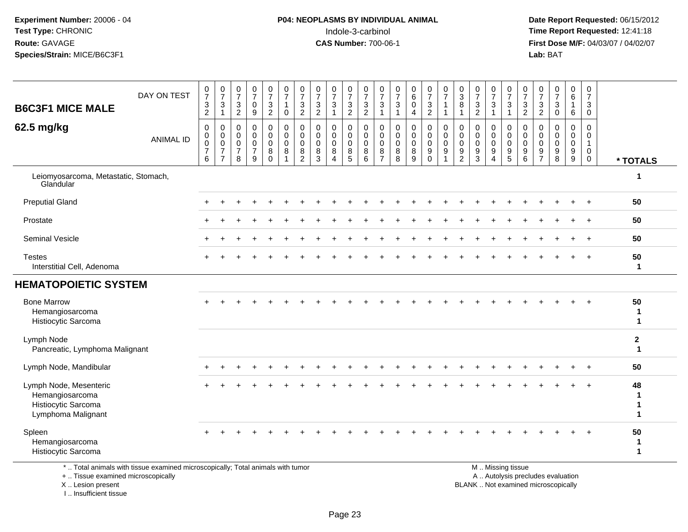#### **P04: NEOPLASMS BY INDIVIDUAL ANIMAL**Indole-3-carbinol **Time Report Requested:** 12:41:18

 **Date Report Requested:** 06/15/2012 **First Dose M/F:** 04/03/07 / 04/02/07<br>Lab: BAT **Lab:** BAT

| <b>B6C3F1 MICE MALE</b>                                                                | DAY ON TEST      | $\frac{0}{7}$<br>$\mathbf{3}$<br>$\sqrt{2}$ | $\frac{0}{7}$<br>$\ensuremath{\mathsf{3}}$<br>$\mathbf{1}$                     | $\frac{0}{7}$<br>$\frac{3}{2}$                                 | $\frac{0}{7}$<br>$\mathbf 0$<br>$9\,$                          | $\frac{0}{7}$<br>$\mathbf{3}$<br>$\overline{c}$  | $\frac{0}{7}$<br>$\mathbf{1}$<br>$\mathbf 0$                   | $\frac{0}{7}$<br>$\ensuremath{\mathsf{3}}$<br>$\overline{2}$           | 0<br>$\boldsymbol{7}$<br>$\ensuremath{\mathsf{3}}$<br>$\overline{2}$ | $\frac{0}{7}$<br>$\sqrt{3}$<br>$\overline{1}$                  | $\frac{0}{7}$<br>$\sqrt{3}$<br>$\overline{2}$          | 0<br>$\boldsymbol{7}$<br>$\ensuremath{\mathsf{3}}$<br>$\overline{2}$ | $\frac{0}{7}$<br>3<br>$\mathbf{1}$                     | 0<br>$\overline{7}$<br>$\ensuremath{\mathsf{3}}$<br>$\mathbf{1}$ | $\begin{array}{c} 0 \\ 6 \end{array}$<br>$\pmb{0}$<br>$\overline{4}$ | $\frac{0}{7}$<br>$\ensuremath{\mathsf{3}}$<br>$\overline{2}$ | $\frac{0}{7}$<br>$\mathbf{1}$<br>$\mathbf{1}$                                        | $\frac{0}{3}$<br>$\bf 8$<br>$\mathbf 1$                                     | $\frac{0}{7}$<br>$\frac{3}{2}$ | $\frac{0}{7}$<br>$\ensuremath{\mathsf{3}}$<br>$\mathbf{1}$            | $\frac{0}{7}$<br>$\frac{3}{1}$                   | $\frac{0}{7}$<br>$\frac{3}{2}$            | $\frac{0}{7}$<br>3<br>$\overline{c}$                   | $\frac{0}{7}$<br>3<br>$\pmb{0}$                          | $_{6}^{\rm 0}$<br>$\mathbf{1}$<br>6     | $\mathbf 0$<br>$\overline{7}$<br>$\mathbf{3}$<br>$\mathbf 0$      |                                        |
|----------------------------------------------------------------------------------------|------------------|---------------------------------------------|--------------------------------------------------------------------------------|----------------------------------------------------------------|----------------------------------------------------------------|--------------------------------------------------|----------------------------------------------------------------|------------------------------------------------------------------------|----------------------------------------------------------------------|----------------------------------------------------------------|--------------------------------------------------------|----------------------------------------------------------------------|--------------------------------------------------------|------------------------------------------------------------------|----------------------------------------------------------------------|--------------------------------------------------------------|--------------------------------------------------------------------------------------|-----------------------------------------------------------------------------|--------------------------------|-----------------------------------------------------------------------|--------------------------------------------------|-------------------------------------------|--------------------------------------------------------|----------------------------------------------------------|-----------------------------------------|-------------------------------------------------------------------|----------------------------------------|
| 62.5 mg/kg                                                                             | <b>ANIMAL ID</b> | 0<br>0<br>$\bar{0}$<br>$\overline{7}$<br>6  | 0<br>$\mathsf{O}\xspace$<br>$\overline{0}$<br>$\overline{7}$<br>$\overline{7}$ | 0<br>$\mathbf 0$<br>$\mathsf{O}\xspace$<br>$\overline{7}$<br>8 | $\pmb{0}$<br>$\mathbf 0$<br>$\mathbf 0$<br>$\overline{7}$<br>9 | 0<br>$\mathbf 0$<br>$\mathbf 0$<br>8<br>$\Omega$ | 0<br>$\ddot{\mathbf{0}}$<br>$\mathbf 0$<br>8<br>$\overline{1}$ | $\pmb{0}$<br>$\ddot{\mathbf{0}}$<br>$\mathbf 0$<br>8<br>$\overline{2}$ | 0<br>$\mathbf 0$<br>$\mathbf 0$<br>8<br>3                            | 0<br>$\mathbf 0$<br>$\mathbf 0$<br>8<br>$\boldsymbol{\Lambda}$ | 0<br>$\mathbf 0$<br>$\mathbf 0$<br>8<br>$\overline{5}$ | 0<br>$\mathbf 0$<br>$\mathbf 0$<br>8<br>6                            | 0<br>$\mathbf 0$<br>$\mathbf 0$<br>8<br>$\overline{7}$ | 0<br>0<br>0<br>8<br>8                                            | $\mathbf 0$<br>$\mathsf{O}\xspace$<br>$\mathbf 0$<br>$\bf 8$<br>9    | 0<br>0<br>0<br>9<br>$\mathbf 0$                              | $\begin{smallmatrix} 0\\0 \end{smallmatrix}$<br>$\mathbf 0$<br>$\boldsymbol{9}$<br>1 | 0<br>$\pmb{0}$<br>$\mathsf{O}\xspace$<br>$\boldsymbol{9}$<br>$\overline{2}$ | 0<br>0<br>0<br>9<br>3          | 0<br>$\mathbf 0$<br>$\mathbf 0$<br>$\boldsymbol{9}$<br>$\overline{4}$ | 0<br>$\mathbf 0$<br>$\mathbf 0$<br>$\frac{9}{5}$ | 0<br>$\mathbf 0$<br>$\mathsf 0$<br>9<br>6 | 0<br>$\mathbf 0$<br>$\mathbf 0$<br>9<br>$\overline{7}$ | 0<br>$\mathbf 0$<br>$\mathbf 0$<br>$\boldsymbol{9}$<br>8 | $\pmb{0}$<br>0<br>$\mathsf 0$<br>$^9_9$ | 0<br>$\overline{0}$<br>$\mathbf{1}$<br>$\mathbf 0$<br>$\mathbf 0$ | * TOTALS                               |
| Leiomyosarcoma, Metastatic, Stomach,<br>Glandular                                      |                  |                                             |                                                                                |                                                                |                                                                |                                                  |                                                                |                                                                        |                                                                      |                                                                |                                                        |                                                                      |                                                        |                                                                  |                                                                      |                                                              |                                                                                      |                                                                             |                                |                                                                       |                                                  |                                           |                                                        |                                                          |                                         |                                                                   | $\mathbf{1}$                           |
| <b>Preputial Gland</b>                                                                 |                  |                                             |                                                                                |                                                                |                                                                |                                                  |                                                                |                                                                        |                                                                      |                                                                |                                                        |                                                                      |                                                        |                                                                  |                                                                      |                                                              |                                                                                      |                                                                             |                                |                                                                       |                                                  |                                           |                                                        |                                                          |                                         |                                                                   | 50                                     |
| Prostate                                                                               |                  |                                             |                                                                                |                                                                |                                                                |                                                  |                                                                |                                                                        |                                                                      |                                                                |                                                        |                                                                      |                                                        |                                                                  |                                                                      |                                                              |                                                                                      |                                                                             |                                |                                                                       |                                                  |                                           |                                                        |                                                          |                                         |                                                                   | 50                                     |
| Seminal Vesicle                                                                        |                  |                                             |                                                                                |                                                                |                                                                |                                                  |                                                                |                                                                        |                                                                      |                                                                |                                                        |                                                                      |                                                        |                                                                  |                                                                      |                                                              |                                                                                      |                                                                             |                                |                                                                       |                                                  |                                           |                                                        |                                                          |                                         |                                                                   | 50                                     |
| <b>Testes</b><br>Interstitial Cell, Adenoma                                            |                  | $+$                                         |                                                                                |                                                                |                                                                |                                                  |                                                                |                                                                        |                                                                      |                                                                |                                                        |                                                                      |                                                        |                                                                  |                                                                      |                                                              |                                                                                      |                                                                             |                                |                                                                       |                                                  |                                           |                                                        |                                                          | $\ddot{}$                               | $+$                                                               | 50<br>$\mathbf{1}$                     |
| <b>HEMATOPOIETIC SYSTEM</b>                                                            |                  |                                             |                                                                                |                                                                |                                                                |                                                  |                                                                |                                                                        |                                                                      |                                                                |                                                        |                                                                      |                                                        |                                                                  |                                                                      |                                                              |                                                                                      |                                                                             |                                |                                                                       |                                                  |                                           |                                                        |                                                          |                                         |                                                                   |                                        |
| <b>Bone Marrow</b><br>Hemangiosarcoma<br>Histiocytic Sarcoma                           |                  |                                             |                                                                                |                                                                |                                                                |                                                  |                                                                |                                                                        |                                                                      |                                                                |                                                        |                                                                      |                                                        |                                                                  |                                                                      |                                                              |                                                                                      |                                                                             |                                |                                                                       |                                                  |                                           |                                                        |                                                          |                                         |                                                                   | 50<br>$\mathbf{1}$<br>$\mathbf{1}$     |
| Lymph Node<br>Pancreatic, Lymphoma Malignant                                           |                  |                                             |                                                                                |                                                                |                                                                |                                                  |                                                                |                                                                        |                                                                      |                                                                |                                                        |                                                                      |                                                        |                                                                  |                                                                      |                                                              |                                                                                      |                                                                             |                                |                                                                       |                                                  |                                           |                                                        |                                                          |                                         |                                                                   | $\mathbf{2}$<br>$\mathbf 1$            |
| Lymph Node, Mandibular                                                                 |                  |                                             |                                                                                |                                                                |                                                                |                                                  |                                                                |                                                                        |                                                                      |                                                                |                                                        |                                                                      |                                                        |                                                                  |                                                                      |                                                              |                                                                                      |                                                                             |                                |                                                                       |                                                  |                                           |                                                        |                                                          |                                         |                                                                   | 50                                     |
| Lymph Node, Mesenteric<br>Hemangiosarcoma<br>Histiocytic Sarcoma<br>Lymphoma Malignant |                  |                                             |                                                                                |                                                                |                                                                |                                                  |                                                                |                                                                        |                                                                      |                                                                |                                                        |                                                                      |                                                        |                                                                  |                                                                      |                                                              |                                                                                      |                                                                             |                                |                                                                       |                                                  |                                           |                                                        |                                                          |                                         |                                                                   | 48<br>$\mathbf 1$<br>$\mathbf{1}$<br>1 |
| Spleen<br>Hemangiosarcoma<br>Histiocytic Sarcoma                                       |                  |                                             |                                                                                |                                                                |                                                                |                                                  |                                                                |                                                                        |                                                                      |                                                                |                                                        |                                                                      |                                                        |                                                                  |                                                                      |                                                              |                                                                                      |                                                                             |                                |                                                                       |                                                  |                                           |                                                        |                                                          |                                         | $\overline{+}$                                                    | 50<br>1<br>$\mathbf{1}$                |

\* .. Total animals with tissue examined microscopically; Total animals with tumor

+ .. Tissue examined microscopically

X .. Lesion present

I .. Insufficient tissue

M .. Missing tissue

y the contract of the contract of the contract of the contract of the contract of the contract of the contract of  $A$ . Autolysis precludes evaluation Lesion present BLANK .. Not examined microscopically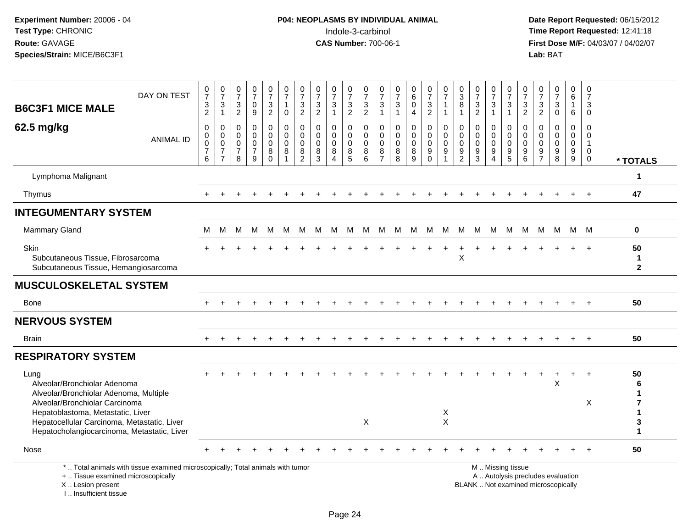| <b>B6C3F1 MICE MALE</b>                                                                                                                                                                                                                             | DAY ON TEST                                                                     | $\frac{0}{7}$<br>$\frac{3}{2}$                       | $\frac{0}{7}$<br>$\ensuremath{\mathsf{3}}$<br>$\mathbf{1}$                  | $\frac{0}{7}$<br>$\frac{3}{2}$                                     | $\begin{array}{c} 0 \\ 7 \end{array}$<br>$\mathbf 0$<br>9        | $\frac{0}{7}$<br>3<br>$\overline{2}$             | $\frac{0}{7}$<br>$\mathbf{1}$<br>$\mathbf 0$      | $\frac{0}{7}$<br>$\ensuremath{\mathsf{3}}$<br>$\overline{2}$          | 0<br>$\overline{7}$<br>$\ensuremath{\mathsf{3}}$<br>$\overline{2}$ | $\frac{0}{7}$<br>$\sqrt{3}$<br>$\overline{1}$                         | $\frac{0}{7}$<br>3<br>2                         | $\frac{0}{7}$<br>$\ensuremath{\mathsf{3}}$<br>$\overline{2}$ | 0<br>$\overline{7}$<br>$\ensuremath{\mathsf{3}}$<br>$\mathbf{1}$ | 0<br>$\overline{7}$<br>$\ensuremath{\mathsf{3}}$<br>$\mathbf{1}$ | $\begin{array}{c} 0 \\ 6 \end{array}$<br>$\mathbf 0$<br>$\overline{4}$ | $\begin{smallmatrix}0\\7\end{smallmatrix}$<br>$\frac{3}{2}$     | $\begin{array}{c} 0 \\ 7 \end{array}$<br>$\mathbf{1}$<br>$\mathbf{1}$ | $\frac{0}{3}$<br>8<br>1                             | $\frac{0}{7}$<br>$\frac{3}{2}$                | $\frac{0}{7}$<br>$\mathbf{3}$<br>$\mathbf{1}$          | $\frac{0}{7}$<br>$\sqrt{3}$<br>$\overline{1}$ | $\mathbf 0$<br>$\overline{7}$<br>$\frac{3}{2}$       | 0<br>$\overline{7}$<br>$\ensuremath{\mathsf{3}}$<br>$\overline{2}$ | 0<br>$\overline{7}$<br>$\ensuremath{\mathsf{3}}$<br>$\mathbf 0$          | $_6^0$<br>1<br>6                                 | 0<br>$\overline{7}$<br>$\ensuremath{\mathsf{3}}$<br>$\mathbf 0$       |                                    |
|-----------------------------------------------------------------------------------------------------------------------------------------------------------------------------------------------------------------------------------------------------|---------------------------------------------------------------------------------|------------------------------------------------------|-----------------------------------------------------------------------------|--------------------------------------------------------------------|------------------------------------------------------------------|--------------------------------------------------|---------------------------------------------------|-----------------------------------------------------------------------|--------------------------------------------------------------------|-----------------------------------------------------------------------|-------------------------------------------------|--------------------------------------------------------------|------------------------------------------------------------------|------------------------------------------------------------------|------------------------------------------------------------------------|-----------------------------------------------------------------|-----------------------------------------------------------------------|-----------------------------------------------------|-----------------------------------------------|--------------------------------------------------------|-----------------------------------------------|------------------------------------------------------|--------------------------------------------------------------------|--------------------------------------------------------------------------|--------------------------------------------------|-----------------------------------------------------------------------|------------------------------------|
| 62.5 mg/kg                                                                                                                                                                                                                                          | <b>ANIMAL ID</b>                                                                | $\pmb{0}$<br>$\pmb{0}$<br>$\pmb{0}$<br>$\frac{7}{6}$ | $\mathbf 0$<br>$\mathbf 0$<br>$\pmb{0}$<br>$\overline{7}$<br>$\overline{7}$ | $\mathbf 0$<br>$\mathbf 0$<br>$\mathbf 0$<br>$\boldsymbol{7}$<br>8 | $\mathbf 0$<br>$\mathbf 0$<br>$\mathbf 0$<br>$\overline{7}$<br>9 | 0<br>$\mathbf 0$<br>$\mathbf 0$<br>8<br>$\Omega$ | $\pmb{0}$<br>$\mathbf 0$<br>$\mathbf 0$<br>8<br>1 | $\mathbf 0$<br>$\mathbf 0$<br>$\mathbf 0$<br>$\bf8$<br>$\overline{2}$ | $\mathbf 0$<br>$\mathbf 0$<br>$\mathbf 0$<br>8<br>3                | $\Omega$<br>$\mathbf 0$<br>$\mathbf 0$<br>8<br>$\boldsymbol{\Lambda}$ | 0<br>$\mathbf 0$<br>$\mathbf 0$<br>$\bf 8$<br>5 | $\mathbf 0$<br>$\mathbf 0$<br>$\Omega$<br>8<br>6             | $\mathbf 0$<br>$\mathbf 0$<br>$\Omega$<br>8<br>$\overline{7}$    | $\mathbf 0$<br>$\mathbf 0$<br>$\mathbf 0$<br>8<br>8              | $\mathbf 0$<br>$\mathbf 0$<br>$\mathbf 0$<br>$\bf 8$<br>9              | 0<br>$\mathbf 0$<br>$\mathbf 0$<br>$\boldsymbol{9}$<br>$\Omega$ | $\mathbf 0$<br>$\mathbf 0$<br>$\Omega$<br>9<br>$\mathbf{1}$           | 0<br>$\mathbf 0$<br>$\Omega$<br>9<br>$\overline{2}$ | $\Omega$<br>$\mathbf 0$<br>$\Omega$<br>9<br>3 | 0<br>$\mathbf 0$<br>$\mathbf 0$<br>9<br>$\overline{4}$ | 0<br>$\mathbf 0$<br>$\mathbf 0$<br>9<br>5     | $\mathbf 0$<br>$\mathbf 0$<br>$\Omega$<br>$9\,$<br>6 | $\Omega$<br>$\Omega$<br>$\Omega$<br>9<br>$\overline{7}$            | $\Omega$<br>$\Omega$<br>$\Omega$<br>9<br>8                               | $\Omega$<br>$\mathbf 0$<br>$\mathbf 0$<br>9<br>9 | $\Omega$<br>$\mathbf 0$<br>$\mathbf{1}$<br>$\mathbf 0$<br>$\mathbf 0$ | * TOTALS                           |
| Lymphoma Malignant                                                                                                                                                                                                                                  |                                                                                 |                                                      |                                                                             |                                                                    |                                                                  |                                                  |                                                   |                                                                       |                                                                    |                                                                       |                                                 |                                                              |                                                                  |                                                                  |                                                                        |                                                                 |                                                                       |                                                     |                                               |                                                        |                                               |                                                      |                                                                    |                                                                          |                                                  |                                                                       | 1                                  |
| Thymus                                                                                                                                                                                                                                              |                                                                                 |                                                      |                                                                             |                                                                    |                                                                  |                                                  |                                                   |                                                                       |                                                                    |                                                                       |                                                 |                                                              |                                                                  |                                                                  |                                                                        |                                                                 |                                                                       |                                                     |                                               |                                                        |                                               |                                                      |                                                                    |                                                                          |                                                  | $+$                                                                   | 47                                 |
| <b>INTEGUMENTARY SYSTEM</b>                                                                                                                                                                                                                         |                                                                                 |                                                      |                                                                             |                                                                    |                                                                  |                                                  |                                                   |                                                                       |                                                                    |                                                                       |                                                 |                                                              |                                                                  |                                                                  |                                                                        |                                                                 |                                                                       |                                                     |                                               |                                                        |                                               |                                                      |                                                                    |                                                                          |                                                  |                                                                       |                                    |
| Mammary Gland                                                                                                                                                                                                                                       |                                                                                 | М                                                    | М                                                                           | м                                                                  | м                                                                | M                                                | M                                                 | M                                                                     | M                                                                  | м                                                                     | M                                               | M                                                            | M                                                                | M                                                                | M                                                                      | M                                                               | M                                                                     | M                                                   | M                                             | M                                                      | M                                             | M                                                    | M                                                                  | M                                                                        | M M                                              |                                                                       | $\mathbf 0$                        |
| Skin<br>Subcutaneous Tissue, Fibrosarcoma<br>Subcutaneous Tissue, Hemangiosarcoma                                                                                                                                                                   |                                                                                 |                                                      |                                                                             |                                                                    |                                                                  |                                                  |                                                   |                                                                       |                                                                    |                                                                       |                                                 |                                                              |                                                                  |                                                                  |                                                                        |                                                                 |                                                                       | $\sf X$                                             |                                               |                                                        |                                               |                                                      |                                                                    |                                                                          |                                                  |                                                                       | 50<br>$\mathbf{1}$<br>$\mathbf{2}$ |
| <b>MUSCULOSKELETAL SYSTEM</b>                                                                                                                                                                                                                       |                                                                                 |                                                      |                                                                             |                                                                    |                                                                  |                                                  |                                                   |                                                                       |                                                                    |                                                                       |                                                 |                                                              |                                                                  |                                                                  |                                                                        |                                                                 |                                                                       |                                                     |                                               |                                                        |                                               |                                                      |                                                                    |                                                                          |                                                  |                                                                       |                                    |
| <b>Bone</b>                                                                                                                                                                                                                                         |                                                                                 |                                                      |                                                                             |                                                                    |                                                                  |                                                  |                                                   |                                                                       |                                                                    |                                                                       |                                                 |                                                              |                                                                  |                                                                  |                                                                        |                                                                 |                                                                       |                                                     |                                               |                                                        |                                               |                                                      |                                                                    |                                                                          |                                                  |                                                                       | 50                                 |
| <b>NERVOUS SYSTEM</b>                                                                                                                                                                                                                               |                                                                                 |                                                      |                                                                             |                                                                    |                                                                  |                                                  |                                                   |                                                                       |                                                                    |                                                                       |                                                 |                                                              |                                                                  |                                                                  |                                                                        |                                                                 |                                                                       |                                                     |                                               |                                                        |                                               |                                                      |                                                                    |                                                                          |                                                  |                                                                       |                                    |
| <b>Brain</b>                                                                                                                                                                                                                                        |                                                                                 | $+$                                                  |                                                                             |                                                                    |                                                                  |                                                  |                                                   |                                                                       |                                                                    |                                                                       |                                                 |                                                              |                                                                  |                                                                  |                                                                        |                                                                 |                                                                       |                                                     |                                               |                                                        |                                               |                                                      |                                                                    |                                                                          |                                                  | $+$                                                                   | 50                                 |
| <b>RESPIRATORY SYSTEM</b>                                                                                                                                                                                                                           |                                                                                 |                                                      |                                                                             |                                                                    |                                                                  |                                                  |                                                   |                                                                       |                                                                    |                                                                       |                                                 |                                                              |                                                                  |                                                                  |                                                                        |                                                                 |                                                                       |                                                     |                                               |                                                        |                                               |                                                      |                                                                    |                                                                          |                                                  |                                                                       |                                    |
| Lung<br>Alveolar/Bronchiolar Adenoma<br>Alveolar/Bronchiolar Adenoma, Multiple<br>Alveolar/Bronchiolar Carcinoma<br>Hepatoblastoma, Metastatic, Liver<br>Hepatocellular Carcinoma, Metastatic, Liver<br>Hepatocholangiocarcinoma, Metastatic, Liver |                                                                                 |                                                      |                                                                             |                                                                    |                                                                  |                                                  |                                                   |                                                                       |                                                                    |                                                                       |                                                 | $\times$                                                     |                                                                  |                                                                  |                                                                        |                                                                 | X<br>$\times$                                                         |                                                     |                                               |                                                        |                                               |                                                      |                                                                    | X                                                                        |                                                  | $\ddot{}$<br>X                                                        | 50<br>6<br>1<br>7<br>1<br>3<br>1   |
| Nose                                                                                                                                                                                                                                                |                                                                                 |                                                      |                                                                             |                                                                    |                                                                  |                                                  |                                                   |                                                                       |                                                                    |                                                                       |                                                 |                                                              |                                                                  |                                                                  |                                                                        |                                                                 |                                                                       |                                                     |                                               |                                                        |                                               |                                                      |                                                                    |                                                                          |                                                  |                                                                       | 50                                 |
| +  Tissue examined microscopically<br>X  Lesion present<br>I Insufficient tissue                                                                                                                                                                    | *  Total animals with tissue examined microscopically; Total animals with tumor |                                                      |                                                                             |                                                                    |                                                                  |                                                  |                                                   |                                                                       |                                                                    |                                                                       |                                                 |                                                              |                                                                  |                                                                  |                                                                        |                                                                 |                                                                       |                                                     |                                               |                                                        | M  Missing tissue                             |                                                      |                                                                    | A  Autolysis precludes evaluation<br>BLANK  Not examined microscopically |                                                  |                                                                       |                                    |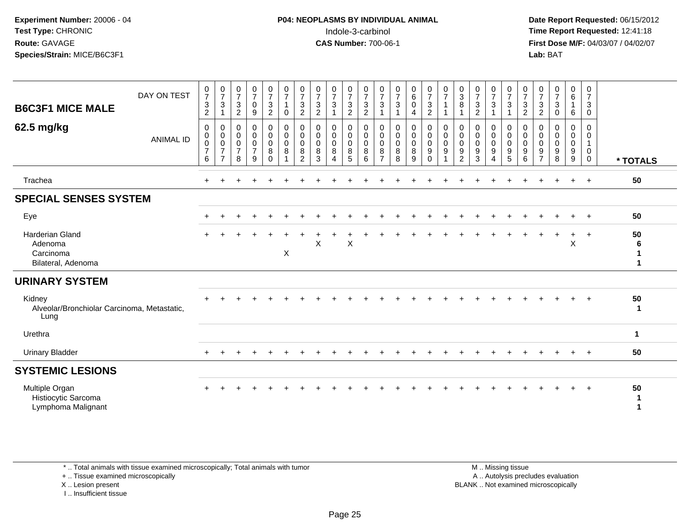# **P04: NEOPLASMS BY INDIVIDUAL ANIMAL**Indole-3-carbinol **Time Report Requested:** 12:41:18

 **Date Report Requested:** 06/15/2012 **First Dose M/F:** 04/03/07 / 04/02/07<br>Lab: BAT **Lab:** BAT

| <b>B6C3F1 MICE MALE</b>                                              | DAY ON TEST      | 0<br>$\boldsymbol{7}$<br>$\sqrt{3}$<br>$\overline{2}$      | 0<br>$\overline{7}$<br>3                                  | 0<br>$\overline{7}$<br>$\sqrt{3}$<br>$\overline{2}$ | 0<br>$\overline{7}$<br>$\mathbf 0$<br>9                     | 0<br>$\overline{7}$<br>3<br>$\overline{2}$ | 0<br>$\overline{7}$<br>$\mathbf{1}$<br>$\mathbf 0$             | 0<br>$\overline{7}$<br>3<br>$\overline{2}$             | 0<br>$\boldsymbol{7}$<br>$\sqrt{3}$<br>$\overline{c}$ | 0<br>$\overline{7}$<br>3 | 0<br>$\boldsymbol{7}$<br>$\mathbf{3}$<br>$\overline{c}$ | 0<br>$\overline{7}$<br>$\mathbf{3}$<br>$\overline{c}$       | 0<br>$\overline{7}$<br>3                                         | 0<br>$\overline{7}$<br>3<br>1             | $_{6}^{\rm 0}$<br>$\mathbf 0$<br>$\overline{4}$   | 0<br>$\boldsymbol{7}$<br>$\mathbf{3}$<br>$\overline{c}$ | 0<br>$\overline{7}$<br>1<br>-1                                     | $\pmb{0}$<br>$\ensuremath{\mathsf{3}}$<br>8<br>1 | 0<br>$\overline{7}$<br>$\sqrt{3}$<br>$\overline{c}$ | $\frac{0}{7}$<br>3                             | 0<br>$\boldsymbol{7}$<br>3                        | 0<br>$\overline{7}$<br>$\sqrt{3}$<br>$\overline{2}$ | 0<br>$\overline{7}$<br>$\mathbf{3}$<br>$\overline{2}$  | 0<br>$\overline{7}$<br>3<br>0          | $_6^0$<br>6           | 0<br>$\overline{7}$<br>3<br>$\mathbf 0$     |                   |
|----------------------------------------------------------------------|------------------|------------------------------------------------------------|-----------------------------------------------------------|-----------------------------------------------------|-------------------------------------------------------------|--------------------------------------------|----------------------------------------------------------------|--------------------------------------------------------|-------------------------------------------------------|--------------------------|---------------------------------------------------------|-------------------------------------------------------------|------------------------------------------------------------------|-------------------------------------------|---------------------------------------------------|---------------------------------------------------------|--------------------------------------------------------------------|--------------------------------------------------|-----------------------------------------------------|------------------------------------------------|---------------------------------------------------|-----------------------------------------------------|--------------------------------------------------------|----------------------------------------|-----------------------|---------------------------------------------|-------------------|
| 62.5 mg/kg                                                           | <b>ANIMAL ID</b> | $\mathbf 0$<br>0<br>$\pmb{0}$<br>$\overline{7}$<br>$\,6\,$ | 0<br>0<br>$\mathbf 0$<br>$\overline{7}$<br>$\overline{7}$ | $\mathbf 0$<br>0<br>0<br>$\overline{7}$<br>8        | 0<br>$\mathbf 0$<br>$\boldsymbol{0}$<br>$\overline{7}$<br>9 | 0<br>0<br>$\mathbf 0$<br>8<br>$\Omega$     | $\mathbf 0$<br>$\mathbf 0$<br>$\pmb{0}$<br>8<br>$\overline{1}$ | 0<br>$\mathbf 0$<br>$\mathbf 0$<br>8<br>$\overline{2}$ | $\Omega$<br>$\mathbf 0$<br>$\mathbf 0$<br>8<br>3      | 0<br>0<br>0<br>8<br>Δ    | 0<br>0<br>$\mathbf 0$<br>8<br>5                         | $\mathbf 0$<br>$\mathbf 0$<br>$\mathsf{O}\xspace$<br>8<br>6 | $\mathbf 0$<br>$\mathbf 0$<br>$\mathbf 0$<br>8<br>$\overline{7}$ | $\mathbf 0$<br>0<br>$\mathbf 0$<br>8<br>8 | 0<br>$\mathsf 0$<br>$\mathsf{O}\xspace$<br>8<br>9 | 0<br>0<br>$\mathsf{O}$<br>9<br>$\Omega$                 | $\mathbf 0$<br>$\mathbf 0$<br>$\mathbf 0$<br>$\boldsymbol{9}$<br>1 | 0<br>0<br>$\mathbf 0$<br>9<br>$\overline{2}$     | 0<br>0<br>$\mathbf 0$<br>9<br>3                     | $\mathbf 0$<br>$\mathbf 0$<br>$\mathbf 0$<br>9 | 0<br>0<br>$\mathbf 0$<br>$9\,$<br>$5\phantom{.0}$ | $\mathbf 0$<br>$\mathbf 0$<br>$\mathbf 0$<br>9<br>6 | 0<br>$\mathbf 0$<br>$\mathbf 0$<br>9<br>$\overline{7}$ | $\Omega$<br>0<br>$\mathbf 0$<br>9<br>8 | 0<br>0<br>0<br>9<br>9 | $\Omega$<br>0<br>$\mathbf 0$<br>$\mathbf 0$ | * TOTALS          |
| Trachea                                                              |                  | $+$                                                        |                                                           |                                                     |                                                             |                                            |                                                                |                                                        |                                                       |                          |                                                         |                                                             |                                                                  |                                           |                                                   |                                                         |                                                                    |                                                  |                                                     |                                                |                                                   |                                                     |                                                        |                                        | $+$                   | $+$                                         | 50                |
| <b>SPECIAL SENSES SYSTEM</b>                                         |                  |                                                            |                                                           |                                                     |                                                             |                                            |                                                                |                                                        |                                                       |                          |                                                         |                                                             |                                                                  |                                           |                                                   |                                                         |                                                                    |                                                  |                                                     |                                                |                                                   |                                                     |                                                        |                                        |                       |                                             |                   |
| Eye                                                                  |                  |                                                            |                                                           |                                                     |                                                             |                                            |                                                                |                                                        |                                                       |                          |                                                         |                                                             |                                                                  |                                           |                                                   |                                                         |                                                                    |                                                  |                                                     |                                                |                                                   |                                                     |                                                        |                                        | $\ddot{}$             | $+$                                         | 50                |
| <b>Harderian Gland</b><br>Adenoma<br>Carcinoma<br>Bilateral, Adenoma |                  |                                                            |                                                           |                                                     |                                                             |                                            | X                                                              |                                                        | X                                                     |                          | X                                                       |                                                             |                                                                  |                                           |                                                   |                                                         |                                                                    |                                                  |                                                     |                                                |                                                   |                                                     |                                                        |                                        | $\ddot{}$<br>X        | $+$                                         | 50<br>6<br>1<br>1 |
| <b>URINARY SYSTEM</b>                                                |                  |                                                            |                                                           |                                                     |                                                             |                                            |                                                                |                                                        |                                                       |                          |                                                         |                                                             |                                                                  |                                           |                                                   |                                                         |                                                                    |                                                  |                                                     |                                                |                                                   |                                                     |                                                        |                                        |                       |                                             |                   |
| Kidney<br>Alveolar/Bronchiolar Carcinoma, Metastatic,<br>Lung        |                  |                                                            |                                                           |                                                     |                                                             |                                            |                                                                |                                                        |                                                       |                          |                                                         |                                                             |                                                                  |                                           |                                                   |                                                         |                                                                    |                                                  |                                                     |                                                |                                                   |                                                     |                                                        |                                        |                       | $+$                                         | 50<br>-1          |
| Urethra                                                              |                  |                                                            |                                                           |                                                     |                                                             |                                            |                                                                |                                                        |                                                       |                          |                                                         |                                                             |                                                                  |                                           |                                                   |                                                         |                                                                    |                                                  |                                                     |                                                |                                                   |                                                     |                                                        |                                        |                       |                                             | $\mathbf{1}$      |
| <b>Urinary Bladder</b>                                               |                  |                                                            |                                                           |                                                     |                                                             |                                            |                                                                |                                                        |                                                       |                          |                                                         |                                                             |                                                                  |                                           |                                                   |                                                         |                                                                    |                                                  |                                                     |                                                |                                                   |                                                     |                                                        |                                        | $\div$                | $+$                                         | 50                |
| <b>SYSTEMIC LESIONS</b>                                              |                  |                                                            |                                                           |                                                     |                                                             |                                            |                                                                |                                                        |                                                       |                          |                                                         |                                                             |                                                                  |                                           |                                                   |                                                         |                                                                    |                                                  |                                                     |                                                |                                                   |                                                     |                                                        |                                        |                       |                                             |                   |
| Multiple Organ<br>Histiocytic Sarcoma<br>Lymphoma Malignant          |                  |                                                            |                                                           |                                                     |                                                             |                                            |                                                                |                                                        |                                                       |                          |                                                         |                                                             |                                                                  |                                           |                                                   |                                                         |                                                                    |                                                  |                                                     |                                                |                                                   |                                                     |                                                        |                                        | $+$                   | $+$                                         | 50<br>1           |

\* .. Total animals with tissue examined microscopically; Total animals with tumor

+ .. Tissue examined microscopically

X .. Lesion present

I .. Insufficient tissue

 M .. Missing tissuey the contract of the contract of the contract of the contract of the contract of the contract of the contract of  $A$ . Autolysis precludes evaluation Lesion present BLANK .. Not examined microscopically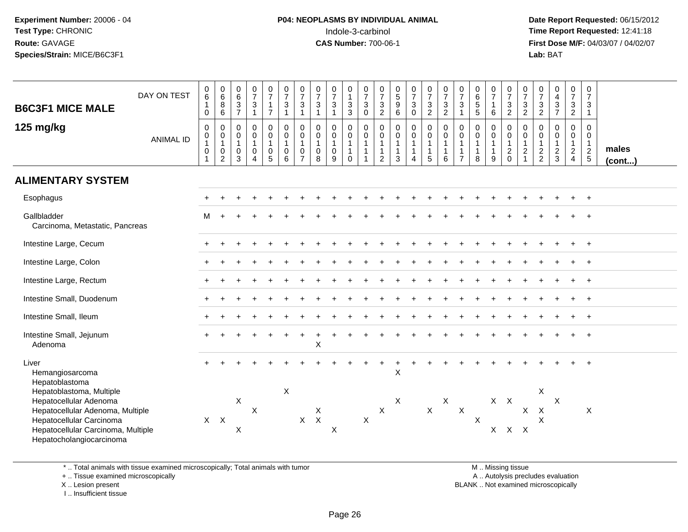# **P04: NEOPLASMS BY INDIVIDUAL ANIMAL**Indole-3-carbinol **Time Report Requested:** 12:41:18

 **Date Report Requested:** 06/15/2012 **First Dose M/F:** 04/03/07 / 04/02/07<br>Lab: BAT **Lab:** BAT

| <b>B6C3F1 MICE MALE</b><br>125 mg/kg                                                                                                                                                                                               | DAY ON TEST<br><b>ANIMAL ID</b> | $\pmb{0}$<br>$6\overline{6}$<br>$\mathbf{1}$<br>$\mathbf 0$<br>$\pmb{0}$<br>0<br>$\mathbf{1}$<br>$\boldsymbol{0}$<br>$\mathbf{1}$ | $\begin{array}{c} 0 \\ 6 \end{array}$<br>$\overline{8}$<br>6<br>$\mathsf{O}$<br>$\mathbf 0$<br>$\mathbf{1}$<br>$\pmb{0}$<br>$\overline{2}$ | $\begin{array}{c} 0 \\ 6 \end{array}$<br>$\overline{3}$<br>$\overline{7}$<br>0<br>0<br>$\mathbf{1}$<br>$\mathbf 0$<br>3 | $\begin{array}{c} 0 \\ 7 \end{array}$<br>$\sqrt{3}$<br>$\overline{1}$<br>$_{\rm 0}^{\rm 0}$<br>$\mathbf{1}$<br>$\pmb{0}$<br>$\overline{4}$ | $\begin{smallmatrix}0\\7\end{smallmatrix}$<br>$\mathbf{1}$<br>$\overline{7}$<br>0<br>$\mathbf 0$<br>$\mathbf{1}$<br>$\mathbf 0$<br>$\overline{5}$ | $\frac{0}{7}$<br>$\mathbf{3}$<br>$\mathbf{1}$<br>$\pmb{0}$<br>$\mathbf 0$<br>$\mathbf{1}$<br>$\pmb{0}$<br>6 | $\begin{matrix}0\\7\end{matrix}$<br>3<br>$\mathbf{1}$<br>$\mathbf 0$<br>$\mathbf 0$<br>$\mathbf{1}$<br>0<br>$\overline{7}$ | $\frac{0}{7}$<br>$\sqrt{3}$<br>$\mathbf{1}$<br>$\pmb{0}$<br>$\pmb{0}$<br>$\mathbf{1}$<br>0<br>8 | $\frac{0}{7}$<br>$\ensuremath{\mathsf{3}}$<br>$\mathbf{1}$<br>$\begin{smallmatrix} 0\\0 \end{smallmatrix}$<br>$\mathbf{1}$<br>$\pmb{0}$<br>9 | 0<br>$\mathbf{1}$<br>$\sqrt{3}$<br>3<br>0<br>$\pmb{0}$<br>$\overline{1}$<br>1<br>$\mathbf 0$ | $\frac{0}{7}$<br>$\mathbf{3}$<br>$\mathbf 0$<br>$\pmb{0}$<br>$\mathbf 0$<br>$\overline{1}$<br>$\overline{1}$<br>$\mathbf{1}$ | $\frac{0}{7}$<br>$\sqrt{3}$<br>$\overline{c}$<br>$\pmb{0}$<br>$\pmb{0}$<br>$\mathbf{1}$<br>1<br>2 | $\begin{array}{c} 0 \\ 5 \\ 9 \end{array}$<br>6<br>$\mathsf 0$<br>$\mathbf 0$<br>$\mathbf{1}$<br>$\mathbf{1}$<br>3 | $\frac{0}{7}$<br>$\mathbf{3}$<br>$\mathbf 0$<br>$\begin{smallmatrix} 0\\0 \end{smallmatrix}$<br>$\mathbf{1}$<br>$\overline{4}$ | $\begin{array}{c} 0 \\ 7 \end{array}$<br>$\frac{3}{2}$<br>$\mathbf 0$<br>$\pmb{0}$<br>$\overline{1}$<br>$\overline{1}$<br>5 | $\frac{0}{7}$<br>$\frac{3}{2}$<br>$\begin{smallmatrix} 0\\0 \end{smallmatrix}$<br>$\mathbf{1}$<br>$\mathbf{1}$<br>6 | $\frac{0}{7}$<br>3<br>1<br>0<br>$\mathbf 0$<br>$\mathbf{1}$<br>$\overline{7}$ | 0<br>$\begin{array}{c} 6 \\ 5 \\ 5 \end{array}$<br>$\mathsf{O}\xspace$<br>0<br>$\mathbf{1}$<br>$\mathbf{1}$<br>8 | $\frac{0}{7}$<br>$\mathbf{1}$<br>$\,6\,$<br>0<br>$\pmb{0}$<br>$\mathbf{1}$<br>9 | $\begin{array}{c} 0 \\ 7 \end{array}$<br>$\ensuremath{\mathsf{3}}$<br>$\overline{2}$<br>0<br>$\mathbf 0$<br>$\mathbf{1}$<br>$^2_{\rm 0}$ | $\frac{0}{7}$<br>$\frac{3}{2}$<br>0<br>$\mathbf 0$<br>$\mathbf{1}$<br>$\frac{2}{1}$ | $\frac{0}{7}$<br>$\mathbf{3}$<br>$\sqrt{2}$<br>0<br>$\mathbf 0$<br>$\mathbf{1}$<br>$\frac{2}{2}$ | $\begin{array}{c} 0 \\ 4 \\ 3 \\ 7 \end{array}$<br>$\mathsf 0$<br>$\mathbf 0$<br>$\mathbf{1}$<br>$\frac{2}{3}$ | $\frac{0}{7}$<br>$\frac{3}{2}$<br>$\mathsf{O}$<br>$\mathbf 0$<br>$\mathbf{1}$<br>$\frac{2}{4}$ | $\pmb{0}$<br>$\overline{7}$<br>3<br>$\mathbf{1}$<br>0<br>0<br>$\mathbf{1}$<br>$rac{2}{5}$ | males<br>$($ cont $)$ |
|------------------------------------------------------------------------------------------------------------------------------------------------------------------------------------------------------------------------------------|---------------------------------|-----------------------------------------------------------------------------------------------------------------------------------|--------------------------------------------------------------------------------------------------------------------------------------------|-------------------------------------------------------------------------------------------------------------------------|--------------------------------------------------------------------------------------------------------------------------------------------|---------------------------------------------------------------------------------------------------------------------------------------------------|-------------------------------------------------------------------------------------------------------------|----------------------------------------------------------------------------------------------------------------------------|-------------------------------------------------------------------------------------------------|----------------------------------------------------------------------------------------------------------------------------------------------|----------------------------------------------------------------------------------------------|------------------------------------------------------------------------------------------------------------------------------|---------------------------------------------------------------------------------------------------|--------------------------------------------------------------------------------------------------------------------|--------------------------------------------------------------------------------------------------------------------------------|-----------------------------------------------------------------------------------------------------------------------------|---------------------------------------------------------------------------------------------------------------------|-------------------------------------------------------------------------------|------------------------------------------------------------------------------------------------------------------|---------------------------------------------------------------------------------|------------------------------------------------------------------------------------------------------------------------------------------|-------------------------------------------------------------------------------------|--------------------------------------------------------------------------------------------------|----------------------------------------------------------------------------------------------------------------|------------------------------------------------------------------------------------------------|-------------------------------------------------------------------------------------------|-----------------------|
| <b>ALIMENTARY SYSTEM</b>                                                                                                                                                                                                           |                                 |                                                                                                                                   |                                                                                                                                            |                                                                                                                         |                                                                                                                                            |                                                                                                                                                   |                                                                                                             |                                                                                                                            |                                                                                                 |                                                                                                                                              |                                                                                              |                                                                                                                              |                                                                                                   |                                                                                                                    |                                                                                                                                |                                                                                                                             |                                                                                                                     |                                                                               |                                                                                                                  |                                                                                 |                                                                                                                                          |                                                                                     |                                                                                                  |                                                                                                                |                                                                                                |                                                                                           |                       |
| Esophagus                                                                                                                                                                                                                          |                                 |                                                                                                                                   |                                                                                                                                            |                                                                                                                         |                                                                                                                                            |                                                                                                                                                   |                                                                                                             |                                                                                                                            |                                                                                                 |                                                                                                                                              |                                                                                              |                                                                                                                              |                                                                                                   |                                                                                                                    |                                                                                                                                |                                                                                                                             |                                                                                                                     |                                                                               |                                                                                                                  |                                                                                 |                                                                                                                                          |                                                                                     |                                                                                                  |                                                                                                                |                                                                                                |                                                                                           |                       |
| Gallbladder<br>Carcinoma, Metastatic, Pancreas                                                                                                                                                                                     |                                 | м                                                                                                                                 |                                                                                                                                            |                                                                                                                         |                                                                                                                                            |                                                                                                                                                   |                                                                                                             |                                                                                                                            |                                                                                                 |                                                                                                                                              |                                                                                              |                                                                                                                              |                                                                                                   |                                                                                                                    |                                                                                                                                |                                                                                                                             |                                                                                                                     |                                                                               |                                                                                                                  |                                                                                 |                                                                                                                                          |                                                                                     |                                                                                                  |                                                                                                                |                                                                                                |                                                                                           |                       |
| Intestine Large, Cecum                                                                                                                                                                                                             |                                 |                                                                                                                                   |                                                                                                                                            |                                                                                                                         |                                                                                                                                            |                                                                                                                                                   |                                                                                                             |                                                                                                                            |                                                                                                 |                                                                                                                                              |                                                                                              |                                                                                                                              |                                                                                                   |                                                                                                                    |                                                                                                                                |                                                                                                                             |                                                                                                                     |                                                                               |                                                                                                                  |                                                                                 |                                                                                                                                          |                                                                                     |                                                                                                  |                                                                                                                |                                                                                                |                                                                                           |                       |
| Intestine Large, Colon                                                                                                                                                                                                             |                                 |                                                                                                                                   |                                                                                                                                            |                                                                                                                         |                                                                                                                                            |                                                                                                                                                   |                                                                                                             |                                                                                                                            |                                                                                                 |                                                                                                                                              |                                                                                              |                                                                                                                              |                                                                                                   |                                                                                                                    |                                                                                                                                |                                                                                                                             |                                                                                                                     |                                                                               |                                                                                                                  |                                                                                 |                                                                                                                                          |                                                                                     |                                                                                                  |                                                                                                                |                                                                                                |                                                                                           |                       |
| Intestine Large, Rectum                                                                                                                                                                                                            |                                 |                                                                                                                                   |                                                                                                                                            |                                                                                                                         |                                                                                                                                            |                                                                                                                                                   |                                                                                                             |                                                                                                                            |                                                                                                 |                                                                                                                                              |                                                                                              |                                                                                                                              |                                                                                                   |                                                                                                                    |                                                                                                                                |                                                                                                                             |                                                                                                                     |                                                                               |                                                                                                                  |                                                                                 |                                                                                                                                          |                                                                                     |                                                                                                  |                                                                                                                |                                                                                                | $\overline{1}$                                                                            |                       |
| Intestine Small, Duodenum                                                                                                                                                                                                          |                                 |                                                                                                                                   |                                                                                                                                            |                                                                                                                         |                                                                                                                                            |                                                                                                                                                   |                                                                                                             |                                                                                                                            |                                                                                                 |                                                                                                                                              |                                                                                              |                                                                                                                              |                                                                                                   |                                                                                                                    |                                                                                                                                |                                                                                                                             |                                                                                                                     |                                                                               |                                                                                                                  |                                                                                 |                                                                                                                                          |                                                                                     |                                                                                                  |                                                                                                                |                                                                                                |                                                                                           |                       |
| Intestine Small, Ileum                                                                                                                                                                                                             |                                 |                                                                                                                                   |                                                                                                                                            |                                                                                                                         |                                                                                                                                            |                                                                                                                                                   |                                                                                                             |                                                                                                                            |                                                                                                 |                                                                                                                                              |                                                                                              |                                                                                                                              |                                                                                                   |                                                                                                                    |                                                                                                                                |                                                                                                                             |                                                                                                                     |                                                                               |                                                                                                                  |                                                                                 |                                                                                                                                          |                                                                                     |                                                                                                  |                                                                                                                |                                                                                                | $\ddot{}$                                                                                 |                       |
| Intestine Small, Jejunum<br>Adenoma                                                                                                                                                                                                |                                 |                                                                                                                                   |                                                                                                                                            |                                                                                                                         |                                                                                                                                            |                                                                                                                                                   |                                                                                                             |                                                                                                                            | X                                                                                               |                                                                                                                                              |                                                                                              |                                                                                                                              |                                                                                                   |                                                                                                                    |                                                                                                                                |                                                                                                                             |                                                                                                                     |                                                                               |                                                                                                                  |                                                                                 |                                                                                                                                          |                                                                                     |                                                                                                  |                                                                                                                |                                                                                                | $\overline{1}$                                                                            |                       |
| Liver<br>Hemangiosarcoma<br>Hepatoblastoma<br>Hepatoblastoma, Multiple<br>Hepatocellular Adenoma<br>Hepatocellular Adenoma, Multiple<br>Hepatocellular Carcinoma<br>Hepatocellular Carcinoma, Multiple<br>Hepatocholangiocarcinoma |                                 |                                                                                                                                   | $X$ $X$                                                                                                                                    | X<br>$\mathsf X$                                                                                                        | X                                                                                                                                          |                                                                                                                                                   | $\sf X$                                                                                                     | X                                                                                                                          | X<br>$\boldsymbol{\mathsf{X}}$                                                                  | X                                                                                                                                            |                                                                                              | $\mathsf X$                                                                                                                  | X                                                                                                 | X<br>$\mathsf{X}$                                                                                                  |                                                                                                                                | $\mathsf{X}$                                                                                                                | $\mathsf{X}$                                                                                                        | $\mathsf{X}$                                                                  | X                                                                                                                |                                                                                 | $X$ $X$<br>X X X                                                                                                                         | X                                                                                   | X<br>X<br>Χ                                                                                      | $\mathsf{X}$                                                                                                   |                                                                                                | X                                                                                         |                       |

\* .. Total animals with tissue examined microscopically; Total animals with tumor

+ .. Tissue examined microscopically

X .. Lesion present

I .. Insufficient tissue

 M .. Missing tissuey the contract of the contract of the contract of the contract of the contract of the contract of the contract of  $A$ . Autolysis precludes evaluation

Lesion present BLANK .. Not examined microscopically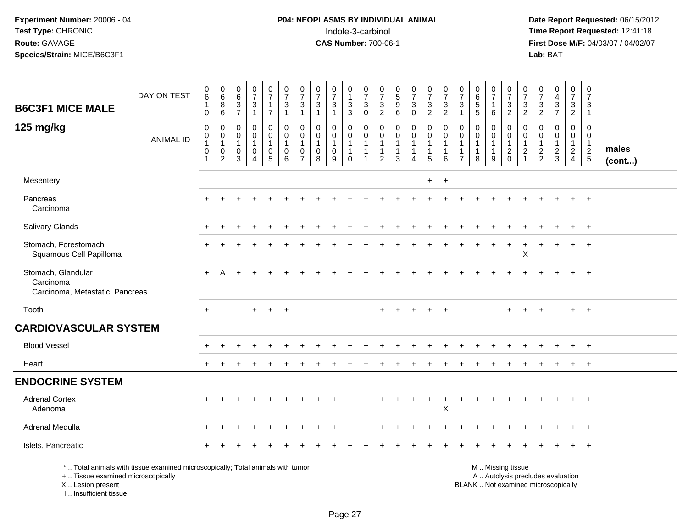# **P04: NEOPLASMS BY INDIVIDUAL ANIMAL**Indole-3-carbinol **Time Report Requested:** 12:41:18

 **Date Report Requested:** 06/15/2012 **First Dose M/F:** 04/03/07 / 04/02/07<br>Lab: BAT **Lab:** BAT

|                                                                    | DAY ON TEST                                                                     | $\begin{array}{c} 0 \\ 6 \end{array}$                         | 0<br>$6\phantom{a}$                                     | $\mathbf 0$<br>6                                            | $\frac{0}{7}$                                           | $\begin{smallmatrix}0\\7\end{smallmatrix}$           | $\frac{0}{7}$                                                               | $\frac{0}{7}$                                         | $\frac{0}{7}$                                                 | $\frac{0}{7}$                                        | 0<br>$\mathbf{1}$                                            | $\frac{0}{7}$                                             | $\frac{0}{7}$                                                                    | $\begin{array}{c} 0 \\ 5 \end{array}$                           | $\frac{0}{7}$                              | $\frac{0}{7}$                                       | $\begin{array}{c} 0 \\ 7 \end{array}$                           | 0<br>$\overline{7}$                        | $\begin{array}{c} 0 \\ 6 \end{array}$                           | $\frac{0}{7}$                                                   | $\frac{0}{7}$                                                               | $\frac{0}{7}$                                                                | 0<br>$\overline{7}$                                           | $\begin{smallmatrix}0\0\4\end{smallmatrix}$                 | $\frac{0}{7}$                                     | $\boldsymbol{0}$<br>$\overline{7}$                            |                       |
|--------------------------------------------------------------------|---------------------------------------------------------------------------------|---------------------------------------------------------------|---------------------------------------------------------|-------------------------------------------------------------|---------------------------------------------------------|------------------------------------------------------|-----------------------------------------------------------------------------|-------------------------------------------------------|---------------------------------------------------------------|------------------------------------------------------|--------------------------------------------------------------|-----------------------------------------------------------|----------------------------------------------------------------------------------|-----------------------------------------------------------------|--------------------------------------------|-----------------------------------------------------|-----------------------------------------------------------------|--------------------------------------------|-----------------------------------------------------------------|-----------------------------------------------------------------|-----------------------------------------------------------------------------|------------------------------------------------------------------------------|---------------------------------------------------------------|-------------------------------------------------------------|---------------------------------------------------|---------------------------------------------------------------|-----------------------|
| <b>B6C3F1 MICE MALE</b>                                            |                                                                                 | $\mathbf{1}$<br>$\mathbf 0$                                   | 8<br>$6\phantom{1}6$                                    | 3<br>$\overline{7}$                                         | $\sqrt{3}$<br>$\mathbf{1}$                              | $\mathbf{1}$<br>$\overline{7}$                       | $\ensuremath{\mathsf{3}}$<br>$\mathbf{1}$                                   | 3<br>$\overline{1}$                                   | $\ensuremath{\mathsf{3}}$<br>$\overline{1}$                   | $\mathbf{3}$<br>$\mathbf{1}$                         | $\frac{3}{3}$                                                | $\ensuremath{\mathsf{3}}$<br>$\mathsf{O}\xspace$          | $\frac{3}{2}$                                                                    | 9<br>6                                                          | $\mathbf{3}$<br>$\mathbf 0$                | $\frac{3}{2}$                                       | $\ensuremath{\mathsf{3}}$<br>$\overline{2}$                     | 3                                          | $\sqrt{5}$<br>5                                                 | $\mathbf{1}$<br>6                                               | $\frac{3}{2}$                                                               | $\mathbf{3}$<br>$\overline{2}$                                               | $\frac{3}{2}$                                                 | $\frac{3}{7}$                                               | $\mathbf{3}$<br>$\overline{2}$                    | 3<br>$\overline{1}$                                           |                       |
| 125 mg/kg                                                          | <b>ANIMAL ID</b>                                                                | $\mathbf 0$<br>$\pmb{0}$<br>$\mathbf{1}$<br>$\mathbf 0$<br>-1 | $\mathbf 0$<br>0<br>$\mathbf{1}$<br>0<br>$\overline{c}$ | $\mathbf 0$<br>$\Omega$<br>$\mathbf{1}$<br>$\mathbf 0$<br>3 | 0<br>$\mathbf 0$<br>$\mathbf{1}$<br>0<br>$\overline{4}$ | 0<br>$\mathbf 0$<br>$\mathbf{1}$<br>$\mathbf 0$<br>5 | $\mathbf 0$<br>$\mathbf 0$<br>$\mathbf{1}$<br>$\mathbf 0$<br>$6\phantom{1}$ | $\mathbf 0$<br>$\Omega$<br>$\Omega$<br>$\overline{7}$ | $\Omega$<br>$\mathbf 0$<br>$\overline{1}$<br>$\mathbf 0$<br>8 | 0<br>$\mathbf 0$<br>$\mathbf{1}$<br>$\mathbf 0$<br>9 | 0<br>$\pmb{0}$<br>$\mathbf{1}$<br>$\overline{1}$<br>$\Omega$ | $\mathbf 0$<br>$\mathbf 0$<br>$\mathbf{1}$<br>$\mathbf 1$ | $\mathbf 0$<br>$\mathbf 0$<br>$\overline{1}$<br>$\overline{1}$<br>$\overline{2}$ | $\mathbf 0$<br>$\mathbf 0$<br>$\mathbf{1}$<br>$\mathbf{1}$<br>3 | 0<br>$\mathbf 0$<br>$\mathbf{1}$<br>1<br>4 | 0<br>$\pmb{0}$<br>$\mathbf{1}$<br>$\mathbf{1}$<br>5 | $\mathbf 0$<br>$\mathbf 0$<br>$\mathbf{1}$<br>$\mathbf{1}$<br>6 | $\mathbf{0}$<br>$\Omega$<br>$\overline{7}$ | $\mathbf 0$<br>$\mathbf 0$<br>$\mathbf{1}$<br>$\mathbf{1}$<br>8 | $\mathbf 0$<br>$\mathbf 0$<br>$\mathbf{1}$<br>$\mathbf{1}$<br>9 | $\mathbf 0$<br>$\mathbf 0$<br>$\mathbf{1}$<br>$\overline{a}$<br>$\mathbf 0$ | $\mathbf 0$<br>$\mathbf 0$<br>$\mathbf{1}$<br>$\overline{a}$<br>$\mathbf{1}$ | $\mathbf 0$<br>$\mathbf 0$<br>$\overline{1}$<br>$\frac{2}{2}$ | $\mathbf 0$<br>$\mathbf 0$<br>$\mathbf{1}$<br>$\frac{2}{3}$ | $\mathbf 0$<br>0<br>$\mathbf{1}$<br>$\frac{2}{4}$ | $\mathbf 0$<br>$\mathbf 0$<br>$\overline{1}$<br>$\frac{2}{5}$ | males<br>$($ cont $)$ |
| Mesentery                                                          |                                                                                 |                                                               |                                                         |                                                             |                                                         |                                                      |                                                                             |                                                       |                                                               |                                                      |                                                              |                                                           |                                                                                  |                                                                 |                                            | $+$                                                 | $+$                                                             |                                            |                                                                 |                                                                 |                                                                             |                                                                              |                                                               |                                                             |                                                   |                                                               |                       |
| Pancreas<br>Carcinoma                                              |                                                                                 |                                                               |                                                         |                                                             |                                                         |                                                      |                                                                             |                                                       |                                                               |                                                      |                                                              |                                                           |                                                                                  |                                                                 |                                            |                                                     |                                                                 |                                            |                                                                 |                                                                 |                                                                             |                                                                              |                                                               |                                                             |                                                   |                                                               |                       |
| <b>Salivary Glands</b>                                             |                                                                                 |                                                               |                                                         |                                                             |                                                         |                                                      |                                                                             |                                                       |                                                               |                                                      |                                                              |                                                           |                                                                                  |                                                                 |                                            |                                                     |                                                                 |                                            |                                                                 |                                                                 |                                                                             |                                                                              |                                                               |                                                             |                                                   | $+$                                                           |                       |
| Stomach, Forestomach<br>Squamous Cell Papilloma                    |                                                                                 |                                                               |                                                         |                                                             |                                                         |                                                      |                                                                             |                                                       |                                                               |                                                      |                                                              |                                                           |                                                                                  |                                                                 |                                            |                                                     |                                                                 |                                            |                                                                 |                                                                 |                                                                             | $\mathsf X$                                                                  |                                                               |                                                             | $\ddot{}$                                         | $+$                                                           |                       |
| Stomach, Glandular<br>Carcinoma<br>Carcinoma, Metastatic, Pancreas |                                                                                 |                                                               |                                                         |                                                             |                                                         |                                                      |                                                                             |                                                       |                                                               |                                                      |                                                              |                                                           |                                                                                  |                                                                 |                                            |                                                     |                                                                 |                                            |                                                                 |                                                                 |                                                                             |                                                                              |                                                               |                                                             |                                                   |                                                               |                       |
| Tooth                                                              |                                                                                 | $+$                                                           |                                                         |                                                             | $+$                                                     | $+$                                                  | $+$                                                                         |                                                       |                                                               |                                                      |                                                              |                                                           | $+$                                                                              |                                                                 | $+$                                        | $+$                                                 | $+$                                                             |                                            |                                                                 |                                                                 |                                                                             | $+$                                                                          | $+$                                                           |                                                             |                                                   | $+$ $+$                                                       |                       |
| <b>CARDIOVASCULAR SYSTEM</b>                                       |                                                                                 |                                                               |                                                         |                                                             |                                                         |                                                      |                                                                             |                                                       |                                                               |                                                      |                                                              |                                                           |                                                                                  |                                                                 |                                            |                                                     |                                                                 |                                            |                                                                 |                                                                 |                                                                             |                                                                              |                                                               |                                                             |                                                   |                                                               |                       |
| <b>Blood Vessel</b>                                                |                                                                                 |                                                               |                                                         |                                                             |                                                         |                                                      |                                                                             |                                                       |                                                               |                                                      |                                                              |                                                           |                                                                                  |                                                                 |                                            |                                                     |                                                                 |                                            |                                                                 |                                                                 |                                                                             |                                                                              |                                                               |                                                             |                                                   | $+$                                                           |                       |
| Heart                                                              |                                                                                 |                                                               |                                                         |                                                             |                                                         |                                                      |                                                                             |                                                       |                                                               |                                                      |                                                              |                                                           |                                                                                  |                                                                 |                                            |                                                     |                                                                 |                                            |                                                                 |                                                                 |                                                                             |                                                                              |                                                               |                                                             |                                                   | $+$                                                           |                       |
| <b>ENDOCRINE SYSTEM</b>                                            |                                                                                 |                                                               |                                                         |                                                             |                                                         |                                                      |                                                                             |                                                       |                                                               |                                                      |                                                              |                                                           |                                                                                  |                                                                 |                                            |                                                     |                                                                 |                                            |                                                                 |                                                                 |                                                                             |                                                                              |                                                               |                                                             |                                                   |                                                               |                       |
| <b>Adrenal Cortex</b><br>Adenoma                                   |                                                                                 |                                                               |                                                         |                                                             |                                                         |                                                      |                                                                             |                                                       |                                                               |                                                      |                                                              |                                                           |                                                                                  |                                                                 |                                            |                                                     | $\ddot{}$<br>$\sf X$                                            |                                            |                                                                 |                                                                 |                                                                             |                                                                              |                                                               |                                                             |                                                   | $\overline{ }$                                                |                       |
| Adrenal Medulla                                                    |                                                                                 |                                                               |                                                         |                                                             |                                                         |                                                      |                                                                             |                                                       |                                                               |                                                      |                                                              |                                                           |                                                                                  |                                                                 |                                            |                                                     |                                                                 |                                            |                                                                 |                                                                 |                                                                             |                                                                              |                                                               |                                                             |                                                   | $+$                                                           |                       |
| Islets, Pancreatic                                                 |                                                                                 |                                                               |                                                         |                                                             |                                                         |                                                      |                                                                             |                                                       |                                                               |                                                      |                                                              |                                                           |                                                                                  |                                                                 |                                            |                                                     |                                                                 |                                            |                                                                 |                                                                 |                                                                             |                                                                              |                                                               |                                                             |                                                   |                                                               |                       |
| +  Tissue examined microscopically                                 | *  Total animals with tissue examined microscopically; Total animals with tumor |                                                               |                                                         |                                                             |                                                         |                                                      |                                                                             |                                                       |                                                               |                                                      |                                                              |                                                           |                                                                                  |                                                                 |                                            |                                                     |                                                                 |                                            |                                                                 |                                                                 | M  Missing tissue                                                           |                                                                              |                                                               | A  Autolysis precludes evaluation                           |                                                   |                                                               |                       |

X .. Lesion present

I .. Insufficient tissue

Lesion present BLANK .. Not examined microscopically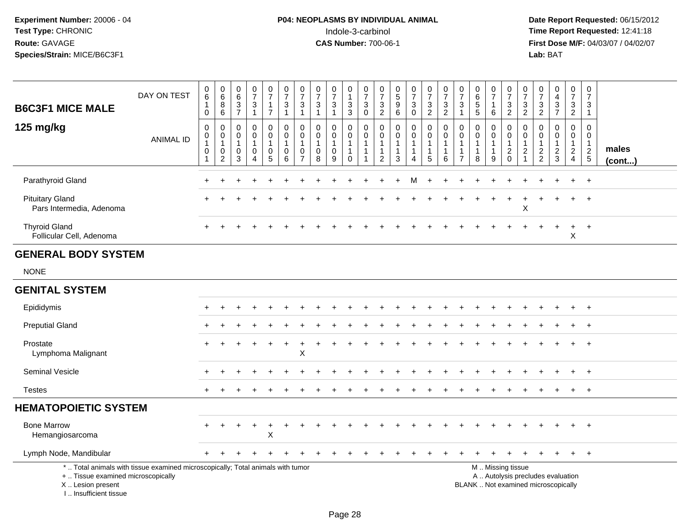# **P04: NEOPLASMS BY INDIVIDUAL ANIMAL**<br>Indole-3-carbinol Indole-3-carbinol **Time Report Requested:** 12:41:18

| <b>B6C3F1 MICE MALE</b>                                                                                                                                              | DAY ON TEST      | $\pmb{0}$<br>$6\phantom{a}$<br>$\overline{1}$<br>$\mathsf{O}$        | $\pmb{0}$<br>$6\phantom{a}$<br>$\bf 8$<br>$\overline{6}$ | $\pmb{0}$<br>$6\phantom{a}$<br>$\frac{3}{7}$         | $\begin{array}{c} 0 \\ 7 \end{array}$<br>$\sqrt{3}$<br>$\mathbf{1}$         | $\begin{array}{c} 0 \\ 7 \end{array}$<br>$\mathbf{1}$<br>$\overline{7}$             | $\begin{smallmatrix}0\\7\end{smallmatrix}$<br>$\frac{3}{1}$  | $\frac{0}{7}$<br>3<br>$\mathbf{1}$                               | $\begin{array}{c} 0 \\ 7 \end{array}$<br>$\mathbf{3}$<br>$\mathbf{1}$ | $\frac{0}{7}$<br>3<br>$\mathbf{1}$         | $\pmb{0}$<br>$\mathbf{1}$<br>$\sqrt{3}$<br>$\overline{3}$     | $\frac{0}{7}$<br>$_{\rm 0}^3$                                                       | 0<br>$\overline{7}$<br>3<br>$\overline{2}$            | $\begin{array}{c} 0 \\ 5 \end{array}$<br>$9\,$<br>$\,6\,$             | $\frac{0}{7}$<br>$\mathbf{3}$<br>$\mathsf 0$          | $\begin{array}{c} 0 \\ 7 \end{array}$<br>$\frac{3}{2}$                       | $\frac{0}{7}$<br>$\sqrt{3}$<br>$\overline{2}$      | $\begin{smallmatrix}0\\7\end{smallmatrix}$<br>$\mathbf{3}$<br>$\mathbf{1}$   | $\begin{array}{c} 0 \\ 6 \end{array}$<br>$\sqrt{5}$<br>$\sqrt{5}$ | $\frac{0}{7}$<br>1<br>$\,6\,$                         | $\frac{0}{7}$<br>$\sqrt{3}$<br>$\overline{2}$          | $\frac{0}{7}$<br>3<br>$\overline{2}$                              | $\frac{0}{7}$<br>$\frac{3}{2}$                      | $\begin{array}{c} 0 \\ 4 \\ 3 \\ 7 \end{array}$ | $\frac{0}{7}$<br>$\frac{3}{2}$                                       | $\frac{0}{7}$<br>3<br>$\mathbf{1}$                          |                 |
|----------------------------------------------------------------------------------------------------------------------------------------------------------------------|------------------|----------------------------------------------------------------------|----------------------------------------------------------|------------------------------------------------------|-----------------------------------------------------------------------------|-------------------------------------------------------------------------------------|--------------------------------------------------------------|------------------------------------------------------------------|-----------------------------------------------------------------------|--------------------------------------------|---------------------------------------------------------------|-------------------------------------------------------------------------------------|-------------------------------------------------------|-----------------------------------------------------------------------|-------------------------------------------------------|------------------------------------------------------------------------------|----------------------------------------------------|------------------------------------------------------------------------------|-------------------------------------------------------------------|-------------------------------------------------------|--------------------------------------------------------|-------------------------------------------------------------------|-----------------------------------------------------|-------------------------------------------------|----------------------------------------------------------------------|-------------------------------------------------------------|-----------------|
| 125 mg/kg                                                                                                                                                            | <b>ANIMAL ID</b> | $\boldsymbol{0}$<br>0<br>$\mathbf{1}$<br>$\mathbf 0$<br>$\mathbf{1}$ | 0<br>0<br>$\mathbf{1}$<br>0<br>$\overline{c}$            | $\mathbf 0$<br>$\mathbf 0$<br>$\mathbf{1}$<br>0<br>3 | $\mathbf 0$<br>$\mathbf 0$<br>$\mathbf{1}$<br>$\mathbf 0$<br>$\overline{A}$ | $\mathbf 0$<br>$\mathbf 0$<br>$\mathbf{1}$<br>$\begin{array}{c} 0 \\ 5 \end{array}$ | $\pmb{0}$<br>$\mathbf 0$<br>$\mathbf{1}$<br>$\mathbf 0$<br>6 | 0<br>$\mathbf 0$<br>$\mathbf 1$<br>$\mathbf 0$<br>$\overline{7}$ | $\mathbf 0$<br>$\mathbf 0$<br>$\mathbf{1}$<br>$\mathbf 0$<br>8        | 0<br>$\mathbf 0$<br>$\mathbf{1}$<br>0<br>9 | 0<br>0<br>$\mathbf{1}$<br>$\mathbf{1}$<br>$\mathsf{O}\xspace$ | $\boldsymbol{0}$<br>$\mathbf 0$<br>$\mathbf{1}$<br>$\overline{1}$<br>$\overline{1}$ | 0<br>$\mathbf 0$<br>$\mathbf{1}$<br>$\mathbf{1}$<br>2 | $\pmb{0}$<br>$\Omega$<br>$\mathbf{1}$<br>$\mathbf{1}$<br>$\mathbf{3}$ | 0<br>$\mathbf 0$<br>$\mathbf{1}$<br>$\mathbf{1}$<br>4 | $\mathsf 0$<br>$\mathbf 0$<br>$\mathbf{1}$<br>$\mathbf{1}$<br>$\overline{5}$ | $\pmb{0}$<br>$\mathbf 0$<br>$\mathbf{1}$<br>1<br>6 | $\mathbf 0$<br>$\mathbf 0$<br>$\mathbf{1}$<br>$\mathbf{1}$<br>$\overline{7}$ | $\mathbf 0$<br>$\mathbf 0$<br>$\mathbf{1}$<br>$\mathbf{1}$<br>8   | 0<br>$\mathbf 0$<br>$\mathbf{1}$<br>$\mathbf{1}$<br>9 | 0<br>$\mathbf 0$<br>$\mathbf{1}$<br>$^2_{\rm 0}$       | 0<br>$\mathbf 0$<br>$\mathbf 1$<br>$\overline{c}$<br>$\mathbf{1}$ | 0<br>$\mathbf 0$<br>$\overline{1}$<br>$\frac{2}{2}$ | $\pmb{0}$<br>0<br>$\mathbf{1}$<br>$\frac{2}{3}$ | 0<br>$\mathbf 0$<br>$\mathbf{1}$<br>$\overline{2}$<br>$\overline{4}$ | $\pmb{0}$<br>$\mathbf 0$<br>$\overline{1}$<br>$\frac{2}{5}$ | males<br>(cont) |
| Parathyroid Gland                                                                                                                                                    |                  |                                                                      |                                                          |                                                      |                                                                             |                                                                                     |                                                              |                                                                  |                                                                       |                                            |                                                               |                                                                                     |                                                       |                                                                       | M                                                     |                                                                              |                                                    |                                                                              |                                                                   |                                                       |                                                        |                                                                   |                                                     |                                                 |                                                                      |                                                             |                 |
| <b>Pituitary Gland</b><br>Pars Intermedia, Adenoma                                                                                                                   |                  |                                                                      |                                                          |                                                      |                                                                             |                                                                                     |                                                              |                                                                  |                                                                       |                                            |                                                               |                                                                                     |                                                       |                                                                       |                                                       |                                                                              |                                                    |                                                                              |                                                                   |                                                       |                                                        | X                                                                 |                                                     |                                                 |                                                                      |                                                             |                 |
| <b>Thyroid Gland</b><br>Follicular Cell, Adenoma                                                                                                                     |                  |                                                                      |                                                          |                                                      |                                                                             |                                                                                     |                                                              |                                                                  |                                                                       |                                            |                                                               |                                                                                     |                                                       |                                                                       |                                                       |                                                                              |                                                    |                                                                              |                                                                   |                                                       |                                                        |                                                                   |                                                     |                                                 | +<br>$\mathsf X$                                                     | $^{+}$                                                      |                 |
| <b>GENERAL BODY SYSTEM</b>                                                                                                                                           |                  |                                                                      |                                                          |                                                      |                                                                             |                                                                                     |                                                              |                                                                  |                                                                       |                                            |                                                               |                                                                                     |                                                       |                                                                       |                                                       |                                                                              |                                                    |                                                                              |                                                                   |                                                       |                                                        |                                                                   |                                                     |                                                 |                                                                      |                                                             |                 |
| <b>NONE</b>                                                                                                                                                          |                  |                                                                      |                                                          |                                                      |                                                                             |                                                                                     |                                                              |                                                                  |                                                                       |                                            |                                                               |                                                                                     |                                                       |                                                                       |                                                       |                                                                              |                                                    |                                                                              |                                                                   |                                                       |                                                        |                                                                   |                                                     |                                                 |                                                                      |                                                             |                 |
| <b>GENITAL SYSTEM</b>                                                                                                                                                |                  |                                                                      |                                                          |                                                      |                                                                             |                                                                                     |                                                              |                                                                  |                                                                       |                                            |                                                               |                                                                                     |                                                       |                                                                       |                                                       |                                                                              |                                                    |                                                                              |                                                                   |                                                       |                                                        |                                                                   |                                                     |                                                 |                                                                      |                                                             |                 |
| Epididymis                                                                                                                                                           |                  |                                                                      |                                                          |                                                      |                                                                             |                                                                                     |                                                              |                                                                  |                                                                       |                                            |                                                               |                                                                                     |                                                       |                                                                       |                                                       |                                                                              |                                                    |                                                                              |                                                                   |                                                       |                                                        |                                                                   |                                                     |                                                 | $\div$                                                               | $+$                                                         |                 |
| <b>Preputial Gland</b>                                                                                                                                               |                  |                                                                      |                                                          |                                                      |                                                                             |                                                                                     |                                                              |                                                                  |                                                                       |                                            |                                                               |                                                                                     |                                                       |                                                                       |                                                       |                                                                              |                                                    |                                                                              |                                                                   |                                                       |                                                        |                                                                   |                                                     |                                                 |                                                                      |                                                             |                 |
| Prostate<br>Lymphoma Malignant                                                                                                                                       |                  |                                                                      |                                                          |                                                      |                                                                             |                                                                                     | $\ddot{}$                                                    | +<br>Χ                                                           |                                                                       |                                            |                                                               |                                                                                     |                                                       |                                                                       |                                                       |                                                                              |                                                    |                                                                              |                                                                   |                                                       |                                                        |                                                                   |                                                     |                                                 |                                                                      |                                                             |                 |
| Seminal Vesicle                                                                                                                                                      |                  |                                                                      |                                                          |                                                      |                                                                             |                                                                                     |                                                              |                                                                  |                                                                       |                                            |                                                               |                                                                                     |                                                       |                                                                       |                                                       |                                                                              |                                                    |                                                                              |                                                                   |                                                       |                                                        |                                                                   |                                                     |                                                 |                                                                      | $^{+}$                                                      |                 |
| <b>Testes</b>                                                                                                                                                        |                  | $+$                                                                  |                                                          |                                                      |                                                                             |                                                                                     |                                                              |                                                                  |                                                                       |                                            |                                                               |                                                                                     |                                                       |                                                                       |                                                       |                                                                              |                                                    |                                                                              |                                                                   |                                                       |                                                        |                                                                   |                                                     |                                                 | $+$                                                                  | $+$                                                         |                 |
| <b>HEMATOPOIETIC SYSTEM</b>                                                                                                                                          |                  |                                                                      |                                                          |                                                      |                                                                             |                                                                                     |                                                              |                                                                  |                                                                       |                                            |                                                               |                                                                                     |                                                       |                                                                       |                                                       |                                                                              |                                                    |                                                                              |                                                                   |                                                       |                                                        |                                                                   |                                                     |                                                 |                                                                      |                                                             |                 |
| <b>Bone Marrow</b><br>Hemangiosarcoma                                                                                                                                |                  |                                                                      |                                                          |                                                      |                                                                             | $\mathsf X$                                                                         |                                                              |                                                                  |                                                                       |                                            |                                                               |                                                                                     |                                                       |                                                                       |                                                       |                                                                              |                                                    |                                                                              |                                                                   |                                                       |                                                        |                                                                   |                                                     |                                                 |                                                                      |                                                             |                 |
| Lymph Node, Mandibular                                                                                                                                               |                  |                                                                      |                                                          |                                                      |                                                                             |                                                                                     |                                                              |                                                                  |                                                                       |                                            |                                                               |                                                                                     |                                                       |                                                                       |                                                       |                                                                              |                                                    |                                                                              |                                                                   |                                                       |                                                        |                                                                   |                                                     |                                                 | $\ddot{}$                                                            | $+$                                                         |                 |
| *  Total animals with tissue examined microscopically; Total animals with tumor<br>+  Tissue examined microscopically<br>X  Lesion present<br>L. Insufficient tissue |                  |                                                                      |                                                          |                                                      |                                                                             |                                                                                     |                                                              |                                                                  |                                                                       |                                            |                                                               |                                                                                     |                                                       |                                                                       |                                                       |                                                                              |                                                    |                                                                              | BLANK  Not examined microscopically                               |                                                       | M  Missing tissue<br>A  Autolysis precludes evaluation |                                                                   |                                                     |                                                 |                                                                      |                                                             |                 |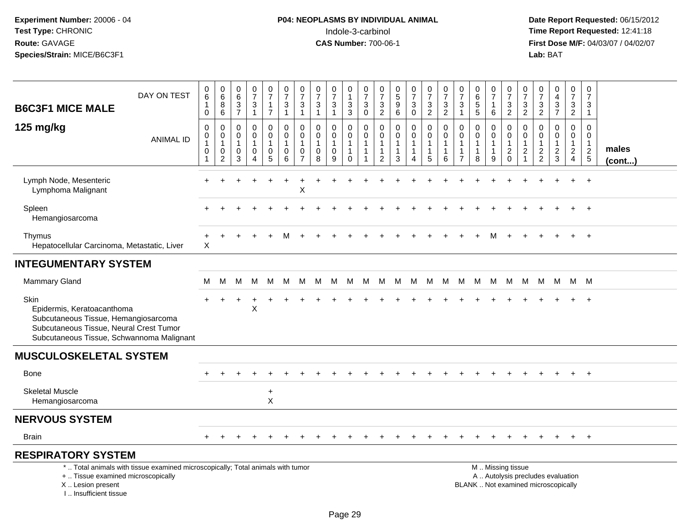# **P04: NEOPLASMS BY INDIVIDUAL ANIMAL**<br>Indole-3-carbinol Indole-3-carbinol **Time Report Requested:** 12:41:18

| <b>B6C3F1 MICE MALE</b>                                                                                                                                             | DAY ON TEST      | $\pmb{0}$<br>$\,6\,$<br>1<br>$\mathbf 0$                                    | $\begin{array}{c} 0 \\ 6 \end{array}$<br>$\, 8$<br>6                    | $_{6}^{\rm 0}$<br>$\ensuremath{\mathsf{3}}$<br>$\overline{7}$ | $\frac{0}{7}$<br>3<br>$\mathbf{1}$                   | $\frac{0}{7}$<br>$\mathbf{1}$<br>$\overline{7}$                                   | $\frac{0}{7}$<br>$\sqrt{3}$<br>$\mathbf{1}$                                    | $\frac{0}{7}$<br>$\mathbf{3}$<br>$\mathbf{1}$                       | $\frac{0}{7}$<br>$\ensuremath{\mathsf{3}}$<br>$\mathbf{1}$       | $\begin{array}{c} 0 \\ 7 \end{array}$<br>3<br>$\mathbf{1}$ | 0<br>$\overline{1}$<br>$\ensuremath{\mathsf{3}}$<br>$\mathbf{3}$    | $\frac{0}{7}$<br>$\ensuremath{\mathsf{3}}$<br>$\pmb{0}$ | 0<br>$\overline{7}$<br>$\ensuremath{\mathsf{3}}$<br>$\overline{2}$   | $\begin{array}{c} 0 \\ 5 \end{array}$<br>$\overline{9}$<br>$6\phantom{1}6$   | $\frac{0}{7}$<br>$\ensuremath{\mathsf{3}}$<br>$\mathsf{O}\xspace$                  | $\frac{0}{7}$<br>$\ensuremath{\mathsf{3}}$<br>$\overline{2}$                 | $\frac{0}{7}$<br>3<br>$\overline{a}$                  | $\pmb{0}$<br>$\overline{7}$<br>$\sqrt{3}$<br>$\mathbf{1}$            | $\begin{array}{c} 0 \\ 6 \end{array}$<br>$\overline{5}$<br>$\overline{5}$ | $\frac{0}{7}$<br>$\overline{1}$<br>$\,6$                | $\frac{0}{7}$<br>$\sqrt{3}$<br>$\overline{2}$                | $\frac{0}{7}$<br>3<br>$\overline{c}$                                         | $\frac{0}{7}$<br>$\ensuremath{\mathsf{3}}$<br>$\overline{2}$ | $_4^{\rm 0}$<br>$\ensuremath{\mathsf{3}}$<br>$\overline{7}$              | $\mathbf 0$<br>$\overline{7}$<br>$\mathbf{3}$<br>$\overline{2}$ | $\mathbf 0$<br>$\overline{7}$<br>3<br>$\mathbf{1}$            |                      |
|---------------------------------------------------------------------------------------------------------------------------------------------------------------------|------------------|-----------------------------------------------------------------------------|-------------------------------------------------------------------------|---------------------------------------------------------------|------------------------------------------------------|-----------------------------------------------------------------------------------|--------------------------------------------------------------------------------|---------------------------------------------------------------------|------------------------------------------------------------------|------------------------------------------------------------|---------------------------------------------------------------------|---------------------------------------------------------|----------------------------------------------------------------------|------------------------------------------------------------------------------|------------------------------------------------------------------------------------|------------------------------------------------------------------------------|-------------------------------------------------------|----------------------------------------------------------------------|---------------------------------------------------------------------------|---------------------------------------------------------|--------------------------------------------------------------|------------------------------------------------------------------------------|--------------------------------------------------------------|--------------------------------------------------------------------------|-----------------------------------------------------------------|---------------------------------------------------------------|----------------------|
| 125 mg/kg                                                                                                                                                           | <b>ANIMAL ID</b> | $\mathbf 0$<br>$\pmb{0}$<br>$\overline{1}$<br>$\mathbf 0$<br>$\overline{1}$ | $\mathbf 0$<br>$\mathbf 0$<br>$\mathbf{1}$<br>$\mathbf 0$<br>$\sqrt{2}$ | 0<br>$\mathbf 0$<br>$\mathbf{1}$<br>$\mathbf 0$<br>3          | $\mathbf 0$<br>$\mathbf 0$<br>$\mathbf{1}$<br>0<br>4 | 0<br>$\mathsf{O}\xspace$<br>$\mathbf{1}$<br>$\begin{array}{c} 0 \\ 5 \end{array}$ | $\mathbf 0$<br>$\mathbf 0$<br>$\overline{1}$<br>$\mathbf 0$<br>$6\phantom{1}6$ | 0<br>$\mathbf 0$<br>$\overline{1}$<br>$\mathbf 0$<br>$\overline{7}$ | $\mathbf 0$<br>$\mathbf 0$<br>$\overline{1}$<br>$\mathbf 0$<br>8 | 0<br>$\mathbf 0$<br>$\mathbf{1}$<br>0<br>9                 | 0<br>$\mathbf 0$<br>$\overline{1}$<br>$\overline{1}$<br>$\mathbf 0$ | $\mathbf 0$<br>$\pmb{0}$<br>$\mathbf{1}$<br>$\mathbf 1$ | $\mathbf 0$<br>0<br>$\overline{1}$<br>$\mathbf{1}$<br>$\overline{2}$ | $\mathbf 0$<br>$\mathbf 0$<br>$\overline{1}$<br>$\mathbf{1}$<br>$\mathbf{3}$ | 0<br>$\mathsf{O}\xspace$<br>$\mathbf{1}$<br>$\mathbf 1$<br>$\overline{\mathbf{4}}$ | $\mathbf 0$<br>$\mathbf 0$<br>$\mathbf{1}$<br>$\mathbf{1}$<br>$\overline{5}$ | $\mathbf 0$<br>0<br>$\mathbf{1}$<br>$\mathbf{1}$<br>6 | $\mathbf 0$<br>0<br>$\overline{1}$<br>$\mathbf{1}$<br>$\overline{7}$ | $\mathbf 0$<br>$\pmb{0}$<br>$\mathbf{1}$<br>$\mathbf{1}$<br>8             | 0<br>$\mathbf 0$<br>$\overline{1}$<br>$\mathbf{1}$<br>9 | $\mathbf 0$<br>$\mathsf 0$<br>$\overline{1}$<br>$^2_{\rm 0}$ | $\mathbf 0$<br>$\mathbf 0$<br>$\mathbf{1}$<br>$\overline{c}$<br>$\mathbf{1}$ | 0<br>$\mathbf 0$<br>$\overline{1}$<br>$\frac{2}{2}$          | 0<br>$\pmb{0}$<br>$\mathbf{1}$<br>$\frac{2}{3}$                          | $\mathbf 0$<br>$\mathbf 0$<br>$\overline{1}$<br>$\frac{2}{4}$   | $\mathbf 0$<br>$\mathbf 0$<br>$\overline{1}$<br>$\frac{2}{5}$ | males<br>$($ cont $$ |
| Lymph Node, Mesenteric<br>Lymphoma Malignant                                                                                                                        |                  |                                                                             |                                                                         |                                                               |                                                      |                                                                                   |                                                                                | X                                                                   |                                                                  |                                                            |                                                                     |                                                         |                                                                      |                                                                              |                                                                                    |                                                                              |                                                       |                                                                      |                                                                           |                                                         |                                                              |                                                                              |                                                              |                                                                          |                                                                 |                                                               |                      |
| Spleen<br>Hemangiosarcoma                                                                                                                                           |                  |                                                                             |                                                                         |                                                               |                                                      |                                                                                   |                                                                                |                                                                     |                                                                  |                                                            |                                                                     |                                                         |                                                                      |                                                                              |                                                                                    |                                                                              |                                                       |                                                                      |                                                                           |                                                         |                                                              |                                                                              |                                                              |                                                                          |                                                                 | $\ddot{}$                                                     |                      |
| Thymus<br>Hepatocellular Carcinoma, Metastatic, Liver                                                                                                               |                  | X                                                                           |                                                                         |                                                               |                                                      |                                                                                   |                                                                                |                                                                     |                                                                  |                                                            |                                                                     |                                                         |                                                                      |                                                                              |                                                                                    |                                                                              |                                                       |                                                                      |                                                                           |                                                         |                                                              |                                                                              |                                                              |                                                                          |                                                                 |                                                               |                      |
| <b>INTEGUMENTARY SYSTEM</b>                                                                                                                                         |                  |                                                                             |                                                                         |                                                               |                                                      |                                                                                   |                                                                                |                                                                     |                                                                  |                                                            |                                                                     |                                                         |                                                                      |                                                                              |                                                                                    |                                                                              |                                                       |                                                                      |                                                                           |                                                         |                                                              |                                                                              |                                                              |                                                                          |                                                                 |                                                               |                      |
| <b>Mammary Gland</b>                                                                                                                                                |                  | м                                                                           | м                                                                       | M                                                             | M                                                    | M                                                                                 | M                                                                              | M                                                                   | M                                                                | M                                                          | M                                                                   | M                                                       | M                                                                    | м                                                                            | M                                                                                  | M                                                                            | M                                                     | M                                                                    | M                                                                         | M                                                       | M                                                            | M                                                                            | M                                                            |                                                                          | M M M                                                           |                                                               |                      |
| Skin<br>Epidermis, Keratoacanthoma<br>Subcutaneous Tissue, Hemangiosarcoma<br>Subcutaneous Tissue, Neural Crest Tumor<br>Subcutaneous Tissue, Schwannoma Malignant  |                  |                                                                             |                                                                         |                                                               | X                                                    |                                                                                   |                                                                                |                                                                     |                                                                  |                                                            |                                                                     |                                                         |                                                                      |                                                                              |                                                                                    |                                                                              |                                                       |                                                                      |                                                                           |                                                         |                                                              |                                                                              |                                                              |                                                                          |                                                                 | $\ddot{}$                                                     |                      |
| <b>MUSCULOSKELETAL SYSTEM</b>                                                                                                                                       |                  |                                                                             |                                                                         |                                                               |                                                      |                                                                                   |                                                                                |                                                                     |                                                                  |                                                            |                                                                     |                                                         |                                                                      |                                                                              |                                                                                    |                                                                              |                                                       |                                                                      |                                                                           |                                                         |                                                              |                                                                              |                                                              |                                                                          |                                                                 |                                                               |                      |
| <b>Bone</b>                                                                                                                                                         |                  |                                                                             |                                                                         |                                                               |                                                      |                                                                                   |                                                                                |                                                                     |                                                                  |                                                            |                                                                     |                                                         |                                                                      |                                                                              |                                                                                    |                                                                              |                                                       |                                                                      |                                                                           |                                                         |                                                              |                                                                              |                                                              |                                                                          |                                                                 |                                                               |                      |
| <b>Skeletal Muscle</b><br>Hemangiosarcoma                                                                                                                           |                  |                                                                             |                                                                         |                                                               |                                                      | $\ddot{}$<br>$\pmb{\times}$                                                       |                                                                                |                                                                     |                                                                  |                                                            |                                                                     |                                                         |                                                                      |                                                                              |                                                                                    |                                                                              |                                                       |                                                                      |                                                                           |                                                         |                                                              |                                                                              |                                                              |                                                                          |                                                                 |                                                               |                      |
| <b>NERVOUS SYSTEM</b>                                                                                                                                               |                  |                                                                             |                                                                         |                                                               |                                                      |                                                                                   |                                                                                |                                                                     |                                                                  |                                                            |                                                                     |                                                         |                                                                      |                                                                              |                                                                                    |                                                                              |                                                       |                                                                      |                                                                           |                                                         |                                                              |                                                                              |                                                              |                                                                          |                                                                 |                                                               |                      |
| <b>Brain</b>                                                                                                                                                        |                  |                                                                             |                                                                         |                                                               |                                                      |                                                                                   |                                                                                |                                                                     |                                                                  |                                                            |                                                                     |                                                         |                                                                      |                                                                              |                                                                                    |                                                                              |                                                       |                                                                      |                                                                           |                                                         |                                                              |                                                                              |                                                              |                                                                          | $\ddot{}$                                                       | $+$                                                           |                      |
| <b>RESPIRATORY SYSTEM</b>                                                                                                                                           |                  |                                                                             |                                                                         |                                                               |                                                      |                                                                                   |                                                                                |                                                                     |                                                                  |                                                            |                                                                     |                                                         |                                                                      |                                                                              |                                                                                    |                                                                              |                                                       |                                                                      |                                                                           |                                                         |                                                              |                                                                              |                                                              |                                                                          |                                                                 |                                                               |                      |
| *  Total animals with tissue examined microscopically; Total animals with tumor<br>+  Tissue examined microscopically<br>X  Lesion present<br>I Insufficient tissue |                  |                                                                             |                                                                         |                                                               |                                                      |                                                                                   |                                                                                |                                                                     |                                                                  |                                                            |                                                                     |                                                         |                                                                      |                                                                              |                                                                                    |                                                                              |                                                       |                                                                      |                                                                           |                                                         | M. Missing tissue                                            |                                                                              |                                                              | A  Autolysis precludes evaluation<br>BLANK  Not examined microscopically |                                                                 |                                                               |                      |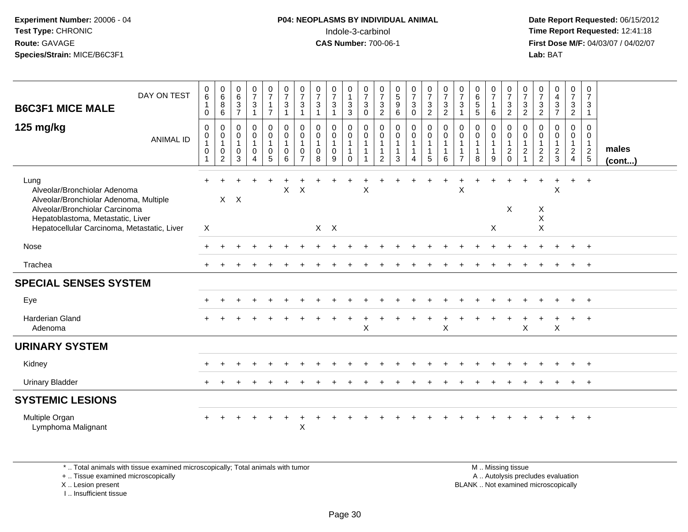# **P04: NEOPLASMS BY INDIVIDUAL ANIMAL**<br>Indole-3-carbinol Indole-3-carbinol **Time Report Requested:** 12:41:18

 **Date Report Requested:** 06/15/2012 **First Dose M/F:** 04/03/07 / 04/02/07<br>Lab: BAT **Lab:** BAT

| DAY ON TEST<br><b>B6C3F1 MICE MALE</b>                                                                                                                                                               | $\begin{matrix} 0 \\ 6 \end{matrix}$<br>$\mathbf{1}$<br>0 | $\begin{matrix} 0 \\ 6 \\ 8 \end{matrix}$<br>$\,6\,$                                        | $\begin{matrix} 0 \\ 6 \end{matrix}$<br>$\ensuremath{\mathsf{3}}$<br>$\overline{7}$ | $\frac{0}{7}$<br>$\sqrt{3}$<br>$\overline{1}$                                             | $\frac{0}{7}$<br>$\mathbf{1}$<br>$\overline{7}$         | $\frac{0}{7}$<br>$\mathbf{3}$<br>$\overline{1}$                   | $\frac{0}{7}$<br>$\ensuremath{\mathsf{3}}$<br>$\mathbf{1}$        | $\frac{0}{7}$<br>$\mathbf{3}$                               | $\frac{0}{7}$<br>$\mathbf{3}$<br>$\overline{1}$                | 0<br>$\overline{1}$<br>$\sqrt{3}$<br>3                               | $\frac{0}{7}$<br>$\sqrt{3}$<br>$\mathbf 0$                                             | $\frac{0}{7}$<br>$\ensuremath{\mathsf{3}}$<br>$\overline{2}$ | $\begin{array}{c} 0 \\ 5 \\ 9 \end{array}$<br>6               | $\frac{0}{7}$<br>$\ensuremath{\mathsf{3}}$<br>$\pmb{0}$                | $\frac{0}{7}$<br>$\ensuremath{\mathsf{3}}$<br>$\overline{2}$                        | $\frac{0}{7}$<br>$\sqrt{3}$<br>$\overline{2}$                    | $\frac{0}{7}$<br>$\sqrt{3}$<br>$\mathbf{1}$                                | $\begin{array}{c} 0 \\ 6 \end{array}$<br>$\,$ 5 $\,$<br>5     | $\frac{0}{7}$<br>$\mathbf{1}$<br>6                    | $\frac{0}{7}$<br>$\ensuremath{\mathsf{3}}$<br>$\overline{2}$ | $\frac{0}{7}$<br>$\ensuremath{\mathsf{3}}$<br>$\overline{c}$ | $\frac{0}{7}$<br>$\frac{3}{2}$                   | $\begin{array}{c} 0 \\ 4 \\ 3 \end{array}$<br>$\overline{7}$ | $\frac{0}{7}$<br>$\frac{3}{2}$                              | $\frac{0}{7}$<br>$\mathbf{3}$<br>$\mathbf{1}$ |                       |
|------------------------------------------------------------------------------------------------------------------------------------------------------------------------------------------------------|-----------------------------------------------------------|---------------------------------------------------------------------------------------------|-------------------------------------------------------------------------------------|-------------------------------------------------------------------------------------------|---------------------------------------------------------|-------------------------------------------------------------------|-------------------------------------------------------------------|-------------------------------------------------------------|----------------------------------------------------------------|----------------------------------------------------------------------|----------------------------------------------------------------------------------------|--------------------------------------------------------------|---------------------------------------------------------------|------------------------------------------------------------------------|-------------------------------------------------------------------------------------|------------------------------------------------------------------|----------------------------------------------------------------------------|---------------------------------------------------------------|-------------------------------------------------------|--------------------------------------------------------------|--------------------------------------------------------------|--------------------------------------------------|--------------------------------------------------------------|-------------------------------------------------------------|-----------------------------------------------|-----------------------|
| 125 mg/kg<br><b>ANIMAL ID</b>                                                                                                                                                                        | $\mathbf 0$<br>0<br>0                                     | $\begin{smallmatrix} 0\\0 \end{smallmatrix}$<br>$\mathbf{1}$<br>$\pmb{0}$<br>$\overline{2}$ | 0<br>$\pmb{0}$<br>$\overline{1}$<br>0<br>3                                          | $\mathbf 0$<br>$\pmb{0}$<br>$\mathbf{1}$<br>$\mathsf{O}\xspace$<br>$\boldsymbol{\Lambda}$ | 0<br>$\overline{0}$<br>$\mathbf{1}$<br>$\mathsf 0$<br>5 | $\mathbf 0$<br>$\overline{0}$<br>$\mathbf{1}$<br>$\mathbf 0$<br>6 | $_{\rm 0}^{\rm 0}$<br>$\mathbf{1}$<br>$\pmb{0}$<br>$\overline{7}$ | $\Omega$<br>$\mathbf 0$<br>$\mathbf{1}$<br>$\mathbf 0$<br>8 | $\mathbf 0$<br>$\mathbf 0$<br>$\mathbf{1}$<br>$\mathbf 0$<br>9 | 0<br>$\ddot{\mathbf{0}}$<br>$\mathbf{1}$<br>$\mathbf{1}$<br>$\Omega$ | $\mathbf 0$<br>$\ddot{\mathbf{0}}$<br>$\mathbf{1}$<br>$\overline{1}$<br>$\overline{1}$ | 0<br>$\boldsymbol{0}$<br>$\mathbf{1}$<br>$\overline{2}$      | $\mathbf 0$<br>$\pmb{0}$<br>$\mathbf{1}$<br>$\mathbf{1}$<br>3 | $\pmb{0}$<br>$\pmb{0}$<br>1<br>$\mathbf{1}$<br>$\overline{\mathbf{4}}$ | $\begin{smallmatrix} 0\\0 \end{smallmatrix}$<br>$\mathbf{1}$<br>$\overline{1}$<br>5 | $\pmb{0}$<br>$\overline{0}$<br>$\mathbf{1}$<br>$\mathbf{1}$<br>6 | $\pmb{0}$<br>$\mathbf 0$<br>$\mathbf{1}$<br>$\mathbf{1}$<br>$\overline{7}$ | $\mathbf 0$<br>$\pmb{0}$<br>$\mathbf{1}$<br>$\mathbf{1}$<br>8 | 0<br>$\mathbf 0$<br>$\mathbf{1}$<br>$\mathbf{1}$<br>9 | $0001$<br>$120$                                              | 0<br>$\pmb{0}$<br>1<br>$\frac{2}{1}$                         | $\mathbf 0$<br>$\boldsymbol{0}$<br>$\frac{1}{2}$ | $\mathbf 0$<br>$\mathbf 0$<br>$\mathbf{1}$<br>$\frac{2}{3}$  | $\mathbf 0$<br>$\mathbf 0$<br>$\mathbf{1}$<br>$\frac{2}{4}$ | 0<br>$\boldsymbol{0}$<br>$\frac{1}{2}$        | males<br>$($ cont $)$ |
| Lung<br>Alveolar/Bronchiolar Adenoma<br>Alveolar/Bronchiolar Adenoma, Multiple<br>Alveolar/Bronchiolar Carcinoma<br>Hepatoblastoma, Metastatic, Liver<br>Hepatocellular Carcinoma, Metastatic, Liver | $+$<br>Χ                                                  |                                                                                             | $X$ $X$                                                                             |                                                                                           |                                                         | $\mathsf{X}$                                                      | $\boldsymbol{\mathsf{X}}$                                         |                                                             | $X$ $X$                                                        |                                                                      | X                                                                                      |                                                              |                                                               |                                                                        |                                                                                     |                                                                  | Χ                                                                          |                                                               | X                                                     | Χ                                                            |                                                              | X<br>X<br>X                                      | X                                                            | $+$                                                         | $+$                                           |                       |
| Nose                                                                                                                                                                                                 | $\pm$                                                     |                                                                                             |                                                                                     |                                                                                           |                                                         |                                                                   |                                                                   |                                                             |                                                                |                                                                      |                                                                                        |                                                              |                                                               |                                                                        |                                                                                     |                                                                  |                                                                            |                                                               |                                                       |                                                              |                                                              |                                                  |                                                              |                                                             | $\overline{+}$                                |                       |
| Trachea                                                                                                                                                                                              |                                                           |                                                                                             |                                                                                     |                                                                                           |                                                         |                                                                   |                                                                   |                                                             |                                                                |                                                                      |                                                                                        |                                                              |                                                               |                                                                        |                                                                                     |                                                                  |                                                                            |                                                               |                                                       |                                                              |                                                              |                                                  |                                                              |                                                             |                                               |                       |
| <b>SPECIAL SENSES SYSTEM</b>                                                                                                                                                                         |                                                           |                                                                                             |                                                                                     |                                                                                           |                                                         |                                                                   |                                                                   |                                                             |                                                                |                                                                      |                                                                                        |                                                              |                                                               |                                                                        |                                                                                     |                                                                  |                                                                            |                                                               |                                                       |                                                              |                                                              |                                                  |                                                              |                                                             |                                               |                       |
| Eye                                                                                                                                                                                                  |                                                           |                                                                                             |                                                                                     |                                                                                           |                                                         |                                                                   |                                                                   |                                                             |                                                                |                                                                      |                                                                                        |                                                              |                                                               |                                                                        |                                                                                     |                                                                  |                                                                            |                                                               |                                                       |                                                              |                                                              |                                                  |                                                              |                                                             |                                               |                       |
| <b>Harderian Gland</b><br>Adenoma                                                                                                                                                                    |                                                           |                                                                                             |                                                                                     |                                                                                           |                                                         |                                                                   |                                                                   |                                                             |                                                                |                                                                      | X                                                                                      |                                                              |                                                               |                                                                        |                                                                                     | $\times$                                                         |                                                                            |                                                               |                                                       |                                                              | X                                                            |                                                  | X                                                            |                                                             | $+$                                           |                       |
| <b>URINARY SYSTEM</b>                                                                                                                                                                                |                                                           |                                                                                             |                                                                                     |                                                                                           |                                                         |                                                                   |                                                                   |                                                             |                                                                |                                                                      |                                                                                        |                                                              |                                                               |                                                                        |                                                                                     |                                                                  |                                                                            |                                                               |                                                       |                                                              |                                                              |                                                  |                                                              |                                                             |                                               |                       |
| Kidney                                                                                                                                                                                               |                                                           |                                                                                             |                                                                                     |                                                                                           |                                                         |                                                                   |                                                                   |                                                             |                                                                |                                                                      |                                                                                        |                                                              |                                                               |                                                                        |                                                                                     |                                                                  |                                                                            |                                                               |                                                       |                                                              |                                                              |                                                  |                                                              | $\ddot{}$                                                   | $^{+}$                                        |                       |
| <b>Urinary Bladder</b>                                                                                                                                                                               |                                                           |                                                                                             |                                                                                     |                                                                                           |                                                         |                                                                   |                                                                   |                                                             |                                                                |                                                                      |                                                                                        |                                                              |                                                               |                                                                        |                                                                                     |                                                                  |                                                                            |                                                               |                                                       |                                                              |                                                              |                                                  |                                                              |                                                             | $+$                                           |                       |
| <b>SYSTEMIC LESIONS</b>                                                                                                                                                                              |                                                           |                                                                                             |                                                                                     |                                                                                           |                                                         |                                                                   |                                                                   |                                                             |                                                                |                                                                      |                                                                                        |                                                              |                                                               |                                                                        |                                                                                     |                                                                  |                                                                            |                                                               |                                                       |                                                              |                                                              |                                                  |                                                              |                                                             |                                               |                       |
| Multiple Organ<br>Lymphoma Malignant                                                                                                                                                                 |                                                           |                                                                                             |                                                                                     |                                                                                           |                                                         |                                                                   | $\mathsf X$                                                       |                                                             |                                                                |                                                                      |                                                                                        |                                                              |                                                               |                                                                        |                                                                                     |                                                                  |                                                                            |                                                               |                                                       |                                                              |                                                              |                                                  |                                                              |                                                             | $\overline{ }$                                |                       |

\* .. Total animals with tissue examined microscopically; Total animals with tumor

+ .. Tissue examined microscopically

X .. Lesion present

I .. Insufficient tissue

 M .. Missing tissuey the contract of the contract of the contract of the contract of the contract of the contract of the contract of  $A$ . Autolysis precludes evaluation Lesion present BLANK .. Not examined microscopically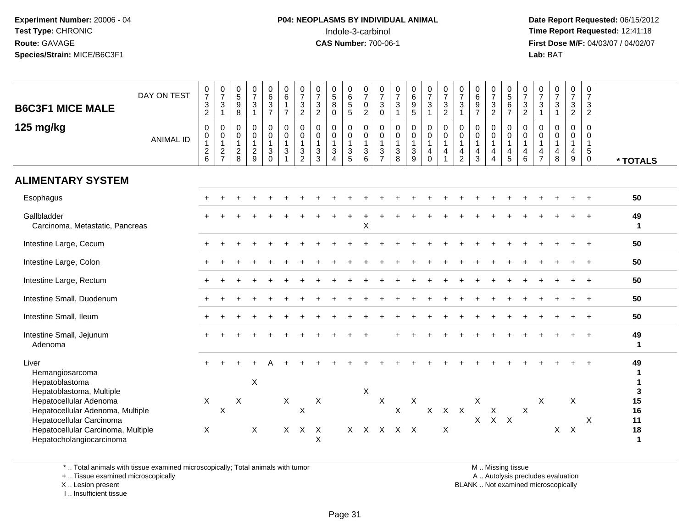# **P04: NEOPLASMS BY INDIVIDUAL ANIMAL**<br>Indole-3-carbinol Indole-3-carbinol **Time Report Requested:** 12:41:18

 **Date Report Requested:** 06/15/2012 **First Dose M/F:** 04/03/07 / 04/02/07<br>Lab: BAT **Lab:** BAT

| <b>B6C3F1 MICE MALE</b>                                                                                                      | DAY ON TEST      | 0<br>$\overline{7}$<br>$\ensuremath{\mathsf{3}}$<br>$\sqrt{2}$                       | $\frac{0}{7}$<br>$\ensuremath{\mathsf{3}}$<br>$\mathbf{1}$ | $\begin{array}{c} 0 \\ 5 \end{array}$<br>9<br>$\,8\,$                   | $\frac{0}{7}$<br>$\sqrt{3}$                                       | 0637                                                                | $\begin{array}{c} 0 \\ 6 \end{array}$<br>$\mathbf{1}$<br>$\overline{7}$          | $\frac{0}{7}$<br>3<br>$\overline{c}$                              | $\begin{array}{c} 0 \\ 7 \\ 3 \end{array}$<br>$\overline{2}$             | $\begin{array}{c} 0 \\ 5 \\ 8 \end{array}$<br>$\mathbf 0$             | 0<br>$\frac{6}{5}$                                               | $\frac{0}{7}$<br>$\pmb{0}$<br>$\overline{2}$                | $\frac{0}{7}$<br>3<br>$\pmb{0}$                         | $\frac{0}{7}$<br>$\sqrt{3}$<br>$\mathbf{1}$                 | 0<br>$6\phantom{a}$<br>$\boldsymbol{9}$<br>5          | $\frac{0}{7}$<br>$\ensuremath{\mathsf{3}}$<br>$\mathbf{1}$           | $\frac{0}{7}$<br>$\ensuremath{\mathsf{3}}$<br>$\overline{c}$ | $\frac{0}{7}$<br>$\ensuremath{\mathsf{3}}$<br>$\overline{1}$                   | 0<br>$\overline{6}$<br>$\boldsymbol{9}$<br>$\overline{7}$     | $\frac{0}{7}$<br>$\frac{3}{2}$                          | 0<br>$\overline{5}$<br>$\,6$<br>$\overline{7}$                  | $\frac{0}{7}$<br>$\mathbf{3}$<br>$\overline{2}$ | $\frac{0}{7}$<br>$\ensuremath{\mathsf{3}}$<br>$\mathbf{1}$                         | $\frac{0}{7}$<br>$\ensuremath{\mathsf{3}}$<br>$\mathbf{1}$                 | $\frac{0}{7}$<br>$\frac{3}{2}$                                         | 0<br>$\overline{7}$<br>$\mathbf{3}$<br>$\sqrt{2}$                       |                      |
|------------------------------------------------------------------------------------------------------------------------------|------------------|--------------------------------------------------------------------------------------|------------------------------------------------------------|-------------------------------------------------------------------------|-------------------------------------------------------------------|---------------------------------------------------------------------|----------------------------------------------------------------------------------|-------------------------------------------------------------------|--------------------------------------------------------------------------|-----------------------------------------------------------------------|------------------------------------------------------------------|-------------------------------------------------------------|---------------------------------------------------------|-------------------------------------------------------------|-------------------------------------------------------|----------------------------------------------------------------------|--------------------------------------------------------------|--------------------------------------------------------------------------------|---------------------------------------------------------------|---------------------------------------------------------|-----------------------------------------------------------------|-------------------------------------------------|------------------------------------------------------------------------------------|----------------------------------------------------------------------------|------------------------------------------------------------------------|-------------------------------------------------------------------------|----------------------|
| 125 mg/kg                                                                                                                    | <b>ANIMAL ID</b> | $\boldsymbol{0}$<br>$\pmb{0}$<br>$\overline{1}$<br>$\overline{c}$<br>$6\phantom{1}6$ | $\mathbf 0$<br>$\pmb{0}$<br>$\mathbf{1}$<br>$\frac{2}{7}$  | $\mathsf{O}\xspace$<br>$\pmb{0}$<br>$\mathbf{1}$<br>$\overline{c}$<br>8 | $\mathbf 0$<br>$\pmb{0}$<br>$\mathbf{1}$<br>$\boldsymbol{2}$<br>9 | $\pmb{0}$<br>$\pmb{0}$<br>$\mathbf{1}$<br>$\sqrt{3}$<br>$\mathbf 0$ | $\pmb{0}$<br>$\mathsf{O}\xspace$<br>$\mathbf{1}$<br>$\sqrt{3}$<br>$\overline{1}$ | $\mathbf 0$<br>$\mathbf 0$<br>$\mathbf{1}$<br>3<br>$\overline{2}$ | $\pmb{0}$<br>$\pmb{0}$<br>$\mathbf{1}$<br>$\ensuremath{\mathsf{3}}$<br>3 | $\mathsf{O}$<br>$\pmb{0}$<br>$\mathbf{1}$<br>$\mathbf{3}$<br>$\Delta$ | 0<br>$\pmb{0}$<br>$\mathbf{1}$<br>$\ensuremath{\mathsf{3}}$<br>5 | $\mathbf 0$<br>$\pmb{0}$<br>$\mathbf{1}$<br>$\sqrt{3}$<br>6 | $\mathbf 0$<br>0<br>$\mathbf{1}$<br>3<br>$\overline{7}$ | $\pmb{0}$<br>$\mathbf 0$<br>$\mathbf{1}$<br>$\sqrt{3}$<br>8 | 0<br>$\mathbf 0$<br>$\mathbf{1}$<br>$\mathbf{3}$<br>9 | $\pmb{0}$<br>$\pmb{0}$<br>$\mathbf{1}$<br>$\overline{4}$<br>$\Omega$ | $\mathbf 0$<br>$\pmb{0}$<br>$\mathbf{1}$<br>$\overline{4}$   | $\mathbf 0$<br>$\mathbf 0$<br>$\mathbf{1}$<br>$\overline{4}$<br>$\overline{c}$ | $\pmb{0}$<br>$\pmb{0}$<br>$\mathbf{1}$<br>$\overline{4}$<br>3 | 0<br>$\mathbf 0$<br>$\mathbf{1}$<br>4<br>$\overline{4}$ | $\mathbf 0$<br>$\pmb{0}$<br>$\mathbf{1}$<br>$\overline{4}$<br>5 | $\Omega$<br>0<br>$\mathbf{1}$<br>4<br>6         | $\Omega$<br>$\pmb{0}$<br>$\mathbf{1}$<br>$\overline{\mathbf{4}}$<br>$\overline{7}$ | $\mathbf 0$<br>$\mathsf 0$<br>$\mathbf{1}$<br>$\overline{\mathbf{4}}$<br>8 | 0<br>$\mathbf 0$<br>$\mathbf{1}$<br>$\overline{4}$<br>$\boldsymbol{9}$ | $\mathbf 0$<br>$\mathbf 0$<br>$\mathbf{1}$<br>$\sqrt{5}$<br>$\mathbf 0$ | * TOTALS             |
| <b>ALIMENTARY SYSTEM</b>                                                                                                     |                  |                                                                                      |                                                            |                                                                         |                                                                   |                                                                     |                                                                                  |                                                                   |                                                                          |                                                                       |                                                                  |                                                             |                                                         |                                                             |                                                       |                                                                      |                                                              |                                                                                |                                                               |                                                         |                                                                 |                                                 |                                                                                    |                                                                            |                                                                        |                                                                         |                      |
| Esophagus                                                                                                                    |                  |                                                                                      |                                                            |                                                                         |                                                                   |                                                                     |                                                                                  |                                                                   |                                                                          |                                                                       |                                                                  |                                                             |                                                         |                                                             |                                                       |                                                                      |                                                              |                                                                                |                                                               |                                                         |                                                                 |                                                 |                                                                                    |                                                                            |                                                                        |                                                                         | 50                   |
| Gallbladder<br>Carcinoma, Metastatic, Pancreas                                                                               |                  |                                                                                      |                                                            |                                                                         |                                                                   |                                                                     |                                                                                  |                                                                   |                                                                          |                                                                       |                                                                  | X                                                           |                                                         |                                                             |                                                       |                                                                      |                                                              |                                                                                |                                                               |                                                         |                                                                 |                                                 |                                                                                    |                                                                            |                                                                        |                                                                         | 49<br>$\mathbf{1}$   |
| Intestine Large, Cecum                                                                                                       |                  |                                                                                      |                                                            |                                                                         |                                                                   |                                                                     |                                                                                  |                                                                   |                                                                          |                                                                       |                                                                  |                                                             |                                                         |                                                             |                                                       |                                                                      |                                                              |                                                                                |                                                               |                                                         |                                                                 |                                                 |                                                                                    |                                                                            |                                                                        |                                                                         | 50                   |
| Intestine Large, Colon                                                                                                       |                  |                                                                                      |                                                            |                                                                         |                                                                   |                                                                     |                                                                                  |                                                                   |                                                                          |                                                                       |                                                                  |                                                             |                                                         |                                                             |                                                       |                                                                      |                                                              |                                                                                |                                                               |                                                         |                                                                 |                                                 |                                                                                    |                                                                            |                                                                        |                                                                         | 50                   |
| Intestine Large, Rectum                                                                                                      |                  |                                                                                      |                                                            |                                                                         |                                                                   |                                                                     |                                                                                  |                                                                   |                                                                          |                                                                       |                                                                  |                                                             |                                                         |                                                             |                                                       |                                                                      |                                                              |                                                                                |                                                               |                                                         |                                                                 |                                                 |                                                                                    |                                                                            |                                                                        |                                                                         | 50                   |
| Intestine Small, Duodenum                                                                                                    |                  |                                                                                      |                                                            |                                                                         |                                                                   |                                                                     |                                                                                  |                                                                   |                                                                          |                                                                       |                                                                  |                                                             |                                                         |                                                             |                                                       |                                                                      |                                                              |                                                                                |                                                               |                                                         |                                                                 |                                                 |                                                                                    |                                                                            |                                                                        |                                                                         | 50                   |
| Intestine Small, Ileum                                                                                                       |                  |                                                                                      |                                                            |                                                                         |                                                                   |                                                                     |                                                                                  |                                                                   |                                                                          |                                                                       |                                                                  |                                                             |                                                         |                                                             |                                                       |                                                                      |                                                              |                                                                                |                                                               |                                                         |                                                                 |                                                 |                                                                                    |                                                                            |                                                                        |                                                                         | 50                   |
| Intestine Small, Jejunum<br>Adenoma                                                                                          |                  |                                                                                      |                                                            |                                                                         |                                                                   |                                                                     |                                                                                  |                                                                   |                                                                          |                                                                       |                                                                  |                                                             |                                                         |                                                             |                                                       |                                                                      |                                                              |                                                                                |                                                               |                                                         |                                                                 |                                                 |                                                                                    |                                                                            |                                                                        |                                                                         | 49<br>$\mathbf{1}$   |
| Liver<br>Hemangiosarcoma<br>Hepatoblastoma<br>Hepatoblastoma, Multiple                                                       |                  |                                                                                      |                                                            |                                                                         | X                                                                 |                                                                     |                                                                                  |                                                                   |                                                                          |                                                                       |                                                                  | X                                                           |                                                         |                                                             |                                                       |                                                                      |                                                              |                                                                                |                                                               |                                                         |                                                                 |                                                 |                                                                                    |                                                                            |                                                                        |                                                                         | 49<br>3              |
| Hepatocellular Adenoma<br>Hepatocellular Adenoma, Multiple<br>Hepatocellular Carcinoma<br>Hepatocellular Carcinoma, Multiple |                  | $\mathsf{X}$<br>X                                                                    | $\sf X$                                                    | X                                                                       | X                                                                 |                                                                     | X<br>$\mathsf{X}$                                                                | $\boldsymbol{\mathsf{X}}$<br>$\mathsf{X}$                         | $\boldsymbol{X}$<br>$\mathsf{X}$                                         |                                                                       |                                                                  |                                                             | $\mathsf X$                                             | $\mathsf{X}$<br>x x x x x                                   | X                                                     | $\mathsf{X}$                                                         | $X$ $X$<br>$\times$                                          |                                                                                | X                                                             | X<br>$X$ $X$ $X$                                        |                                                                 | $\boldsymbol{\mathsf{X}}$                       | X                                                                                  |                                                                            | X<br>$X$ $X$                                                           | X                                                                       | 15<br>16<br>11<br>18 |
| Hepatocholangiocarcinoma                                                                                                     |                  |                                                                                      |                                                            |                                                                         |                                                                   |                                                                     |                                                                                  |                                                                   | X                                                                        |                                                                       |                                                                  |                                                             |                                                         |                                                             |                                                       |                                                                      |                                                              |                                                                                |                                                               |                                                         |                                                                 |                                                 |                                                                                    |                                                                            |                                                                        |                                                                         | $\mathbf 1$          |

\* .. Total animals with tissue examined microscopically; Total animals with tumor

+ .. Tissue examined microscopically

X .. Lesion present

I .. Insufficient tissue

M .. Missing tissue

y the contract of the contract of the contract of the contract of the contract of the contract of the contract of  $A$ . Autolysis precludes evaluation

Lesion present BLANK .. Not examined microscopically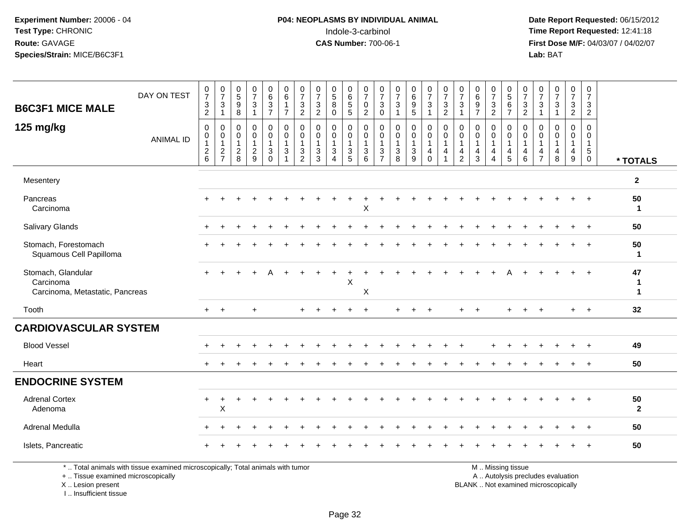# **P04: NEOPLASMS BY INDIVIDUAL ANIMAL**<br>Indole-3-carbinol Indole-3-carbinol **Time Report Requested:** 12:41:18

 **Date Report Requested:** 06/15/2012 **First Dose M/F:** 04/03/07 / 04/02/07<br>Lab: BAT **Lab:** BAT

|                                                                    |                                                                                 | $\frac{0}{7}$                                                                      | $\frac{0}{7}$                                     | $\begin{matrix} 0 \\ 5 \end{matrix}$              | $\frac{0}{7}$                           | $\begin{array}{c} 0 \\ 6 \end{array}$                | $\begin{array}{c} 0 \\ 6 \end{array}$                                                     | $\frac{0}{7}$                                               | $\frac{0}{7}$                                               |                                                               | $_{6}^{\rm 0}$                                    | $\frac{0}{7}$                                                 | 0                                                                            | $\frac{0}{7}$                                        | $\begin{matrix} 0 \\ 6 \end{matrix}$              | $\begin{smallmatrix} 0\\7 \end{smallmatrix}$       | $\frac{0}{7}$                                   | $\frac{0}{7}$                                                 | $\pmb{0}$                                                   | $\frac{0}{7}$                                                        | $\begin{array}{c} 0 \\ 5 \end{array}$                                     | $\frac{0}{7}$                                                   | 0                                                              | $\frac{0}{7}$                                        | $\frac{0}{7}$                                                                       | $\frac{0}{7}$                                             |                         |
|--------------------------------------------------------------------|---------------------------------------------------------------------------------|------------------------------------------------------------------------------------|---------------------------------------------------|---------------------------------------------------|-----------------------------------------|------------------------------------------------------|-------------------------------------------------------------------------------------------|-------------------------------------------------------------|-------------------------------------------------------------|---------------------------------------------------------------|---------------------------------------------------|---------------------------------------------------------------|------------------------------------------------------------------------------|------------------------------------------------------|---------------------------------------------------|----------------------------------------------------|-------------------------------------------------|---------------------------------------------------------------|-------------------------------------------------------------|----------------------------------------------------------------------|---------------------------------------------------------------------------|-----------------------------------------------------------------|----------------------------------------------------------------|------------------------------------------------------|-------------------------------------------------------------------------------------|-----------------------------------------------------------|-------------------------|
| <b>B6C3F1 MICE MALE</b>                                            | DAY ON TEST                                                                     | $\sqrt{3}$<br>$\overline{2}$                                                       | 3<br>$\mathbf 1$                                  | $\boldsymbol{9}$<br>8                             | $\sqrt{3}$                              | $\sqrt{3}$<br>$\overline{7}$                         | $\overline{1}$<br>$\overline{7}$                                                          | $\mathbf{3}$<br>$\overline{2}$                              | $\frac{3}{2}$                                               | $\begin{array}{c} 0 \\ 5 \\ 8 \end{array}$<br>$\Omega$        | $\frac{5}{5}$                                     | $\pmb{0}$<br>2                                                | $\overline{7}$<br>$\mathbf{3}$<br>$\mathbf{0}$                               | $\mathbf{3}$<br>1                                    | $\boldsymbol{9}$<br>5                             | $\ensuremath{\mathsf{3}}$<br>$\mathbf{1}$          | $\ensuremath{\mathsf{3}}$<br>$\overline{c}$     | 3<br>-1                                                       | $\,6\,$<br>$9\,$<br>$\overline{7}$                          | $\sqrt{3}$<br>$\overline{2}$                                         | $\,6\,$<br>$\overline{7}$                                                 | $\ensuremath{\mathsf{3}}$<br>$\overline{2}$                     | $\overline{7}$<br>3<br>$\overline{1}$                          | $\sqrt{3}$<br>$\overline{1}$                         | 3<br>$\overline{2}$                                                                 | $\mathbf{3}$<br>$\overline{2}$                            |                         |
| 125 mg/kg                                                          | <b>ANIMAL ID</b>                                                                | $\boldsymbol{0}$<br>$\boldsymbol{0}$<br>$\begin{array}{c} 1 \\ 2 \\ 6 \end{array}$ | 0<br>$\mathbf 0$<br>$\mathbf{1}$<br>$\frac{2}{7}$ | 0<br>$\mathbf 0$<br>$\mathbf{1}$<br>$\frac{2}{8}$ | 0<br>0<br>$\mathbf{1}$<br>$\frac{2}{9}$ | $\mathbf 0$<br>$\mathbf 0$<br>$\mathbf{1}$<br>$_0^3$ | $\mathbf 0$<br>$\mathbf 0$<br>$\mathbf{1}$<br>$\ensuremath{\mathsf{3}}$<br>$\overline{1}$ | $\mathbf 0$<br>$\mathbf 0$<br>$\mathbf{1}$<br>$\frac{3}{2}$ | $\mathbf 0$<br>$\mathsf 0$<br>$\mathbf{1}$<br>$\frac{3}{3}$ | 0<br>$\mathsf{O}$<br>$\mathbf{1}$<br>$\mathbf{3}$<br>$\Delta$ | 0<br>$\mathbf 0$<br>$\mathbf{1}$<br>$\frac{3}{5}$ | $\mathbf 0$<br>$\mathbf 0$<br>$\overline{1}$<br>$\frac{3}{6}$ | $\mathbf 0$<br>$\mathbf 0$<br>$\mathbf{1}$<br>$\mathbf{3}$<br>$\overline{7}$ | $\mathbf 0$<br>$\mathbf 0$<br>$\mathbf{1}$<br>3<br>8 | 0<br>$\mathbf 0$<br>$\mathbf{1}$<br>$\frac{3}{9}$ | 0<br>$\mathbf 0$<br>$\mathbf{1}$<br>$^{\,4}_{\,0}$ | $\mathbf 0$<br>$\mathbf 0$<br>$\mathbf{1}$<br>4 | $\mathbf 0$<br>$\mathbf 0$<br>$\overline{1}$<br>$\frac{4}{2}$ | $\mathbf 0$<br>$\mathbf 0$<br>$\mathbf{1}$<br>$\frac{4}{3}$ | 0<br>$\mathbf 0$<br>$\mathbf{1}$<br>$\overline{4}$<br>$\overline{4}$ | 0<br>$\mathbf 0$<br>$\mathbf{1}$<br>$\begin{array}{c} 4 \\ 5 \end{array}$ | 0<br>0<br>$\mathbf{1}$<br>$\begin{array}{c} 4 \\ 6 \end{array}$ | $\mathbf 0$<br>$\Omega$<br>$\mathbf{1}$<br>4<br>$\overline{7}$ | $\mathbf 0$<br>$\mathbf 0$<br>$\mathbf{1}$<br>4<br>8 | $\mathbf 0$<br>$\mathbf 0$<br>$\mathbf{1}$<br>$\begin{array}{c} 4 \\ 9 \end{array}$ | $\mathbf 0$<br>$\overline{0}$<br>$\mathbf{1}$<br>$^5_{0}$ | * TOTALS                |
| Mesentery                                                          |                                                                                 |                                                                                    |                                                   |                                                   |                                         |                                                      |                                                                                           |                                                             |                                                             |                                                               |                                                   |                                                               |                                                                              |                                                      |                                                   |                                                    |                                                 |                                                               |                                                             |                                                                      |                                                                           |                                                                 |                                                                |                                                      |                                                                                     |                                                           | $\mathbf{2}$            |
| Pancreas<br>Carcinoma                                              |                                                                                 |                                                                                    |                                                   |                                                   |                                         |                                                      |                                                                                           |                                                             |                                                             |                                                               |                                                   | X                                                             |                                                                              |                                                      |                                                   |                                                    |                                                 |                                                               |                                                             |                                                                      |                                                                           |                                                                 |                                                                |                                                      |                                                                                     |                                                           | 50<br>$\mathbf 1$       |
| Salivary Glands                                                    |                                                                                 |                                                                                    |                                                   |                                                   |                                         |                                                      |                                                                                           |                                                             |                                                             |                                                               |                                                   |                                                               |                                                                              |                                                      |                                                   |                                                    |                                                 |                                                               |                                                             |                                                                      |                                                                           |                                                                 |                                                                |                                                      |                                                                                     |                                                           | 50                      |
| Stomach, Forestomach<br>Squamous Cell Papilloma                    |                                                                                 |                                                                                    |                                                   |                                                   |                                         |                                                      |                                                                                           |                                                             |                                                             |                                                               |                                                   |                                                               |                                                                              |                                                      |                                                   |                                                    |                                                 |                                                               |                                                             |                                                                      |                                                                           |                                                                 |                                                                |                                                      |                                                                                     |                                                           | 50<br>$\mathbf 1$       |
| Stomach, Glandular<br>Carcinoma<br>Carcinoma, Metastatic, Pancreas |                                                                                 |                                                                                    |                                                   |                                                   |                                         |                                                      |                                                                                           |                                                             |                                                             |                                                               | X                                                 | X                                                             |                                                                              |                                                      |                                                   |                                                    |                                                 |                                                               |                                                             |                                                                      |                                                                           |                                                                 |                                                                |                                                      | $\div$                                                                              | $\overline{+}$                                            | 47<br>-1<br>$\mathbf 1$ |
| Tooth                                                              |                                                                                 | $+$                                                                                | $+$                                               |                                                   | $\ddot{}$                               |                                                      |                                                                                           | ÷                                                           |                                                             |                                                               |                                                   | $\overline{+}$                                                |                                                                              |                                                      | $\ddot{}$                                         | $\ddot{}$                                          |                                                 | $+$                                                           | $\overline{+}$                                              |                                                                      |                                                                           | $\div$                                                          | $\ddot{}$                                                      |                                                      | $+$                                                                                 | $+$                                                       | 32                      |
| <b>CARDIOVASCULAR SYSTEM</b>                                       |                                                                                 |                                                                                    |                                                   |                                                   |                                         |                                                      |                                                                                           |                                                             |                                                             |                                                               |                                                   |                                                               |                                                                              |                                                      |                                                   |                                                    |                                                 |                                                               |                                                             |                                                                      |                                                                           |                                                                 |                                                                |                                                      |                                                                                     |                                                           |                         |
| <b>Blood Vessel</b>                                                |                                                                                 |                                                                                    |                                                   |                                                   |                                         |                                                      |                                                                                           |                                                             |                                                             |                                                               |                                                   |                                                               |                                                                              |                                                      |                                                   |                                                    |                                                 |                                                               |                                                             |                                                                      |                                                                           |                                                                 |                                                                |                                                      |                                                                                     |                                                           | 49                      |
| Heart                                                              |                                                                                 |                                                                                    |                                                   |                                                   |                                         |                                                      |                                                                                           |                                                             |                                                             |                                                               |                                                   |                                                               |                                                                              |                                                      |                                                   |                                                    |                                                 |                                                               |                                                             |                                                                      |                                                                           |                                                                 |                                                                |                                                      |                                                                                     |                                                           | 50                      |
| <b>ENDOCRINE SYSTEM</b>                                            |                                                                                 |                                                                                    |                                                   |                                                   |                                         |                                                      |                                                                                           |                                                             |                                                             |                                                               |                                                   |                                                               |                                                                              |                                                      |                                                   |                                                    |                                                 |                                                               |                                                             |                                                                      |                                                                           |                                                                 |                                                                |                                                      |                                                                                     |                                                           |                         |
| <b>Adrenal Cortex</b><br>Adenoma                                   |                                                                                 | $+$                                                                                | $\ddot{}$<br>X                                    |                                                   | $\div$                                  |                                                      |                                                                                           |                                                             |                                                             |                                                               |                                                   |                                                               |                                                                              |                                                      |                                                   |                                                    |                                                 |                                                               |                                                             |                                                                      |                                                                           |                                                                 |                                                                |                                                      | $\ddot{}$                                                                           | $\overline{1}$                                            | 50<br>$\overline{2}$    |
| Adrenal Medulla                                                    |                                                                                 |                                                                                    |                                                   |                                                   |                                         |                                                      |                                                                                           |                                                             |                                                             |                                                               |                                                   |                                                               |                                                                              |                                                      |                                                   |                                                    |                                                 |                                                               |                                                             |                                                                      |                                                                           |                                                                 |                                                                |                                                      |                                                                                     |                                                           | 50                      |
| Islets, Pancreatic                                                 |                                                                                 |                                                                                    |                                                   |                                                   |                                         |                                                      |                                                                                           |                                                             |                                                             |                                                               |                                                   |                                                               |                                                                              |                                                      |                                                   |                                                    |                                                 |                                                               |                                                             |                                                                      |                                                                           |                                                                 |                                                                |                                                      |                                                                                     |                                                           | 50                      |
|                                                                    | *  Total animals with tissue examined microscopically; Total animals with tumor |                                                                                    |                                                   |                                                   |                                         |                                                      |                                                                                           |                                                             |                                                             |                                                               |                                                   |                                                               |                                                                              |                                                      |                                                   |                                                    |                                                 |                                                               |                                                             |                                                                      | M  Missing tissue                                                         |                                                                 |                                                                | the company's company's company's com-               |                                                                                     |                                                           |                         |

+ .. Tissue examined microscopically

 Lesion present BLANK .. Not examined microscopicallyX .. Lesion present

I .. Insufficient tissue

y the contract of the contract of the contract of the contract of the contract of the contract of the contract of  $A$ . Autolysis precludes evaluation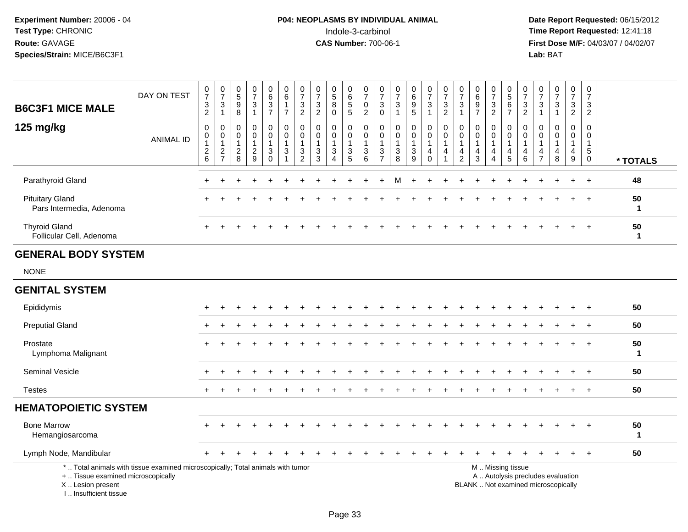# **P04: NEOPLASMS BY INDIVIDUAL ANIMAL**<br>Indole-3-carbinol Indole-3-carbinol **Time Report Requested:** 12:41:18

| <b>B6C3F1 MICE MALE</b>                                                          | DAY ON TEST                                                                     | 0<br>$\boldsymbol{7}$<br>3<br>2                                        | 0<br>$\overline{7}$<br>3<br>$\mathbf{1}$        | 0<br>$\overline{5}$<br>9<br>$\bf 8$        | 0<br>$\overline{7}$<br>3<br>$\mathbf{1}$                | 0<br>$6\phantom{a}$<br>$\ensuremath{\mathsf{3}}$<br>$\overline{7}$ | 0<br>$\,6\,$<br>$\mathbf{1}$<br>$\overline{7}$                               | 0<br>$\overline{7}$<br>$\mathbf{3}$<br>$\overline{c}$              | 0<br>$\overline{7}$<br>$\ensuremath{\mathsf{3}}$<br>$\overline{2}$ | 0<br>$\overline{5}$<br>8<br>$\mathbf 0$                     | 0<br>$\,6$<br>$\,$ 5 $\,$<br>$\sqrt{5}$ | 0<br>$\overline{7}$<br>0<br>2                                   | 0<br>$\overline{7}$<br>3<br>$\mathbf 0$              | 0<br>$\overline{7}$<br>3<br>-1      | 0<br>$6\phantom{a}$<br>9<br>5                | 0<br>$\overline{7}$<br>$\ensuremath{\mathsf{3}}$<br>$\mathbf{1}$  | 0<br>$\overline{7}$<br>$\sqrt{3}$<br>$\overline{2}$             | 0<br>$\overline{7}$<br>3<br>$\mathbf{1}$               | 0<br>6<br>9<br>$\overline{7}$                  | 0<br>$\overline{7}$<br>$\ensuremath{\mathsf{3}}$<br>$\overline{2}$ | 0<br>$\overline{5}$<br>$\,6\,$<br>$\overline{7}$ | 0<br>$\overline{7}$<br>$\ensuremath{\mathsf{3}}$<br>$\overline{c}$ | 0<br>$\overline{7}$<br>$\mathbf{3}$<br>$\overline{1}$  | 0<br>$\overline{7}$<br>$\sqrt{3}$<br>$\mathbf{1}$ | 0<br>$\overline{7}$<br>3<br>$\overline{2}$          | 0<br>$\overline{7}$<br>$\sqrt{3}$<br>$\overline{2}$ |                    |
|----------------------------------------------------------------------------------|---------------------------------------------------------------------------------|------------------------------------------------------------------------|-------------------------------------------------|--------------------------------------------|---------------------------------------------------------|--------------------------------------------------------------------|------------------------------------------------------------------------------|--------------------------------------------------------------------|--------------------------------------------------------------------|-------------------------------------------------------------|-----------------------------------------|-----------------------------------------------------------------|------------------------------------------------------|-------------------------------------|----------------------------------------------|-------------------------------------------------------------------|-----------------------------------------------------------------|--------------------------------------------------------|------------------------------------------------|--------------------------------------------------------------------|--------------------------------------------------|--------------------------------------------------------------------|--------------------------------------------------------|---------------------------------------------------|-----------------------------------------------------|-----------------------------------------------------|--------------------|
| 125 mg/kg                                                                        | <b>ANIMAL ID</b>                                                                | $\mathbf 0$<br>0<br>$\mathbf{1}$<br>$\boldsymbol{2}$<br>$6\phantom{a}$ | 0<br>0<br>1<br>$\overline{c}$<br>$\overline{7}$ | $\mathbf 0$<br>0<br>$\mathbf{1}$<br>$^2_8$ | 0<br>$\mathbf 0$<br>$\mathbf{1}$<br>$\overline{c}$<br>9 | 0<br>$\mathbf 0$<br>$\mathbf{1}$<br>$\mathbf{3}$<br>$\mathbf 0$    | $\mathbf 0$<br>$\mathbf 0$<br>$\overline{1}$<br>$\sqrt{3}$<br>$\overline{1}$ | 0<br>$\mathbf 0$<br>$\mathbf{1}$<br>$\mathbf{3}$<br>$\overline{2}$ | $\mathbf 0$<br>$\mathbf 0$<br>$\mathbf{1}$<br>$\frac{3}{3}$        | $\mathbf 0$<br>$\mathbf 0$<br>$\mathbf{1}$<br>3<br>$\Delta$ | 0<br>$\mathbf 0$<br>1<br>$\frac{3}{5}$  | $\mathbf 0$<br>$\mathbf 0$<br>$\overline{1}$<br>$\sqrt{3}$<br>6 | $\Omega$<br>0<br>$\mathbf{1}$<br>3<br>$\overline{7}$ | $\Omega$<br>$\Omega$<br>1<br>3<br>8 | 0<br>$\mathbf 0$<br>1<br>3<br>$\overline{9}$ | 0<br>$\mathbf 0$<br>$\mathbf{1}$<br>$\overline{4}$<br>$\mathbf 0$ | $\mathbf 0$<br>$\mathbf 0$<br>$\mathbf{1}$<br>4<br>$\mathbf{1}$ | $\Omega$<br>0<br>$\overline{1}$<br>4<br>$\overline{c}$ | $\Omega$<br>$\Omega$<br>$\mathbf{1}$<br>4<br>3 | $\Omega$<br>$\mathbf{0}$<br>$\mathbf{1}$<br>4<br>4                 | $\Omega$<br>$\mathbf 0$<br>1<br>4<br>5           | $\Omega$<br>$\mathbf 0$<br>$\mathbf{1}$<br>4<br>$6\phantom{1}$     | $\Omega$<br>0<br>$\overline{1}$<br>4<br>$\overline{7}$ | $\Omega$<br>$\Omega$<br>$\mathbf{1}$<br>4<br>8    | $\Omega$<br>$\mathbf 0$<br>1<br>$\overline{4}$<br>9 | $\Omega$<br>$\Omega$<br>$\mathbf{1}$<br>$^5_{0}$    | * TOTALS           |
| Parathyroid Gland                                                                |                                                                                 |                                                                        |                                                 |                                            |                                                         |                                                                    |                                                                              |                                                                    |                                                                    |                                                             |                                         |                                                                 |                                                      |                                     |                                              |                                                                   |                                                                 |                                                        |                                                |                                                                    |                                                  |                                                                    |                                                        |                                                   |                                                     | $\pm$                                               | 48                 |
| <b>Pituitary Gland</b><br>Pars Intermedia, Adenoma                               |                                                                                 |                                                                        |                                                 |                                            |                                                         |                                                                    |                                                                              |                                                                    |                                                                    |                                                             |                                         |                                                                 |                                                      |                                     |                                              |                                                                   |                                                                 |                                                        |                                                |                                                                    |                                                  |                                                                    |                                                        |                                                   |                                                     | $\ddot{}$                                           | 50<br>$\mathbf 1$  |
| <b>Thyroid Gland</b><br>Follicular Cell, Adenoma                                 |                                                                                 |                                                                        |                                                 |                                            |                                                         |                                                                    |                                                                              |                                                                    |                                                                    |                                                             |                                         |                                                                 |                                                      |                                     |                                              |                                                                   |                                                                 |                                                        |                                                |                                                                    |                                                  |                                                                    |                                                        |                                                   |                                                     |                                                     | 50<br>$\mathbf{1}$ |
| <b>GENERAL BODY SYSTEM</b>                                                       |                                                                                 |                                                                        |                                                 |                                            |                                                         |                                                                    |                                                                              |                                                                    |                                                                    |                                                             |                                         |                                                                 |                                                      |                                     |                                              |                                                                   |                                                                 |                                                        |                                                |                                                                    |                                                  |                                                                    |                                                        |                                                   |                                                     |                                                     |                    |
| <b>NONE</b>                                                                      |                                                                                 |                                                                        |                                                 |                                            |                                                         |                                                                    |                                                                              |                                                                    |                                                                    |                                                             |                                         |                                                                 |                                                      |                                     |                                              |                                                                   |                                                                 |                                                        |                                                |                                                                    |                                                  |                                                                    |                                                        |                                                   |                                                     |                                                     |                    |
| <b>GENITAL SYSTEM</b>                                                            |                                                                                 |                                                                        |                                                 |                                            |                                                         |                                                                    |                                                                              |                                                                    |                                                                    |                                                             |                                         |                                                                 |                                                      |                                     |                                              |                                                                   |                                                                 |                                                        |                                                |                                                                    |                                                  |                                                                    |                                                        |                                                   |                                                     |                                                     |                    |
| Epididymis                                                                       |                                                                                 |                                                                        |                                                 |                                            |                                                         |                                                                    |                                                                              |                                                                    |                                                                    |                                                             |                                         |                                                                 |                                                      |                                     |                                              |                                                                   |                                                                 |                                                        |                                                |                                                                    |                                                  |                                                                    |                                                        |                                                   |                                                     |                                                     | 50                 |
| <b>Preputial Gland</b>                                                           |                                                                                 |                                                                        |                                                 |                                            |                                                         |                                                                    |                                                                              |                                                                    |                                                                    |                                                             |                                         |                                                                 |                                                      |                                     |                                              |                                                                   |                                                                 |                                                        |                                                |                                                                    |                                                  |                                                                    |                                                        |                                                   |                                                     |                                                     | 50                 |
| Prostate<br>Lymphoma Malignant                                                   |                                                                                 |                                                                        |                                                 |                                            |                                                         |                                                                    |                                                                              |                                                                    |                                                                    |                                                             |                                         |                                                                 |                                                      |                                     |                                              |                                                                   |                                                                 |                                                        |                                                |                                                                    |                                                  |                                                                    |                                                        |                                                   |                                                     |                                                     | 50<br>$\mathbf 1$  |
| Seminal Vesicle                                                                  |                                                                                 |                                                                        |                                                 |                                            |                                                         |                                                                    |                                                                              |                                                                    |                                                                    |                                                             |                                         |                                                                 |                                                      |                                     |                                              |                                                                   |                                                                 |                                                        |                                                |                                                                    |                                                  |                                                                    |                                                        |                                                   |                                                     |                                                     | 50                 |
| <b>Testes</b>                                                                    |                                                                                 |                                                                        |                                                 |                                            |                                                         |                                                                    |                                                                              |                                                                    |                                                                    |                                                             |                                         |                                                                 |                                                      |                                     |                                              |                                                                   |                                                                 |                                                        |                                                |                                                                    |                                                  |                                                                    |                                                        |                                                   |                                                     |                                                     | 50                 |
| <b>HEMATOPOIETIC SYSTEM</b>                                                      |                                                                                 |                                                                        |                                                 |                                            |                                                         |                                                                    |                                                                              |                                                                    |                                                                    |                                                             |                                         |                                                                 |                                                      |                                     |                                              |                                                                   |                                                                 |                                                        |                                                |                                                                    |                                                  |                                                                    |                                                        |                                                   |                                                     |                                                     |                    |
| <b>Bone Marrow</b><br>Hemangiosarcoma                                            |                                                                                 |                                                                        |                                                 |                                            |                                                         |                                                                    |                                                                              |                                                                    |                                                                    |                                                             |                                         |                                                                 |                                                      |                                     |                                              |                                                                   |                                                                 |                                                        |                                                |                                                                    |                                                  |                                                                    |                                                        |                                                   |                                                     |                                                     | 50<br>$\mathbf{1}$ |
| Lymph Node, Mandibular                                                           |                                                                                 |                                                                        |                                                 |                                            |                                                         |                                                                    |                                                                              |                                                                    |                                                                    |                                                             |                                         |                                                                 |                                                      |                                     |                                              |                                                                   |                                                                 |                                                        |                                                |                                                                    |                                                  |                                                                    |                                                        |                                                   |                                                     | $\ddot{}$                                           | 50                 |
| +  Tissue examined microscopically<br>X  Lesion present<br>I Insufficient tissue | *  Total animals with tissue examined microscopically; Total animals with tumor |                                                                        |                                                 |                                            |                                                         |                                                                    |                                                                              |                                                                    |                                                                    |                                                             |                                         |                                                                 |                                                      |                                     |                                              |                                                                   |                                                                 |                                                        | BLANK  Not examined microscopically            |                                                                    | M  Missing tissue                                |                                                                    |                                                        | A  Autolysis precludes evaluation                 |                                                     |                                                     |                    |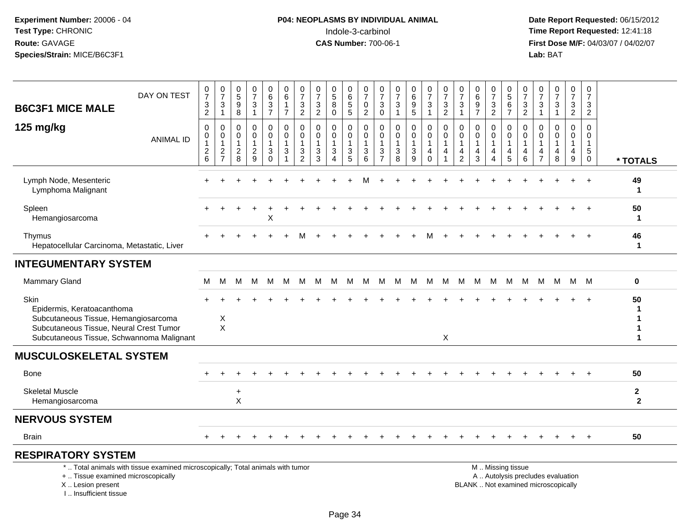# **P04: NEOPLASMS BY INDIVIDUAL ANIMAL**<br>Indole-3-carbinol Indole-3-carbinol **Time Report Requested:** 12:41:18

| DAY ON TEST<br><b>B6C3F1 MICE MALE</b>                                                                                                                              | 0<br>$\overline{7}$<br>$\ensuremath{\mathsf{3}}$<br>$\overline{2}$              | $\frac{0}{7}$<br>$\mathbf{3}$<br>$\mathbf{1}$               | $\begin{array}{c} 0 \\ 5 \end{array}$<br>$\boldsymbol{9}$<br>8 | $\frac{0}{7}$<br>3<br>$\mathbf{1}$        | $\pmb{0}$<br>$\,6\,$<br>$\frac{3}{7}$                            | $\boldsymbol{0}$<br>$\,6\,$<br>$\mathbf{1}$<br>$\overline{7}$            | $\pmb{0}$<br>$\overline{7}$<br>$\mathbf{3}$<br>$\overline{2}$ | 0<br>$\overline{7}$<br>$\sqrt{3}$<br>$\overline{2}$ | 0<br>$\overline{5}$<br>8<br>$\mathbf 0$ | 0<br>$\,6\,$<br>$\begin{array}{c} 5 \\ 5 \end{array}$                             | $\boldsymbol{0}$<br>$\overline{7}$<br>$\pmb{0}$<br>$\overline{2}$     | 0<br>$\overline{7}$<br>$\mathbf{3}$<br>$\mathsf{O}\xspace$       | $\pmb{0}$<br>$\overline{7}$<br>$\sqrt{3}$<br>$\overline{1}$   | $\pmb{0}$<br>$\,6\,$<br>$\boldsymbol{9}$<br>$\overline{5}$               | $\pmb{0}$<br>$\overline{7}$<br>$\mathbf{3}$<br>$\mathbf{1}$               | $\frac{0}{7}$<br>3<br>$\overline{a}$ | 0<br>$\overline{7}$<br>$\sqrt{3}$<br>$\mathbf{1}$ | $\begin{array}{c} 0 \\ 6 \end{array}$<br>$\frac{9}{7}$ | $\frac{0}{7}$<br>$\frac{3}{2}$                   | 0<br>$\overline{5}$<br>$6\phantom{1}6$<br>$\overline{7}$            | 0<br>$\overline{7}$<br>3<br>$\overline{2}$ | 0<br>$\overline{7}$<br>3<br>$\mathbf{1}$ | $\frac{0}{7}$<br>$\mathbf{3}$<br>$\mathbf{1}$                            | 0<br>$\overline{7}$<br>$\mathbf{3}$<br>$\overline{2}$ | $\mathbf 0$<br>$\overline{7}$<br>$\mathbf{3}$<br>$\overline{2}$          |                              |
|---------------------------------------------------------------------------------------------------------------------------------------------------------------------|---------------------------------------------------------------------------------|-------------------------------------------------------------|----------------------------------------------------------------|-------------------------------------------|------------------------------------------------------------------|--------------------------------------------------------------------------|---------------------------------------------------------------|-----------------------------------------------------|-----------------------------------------|-----------------------------------------------------------------------------------|-----------------------------------------------------------------------|------------------------------------------------------------------|---------------------------------------------------------------|--------------------------------------------------------------------------|---------------------------------------------------------------------------|--------------------------------------|---------------------------------------------------|--------------------------------------------------------|--------------------------------------------------|---------------------------------------------------------------------|--------------------------------------------|------------------------------------------|--------------------------------------------------------------------------|-------------------------------------------------------|--------------------------------------------------------------------------|------------------------------|
| 125 mg/kg<br><b>ANIMAL ID</b>                                                                                                                                       | $\mathbf 0$<br>0<br>$\overline{1}$<br>$\overline{\mathbf{c}}$<br>$6\phantom{a}$ | $\mathbf 0$<br>$\mathbf 0$<br>$\mathbf{1}$<br>$\frac{2}{7}$ | $\mathbf 0$<br>$\mathbf 0$<br>$\mathbf{1}$<br>$^2_{\bf 8}$     | 0<br>$\overline{0}$<br>1<br>$\frac{2}{9}$ | $\pmb{0}$<br>0<br>$\mathbf{1}$<br>$\mathbf{3}$<br>$\overline{0}$ | $\pmb{0}$<br>$\pmb{0}$<br>$\overline{1}$<br>$\sqrt{3}$<br>$\overline{1}$ | $\mathbf 0$<br>$\Omega$<br>-1<br>3<br>$\overline{2}$          | $\Omega$<br>$\mathbf 0$<br>1<br>$\mathbf{3}$<br>3   | 0<br>$\mathbf 0$<br>3<br>4              | 0<br>$\mathbf 0$<br>$\overline{1}$<br>$\ensuremath{\mathsf{3}}$<br>$\overline{5}$ | $\pmb{0}$<br>$\mathsf{O}\xspace$<br>$\mathbf{1}$<br>$\mathbf{3}$<br>6 | $\mathbf 0$<br>$\mathbf 0$<br>$\mathbf 1$<br>3<br>$\overline{7}$ | $\mathbf 0$<br>$\mathbf 0$<br>$\mathbf{1}$<br>$\sqrt{3}$<br>8 | $\pmb{0}$<br>$\mathbf 0$<br>$\mathbf{1}$<br>$\sqrt{3}$<br>$\overline{9}$ | $\pmb{0}$<br>$\mathbf 0$<br>$\mathbf{1}$<br>$\overline{4}$<br>$\mathbf 0$ | $\mathbf 0$<br>$\mathbf 0$<br>1<br>4 | $\mathbf 0$<br>0<br>-1<br>4<br>$\overline{2}$     | $\mathbf 0$<br>$\mathbf 0$<br>$\overline{4}$<br>3      | 0<br>0<br>-1<br>$\overline{4}$<br>$\overline{4}$ | $\mathbf 0$<br>$\mathbf 0$<br>$\overline{1}$<br>$\overline{4}$<br>5 | $\mathbf 0$<br>$\Omega$<br>4<br>6          | 0<br>$\Omega$<br>4<br>$\overline{7}$     | $\mathbf 0$<br>$\mathbf 0$<br>1<br>4<br>8                                | $\mathbf 0$<br>$\Omega$<br>-1<br>4<br>9               | $\Omega$<br>$\Omega$<br>$\overline{1}$<br>$5\phantom{.0}$<br>$\mathbf 0$ | * TOTALS                     |
| Lymph Node, Mesenteric<br>Lymphoma Malignant                                                                                                                        |                                                                                 |                                                             |                                                                |                                           |                                                                  |                                                                          |                                                               |                                                     |                                         |                                                                                   |                                                                       |                                                                  |                                                               |                                                                          |                                                                           |                                      |                                                   |                                                        |                                                  |                                                                     |                                            |                                          |                                                                          |                                                       | $\ddot{}$                                                                | 49<br>$\mathbf{1}$           |
| Spleen<br>Hemangiosarcoma                                                                                                                                           |                                                                                 |                                                             |                                                                |                                           | X                                                                |                                                                          |                                                               |                                                     |                                         |                                                                                   |                                                                       |                                                                  |                                                               |                                                                          |                                                                           |                                      |                                                   |                                                        |                                                  |                                                                     |                                            |                                          |                                                                          |                                                       |                                                                          | 50<br>$\mathbf 1$            |
| Thymus<br>Hepatocellular Carcinoma, Metastatic, Liver                                                                                                               |                                                                                 |                                                             |                                                                |                                           |                                                                  |                                                                          |                                                               |                                                     |                                         |                                                                                   |                                                                       |                                                                  |                                                               |                                                                          |                                                                           |                                      |                                                   |                                                        |                                                  |                                                                     |                                            |                                          |                                                                          |                                                       |                                                                          | 46<br>$\mathbf{1}$           |
| <b>INTEGUMENTARY SYSTEM</b>                                                                                                                                         |                                                                                 |                                                             |                                                                |                                           |                                                                  |                                                                          |                                                               |                                                     |                                         |                                                                                   |                                                                       |                                                                  |                                                               |                                                                          |                                                                           |                                      |                                                   |                                                        |                                                  |                                                                     |                                            |                                          |                                                                          |                                                       |                                                                          |                              |
| Mammary Gland                                                                                                                                                       | м                                                                               | м                                                           | м                                                              | M                                         | M                                                                | M                                                                        | M                                                             | M                                                   | M                                       | M                                                                                 | M                                                                     | M                                                                | M                                                             | M                                                                        | M                                                                         | М                                    |                                                   | M M                                                    | M                                                | M                                                                   | M                                          | M                                        | M                                                                        | M M                                                   |                                                                          | 0                            |
| Skin<br>Epidermis, Keratoacanthoma<br>Subcutaneous Tissue, Hemangiosarcoma<br>Subcutaneous Tissue, Neural Crest Tumor<br>Subcutaneous Tissue, Schwannoma Malignant  |                                                                                 | $\times$<br>$\sf X$                                         |                                                                |                                           |                                                                  |                                                                          |                                                               |                                                     |                                         |                                                                                   |                                                                       |                                                                  |                                                               |                                                                          |                                                                           | X                                    |                                                   |                                                        |                                                  |                                                                     |                                            |                                          |                                                                          |                                                       |                                                                          | 50<br>1                      |
| <b>MUSCULOSKELETAL SYSTEM</b>                                                                                                                                       |                                                                                 |                                                             |                                                                |                                           |                                                                  |                                                                          |                                                               |                                                     |                                         |                                                                                   |                                                                       |                                                                  |                                                               |                                                                          |                                                                           |                                      |                                                   |                                                        |                                                  |                                                                     |                                            |                                          |                                                                          |                                                       |                                                                          |                              |
| <b>Bone</b>                                                                                                                                                         |                                                                                 |                                                             |                                                                |                                           |                                                                  |                                                                          |                                                               |                                                     |                                         |                                                                                   |                                                                       |                                                                  |                                                               |                                                                          |                                                                           |                                      |                                                   |                                                        |                                                  |                                                                     |                                            |                                          |                                                                          |                                                       | $+$                                                                      | 50                           |
| <b>Skeletal Muscle</b><br>Hemangiosarcoma                                                                                                                           |                                                                                 |                                                             | $\ddot{}$<br>$\pmb{\times}$                                    |                                           |                                                                  |                                                                          |                                                               |                                                     |                                         |                                                                                   |                                                                       |                                                                  |                                                               |                                                                          |                                                                           |                                      |                                                   |                                                        |                                                  |                                                                     |                                            |                                          |                                                                          |                                                       |                                                                          | $\mathbf{2}$<br>$\mathbf{2}$ |
| <b>NERVOUS SYSTEM</b>                                                                                                                                               |                                                                                 |                                                             |                                                                |                                           |                                                                  |                                                                          |                                                               |                                                     |                                         |                                                                                   |                                                                       |                                                                  |                                                               |                                                                          |                                                                           |                                      |                                                   |                                                        |                                                  |                                                                     |                                            |                                          |                                                                          |                                                       |                                                                          |                              |
| Brain                                                                                                                                                               |                                                                                 |                                                             |                                                                |                                           |                                                                  |                                                                          |                                                               |                                                     |                                         |                                                                                   |                                                                       |                                                                  |                                                               |                                                                          |                                                                           |                                      |                                                   |                                                        |                                                  |                                                                     |                                            |                                          |                                                                          |                                                       |                                                                          | 50                           |
| <b>RESPIRATORY SYSTEM</b>                                                                                                                                           |                                                                                 |                                                             |                                                                |                                           |                                                                  |                                                                          |                                                               |                                                     |                                         |                                                                                   |                                                                       |                                                                  |                                                               |                                                                          |                                                                           |                                      |                                                   |                                                        |                                                  |                                                                     |                                            |                                          |                                                                          |                                                       |                                                                          |                              |
| *  Total animals with tissue examined microscopically; Total animals with tumor<br>+  Tissue examined microscopically<br>X  Lesion present<br>I Insufficient tissue |                                                                                 |                                                             |                                                                |                                           |                                                                  |                                                                          |                                                               |                                                     |                                         |                                                                                   |                                                                       |                                                                  |                                                               |                                                                          |                                                                           |                                      |                                                   |                                                        |                                                  | M  Missing tissue                                                   |                                            |                                          | A  Autolysis precludes evaluation<br>BLANK  Not examined microscopically |                                                       |                                                                          |                              |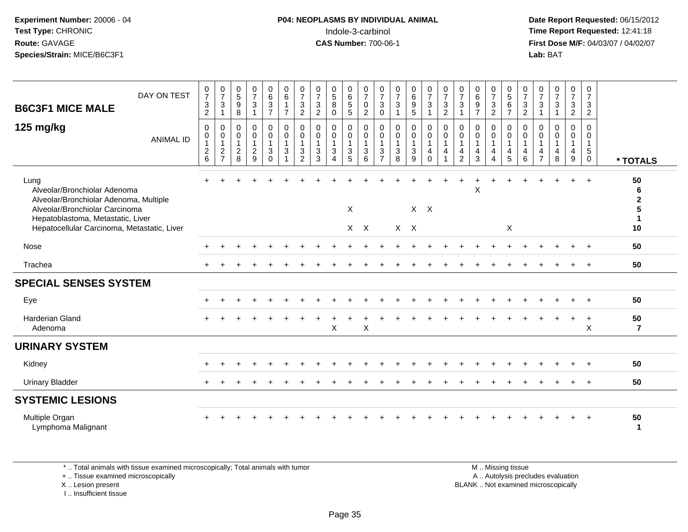# **P04: NEOPLASMS BY INDIVIDUAL ANIMAL**<br>Indole-3-carbinol Indole-3-carbinol **Time Report Requested:** 12:41:18

 **Date Report Requested:** 06/15/2012 **First Dose M/F:** 04/03/07 / 04/02/07<br>Lab: BAT **Lab:** BAT

| DAY ON TEST<br><b>B6C3F1 MICE MALE</b>                                                                                                                                                               | 0<br>$\overline{7}$<br>$\ensuremath{\mathsf{3}}$<br>$\overline{2}$ | $\begin{smallmatrix}0\\7\end{smallmatrix}$<br>$\mathbf{3}$<br>$\mathbf 1$ | $\begin{array}{c} 0 \\ 5 \end{array}$<br>9<br>8       | $\begin{smallmatrix}0\\7\end{smallmatrix}$<br>$\mathsf 3$<br>$\mathbf{1}$ | 0<br>6<br>$\frac{3}{7}$                                                | $\begin{array}{c} 0 \\ 6 \end{array}$<br>$\mathbf{1}$<br>$\overline{7}$ | $\pmb{0}$<br>$\overline{7}$<br>$\frac{3}{2}$                       | $\frac{0}{7}$<br>$\frac{3}{2}$                  | $^{\rm 0}_{\rm 5}$<br>$\bf 8$<br>$\mathbf 0$    | $\pmb{0}$<br>$6\phantom{1}6$<br>$\overline{5}$        | $\frac{0}{7}$<br>0<br>$\overline{c}$ | $\frac{0}{7}$<br>$\ensuremath{\mathsf{3}}$<br>$\pmb{0}$ | $\frac{0}{7}$<br>$\mathbf{3}$<br>$\overline{ }$   | 0<br>$\,6\,$<br>$\begin{array}{c} 9 \\ 5 \end{array}$ | $\frac{0}{7}$<br>$\sqrt{3}$<br>$\overline{1}$                                    | $\frac{0}{7}$<br>$\sqrt{3}$<br>$\sqrt{2}$                            | $\frac{0}{7}$<br>$\ensuremath{\mathsf{3}}$<br>1                            | $_{6}^{\rm 0}$<br>$\boldsymbol{9}$<br>$\overline{7}$ | $\frac{0}{7}$<br>$\frac{3}{2}$                                                       | $\begin{array}{c} 0 \\ 5 \end{array}$<br>$\,6\,$<br>$\overline{7}$ | $\frac{0}{7}$<br>$\frac{3}{2}$                                                        | $\begin{array}{c} 0 \\ 7 \end{array}$<br>$\sqrt{3}$<br>$\mathbf{1}$            | $\frac{0}{7}$<br>3<br>$\mathbf{1}$ | $\frac{0}{7}$<br>$\frac{3}{2}$                                          | 0<br>$\overline{7}$<br>3<br>$\overline{2}$                     |                                     |
|------------------------------------------------------------------------------------------------------------------------------------------------------------------------------------------------------|--------------------------------------------------------------------|---------------------------------------------------------------------------|-------------------------------------------------------|---------------------------------------------------------------------------|------------------------------------------------------------------------|-------------------------------------------------------------------------|--------------------------------------------------------------------|-------------------------------------------------|-------------------------------------------------|-------------------------------------------------------|--------------------------------------|---------------------------------------------------------|---------------------------------------------------|-------------------------------------------------------|----------------------------------------------------------------------------------|----------------------------------------------------------------------|----------------------------------------------------------------------------|------------------------------------------------------|--------------------------------------------------------------------------------------|--------------------------------------------------------------------|---------------------------------------------------------------------------------------|--------------------------------------------------------------------------------|------------------------------------|-------------------------------------------------------------------------|----------------------------------------------------------------|-------------------------------------|
| 125 mg/kg<br><b>ANIMAL ID</b>                                                                                                                                                                        | $\mathbf 0$<br>$\mathbf 0$<br>1<br>$\frac{2}{6}$                   | $\mathbf 0$<br>$\mathbf 0$<br>$\mathbf 1$<br>$\frac{2}{7}$                | 0<br>$\mathbf 0$<br>$\overline{1}$<br>$\sqrt{2}$<br>8 | 0<br>$\mathbf 0$<br>$\mathbf{1}$<br>$\frac{2}{9}$                         | $\mathbf 0$<br>$\mathbf 0$<br>$\mathbf{1}$<br>$\mathbf{3}$<br>$\Omega$ | 0<br>$\mathsf{O}$<br>1<br>3                                             | 0<br>$\mathbf 0$<br>$\mathbf{1}$<br>$\ensuremath{\mathsf{3}}$<br>2 | $\mathbf 0$<br>$\mathbf 0$<br>$\mathbf{3}$<br>3 | 0<br>$\pmb{0}$<br>$\mathbf 3$<br>$\overline{4}$ | 0<br>$\mathsf 0$<br>$\mathbf{1}$<br>$\mathbf{3}$<br>5 | 0<br>$\mathsf 0$<br>3<br>6           | 0<br>$\mathsf 0$<br>$\overline{1}$<br>$\frac{3}{7}$     | 0<br>$\mathsf 0$<br>$\mathbf{1}$<br>$\frac{3}{8}$ | 0<br>$\mathbf 0$<br>$\ensuremath{\mathsf{3}}$<br>9    | $\mathbf 0$<br>$\mathsf{O}\xspace$<br>$\mathbf{1}$<br>$\overline{4}$<br>$\Omega$ | 0<br>$\mathbf 0$<br>$\mathbf{1}$<br>$\overline{4}$<br>$\overline{1}$ | $\mathbf 0$<br>$\mathbf 0$<br>$\mathbf{1}$<br>$\overline{\mathbf{4}}$<br>2 | 0<br>$\mathbf 0$<br>4<br>3                           | 0<br>$\pmb{0}$<br>$\mathbf{1}$<br>$\overline{\mathbf{4}}$<br>$\overline{\mathbf{4}}$ | $\mathbf 0$<br>$\pmb{0}$<br>$\overline{a}$<br>5                    | $\mathbf 0$<br>$\mathbf 0$<br>$\overline{1}$<br>$\begin{array}{c} 4 \\ 6 \end{array}$ | $\mathbf 0$<br>$\mathbf 0$<br>$\mathbf{1}$<br>$\overline{4}$<br>$\overline{7}$ | 0<br>$\mathbf 0$<br>4<br>8         | 0<br>$\pmb{0}$<br>$\mathbf{1}$<br>$\begin{array}{c} 4 \\ 9 \end{array}$ | $\mathbf 0$<br>0<br>$\mathbf{1}$<br>$\sqrt{5}$<br>$\mathbf{0}$ | * TOTALS                            |
| Lung<br>Alveolar/Bronchiolar Adenoma<br>Alveolar/Bronchiolar Adenoma, Multiple<br>Alveolar/Bronchiolar Carcinoma<br>Hepatoblastoma, Metastatic, Liver<br>Hepatocellular Carcinoma, Metastatic, Liver |                                                                    |                                                                           |                                                       |                                                                           |                                                                        |                                                                         |                                                                    |                                                 |                                                 | X<br>$X$ $X$                                          |                                      |                                                         | $X \times$                                        |                                                       | $X$ $X$                                                                          |                                                                      |                                                                            | X                                                    |                                                                                      | X                                                                  |                                                                                       |                                                                                |                                    |                                                                         | $+$                                                            | 50<br>6<br>$\mathbf{2}$<br>-1<br>10 |
| Nose                                                                                                                                                                                                 |                                                                    |                                                                           |                                                       |                                                                           |                                                                        |                                                                         |                                                                    |                                                 |                                                 |                                                       |                                      |                                                         |                                                   |                                                       |                                                                                  |                                                                      |                                                                            |                                                      |                                                                                      |                                                                    |                                                                                       |                                                                                |                                    |                                                                         |                                                                | 50                                  |
| Trachea                                                                                                                                                                                              |                                                                    |                                                                           |                                                       |                                                                           |                                                                        |                                                                         |                                                                    |                                                 |                                                 |                                                       |                                      |                                                         |                                                   |                                                       |                                                                                  |                                                                      |                                                                            |                                                      |                                                                                      |                                                                    |                                                                                       |                                                                                |                                    |                                                                         | $+$                                                            | 50                                  |
| <b>SPECIAL SENSES SYSTEM</b>                                                                                                                                                                         |                                                                    |                                                                           |                                                       |                                                                           |                                                                        |                                                                         |                                                                    |                                                 |                                                 |                                                       |                                      |                                                         |                                                   |                                                       |                                                                                  |                                                                      |                                                                            |                                                      |                                                                                      |                                                                    |                                                                                       |                                                                                |                                    |                                                                         |                                                                |                                     |
| Eye                                                                                                                                                                                                  |                                                                    |                                                                           |                                                       |                                                                           |                                                                        |                                                                         |                                                                    |                                                 |                                                 |                                                       |                                      |                                                         |                                                   |                                                       |                                                                                  |                                                                      |                                                                            |                                                      |                                                                                      |                                                                    |                                                                                       |                                                                                |                                    |                                                                         | $\overline{+}$                                                 | 50                                  |
| <b>Harderian Gland</b><br>Adenoma                                                                                                                                                                    |                                                                    |                                                                           |                                                       |                                                                           |                                                                        |                                                                         |                                                                    |                                                 | X                                               |                                                       | $\mathsf{X}$                         |                                                         |                                                   |                                                       |                                                                                  |                                                                      |                                                                            |                                                      |                                                                                      |                                                                    |                                                                                       |                                                                                |                                    |                                                                         | $\ddot{}$<br>X                                                 | 50<br>$\overline{7}$                |
| <b>URINARY SYSTEM</b>                                                                                                                                                                                |                                                                    |                                                                           |                                                       |                                                                           |                                                                        |                                                                         |                                                                    |                                                 |                                                 |                                                       |                                      |                                                         |                                                   |                                                       |                                                                                  |                                                                      |                                                                            |                                                      |                                                                                      |                                                                    |                                                                                       |                                                                                |                                    |                                                                         |                                                                |                                     |
| Kidney                                                                                                                                                                                               |                                                                    |                                                                           |                                                       |                                                                           |                                                                        |                                                                         |                                                                    |                                                 |                                                 |                                                       |                                      |                                                         |                                                   |                                                       |                                                                                  |                                                                      |                                                                            |                                                      |                                                                                      |                                                                    |                                                                                       |                                                                                |                                    |                                                                         |                                                                | 50                                  |
| <b>Urinary Bladder</b>                                                                                                                                                                               |                                                                    |                                                                           |                                                       |                                                                           |                                                                        |                                                                         |                                                                    |                                                 |                                                 |                                                       |                                      |                                                         |                                                   |                                                       |                                                                                  |                                                                      |                                                                            |                                                      |                                                                                      |                                                                    |                                                                                       |                                                                                |                                    |                                                                         | $\overline{+}$                                                 | 50                                  |
| <b>SYSTEMIC LESIONS</b>                                                                                                                                                                              |                                                                    |                                                                           |                                                       |                                                                           |                                                                        |                                                                         |                                                                    |                                                 |                                                 |                                                       |                                      |                                                         |                                                   |                                                       |                                                                                  |                                                                      |                                                                            |                                                      |                                                                                      |                                                                    |                                                                                       |                                                                                |                                    |                                                                         |                                                                |                                     |
| Multiple Organ<br>Lymphoma Malignant                                                                                                                                                                 |                                                                    |                                                                           |                                                       |                                                                           |                                                                        |                                                                         |                                                                    |                                                 |                                                 |                                                       |                                      |                                                         |                                                   |                                                       |                                                                                  |                                                                      |                                                                            |                                                      |                                                                                      |                                                                    |                                                                                       |                                                                                |                                    |                                                                         |                                                                | 50<br>-1                            |

\* .. Total animals with tissue examined microscopically; Total animals with tumor

+ .. Tissue examined microscopically

X .. Lesion present

I .. Insufficient tissue

 M .. Missing tissuey the contract of the contract of the contract of the contract of the contract of the contract of the contract of  $A$ . Autolysis precludes evaluation Lesion present BLANK .. Not examined microscopically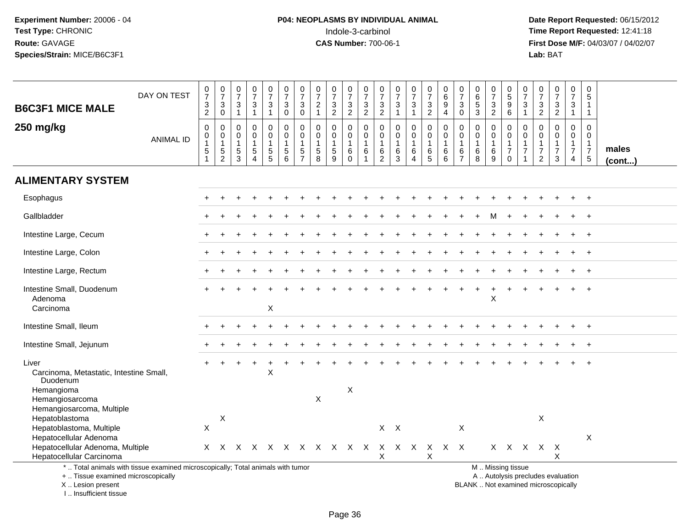# **P04: NEOPLASMS BY INDIVIDUAL ANIMAL**<br>Indole-3-carbinol Indole-3-carbinol **Time Report Requested:** 12:41:18

| <b>B6C3F1 MICE MALE</b>                                                                                                                                             | DAY ON TEST      | $\frac{0}{7}$<br>$\frac{3}{2}$                  | $\frac{0}{7}$<br>$_0^3$                                   | $\begin{array}{c} 0 \\ 7 \end{array}$<br>$\frac{3}{1}$   | $\frac{0}{7}$<br>$\frac{3}{1}$                                           | $\frac{0}{7}$<br>$\sqrt{3}$<br>$\mathbf{1}$                               | $\frac{0}{7}$<br>$_{\rm 0}^3$                                                     | $\frac{0}{7}$<br>3<br>$\mathsf{O}\xspace$         | $\frac{0}{7}$<br>$\overline{2}$<br>$\mathbf{1}$                 | $\begin{array}{c} 0 \\ 7 \end{array}$<br>$\frac{3}{2}$      | $\frac{0}{7}$<br>$\frac{3}{2}$                     | $\frac{0}{7}$<br>$\frac{3}{2}$                                                 | $\frac{0}{7}$<br>$\mathbf{3}$<br>$\overline{2}$ | $\frac{0}{7}$<br>$\sqrt{3}$<br>$\mathbf{1}$          | $\frac{0}{7}$<br>$\sqrt{3}$<br>$\mathbf{1}$                         | $\begin{array}{c} 0 \\ 7 \end{array}$<br>$\frac{3}{2}$   | 0<br>$6\phantom{a}$<br>$\boldsymbol{9}$<br>$\overline{4}$    | $\pmb{0}$<br>$\overline{7}$<br>3<br>$\pmb{0}$                         | $\begin{array}{c} 0 \\ 6 \end{array}$<br>5<br>$\overline{3}$    | $\frac{0}{7}$<br>$\frac{3}{2}$             | 0<br>5<br>9<br>6                                                          | $\begin{array}{c} 0 \\ 7 \end{array}$<br>$\frac{3}{1}$                       | $\frac{0}{7}$<br>$\frac{3}{2}$                                       | $\begin{array}{c} 0 \\ 7 \end{array}$<br>$\frac{3}{2}$                       | $\frac{0}{7}$<br>3<br>$\mathbf{1}$                                             | $\begin{array}{c} 0 \\ 5 \end{array}$<br>$\mathbf{1}$<br>$\mathbf{1}$                 |                 |
|---------------------------------------------------------------------------------------------------------------------------------------------------------------------|------------------|-------------------------------------------------|-----------------------------------------------------------|----------------------------------------------------------|--------------------------------------------------------------------------|---------------------------------------------------------------------------|-----------------------------------------------------------------------------------|---------------------------------------------------|-----------------------------------------------------------------|-------------------------------------------------------------|----------------------------------------------------|--------------------------------------------------------------------------------|-------------------------------------------------|------------------------------------------------------|---------------------------------------------------------------------|----------------------------------------------------------|--------------------------------------------------------------|-----------------------------------------------------------------------|-----------------------------------------------------------------|--------------------------------------------|---------------------------------------------------------------------------|------------------------------------------------------------------------------|----------------------------------------------------------------------|------------------------------------------------------------------------------|--------------------------------------------------------------------------------|---------------------------------------------------------------------------------------|-----------------|
| 250 mg/kg                                                                                                                                                           | <b>ANIMAL ID</b> | $\pmb{0}$<br>0<br>$\mathbf{1}$<br>$\frac{5}{1}$ | $\pmb{0}$<br>$\pmb{0}$<br>$\overline{1}$<br>$\frac{5}{2}$ | $\boldsymbol{0}$<br>0<br>$\overline{1}$<br>$\frac{5}{3}$ | $\pmb{0}$<br>$\mathbf 0$<br>$\mathbf{1}$<br>$\sqrt{5}$<br>$\overline{4}$ | 0<br>$\mathbf 0$<br>$\mathbf{1}$<br>$\begin{array}{c} 5 \\ 5 \end{array}$ | $\pmb{0}$<br>$\mathbf 0$<br>$\mathbf{1}$<br>$\begin{array}{c} 5 \\ 6 \end{array}$ | $\mathbf 0$<br>0<br>$\mathbf{1}$<br>$\frac{5}{7}$ | 0<br>0<br>$\mathbf{1}$<br>$\begin{array}{c} 5 \\ 8 \end{array}$ | $\mathbf 0$<br>$\mathbf 0$<br>$\mathbf{1}$<br>$\frac{5}{9}$ | 0<br>0<br>$\overline{1}$<br>$\,6\,$<br>$\mathbf 0$ | $\boldsymbol{0}$<br>$\mathbf 0$<br>$\overline{1}$<br>$\,6\,$<br>$\overline{1}$ | 0<br>0<br>$\mathbf{1}$<br>6<br>$\overline{2}$   | $\mathbf 0$<br>$\mathbf 0$<br>$\mathbf{1}$<br>$^6_3$ | $\pmb{0}$<br>$\pmb{0}$<br>$\mathbf{1}$<br>$\,6\,$<br>$\overline{4}$ | $\mathbf 0$<br>$\mathbf 0$<br>$\mathbf{1}$<br>$6\over 5$ | $\mathbf 0$<br>$\mathbf 0$<br>$\mathbf{1}$<br>$\,6$<br>$\,6$ | $\pmb{0}$<br>$\mathbf 0$<br>$\mathbf{1}$<br>$\,6\,$<br>$\overline{7}$ | $\pmb{0}$<br>$\mathbf 0$<br>$\mathbf{1}$<br>6<br>$\overline{8}$ | 0<br>$\mathbf 0$<br>$\mathbf{1}$<br>$^6_9$ | 0<br>$\mathbf 0$<br>$\mathbf{1}$<br>$\overline{7}$<br>$\ddot{\mathbf{0}}$ | $\mathbf 0$<br>$\mathbf 0$<br>$\mathbf{1}$<br>$\overline{7}$<br>$\mathbf{1}$ | $\mathbf 0$<br>0<br>$\mathbf{1}$<br>$\overline{7}$<br>$\overline{2}$ | $\mathbf 0$<br>$\mathbf 0$<br>$\mathbf{1}$<br>$\overline{7}$<br>$\mathbf{3}$ | $\mathbf 0$<br>$\mathbf 0$<br>$\mathbf{1}$<br>$\overline{7}$<br>$\overline{4}$ | $\mathbf 0$<br>$\mathbf 0$<br>$\overline{1}$<br>$\begin{array}{c} 7 \\ 5 \end{array}$ | males<br>(cont) |
| <b>ALIMENTARY SYSTEM</b>                                                                                                                                            |                  |                                                 |                                                           |                                                          |                                                                          |                                                                           |                                                                                   |                                                   |                                                                 |                                                             |                                                    |                                                                                |                                                 |                                                      |                                                                     |                                                          |                                                              |                                                                       |                                                                 |                                            |                                                                           |                                                                              |                                                                      |                                                                              |                                                                                |                                                                                       |                 |
| Esophagus                                                                                                                                                           |                  |                                                 |                                                           |                                                          |                                                                          |                                                                           |                                                                                   |                                                   |                                                                 |                                                             |                                                    |                                                                                |                                                 |                                                      |                                                                     |                                                          |                                                              |                                                                       |                                                                 |                                            |                                                                           |                                                                              |                                                                      |                                                                              |                                                                                |                                                                                       |                 |
| Gallbladder                                                                                                                                                         |                  |                                                 |                                                           |                                                          |                                                                          |                                                                           |                                                                                   |                                                   |                                                                 |                                                             |                                                    |                                                                                |                                                 |                                                      |                                                                     |                                                          |                                                              |                                                                       |                                                                 |                                            |                                                                           |                                                                              |                                                                      |                                                                              |                                                                                | $\div$                                                                                |                 |
| Intestine Large, Cecum                                                                                                                                              |                  |                                                 |                                                           |                                                          |                                                                          |                                                                           |                                                                                   |                                                   |                                                                 |                                                             |                                                    |                                                                                |                                                 |                                                      |                                                                     |                                                          |                                                              |                                                                       |                                                                 |                                            |                                                                           |                                                                              |                                                                      |                                                                              |                                                                                |                                                                                       |                 |
| Intestine Large, Colon                                                                                                                                              |                  |                                                 |                                                           |                                                          |                                                                          |                                                                           |                                                                                   |                                                   |                                                                 |                                                             |                                                    |                                                                                |                                                 |                                                      |                                                                     |                                                          |                                                              |                                                                       |                                                                 |                                            |                                                                           |                                                                              |                                                                      |                                                                              |                                                                                |                                                                                       |                 |
| Intestine Large, Rectum                                                                                                                                             |                  |                                                 |                                                           |                                                          |                                                                          |                                                                           |                                                                                   |                                                   |                                                                 |                                                             |                                                    |                                                                                |                                                 |                                                      |                                                                     |                                                          |                                                              |                                                                       |                                                                 |                                            |                                                                           |                                                                              |                                                                      |                                                                              |                                                                                |                                                                                       |                 |
| Intestine Small, Duodenum<br>Adenoma<br>Carcinoma                                                                                                                   |                  |                                                 |                                                           |                                                          |                                                                          | X                                                                         |                                                                                   |                                                   |                                                                 |                                                             |                                                    |                                                                                |                                                 |                                                      |                                                                     |                                                          |                                                              |                                                                       |                                                                 | X                                          |                                                                           |                                                                              |                                                                      |                                                                              |                                                                                |                                                                                       |                 |
| Intestine Small, Ileum                                                                                                                                              |                  |                                                 |                                                           |                                                          |                                                                          |                                                                           |                                                                                   |                                                   |                                                                 |                                                             |                                                    |                                                                                |                                                 |                                                      |                                                                     |                                                          |                                                              |                                                                       |                                                                 |                                            |                                                                           |                                                                              |                                                                      |                                                                              |                                                                                |                                                                                       |                 |
| Intestine Small, Jejunum                                                                                                                                            |                  |                                                 |                                                           |                                                          |                                                                          |                                                                           |                                                                                   |                                                   |                                                                 |                                                             |                                                    |                                                                                |                                                 |                                                      |                                                                     |                                                          |                                                              |                                                                       |                                                                 |                                            |                                                                           |                                                                              |                                                                      |                                                                              |                                                                                |                                                                                       |                 |
| Liver<br>Carcinoma, Metastatic, Intestine Small,<br>Duodenum                                                                                                        |                  |                                                 |                                                           |                                                          |                                                                          | X                                                                         |                                                                                   |                                                   |                                                                 |                                                             |                                                    |                                                                                |                                                 |                                                      |                                                                     |                                                          |                                                              |                                                                       |                                                                 |                                            |                                                                           |                                                                              |                                                                      |                                                                              |                                                                                |                                                                                       |                 |
| Hemangioma<br>Hemangiosarcoma<br>Hemangiosarcoma, Multiple                                                                                                          |                  |                                                 |                                                           |                                                          |                                                                          |                                                                           |                                                                                   |                                                   | X                                                               |                                                             | X                                                  |                                                                                |                                                 |                                                      |                                                                     |                                                          |                                                              |                                                                       |                                                                 |                                            |                                                                           |                                                                              |                                                                      |                                                                              |                                                                                |                                                                                       |                 |
| Hepatoblastoma<br>Hepatoblastoma, Multiple<br>Hepatocellular Adenoma                                                                                                |                  | $\pmb{\times}$                                  | X                                                         |                                                          |                                                                          |                                                                           |                                                                                   |                                                   |                                                                 |                                                             |                                                    |                                                                                |                                                 | $X$ $X$                                              |                                                                     |                                                          |                                                              | X                                                                     |                                                                 |                                            |                                                                           |                                                                              | X                                                                    |                                                                              |                                                                                | X                                                                                     |                 |
| Hepatocellular Adenoma, Multiple<br>Hepatocellular Carcinoma                                                                                                        |                  |                                                 | X X                                                       |                                                          |                                                                          |                                                                           |                                                                                   |                                                   |                                                                 | X X X X X X X X X                                           |                                                    |                                                                                | X                                               |                                                      |                                                                     | X                                                        | X X X X X X                                                  |                                                                       |                                                                 |                                            | X X X                                                                     |                                                                              | $X$ $X$                                                              | X                                                                            |                                                                                |                                                                                       |                 |
| *  Total animals with tissue examined microscopically; Total animals with tumor<br>+  Tissue examined microscopically<br>X  Lesion present<br>I Insufficient tissue |                  |                                                 |                                                           |                                                          |                                                                          |                                                                           |                                                                                   |                                                   |                                                                 |                                                             |                                                    |                                                                                |                                                 |                                                      |                                                                     |                                                          |                                                              |                                                                       |                                                                 | M  Missing tissue                          |                                                                           |                                                                              |                                                                      | A  Autolysis precludes evaluation<br>BLANK  Not examined microscopically     |                                                                                |                                                                                       |                 |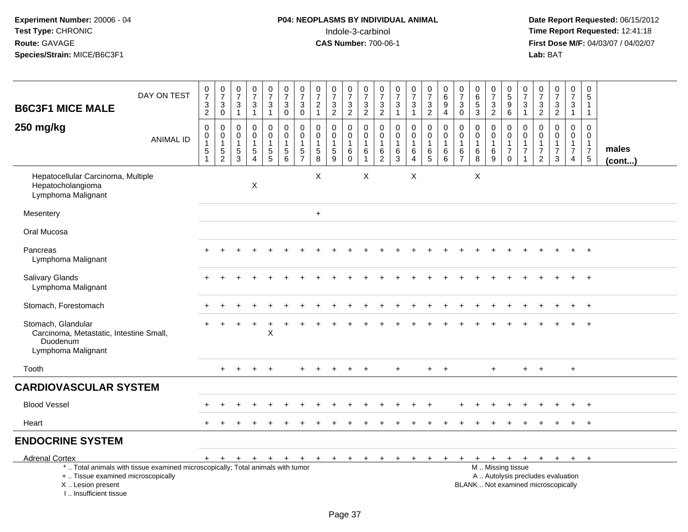### **P04: NEOPLASMS BY INDIVIDUAL ANIMAL**<br>Indole-3-carbinol Indole-3-carbinol **Time Report Requested:** 12:41:18

| <b>B6C3F1 MICE MALE</b>                                                                         | DAY ON TEST                                                                     | $\frac{0}{7}$<br>$\frac{3}{2}$                                           | $\frac{0}{7}$<br>$\ensuremath{\mathsf{3}}$<br>$\mathbf 0$ | $\begin{smallmatrix}0\\7\end{smallmatrix}$<br>$\ensuremath{\mathsf{3}}$<br>$\overline{1}$ | $\frac{0}{7}$<br>$\frac{3}{1}$                                             | $\frac{0}{7}$<br>3<br>$\mathbf{1}$ | $\frac{0}{7}$<br>$\ensuremath{\mathsf{3}}$<br>0                         | $\begin{array}{c} 0 \\ 7 \end{array}$<br>3<br>$\mathbf 0$   | 0<br>$\overline{7}$<br>$\overline{2}$<br>$\mathbf{1}$          | $\begin{array}{c} 0 \\ 7 \end{array}$<br>$\frac{3}{2}$ | 0<br>$\overline{7}$<br>$\frac{3}{2}$                       | $\frac{0}{7}$<br>$\frac{3}{2}$                                      | 0<br>$\overline{7}$<br>$\ensuremath{\mathsf{3}}$<br>$\overline{c}$ | $\frac{0}{7}$<br>$\sqrt{3}$<br>$\mathbf{1}$ | $\frac{0}{7}$<br>$\ensuremath{\mathsf{3}}$<br>$\mathbf{1}$          | $\pmb{0}$<br>$\overline{7}$<br>$\frac{3}{2}$   | $\mathbf 0$<br>$\overline{6}$<br>9<br>$\overline{4}$            | 0<br>$\overline{7}$<br>$\mathbf{3}$<br>$\mathbf 0$                          | $\mathbf 0$<br>$\,6\,$<br>$\sqrt{5}$<br>$\mathbf{3}$     | $\frac{0}{7}$<br>3<br>$\overline{2}$ | $\begin{array}{c} 0 \\ 5 \end{array}$<br>9<br>6        | $\frac{0}{7}$<br>$\sqrt{3}$<br>$\mathbf{1}$       | $\frac{0}{7}$<br>$\frac{3}{2}$                                                   | $\begin{array}{c} 0 \\ 7 \end{array}$<br>$\frac{3}{2}$                   | $\pmb{0}$<br>$\overline{7}$<br>$\ensuremath{\mathsf{3}}$<br>$\mathbf{1}$ | $\pmb{0}$<br>$\overline{5}$<br>$\mathbf{1}$<br>$\mathbf{1}$                         |                       |
|-------------------------------------------------------------------------------------------------|---------------------------------------------------------------------------------|--------------------------------------------------------------------------|-----------------------------------------------------------|-------------------------------------------------------------------------------------------|----------------------------------------------------------------------------|------------------------------------|-------------------------------------------------------------------------|-------------------------------------------------------------|----------------------------------------------------------------|--------------------------------------------------------|------------------------------------------------------------|---------------------------------------------------------------------|--------------------------------------------------------------------|---------------------------------------------|---------------------------------------------------------------------|------------------------------------------------|-----------------------------------------------------------------|-----------------------------------------------------------------------------|----------------------------------------------------------|--------------------------------------|--------------------------------------------------------|---------------------------------------------------|----------------------------------------------------------------------------------|--------------------------------------------------------------------------|--------------------------------------------------------------------------|-------------------------------------------------------------------------------------|-----------------------|
| 250 mg/kg                                                                                       | <b>ANIMAL ID</b>                                                                | $\pmb{0}$<br>$\begin{smallmatrix}0\\1\end{smallmatrix}$<br>$\frac{5}{1}$ | $\mathbf 0$<br>$\pmb{0}$<br>$\mathbf{1}$<br>$\frac{5}{2}$ | 0<br>$\pmb{0}$<br>$\overline{1}$<br>$\frac{5}{3}$                                         | $\mathbf 0$<br>$\mathbf 0$<br>$\mathbf{1}$<br>$\sqrt{5}$<br>$\overline{4}$ | 0<br>$\mathbf 0$<br>$\frac{5}{5}$  | 0<br>$\pmb{0}$<br>$\mathbf{1}$<br>$\begin{array}{c} 5 \\ 6 \end{array}$ | $\mathbf 0$<br>$\mathbf 0$<br>$\mathbf{1}$<br>$\frac{5}{7}$ | $\mathbf 0$<br>$\mathbf 0$<br>$\mathbf{1}$<br>$\,$ 5 $\,$<br>8 | $\mathbf 0$<br>$\mathbf 0$<br>1<br>$\frac{5}{9}$       | 0<br>$\mathbf 0$<br>$\overline{1}$<br>$\,6$<br>$\mathbf 0$ | $\mathbf 0$<br>$\mathbf 0$<br>$\overline{1}$<br>6<br>$\overline{1}$ | 0<br>$\mathbf 0$<br>1<br>6<br>2                                    | 0<br>$\mathbf 0$<br>$\mathbf{1}$<br>$^6_3$  | $\mathbf 0$<br>$\pmb{0}$<br>$\mathbf{1}$<br>$\,6$<br>$\overline{4}$ | 0<br>$\mathbf 0$<br>$\mathbf{1}$<br>$6\over 5$ | $\mathbf 0$<br>$\mathbf 0$<br>$\overline{1}$<br>$6\overline{6}$ | 0<br>$\mathbf 0$<br>$\overline{1}$<br>$\begin{array}{c} 6 \\ 7 \end{array}$ | $\mathbf 0$<br>$\mathbf 0$<br>$\mathbf{1}$<br>$\,6$<br>8 | 0<br>$\Omega$<br>$\,6$<br>9          | $\mathbf 0$<br>$\mathbf 0$<br>1<br>$\overline{7}$<br>0 | $\mathbf 0$<br>$\mathbf 0$<br>1<br>$\overline{7}$ | $\mathbf 0$<br>$\mathbf 0$<br>$\overline{1}$<br>$\overline{7}$<br>$\overline{2}$ | $\mathbf 0$<br>$\Omega$<br>1<br>$\overline{7}$<br>3                      | 0<br>$\mathbf 0$<br>$\mathbf{1}$<br>$\boldsymbol{7}$<br>$\overline{4}$   | $\mathbf 0$<br>$\mathbf 0$<br>$\mathbf{1}$<br>$\begin{array}{c} 7 \\ 5 \end{array}$ | males<br>$($ cont $)$ |
| Hepatocellular Carcinoma, Multiple<br>Hepatocholangioma<br>Lymphoma Malignant                   |                                                                                 |                                                                          |                                                           |                                                                                           | $\mathsf X$                                                                |                                    |                                                                         |                                                             | X                                                              |                                                        |                                                            | $\boldsymbol{\mathsf{X}}$                                           |                                                                    |                                             | X                                                                   |                                                |                                                                 |                                                                             | $\boldsymbol{\mathsf{X}}$                                |                                      |                                                        |                                                   |                                                                                  |                                                                          |                                                                          |                                                                                     |                       |
| Mesentery                                                                                       |                                                                                 |                                                                          |                                                           |                                                                                           |                                                                            |                                    |                                                                         |                                                             | $+$                                                            |                                                        |                                                            |                                                                     |                                                                    |                                             |                                                                     |                                                |                                                                 |                                                                             |                                                          |                                      |                                                        |                                                   |                                                                                  |                                                                          |                                                                          |                                                                                     |                       |
| Oral Mucosa                                                                                     |                                                                                 |                                                                          |                                                           |                                                                                           |                                                                            |                                    |                                                                         |                                                             |                                                                |                                                        |                                                            |                                                                     |                                                                    |                                             |                                                                     |                                                |                                                                 |                                                                             |                                                          |                                      |                                                        |                                                   |                                                                                  |                                                                          |                                                                          |                                                                                     |                       |
| Pancreas<br>Lymphoma Malignant                                                                  |                                                                                 |                                                                          |                                                           |                                                                                           |                                                                            |                                    |                                                                         |                                                             |                                                                |                                                        |                                                            |                                                                     |                                                                    |                                             |                                                                     |                                                |                                                                 |                                                                             |                                                          |                                      |                                                        |                                                   |                                                                                  |                                                                          |                                                                          | $+$                                                                                 |                       |
| Salivary Glands<br>Lymphoma Malignant                                                           |                                                                                 |                                                                          |                                                           |                                                                                           |                                                                            |                                    |                                                                         |                                                             |                                                                |                                                        |                                                            |                                                                     |                                                                    |                                             |                                                                     |                                                |                                                                 |                                                                             |                                                          |                                      |                                                        |                                                   |                                                                                  |                                                                          |                                                                          |                                                                                     |                       |
| Stomach, Forestomach                                                                            |                                                                                 |                                                                          |                                                           |                                                                                           |                                                                            |                                    |                                                                         |                                                             |                                                                |                                                        |                                                            |                                                                     |                                                                    |                                             |                                                                     |                                                |                                                                 |                                                                             |                                                          |                                      |                                                        |                                                   |                                                                                  |                                                                          |                                                                          | $+$                                                                                 |                       |
| Stomach, Glandular<br>Carcinoma, Metastatic, Intestine Small,<br>Duodenum<br>Lymphoma Malignant |                                                                                 |                                                                          |                                                           |                                                                                           |                                                                            | $\ddot{}$<br>X                     |                                                                         |                                                             |                                                                |                                                        |                                                            |                                                                     |                                                                    |                                             |                                                                     |                                                |                                                                 |                                                                             |                                                          |                                      |                                                        |                                                   |                                                                                  |                                                                          |                                                                          |                                                                                     |                       |
| Tooth                                                                                           |                                                                                 |                                                                          | $\ddot{}$                                                 | $\ddot{}$                                                                                 | ÷                                                                          | $\ddot{}$                          |                                                                         | $\div$                                                      |                                                                |                                                        |                                                            | $\overline{+}$                                                      |                                                                    | $+$                                         |                                                                     | $+$                                            | $+$                                                             |                                                                             |                                                          | $\ddot{}$                            |                                                        | $+$                                               | $+$                                                                              |                                                                          | $\ddot{}$                                                                |                                                                                     |                       |
| <b>CARDIOVASCULAR SYSTEM</b>                                                                    |                                                                                 |                                                                          |                                                           |                                                                                           |                                                                            |                                    |                                                                         |                                                             |                                                                |                                                        |                                                            |                                                                     |                                                                    |                                             |                                                                     |                                                |                                                                 |                                                                             |                                                          |                                      |                                                        |                                                   |                                                                                  |                                                                          |                                                                          |                                                                                     |                       |
| <b>Blood Vessel</b>                                                                             |                                                                                 |                                                                          |                                                           |                                                                                           |                                                                            |                                    |                                                                         |                                                             |                                                                |                                                        |                                                            |                                                                     |                                                                    |                                             |                                                                     |                                                |                                                                 |                                                                             |                                                          |                                      |                                                        |                                                   |                                                                                  |                                                                          |                                                                          |                                                                                     |                       |
| Heart                                                                                           |                                                                                 | $+$                                                                      |                                                           |                                                                                           |                                                                            |                                    |                                                                         |                                                             |                                                                |                                                        |                                                            |                                                                     |                                                                    |                                             |                                                                     |                                                |                                                                 |                                                                             |                                                          |                                      |                                                        |                                                   |                                                                                  |                                                                          |                                                                          | $^{+}$                                                                              |                       |
| <b>ENDOCRINE SYSTEM</b>                                                                         |                                                                                 |                                                                          |                                                           |                                                                                           |                                                                            |                                    |                                                                         |                                                             |                                                                |                                                        |                                                            |                                                                     |                                                                    |                                             |                                                                     |                                                |                                                                 |                                                                             |                                                          |                                      |                                                        |                                                   |                                                                                  |                                                                          |                                                                          |                                                                                     |                       |
| <b>Adrenal Cortex</b>                                                                           |                                                                                 | $+$                                                                      | $+$                                                       | $+$                                                                                       | $+$                                                                        | $+$                                | $+$                                                                     | $+$                                                         | $+$                                                            | $+$                                                    | $+$                                                        | $+$                                                                 | $\ddot{}$                                                          |                                             | $\ddot{}$                                                           |                                                |                                                                 |                                                                             | $\pm$                                                    | $+$                                  | $+$                                                    | $+$                                               |                                                                                  | $+$ $+$ $+$                                                              |                                                                          | $+$                                                                                 |                       |
| +  Tissue examined microscopically<br>X  Lesion present<br>I., Insufficient tissue              | *  Total animals with tissue examined microscopically; Total animals with tumor |                                                                          |                                                           |                                                                                           |                                                                            |                                    |                                                                         |                                                             |                                                                |                                                        |                                                            |                                                                     |                                                                    |                                             |                                                                     |                                                |                                                                 |                                                                             |                                                          | M  Missing tissue                    |                                                        |                                                   |                                                                                  | A  Autolysis precludes evaluation<br>BLANK  Not examined microscopically |                                                                          |                                                                                     |                       |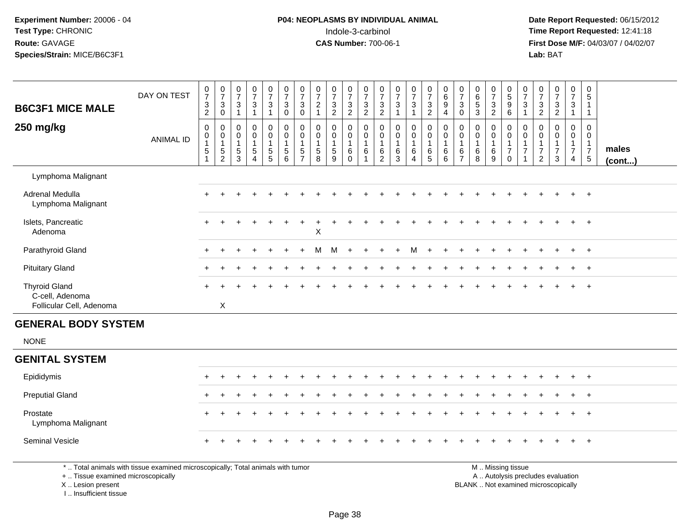# **P04: NEOPLASMS BY INDIVIDUAL ANIMAL**Indole-3-carbinol **Time Report Requested:** 12:41:18

 **Date Report Requested:** 06/15/2012 **First Dose M/F:** 04/03/07 / 04/02/07<br>Lab: BAT **Lab:** BAT

| <b>B6C3F1 MICE MALE</b>                 | DAY ON TEST                                                                     | $\begin{array}{c} 0 \\ 7 \end{array}$<br>$\ensuremath{\mathsf{3}}$<br>$\overline{2}$ | $\begin{array}{c} 0 \\ 7 \end{array}$<br>$\mathbf{3}$<br>$\mathbf 0$ | $\frac{0}{7}$<br>$\mathbf{3}$<br>$\mathbf{1}$             | $\frac{0}{7}$<br>$\mathbf{3}$<br>$\mathbf{1}$                                      | $\begin{array}{c} 0 \\ 7 \end{array}$<br>$\sqrt{3}$<br>$\mathbf{1}$  | $\begin{smallmatrix}0\\7\end{smallmatrix}$<br>$\ensuremath{\mathsf{3}}$<br>$\ddot{\mathbf{0}}$ | $\frac{0}{7}$<br>$\mathbf{3}$<br>$\mathbf 0$                          | $\frac{0}{7}$<br>$\sqrt{2}$<br>$\mathbf{1}$                                         | $\frac{0}{7}$<br>$\frac{3}{2}$                          | $\frac{0}{7}$<br>$\sqrt{3}$<br>$\overline{2}$      | $\begin{array}{c} 0 \\ 7 \end{array}$<br>$\frac{3}{2}$                            | $\frac{0}{7}$<br>$\frac{3}{2}$                              | $\frac{0}{7}$<br>$\frac{3}{1}$                         | $\frac{0}{7}$<br>$\mathsf 3$<br>$\mathbf{1}$                                  | $\frac{0}{7}$<br>$\mathbf{3}$<br>$\overline{2}$  | $_{6}^{\rm 0}$<br>$\overline{9}$<br>4              | $\frac{0}{7}$<br>$\mathbf{3}$<br>$\mathbf 0$                      | $065$<br>3                                         | $\frac{0}{7}$<br>$\frac{3}{2}$                       | 0<br>5<br>9<br>6                                                               | $\frac{0}{7}$<br>$\mathbf 3$<br>$\overline{1}$                     | $\begin{array}{c} 0 \\ 7 \end{array}$<br>$\sqrt{3}$<br>$\overline{2}$ | $\begin{smallmatrix}0\\7\end{smallmatrix}$<br>$\frac{3}{2}$                  | $\frac{0}{7}$<br>$\mathbf{3}$<br>$\mathbf{1}$                                  | $\begin{array}{c} 0 \\ 5 \end{array}$<br>$\mathbf{1}$<br>$\mathbf{1}$      |                 |
|-----------------------------------------|---------------------------------------------------------------------------------|--------------------------------------------------------------------------------------|----------------------------------------------------------------------|-----------------------------------------------------------|------------------------------------------------------------------------------------|----------------------------------------------------------------------|------------------------------------------------------------------------------------------------|-----------------------------------------------------------------------|-------------------------------------------------------------------------------------|---------------------------------------------------------|----------------------------------------------------|-----------------------------------------------------------------------------------|-------------------------------------------------------------|--------------------------------------------------------|-------------------------------------------------------------------------------|--------------------------------------------------|----------------------------------------------------|-------------------------------------------------------------------|----------------------------------------------------|------------------------------------------------------|--------------------------------------------------------------------------------|--------------------------------------------------------------------|-----------------------------------------------------------------------|------------------------------------------------------------------------------|--------------------------------------------------------------------------------|----------------------------------------------------------------------------|-----------------|
| 250 mg/kg                               | <b>ANIMAL ID</b>                                                                | $\pmb{0}$<br>$\pmb{0}$<br>$\mathbf{1}$<br>$\,$ 5 $\,$<br>$\mathbf{1}$                | 0<br>$\pmb{0}$<br>$\mathbf{1}$<br>$\frac{5}{2}$                      | $\mathbf 0$<br>$\pmb{0}$<br>$\mathbf{1}$<br>$\frac{5}{3}$ | $\mathbf 0$<br>$\mathbf 0$<br>$\mathbf{1}$<br>$\sqrt{5}$<br>$\boldsymbol{\Lambda}$ | $\pmb{0}$<br>$\pmb{0}$<br>1<br>$\begin{array}{c} 5 \\ 5 \end{array}$ | $\mathbf 0$<br>$\mathsf 0$<br>$\overline{1}$<br>$\begin{array}{c} 5 \\ 6 \end{array}$          | $\mathsf{O}\xspace$<br>$\mathbf 0$<br>$\overline{1}$<br>$\frac{5}{7}$ | $\mathbf 0$<br>$\mathbf 0$<br>$\mathbf{1}$<br>$\begin{array}{c} 5 \\ 8 \end{array}$ | $\pmb{0}$<br>$\pmb{0}$<br>$\mathbf{1}$<br>$\frac{5}{9}$ | 0<br>$\mathsf{O}\xspace$<br>$\mathbf{1}$<br>$^6_0$ | $\pmb{0}$<br>$\mathbf 0$<br>$\mathbf{1}$<br>$\begin{array}{c} 6 \\ 1 \end{array}$ | $\mathsf 0$<br>$\pmb{0}$<br>$\overline{1}$<br>$\frac{6}{2}$ | $\mathbf 0$<br>$\mathbf 0$<br>$\overline{1}$<br>$^6_3$ | $\mathbf 0$<br>$\pmb{0}$<br>$\mathbf{1}$<br>$\,6\,$<br>$\boldsymbol{\Lambda}$ | $\pmb{0}$<br>$\pmb{0}$<br>$\mathbf{1}$<br>$^6$ 5 | $\mathsf 0$<br>$\pmb{0}$<br>$\mathbf{1}$<br>$^6_6$ | $\mathbf 0$<br>$\mathbf 0$<br>$\mathbf{1}$<br>6<br>$\overline{7}$ | $\mathbf 0$<br>$\pmb{0}$<br>$\mathbf{1}$<br>$^6_8$ | $\mathbf 0$<br>$\mathsf 0$<br>$\mathbf{1}$<br>$^6_9$ | $\boldsymbol{0}$<br>$\pmb{0}$<br>$\mathbf{1}$<br>$\overline{7}$<br>$\mathbf 0$ | 0<br>$\mathbf 0$<br>$\mathbf{1}$<br>$\overline{7}$<br>$\mathbf{1}$ | $\mathbf 0$<br>$\mathbf 0$<br>1<br>$\overline{7}$<br>$\overline{c}$   | $\mathbf 0$<br>$\mathbf 0$<br>$\mathbf{1}$<br>$\overline{7}$<br>$\mathbf{3}$ | $\mathbf 0$<br>$\mathbf 0$<br>$\mathbf{1}$<br>$\overline{7}$<br>$\overline{4}$ | $\mathbf 0$<br>$\mathbf 0$<br>$\mathbf{1}$<br>$\overline{7}$<br>$\sqrt{5}$ | males<br>(cont) |
| Lymphoma Malignant                      |                                                                                 |                                                                                      |                                                                      |                                                           |                                                                                    |                                                                      |                                                                                                |                                                                       |                                                                                     |                                                         |                                                    |                                                                                   |                                                             |                                                        |                                                                               |                                                  |                                                    |                                                                   |                                                    |                                                      |                                                                                |                                                                    |                                                                       |                                                                              |                                                                                |                                                                            |                 |
| Adrenal Medulla<br>Lymphoma Malignant   |                                                                                 |                                                                                      |                                                                      |                                                           |                                                                                    |                                                                      |                                                                                                |                                                                       |                                                                                     |                                                         |                                                    |                                                                                   |                                                             |                                                        |                                                                               |                                                  |                                                    |                                                                   |                                                    |                                                      |                                                                                |                                                                    |                                                                       |                                                                              |                                                                                | $\ddot{}$                                                                  |                 |
| Islets, Pancreatic<br>Adenoma           |                                                                                 | +                                                                                    |                                                                      |                                                           |                                                                                    |                                                                      |                                                                                                |                                                                       | $\mathsf X$                                                                         |                                                         |                                                    |                                                                                   |                                                             |                                                        |                                                                               |                                                  |                                                    |                                                                   |                                                    |                                                      |                                                                                |                                                                    |                                                                       |                                                                              | $\ddot{}$                                                                      | $\overline{+}$                                                             |                 |
| Parathyroid Gland                       |                                                                                 |                                                                                      |                                                                      |                                                           |                                                                                    |                                                                      |                                                                                                |                                                                       | м                                                                                   | M                                                       |                                                    |                                                                                   |                                                             |                                                        | м                                                                             |                                                  |                                                    |                                                                   |                                                    |                                                      |                                                                                |                                                                    |                                                                       |                                                                              |                                                                                | $\div$                                                                     |                 |
| <b>Pituitary Gland</b>                  |                                                                                 |                                                                                      |                                                                      |                                                           |                                                                                    |                                                                      |                                                                                                |                                                                       |                                                                                     |                                                         |                                                    |                                                                                   |                                                             |                                                        |                                                                               |                                                  |                                                    |                                                                   |                                                    |                                                      |                                                                                |                                                                    |                                                                       |                                                                              |                                                                                | $\overline{+}$                                                             |                 |
| <b>Thyroid Gland</b><br>C-cell, Adenoma |                                                                                 | +                                                                                    |                                                                      |                                                           |                                                                                    |                                                                      |                                                                                                |                                                                       |                                                                                     |                                                         |                                                    |                                                                                   |                                                             |                                                        |                                                                               |                                                  |                                                    |                                                                   |                                                    |                                                      |                                                                                |                                                                    |                                                                       |                                                                              | $+$                                                                            | $+$                                                                        |                 |
| Follicular Cell, Adenoma                |                                                                                 |                                                                                      | $\sf X$                                                              |                                                           |                                                                                    |                                                                      |                                                                                                |                                                                       |                                                                                     |                                                         |                                                    |                                                                                   |                                                             |                                                        |                                                                               |                                                  |                                                    |                                                                   |                                                    |                                                      |                                                                                |                                                                    |                                                                       |                                                                              |                                                                                |                                                                            |                 |
| <b>GENERAL BODY SYSTEM</b>              |                                                                                 |                                                                                      |                                                                      |                                                           |                                                                                    |                                                                      |                                                                                                |                                                                       |                                                                                     |                                                         |                                                    |                                                                                   |                                                             |                                                        |                                                                               |                                                  |                                                    |                                                                   |                                                    |                                                      |                                                                                |                                                                    |                                                                       |                                                                              |                                                                                |                                                                            |                 |
| <b>NONE</b>                             |                                                                                 |                                                                                      |                                                                      |                                                           |                                                                                    |                                                                      |                                                                                                |                                                                       |                                                                                     |                                                         |                                                    |                                                                                   |                                                             |                                                        |                                                                               |                                                  |                                                    |                                                                   |                                                    |                                                      |                                                                                |                                                                    |                                                                       |                                                                              |                                                                                |                                                                            |                 |
| <b>GENITAL SYSTEM</b>                   |                                                                                 |                                                                                      |                                                                      |                                                           |                                                                                    |                                                                      |                                                                                                |                                                                       |                                                                                     |                                                         |                                                    |                                                                                   |                                                             |                                                        |                                                                               |                                                  |                                                    |                                                                   |                                                    |                                                      |                                                                                |                                                                    |                                                                       |                                                                              |                                                                                |                                                                            |                 |
| Epididymis                              |                                                                                 | +                                                                                    |                                                                      |                                                           |                                                                                    |                                                                      |                                                                                                |                                                                       |                                                                                     |                                                         |                                                    |                                                                                   |                                                             |                                                        |                                                                               |                                                  |                                                    |                                                                   |                                                    |                                                      |                                                                                |                                                                    |                                                                       |                                                                              | $\div$                                                                         | $\overline{+}$                                                             |                 |
| <b>Preputial Gland</b>                  |                                                                                 |                                                                                      |                                                                      |                                                           |                                                                                    |                                                                      |                                                                                                |                                                                       |                                                                                     |                                                         |                                                    |                                                                                   |                                                             |                                                        |                                                                               |                                                  |                                                    |                                                                   |                                                    |                                                      |                                                                                |                                                                    |                                                                       |                                                                              |                                                                                |                                                                            |                 |
| Prostate<br>Lymphoma Malignant          |                                                                                 |                                                                                      |                                                                      |                                                           |                                                                                    |                                                                      |                                                                                                |                                                                       |                                                                                     |                                                         |                                                    |                                                                                   |                                                             |                                                        |                                                                               |                                                  |                                                    |                                                                   |                                                    |                                                      |                                                                                |                                                                    |                                                                       |                                                                              |                                                                                | $\overline{+}$                                                             |                 |
| Seminal Vesicle                         |                                                                                 | $+$                                                                                  |                                                                      |                                                           |                                                                                    |                                                                      |                                                                                                |                                                                       |                                                                                     |                                                         |                                                    |                                                                                   |                                                             |                                                        |                                                                               |                                                  |                                                    |                                                                   |                                                    |                                                      |                                                                                |                                                                    |                                                                       |                                                                              | $+$                                                                            | $+$                                                                        |                 |
| +  Tissue examined microscopically      | *  Total animals with tissue examined microscopically; Total animals with tumor |                                                                                      |                                                                      |                                                           |                                                                                    |                                                                      |                                                                                                |                                                                       |                                                                                     |                                                         |                                                    |                                                                                   |                                                             |                                                        |                                                                               |                                                  |                                                    |                                                                   |                                                    |                                                      | M  Missing tissue                                                              |                                                                    |                                                                       | A  Autolysis precludes evaluation                                            |                                                                                |                                                                            |                 |

X .. Lesion present

I .. Insufficient tissue

 A .. Autolysis precludes evaluationLesion present BLANK .. Not examined microscopically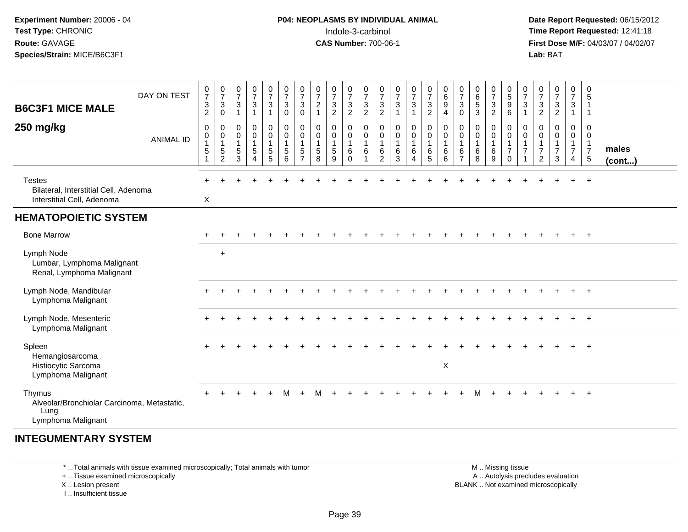## **P04: NEOPLASMS BY INDIVIDUAL ANIMAL**Indole-3-carbinol **Time Report Requested:** 12:41:18

 **Date Report Requested:** 06/15/2012 **First Dose M/F:** 04/03/07 / 04/02/07<br>Lab: BAT **Lab:** BAT

| <b>B6C3F1 MICE MALE</b>                                                              | DAY ON TEST      | $\frac{0}{7}$<br>$\sqrt{3}$<br>$\overline{2}$ | $\frac{0}{7}$<br>$\mathbf{3}$<br>0              | $\frac{0}{7}$<br>$\sqrt{3}$<br>$\mathbf{1}$ | $\frac{0}{7}$<br>$\sqrt{3}$<br>$\mathbf{1}$                            | $\frac{0}{7}$<br>$\sqrt{3}$<br>$\overline{1}$                                       | $\frac{0}{7}$<br>$\mathbf{3}$<br>$\mathbf 0$                  | $\frac{0}{7}$<br>3<br>$\mathbf 0$            | $\frac{0}{7}$<br>$\overline{c}$<br>1                 | $\frac{0}{7}$<br>$\ensuremath{\mathsf{3}}$<br>$\overline{2}$ | $\frac{0}{7}$<br>$\mathbf{3}$<br>$\overline{2}$ | $\frac{0}{7}$<br>$\ensuremath{\mathsf{3}}$<br>$\overline{2}$     | 0<br>$\overline{7}$<br>$\sqrt{3}$<br>$\overline{c}$ | 0<br>$\overline{7}$<br>3<br>$\overline{1}$ | $\frac{0}{7}$<br>3<br>$\mathbf{1}$            | $\begin{smallmatrix}0\\7\end{smallmatrix}$<br>$\ensuremath{\mathsf{3}}$<br>$\overline{a}$ | $\begin{array}{c} 0 \\ 6 \end{array}$<br>$\boldsymbol{9}$<br>4 | $\frac{0}{7}$<br>$\mathbf{3}$<br>0              | $\pmb{0}$<br>$\,6\,$<br>$\overline{5}$<br>3  | $\frac{0}{7}$<br>$\mathbf{3}$<br>$\overline{c}$ | $\begin{array}{c} 0 \\ 5 \\ 9 \end{array}$<br>6                | $\frac{0}{7}$<br>$\mathbf{3}$<br>$\mathbf{1}$                  | 0<br>$\overline{7}$<br>$\mathbf{3}$<br>$\overline{2}$      | $\frac{0}{7}$<br>$\ensuremath{\mathsf{3}}$<br>$\overline{2}$ | $\begin{smallmatrix}0\\7\end{smallmatrix}$<br>$\mathbf{3}$<br>$\mathbf{1}$ | 0<br>$\sqrt{5}$<br>$\mathbf{1}$<br>$\mathbf{1}$             |                       |
|--------------------------------------------------------------------------------------|------------------|-----------------------------------------------|-------------------------------------------------|---------------------------------------------|------------------------------------------------------------------------|-------------------------------------------------------------------------------------|---------------------------------------------------------------|----------------------------------------------|------------------------------------------------------|--------------------------------------------------------------|-------------------------------------------------|------------------------------------------------------------------|-----------------------------------------------------|--------------------------------------------|-----------------------------------------------|-------------------------------------------------------------------------------------------|----------------------------------------------------------------|-------------------------------------------------|----------------------------------------------|-------------------------------------------------|----------------------------------------------------------------|----------------------------------------------------------------|------------------------------------------------------------|--------------------------------------------------------------|----------------------------------------------------------------------------|-------------------------------------------------------------|-----------------------|
| 250 mg/kg                                                                            | <b>ANIMAL ID</b> | 0<br>0<br>1<br>5<br>1                         | 0<br>$\pmb{0}$<br>$\mathbf{1}$<br>$\frac{5}{2}$ | 0<br>0<br>$\mathbf{1}$<br>$\frac{5}{3}$     | $\pmb{0}$<br>$\pmb{0}$<br>$\mathbf{1}$<br>$\sqrt{5}$<br>$\overline{4}$ | $\mathbf 0$<br>$\pmb{0}$<br>$\overline{1}$<br>$\begin{array}{c} 5 \\ 5 \end{array}$ | $\pmb{0}$<br>$\pmb{0}$<br>$\mathbf{1}$<br>$\overline{5}$<br>6 | 0<br>$\mathbf 0$<br>1<br>5<br>$\overline{7}$ | 0<br>$\mathbf 0$<br>$\mathbf{1}$<br>$\mathbf 5$<br>8 | 0<br>$\pmb{0}$<br>$\mathbf{1}$<br>$\sqrt{5}$<br>9            | 0<br>0<br>$\mathbf{1}$<br>6<br>$\Omega$         | 0<br>$\pmb{0}$<br>$\overline{1}$<br>6<br>$\overline{\mathbf{1}}$ | 0<br>0<br>$\mathbf{1}$<br>$6\phantom{1}6$<br>2      | 0<br>0<br>$\mathbf{1}$<br>6<br>3           | 0<br>0<br>$\mathbf{1}$<br>6<br>$\overline{4}$ | $\pmb{0}$<br>$\pmb{0}$<br>$\mathbf{1}$<br>$^6$ 5                                          | 0<br>$\mathbf 0$<br>$\mathbf{1}$<br>$\,6$<br>6                 | 0<br>0<br>$\overline{1}$<br>6<br>$\overline{7}$ | 0<br>$\pmb{0}$<br>$\mathbf{1}$<br>$\,6$<br>8 | 0<br>0<br>$\mathbf{1}$<br>6<br>9                | 0<br>$\pmb{0}$<br>$\mathbf{1}$<br>$\boldsymbol{7}$<br>$\Omega$ | 0<br>$\,0\,$<br>$\mathbf{1}$<br>$\overline{7}$<br>$\mathbf{1}$ | 0<br>0<br>$\mathbf{1}$<br>$\overline{7}$<br>$\overline{2}$ | 0<br>$\mathbf 0$<br>$\mathbf{1}$<br>$\overline{7}$<br>3      | 0<br>$\mathbf 0$<br>$\mathbf{1}$<br>$\overline{7}$<br>$\overline{4}$       | 0<br>0<br>$\mathbf{1}$<br>$\overline{7}$<br>$5\phantom{.0}$ | males<br>$($ cont $)$ |
| <b>Testes</b><br>Bilateral, Interstitial Cell, Adenoma<br>Interstitial Cell, Adenoma |                  | $\boldsymbol{X}$                              |                                                 |                                             |                                                                        |                                                                                     |                                                               |                                              |                                                      |                                                              |                                                 |                                                                  |                                                     |                                            |                                               |                                                                                           |                                                                |                                                 |                                              |                                                 |                                                                |                                                                |                                                            |                                                              | $\ddot{}$                                                                  | $+$                                                         |                       |
| <b>HEMATOPOIETIC SYSTEM</b>                                                          |                  |                                               |                                                 |                                             |                                                                        |                                                                                     |                                                               |                                              |                                                      |                                                              |                                                 |                                                                  |                                                     |                                            |                                               |                                                                                           |                                                                |                                                 |                                              |                                                 |                                                                |                                                                |                                                            |                                                              |                                                                            |                                                             |                       |
| <b>Bone Marrow</b>                                                                   |                  |                                               |                                                 |                                             |                                                                        |                                                                                     |                                                               |                                              |                                                      |                                                              |                                                 |                                                                  |                                                     |                                            |                                               |                                                                                           |                                                                |                                                 |                                              |                                                 |                                                                |                                                                |                                                            |                                                              |                                                                            | $+$                                                         |                       |
| Lymph Node<br>Lumbar, Lymphoma Malignant<br>Renal, Lymphoma Malignant                |                  |                                               | $\ddot{}$                                       |                                             |                                                                        |                                                                                     |                                                               |                                              |                                                      |                                                              |                                                 |                                                                  |                                                     |                                            |                                               |                                                                                           |                                                                |                                                 |                                              |                                                 |                                                                |                                                                |                                                            |                                                              |                                                                            |                                                             |                       |
| Lymph Node, Mandibular<br>Lymphoma Malignant                                         |                  |                                               |                                                 |                                             |                                                                        |                                                                                     |                                                               |                                              |                                                      |                                                              |                                                 |                                                                  |                                                     |                                            |                                               |                                                                                           |                                                                |                                                 |                                              |                                                 |                                                                |                                                                |                                                            |                                                              |                                                                            | $+$                                                         |                       |
| Lymph Node, Mesenteric<br>Lymphoma Malignant                                         |                  |                                               |                                                 |                                             |                                                                        |                                                                                     |                                                               |                                              |                                                      |                                                              |                                                 |                                                                  |                                                     |                                            |                                               |                                                                                           |                                                                |                                                 |                                              |                                                 |                                                                |                                                                |                                                            |                                                              |                                                                            | $+$                                                         |                       |
| Spleen<br>Hemangiosarcoma<br>Histiocytic Sarcoma<br>Lymphoma Malignant               |                  |                                               |                                                 |                                             |                                                                        |                                                                                     |                                                               |                                              |                                                      |                                                              |                                                 |                                                                  |                                                     |                                            |                                               |                                                                                           | X                                                              |                                                 |                                              |                                                 |                                                                |                                                                |                                                            |                                                              |                                                                            |                                                             |                       |
| Thymus<br>Alveolar/Bronchiolar Carcinoma, Metastatic,<br>Lung<br>Lymphoma Malignant  |                  |                                               |                                                 |                                             |                                                                        | $\ddot{}$                                                                           | м                                                             | $\ddot{}$                                    | M                                                    |                                                              |                                                 |                                                                  |                                                     |                                            |                                               |                                                                                           |                                                                |                                                 | м                                            |                                                 |                                                                |                                                                |                                                            |                                                              |                                                                            | $+$                                                         |                       |
| <b>INTEGUMENTARY SYSTEM</b>                                                          |                  |                                               |                                                 |                                             |                                                                        |                                                                                     |                                                               |                                              |                                                      |                                                              |                                                 |                                                                  |                                                     |                                            |                                               |                                                                                           |                                                                |                                                 |                                              |                                                 |                                                                |                                                                |                                                            |                                                              |                                                                            |                                                             |                       |

\* .. Total animals with tissue examined microscopically; Total animals with tumor

+ .. Tissue examined microscopically

X .. Lesion present

I .. Insufficient tissue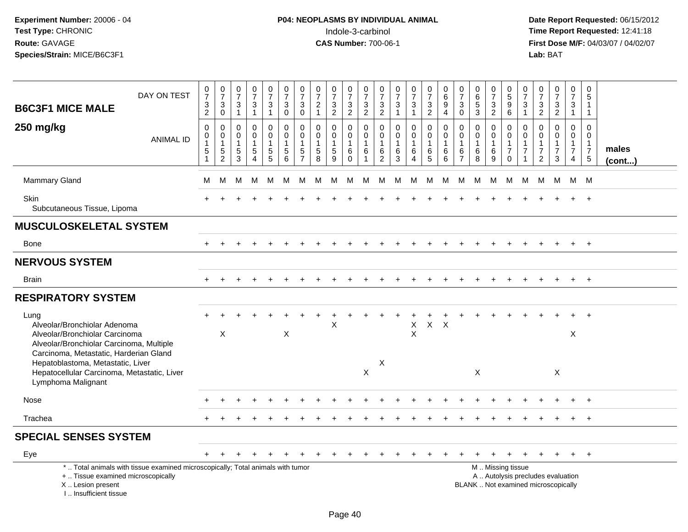# **P04: NEOPLASMS BY INDIVIDUAL ANIMAL**<br>Indole-3-carbinol Indole-3-carbinol **Time Report Requested:** 12:41:18

| <b>B6C3F1 MICE MALE</b><br>250 mg/kg                                                                                                                                  | DAY ON TEST<br><b>ANIMAL ID</b>                                                                                                                                                                                                                                | $\frac{0}{7}$<br>$\mathbf{3}$<br>$\overline{2}$<br>0<br>$\mathbf 0$<br>1<br>5 | $\begin{smallmatrix}0\\7\end{smallmatrix}$<br>$\ensuremath{\mathsf{3}}$<br>$\overline{0}$<br>$\pmb{0}$<br>0<br>$\mathbf{1}$<br>$\frac{5}{2}$ | $\begin{smallmatrix}0\\7\end{smallmatrix}$<br>$\mathsf 3$<br>$\overline{1}$<br>$\boldsymbol{0}$<br>$\mathbf 0$<br>$\mathbf 1$<br>$\overline{5}$ | $\frac{0}{7}$<br>3<br>$\overline{1}$<br>0<br>0<br>-1<br>$\sqrt{5}$ | $\frac{0}{7}$<br>$\ensuremath{\mathsf{3}}$<br>$\mathbf{1}$<br>$\pmb{0}$<br>$\pmb{0}$<br>$\mathbf{1}$<br>$\sqrt{5}$ | $\frac{0}{7}$<br>$\mathbf{3}$<br>$\mathbf 0$<br>$\mathbf 0$<br>$\mathbf 0$<br>1<br>5 | $\frac{0}{7}$<br>$\ensuremath{\mathsf{3}}$<br>$\overline{0}$<br>$\mathbf 0$<br>$\mathbf 0$<br>$\overline{1}$<br>$\sqrt{5}$ | $\frac{0}{7}$<br>$\overline{a}$<br>$\mathbf{1}$<br>$\mathbf 0$<br>$\mathsf{O}\xspace$<br>$\mathbf{1}$<br>$\sqrt{5}$ | 0<br>$\overline{7}$<br>$\frac{3}{2}$<br>$\mathbf 0$<br>$\mathbf 0$<br>$\mathbf 1$<br>$\sqrt{5}$ | $\pmb{0}$<br>$\overline{7}$<br>$\frac{3}{2}$<br>$\mathbf 0$<br>$\mathbf 0$<br>$\overline{1}$<br>6 | $\mathbf 0$<br>$\overline{7}$<br>$\mathbf{3}$<br>$\overline{2}$<br>$\mathbf 0$<br>$\mathbf 0$<br>$\overline{1}$<br>6 | $\frac{0}{7}$<br>$\frac{3}{2}$<br>$\mathbf 0$<br>$\mathbf 0$<br>1<br>6 | $\frac{0}{7}$<br>3<br>$\mathbf{1}$<br>0<br>$\overline{0}$<br>1<br>6 | $\begin{smallmatrix}0\\7\end{smallmatrix}$<br>$\mathbf{3}$<br>$\mathbf{1}$<br>$\pmb{0}$<br>$\ddot{\mathbf{0}}$<br>$\mathbf{1}$<br>$\,6$ | $\frac{0}{7}$<br>$\frac{3}{2}$<br>$\pmb{0}$<br>$\mathbf 0$<br>$\mathbf{1}$<br>$\,6$ | $\mathbf 0$<br>$\,6\,$<br>9<br>$\overline{4}$<br>$\mathbf 0$<br>$\Omega$<br>-1<br>6 | 0<br>$\overline{7}$<br>$\sqrt{3}$<br>$\mathbf 0$<br>$\mathbf{0}$<br>$\mathbf 0$<br>$\mathbf{1}$<br>6 | 0<br>$\,6$<br>5<br>3<br>0<br>$\Omega$<br>6 | 0<br>$\overline{7}$<br>$\frac{3}{2}$<br>0<br>$\ddot{\mathbf{0}}$<br>$\mathbf{1}$<br>6 | $\pmb{0}$<br>$\overline{5}$<br>9<br>6<br>$\pmb{0}$<br>$\mathbf 0$<br>$\mathbf{1}$<br>$\overline{7}$ | 0<br>$\overline{7}$<br>3<br>$\overline{1}$<br>$\mathbf 0$<br>$\Omega$<br>$\overline{7}$ | $\frac{0}{7}$<br>$\frac{3}{2}$<br>$\mathbf 0$<br>$\Omega$<br>$\mathbf{1}$<br>$\overline{7}$ | $\begin{array}{c} 0 \\ 7 \end{array}$<br>$\mathbf{3}$<br>$\overline{2}$<br>$\mathbf 0$<br>$\mathbf{0}$<br>1<br>$\overline{7}$ | 0<br>$\overline{7}$<br>3<br>$\mathbf{1}$<br>$\mathbf 0$<br>$\mathbf 0$<br>$\mathbf{1}$<br>$\overline{7}$ | 0<br>$\sqrt{5}$<br>1<br>$\mathbf{1}$<br>$\Omega$<br>$\Omega$<br>$\mathbf{1}$<br>$\overline{7}$ | males  |
|-----------------------------------------------------------------------------------------------------------------------------------------------------------------------|----------------------------------------------------------------------------------------------------------------------------------------------------------------------------------------------------------------------------------------------------------------|-------------------------------------------------------------------------------|----------------------------------------------------------------------------------------------------------------------------------------------|-------------------------------------------------------------------------------------------------------------------------------------------------|--------------------------------------------------------------------|--------------------------------------------------------------------------------------------------------------------|--------------------------------------------------------------------------------------|----------------------------------------------------------------------------------------------------------------------------|---------------------------------------------------------------------------------------------------------------------|-------------------------------------------------------------------------------------------------|---------------------------------------------------------------------------------------------------|----------------------------------------------------------------------------------------------------------------------|------------------------------------------------------------------------|---------------------------------------------------------------------|-----------------------------------------------------------------------------------------------------------------------------------------|-------------------------------------------------------------------------------------|-------------------------------------------------------------------------------------|------------------------------------------------------------------------------------------------------|--------------------------------------------|---------------------------------------------------------------------------------------|-----------------------------------------------------------------------------------------------------|-----------------------------------------------------------------------------------------|---------------------------------------------------------------------------------------------|-------------------------------------------------------------------------------------------------------------------------------|----------------------------------------------------------------------------------------------------------|------------------------------------------------------------------------------------------------|--------|
|                                                                                                                                                                       |                                                                                                                                                                                                                                                                | 1                                                                             |                                                                                                                                              | $\overline{3}$                                                                                                                                  | 4                                                                  | 5                                                                                                                  | 6                                                                                    | $\overline{7}$                                                                                                             | $\overline{8}$                                                                                                      | $\overline{9}$                                                                                  | $\Omega$                                                                                          | 1                                                                                                                    | 2                                                                      | 3                                                                   | $\overline{4}$                                                                                                                          | $\overline{5}$                                                                      | 6                                                                                   | $\overline{7}$                                                                                       | 8                                          | 9                                                                                     | $\Omega$                                                                                            |                                                                                         | $\overline{2}$                                                                              | 3                                                                                                                             | 4                                                                                                        | $5\phantom{.0}$                                                                                | (cont) |
| Mammary Gland                                                                                                                                                         |                                                                                                                                                                                                                                                                | м                                                                             | M                                                                                                                                            | M                                                                                                                                               | М                                                                  | M                                                                                                                  | M                                                                                    | М                                                                                                                          | M                                                                                                                   | M                                                                                               | M                                                                                                 | M                                                                                                                    | M                                                                      | M                                                                   | M                                                                                                                                       | M                                                                                   | M                                                                                   | M                                                                                                    | M                                          | М                                                                                     | M                                                                                                   | M                                                                                       | M                                                                                           | M                                                                                                                             |                                                                                                          | M M                                                                                            |        |
| <b>Skin</b><br>Subcutaneous Tissue, Lipoma                                                                                                                            |                                                                                                                                                                                                                                                                |                                                                               |                                                                                                                                              |                                                                                                                                                 |                                                                    |                                                                                                                    |                                                                                      |                                                                                                                            |                                                                                                                     |                                                                                                 |                                                                                                   |                                                                                                                      |                                                                        |                                                                     |                                                                                                                                         |                                                                                     |                                                                                     |                                                                                                      |                                            |                                                                                       |                                                                                                     |                                                                                         |                                                                                             |                                                                                                                               |                                                                                                          |                                                                                                |        |
| <b>MUSCULOSKELETAL SYSTEM</b>                                                                                                                                         |                                                                                                                                                                                                                                                                |                                                                               |                                                                                                                                              |                                                                                                                                                 |                                                                    |                                                                                                                    |                                                                                      |                                                                                                                            |                                                                                                                     |                                                                                                 |                                                                                                   |                                                                                                                      |                                                                        |                                                                     |                                                                                                                                         |                                                                                     |                                                                                     |                                                                                                      |                                            |                                                                                       |                                                                                                     |                                                                                         |                                                                                             |                                                                                                                               |                                                                                                          |                                                                                                |        |
| Bone                                                                                                                                                                  |                                                                                                                                                                                                                                                                | $+$                                                                           |                                                                                                                                              |                                                                                                                                                 |                                                                    |                                                                                                                    |                                                                                      |                                                                                                                            |                                                                                                                     |                                                                                                 |                                                                                                   |                                                                                                                      |                                                                        |                                                                     |                                                                                                                                         |                                                                                     |                                                                                     |                                                                                                      |                                            |                                                                                       |                                                                                                     |                                                                                         |                                                                                             |                                                                                                                               |                                                                                                          | $+$                                                                                            |        |
| <b>NERVOUS SYSTEM</b>                                                                                                                                                 |                                                                                                                                                                                                                                                                |                                                                               |                                                                                                                                              |                                                                                                                                                 |                                                                    |                                                                                                                    |                                                                                      |                                                                                                                            |                                                                                                                     |                                                                                                 |                                                                                                   |                                                                                                                      |                                                                        |                                                                     |                                                                                                                                         |                                                                                     |                                                                                     |                                                                                                      |                                            |                                                                                       |                                                                                                     |                                                                                         |                                                                                             |                                                                                                                               |                                                                                                          |                                                                                                |        |
| <b>Brain</b>                                                                                                                                                          |                                                                                                                                                                                                                                                                |                                                                               |                                                                                                                                              |                                                                                                                                                 |                                                                    |                                                                                                                    |                                                                                      |                                                                                                                            |                                                                                                                     |                                                                                                 |                                                                                                   |                                                                                                                      |                                                                        |                                                                     |                                                                                                                                         |                                                                                     |                                                                                     |                                                                                                      |                                            |                                                                                       |                                                                                                     |                                                                                         |                                                                                             |                                                                                                                               |                                                                                                          |                                                                                                |        |
| <b>RESPIRATORY SYSTEM</b>                                                                                                                                             |                                                                                                                                                                                                                                                                |                                                                               |                                                                                                                                              |                                                                                                                                                 |                                                                    |                                                                                                                    |                                                                                      |                                                                                                                            |                                                                                                                     |                                                                                                 |                                                                                                   |                                                                                                                      |                                                                        |                                                                     |                                                                                                                                         |                                                                                     |                                                                                     |                                                                                                      |                                            |                                                                                       |                                                                                                     |                                                                                         |                                                                                             |                                                                                                                               |                                                                                                          |                                                                                                |        |
| Lung<br>Alveolar/Bronchiolar Adenoma                                                                                                                                  |                                                                                                                                                                                                                                                                |                                                                               | X                                                                                                                                            |                                                                                                                                                 |                                                                    |                                                                                                                    | X                                                                                    |                                                                                                                            |                                                                                                                     | $\mathsf X$                                                                                     |                                                                                                   |                                                                                                                      |                                                                        |                                                                     | X<br>$\boldsymbol{\mathsf{X}}$                                                                                                          | $X$ $X$                                                                             |                                                                                     |                                                                                                      |                                            |                                                                                       |                                                                                                     |                                                                                         |                                                                                             |                                                                                                                               | $\mathsf X$                                                                                              |                                                                                                |        |
| Lymphoma Malignant                                                                                                                                                    | Alveolar/Bronchiolar Carcinoma<br>Alveolar/Bronchiolar Carcinoma, Multiple<br>Carcinoma, Metastatic, Harderian Gland<br>$\mathsf X$<br>Hepatoblastoma, Metastatic, Liver<br>$\boldsymbol{\mathsf{X}}$<br>Hepatocellular Carcinoma, Metastatic, Liver<br>X<br>X |                                                                               |                                                                                                                                              |                                                                                                                                                 |                                                                    |                                                                                                                    |                                                                                      |                                                                                                                            |                                                                                                                     |                                                                                                 |                                                                                                   |                                                                                                                      |                                                                        |                                                                     |                                                                                                                                         |                                                                                     |                                                                                     |                                                                                                      |                                            |                                                                                       |                                                                                                     |                                                                                         |                                                                                             |                                                                                                                               |                                                                                                          |                                                                                                |        |
| Nose                                                                                                                                                                  |                                                                                                                                                                                                                                                                |                                                                               |                                                                                                                                              |                                                                                                                                                 |                                                                    |                                                                                                                    |                                                                                      |                                                                                                                            |                                                                                                                     |                                                                                                 |                                                                                                   |                                                                                                                      |                                                                        |                                                                     |                                                                                                                                         |                                                                                     |                                                                                     |                                                                                                      |                                            |                                                                                       |                                                                                                     |                                                                                         |                                                                                             |                                                                                                                               |                                                                                                          |                                                                                                |        |
| Trachea                                                                                                                                                               |                                                                                                                                                                                                                                                                |                                                                               |                                                                                                                                              |                                                                                                                                                 |                                                                    |                                                                                                                    |                                                                                      |                                                                                                                            |                                                                                                                     |                                                                                                 |                                                                                                   |                                                                                                                      |                                                                        |                                                                     |                                                                                                                                         |                                                                                     |                                                                                     |                                                                                                      |                                            |                                                                                       |                                                                                                     |                                                                                         |                                                                                             |                                                                                                                               |                                                                                                          | $+$                                                                                            |        |
| <b>SPECIAL SENSES SYSTEM</b>                                                                                                                                          |                                                                                                                                                                                                                                                                |                                                                               |                                                                                                                                              |                                                                                                                                                 |                                                                    |                                                                                                                    |                                                                                      |                                                                                                                            |                                                                                                                     |                                                                                                 |                                                                                                   |                                                                                                                      |                                                                        |                                                                     |                                                                                                                                         |                                                                                     |                                                                                     |                                                                                                      |                                            |                                                                                       |                                                                                                     |                                                                                         |                                                                                             |                                                                                                                               |                                                                                                          |                                                                                                |        |
| Eye                                                                                                                                                                   |                                                                                                                                                                                                                                                                | $+$                                                                           |                                                                                                                                              |                                                                                                                                                 |                                                                    |                                                                                                                    |                                                                                      |                                                                                                                            |                                                                                                                     |                                                                                                 |                                                                                                   |                                                                                                                      |                                                                        |                                                                     |                                                                                                                                         |                                                                                     |                                                                                     |                                                                                                      |                                            |                                                                                       |                                                                                                     |                                                                                         |                                                                                             |                                                                                                                               |                                                                                                          | $+$                                                                                            |        |
| *  Total animals with tissue examined microscopically; Total animals with tumor<br>+  Tissue examined microscopically<br>X  Lesion present<br>L., Insufficient tissue |                                                                                                                                                                                                                                                                |                                                                               |                                                                                                                                              |                                                                                                                                                 |                                                                    |                                                                                                                    |                                                                                      |                                                                                                                            |                                                                                                                     |                                                                                                 |                                                                                                   |                                                                                                                      |                                                                        |                                                                     |                                                                                                                                         |                                                                                     |                                                                                     |                                                                                                      |                                            |                                                                                       | M  Missing tissue<br>A  Autolysis precludes evaluation<br>BLANK  Not examined microscopically       |                                                                                         |                                                                                             |                                                                                                                               |                                                                                                          |                                                                                                |        |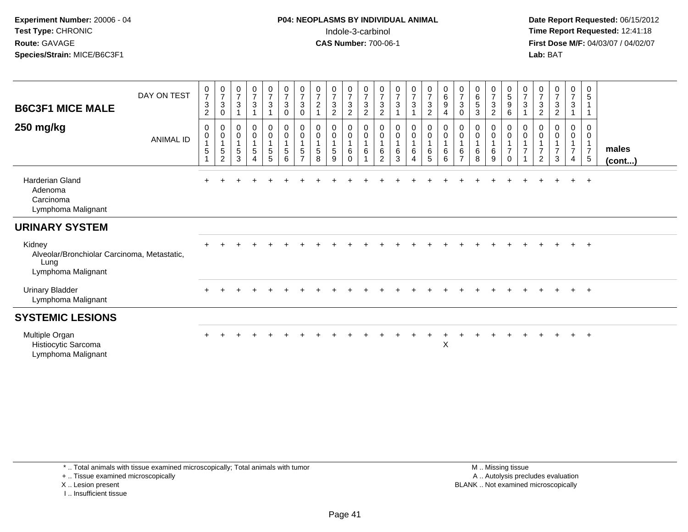# **P04: NEOPLASMS BY INDIVIDUAL ANIMAL**Indole-3-carbinol **Time Report Requested:** 12:41:18

 **Date Report Requested:** 06/15/2012 **First Dose M/F:** 04/03/07 / 04/02/07<br>Lab: BAT **Lab:** BAT

| <b>B6C3F1 MICE MALE</b><br>250 mg/kg                                                | DAY ON TEST<br><b>ANIMAL ID</b> | $\frac{0}{7}$<br>$\ensuremath{\mathsf{3}}$<br>$\boldsymbol{2}$<br>$\pmb{0}$<br>$\pmb{0}$<br>$\mathbf{1}$<br>$\sqrt{5}$<br>$\mathbf{1}$ | $\frac{0}{7}$<br>$\mathbf{3}$<br>$\mathbf 0$<br>0<br>$\pmb{0}$<br>$\sqrt{5}$<br>$\overline{2}$ | $\frac{0}{7}$<br>$\sqrt{3}$<br>$\overline{1}$<br>$\boldsymbol{0}$<br>$\mathbf 0$<br>$\overline{1}$<br>$\sqrt{5}$<br>3 | $\frac{0}{7}$<br>$\sqrt{3}$<br>$\mathbf{1}$<br>$\pmb{0}$<br>$\pmb{0}$<br>$\mathbf{1}$<br>$\sqrt{5}$<br>$\overline{4}$ | $\frac{0}{7}$<br>3<br>0<br>$\mathbf 0$<br>5<br>5 | $\frac{0}{7}$<br>$\mathbf{3}$<br>$\pmb{0}$<br>$\pmb{0}$<br>$\mathbf 0$<br>$\mathbf{1}$<br>$5\phantom{.0}$<br>6 | $\frac{0}{7}$<br>$\ensuremath{\mathsf{3}}$<br>0<br>0<br>$\mathbf 0$<br>$\mathbf{1}$<br>5<br>$\overline{7}$ | $\frac{0}{7}$<br>$\overline{c}$<br>0<br>0<br>5<br>8 | $\frac{0}{7}$<br>$\mathbf{3}$<br>$\overline{2}$<br>0<br>$\boldsymbol{0}$<br>$\overline{5}$<br>9 | $\frac{0}{7}$<br>$\sqrt{3}$<br>$\sqrt{2}$<br>0<br>0<br>1<br>6<br>$\Omega$ | $\frac{0}{7}$<br>$\mathbf{3}$<br>$\sqrt{2}$<br>$\mathbf 0$<br>$\pmb{0}$<br>$\overline{1}$<br>6<br>1 | $\frac{0}{7}$<br>$\mathbf{3}$<br>$\overline{c}$<br>0<br>0<br>6<br>2 | $\frac{0}{7}$<br>$\ensuremath{\mathsf{3}}$<br>$\overline{1}$<br>0<br>$\mathbf 0$<br>$\overline{1}$<br>6<br>3 | $\frac{0}{7}$<br>$\sqrt{3}$<br>0<br>$\pmb{0}$<br>6<br>4 | $\frac{0}{7}$<br>$\sqrt{3}$<br>$\boldsymbol{2}$<br>$\begin{smallmatrix} 0\\0 \end{smallmatrix}$<br>$\overline{\mathbf{1}}$<br>$\,6\,$<br>$\overline{5}$ | $\begin{array}{c} 0 \\ 6 \end{array}$<br>$9\,$<br>$\overline{4}$<br>$\begin{smallmatrix} 0\\0 \end{smallmatrix}$<br>$\mathbf{1}$<br>$\,6\,$<br>6 | $\frac{0}{7}$<br>3<br>0<br>0<br>0<br>6<br>$\overline{7}$ | $_{6}^{\rm 0}$<br>5<br>$\sqrt{3}$<br>0<br>$\mathbf 0$<br>6<br>8 | $\frac{0}{7}$<br>3<br>$\overline{2}$<br>0<br>0<br>6<br>9 | $\begin{matrix} 0 \\ 5 \end{matrix}$<br>$\boldsymbol{9}$<br>6<br>0<br>0<br>$\overline{7}$<br>$\overline{0}$ | $\frac{0}{7}$<br>$\sqrt{3}$<br>$\mathbf 0$<br>$\boldsymbol{0}$<br>$\overline{7}$ | $\frac{0}{7}$<br>$\mathbf{3}$<br>2<br>0<br>0<br>$\overline{7}$<br>2 | $\frac{0}{7}$<br>3<br>$\overline{c}$<br>0<br>$\mathbf 0$<br>$\overline{7}$<br>3 | $\frac{0}{7}$<br>3<br>0<br>0<br>$\overline{7}$<br>4 | 0<br>$\sqrt{5}$<br>$\mathbf{1}$<br>$\mathbf 1$<br>0<br>0<br>$\mathbf{1}$<br>$\overline{7}$<br>$5\phantom{.0}$ | males<br>$($ cont $)$ |
|-------------------------------------------------------------------------------------|---------------------------------|----------------------------------------------------------------------------------------------------------------------------------------|------------------------------------------------------------------------------------------------|-----------------------------------------------------------------------------------------------------------------------|-----------------------------------------------------------------------------------------------------------------------|--------------------------------------------------|----------------------------------------------------------------------------------------------------------------|------------------------------------------------------------------------------------------------------------|-----------------------------------------------------|-------------------------------------------------------------------------------------------------|---------------------------------------------------------------------------|-----------------------------------------------------------------------------------------------------|---------------------------------------------------------------------|--------------------------------------------------------------------------------------------------------------|---------------------------------------------------------|---------------------------------------------------------------------------------------------------------------------------------------------------------|--------------------------------------------------------------------------------------------------------------------------------------------------|----------------------------------------------------------|-----------------------------------------------------------------|----------------------------------------------------------|-------------------------------------------------------------------------------------------------------------|----------------------------------------------------------------------------------|---------------------------------------------------------------------|---------------------------------------------------------------------------------|-----------------------------------------------------|---------------------------------------------------------------------------------------------------------------|-----------------------|
| Harderian Gland<br>Adenoma<br>Carcinoma<br>Lymphoma Malignant                       |                                 |                                                                                                                                        |                                                                                                |                                                                                                                       |                                                                                                                       |                                                  |                                                                                                                |                                                                                                            |                                                     |                                                                                                 |                                                                           |                                                                                                     |                                                                     |                                                                                                              |                                                         |                                                                                                                                                         |                                                                                                                                                  |                                                          |                                                                 |                                                          |                                                                                                             |                                                                                  |                                                                     |                                                                                 |                                                     | $\overline{+}$                                                                                                |                       |
| <b>URINARY SYSTEM</b>                                                               |                                 |                                                                                                                                        |                                                                                                |                                                                                                                       |                                                                                                                       |                                                  |                                                                                                                |                                                                                                            |                                                     |                                                                                                 |                                                                           |                                                                                                     |                                                                     |                                                                                                              |                                                         |                                                                                                                                                         |                                                                                                                                                  |                                                          |                                                                 |                                                          |                                                                                                             |                                                                                  |                                                                     |                                                                                 |                                                     |                                                                                                               |                       |
| Kidney<br>Alveolar/Bronchiolar Carcinoma, Metastatic,<br>Lung<br>Lymphoma Malignant |                                 |                                                                                                                                        |                                                                                                |                                                                                                                       |                                                                                                                       |                                                  |                                                                                                                |                                                                                                            |                                                     |                                                                                                 |                                                                           |                                                                                                     |                                                                     |                                                                                                              |                                                         |                                                                                                                                                         |                                                                                                                                                  |                                                          |                                                                 |                                                          |                                                                                                             |                                                                                  |                                                                     |                                                                                 |                                                     | $\ddot{}$                                                                                                     |                       |
| <b>Urinary Bladder</b><br>Lymphoma Malignant                                        |                                 |                                                                                                                                        |                                                                                                |                                                                                                                       |                                                                                                                       |                                                  |                                                                                                                |                                                                                                            |                                                     |                                                                                                 |                                                                           |                                                                                                     |                                                                     |                                                                                                              |                                                         |                                                                                                                                                         |                                                                                                                                                  |                                                          |                                                                 |                                                          |                                                                                                             |                                                                                  |                                                                     |                                                                                 |                                                     | $+$                                                                                                           |                       |
| <b>SYSTEMIC LESIONS</b>                                                             |                                 |                                                                                                                                        |                                                                                                |                                                                                                                       |                                                                                                                       |                                                  |                                                                                                                |                                                                                                            |                                                     |                                                                                                 |                                                                           |                                                                                                     |                                                                     |                                                                                                              |                                                         |                                                                                                                                                         |                                                                                                                                                  |                                                          |                                                                 |                                                          |                                                                                                             |                                                                                  |                                                                     |                                                                                 |                                                     |                                                                                                               |                       |
| Multiple Organ<br>Histiocytic Sarcoma<br>Lymphoma Malignant                         |                                 |                                                                                                                                        |                                                                                                |                                                                                                                       |                                                                                                                       |                                                  |                                                                                                                |                                                                                                            |                                                     |                                                                                                 |                                                                           |                                                                                                     |                                                                     |                                                                                                              |                                                         |                                                                                                                                                         | $\mathsf X$                                                                                                                                      |                                                          |                                                                 |                                                          |                                                                                                             |                                                                                  |                                                                     |                                                                                 | $\ddot{}$                                           | $+$                                                                                                           |                       |

\* .. Total animals with tissue examined microscopically; Total animals with tumor

+ .. Tissue examined microscopically

X .. Lesion present

I .. Insufficient tissue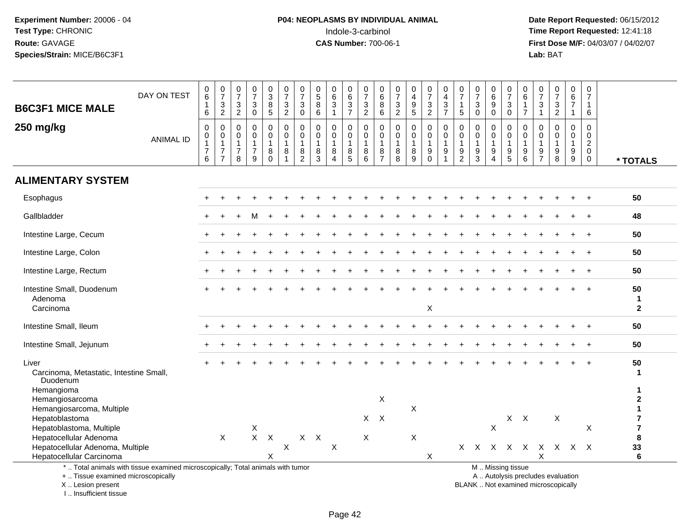# **P04: NEOPLASMS BY INDIVIDUAL ANIMAL**<br>Indole-3-carbinol Indole-3-carbinol **Time Report Requested:** 12:41:18

 **Date Report Requested:** 06/15/2012 **First Dose M/F:** 04/03/07 / 04/02/07<br>Lab: BAT **Lab:** BAT

| <b>B6C3F1 MICE MALE</b>                                                                                                                    | DAY ON TEST      | 0<br>$\,6\,$<br>$\mathbf{1}$<br>$6\phantom{1}6$                                     | $\frac{0}{7}$<br>$\sqrt{3}$<br>$\overline{2}$          | $\frac{0}{7}$<br>$\frac{3}{2}$                                      | $\frac{0}{7}$<br>3<br>$\Omega$                          | 0<br>8<br>5                                        | $\frac{0}{7}$<br>$\frac{3}{2}$                                      | $\frac{0}{7}$<br>$_{0}^{3}$                                     | $\begin{array}{c} 0 \\ 5 \end{array}$<br>8<br>6      | 0<br>$\,6$<br>$\sqrt{3}$<br>$\mathbf{1}$ | 0<br>$\,6\,$<br>$\sqrt{3}$<br>$\overline{7}$              | 0<br>$\overline{7}$<br>$\frac{3}{2}$ | 0<br>$6\overline{6}$<br>$\bf 8$<br>$6\phantom{1}$                   | $\frac{0}{7}$<br>$\frac{3}{2}$                      | 0<br>$\overline{4}$<br>$\begin{array}{c} 9 \\ 5 \end{array}$ | $\frac{0}{7}$<br>$\frac{3}{2}$                                            | 0<br>$\overline{4}$<br>$\mathbf{3}$<br>$\overline{7}$ | 0<br>$\overline{7}$<br>$\mathbf{1}$<br>5                                         | 0<br>$\overline{7}$<br>3<br>$\mathbf{0}$  | $\begin{array}{c} 0 \\ 6 \end{array}$<br>$\boldsymbol{9}$<br>$\overline{0}$ | 0<br>$\overline{7}$<br>3<br>$\mathbf 0$                           | 0<br>$\,6$<br>$\mathbf{1}$<br>$\overline{7}$ | $\frac{0}{7}$<br>$\mathsf 3$<br>$\mathbf{1}$                             | $\frac{0}{7}$<br>$\frac{3}{2}$                                                   | 0<br>$\,6\,$<br>$\overline{7}$<br>$\mathbf{1}$                                     | 0<br>$\overline{7}$<br>$\mathbf{1}$<br>6                                   |                                       |
|--------------------------------------------------------------------------------------------------------------------------------------------|------------------|-------------------------------------------------------------------------------------|--------------------------------------------------------|---------------------------------------------------------------------|---------------------------------------------------------|----------------------------------------------------|---------------------------------------------------------------------|-----------------------------------------------------------------|------------------------------------------------------|------------------------------------------|-----------------------------------------------------------|--------------------------------------|---------------------------------------------------------------------|-----------------------------------------------------|--------------------------------------------------------------|---------------------------------------------------------------------------|-------------------------------------------------------|----------------------------------------------------------------------------------|-------------------------------------------|-----------------------------------------------------------------------------|-------------------------------------------------------------------|----------------------------------------------|--------------------------------------------------------------------------|----------------------------------------------------------------------------------|------------------------------------------------------------------------------------|----------------------------------------------------------------------------|---------------------------------------|
| 250 mg/kg                                                                                                                                  | <b>ANIMAL ID</b> | $\boldsymbol{0}$<br>$\boldsymbol{0}$<br>$\overline{1}$<br>$\overline{7}$<br>$\,6\,$ | $\mathbf 0$<br>$\mathbf 0$<br>1<br>$\overline{7}$<br>7 | $\mathbf 0$<br>$\mathbf 0$<br>$\mathbf{1}$<br>$\boldsymbol{7}$<br>8 | $\mathbf 0$<br>0<br>$\mathbf{1}$<br>$\overline{7}$<br>9 | 0<br>$\pmb{0}$<br>$\mathbf{1}$<br>8<br>$\mathbf 0$ | $\pmb{0}$<br>$\pmb{0}$<br>$\mathbf{1}$<br>$\bf 8$<br>$\overline{A}$ | 0<br>$\mathbf 0$<br>$\overline{1}$<br>$\bf 8$<br>$\overline{2}$ | $\mathbf 0$<br>$\mathbf 0$<br>$\mathbf{1}$<br>8<br>3 | 0<br>0<br>$\mathbf{1}$<br>$\bf8$<br>4    | $\mathbf 0$<br>$\mathbf 0$<br>$\mathbf{1}$<br>$\, 8$<br>5 | 0<br>0<br>$\mathbf{1}$<br>8<br>6     | $\mathbf 0$<br>$\mathbf 0$<br>$\overline{1}$<br>8<br>$\overline{7}$ | 0<br>0<br>$\mathbf{1}$<br>$\bf 8$<br>$\overline{8}$ | $\mathbf 0$<br>0<br>$\mathbf{1}$<br>$\bf 8$<br>9             | $\pmb{0}$<br>$\pmb{0}$<br>$\mathbf{1}$<br>$\boldsymbol{9}$<br>$\mathbf 0$ | $\mathbf 0$<br>$\mathbf 0$<br>$\overline{1}$<br>9     | $\mathbf 0$<br>$\mathbf 0$<br>$\mathbf{1}$<br>$\boldsymbol{9}$<br>$\overline{2}$ | 0<br>$\mathbf 0$<br>$\boldsymbol{9}$<br>3 | 0<br>$\pmb{0}$<br>$\mathbf{1}$<br>$\boldsymbol{9}$<br>4                     | $\mathbf 0$<br>0<br>$\mathbf{1}$<br>$\mathsf g$<br>$\overline{5}$ | 0<br>$\mathbf 0$<br>$\mathbf{1}$<br>$^9_6$   | 0<br>0<br>$\mathbf{1}$<br>$\boldsymbol{9}$<br>$\overline{7}$             | $\mathbf 0$<br>$\mathbf 0$<br>$\mathbf{1}$<br>$\boldsymbol{9}$<br>$\overline{8}$ | $\mathbf 0$<br>$\mathbf 0$<br>$\mathbf{1}$<br>$\boldsymbol{9}$<br>$\boldsymbol{9}$ | $\mathbf 0$<br>$\mathbf 0$<br>$\overline{2}$<br>$\mathbf 0$<br>$\mathbf 0$ | * TOTALS                              |
| <b>ALIMENTARY SYSTEM</b>                                                                                                                   |                  |                                                                                     |                                                        |                                                                     |                                                         |                                                    |                                                                     |                                                                 |                                                      |                                          |                                                           |                                      |                                                                     |                                                     |                                                              |                                                                           |                                                       |                                                                                  |                                           |                                                                             |                                                                   |                                              |                                                                          |                                                                                  |                                                                                    |                                                                            |                                       |
| Esophagus                                                                                                                                  |                  |                                                                                     |                                                        |                                                                     |                                                         |                                                    |                                                                     |                                                                 |                                                      |                                          |                                                           |                                      |                                                                     |                                                     |                                                              |                                                                           |                                                       |                                                                                  |                                           |                                                                             |                                                                   |                                              |                                                                          |                                                                                  |                                                                                    |                                                                            | 50                                    |
| Gallbladder                                                                                                                                |                  |                                                                                     |                                                        |                                                                     |                                                         |                                                    |                                                                     |                                                                 |                                                      |                                          |                                                           |                                      |                                                                     |                                                     |                                                              |                                                                           |                                                       |                                                                                  |                                           |                                                                             |                                                                   |                                              |                                                                          |                                                                                  |                                                                                    |                                                                            | 48                                    |
| Intestine Large, Cecum                                                                                                                     |                  |                                                                                     |                                                        |                                                                     |                                                         |                                                    |                                                                     |                                                                 |                                                      |                                          |                                                           |                                      |                                                                     |                                                     |                                                              |                                                                           |                                                       |                                                                                  |                                           |                                                                             |                                                                   |                                              |                                                                          |                                                                                  |                                                                                    |                                                                            | 50                                    |
| Intestine Large, Colon                                                                                                                     |                  |                                                                                     |                                                        |                                                                     |                                                         |                                                    |                                                                     |                                                                 |                                                      |                                          |                                                           |                                      |                                                                     |                                                     |                                                              |                                                                           |                                                       |                                                                                  |                                           |                                                                             |                                                                   |                                              |                                                                          |                                                                                  |                                                                                    |                                                                            | 50                                    |
| Intestine Large, Rectum                                                                                                                    |                  |                                                                                     |                                                        |                                                                     |                                                         |                                                    |                                                                     |                                                                 |                                                      |                                          |                                                           |                                      |                                                                     |                                                     |                                                              |                                                                           |                                                       |                                                                                  |                                           |                                                                             |                                                                   |                                              |                                                                          |                                                                                  |                                                                                    |                                                                            | 50                                    |
| Intestine Small, Duodenum<br>Adenoma<br>Carcinoma                                                                                          |                  |                                                                                     |                                                        |                                                                     |                                                         |                                                    |                                                                     |                                                                 |                                                      |                                          |                                                           |                                      |                                                                     |                                                     |                                                              | X                                                                         |                                                       |                                                                                  |                                           |                                                                             |                                                                   |                                              |                                                                          |                                                                                  |                                                                                    |                                                                            | 50<br>$\mathbf{1}$<br>$\overline{2}$  |
| Intestine Small, Ileum                                                                                                                     |                  |                                                                                     |                                                        |                                                                     |                                                         |                                                    |                                                                     |                                                                 |                                                      |                                          |                                                           |                                      |                                                                     |                                                     |                                                              |                                                                           |                                                       |                                                                                  |                                           |                                                                             |                                                                   |                                              |                                                                          |                                                                                  |                                                                                    |                                                                            | 50                                    |
| Intestine Small, Jejunum                                                                                                                   |                  |                                                                                     |                                                        |                                                                     |                                                         |                                                    |                                                                     |                                                                 |                                                      |                                          |                                                           |                                      |                                                                     |                                                     |                                                              |                                                                           |                                                       |                                                                                  |                                           |                                                                             |                                                                   |                                              |                                                                          |                                                                                  |                                                                                    | $\div$                                                                     | 50                                    |
| Liver<br>Carcinoma, Metastatic, Intestine Small,<br>Duodenum                                                                               |                  |                                                                                     |                                                        |                                                                     |                                                         |                                                    |                                                                     |                                                                 |                                                      |                                          |                                                           |                                      |                                                                     |                                                     |                                                              |                                                                           |                                                       |                                                                                  |                                           |                                                                             |                                                                   |                                              |                                                                          |                                                                                  |                                                                                    |                                                                            | 50<br>1                               |
| Hemangioma<br>Hemangiosarcoma<br>Hemangiosarcoma, Multiple                                                                                 |                  |                                                                                     |                                                        |                                                                     |                                                         |                                                    |                                                                     |                                                                 |                                                      |                                          |                                                           |                                      | X                                                                   |                                                     | X                                                            |                                                                           |                                                       |                                                                                  |                                           |                                                                             |                                                                   |                                              |                                                                          |                                                                                  |                                                                                    |                                                                            | 1<br>$\mathbf{2}$<br>$\mathbf{1}$     |
| Hepatoblastoma<br>Hepatoblastoma, Multiple                                                                                                 |                  |                                                                                     |                                                        |                                                                     | X                                                       | $X$ $X$                                            |                                                                     |                                                                 |                                                      |                                          |                                                           | $\mathsf{X}$                         | $\mathsf{X}$                                                        |                                                     |                                                              |                                                                           |                                                       |                                                                                  |                                           | $\mathsf{x}$                                                                |                                                                   | $X$ $X$                                      |                                                                          | X                                                                                |                                                                                    | $\mathsf X$                                                                | $\overline{7}$<br>$\overline{7}$<br>8 |
| Hepatocellular Adenoma<br>Hepatocellular Adenoma, Multiple<br>Hepatocellular Carcinoma                                                     |                  |                                                                                     | $\sf X$                                                |                                                                     |                                                         | X                                                  | $\boldsymbol{\mathsf{X}}$                                           |                                                                 | $X$ $X$                                              | X                                        |                                                           | X                                    |                                                                     |                                                     | X                                                            | X                                                                         |                                                       |                                                                                  |                                           |                                                                             |                                                                   |                                              | X X X X X X X X X<br>X                                                   |                                                                                  |                                                                                    |                                                                            | 33<br>6                               |
| *  Total animals with tissue examined microscopically; Total animals with tumor<br>+  Tissue examined microscopically<br>X  Lesion present |                  |                                                                                     |                                                        |                                                                     |                                                         |                                                    |                                                                     |                                                                 |                                                      |                                          |                                                           |                                      |                                                                     |                                                     |                                                              |                                                                           |                                                       |                                                                                  |                                           |                                                                             | M  Missing tissue                                                 |                                              | A  Autolysis precludes evaluation<br>BLANK  Not examined microscopically |                                                                                  |                                                                                    |                                                                            |                                       |

I .. Insufficient tissue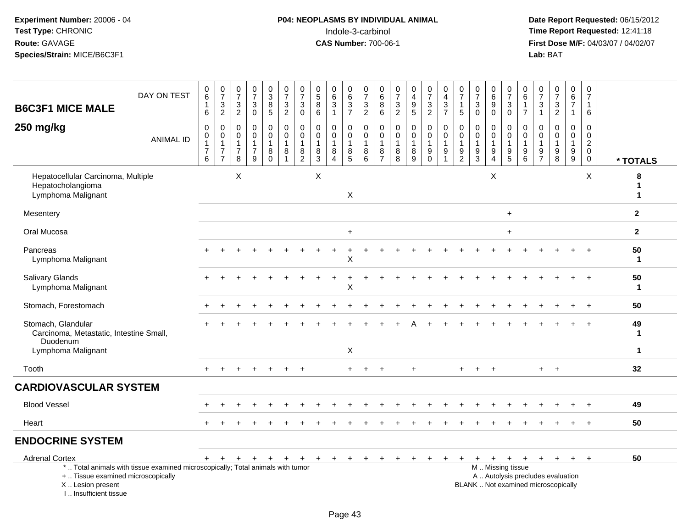#### **P04: NEOPLASMS BY INDIVIDUAL ANIMAL**<br>Indole-3-carbinol Indole-3-carbinol **Time Report Requested:** 12:41:18

| <b>B6C3F1 MICE MALE</b>                                                          | DAY ON TEST                                                                     | 0<br>$\,6\,$<br>1<br>6                | $\frac{0}{7}$<br>$\frac{3}{2}$                                         | $\frac{0}{7}$<br>$\sqrt{3}$<br>$\overline{2}$ | $\frac{0}{7}$<br>$\ensuremath{\mathsf{3}}$<br>$\mathbf 0$         | $\frac{0}{3}$<br>$\bf 8$<br>$5\phantom{.0}$ | $\begin{smallmatrix}0\\7\end{smallmatrix}$<br>$\ensuremath{\mathsf{3}}$<br>$\overline{2}$ | $\frac{0}{7}$<br>$\ensuremath{\mathsf{3}}$<br>$\pmb{0}$     | $\begin{array}{c} 0 \\ 5 \end{array}$<br>$\bf 8$<br>$6\phantom{1}$ | $\begin{array}{c} 0 \\ 6 \end{array}$<br>$\overline{3}$<br>$\overline{1}$ | $\begin{array}{c} 0 \\ 6 \end{array}$<br>$\ensuremath{\mathsf{3}}$<br>$\overline{7}$ | $\begin{array}{c} 0 \\ 7 \end{array}$<br>$\ensuremath{\mathsf{3}}$<br>$\overline{2}$ | 0<br>$\,6\,$<br>8<br>6                                            | 0<br>$\overline{7}$<br>$\ensuremath{\mathsf{3}}$<br>$\overline{2}$ | $\pmb{0}$<br>$\overline{\mathbf{4}}$<br>$\frac{9}{5}$ | $\pmb{0}$<br>$\overline{7}$<br>$\frac{3}{2}$             | 0<br>$\overline{4}$<br>$\ensuremath{\mathsf{3}}$<br>$\overline{7}$  | $\pmb{0}$<br>$\overline{7}$<br>$\mathbf{1}$<br>$\sqrt{5}$           | $\frac{0}{7}$<br>$\ensuremath{\mathsf{3}}$<br>$\mathbf 0$       | $_6^0$<br>$\overline{9}$<br>$\mathbf 0$                      | $\begin{array}{c} 0 \\ 7 \end{array}$<br>$_{0}^{3}$                       | $\begin{array}{c} 0 \\ 6 \end{array}$<br>$\mathbf{1}$<br>$\overline{7}$ | $\frac{0}{7}$<br>$\frac{3}{1}$                                | $\begin{array}{c} 0 \\ 7 \end{array}$<br>$\ensuremath{\mathsf{3}}$<br>$\overline{2}$ | $\begin{array}{c} 0 \\ 6 \end{array}$<br>$\overline{7}$<br>$\mathbf{1}$  | $\begin{smallmatrix}0\\7\end{smallmatrix}$<br>$\mathbf{1}$<br>6 |                    |
|----------------------------------------------------------------------------------|---------------------------------------------------------------------------------|---------------------------------------|------------------------------------------------------------------------|-----------------------------------------------|-------------------------------------------------------------------|---------------------------------------------|-------------------------------------------------------------------------------------------|-------------------------------------------------------------|--------------------------------------------------------------------|---------------------------------------------------------------------------|--------------------------------------------------------------------------------------|--------------------------------------------------------------------------------------|-------------------------------------------------------------------|--------------------------------------------------------------------|-------------------------------------------------------|----------------------------------------------------------|---------------------------------------------------------------------|---------------------------------------------------------------------|-----------------------------------------------------------------|--------------------------------------------------------------|---------------------------------------------------------------------------|-------------------------------------------------------------------------|---------------------------------------------------------------|--------------------------------------------------------------------------------------|--------------------------------------------------------------------------|-----------------------------------------------------------------|--------------------|
| 250 mg/kg                                                                        | <b>ANIMAL ID</b>                                                                | 0<br>$\pmb{0}$<br>$\overline{7}$<br>6 | 0<br>$\mathbf 0$<br>$\mathbf{1}$<br>$\boldsymbol{7}$<br>$\overline{7}$ | 0<br>0<br>$\overline{1}$<br>7<br>8            | $\mathbf 0$<br>$\mathbf 0$<br>$\mathbf{1}$<br>$\overline{7}$<br>9 | 0<br>$\mathbf 0$<br>8<br>$\Omega$           | 0<br>$\mathbf 0$<br>$\mathbf{1}$<br>8<br>$\overline{1}$                                   | 0<br>$\pmb{0}$<br>$\mathbf{1}$<br>$\bf 8$<br>$\overline{2}$ | $\mathbf 0$<br>$\mathbf 0$<br>$\overline{1}$<br>8<br>3             | $\mathbf 0$<br>$\mathbf 0$<br>$\mathbf{1}$<br>8<br>$\boldsymbol{\Lambda}$ | 0<br>$\mathbf 0$<br>$\mathbf{1}$<br>8<br>5                                           | $\mathbf 0$<br>$\boldsymbol{0}$<br>$\mathbf{1}$<br>8<br>6                            | $\mathbf 0$<br>$\mathbf 0$<br>$\mathbf{1}$<br>8<br>$\overline{7}$ | 0<br>$\pmb{0}$<br>$\mathbf{1}$<br>8<br>8                           | 0<br>$\pmb{0}$<br>1<br>$\bf 8$<br>9                   | 0<br>$\mathbf 0$<br>$\mathbf{1}$<br>$9\,$<br>$\mathbf 0$ | $\mathbf 0$<br>$\mathbf 0$<br>$\overline{1}$<br>9<br>$\overline{1}$ | $\mathbf 0$<br>$\mathbf 0$<br>$\overline{1}$<br>9<br>$\overline{2}$ | $\mathbf 0$<br>$\mathbf 0$<br>$\mathbf{1}$<br>9<br>$\mathbf{3}$ | 0<br>0<br>$\mathbf{1}$<br>$\boldsymbol{9}$<br>$\overline{4}$ | 0<br>$\mathbf 0$<br>$\mathbf{1}$<br>$\begin{array}{c} 9 \\ 5 \end{array}$ | $\mathbf 0$<br>$\mathsf 0$<br>$\overline{1}$<br>9<br>$6\phantom{1}$     | $\mathbf 0$<br>$\mathbf 0$<br>$\overline{1}$<br>$\frac{9}{7}$ | $\mathbf 0$<br>$\mathbf 0$<br>$\mathbf{1}$<br>$\boldsymbol{9}$<br>8                  | 0<br>$\mathbf 0$<br>$\mathbf{1}$<br>$\boldsymbol{9}$<br>$\boldsymbol{9}$ | 0<br>$\pmb{0}$<br>$\overline{a}$<br>$\mathbf 0$<br>$\mathbf 0$  | * TOTALS           |
| Hepatocellular Carcinoma, Multiple<br>Hepatocholangioma<br>Lymphoma Malignant    |                                                                                 |                                       |                                                                        | X                                             |                                                                   |                                             |                                                                                           |                                                             | X                                                                  |                                                                           | $\mathsf X$                                                                          |                                                                                      |                                                                   |                                                                    |                                                       |                                                          |                                                                     |                                                                     |                                                                 | X                                                            |                                                                           |                                                                         |                                                               |                                                                                      |                                                                          | $\times$                                                        | 8<br>1             |
| Mesentery                                                                        |                                                                                 |                                       |                                                                        |                                               |                                                                   |                                             |                                                                                           |                                                             |                                                                    |                                                                           |                                                                                      |                                                                                      |                                                                   |                                                                    |                                                       |                                                          |                                                                     |                                                                     |                                                                 |                                                              | $\ddot{}$                                                                 |                                                                         |                                                               |                                                                                      |                                                                          |                                                                 | $\overline{2}$     |
| Oral Mucosa                                                                      |                                                                                 |                                       |                                                                        |                                               |                                                                   |                                             |                                                                                           |                                                             |                                                                    |                                                                           | $\ddot{}$                                                                            |                                                                                      |                                                                   |                                                                    |                                                       |                                                          |                                                                     |                                                                     |                                                                 |                                                              | $+$                                                                       |                                                                         |                                                               |                                                                                      |                                                                          |                                                                 | $\mathbf{2}$       |
| Pancreas<br>Lymphoma Malignant                                                   |                                                                                 |                                       |                                                                        |                                               |                                                                   |                                             |                                                                                           |                                                             |                                                                    |                                                                           | X                                                                                    |                                                                                      |                                                                   |                                                                    |                                                       |                                                          |                                                                     |                                                                     |                                                                 |                                                              |                                                                           |                                                                         |                                                               |                                                                                      |                                                                          |                                                                 | 50<br>$\mathbf 1$  |
| Salivary Glands<br>Lymphoma Malignant                                            |                                                                                 |                                       |                                                                        |                                               |                                                                   |                                             |                                                                                           |                                                             |                                                                    |                                                                           | $\ddot{}$<br>Χ                                                                       |                                                                                      |                                                                   |                                                                    |                                                       |                                                          |                                                                     |                                                                     |                                                                 |                                                              |                                                                           |                                                                         |                                                               |                                                                                      |                                                                          |                                                                 | 50<br>$\mathbf{1}$ |
| Stomach, Forestomach                                                             |                                                                                 |                                       |                                                                        |                                               |                                                                   |                                             |                                                                                           |                                                             |                                                                    |                                                                           |                                                                                      |                                                                                      |                                                                   |                                                                    |                                                       |                                                          |                                                                     |                                                                     |                                                                 |                                                              |                                                                           |                                                                         |                                                               |                                                                                      |                                                                          | $\ddot{}$                                                       | 50                 |
| Stomach, Glandular<br>Carcinoma, Metastatic, Intestine Small,<br>Duodenum        |                                                                                 |                                       |                                                                        |                                               |                                                                   |                                             |                                                                                           |                                                             |                                                                    |                                                                           |                                                                                      |                                                                                      |                                                                   |                                                                    |                                                       |                                                          |                                                                     |                                                                     |                                                                 |                                                              |                                                                           |                                                                         |                                                               |                                                                                      |                                                                          |                                                                 | 49<br>-1           |
| Lymphoma Malignant                                                               |                                                                                 |                                       |                                                                        |                                               |                                                                   |                                             |                                                                                           |                                                             |                                                                    |                                                                           | X                                                                                    |                                                                                      |                                                                   |                                                                    |                                                       |                                                          |                                                                     |                                                                     |                                                                 |                                                              |                                                                           |                                                                         |                                                               |                                                                                      |                                                                          |                                                                 | $\mathbf 1$        |
| Tooth                                                                            |                                                                                 |                                       |                                                                        |                                               |                                                                   |                                             |                                                                                           | $\div$                                                      |                                                                    |                                                                           | $+$                                                                                  | $\div$                                                                               | $\div$                                                            |                                                                    | $\ddot{}$                                             |                                                          |                                                                     | ÷                                                                   |                                                                 | $\div$                                                       |                                                                           |                                                                         | $+$                                                           | $+$                                                                                  |                                                                          |                                                                 | 32                 |
| <b>CARDIOVASCULAR SYSTEM</b>                                                     |                                                                                 |                                       |                                                                        |                                               |                                                                   |                                             |                                                                                           |                                                             |                                                                    |                                                                           |                                                                                      |                                                                                      |                                                                   |                                                                    |                                                       |                                                          |                                                                     |                                                                     |                                                                 |                                                              |                                                                           |                                                                         |                                                               |                                                                                      |                                                                          |                                                                 |                    |
| <b>Blood Vessel</b>                                                              |                                                                                 |                                       |                                                                        |                                               |                                                                   |                                             |                                                                                           |                                                             |                                                                    |                                                                           |                                                                                      |                                                                                      |                                                                   |                                                                    |                                                       |                                                          |                                                                     |                                                                     |                                                                 |                                                              |                                                                           |                                                                         |                                                               |                                                                                      |                                                                          |                                                                 | 49                 |
| Heart                                                                            |                                                                                 | $+$                                   |                                                                        |                                               |                                                                   |                                             |                                                                                           |                                                             |                                                                    |                                                                           |                                                                                      |                                                                                      |                                                                   |                                                                    |                                                       |                                                          |                                                                     |                                                                     |                                                                 |                                                              |                                                                           |                                                                         |                                                               |                                                                                      |                                                                          |                                                                 | 50                 |
| <b>ENDOCRINE SYSTEM</b>                                                          |                                                                                 |                                       |                                                                        |                                               |                                                                   |                                             |                                                                                           |                                                             |                                                                    |                                                                           |                                                                                      |                                                                                      |                                                                   |                                                                    |                                                       |                                                          |                                                                     |                                                                     |                                                                 |                                                              |                                                                           |                                                                         |                                                               |                                                                                      |                                                                          |                                                                 |                    |
| <b>Adrenal Cortex</b>                                                            |                                                                                 | $+$                                   | $+$                                                                    | $\ddot{}$                                     | $+$                                                               | $+$                                         | $+$                                                                                       | $+$                                                         | $+$                                                                | $+$                                                                       | $+$                                                                                  | $+$                                                                                  | $\ddot{}$                                                         | $+$                                                                | $\ddot{}$                                             | $\ddot{}$                                                |                                                                     |                                                                     |                                                                 | $+$                                                          | $+$                                                                       | $+$                                                                     |                                                               | $+$ $+$ $+$                                                                          |                                                                          | $+$                                                             | 50                 |
| +  Tissue examined microscopically<br>X  Lesion present<br>I Insufficient tissue | *  Total animals with tissue examined microscopically; Total animals with tumor |                                       |                                                                        |                                               |                                                                   |                                             |                                                                                           |                                                             |                                                                    |                                                                           |                                                                                      |                                                                                      |                                                                   |                                                                    |                                                       |                                                          |                                                                     |                                                                     |                                                                 |                                                              | M  Missing tissue                                                         |                                                                         |                                                               | A  Autolysis precludes evaluation<br>BLANK  Not examined microscopically             |                                                                          |                                                                 |                    |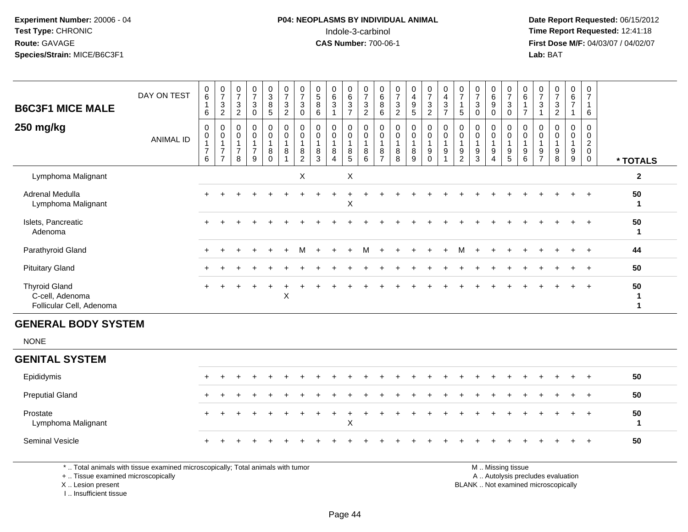#### **P04: NEOPLASMS BY INDIVIDUAL ANIMAL**Indole-3-carbinol **Time Report Requested:** 12:41:18

 **Date Report Requested:** 06/15/2012 **First Dose M/F:** 04/03/07 / 04/02/07<br>**Lab:** BAT **Lab:** BAT

| <b>B6C3F1 MICE MALE</b><br>250 mg/kg                                | DAY ON TEST<br><b>ANIMAL ID</b> | $\begin{array}{c} 0 \\ 6 \end{array}$<br>6<br>0<br>$\pmb{0}$<br>$\overline{7}$<br>6 | $\frac{0}{7}$<br>$\ensuremath{\mathsf{3}}$<br>$\overline{c}$<br>0<br>$\mathbf 0$<br>$\overline{A}$<br>$\overline{7}$<br>$\overline{ }$ | $\boldsymbol{0}$<br>$\overline{\mathcal{I}}$<br>$\ensuremath{\mathsf{3}}$<br>$\overline{c}$<br>$\pmb{0}$<br>$\pmb{0}$<br>$\overline{7}$<br>8 | $\frac{0}{7}$<br>$\mathbf{3}$<br>0<br>0<br>$\mathsf{O}\xspace$<br>$\overline{7}$<br>9 | $_3^0$<br>$\bf8$<br>5<br>$\begin{smallmatrix}0\\0\end{smallmatrix}$<br>$\overline{A}$<br>8<br>$\Omega$ | $\begin{smallmatrix}0\\7\end{smallmatrix}$<br>$\sqrt{3}$<br>$\overline{2}$<br>$_{\rm 0}^{\rm 0}$<br>$\bf 8$ | $\frac{0}{7}$<br>$\sqrt{3}$<br>0<br>$\pmb{0}$<br>$\pmb{0}$<br>8<br>$\overline{2}$ | $\boldsymbol{0}$<br>$\mathbf 5$<br>$\, 8$<br>6<br>$\pmb{0}$<br>$\pmb{0}$<br>1<br>8<br>3 | 0<br>$\,6\,$<br>3<br>0<br>0<br>8<br>$\overline{4}$ | $\begin{array}{c} 0 \\ 6 \end{array}$<br>$\ensuremath{\mathsf{3}}$<br>$\overline{7}$<br>$\mathbf 0$<br>$\mathsf{O}\xspace$<br>$\overline{A}$<br>$\bf 8$<br>5 | $\frac{0}{7}$<br>$\sqrt{3}$<br>$\overline{c}$<br>$\boldsymbol{0}$<br>$\mathbf 0$<br>$\bf 8$<br>6 | $\begin{matrix}0\\6\\8\end{matrix}$<br>6<br>$\pmb{0}$<br>$\pmb{0}$<br>$\overline{A}$<br>8<br>$\overline{z}$ | $\frac{0}{7}$<br>$\sqrt{3}$<br>$\overline{2}$<br>$\pmb{0}$<br>$\pmb{0}$<br>1<br>8<br>8 | $\mathbf 0$<br>$\overline{4}$<br>$\boldsymbol{9}$<br>$5\overline{)}$<br>$\mathbf 0$<br>$\mathbf 0$<br>8<br>9 | $\frac{0}{7}$<br>$\ensuremath{\mathsf{3}}$<br>$\overline{2}$<br>$\pmb{0}$<br>$\pmb{0}$<br>$\boldsymbol{9}$<br>$\Omega$ | 0<br>$\overline{4}$<br>$\sqrt{3}$<br>$\overline{7}$<br>$_{\rm 0}^{\rm 0}$<br>9 | $\begin{array}{c} 0 \\ 7 \end{array}$<br>$\overline{1}$<br>5<br>$\begin{smallmatrix} 0\\0 \end{smallmatrix}$<br>$\overline{A}$<br>$9\,$<br>$\overline{2}$ | 0<br>$\overline{7}$<br>$\sqrt{3}$<br>$\mathbf 0$<br>$\pmb{0}$<br>$\pmb{0}$<br>1<br>9<br>3 | 0<br>6<br>9<br>0<br>$\mathbf 0$<br>$\pmb{0}$<br>$\boldsymbol{9}$<br>4 | $\frac{0}{7}$<br>$\ensuremath{\mathsf{3}}$<br>$\pmb{0}$<br>0<br>$\mathbf 0$<br>$\overline{A}$<br>$\boldsymbol{9}$<br>5 | $\begin{array}{c} 0 \\ 6 \end{array}$<br>$\overline{A}$<br>$\overline{ }$<br>$_{\rm 0}^{\rm 0}$<br>9<br>6 | 0<br>$\overline{7}$<br>$\mathbf{3}$<br>$\pmb{0}$<br>$\pmb{0}$<br>9<br>$\overline{ }$ | $\pmb{0}$<br>$\boldsymbol{7}$<br>$\sqrt{3}$<br>$\overline{2}$<br>$\pmb{0}$<br>$\pmb{0}$<br>1<br>9<br>8 | 0<br>6<br>$\overline{7}$<br>0<br>$\mathbf 0$<br>9<br>9 | $\mathbf 0$<br>$\overline{7}$<br>6<br>0<br>$\pmb{0}$<br>$\boldsymbol{2}$<br>$\pmb{0}$<br>$\mathbf 0$ | * TOTALS     |
|---------------------------------------------------------------------|---------------------------------|-------------------------------------------------------------------------------------|----------------------------------------------------------------------------------------------------------------------------------------|----------------------------------------------------------------------------------------------------------------------------------------------|---------------------------------------------------------------------------------------|--------------------------------------------------------------------------------------------------------|-------------------------------------------------------------------------------------------------------------|-----------------------------------------------------------------------------------|-----------------------------------------------------------------------------------------|----------------------------------------------------|--------------------------------------------------------------------------------------------------------------------------------------------------------------|--------------------------------------------------------------------------------------------------|-------------------------------------------------------------------------------------------------------------|----------------------------------------------------------------------------------------|--------------------------------------------------------------------------------------------------------------|------------------------------------------------------------------------------------------------------------------------|--------------------------------------------------------------------------------|-----------------------------------------------------------------------------------------------------------------------------------------------------------|-------------------------------------------------------------------------------------------|-----------------------------------------------------------------------|------------------------------------------------------------------------------------------------------------------------|-----------------------------------------------------------------------------------------------------------|--------------------------------------------------------------------------------------|--------------------------------------------------------------------------------------------------------|--------------------------------------------------------|------------------------------------------------------------------------------------------------------|--------------|
| Lymphoma Malignant                                                  |                                 |                                                                                     |                                                                                                                                        |                                                                                                                                              |                                                                                       |                                                                                                        |                                                                                                             | $\pmb{\times}$                                                                    |                                                                                         |                                                    | $\boldsymbol{\mathsf{X}}$                                                                                                                                    |                                                                                                  |                                                                                                             |                                                                                        |                                                                                                              |                                                                                                                        |                                                                                |                                                                                                                                                           |                                                                                           |                                                                       |                                                                                                                        |                                                                                                           |                                                                                      |                                                                                                        |                                                        |                                                                                                      | $\mathbf{2}$ |
| <b>Adrenal Medulla</b><br>Lymphoma Malignant                        |                                 |                                                                                     |                                                                                                                                        |                                                                                                                                              |                                                                                       |                                                                                                        |                                                                                                             |                                                                                   |                                                                                         |                                                    | X                                                                                                                                                            |                                                                                                  |                                                                                                             |                                                                                        |                                                                                                              |                                                                                                                        |                                                                                |                                                                                                                                                           |                                                                                           |                                                                       |                                                                                                                        |                                                                                                           |                                                                                      |                                                                                                        |                                                        | $\ddot{}$                                                                                            | 50           |
| Islets, Pancreatic<br>Adenoma                                       |                                 |                                                                                     |                                                                                                                                        |                                                                                                                                              |                                                                                       |                                                                                                        |                                                                                                             |                                                                                   |                                                                                         |                                                    |                                                                                                                                                              |                                                                                                  |                                                                                                             |                                                                                        |                                                                                                              |                                                                                                                        |                                                                                |                                                                                                                                                           |                                                                                           |                                                                       |                                                                                                                        |                                                                                                           |                                                                                      |                                                                                                        |                                                        | $\overline{+}$                                                                                       | 50           |
| Parathyroid Gland                                                   |                                 |                                                                                     |                                                                                                                                        |                                                                                                                                              |                                                                                       | $+$                                                                                                    |                                                                                                             | М                                                                                 |                                                                                         |                                                    |                                                                                                                                                              | м                                                                                                |                                                                                                             |                                                                                        |                                                                                                              |                                                                                                                        |                                                                                | м                                                                                                                                                         |                                                                                           |                                                                       |                                                                                                                        |                                                                                                           |                                                                                      |                                                                                                        | $\div$                                                 | $\pm$                                                                                                | 44           |
| <b>Pituitary Gland</b>                                              |                                 |                                                                                     |                                                                                                                                        |                                                                                                                                              |                                                                                       |                                                                                                        |                                                                                                             |                                                                                   |                                                                                         |                                                    |                                                                                                                                                              |                                                                                                  |                                                                                                             |                                                                                        |                                                                                                              |                                                                                                                        |                                                                                |                                                                                                                                                           |                                                                                           |                                                                       |                                                                                                                        |                                                                                                           |                                                                                      |                                                                                                        |                                                        | $\pm$                                                                                                | 50           |
| <b>Thyroid Gland</b><br>C-cell, Adenoma<br>Follicular Cell, Adenoma |                                 | $\pm$                                                                               |                                                                                                                                        |                                                                                                                                              |                                                                                       | ÷                                                                                                      | X                                                                                                           |                                                                                   |                                                                                         |                                                    |                                                                                                                                                              |                                                                                                  |                                                                                                             |                                                                                        |                                                                                                              |                                                                                                                        |                                                                                |                                                                                                                                                           |                                                                                           |                                                                       |                                                                                                                        |                                                                                                           |                                                                                      |                                                                                                        | $\div$                                                 | $+$                                                                                                  | 50           |

#### **GENERAL BODY SYSTEM**

NONE

#### **GENITAL SYSTEM**

| Epididymis                     |  |  |  |  |  |  |  |  |  |  |  |  | 50 |
|--------------------------------|--|--|--|--|--|--|--|--|--|--|--|--|----|
| <b>Preputial Gland</b>         |  |  |  |  |  |  |  |  |  |  |  |  | 50 |
| Prostate<br>Lymphoma Malignant |  |  |  |  |  |  |  |  |  |  |  |  | 50 |
| <b>Seminal Vesicle</b>         |  |  |  |  |  |  |  |  |  |  |  |  | 50 |

\* .. Total animals with tissue examined microscopically; Total animals with tumor

+ .. Tissue examined microscopically

 Lesion present BLANK .. Not examined microscopicallyX .. Lesion present

I .. Insufficient tissue

M .. Missing tissue

y the contract of the contract of the contract of the contract of the contract of the contract of the contract of  $A$ . Autolysis precludes evaluation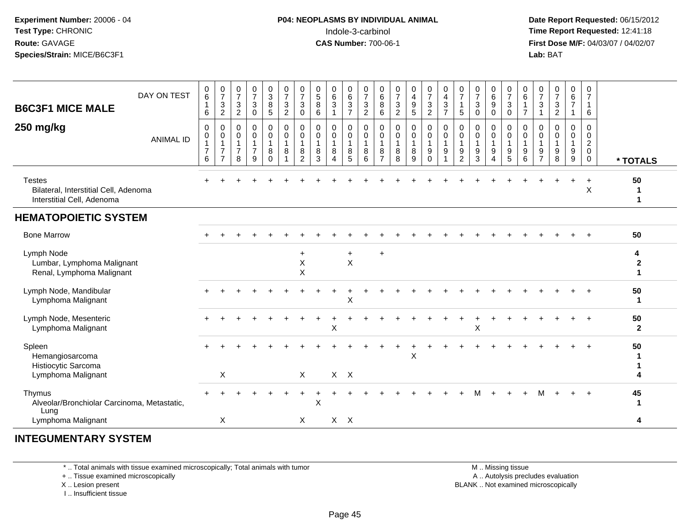#### **P04: NEOPLASMS BY INDIVIDUAL ANIMAL**Indole-3-carbinol **Time Report Requested:** 12:41:18

 **Date Report Requested:** 06/15/2012 **First Dose M/F:** 04/03/07 / 04/02/07<br>Lab: BAT **Lab:** BAT

| DAY ON TEST<br><b>B6C3F1 MICE MALE</b>                                               | 0<br>6<br>$\mathbf 1$<br>6                    | $\frac{0}{7}$<br>$\sqrt{3}$<br>$\overline{c}$           | $\frac{0}{7}$<br>$\mathbf{3}$<br>$\overline{2}$ | $\frac{0}{7}$<br>$\mathbf{3}$<br>$\mathbf 0$                      | $_3^0$<br>8<br>5        | $\begin{array}{c} 0 \\ 7 \end{array}$<br>$\sqrt{3}$<br>$\boldsymbol{2}$ | $\frac{0}{7}$<br>$\ensuremath{\mathsf{3}}$<br>$\pmb{0}$ | $\begin{array}{c} 0 \\ 5 \end{array}$<br>8<br>$\,6\,$ | $\begin{array}{c} 0 \\ 6 \end{array}$<br>3<br>$\overline{1}$    | $\begin{array}{c} 0 \\ 6 \end{array}$<br>$\sqrt{3}$<br>$\overline{7}$ | 0<br>$\overline{7}$<br>$\ensuremath{\mathsf{3}}$<br>$\overline{2}$ | $_6^0$<br>8<br>6                              | $\frac{0}{7}$<br>3<br>$\boldsymbol{2}$ | $\begin{smallmatrix}0\0\4\end{smallmatrix}$<br>$\boldsymbol{9}$<br>$\sqrt{5}$ | $\frac{0}{7}$<br>$\ensuremath{\mathsf{3}}$<br>$\boldsymbol{2}$ | $\boldsymbol{0}$<br>$\overline{\mathbf{4}}$<br>$\ensuremath{\mathsf{3}}$<br>$\overline{7}$ | $\frac{0}{7}$<br>1<br>$\sqrt{5}$                                     | $\frac{0}{7}$<br>3<br>$\mathbf 0$ | $\begin{array}{c} 0 \\ 6 \end{array}$<br>$\boldsymbol{9}$<br>$\mathbf 0$ | $\begin{smallmatrix}0\\7\end{smallmatrix}$<br>$\sqrt{3}$<br>$\mathbf 0$ | $\begin{array}{c} 0 \\ 6 \end{array}$<br>$\mathbf{1}$<br>$\overline{7}$ | $\frac{0}{7}$<br>3<br>1              | $\frac{0}{7}$<br>$\mathbf{3}$<br>$\overline{2}$ | $_{6}^{\rm 0}$<br>$\overline{7}$<br>1 | 0<br>$\overline{7}$<br>$\mathbf{1}$<br>6                                   |                                           |
|--------------------------------------------------------------------------------------|-----------------------------------------------|---------------------------------------------------------|-------------------------------------------------|-------------------------------------------------------------------|-------------------------|-------------------------------------------------------------------------|---------------------------------------------------------|-------------------------------------------------------|-----------------------------------------------------------------|-----------------------------------------------------------------------|--------------------------------------------------------------------|-----------------------------------------------|----------------------------------------|-------------------------------------------------------------------------------|----------------------------------------------------------------|--------------------------------------------------------------------------------------------|----------------------------------------------------------------------|-----------------------------------|--------------------------------------------------------------------------|-------------------------------------------------------------------------|-------------------------------------------------------------------------|--------------------------------------|-------------------------------------------------|---------------------------------------|----------------------------------------------------------------------------|-------------------------------------------|
| 250 mg/kg<br><b>ANIMAL ID</b>                                                        | 0<br>0<br>$\mathbf{1}$<br>$\overline{7}$<br>6 | 0<br>$\pmb{0}$<br>1<br>$\overline{7}$<br>$\overline{7}$ | 0<br>0<br>$\overline{1}$<br>$\overline{7}$<br>8 | $\mathbf 0$<br>$\mathbf 0$<br>$\mathbf{1}$<br>$\overline{7}$<br>9 | 0<br>0<br>8<br>$\Omega$ | $\mathbf 0$<br>$\mathbf 0$<br>1<br>8<br>$\overline{1}$                  | 0<br>0<br>1<br>8<br>$\overline{2}$                      | $\mathbf 0$<br>$\mathbf 0$<br>8<br>3                  | $\mathbf 0$<br>$\mathbf 0$<br>-1<br>8<br>$\boldsymbol{\Lambda}$ | 0<br>$\boldsymbol{0}$<br>1<br>8<br>5                                  | 0<br>$\mathbf 0$<br>$\mathbf{1}$<br>8<br>6                         | 0<br>0<br>$\mathbf{1}$<br>8<br>$\overline{7}$ | 0<br>0<br>$\mathbf 1$<br>8<br>8        | $\mathbf 0$<br>$\pmb{0}$<br>$\mathbf{1}$<br>$\bf 8$<br>9                      | 0<br>0<br>$\mathbf{1}$<br>9<br>$\Omega$                        | $\mathbf 0$<br>$\mathbf 0$<br>$\mathbf{1}$<br>$\boldsymbol{9}$<br>1                        | 0<br>$\pmb{0}$<br>$\mathbf{1}$<br>$\boldsymbol{9}$<br>$\overline{2}$ | 0<br>0<br>$\mathbf{1}$<br>9<br>3  | 0<br>$\mathbf 0$<br>$\boldsymbol{9}$<br>$\overline{4}$                   | 0<br>$\mathbf 0$<br>$\overline{1}$<br>$\boldsymbol{9}$<br>5             | $\mathbf 0$<br>$\mathbf 0$<br>$\mathbf{1}$<br>$\boldsymbol{9}$<br>6     | $\Omega$<br>0<br>9<br>$\overline{7}$ | $\Omega$<br>0<br>9<br>8                         | $\mathbf 0$<br>0<br>1<br>9<br>9       | $\mathbf 0$<br>$\mathbf 0$<br>$\overline{2}$<br>$\mathbf 0$<br>$\mathbf 0$ | * TOTALS                                  |
| <b>Testes</b><br>Bilateral, Interstitial Cell, Adenoma<br>Interstitial Cell, Adenoma |                                               |                                                         |                                                 |                                                                   |                         |                                                                         |                                                         |                                                       |                                                                 |                                                                       |                                                                    |                                               |                                        |                                                                               |                                                                |                                                                                            |                                                                      |                                   |                                                                          |                                                                         |                                                                         |                                      |                                                 | $\ddot{}$                             | $\overline{1}$<br>X                                                        | 50<br>$\mathbf 1$<br>$\blacktriangleleft$ |
| <b>HEMATOPOIETIC SYSTEM</b>                                                          |                                               |                                                         |                                                 |                                                                   |                         |                                                                         |                                                         |                                                       |                                                                 |                                                                       |                                                                    |                                               |                                        |                                                                               |                                                                |                                                                                            |                                                                      |                                   |                                                                          |                                                                         |                                                                         |                                      |                                                 |                                       |                                                                            |                                           |
| <b>Bone Marrow</b>                                                                   |                                               |                                                         |                                                 |                                                                   |                         |                                                                         |                                                         |                                                       |                                                                 |                                                                       |                                                                    |                                               |                                        |                                                                               |                                                                |                                                                                            |                                                                      |                                   |                                                                          |                                                                         |                                                                         |                                      |                                                 |                                       | $\overline{ }$                                                             | 50                                        |
| Lymph Node<br>Lumbar, Lymphoma Malignant<br>Renal, Lymphoma Malignant                |                                               |                                                         |                                                 |                                                                   |                         |                                                                         | $\ddot{}$<br>$\mathsf X$<br>$\pmb{\mathsf{X}}$          |                                                       |                                                                 | +<br>X                                                                |                                                                    | $\ddot{}$                                     |                                        |                                                                               |                                                                |                                                                                            |                                                                      |                                   |                                                                          |                                                                         |                                                                         |                                      |                                                 |                                       |                                                                            | 4<br>$\mathbf{2}$<br>$\blacktriangleleft$ |
| Lymph Node, Mandibular<br>Lymphoma Malignant                                         |                                               |                                                         |                                                 |                                                                   |                         |                                                                         |                                                         |                                                       |                                                                 | X                                                                     |                                                                    |                                               |                                        |                                                                               |                                                                |                                                                                            |                                                                      |                                   |                                                                          |                                                                         |                                                                         |                                      |                                                 |                                       |                                                                            | 50<br>$\mathbf 1$                         |
| Lymph Node, Mesenteric<br>Lymphoma Malignant                                         |                                               |                                                         |                                                 |                                                                   |                         |                                                                         |                                                         |                                                       | X                                                               |                                                                       |                                                                    |                                               |                                        |                                                                               |                                                                |                                                                                            |                                                                      | X                                 |                                                                          |                                                                         |                                                                         |                                      |                                                 |                                       |                                                                            | 50<br>$\overline{2}$                      |
| Spleen<br>Hemangiosarcoma<br>Histiocytic Sarcoma<br>Lymphoma Malignant               |                                               | X                                                       |                                                 |                                                                   |                         |                                                                         | X                                                       |                                                       | $X$ $X$                                                         |                                                                       |                                                                    |                                               |                                        | $\pmb{\times}$                                                                |                                                                |                                                                                            |                                                                      |                                   |                                                                          |                                                                         |                                                                         |                                      |                                                 |                                       |                                                                            | 50                                        |
| Thymus<br>Alveolar/Bronchiolar Carcinoma, Metastatic,<br>Lung                        |                                               |                                                         |                                                 |                                                                   |                         |                                                                         |                                                         | X                                                     |                                                                 |                                                                       |                                                                    |                                               |                                        |                                                                               |                                                                |                                                                                            |                                                                      |                                   |                                                                          |                                                                         |                                                                         |                                      |                                                 |                                       |                                                                            | 45<br>1                                   |
| Lymphoma Malignant                                                                   |                                               | X                                                       |                                                 |                                                                   |                         |                                                                         | X                                                       |                                                       | $X$ $X$                                                         |                                                                       |                                                                    |                                               |                                        |                                                                               |                                                                |                                                                                            |                                                                      |                                   |                                                                          |                                                                         |                                                                         |                                      |                                                 |                                       |                                                                            | 4                                         |
|                                                                                      |                                               |                                                         |                                                 |                                                                   |                         |                                                                         |                                                         |                                                       |                                                                 |                                                                       |                                                                    |                                               |                                        |                                                                               |                                                                |                                                                                            |                                                                      |                                   |                                                                          |                                                                         |                                                                         |                                      |                                                 |                                       |                                                                            |                                           |

#### **INTEGUMENTARY SYSTEM**

\* .. Total animals with tissue examined microscopically; Total animals with tumor

+ .. Tissue examined microscopically

X .. Lesion present

I .. Insufficient tissue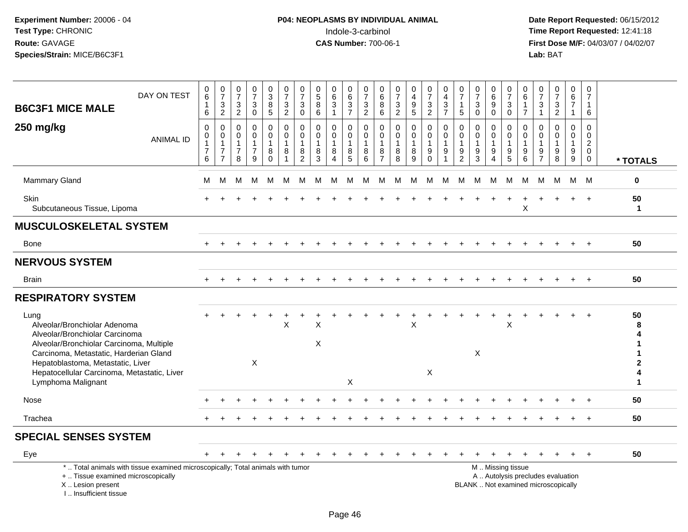# **P04: NEOPLASMS BY INDIVIDUAL ANIMAL**<br>Indole-3-carbinol Indole-3-carbinol **Time Report Requested:** 12:41:18

| <b>B6C3F1 MICE MALE</b><br>250 mg/kg                                                                                                                                                                                                                                   | DAY ON TEST<br><b>ANIMAL ID</b>                                                 | $\begin{array}{c} 0 \\ 6 \end{array}$<br>$\mathbf{1}$<br>6<br>$\mathbf 0$<br>$\mathbf 0$<br>$\mathbf{1}$<br>$\overline{7}$ | $\frac{0}{7}$<br>$\mathbf{3}$<br>$\overline{2}$<br>$\mathbf 0$<br>$\mathbf 0$<br>$\mathbf{1}$<br>$\overline{7}$ | $\pmb{0}$<br>$\overline{7}$<br>3<br>$\overline{2}$<br>$\mathbf 0$<br>$\Omega$<br>-1<br>$\overline{7}$ | $\frac{0}{7}$<br>3<br>$\overline{0}$<br>0<br>$\mathbf 0$<br>1<br>$\overline{7}$ | $\pmb{0}$<br>$\mathbf{3}$<br>$\begin{array}{c} 8 \\ 5 \end{array}$<br>$\pmb{0}$<br>$\mathbf 0$<br>$\mathbf{1}$<br>8 | $\begin{array}{c} 0 \\ 7 \end{array}$<br>$\frac{3}{2}$<br>$\mathbf 0$<br>$\mathbf 0$<br>$\overline{1}$<br>8 | $\pmb{0}$<br>$\overline{7}$<br>$\mathbf{3}$<br>$\mathbf 0$<br>$\mathbf 0$<br>$\Omega$<br>-1<br>8 | 0<br>$\overline{5}$<br>$\bf8$<br>$6\phantom{1}6$<br>$\Omega$<br>$\Omega$<br>1<br>8 | 0<br>$\,6\,$<br>$\sqrt{3}$<br>$\mathbf{1}$<br>0<br>$\mathbf 0$<br>1<br>8 | 0<br>6<br>$\frac{3}{7}$<br>0<br>$\mathbf 0$<br>$\mathbf 1$<br>8 | $\pmb{0}$<br>$\overline{7}$<br>$\frac{3}{2}$<br>$\mathbf 0$<br>$\Omega$<br>$\mathbf{1}$<br>8 | 0<br>$\,6\,$<br>8<br>$\,6\,$<br>$\mathbf 0$<br>$\mathbf 0$<br>$\overline{1}$<br>8 | 0<br>$\overline{7}$<br>$\frac{3}{2}$<br>$\mathbf 0$<br>$\mathbf 0$<br>$\overline{1}$<br>8 | 0<br>$\overline{4}$<br>9<br>$\overline{5}$<br>$\mathbf 0$<br>$\mathbf 0$<br>8 | 0<br>$\overline{7}$<br>$\frac{3}{2}$<br>$\pmb{0}$<br>$\mathbf 0$<br>$\mathbf{1}$<br>9 | $\pmb{0}$<br>$\overline{\mathbf{4}}$<br>$\sqrt{3}$<br>$\overline{7}$<br>$\mathbf 0$<br>$\mathbf 0$<br>-1<br>$\boldsymbol{9}$ | $\pmb{0}$<br>$\overline{7}$<br>$\mathbf{1}$<br>$\sqrt{5}$<br>$\mathbf 0$<br>$\mathbf 0$<br>$\mathbf{1}$<br>$\frac{9}{2}$ | $\pmb{0}$<br>$\overline{7}$<br>$\sqrt{3}$<br>$\mathbf{0}$<br>$\mathbf 0$<br>$\mathbf 0$<br>$\mathbf{1}$<br>$9\,$ | $\pmb{0}$<br>$\,6$<br>9<br>$\Omega$<br>0<br>$\Omega$<br>9 | 0<br>$\overline{7}$<br>$\ensuremath{\mathsf{3}}$<br>$\overline{0}$<br>0<br>$\mathbf 0$<br>$\mathbf{1}$<br>9 | 0<br>$\,6$<br>1<br>$\overline{7}$<br>$\mathbf 0$<br>$\Omega$<br>$\mathbf{1}$<br>9 | 0<br>$\overline{7}$<br>$\mathbf{3}$<br>$\overline{1}$<br>$\mathbf 0$<br>$\Omega$<br>-1<br>9 | $\begin{smallmatrix}0\\7\end{smallmatrix}$<br>$\ensuremath{\mathsf{3}}$<br>$\overline{2}$<br>$\Omega$<br>$\Omega$<br>$\mathbf{1}$<br>9 | 0<br>$\,6\,$<br>$\overline{7}$<br>$\mathbf{1}$<br>0<br>$\Omega$<br>1<br>9 | $\mathbf 0$<br>$\overline{7}$<br>$\mathbf{1}$<br>6<br>$\mathbf 0$<br>$\mathbf 0$<br>$\sqrt{2}$<br>$\mathbf 0$ |                    |
|------------------------------------------------------------------------------------------------------------------------------------------------------------------------------------------------------------------------------------------------------------------------|---------------------------------------------------------------------------------|----------------------------------------------------------------------------------------------------------------------------|-----------------------------------------------------------------------------------------------------------------|-------------------------------------------------------------------------------------------------------|---------------------------------------------------------------------------------|---------------------------------------------------------------------------------------------------------------------|-------------------------------------------------------------------------------------------------------------|--------------------------------------------------------------------------------------------------|------------------------------------------------------------------------------------|--------------------------------------------------------------------------|-----------------------------------------------------------------|----------------------------------------------------------------------------------------------|-----------------------------------------------------------------------------------|-------------------------------------------------------------------------------------------|-------------------------------------------------------------------------------|---------------------------------------------------------------------------------------|------------------------------------------------------------------------------------------------------------------------------|--------------------------------------------------------------------------------------------------------------------------|------------------------------------------------------------------------------------------------------------------|-----------------------------------------------------------|-------------------------------------------------------------------------------------------------------------|-----------------------------------------------------------------------------------|---------------------------------------------------------------------------------------------|----------------------------------------------------------------------------------------------------------------------------------------|---------------------------------------------------------------------------|---------------------------------------------------------------------------------------------------------------|--------------------|
|                                                                                                                                                                                                                                                                        |                                                                                 | 6                                                                                                                          | $\overline{7}$                                                                                                  | 8                                                                                                     | 9                                                                               | $\Omega$                                                                                                            | $\overline{1}$                                                                                              | $\overline{2}$                                                                                   | 3                                                                                  | 4                                                                        | $\overline{5}$                                                  | 6                                                                                            | $\overline{7}$                                                                    | $\overline{8}$                                                                            | 9                                                                             | $\Omega$                                                                              |                                                                                                                              |                                                                                                                          | $\overline{3}$                                                                                                   | 4                                                         | $\overline{5}$                                                                                              | 6                                                                                 | $\overline{7}$                                                                              | 8                                                                                                                                      | $\boldsymbol{9}$                                                          | $\mathbf 0$                                                                                                   | * TOTALS           |
| <b>Mammary Gland</b>                                                                                                                                                                                                                                                   |                                                                                 | М                                                                                                                          | M                                                                                                               | M                                                                                                     | M                                                                               | M                                                                                                                   | М                                                                                                           | M                                                                                                | м                                                                                  | M                                                                        | M                                                               | М                                                                                            | M                                                                                 | М                                                                                         | M                                                                             | M                                                                                     | M                                                                                                                            | м                                                                                                                        | М                                                                                                                | M                                                         | M                                                                                                           | M                                                                                 | м                                                                                           | М                                                                                                                                      | M                                                                         | M                                                                                                             | $\bf{0}$           |
| <b>Skin</b><br>Subcutaneous Tissue, Lipoma                                                                                                                                                                                                                             |                                                                                 |                                                                                                                            |                                                                                                                 |                                                                                                       |                                                                                 |                                                                                                                     |                                                                                                             |                                                                                                  |                                                                                    |                                                                          |                                                                 |                                                                                              |                                                                                   |                                                                                           |                                                                               |                                                                                       |                                                                                                                              |                                                                                                                          |                                                                                                                  |                                                           |                                                                                                             | X                                                                                 |                                                                                             |                                                                                                                                        |                                                                           |                                                                                                               | 50<br>$\mathbf{1}$ |
| <b>MUSCULOSKELETAL SYSTEM</b>                                                                                                                                                                                                                                          |                                                                                 |                                                                                                                            |                                                                                                                 |                                                                                                       |                                                                                 |                                                                                                                     |                                                                                                             |                                                                                                  |                                                                                    |                                                                          |                                                                 |                                                                                              |                                                                                   |                                                                                           |                                                                               |                                                                                       |                                                                                                                              |                                                                                                                          |                                                                                                                  |                                                           |                                                                                                             |                                                                                   |                                                                                             |                                                                                                                                        |                                                                           |                                                                                                               |                    |
| Bone                                                                                                                                                                                                                                                                   |                                                                                 | $\pm$                                                                                                                      |                                                                                                                 |                                                                                                       |                                                                                 |                                                                                                                     |                                                                                                             |                                                                                                  |                                                                                    |                                                                          |                                                                 |                                                                                              |                                                                                   |                                                                                           |                                                                               |                                                                                       |                                                                                                                              |                                                                                                                          |                                                                                                                  |                                                           |                                                                                                             |                                                                                   |                                                                                             |                                                                                                                                        |                                                                           |                                                                                                               | 50                 |
| <b>NERVOUS SYSTEM</b>                                                                                                                                                                                                                                                  |                                                                                 |                                                                                                                            |                                                                                                                 |                                                                                                       |                                                                                 |                                                                                                                     |                                                                                                             |                                                                                                  |                                                                                    |                                                                          |                                                                 |                                                                                              |                                                                                   |                                                                                           |                                                                               |                                                                                       |                                                                                                                              |                                                                                                                          |                                                                                                                  |                                                           |                                                                                                             |                                                                                   |                                                                                             |                                                                                                                                        |                                                                           |                                                                                                               |                    |
| <b>Brain</b>                                                                                                                                                                                                                                                           |                                                                                 |                                                                                                                            |                                                                                                                 |                                                                                                       |                                                                                 |                                                                                                                     |                                                                                                             |                                                                                                  |                                                                                    |                                                                          |                                                                 |                                                                                              |                                                                                   |                                                                                           |                                                                               |                                                                                       |                                                                                                                              |                                                                                                                          |                                                                                                                  |                                                           |                                                                                                             |                                                                                   |                                                                                             |                                                                                                                                        |                                                                           |                                                                                                               | 50                 |
| <b>RESPIRATORY SYSTEM</b>                                                                                                                                                                                                                                              |                                                                                 |                                                                                                                            |                                                                                                                 |                                                                                                       |                                                                                 |                                                                                                                     |                                                                                                             |                                                                                                  |                                                                                    |                                                                          |                                                                 |                                                                                              |                                                                                   |                                                                                           |                                                                               |                                                                                       |                                                                                                                              |                                                                                                                          |                                                                                                                  |                                                           |                                                                                                             |                                                                                   |                                                                                             |                                                                                                                                        |                                                                           |                                                                                                               |                    |
| Lung<br>Alveolar/Bronchiolar Adenoma<br>Alveolar/Bronchiolar Carcinoma<br>Alveolar/Bronchiolar Carcinoma, Multiple<br>Carcinoma, Metastatic, Harderian Gland<br>Hepatoblastoma, Metastatic, Liver<br>Hepatocellular Carcinoma, Metastatic, Liver<br>Lymphoma Malignant |                                                                                 |                                                                                                                            |                                                                                                                 |                                                                                                       | $\mathsf{X}$                                                                    |                                                                                                                     | $\sf X$                                                                                                     |                                                                                                  | X<br>X                                                                             |                                                                          | $\mathsf X$                                                     |                                                                                              |                                                                                   |                                                                                           | $\overline{\mathsf{X}}$                                                       | X                                                                                     |                                                                                                                              |                                                                                                                          | $\mathsf X$                                                                                                      |                                                           | $\ddot{}$<br>X                                                                                              |                                                                                   |                                                                                             |                                                                                                                                        |                                                                           | $\ddot{}$                                                                                                     | 50<br>1            |
| Nose                                                                                                                                                                                                                                                                   |                                                                                 |                                                                                                                            |                                                                                                                 |                                                                                                       |                                                                                 |                                                                                                                     |                                                                                                             |                                                                                                  |                                                                                    |                                                                          |                                                                 |                                                                                              |                                                                                   |                                                                                           |                                                                               |                                                                                       |                                                                                                                              |                                                                                                                          |                                                                                                                  |                                                           |                                                                                                             |                                                                                   |                                                                                             |                                                                                                                                        |                                                                           |                                                                                                               | 50                 |
| Trachea                                                                                                                                                                                                                                                                |                                                                                 |                                                                                                                            |                                                                                                                 |                                                                                                       |                                                                                 |                                                                                                                     |                                                                                                             |                                                                                                  |                                                                                    |                                                                          |                                                                 |                                                                                              |                                                                                   |                                                                                           |                                                                               |                                                                                       |                                                                                                                              |                                                                                                                          |                                                                                                                  |                                                           |                                                                                                             |                                                                                   |                                                                                             |                                                                                                                                        |                                                                           |                                                                                                               | 50                 |
| <b>SPECIAL SENSES SYSTEM</b>                                                                                                                                                                                                                                           |                                                                                 |                                                                                                                            |                                                                                                                 |                                                                                                       |                                                                                 |                                                                                                                     |                                                                                                             |                                                                                                  |                                                                                    |                                                                          |                                                                 |                                                                                              |                                                                                   |                                                                                           |                                                                               |                                                                                       |                                                                                                                              |                                                                                                                          |                                                                                                                  |                                                           |                                                                                                             |                                                                                   |                                                                                             |                                                                                                                                        |                                                                           |                                                                                                               |                    |
| Eye                                                                                                                                                                                                                                                                    |                                                                                 |                                                                                                                            |                                                                                                                 |                                                                                                       |                                                                                 |                                                                                                                     |                                                                                                             |                                                                                                  |                                                                                    |                                                                          |                                                                 |                                                                                              |                                                                                   |                                                                                           |                                                                               |                                                                                       |                                                                                                                              |                                                                                                                          |                                                                                                                  |                                                           |                                                                                                             |                                                                                   |                                                                                             |                                                                                                                                        |                                                                           |                                                                                                               | 50                 |
| +  Tissue examined microscopically<br>X  Lesion present<br>I., Insufficient tissue                                                                                                                                                                                     | *  Total animals with tissue examined microscopically; Total animals with tumor |                                                                                                                            |                                                                                                                 |                                                                                                       |                                                                                 |                                                                                                                     |                                                                                                             |                                                                                                  |                                                                                    |                                                                          |                                                                 |                                                                                              |                                                                                   |                                                                                           |                                                                               |                                                                                       |                                                                                                                              |                                                                                                                          |                                                                                                                  |                                                           | M  Missing tissue                                                                                           |                                                                                   |                                                                                             | A  Autolysis precludes evaluation<br>BLANK  Not examined microscopically                                                               |                                                                           |                                                                                                               |                    |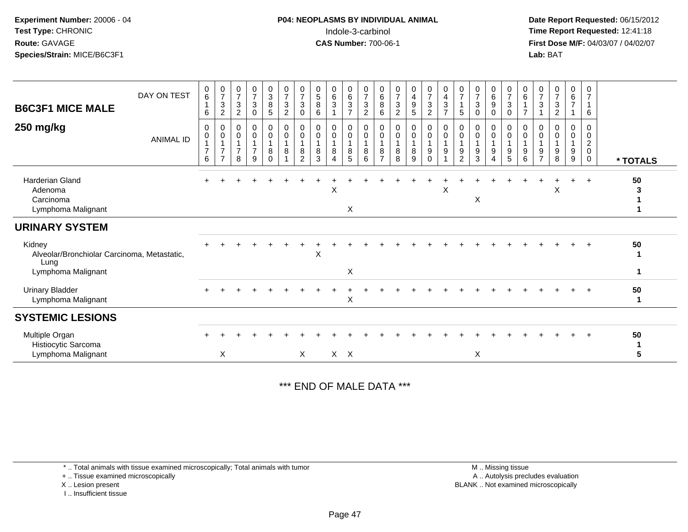# **P04: NEOPLASMS BY INDIVIDUAL ANIMAL**Indole-3-carbinol **Time Report Requested:** 12:41:18

 **Date Report Requested:** 06/15/2012 **First Dose M/F:** 04/03/07 / 04/02/07<br>Lab: BAT **Lab:** BAT

| <b>B6C3F1 MICE MALE</b>                                              | DAY ON TEST      | 0<br>$\,6\,$<br>6                       | $\frac{0}{7}$<br>$\mathbf{3}$<br>$\overline{c}$ | $\frac{0}{7}$<br>$\ensuremath{\mathsf{3}}$<br>$\overline{c}$ | $\frac{0}{7}$<br>$\mathbf{3}$<br>$\pmb{0}$ | $\frac{0}{3}$<br>$\bf8$<br>$\sqrt{5}$        | $\frac{0}{7}$<br>$\sqrt{3}$<br>$\overline{c}$          | 0<br>$\overline{7}$<br>3<br>0 | 0<br>$\mathbf 5$<br>$\bf8$<br>6 | $\begin{matrix} 0 \\ 6 \end{matrix}$<br>$\sqrt{3}$ | $\begin{matrix} 0 \\ 6 \end{matrix}$<br>$\sqrt{3}$<br>$\overline{7}$ | 0<br>$\overline{7}$<br>$\sqrt{3}$<br>$\overline{2}$ | 0<br>6<br>8<br>6              | $\frac{0}{7}$<br>$\ensuremath{\mathsf{3}}$<br>$\boldsymbol{2}$ | 0<br>$\begin{array}{c} 4 \\ 9 \end{array}$<br>$\sqrt{5}$ | $\frac{0}{7}$<br>$\ensuremath{\mathsf{3}}$<br>$\overline{2}$ | $\begin{array}{c} 0 \\ 4 \\ 3 \end{array}$<br>$\overline{7}$ | 0<br>$\overline{7}$<br>$\mathbf{1}$<br>$\sqrt{5}$ | $\frac{0}{7}$<br>$\ensuremath{\mathsf{3}}$<br>$\mathbf 0$ | $_6^0$<br>9<br>0                        | $\frac{0}{7}$<br>$\mathbf{3}$<br>$\mathsf{O}$ | 0<br>$\,6\,$<br>$\overline{7}$ | 0<br>$\overline{7}$<br>$\mathbf{3}$<br>1 | $\frac{0}{7}$<br>3<br>$\overline{c}$ | $\begin{matrix} 0 \\ 6 \end{matrix}$<br>$\overline{7}$ | 0<br>$\overline{7}$<br>$\mathbf{1}$<br>6                            |                   |
|----------------------------------------------------------------------|------------------|-----------------------------------------|-------------------------------------------------|--------------------------------------------------------------|--------------------------------------------|----------------------------------------------|--------------------------------------------------------|-------------------------------|---------------------------------|----------------------------------------------------|----------------------------------------------------------------------|-----------------------------------------------------|-------------------------------|----------------------------------------------------------------|----------------------------------------------------------|--------------------------------------------------------------|--------------------------------------------------------------|---------------------------------------------------|-----------------------------------------------------------|-----------------------------------------|-----------------------------------------------|--------------------------------|------------------------------------------|--------------------------------------|--------------------------------------------------------|---------------------------------------------------------------------|-------------------|
| 250 mg/kg                                                            | <b>ANIMAL ID</b> | 0<br>$\mathbf 0$<br>$\overline{7}$<br>6 | 0<br>0<br>$\overline{7}$<br>7                   | 0<br>0<br>$\mathbf{1}$<br>$\overline{7}$<br>8                | 0<br>$\pmb{0}$<br>$\overline{7}$<br>9      | $\mathbf 0$<br>$\pmb{0}$<br>8<br>$\mathbf 0$ | 0<br>$\mathbf 0$<br>$\overline{1}$<br>8<br>$\mathbf 1$ | 0<br>$\mathbf 0$<br>8<br>2    | 0<br>0<br>8<br>3                | 0<br>0<br>8<br>4                                   | 0<br>$\mathbf 0$<br>8<br>5                                           | 0<br>$\pmb{0}$<br>$\overline{1}$<br>8<br>6          | 0<br>0<br>8<br>$\overline{7}$ | 0<br>$\mathbf 0$<br>$\mathbf{1}$<br>8<br>8                     | 0<br>$\pmb{0}$<br>1<br>8<br>9                            | 0<br>0<br>9<br>$\mathbf 0$                                   | 0<br>$\mathbf 0$<br>$\overline{1}$<br>9<br>1                 | 0<br>0<br>1<br>9<br>$\overline{c}$                | $\mathbf 0$<br>$\mathbf 0$<br>$\mathbf{1}$<br>9<br>3      | 0<br>$\mathbf 0$<br>9<br>$\overline{4}$ | 0<br>0<br>9<br>$5\phantom{.0}$                | 0<br>$\mathbf 0$<br>$9\,$<br>6 | 0<br>0<br>1<br>9<br>$\overline{7}$       | 0<br>$\Omega$<br>9<br>8              | 0<br>0<br>9<br>9                                       | 0<br>$\boldsymbol{0}$<br>$\overline{c}$<br>$\pmb{0}$<br>$\mathbf 0$ | * TOTALS          |
| <b>Harderian Gland</b><br>Adenoma<br>Carcinoma<br>Lymphoma Malignant |                  |                                         |                                                 |                                                              |                                            |                                              |                                                        |                               |                                 | X                                                  | X                                                                    |                                                     |                               |                                                                |                                                          |                                                              | $\boldsymbol{\mathsf{X}}$                                    |                                                   | X                                                         |                                         |                                               |                                |                                          | X                                    |                                                        | $\overline{+}$                                                      | 50<br>3           |
| <b>URINARY SYSTEM</b>                                                |                  |                                         |                                                 |                                                              |                                            |                                              |                                                        |                               |                                 |                                                    |                                                                      |                                                     |                               |                                                                |                                                          |                                                              |                                                              |                                                   |                                                           |                                         |                                               |                                |                                          |                                      |                                                        |                                                                     |                   |
| Kidney<br>Alveolar/Bronchiolar Carcinoma, Metastatic,<br>Lung        |                  |                                         |                                                 |                                                              |                                            |                                              |                                                        |                               | Χ                               |                                                    |                                                                      |                                                     |                               |                                                                |                                                          |                                                              |                                                              |                                                   |                                                           |                                         |                                               |                                |                                          |                                      |                                                        |                                                                     | 50<br>1           |
| Lymphoma Malignant                                                   |                  |                                         |                                                 |                                                              |                                            |                                              |                                                        |                               |                                 |                                                    | X                                                                    |                                                     |                               |                                                                |                                                          |                                                              |                                                              |                                                   |                                                           |                                         |                                               |                                |                                          |                                      |                                                        |                                                                     | 1                 |
| <b>Urinary Bladder</b><br>Lymphoma Malignant                         |                  |                                         |                                                 |                                                              |                                            |                                              |                                                        |                               |                                 |                                                    | X                                                                    |                                                     |                               |                                                                |                                                          |                                                              |                                                              |                                                   |                                                           |                                         |                                               |                                |                                          |                                      |                                                        |                                                                     | 50<br>$\mathbf 1$ |
| <b>SYSTEMIC LESIONS</b>                                              |                  |                                         |                                                 |                                                              |                                            |                                              |                                                        |                               |                                 |                                                    |                                                                      |                                                     |                               |                                                                |                                                          |                                                              |                                                              |                                                   |                                                           |                                         |                                               |                                |                                          |                                      |                                                        |                                                                     |                   |
| Multiple Organ<br>Histiocytic Sarcoma                                |                  |                                         |                                                 |                                                              |                                            |                                              |                                                        |                               |                                 |                                                    |                                                                      |                                                     |                               |                                                                |                                                          |                                                              |                                                              |                                                   |                                                           |                                         |                                               |                                |                                          |                                      |                                                        |                                                                     | 50                |
| Lymphoma Malignant                                                   |                  |                                         | X                                               |                                                              |                                            |                                              |                                                        | X                             |                                 |                                                    | $X$ $X$                                                              |                                                     |                               |                                                                |                                                          |                                                              |                                                              |                                                   | X                                                         |                                         |                                               |                                |                                          |                                      |                                                        |                                                                     | 5                 |

\*\*\* END OF MALE DATA \*\*\*

\* .. Total animals with tissue examined microscopically; Total animals with tumor

+ .. Tissue examined microscopically

X .. Lesion present

I .. Insufficient tissue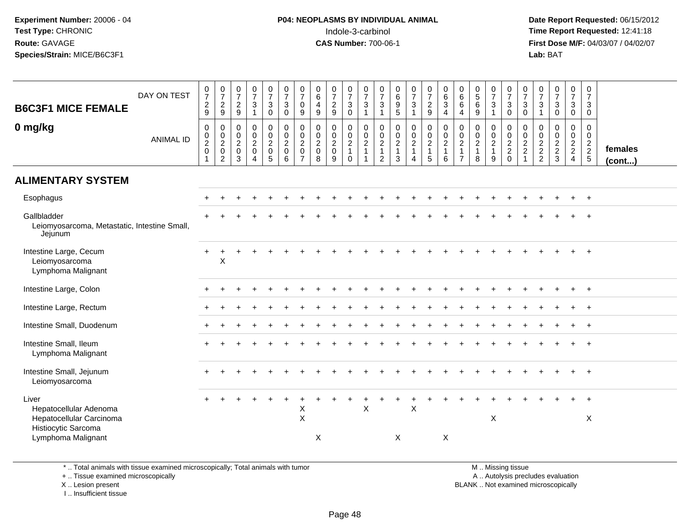**Date Report Requested:** 06/15/2012 **First Dose M/F:** 04/03/07 / 04/02/07<br>Lab: BAT **Lab:** BAT

| <b>B6C3F1 MICE FEMALE</b>                                                                                | DAY ON TEST      | $\frac{0}{7}$<br>$\frac{2}{9}$  | $\begin{array}{c} 0 \\ 7 \end{array}$<br>$\overline{c}$<br>$\boldsymbol{9}$ | $\begin{array}{c} 0 \\ 7 \end{array}$<br>$\frac{2}{9}$       | $\frac{0}{7}$<br>$\sqrt{3}$<br>$\overline{1}$                                     | $\frac{0}{7}$<br>$\mathsf 3$<br>$\mathbf 0$                                 | $\frac{0}{7}$<br>$\mathsf 3$<br>$\mathbf 0$                       | $\frac{0}{7}$<br>$\mathbf 0$<br>9                                                     | $_{6}^{\rm 0}$<br>$\overline{4}$<br>$\boldsymbol{9}$                   | $\begin{array}{c} 0 \\ 7 \end{array}$<br>$\frac{2}{9}$ | $\frac{0}{7}$<br>$\mathbf{3}$<br>$\mathbf 0$                               | $\frac{0}{7}$<br>$\mathbf{3}$<br>$\overline{1}$                                        | $\frac{0}{7}$<br>$\mathbf{3}$<br>$\mathbf{1}$                          | $\begin{array}{c} 0 \\ 6 \end{array}$<br>$\frac{9}{5}$        | $\frac{0}{7}$<br>$\sqrt{3}$                                  | $\frac{0}{7}$<br>$\frac{2}{9}$                                | $\begin{array}{c} 0 \\ 6 \end{array}$<br>$\overline{3}$<br>$\overline{a}$           | $\begin{array}{c} 0 \\ 6 \end{array}$<br>$\,6\,$<br>$\overline{4}$ | $\begin{array}{c} 0 \\ 5 \\ 6 \end{array}$<br>$\overline{9}$ | $\frac{0}{7}$<br>$\sqrt{3}$<br>$\mathbf{1}$     | $\begin{array}{c} 0 \\ 7 \end{array}$<br>3<br>$\mathbf 0$ | $\frac{0}{7}$<br>$_{0}^{3}$                | $\frac{0}{7}$<br>$\mathbf{3}$<br>$\mathbf{1}$                 | $\frac{0}{7}$<br>$\mathfrak{S}$<br>$\mathbf 0$              | $\frac{0}{7}$<br>3<br>$\mathbf 0$                                | $\begin{smallmatrix}0\\7\end{smallmatrix}$<br>$\mathbf{3}$<br>$\mathbf 0$ |                         |
|----------------------------------------------------------------------------------------------------------|------------------|---------------------------------|-----------------------------------------------------------------------------|--------------------------------------------------------------|-----------------------------------------------------------------------------------|-----------------------------------------------------------------------------|-------------------------------------------------------------------|---------------------------------------------------------------------------------------|------------------------------------------------------------------------|--------------------------------------------------------|----------------------------------------------------------------------------|----------------------------------------------------------------------------------------|------------------------------------------------------------------------|---------------------------------------------------------------|--------------------------------------------------------------|---------------------------------------------------------------|-------------------------------------------------------------------------------------|--------------------------------------------------------------------|--------------------------------------------------------------|-------------------------------------------------|-----------------------------------------------------------|--------------------------------------------|---------------------------------------------------------------|-------------------------------------------------------------|------------------------------------------------------------------|---------------------------------------------------------------------------|-------------------------|
| 0 mg/kg                                                                                                  | <b>ANIMAL ID</b> | $\pmb{0}$<br>$\frac{0}{2}$<br>1 | $\pmb{0}$<br>$\frac{0}{2}$<br>$\overline{c}$                                | $\mathbf 0$<br>$\mathbf 0$<br>$\sqrt{2}$<br>$\mathbf 0$<br>3 | $\pmb{0}$<br>$\ddot{\mathbf{0}}$<br>$\overline{2}$<br>$\pmb{0}$<br>$\overline{4}$ | $\pmb{0}$<br>$\mathbf 0$<br>$\overline{2}$<br>$\mathbf 0$<br>$\overline{5}$ | $\pmb{0}$<br>$\overline{0}$<br>$\overline{2}$<br>$\mathbf 0$<br>6 | $\mathbf 0$<br>$\ddot{\mathbf{0}}$<br>$\overline{a}$<br>$\mathbf 0$<br>$\overline{7}$ | 0<br>$\mathsf{O}\xspace$<br>$\overline{c}$<br>$\mathsf{O}\xspace$<br>8 | $\pmb{0}$<br>$\frac{0}{2}$<br>$\pmb{0}$<br>$9\,$       | $\mathbf 0$<br>$\mathbf 0$<br>$\overline{2}$<br>$\overline{1}$<br>$\Omega$ | $\pmb{0}$<br>$\ddot{\mathbf{0}}$<br>$\overline{2}$<br>$\overline{1}$<br>$\overline{1}$ | 0<br>$\mathbf 0$<br>$\boldsymbol{2}$<br>$\mathbf{1}$<br>$\overline{2}$ | $\pmb{0}$<br>$\pmb{0}$<br>$\overline{2}$<br>$\mathbf{1}$<br>3 | $\pmb{0}$<br>$\frac{0}{2}$<br>$\mathbf{1}$<br>$\overline{4}$ | $\begin{array}{c} 0 \\ 0 \\ 2 \\ 1 \end{array}$<br>$\sqrt{5}$ | $\begin{smallmatrix} 0\\0 \end{smallmatrix}$<br>$\overline{2}$<br>$\mathbf{1}$<br>6 | 0<br>$\mathbf 0$<br>$\overline{c}$<br>$\overline{7}$               | $\mathbf 0$<br>$\frac{0}{2}$<br>$\mathbf{1}$<br>8            | $\pmb{0}$<br>$\frac{0}{2}$<br>$\mathbf{1}$<br>9 | 0<br>$\overline{0}$<br>$\frac{2}{2}$<br>$\mathbf 0$       | $\pmb{0}$<br>$\frac{0}{2}$<br>$\mathbf{1}$ | $\mathbf 0$<br>$\mathbf 0$<br>$\frac{2}{2}$<br>$\overline{2}$ | $\mathbf 0$<br>$\mathbf 0$<br>$\frac{2}{2}$<br>$\mathbf{3}$ | $\mathbf 0$<br>$\overline{0}$<br>$\frac{2}{2}$<br>$\overline{4}$ | $\mathbf 0$<br>$\mathbf 0$<br>$\frac{2}{2}$<br>5                          | females<br>$($ cont $)$ |
| <b>ALIMENTARY SYSTEM</b>                                                                                 |                  |                                 |                                                                             |                                                              |                                                                                   |                                                                             |                                                                   |                                                                                       |                                                                        |                                                        |                                                                            |                                                                                        |                                                                        |                                                               |                                                              |                                                               |                                                                                     |                                                                    |                                                              |                                                 |                                                           |                                            |                                                               |                                                             |                                                                  |                                                                           |                         |
| Esophagus                                                                                                |                  |                                 |                                                                             |                                                              |                                                                                   |                                                                             |                                                                   |                                                                                       |                                                                        |                                                        |                                                                            |                                                                                        |                                                                        |                                                               |                                                              |                                                               |                                                                                     |                                                                    |                                                              |                                                 |                                                           |                                            |                                                               |                                                             | $\ddot{}$                                                        | $\ddot{}$                                                                 |                         |
| Gallbladder<br>Leiomyosarcoma, Metastatic, Intestine Small,<br>Jejunum                                   |                  |                                 |                                                                             |                                                              |                                                                                   |                                                                             |                                                                   |                                                                                       |                                                                        |                                                        |                                                                            |                                                                                        |                                                                        |                                                               |                                                              |                                                               |                                                                                     |                                                                    |                                                              |                                                 |                                                           |                                            |                                                               |                                                             |                                                                  |                                                                           |                         |
| Intestine Large, Cecum<br>Leiomyosarcoma<br>Lymphoma Malignant                                           |                  |                                 | $\pmb{\times}$                                                              |                                                              |                                                                                   |                                                                             |                                                                   |                                                                                       |                                                                        |                                                        |                                                                            |                                                                                        |                                                                        |                                                               |                                                              |                                                               |                                                                                     |                                                                    |                                                              |                                                 |                                                           |                                            |                                                               |                                                             |                                                                  | $\ddot{}$                                                                 |                         |
| Intestine Large, Colon                                                                                   |                  |                                 |                                                                             |                                                              |                                                                                   |                                                                             |                                                                   |                                                                                       |                                                                        |                                                        |                                                                            |                                                                                        |                                                                        |                                                               |                                                              |                                                               |                                                                                     |                                                                    |                                                              |                                                 |                                                           |                                            |                                                               |                                                             | $\div$                                                           | $\ddot{}$                                                                 |                         |
| Intestine Large, Rectum                                                                                  |                  |                                 |                                                                             |                                                              |                                                                                   |                                                                             |                                                                   |                                                                                       |                                                                        |                                                        |                                                                            |                                                                                        |                                                                        |                                                               |                                                              |                                                               |                                                                                     |                                                                    |                                                              |                                                 |                                                           |                                            |                                                               |                                                             |                                                                  | $\div$                                                                    |                         |
| Intestine Small, Duodenum                                                                                |                  |                                 |                                                                             |                                                              |                                                                                   |                                                                             |                                                                   |                                                                                       |                                                                        |                                                        |                                                                            |                                                                                        |                                                                        |                                                               |                                                              |                                                               |                                                                                     |                                                                    |                                                              |                                                 |                                                           |                                            |                                                               |                                                             |                                                                  |                                                                           |                         |
| Intestine Small, Ileum<br>Lymphoma Malignant                                                             |                  |                                 |                                                                             |                                                              |                                                                                   |                                                                             |                                                                   |                                                                                       |                                                                        |                                                        |                                                                            |                                                                                        |                                                                        |                                                               |                                                              |                                                               |                                                                                     |                                                                    |                                                              |                                                 |                                                           |                                            |                                                               |                                                             |                                                                  | $\ddot{}$                                                                 |                         |
| Intestine Small, Jejunum<br>Leiomyosarcoma                                                               |                  |                                 |                                                                             |                                                              |                                                                                   |                                                                             |                                                                   |                                                                                       |                                                                        |                                                        |                                                                            |                                                                                        |                                                                        |                                                               |                                                              |                                                               |                                                                                     |                                                                    |                                                              |                                                 |                                                           |                                            |                                                               |                                                             |                                                                  |                                                                           |                         |
| Liver<br>Hepatocellular Adenoma<br>Hepatocellular Carcinoma<br>Histiocytic Sarcoma<br>Lymphoma Malignant |                  |                                 |                                                                             |                                                              |                                                                                   |                                                                             |                                                                   | $\mathsf X$<br>$\mathsf{X}$                                                           | X                                                                      |                                                        |                                                                            | X                                                                                      |                                                                        | X                                                             | $\boldsymbol{\mathsf{X}}$                                    |                                                               | X                                                                                   |                                                                    |                                                              | X                                               |                                                           |                                            |                                                               |                                                             |                                                                  | X                                                                         |                         |

\* .. Total animals with tissue examined microscopically; Total animals with tumor

+ .. Tissue examined microscopically

X .. Lesion present

I .. Insufficient tissue

 M .. Missing tissuey the contract of the contract of the contract of the contract of the contract of the contract of the contract of  $A$ . Autolysis precludes evaluation

Lesion present BLANK .. Not examined microscopically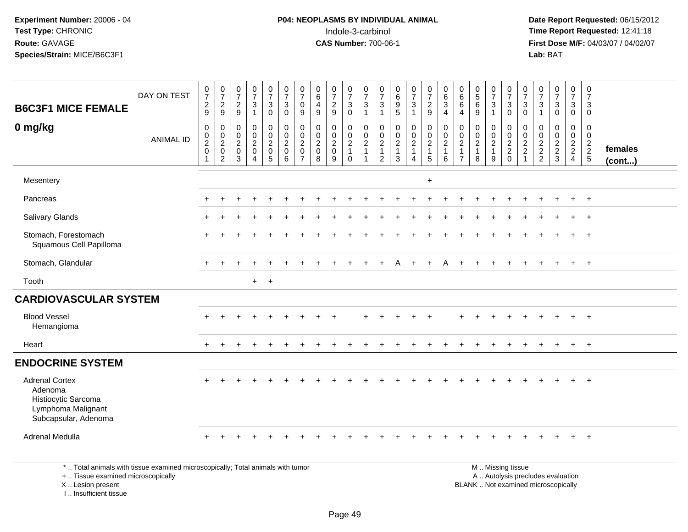#### **P04: NEOPLASMS BY INDIVIDUAL ANIMAL**Indole-3-carbinol **Time Report Requested:** 12:41:18

 **Date Report Requested:** 06/15/2012 **First Dose M/F:** 04/03/07 / 04/02/07<br>Lab: BAT **Lab:** BAT

| <b>B6C3F1 MICE FEMALE</b>                                                                             | DAY ON TEST      | $\frac{0}{7}$<br>$\overline{c}$<br>$9\,$                  | $\frac{0}{7}$<br>$\sqrt{2}$<br>9                              | $\frac{0}{7}$<br>$\sqrt{2}$<br>$\boldsymbol{9}$  | $\frac{0}{7}$<br>$\mathsf 3$<br>$\mathbf{1}$                | $\frac{0}{7}$<br>3<br>$\mathbf 0$                           | $\frac{0}{7}$<br>3<br>$\mathbf 0$                                | $\frac{0}{7}$<br>0<br>9                                   | $\begin{array}{c} 0 \\ 6 \end{array}$<br>$\overline{4}$<br>$\boldsymbol{9}$ | $\frac{0}{7}$<br>$\sqrt{2}$<br>$\boldsymbol{9}$    | $\begin{matrix}0\\7\\3\end{matrix}$<br>$\mathbf 0$       | $\frac{0}{7}$<br>3<br>$\mathbf{1}$                 | $\frac{0}{7}$<br>$\mathsf 3$<br>$\mathbf{1}$             | $\begin{matrix} 0 \\ 6 \\ 9 \end{matrix}$<br>$\sqrt{5}$                       | $\frac{0}{7}$<br>$\ensuremath{\mathsf{3}}$<br>$\overline{1}$ | $\begin{array}{c} 0 \\ 7 \\ 2 \end{array}$<br>9               | $\begin{matrix} 0 \\ 6 \end{matrix}$<br>3<br>$\overline{4}$ | $0$<br>6<br>6<br>$\overline{4}$                                                          | $\begin{array}{c} 0 \\ 5 \\ 6 \end{array}$<br>$9\,$ | $\frac{0}{7}$<br>$\ensuremath{\mathsf{3}}$<br>$\mathbf{1}$ | $\frac{0}{7}$<br>$\overline{3}$<br>$\mathsf{O}$ | $\frac{0}{7}$<br>$\mathsf 3$<br>$\boldsymbol{0}$            | $\frac{0}{7}$<br>$\mathsf 3$<br>$\mathbf{1}$ | $\frac{0}{7}$<br>$\mathbf{3}$<br>$\mathbf 0$ | $\frac{0}{7}$<br>3<br>$\mathbf 0$         | 0<br>$\overline{7}$<br>$\sqrt{3}$<br>$\mathbf 0$ |                         |
|-------------------------------------------------------------------------------------------------------|------------------|-----------------------------------------------------------|---------------------------------------------------------------|--------------------------------------------------|-------------------------------------------------------------|-------------------------------------------------------------|------------------------------------------------------------------|-----------------------------------------------------------|-----------------------------------------------------------------------------|----------------------------------------------------|----------------------------------------------------------|----------------------------------------------------|----------------------------------------------------------|-------------------------------------------------------------------------------|--------------------------------------------------------------|---------------------------------------------------------------|-------------------------------------------------------------|------------------------------------------------------------------------------------------|-----------------------------------------------------|------------------------------------------------------------|-------------------------------------------------|-------------------------------------------------------------|----------------------------------------------|----------------------------------------------|-------------------------------------------|--------------------------------------------------|-------------------------|
| 0 mg/kg                                                                                               | <b>ANIMAL ID</b> | $\mathbf 0$<br>$\pmb{0}$<br>$\frac{2}{0}$<br>$\mathbf{1}$ | $\mathbf 0$<br>$\mathbf 0$<br>$\frac{2}{0}$<br>$\overline{2}$ | $\mathbf 0$<br>$\mathbf 0$<br>$\frac{2}{0}$<br>3 | $\pmb{0}$<br>$\mathbf 0$<br>$\frac{2}{0}$<br>$\overline{4}$ | $\pmb{0}$<br>$\mathbf 0$<br>$\frac{2}{0}$<br>$\overline{5}$ | $\mathbf 0$<br>$\mathbf 0$<br>$\overline{c}$<br>$\mathbf 0$<br>6 | 0<br>0<br>$\overline{c}$<br>$\mathbf 0$<br>$\overline{7}$ | $\begin{smallmatrix} 0\\0 \end{smallmatrix}$<br>$\frac{2}{0}$<br>8          | 0<br>$\mathbf 0$<br>$\sqrt{2}$<br>$\mathbf 0$<br>9 | $\pmb{0}$<br>$\mathbf 0$<br>$\frac{2}{1}$<br>$\mathbf 0$ | 0<br>$\mathbf 0$<br>$\overline{c}$<br>$\mathbf{1}$ | $\mathbf 0$<br>$\mathsf{O}\xspace$<br>$\frac{2}{1}$<br>2 | $\begin{smallmatrix} 0\\0 \end{smallmatrix}$<br>$\frac{2}{1}$<br>$\mathbf{3}$ | $\pmb{0}$<br>$\frac{0}{2}$<br>$\overline{4}$                 | $\begin{array}{c} 0 \\ 0 \\ 2 \\ 1 \end{array}$<br>$\sqrt{5}$ | $\mathbf 0$<br>$\mathbf 0$<br>$\overline{2}$<br>1<br>6      | $\mathbf 0$<br>$\mathsf{O}\xspace$<br>$\boldsymbol{2}$<br>$\mathbf{1}$<br>$\overline{7}$ | 0<br>$\frac{0}{2}$<br>1<br>8                        | $\mathbf 0$<br>$\mathbf 0$<br>$\frac{2}{1}$<br>9           | 0<br>$\mathbf 0$<br>$\frac{2}{2}$<br>0          | $\mathbf 0$<br>$\mathbf 0$<br>$\frac{2}{2}$<br>$\mathbf{1}$ | $\mathbf 0$<br>$\mathbf 0$<br>$\frac{2}{2}$  | 0<br>$\mathbf 0$<br>$\frac{2}{3}$            | 0<br>$\overline{0}$<br>$\frac{2}{2}$<br>4 | $\mathbf 0$<br>$\mathbf 0$<br>$\frac{2}{2}$ 5    | females<br>$($ cont $)$ |
| Mesentery                                                                                             |                  |                                                           |                                                               |                                                  |                                                             |                                                             |                                                                  |                                                           |                                                                             |                                                    |                                                          |                                                    |                                                          |                                                                               |                                                              | $\ddot{}$                                                     |                                                             |                                                                                          |                                                     |                                                            |                                                 |                                                             |                                              |                                              |                                           |                                                  |                         |
| Pancreas                                                                                              |                  | $\ddot{}$                                                 |                                                               |                                                  |                                                             |                                                             |                                                                  |                                                           |                                                                             |                                                    |                                                          |                                                    |                                                          |                                                                               |                                                              |                                                               |                                                             |                                                                                          |                                                     |                                                            |                                                 |                                                             |                                              |                                              | $\ddot{}$                                 | $+$                                              |                         |
| Salivary Glands                                                                                       |                  | $\ddot{}$                                                 |                                                               |                                                  |                                                             |                                                             |                                                                  |                                                           |                                                                             |                                                    |                                                          |                                                    |                                                          |                                                                               |                                                              |                                                               |                                                             |                                                                                          |                                                     |                                                            |                                                 |                                                             |                                              |                                              | $\ddot{}$                                 | $+$                                              |                         |
| Stomach, Forestomach<br>Squamous Cell Papilloma                                                       |                  | $\ddot{}$                                                 |                                                               |                                                  |                                                             |                                                             |                                                                  |                                                           |                                                                             |                                                    |                                                          |                                                    |                                                          |                                                                               |                                                              |                                                               |                                                             |                                                                                          |                                                     |                                                            |                                                 |                                                             |                                              |                                              |                                           | $+$                                              |                         |
| Stomach, Glandular                                                                                    |                  | $+$                                                       | $+$                                                           |                                                  |                                                             |                                                             |                                                                  |                                                           |                                                                             |                                                    |                                                          |                                                    | $\div$                                                   | A                                                                             | $\pm$                                                        | $\ddot{}$                                                     | A                                                           |                                                                                          | $\ddot{}$                                           | $+$                                                        | $\pm$                                           |                                                             |                                              | $\ddot{}$                                    | $+$                                       | $+$                                              |                         |
| Tooth                                                                                                 |                  |                                                           |                                                               |                                                  | $+$ $+$                                                     |                                                             |                                                                  |                                                           |                                                                             |                                                    |                                                          |                                                    |                                                          |                                                                               |                                                              |                                                               |                                                             |                                                                                          |                                                     |                                                            |                                                 |                                                             |                                              |                                              |                                           |                                                  |                         |
| <b>CARDIOVASCULAR SYSTEM</b>                                                                          |                  |                                                           |                                                               |                                                  |                                                             |                                                             |                                                                  |                                                           |                                                                             |                                                    |                                                          |                                                    |                                                          |                                                                               |                                                              |                                                               |                                                             |                                                                                          |                                                     |                                                            |                                                 |                                                             |                                              |                                              |                                           |                                                  |                         |
| <b>Blood Vessel</b><br>Hemangioma                                                                     |                  | $+$                                                       |                                                               |                                                  |                                                             |                                                             |                                                                  |                                                           |                                                                             |                                                    |                                                          |                                                    |                                                          |                                                                               |                                                              |                                                               |                                                             |                                                                                          |                                                     |                                                            |                                                 |                                                             |                                              |                                              | $+$                                       | $+$                                              |                         |
| Heart                                                                                                 |                  | $\pm$                                                     |                                                               |                                                  |                                                             |                                                             |                                                                  |                                                           |                                                                             |                                                    |                                                          |                                                    |                                                          |                                                                               |                                                              |                                                               |                                                             |                                                                                          |                                                     |                                                            |                                                 |                                                             |                                              |                                              | $+$                                       | $+$                                              |                         |
| <b>ENDOCRINE SYSTEM</b>                                                                               |                  |                                                           |                                                               |                                                  |                                                             |                                                             |                                                                  |                                                           |                                                                             |                                                    |                                                          |                                                    |                                                          |                                                                               |                                                              |                                                               |                                                             |                                                                                          |                                                     |                                                            |                                                 |                                                             |                                              |                                              |                                           |                                                  |                         |
| <b>Adrenal Cortex</b><br>Adenoma<br>Histiocytic Sarcoma<br>Lymphoma Malignant<br>Subcapsular, Adenoma |                  |                                                           |                                                               |                                                  |                                                             |                                                             |                                                                  |                                                           |                                                                             |                                                    |                                                          |                                                    |                                                          |                                                                               |                                                              |                                                               |                                                             |                                                                                          |                                                     |                                                            |                                                 |                                                             |                                              |                                              |                                           | $\overline{+}$                                   |                         |
| Adrenal Medulla                                                                                       |                  | $\div$                                                    |                                                               |                                                  |                                                             |                                                             |                                                                  |                                                           |                                                                             |                                                    |                                                          |                                                    |                                                          |                                                                               |                                                              |                                                               |                                                             |                                                                                          |                                                     |                                                            |                                                 |                                                             |                                              |                                              | ÷                                         | $+$                                              |                         |

\* .. Total animals with tissue examined microscopically; Total animals with tumor

+ .. Tissue examined microscopically

X .. Lesion present

I .. Insufficient tissue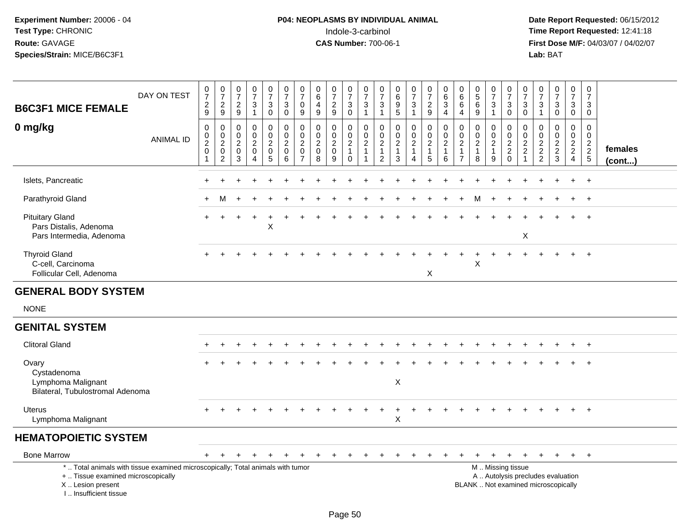# **P04: NEOPLASMS BY INDIVIDUAL ANIMAL**<br>Indole-3-carbinol Indole-3-carbinol **Time Report Requested:** 12:41:18

| <b>B6C3F1 MICE FEMALE</b>                                                                                                                                           | DAY ON TEST      | $\begin{smallmatrix}0\\7\end{smallmatrix}$<br>$\frac{2}{9}$ | $\begin{array}{c} 0 \\ 7 \end{array}$<br>$\sqrt{2}$<br>$\mathsf g$ | 0<br>$\overline{7}$<br>$\frac{2}{9}$     | $\frac{0}{7}$<br>$\frac{3}{1}$                                  | $\frac{0}{7}$<br>$\ensuremath{\mathsf{3}}$<br>$\pmb{0}$ | $\begin{array}{c} 0 \\ 7 \end{array}$<br>$\sqrt{3}$<br>$\mathbf 0$ | $\frac{0}{7}$<br>$\mathbf 0$<br>9                                   | $\begin{array}{c} 0 \\ 6 \end{array}$<br>$\overline{4}$<br>9 | $\frac{0}{7}$<br>$\overline{\mathbf{c}}$<br>9          | $\frac{0}{7}$<br>$_0^3$                           | $\frac{0}{7}$<br>$\frac{3}{1}$                                             | $\frac{0}{7}$<br>$\sqrt{3}$<br>$\overline{1}$       | $\begin{array}{c} 0 \\ 6 \end{array}$<br>$\boldsymbol{9}$<br>5 | $\frac{0}{7}$<br>$\ensuremath{\mathsf{3}}$<br>$\mathbf{1}$           | $\frac{0}{7}$<br>$\frac{2}{9}$                                  | $_{6}^{\rm 0}$<br>$\overline{3}$<br>$\overline{4}$                      | 0<br>6<br>6<br>$\overline{4}$                              | $\begin{array}{c} 0 \\ 5 \end{array}$<br>$6\phantom{a}$<br>9 | $\frac{0}{7}$<br>$\ensuremath{\mathsf{3}}$<br>$\overline{1}$ | $\frac{0}{7}$<br>$\sqrt{3}$<br>$\mathbf 0$                                                    | $\frac{0}{7}$<br>3<br>$\mathbf 0$                                | $\frac{0}{7}$<br>$\ensuremath{\mathsf{3}}$<br>$\overline{1}$   | $\frac{0}{7}$<br>$\sqrt{3}$<br>$\mathbf 0$          | $\pmb{0}$<br>$\overline{7}$<br>$\sqrt{3}$<br>$\mathbf 0$ | $\begin{smallmatrix}0\\7\end{smallmatrix}$<br>3<br>$\mathbf 0$ |                   |
|---------------------------------------------------------------------------------------------------------------------------------------------------------------------|------------------|-------------------------------------------------------------|--------------------------------------------------------------------|------------------------------------------|-----------------------------------------------------------------|---------------------------------------------------------|--------------------------------------------------------------------|---------------------------------------------------------------------|--------------------------------------------------------------|--------------------------------------------------------|---------------------------------------------------|----------------------------------------------------------------------------|-----------------------------------------------------|----------------------------------------------------------------|----------------------------------------------------------------------|-----------------------------------------------------------------|-------------------------------------------------------------------------|------------------------------------------------------------|--------------------------------------------------------------|--------------------------------------------------------------|-----------------------------------------------------------------------------------------------|------------------------------------------------------------------|----------------------------------------------------------------|-----------------------------------------------------|----------------------------------------------------------|----------------------------------------------------------------|-------------------|
| 0 mg/kg                                                                                                                                                             | <b>ANIMAL ID</b> | $\pmb{0}$<br>$_2^0$<br>$\pmb{0}$<br>$\overline{1}$          | $\mathbf 0$<br>$^{\rm 0}_{\rm 2}$<br>$\pmb{0}$<br>$\overline{c}$   | $\mathbf 0$<br>0<br>$\sqrt{2}$<br>0<br>3 | 0<br>$\mathsf{O}\xspace$<br>$\sqrt{2}$<br>$\pmb{0}$<br>$\Delta$ | 0<br>$\mathbf 0$<br>$\boldsymbol{2}$<br>0<br>5          | $\mathbf 0$<br>$\mathbf 0$<br>$\sqrt{2}$<br>$\mathbf 0$<br>6       | 0<br>$\mathbf 0$<br>$\overline{c}$<br>$\mathbf 0$<br>$\overline{7}$ | 0<br>$\mathbf 0$<br>$\overline{2}$<br>$\mathbf 0$<br>8       | 0<br>$\mathbf 0$<br>$\overline{c}$<br>$\mathbf 0$<br>9 | 0<br>$\frac{0}{2}$<br>$\mathbf{1}$<br>$\mathbf 0$ | 0<br>$\mathsf{O}\xspace$<br>$\overline{2}$<br>$\mathbf{1}$<br>$\mathbf{1}$ | 0<br>$\mathbf 0$<br>$\sqrt{2}$<br>$\mathbf{1}$<br>2 | 0<br>$\mathsf 0$<br>$\overline{2}$<br>$\mathbf{1}$<br>3        | 0<br>$\mathbf 0$<br>$\overline{c}$<br>$\mathbf{1}$<br>$\overline{4}$ | $\mathbf 0$<br>$\frac{0}{2}$<br>$\mathbf{1}$<br>$5\phantom{.0}$ | $\pmb{0}$<br>$\mathsf{O}\xspace$<br>$\overline{c}$<br>$\mathbf{1}$<br>6 | 0<br>0<br>$\overline{2}$<br>$\mathbf{1}$<br>$\overline{7}$ | 0<br>$\mathbf 0$<br>$\sqrt{2}$<br>$\mathbf{1}$<br>8          | 0<br>$\mathbf 0$<br>$\sqrt{2}$<br>$\mathbf{1}$<br>9          | $\mathbf 0$<br>$\frac{0}{2}$<br>$\mathbf 0$                                                   | $\mathbf{0}$<br>$\mathbf 0$<br>$\sqrt{2}$<br>$\overline{c}$<br>1 | $\mathbf 0$<br>$\begin{array}{c} 0 \\ 2 \\ 2 \\ 2 \end{array}$ | 0<br>$\mathbf 0$<br>$\overline{c}$<br>$\frac{2}{3}$ | 0<br>$\frac{0}{2}$<br>$\overline{4}$                     | 0<br>$\mathbf 0$<br>$\frac{2}{2}$ 5                            | females<br>(cont) |
| Islets, Pancreatic                                                                                                                                                  |                  |                                                             |                                                                    |                                          |                                                                 |                                                         |                                                                    |                                                                     |                                                              |                                                        |                                                   |                                                                            |                                                     |                                                                |                                                                      |                                                                 |                                                                         |                                                            |                                                              |                                                              |                                                                                               |                                                                  |                                                                |                                                     |                                                          | $\overline{+}$                                                 |                   |
| Parathyroid Gland                                                                                                                                                   |                  |                                                             | м                                                                  |                                          |                                                                 |                                                         |                                                                    |                                                                     |                                                              |                                                        |                                                   |                                                                            |                                                     |                                                                |                                                                      |                                                                 |                                                                         |                                                            |                                                              |                                                              |                                                                                               |                                                                  |                                                                |                                                     |                                                          | $^{+}$                                                         |                   |
| <b>Pituitary Gland</b><br>Pars Distalis, Adenoma<br>Pars Intermedia, Adenoma                                                                                        |                  | $+$                                                         | ÷                                                                  |                                          |                                                                 | X                                                       |                                                                    |                                                                     |                                                              |                                                        |                                                   |                                                                            |                                                     |                                                                |                                                                      |                                                                 |                                                                         |                                                            |                                                              |                                                              |                                                                                               | X                                                                |                                                                |                                                     | $\pm$                                                    | $+$                                                            |                   |
| <b>Thyroid Gland</b><br>C-cell, Carcinoma<br>Follicular Cell, Adenoma                                                                                               |                  |                                                             |                                                                    |                                          |                                                                 |                                                         |                                                                    |                                                                     |                                                              |                                                        |                                                   |                                                                            |                                                     |                                                                |                                                                      | X                                                               |                                                                         |                                                            | X                                                            |                                                              |                                                                                               |                                                                  |                                                                |                                                     |                                                          | $+$                                                            |                   |
| <b>GENERAL BODY SYSTEM</b>                                                                                                                                          |                  |                                                             |                                                                    |                                          |                                                                 |                                                         |                                                                    |                                                                     |                                                              |                                                        |                                                   |                                                                            |                                                     |                                                                |                                                                      |                                                                 |                                                                         |                                                            |                                                              |                                                              |                                                                                               |                                                                  |                                                                |                                                     |                                                          |                                                                |                   |
| <b>NONE</b>                                                                                                                                                         |                  |                                                             |                                                                    |                                          |                                                                 |                                                         |                                                                    |                                                                     |                                                              |                                                        |                                                   |                                                                            |                                                     |                                                                |                                                                      |                                                                 |                                                                         |                                                            |                                                              |                                                              |                                                                                               |                                                                  |                                                                |                                                     |                                                          |                                                                |                   |
| <b>GENITAL SYSTEM</b>                                                                                                                                               |                  |                                                             |                                                                    |                                          |                                                                 |                                                         |                                                                    |                                                                     |                                                              |                                                        |                                                   |                                                                            |                                                     |                                                                |                                                                      |                                                                 |                                                                         |                                                            |                                                              |                                                              |                                                                                               |                                                                  |                                                                |                                                     |                                                          |                                                                |                   |
| <b>Clitoral Gland</b>                                                                                                                                               |                  |                                                             |                                                                    |                                          |                                                                 |                                                         |                                                                    |                                                                     |                                                              |                                                        |                                                   |                                                                            |                                                     |                                                                |                                                                      |                                                                 |                                                                         |                                                            |                                                              |                                                              |                                                                                               |                                                                  |                                                                |                                                     |                                                          |                                                                |                   |
| Ovary<br>Cystadenoma<br>Lymphoma Malignant<br>Bilateral, Tubulostromal Adenoma                                                                                      |                  |                                                             |                                                                    |                                          |                                                                 |                                                         |                                                                    |                                                                     |                                                              |                                                        |                                                   |                                                                            |                                                     | $\boldsymbol{\mathsf{X}}$                                      |                                                                      |                                                                 |                                                                         |                                                            |                                                              |                                                              |                                                                                               |                                                                  |                                                                |                                                     |                                                          |                                                                |                   |
| Uterus<br>Lymphoma Malignant                                                                                                                                        |                  |                                                             |                                                                    |                                          |                                                                 |                                                         |                                                                    |                                                                     |                                                              |                                                        |                                                   |                                                                            |                                                     | X                                                              |                                                                      |                                                                 |                                                                         |                                                            |                                                              |                                                              |                                                                                               |                                                                  |                                                                |                                                     |                                                          | $^{+}$                                                         |                   |
| <b>HEMATOPOIETIC SYSTEM</b>                                                                                                                                         |                  |                                                             |                                                                    |                                          |                                                                 |                                                         |                                                                    |                                                                     |                                                              |                                                        |                                                   |                                                                            |                                                     |                                                                |                                                                      |                                                                 |                                                                         |                                                            |                                                              |                                                              |                                                                                               |                                                                  |                                                                |                                                     |                                                          |                                                                |                   |
| <b>Bone Marrow</b>                                                                                                                                                  |                  |                                                             |                                                                    |                                          |                                                                 |                                                         |                                                                    |                                                                     |                                                              |                                                        |                                                   |                                                                            |                                                     |                                                                |                                                                      |                                                                 |                                                                         |                                                            |                                                              |                                                              |                                                                                               |                                                                  |                                                                | $\ddot{}$                                           | $+$                                                      | $+$                                                            |                   |
| *  Total animals with tissue examined microscopically; Total animals with tumor<br>+  Tissue examined microscopically<br>X  Lesion present<br>I Insufficient tissue |                  |                                                             |                                                                    |                                          |                                                                 |                                                         |                                                                    |                                                                     |                                                              |                                                        |                                                   |                                                                            |                                                     |                                                                |                                                                      |                                                                 |                                                                         |                                                            |                                                              |                                                              | M  Missing tissue<br>A  Autolysis precludes evaluation<br>BLANK  Not examined microscopically |                                                                  |                                                                |                                                     |                                                          |                                                                |                   |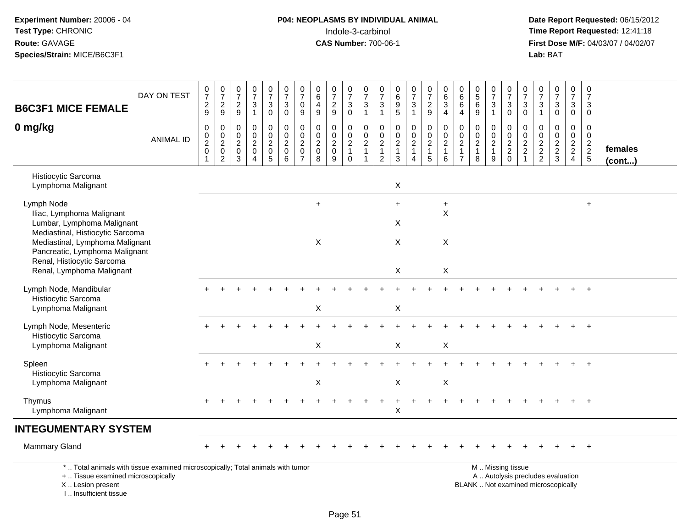I .. Insufficient tissue

# **P04: NEOPLASMS BY INDIVIDUAL ANIMAL**<br>Indole-3-carbinol Indole-3-carbinol **Time Report Requested:** 12:41:18

| <b>B6C3F1 MICE FEMALE</b>                                                                                                                  | DAY ON TEST      | $\frac{0}{7}$<br>$\overline{c}$<br>9    | $\begin{smallmatrix}0\\7\end{smallmatrix}$<br>$\overline{a}$<br>9 | $\frac{0}{7}$<br>$\boldsymbol{2}$<br>$\boldsymbol{9}$                     | 0<br>$\overline{7}$<br>$\sqrt{3}$<br>$\mathbf{1}$                         | $\begin{smallmatrix}0\\7\end{smallmatrix}$<br>$\ensuremath{\mathsf{3}}$<br>$\mathbf 0$ | $\begin{smallmatrix}0\\7\end{smallmatrix}$<br>$\ensuremath{\mathsf{3}}$<br>$\mathsf{O}\xspace$ | $\frac{0}{7}$<br>0<br>9                                               | $\begin{array}{c} 0 \\ 6 \end{array}$<br>4<br>$\boldsymbol{9}$ | $\frac{0}{7}$<br>$\overline{c}$<br>9                             | $\frac{0}{7}$<br>$\ensuremath{\mathsf{3}}$<br>$\mathbf 0$    | $\frac{0}{7}$<br>$\mathsf 3$<br>$\mathbf{1}$ | $\frac{0}{7}$<br>$\sqrt{3}$<br>$\overline{1}$                                          | 0<br>6<br>$\boldsymbol{9}$<br>$\overline{5}$                     | $\frac{0}{7}$<br>$\ensuremath{\mathsf{3}}$<br>$\mathbf{1}$                             | $\frac{0}{7}$<br>$\overline{c}$<br>9                            | $\begin{array}{c} 0 \\ 6 \end{array}$<br>3<br>$\overline{4}$    | $\begin{array}{c} 0 \\ 6 \end{array}$<br>$\,6\,$<br>$\overline{4}$                | $\begin{array}{c} 0 \\ 5 \end{array}$<br>$\,6\,$<br>9             | $\frac{0}{7}$<br>$\sqrt{3}$<br>$\overline{1}$                     | $\frac{0}{7}$<br>3<br>$\mathbf 0$                              | $\frac{0}{7}$<br>$\sqrt{3}$<br>$\mathbf 0$                                               | $\frac{0}{7}$<br>3<br>$\mathbf{1}$                         | $\frac{0}{7}$<br>$\sqrt{3}$<br>$\mathsf{O}\xspace$            | $\frac{0}{7}$<br>$\mathbf{3}$<br>$\mathbf 0$                 | 0<br>$\boldsymbol{7}$<br>3<br>$\mathbf 0$           |                         |
|--------------------------------------------------------------------------------------------------------------------------------------------|------------------|-----------------------------------------|-------------------------------------------------------------------|---------------------------------------------------------------------------|---------------------------------------------------------------------------|----------------------------------------------------------------------------------------|------------------------------------------------------------------------------------------------|-----------------------------------------------------------------------|----------------------------------------------------------------|------------------------------------------------------------------|--------------------------------------------------------------|----------------------------------------------|----------------------------------------------------------------------------------------|------------------------------------------------------------------|----------------------------------------------------------------------------------------|-----------------------------------------------------------------|-----------------------------------------------------------------|-----------------------------------------------------------------------------------|-------------------------------------------------------------------|-------------------------------------------------------------------|----------------------------------------------------------------|------------------------------------------------------------------------------------------|------------------------------------------------------------|---------------------------------------------------------------|--------------------------------------------------------------|-----------------------------------------------------|-------------------------|
| 0 mg/kg                                                                                                                                    | <b>ANIMAL ID</b> | 0<br>$\mathbf 0$<br>$\overline{2}$<br>0 | 0<br>$_{2}^{\rm 0}$<br>$\mathbf 0$<br>$\overline{2}$              | $\mathbf 0$<br>$\mathbf 0$<br>$\overline{2}$<br>$\pmb{0}$<br>$\mathbf{3}$ | $\mathbf 0$<br>$\mathbf 0$<br>$\sqrt{2}$<br>$\mathbf 0$<br>$\overline{4}$ | $\pmb{0}$<br>$\mathbf 0$<br>$\overline{2}$<br>$\mathbf 0$<br>5                         | 0<br>$\mathsf{O}\xspace$<br>$\overline{2}$<br>$\mathbf 0$<br>6                                 | 0<br>$\mathbf 0$<br>$\boldsymbol{2}$<br>$\mathbf 0$<br>$\overline{7}$ | 0<br>$\pmb{0}$<br>$\boldsymbol{2}$<br>$\mathsf{O}\xspace$<br>8 | $\mathbf 0$<br>$\mathbf 0$<br>$\overline{c}$<br>$\mathbf 0$<br>9 | 0<br>$\pmb{0}$<br>$\overline{2}$<br>$\mathbf{1}$<br>$\Omega$ | 0<br>$\mathbf 0$<br>$\boldsymbol{2}$         | $\mathbf 0$<br>$\ddot{\mathbf{0}}$<br>$\overline{2}$<br>$\mathbf{1}$<br>$\overline{2}$ | $\mathbf 0$<br>$\Omega$<br>$\boldsymbol{2}$<br>$\mathbf{1}$<br>3 | $\mathbf 0$<br>$\mathbf 0$<br>$\overline{2}$<br>$\mathbf{1}$<br>$\boldsymbol{\Lambda}$ | 0<br>$\ddot{\mathbf{0}}$<br>$\overline{c}$<br>$\mathbf{1}$<br>5 | 0<br>$\ddot{\mathbf{0}}$<br>$\overline{2}$<br>$\mathbf{1}$<br>6 | $\mathbf 0$<br>$\overline{0}$<br>$\overline{2}$<br>$\mathbf{1}$<br>$\overline{7}$ | $\mathbf 0$<br>$\mathbf 0$<br>$\overline{2}$<br>$\mathbf{1}$<br>8 | $\mathbf 0$<br>$\mathbf 0$<br>$\overline{2}$<br>$\mathbf{1}$<br>9 | 0<br>$\mathbf 0$<br>$\boldsymbol{2}$<br>$\sqrt{2}$<br>$\Omega$ | $\mathbf 0$<br>$\ddot{\mathbf{0}}$<br>$\overline{2}$<br>$\overline{c}$<br>$\overline{1}$ | $\mathbf 0$<br>$\Omega$<br>$\overline{c}$<br>$\frac{2}{2}$ | $\mathbf 0$<br>$\mathbf 0$<br>$\overline{2}$<br>$\frac{2}{3}$ | $\mathsf{O}$<br>$\bar{0}$<br>$\frac{2}{2}$<br>$\overline{4}$ | $\mathbf 0$<br>0<br>$\overline{2}$<br>$\frac{2}{5}$ | females<br>$($ cont $)$ |
| Histiocytic Sarcoma<br>Lymphoma Malignant                                                                                                  |                  |                                         |                                                                   |                                                                           |                                                                           |                                                                                        |                                                                                                |                                                                       |                                                                |                                                                  |                                                              |                                              |                                                                                        | $\boldsymbol{\mathsf{X}}$                                        |                                                                                        |                                                                 |                                                                 |                                                                                   |                                                                   |                                                                   |                                                                |                                                                                          |                                                            |                                                               |                                                              |                                                     |                         |
| Lymph Node<br>Iliac, Lymphoma Malignant<br>Lumbar, Lymphoma Malignant<br>Mediastinal, Histiocytic Sarcoma                                  |                  |                                         |                                                                   |                                                                           |                                                                           |                                                                                        |                                                                                                |                                                                       | $\ddot{}$                                                      |                                                                  |                                                              |                                              |                                                                                        | $\ddot{}$<br>X                                                   |                                                                                        |                                                                 | $+$<br>$\mathsf X$                                              |                                                                                   |                                                                   |                                                                   |                                                                |                                                                                          |                                                            |                                                               |                                                              | $+$                                                 |                         |
| Mediastinal, Lymphoma Malignant<br>Pancreatic, Lymphoma Malignant<br>Renal, Histiocytic Sarcoma<br>Renal, Lymphoma Malignant               |                  |                                         |                                                                   |                                                                           |                                                                           |                                                                                        |                                                                                                |                                                                       | X                                                              |                                                                  |                                                              |                                              |                                                                                        | X<br>$\mathsf X$                                                 |                                                                                        |                                                                 | X<br>X                                                          |                                                                                   |                                                                   |                                                                   |                                                                |                                                                                          |                                                            |                                                               |                                                              |                                                     |                         |
| Lymph Node, Mandibular<br>Histiocytic Sarcoma<br>Lymphoma Malignant                                                                        |                  |                                         |                                                                   |                                                                           |                                                                           |                                                                                        |                                                                                                |                                                                       | $\sf X$                                                        |                                                                  |                                                              |                                              |                                                                                        | $\mathsf X$                                                      |                                                                                        |                                                                 |                                                                 |                                                                                   |                                                                   |                                                                   |                                                                |                                                                                          |                                                            |                                                               |                                                              |                                                     |                         |
| Lymph Node, Mesenteric<br>Histiocytic Sarcoma<br>Lymphoma Malignant                                                                        |                  |                                         |                                                                   |                                                                           |                                                                           |                                                                                        |                                                                                                |                                                                       | X                                                              |                                                                  |                                                              |                                              |                                                                                        | $\mathsf X$                                                      |                                                                                        |                                                                 | X                                                               |                                                                                   |                                                                   |                                                                   |                                                                |                                                                                          |                                                            |                                                               |                                                              |                                                     |                         |
| Spleen<br>Histiocytic Sarcoma<br>Lymphoma Malignant                                                                                        |                  |                                         |                                                                   |                                                                           |                                                                           |                                                                                        |                                                                                                |                                                                       | $\times$                                                       |                                                                  |                                                              |                                              |                                                                                        | $\boldsymbol{\mathsf{X}}$                                        |                                                                                        |                                                                 | X                                                               |                                                                                   |                                                                   |                                                                   |                                                                |                                                                                          |                                                            |                                                               |                                                              |                                                     |                         |
| Thymus<br>Lymphoma Malignant                                                                                                               |                  | $+$                                     |                                                                   |                                                                           |                                                                           |                                                                                        |                                                                                                |                                                                       |                                                                |                                                                  |                                                              |                                              |                                                                                        | +<br>X                                                           |                                                                                        |                                                                 |                                                                 |                                                                                   |                                                                   |                                                                   |                                                                |                                                                                          |                                                            |                                                               |                                                              | $\div$                                              |                         |
| <b>INTEGUMENTARY SYSTEM</b>                                                                                                                |                  |                                         |                                                                   |                                                                           |                                                                           |                                                                                        |                                                                                                |                                                                       |                                                                |                                                                  |                                                              |                                              |                                                                                        |                                                                  |                                                                                        |                                                                 |                                                                 |                                                                                   |                                                                   |                                                                   |                                                                |                                                                                          |                                                            |                                                               |                                                              |                                                     |                         |
| <b>Mammary Gland</b>                                                                                                                       |                  |                                         |                                                                   |                                                                           |                                                                           |                                                                                        |                                                                                                |                                                                       |                                                                |                                                                  |                                                              |                                              |                                                                                        |                                                                  |                                                                                        |                                                                 |                                                                 |                                                                                   |                                                                   |                                                                   |                                                                |                                                                                          |                                                            |                                                               |                                                              | $\ddot{}$                                           |                         |
| *  Total animals with tissue examined microscopically; Total animals with tumor<br>+  Tissue examined microscopically<br>X  Lesion present |                  |                                         |                                                                   |                                                                           |                                                                           |                                                                                        |                                                                                                |                                                                       |                                                                |                                                                  |                                                              |                                              |                                                                                        |                                                                  |                                                                                        |                                                                 |                                                                 |                                                                                   | BLANK  Not examined microscopically                               |                                                                   | M. Missing tissue                                              |                                                                                          |                                                            | A  Autolysis precludes evaluation                             |                                                              |                                                     |                         |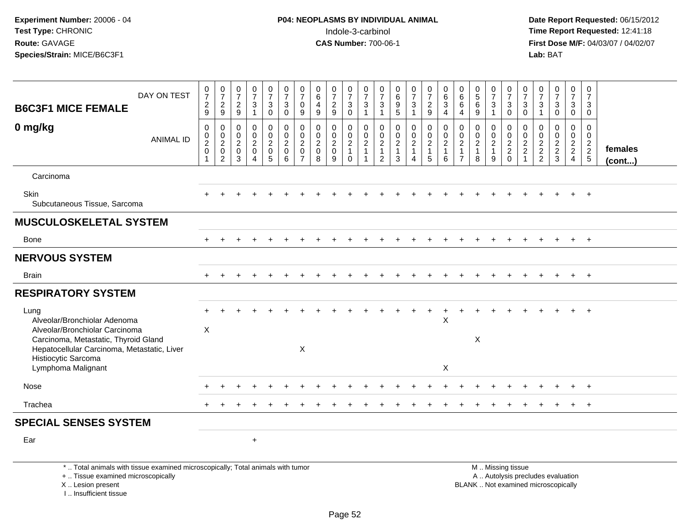I .. Insufficient tissue

| DAY ON TEST<br><b>B6C3F1 MICE FEMALE</b>                                                                                                                      | $\frac{0}{7}$<br>$\frac{2}{9}$                                    | 0<br>$\overline{7}$<br>$\overline{c}$<br>9                          | 0<br>$\overline{7}$<br>$\frac{2}{9}$         | $\frac{0}{7}$<br>$\sqrt{3}$<br>$\overline{1}$                                         | $\boldsymbol{0}$<br>$\overline{7}$<br>3<br>$\mathbf 0$           | $\frac{0}{7}$<br>$\mathbf{3}$<br>$\mathbf 0$                     | 0<br>$\overline{7}$<br>0<br>9                                       | 0<br>$\,6\,$<br>$\overline{4}$<br>9                | 0<br>$\overline{7}$<br>$\overline{c}$<br>9             | 0<br>$\overline{7}$<br>$\mathbf{3}$<br>$\mathbf 0$                 | 0<br>$\overline{7}$<br>$\sqrt{3}$<br>$\mathbf{1}$  | 0<br>$\overline{7}$<br>3<br>$\overline{1}$                           | 0<br>$\,6\,$<br>9<br>5                                            | $\frac{0}{7}$<br>3                                     | 0<br>$\overline{7}$<br>$\overline{2}$<br>9              | $\pmb{0}$<br>$^6_3$<br>$\overline{4}$                         | 0<br>6<br>6<br>$\overline{4}$                                        | $\begin{matrix} 0 \\ 5 \end{matrix}$<br>6<br>9                      | 0<br>$\overline{7}$<br>3<br>$\mathbf{1}$      | 0<br>$\overline{7}$<br>$\mathbf{3}$<br>$\mathbf{0}$ | 0<br>$\overline{7}$<br>3<br>$\Omega$                        | 0<br>$\overline{7}$<br>$\mathbf{3}$<br>$\overline{1}$ | $\frac{0}{7}$<br>$\mathbf{3}$<br>$\mathbf 0$                             | 0<br>$\overline{7}$<br>3<br>$\mathbf 0$             | 0<br>$\overline{7}$<br>3<br>$\mathbf 0$     |                         |
|---------------------------------------------------------------------------------------------------------------------------------------------------------------|-------------------------------------------------------------------|---------------------------------------------------------------------|----------------------------------------------|---------------------------------------------------------------------------------------|------------------------------------------------------------------|------------------------------------------------------------------|---------------------------------------------------------------------|----------------------------------------------------|--------------------------------------------------------|--------------------------------------------------------------------|----------------------------------------------------|----------------------------------------------------------------------|-------------------------------------------------------------------|--------------------------------------------------------|---------------------------------------------------------|---------------------------------------------------------------|----------------------------------------------------------------------|---------------------------------------------------------------------|-----------------------------------------------|-----------------------------------------------------|-------------------------------------------------------------|-------------------------------------------------------|--------------------------------------------------------------------------|-----------------------------------------------------|---------------------------------------------|-------------------------|
| 0 mg/kg<br><b>ANIMAL ID</b>                                                                                                                                   | $\pmb{0}$<br>$\begin{smallmatrix} 0\\2\\0 \end{smallmatrix}$<br>1 | 0<br>$\mathbf 0$<br>$\overline{a}$<br>$\mathbf 0$<br>$\overline{2}$ | 0<br>0<br>$\overline{c}$<br>$\mathbf 0$<br>3 | $\mathbf 0$<br>$\mathbf 0$<br>$\overline{c}$<br>$\mathbf 0$<br>$\boldsymbol{\Lambda}$ | $\mathbf 0$<br>$\mathbf 0$<br>$\overline{c}$<br>$\mathbf 0$<br>5 | $\mathbf 0$<br>$\mathbf 0$<br>$\overline{2}$<br>$\mathbf 0$<br>6 | 0<br>$\mathbf 0$<br>$\overline{c}$<br>$\mathbf 0$<br>$\overline{7}$ | 0<br>$\mathbf 0$<br>$\sqrt{2}$<br>$\mathbf 0$<br>8 | 0<br>$\mathbf 0$<br>$\overline{a}$<br>$\mathbf 0$<br>9 | 0<br>$\mathsf{O}$<br>$\overline{2}$<br>$\mathbf{1}$<br>$\mathbf 0$ | 0<br>$\mathbf 0$<br>$\overline{c}$<br>$\mathbf{1}$ | 0<br>$\mathbf 0$<br>$\overline{2}$<br>$\mathbf{1}$<br>$\overline{2}$ | $\mathbf 0$<br>$\mathbf 0$<br>$\overline{2}$<br>$\mathbf{1}$<br>3 | 0<br>$\mathbf 0$<br>$\overline{2}$<br>$\mathbf 1$<br>4 | 0<br>$\mathbf 0$<br>$\overline{2}$<br>$\mathbf{1}$<br>5 | $\pmb{0}$<br>$\pmb{0}$<br>$\overline{2}$<br>$\mathbf{1}$<br>6 | $\mathbf 0$<br>0<br>$\overline{c}$<br>$\mathbf{1}$<br>$\overline{7}$ | $\mathbf 0$<br>$\mathbf 0$<br>$\boldsymbol{2}$<br>$\mathbf{1}$<br>8 | 0<br>0<br>$\overline{c}$<br>$\mathbf{1}$<br>9 | 0<br>$\mathbf 0$<br>$\frac{2}{2}$<br>$\mathbf 0$    | 0<br>$\mathbf 0$<br>$\boldsymbol{2}$<br>$\overline{2}$<br>1 | 0<br>$\mathbf 0$<br>$\frac{2}{2}$                     | 0<br>$\pmb{0}$<br>$\frac{2}{3}$                                          | $\mathbf 0$<br>0<br>$\frac{2}{2}$<br>$\overline{4}$ | $\mathbf 0$<br>$\mathbf 0$<br>$\frac{2}{2}$ | females<br>$($ cont $)$ |
| Carcinoma                                                                                                                                                     |                                                                   |                                                                     |                                              |                                                                                       |                                                                  |                                                                  |                                                                     |                                                    |                                                        |                                                                    |                                                    |                                                                      |                                                                   |                                                        |                                                         |                                                               |                                                                      |                                                                     |                                               |                                                     |                                                             |                                                       |                                                                          |                                                     |                                             |                         |
| Skin<br>Subcutaneous Tissue, Sarcoma                                                                                                                          |                                                                   |                                                                     |                                              |                                                                                       |                                                                  |                                                                  |                                                                     |                                                    |                                                        |                                                                    |                                                    |                                                                      |                                                                   |                                                        |                                                         |                                                               |                                                                      |                                                                     |                                               |                                                     |                                                             |                                                       |                                                                          |                                                     | $\overline{+}$                              |                         |
| <b>MUSCULOSKELETAL SYSTEM</b>                                                                                                                                 |                                                                   |                                                                     |                                              |                                                                                       |                                                                  |                                                                  |                                                                     |                                                    |                                                        |                                                                    |                                                    |                                                                      |                                                                   |                                                        |                                                         |                                                               |                                                                      |                                                                     |                                               |                                                     |                                                             |                                                       |                                                                          |                                                     |                                             |                         |
| Bone                                                                                                                                                          | $+$                                                               |                                                                     |                                              |                                                                                       |                                                                  |                                                                  |                                                                     |                                                    |                                                        |                                                                    |                                                    |                                                                      |                                                                   |                                                        |                                                         |                                                               |                                                                      |                                                                     |                                               |                                                     |                                                             |                                                       | $\overline{+}$                                                           | $+$                                                 | $+$                                         |                         |
| <b>NERVOUS SYSTEM</b>                                                                                                                                         |                                                                   |                                                                     |                                              |                                                                                       |                                                                  |                                                                  |                                                                     |                                                    |                                                        |                                                                    |                                                    |                                                                      |                                                                   |                                                        |                                                         |                                                               |                                                                      |                                                                     |                                               |                                                     |                                                             |                                                       |                                                                          |                                                     |                                             |                         |
| <b>Brain</b>                                                                                                                                                  |                                                                   |                                                                     |                                              |                                                                                       |                                                                  |                                                                  |                                                                     |                                                    |                                                        |                                                                    |                                                    |                                                                      |                                                                   |                                                        |                                                         |                                                               |                                                                      |                                                                     |                                               |                                                     |                                                             |                                                       |                                                                          |                                                     | $+$                                         |                         |
| <b>RESPIRATORY SYSTEM</b>                                                                                                                                     |                                                                   |                                                                     |                                              |                                                                                       |                                                                  |                                                                  |                                                                     |                                                    |                                                        |                                                                    |                                                    |                                                                      |                                                                   |                                                        |                                                         |                                                               |                                                                      |                                                                     |                                               |                                                     |                                                             |                                                       |                                                                          |                                                     |                                             |                         |
| Lung<br>Alveolar/Bronchiolar Adenoma<br>Alveolar/Bronchiolar Carcinoma<br>Carcinoma, Metastatic, Thyroid Gland<br>Hepatocellular Carcinoma, Metastatic, Liver | $\boldsymbol{\mathsf{X}}$                                         |                                                                     |                                              |                                                                                       |                                                                  |                                                                  | X                                                                   |                                                    |                                                        |                                                                    |                                                    |                                                                      |                                                                   |                                                        |                                                         | $\pmb{\times}$                                                |                                                                      | X                                                                   |                                               |                                                     |                                                             |                                                       |                                                                          |                                                     | $\ddot{+}$                                  |                         |
| Histiocytic Sarcoma<br>Lymphoma Malignant                                                                                                                     |                                                                   |                                                                     |                                              |                                                                                       |                                                                  |                                                                  |                                                                     |                                                    |                                                        |                                                                    |                                                    |                                                                      |                                                                   |                                                        |                                                         | $\pmb{\times}$                                                |                                                                      |                                                                     |                                               |                                                     |                                                             |                                                       |                                                                          |                                                     |                                             |                         |
| Nose                                                                                                                                                          |                                                                   |                                                                     |                                              |                                                                                       |                                                                  |                                                                  |                                                                     |                                                    |                                                        |                                                                    |                                                    |                                                                      |                                                                   |                                                        |                                                         |                                                               |                                                                      |                                                                     |                                               |                                                     |                                                             |                                                       |                                                                          |                                                     |                                             |                         |
| Trachea                                                                                                                                                       |                                                                   |                                                                     |                                              |                                                                                       |                                                                  |                                                                  |                                                                     |                                                    |                                                        |                                                                    |                                                    |                                                                      |                                                                   |                                                        |                                                         |                                                               |                                                                      |                                                                     |                                               |                                                     |                                                             |                                                       |                                                                          | $\ddot{}$                                           | $+$                                         |                         |
| <b>SPECIAL SENSES SYSTEM</b>                                                                                                                                  |                                                                   |                                                                     |                                              |                                                                                       |                                                                  |                                                                  |                                                                     |                                                    |                                                        |                                                                    |                                                    |                                                                      |                                                                   |                                                        |                                                         |                                                               |                                                                      |                                                                     |                                               |                                                     |                                                             |                                                       |                                                                          |                                                     |                                             |                         |
| Ear                                                                                                                                                           |                                                                   |                                                                     |                                              | $\ddot{}$                                                                             |                                                                  |                                                                  |                                                                     |                                                    |                                                        |                                                                    |                                                    |                                                                      |                                                                   |                                                        |                                                         |                                                               |                                                                      |                                                                     |                                               |                                                     |                                                             |                                                       |                                                                          |                                                     |                                             |                         |
| *  Total animals with tissue examined microscopically; Total animals with tumor<br>+  Tissue examined microscopically<br>X  Lesion present                    |                                                                   |                                                                     |                                              |                                                                                       |                                                                  |                                                                  |                                                                     |                                                    |                                                        |                                                                    |                                                    |                                                                      |                                                                   |                                                        |                                                         |                                                               |                                                                      |                                                                     |                                               | M  Missing tissue                                   |                                                             |                                                       | A  Autolysis precludes evaluation<br>BLANK  Not examined microscopically |                                                     |                                             |                         |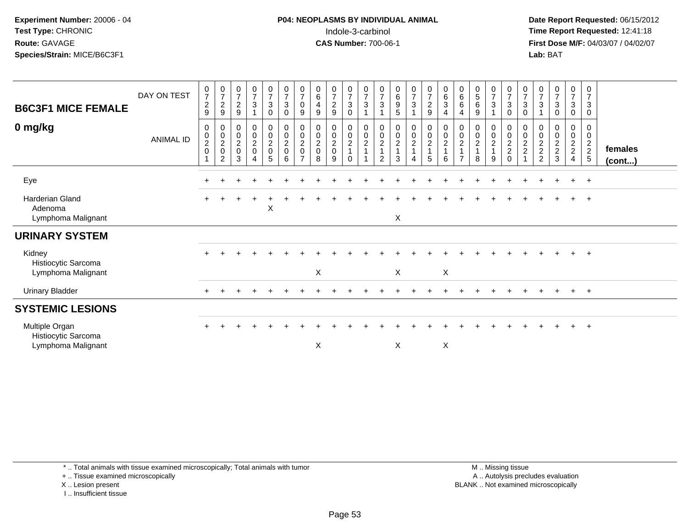**Date Report Requested:** 06/15/2012 **First Dose M/F:** 04/03/07 / 04/02/07<br>Lab: BAT **Lab:** BAT

| <b>B6C3F1 MICE FEMALE</b><br>0 mg/kg                        | DAY ON TEST<br>ANIMAL ID | $\frac{0}{7}$<br>$\sqrt{2}$<br>9<br>0<br>$_2^0$<br>$\mathbf 0$ | $\frac{0}{7}$<br>$\frac{2}{9}$<br>0<br>$\begin{matrix} 0 \\ 2 \\ 0 \end{matrix}$ | $\frac{0}{7}$<br>$\overline{2}$<br>9<br>$\pmb{0}$<br>$\frac{0}{2}$ | $\frac{0}{7}$<br>$\mathbf{3}$<br>0<br>$\mathbf 0$<br>$\frac{2}{0}$ | $\frac{0}{7}$<br>$\sqrt{3}$<br>$\pmb{0}$<br>$\begin{matrix} 0 \\ 0 \\ 2 \\ 0 \end{matrix}$<br>$\overline{5}$ | $\frac{0}{7}$<br>$\mathbf{3}$<br>0<br>$\begin{smallmatrix} 0\\0\\2 \end{smallmatrix}$<br>$\mathsf 0$ | $\frac{0}{7}$<br>0<br>9<br>0<br>0<br>$\overline{c}$<br>$\mathbf 0$<br>$\overline{z}$ | $\begin{array}{c} 0 \\ 6 \end{array}$<br>$\overline{4}$<br>$9$<br>$\mathbf 0$<br>$\overline{0}$<br>$\frac{2}{0}$ | $\frac{0}{7}$<br>$\overline{2}$<br>9<br>0<br>$\pmb{0}$<br>$\frac{2}{0}$ | 0<br>$\overline{7}$<br>$\ensuremath{\mathsf{3}}$<br>$\mathbf 0$<br>0<br>$\pmb{0}$<br>$\frac{2}{1}$ | $\frac{0}{7}$<br>3<br>0<br>$\frac{0}{2}$<br>1 | $\frac{0}{7}$<br>$\ensuremath{\mathsf{3}}$<br>$\mathbf{1}$<br>0002 | $\begin{matrix} 0 \\ 6 \\ 9 \end{matrix}$<br>$\overline{5}$<br>$\begin{array}{c} 0 \\ 0 \\ 2 \\ 1 \end{array}$ | $\frac{0}{7}$<br>$\mathbf{3}$<br>1<br>$\begin{array}{c} 0 \\ 0 \\ 2 \\ 1 \end{array}$ | $\frac{0}{7}$<br>$\overline{2}$<br>$\boldsymbol{9}$<br>$\begin{array}{c} 0 \\ 0 \\ 2 \\ 1 \end{array}$ | 0<br>$\,6$<br>$\mathbf{3}$<br>$\overline{4}$<br>0<br>$\mathbf 0$<br>$\overline{c}$<br>$\mathbf{1}$ | $\begin{array}{c} 0 \\ 6 \end{array}$<br>6<br>$\overline{4}$<br>0<br>$\pmb{0}$<br>$\boldsymbol{2}$<br>$\overline{1}$<br>$\overline{7}$ | $\begin{smallmatrix}0\0\5\end{smallmatrix}$<br>$\,6\,$<br>9<br>0<br>$\pmb{0}$<br>$\overline{c}$<br>$\overline{A}$ | $\frac{0}{7}$<br>$\mathbf 3$<br>$\mathbf 0$<br>$\pmb{0}$<br>$\frac{2}{1}$ | $\frac{0}{7}$<br>$\mathbf{3}$<br>$\mathbf 0$<br>0<br>$\frac{0}{2}$<br>$\Omega$ | $\frac{0}{7}$<br>3<br>$\mathbf 0$<br>0<br>$\pmb{0}$<br>$\frac{2}{2}$ | $\frac{0}{7}$<br>$\sqrt{3}$<br>0<br>$\frac{0}{2}$<br>2<br>2 | $\frac{0}{7}$<br>$\mathbf{3}$<br>$\overline{0}$<br>$\begin{smallmatrix}0\0\0\end{smallmatrix}$<br>$\frac{2}{3}$ | $\frac{0}{7}$<br>3<br>0<br>0<br>0<br>$\frac{2}{2}$ | 0<br>$\overline{7}$<br>$\ensuremath{\mathsf{3}}$<br>$\mathbf 0$<br>0<br>$\mathbf 0$<br>$\frac{2}{5}$ | females      |
|-------------------------------------------------------------|--------------------------|----------------------------------------------------------------|----------------------------------------------------------------------------------|--------------------------------------------------------------------|--------------------------------------------------------------------|--------------------------------------------------------------------------------------------------------------|------------------------------------------------------------------------------------------------------|--------------------------------------------------------------------------------------|------------------------------------------------------------------------------------------------------------------|-------------------------------------------------------------------------|----------------------------------------------------------------------------------------------------|-----------------------------------------------|--------------------------------------------------------------------|----------------------------------------------------------------------------------------------------------------|---------------------------------------------------------------------------------------|--------------------------------------------------------------------------------------------------------|----------------------------------------------------------------------------------------------------|----------------------------------------------------------------------------------------------------------------------------------------|-------------------------------------------------------------------------------------------------------------------|---------------------------------------------------------------------------|--------------------------------------------------------------------------------|----------------------------------------------------------------------|-------------------------------------------------------------|-----------------------------------------------------------------------------------------------------------------|----------------------------------------------------|------------------------------------------------------------------------------------------------------|--------------|
|                                                             |                          |                                                                | $\overline{2}$                                                                   | 3                                                                  | $\overline{4}$                                                     |                                                                                                              | 6                                                                                                    |                                                                                      | 8                                                                                                                | 9                                                                       | $\Omega$                                                                                           |                                               | $\overline{2}$                                                     | 3                                                                                                              | 4                                                                                     | 5                                                                                                      | 6                                                                                                  |                                                                                                                                        | 8                                                                                                                 | 9                                                                         |                                                                                |                                                                      |                                                             |                                                                                                                 |                                                    |                                                                                                      | $($ cont $)$ |
| Eye                                                         |                          | $\pm$                                                          |                                                                                  |                                                                    |                                                                    |                                                                                                              |                                                                                                      |                                                                                      |                                                                                                                  |                                                                         |                                                                                                    |                                               |                                                                    |                                                                                                                |                                                                                       |                                                                                                        |                                                                                                    |                                                                                                                                        |                                                                                                                   |                                                                           |                                                                                |                                                                      |                                                             |                                                                                                                 | $+$                                                | $+$                                                                                                  |              |
| <b>Harderian Gland</b><br>Adenoma<br>Lymphoma Malignant     |                          | $+$                                                            |                                                                                  |                                                                    | $\ddot{}$                                                          | X                                                                                                            |                                                                                                      |                                                                                      |                                                                                                                  |                                                                         |                                                                                                    |                                               |                                                                    | X                                                                                                              |                                                                                       |                                                                                                        |                                                                                                    |                                                                                                                                        |                                                                                                                   |                                                                           |                                                                                |                                                                      |                                                             |                                                                                                                 | $+$                                                | $+$                                                                                                  |              |
| <b>URINARY SYSTEM</b>                                       |                          |                                                                |                                                                                  |                                                                    |                                                                    |                                                                                                              |                                                                                                      |                                                                                      |                                                                                                                  |                                                                         |                                                                                                    |                                               |                                                                    |                                                                                                                |                                                                                       |                                                                                                        |                                                                                                    |                                                                                                                                        |                                                                                                                   |                                                                           |                                                                                |                                                                      |                                                             |                                                                                                                 |                                                    |                                                                                                      |              |
| Kidney<br>Histiocytic Sarcoma<br>Lymphoma Malignant         |                          | $\div$                                                         |                                                                                  |                                                                    |                                                                    |                                                                                                              |                                                                                                      |                                                                                      | X                                                                                                                |                                                                         |                                                                                                    |                                               |                                                                    | X                                                                                                              |                                                                                       |                                                                                                        | $\boldsymbol{\mathsf{X}}$                                                                          |                                                                                                                                        |                                                                                                                   |                                                                           |                                                                                |                                                                      |                                                             |                                                                                                                 | $+$                                                | $+$                                                                                                  |              |
| <b>Urinary Bladder</b>                                      |                          | $\pm$                                                          |                                                                                  |                                                                    |                                                                    |                                                                                                              |                                                                                                      |                                                                                      |                                                                                                                  |                                                                         |                                                                                                    |                                               |                                                                    |                                                                                                                |                                                                                       |                                                                                                        |                                                                                                    |                                                                                                                                        |                                                                                                                   |                                                                           |                                                                                |                                                                      |                                                             |                                                                                                                 | $\pm$                                              | $+$                                                                                                  |              |
| <b>SYSTEMIC LESIONS</b>                                     |                          |                                                                |                                                                                  |                                                                    |                                                                    |                                                                                                              |                                                                                                      |                                                                                      |                                                                                                                  |                                                                         |                                                                                                    |                                               |                                                                    |                                                                                                                |                                                                                       |                                                                                                        |                                                                                                    |                                                                                                                                        |                                                                                                                   |                                                                           |                                                                                |                                                                      |                                                             |                                                                                                                 |                                                    |                                                                                                      |              |
| Multiple Organ<br>Histiocytic Sarcoma<br>Lymphoma Malignant |                          | $\ddot{}$                                                      |                                                                                  |                                                                    |                                                                    |                                                                                                              |                                                                                                      |                                                                                      | $\pmb{\times}$                                                                                                   |                                                                         |                                                                                                    |                                               |                                                                    | X                                                                                                              |                                                                                       |                                                                                                        | X                                                                                                  |                                                                                                                                        |                                                                                                                   |                                                                           |                                                                                |                                                                      |                                                             |                                                                                                                 | $+$                                                | $+$                                                                                                  |              |

+ .. Tissue examined microscopically

X .. Lesion present

I .. Insufficient tissue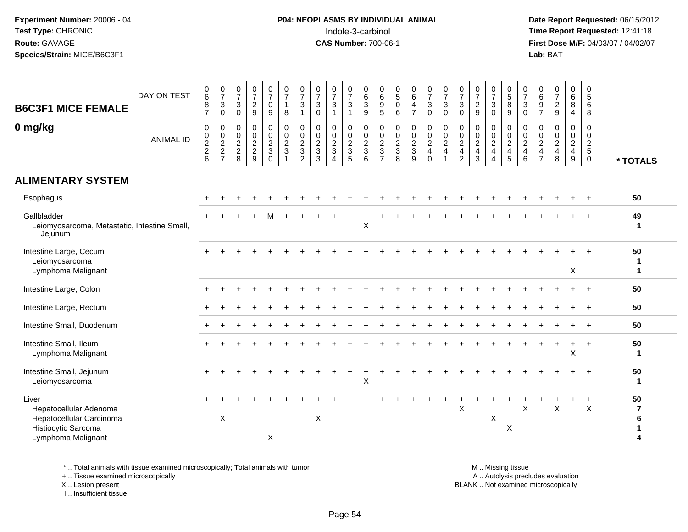**Date Report Requested:** 06/15/2012 **First Dose M/F:** 04/03/07 / 04/02/07<br>Lab: BAT **Lab:** BAT

| <b>B6C3F1 MICE FEMALE</b><br>0 mg/kg                                                                     | DAY ON TEST<br><b>ANIMAL ID</b> | $\begin{array}{c} 0 \\ 6 \end{array}$<br>$\,8\,$<br>$\overline{7}$<br>$\mathsf 0$<br>0, 2, 2, 6 | $\frac{0}{7}$<br>$\sqrt{3}$<br>$\pmb{0}$<br>$\mathbf 0$<br>$\frac{0}{2}$<br>7 | $\frac{0}{7}$<br>$\mathsf 3$<br>$\mathsf 0$<br>$\mathsf 0$<br>$\mathsf{O}\xspace$<br>$\overline{2}$<br>$\overline{c}$<br>8 | $\frac{0}{7}$<br>$\boldsymbol{2}$<br>$\boldsymbol{9}$<br>$\mathbf 0$<br>$\pmb{0}$<br>$\overline{2}$<br>$\boldsymbol{2}$<br>$\overline{9}$ | $\frac{0}{7}$<br>$\mathbf 0$<br>$\boldsymbol{9}$<br>$\pmb{0}$<br>$\frac{0}{2}$<br>$\mathbf{3}$<br>$\overline{0}$ | $\frac{0}{7}$<br>$\mathbf{1}$<br>8<br>$\mathbf 0$<br>$\mathbf 0$<br>$\overline{a}$<br>3 | $\frac{0}{7}$<br>3<br>$\mathbf{1}$<br>$\mathbf 0$<br>$\mathbf 0$<br>$\sqrt{2}$<br>$\mathbf{3}$<br>$\overline{2}$ | $\begin{array}{c} 0 \\ 7 \end{array}$<br>$\ensuremath{\mathsf{3}}$<br>$\pmb{0}$<br>0<br>$\pmb{0}$<br>$\overline{2}$<br>$\sqrt{3}$<br>$\overline{3}$ | $\frac{0}{7}$<br>$\ensuremath{\mathsf{3}}$<br>$\overline{1}$<br>$\mathbf 0$<br>$\mathbf 0$<br>$\overline{2}$<br>$\mathbf 3$<br>$\overline{4}$ | $\frac{0}{7}$<br>$\mathsf 3$<br>$\mathbf{1}$<br>$\mathbf 0$<br>$\pmb{0}$<br>$\overline{2}$<br>$\sqrt{3}$<br>$\overline{5}$ | 0<br>$6\phantom{a}$<br>$\sqrt{3}$<br>$\boldsymbol{9}$<br>0<br>$\mathbf 0$<br>$\overline{2}$<br>$\mathbf{3}$<br>$6\phantom{1}$ | $\begin{array}{c} 0 \\ 6 \end{array}$<br>$\boldsymbol{9}$<br>$\sqrt{5}$<br>$\mathbf 0$<br>$\boldsymbol{0}$<br>$\sqrt{2}$<br>$\sqrt{3}$<br>$\overline{7}$ | $\begin{array}{c} 0 \\ 5 \end{array}$<br>$\mathsf 0$<br>6<br>0<br>$\pmb{0}$<br>$\overline{2}$<br>$\mathbf{3}$<br>$\overline{8}$ | $_{6}^{\rm 0}$<br>$\overline{\mathbf{4}}$<br>$\overline{7}$<br>0<br>$\frac{0}{2}$<br>$\sqrt{3}$<br>$\overline{9}$ | $\frac{0}{7}$<br>$\ensuremath{\mathsf{3}}$<br>$\pmb{0}$<br>$\mathbf 0$<br>$\frac{0}{2}$<br>$\overline{4}$<br>$\mathbf 0$ | $\frac{0}{7}$<br>$\mathbf{3}$<br>$\mathbf 0$<br>0<br>$\mathbf 0$<br>$\sqrt{2}$<br>4 | $\frac{0}{7}$<br>$\ensuremath{\mathsf{3}}$<br>$\pmb{0}$<br>$\mathbf 0$<br>$\frac{0}{2}$<br>$\overline{\mathbf{4}}$<br>$\overline{2}$ | 0<br>$\overline{7}$<br>$\overline{c}$<br>$\boldsymbol{9}$<br>0<br>$\mathsf{O}\xspace$<br>$\overline{2}$<br>$\overline{4}$<br>3 | $\frac{0}{7}$<br>$\sqrt{3}$<br>$\mathbf 0$<br>$\mathbf 0$<br>$\mathbf 0$<br>$\overline{2}$<br>$\overline{4}$<br>$\overline{4}$ | $\begin{array}{c} 0 \\ 5 \end{array}$<br>$\,8\,$<br>9<br>0<br>$\mathbf 0$<br>$\sqrt{2}$<br>4<br>5 | $\frac{0}{7}$<br>$\mathbf{3}$<br>$\mathbf 0$<br>$\mathbf 0$<br>$\frac{0}{2}$<br>$\overline{4}$<br>$6\phantom{a}$ | $\begin{matrix}0\6\9\end{matrix}$<br>$\overline{7}$<br>0<br>$\mathbf 0$<br>$\overline{2}$<br>4<br>$\overline{7}$ | $\frac{0}{7}$<br>$\frac{2}{9}$<br>$\pmb{0}$<br>$\frac{0}{2}$<br>$\begin{array}{c} 4 \\ 8 \end{array}$ | $\begin{array}{c} 0 \\ 6 \end{array}$<br>$\bf 8$<br>$\overline{4}$<br>$\mathbf 0$<br>$\pmb{0}$<br>$\overline{2}$<br>4<br>9 | 0<br>$\sqrt{5}$<br>$6\phantom{1}6$<br>8<br>0<br>$\mathbf 0$<br>$\overline{2}$<br>$\sqrt{5}$<br>$\mathbf 0$ | * TOTALS                |
|----------------------------------------------------------------------------------------------------------|---------------------------------|-------------------------------------------------------------------------------------------------|-------------------------------------------------------------------------------|----------------------------------------------------------------------------------------------------------------------------|-------------------------------------------------------------------------------------------------------------------------------------------|------------------------------------------------------------------------------------------------------------------|-----------------------------------------------------------------------------------------|------------------------------------------------------------------------------------------------------------------|-----------------------------------------------------------------------------------------------------------------------------------------------------|-----------------------------------------------------------------------------------------------------------------------------------------------|----------------------------------------------------------------------------------------------------------------------------|-------------------------------------------------------------------------------------------------------------------------------|----------------------------------------------------------------------------------------------------------------------------------------------------------|---------------------------------------------------------------------------------------------------------------------------------|-------------------------------------------------------------------------------------------------------------------|--------------------------------------------------------------------------------------------------------------------------|-------------------------------------------------------------------------------------|--------------------------------------------------------------------------------------------------------------------------------------|--------------------------------------------------------------------------------------------------------------------------------|--------------------------------------------------------------------------------------------------------------------------------|---------------------------------------------------------------------------------------------------|------------------------------------------------------------------------------------------------------------------|------------------------------------------------------------------------------------------------------------------|-------------------------------------------------------------------------------------------------------|----------------------------------------------------------------------------------------------------------------------------|------------------------------------------------------------------------------------------------------------|-------------------------|
| <b>ALIMENTARY SYSTEM</b>                                                                                 |                                 |                                                                                                 |                                                                               |                                                                                                                            |                                                                                                                                           |                                                                                                                  |                                                                                         |                                                                                                                  |                                                                                                                                                     |                                                                                                                                               |                                                                                                                            |                                                                                                                               |                                                                                                                                                          |                                                                                                                                 |                                                                                                                   |                                                                                                                          |                                                                                     |                                                                                                                                      |                                                                                                                                |                                                                                                                                |                                                                                                   |                                                                                                                  |                                                                                                                  |                                                                                                       |                                                                                                                            |                                                                                                            |                         |
| Esophagus                                                                                                |                                 |                                                                                                 |                                                                               |                                                                                                                            |                                                                                                                                           |                                                                                                                  |                                                                                         |                                                                                                                  |                                                                                                                                                     |                                                                                                                                               |                                                                                                                            |                                                                                                                               |                                                                                                                                                          |                                                                                                                                 |                                                                                                                   |                                                                                                                          |                                                                                     |                                                                                                                                      |                                                                                                                                |                                                                                                                                |                                                                                                   |                                                                                                                  |                                                                                                                  |                                                                                                       |                                                                                                                            |                                                                                                            | 50                      |
| Gallbladder<br>Leiomyosarcoma, Metastatic, Intestine Small,<br>Jejunum                                   |                                 |                                                                                                 |                                                                               |                                                                                                                            |                                                                                                                                           |                                                                                                                  |                                                                                         |                                                                                                                  |                                                                                                                                                     |                                                                                                                                               |                                                                                                                            | X                                                                                                                             |                                                                                                                                                          |                                                                                                                                 |                                                                                                                   |                                                                                                                          |                                                                                     |                                                                                                                                      |                                                                                                                                |                                                                                                                                |                                                                                                   |                                                                                                                  |                                                                                                                  |                                                                                                       |                                                                                                                            |                                                                                                            | 49<br>1                 |
| Intestine Large, Cecum<br>Leiomyosarcoma<br>Lymphoma Malignant                                           |                                 |                                                                                                 |                                                                               |                                                                                                                            |                                                                                                                                           |                                                                                                                  |                                                                                         |                                                                                                                  |                                                                                                                                                     |                                                                                                                                               |                                                                                                                            |                                                                                                                               |                                                                                                                                                          |                                                                                                                                 |                                                                                                                   |                                                                                                                          |                                                                                     |                                                                                                                                      |                                                                                                                                |                                                                                                                                |                                                                                                   |                                                                                                                  |                                                                                                                  |                                                                                                       | $\times$                                                                                                                   |                                                                                                            | 50<br>1<br>$\mathbf{1}$ |
| Intestine Large, Colon                                                                                   |                                 |                                                                                                 |                                                                               |                                                                                                                            |                                                                                                                                           |                                                                                                                  |                                                                                         |                                                                                                                  |                                                                                                                                                     |                                                                                                                                               |                                                                                                                            |                                                                                                                               |                                                                                                                                                          |                                                                                                                                 |                                                                                                                   |                                                                                                                          |                                                                                     |                                                                                                                                      |                                                                                                                                |                                                                                                                                |                                                                                                   |                                                                                                                  |                                                                                                                  |                                                                                                       |                                                                                                                            |                                                                                                            | 50                      |
| Intestine Large, Rectum                                                                                  |                                 |                                                                                                 |                                                                               |                                                                                                                            |                                                                                                                                           |                                                                                                                  |                                                                                         |                                                                                                                  |                                                                                                                                                     |                                                                                                                                               |                                                                                                                            |                                                                                                                               |                                                                                                                                                          |                                                                                                                                 |                                                                                                                   |                                                                                                                          |                                                                                     |                                                                                                                                      |                                                                                                                                |                                                                                                                                |                                                                                                   |                                                                                                                  |                                                                                                                  |                                                                                                       |                                                                                                                            | $\ddot{}$                                                                                                  | 50                      |
| Intestine Small, Duodenum                                                                                |                                 |                                                                                                 |                                                                               |                                                                                                                            |                                                                                                                                           |                                                                                                                  |                                                                                         |                                                                                                                  |                                                                                                                                                     |                                                                                                                                               |                                                                                                                            |                                                                                                                               |                                                                                                                                                          |                                                                                                                                 |                                                                                                                   |                                                                                                                          |                                                                                     |                                                                                                                                      |                                                                                                                                |                                                                                                                                |                                                                                                   |                                                                                                                  |                                                                                                                  |                                                                                                       |                                                                                                                            | $\ddot{}$                                                                                                  | 50                      |
| Intestine Small, Ileum<br>Lymphoma Malignant                                                             |                                 |                                                                                                 |                                                                               |                                                                                                                            |                                                                                                                                           |                                                                                                                  |                                                                                         |                                                                                                                  |                                                                                                                                                     |                                                                                                                                               |                                                                                                                            |                                                                                                                               |                                                                                                                                                          |                                                                                                                                 |                                                                                                                   |                                                                                                                          |                                                                                     |                                                                                                                                      |                                                                                                                                |                                                                                                                                |                                                                                                   |                                                                                                                  |                                                                                                                  |                                                                                                       | $\ddot{}$<br>$\sf X$                                                                                                       | $+$                                                                                                        | 50<br>1                 |
| Intestine Small, Jejunum<br>Leiomyosarcoma                                                               |                                 |                                                                                                 |                                                                               |                                                                                                                            |                                                                                                                                           |                                                                                                                  |                                                                                         |                                                                                                                  |                                                                                                                                                     |                                                                                                                                               |                                                                                                                            | Χ                                                                                                                             |                                                                                                                                                          |                                                                                                                                 |                                                                                                                   |                                                                                                                          |                                                                                     |                                                                                                                                      |                                                                                                                                |                                                                                                                                |                                                                                                   |                                                                                                                  |                                                                                                                  |                                                                                                       |                                                                                                                            |                                                                                                            | 50<br>1                 |
| Liver<br>Hepatocellular Adenoma<br>Hepatocellular Carcinoma<br>Histiocytic Sarcoma<br>Lymphoma Malignant |                                 |                                                                                                 | X                                                                             |                                                                                                                            |                                                                                                                                           | X                                                                                                                |                                                                                         |                                                                                                                  | X                                                                                                                                                   |                                                                                                                                               |                                                                                                                            |                                                                                                                               |                                                                                                                                                          |                                                                                                                                 |                                                                                                                   |                                                                                                                          |                                                                                     | X                                                                                                                                    |                                                                                                                                | X                                                                                                                              | X                                                                                                 | X                                                                                                                |                                                                                                                  | X                                                                                                     |                                                                                                                            | $\ddot{}$<br>X                                                                                             | 50<br>7<br>6<br>1<br>4  |

\* .. Total animals with tissue examined microscopically; Total animals with tumor

+ .. Tissue examined microscopically

X .. Lesion present

I .. Insufficient tissue

M .. Missing tissue

y the contract of the contract of the contract of the contract of the contract of the contract of the contract of  $A$ . Autolysis precludes evaluation

Lesion present BLANK .. Not examined microscopically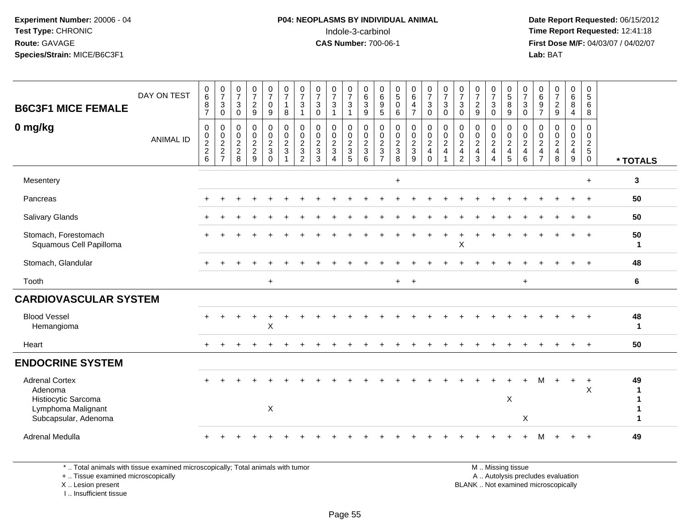# **P04: NEOPLASMS BY INDIVIDUAL ANIMAL**Indole-3-carbinol **Time Report Requested:** 12:41:18

 **Date Report Requested:** 06/15/2012 **First Dose M/F:** 04/03/07 / 04/02/07<br>Lab: BAT **Lab:** BAT

| <b>B6C3F1 MICE FEMALE</b>                                                                             | DAY ON TEST      | $\begin{array}{c} 0 \\ 6 \end{array}$<br>8<br>$\overline{7}$ | $\frac{0}{7}$<br>$\sqrt{3}$<br>$\mathbf 0$    | $\frac{0}{7}$<br>$\mathbf{3}$<br>$\mathbf 0$ | $\frac{0}{7}$<br>$\frac{2}{9}$                      | $\frac{0}{7}$<br>$\mathsf{O}$<br>9                          | $\frac{0}{7}$<br>$\mathbf{1}$<br>$\,8\,$                          | $\frac{0}{7}$<br>$\mathbf{3}$<br>$\mathbf{1}$                           | $\frac{0}{7}$<br>$\frac{3}{0}$  | $\frac{0}{7}$<br>$\mathbf{3}$<br>$\mathbf{1}$ | $\frac{0}{7}$<br>$\mathbf{3}$<br>$\mathbf{1}$ | 0<br>0<br>0<br>9        | $\begin{matrix}0\\6\end{matrix}$<br>$\frac{9}{5}$ | $\begin{array}{c} 0 \\ 5 \end{array}$<br>$\mathbf 0$<br>6 | $_{6}^{\rm 0}$<br>$\overline{4}$<br>$\overline{7}$ | $\frac{0}{7}$<br>$_{0}^{3}$                                 | $\frac{0}{7}$<br>$_{0}^{3}$                                 | $\frac{0}{7}$<br>$\mathbf{3}$<br>$\mathbf 0$                                 | $\frac{0}{7}$<br>$\frac{2}{9}$  | $\frac{0}{7}$<br>$\mathbf{3}$<br>$\mathbf 0$ | 0<br>5<br>8<br>9                | $\frac{0}{7}$<br>$_{0}^{3}$                                                        | $\begin{matrix}0\\6\end{matrix}$<br>$\frac{9}{7}$                  | $\frac{0}{7}$<br>$\frac{2}{9}$       | $\begin{matrix}0\0\0\8\end{matrix}$<br>$\overline{4}$ | 0<br>$5\,$<br>$6\phantom{1}$<br>$\overline{8}$ |                    |
|-------------------------------------------------------------------------------------------------------|------------------|--------------------------------------------------------------|-----------------------------------------------|----------------------------------------------|-----------------------------------------------------|-------------------------------------------------------------|-------------------------------------------------------------------|-------------------------------------------------------------------------|---------------------------------|-----------------------------------------------|-----------------------------------------------|-------------------------|---------------------------------------------------|-----------------------------------------------------------|----------------------------------------------------|-------------------------------------------------------------|-------------------------------------------------------------|------------------------------------------------------------------------------|---------------------------------|----------------------------------------------|---------------------------------|------------------------------------------------------------------------------------|--------------------------------------------------------------------|--------------------------------------|-------------------------------------------------------|------------------------------------------------|--------------------|
| 0 mg/kg                                                                                               | <b>ANIMAL ID</b> | $\pmb{0}$<br>$\frac{0}{2}$<br>6                              | $\mathbf 0$<br>$\frac{0}{2}$<br>$\frac{2}{7}$ | $\,0\,$<br>$\frac{0}{2}$<br>8                | $\begin{matrix} 0 \\ 0 \\ 2 \\ 2 \end{matrix}$<br>9 | $\begin{array}{c} 0 \\ 0 \\ 2 \\ 3 \end{array}$<br>$\Omega$ | $\begin{array}{c} 0 \\ 0 \\ 2 \\ 3 \end{array}$<br>$\overline{1}$ | $\pmb{0}$<br>$\mathbf 0$<br>$\sqrt{2}$<br>$\mathsf 3$<br>$\overline{2}$ | $\pmb{0}$<br>$\frac{0}{2}$<br>3 | $\mathbf 0$<br>$\frac{0}{2}$<br>$\Delta$      | 0<br>$\frac{0}{2}$<br>5                       | 0<br>$\frac{0}{2}$<br>6 | $\pmb{0}$<br>$\frac{0}{2}$<br>$\overline{7}$      | $\pmb{0}$<br>$\frac{0}{2}$<br>8                           | 0<br>$\frac{0}{2}$<br>9                            | $\begin{array}{c} 0 \\ 0 \\ 2 \\ 4 \end{array}$<br>$\Omega$ | $\begin{matrix} 0 \\ 0 \\ 2 \end{matrix}$<br>$\overline{4}$ | $\pmb{0}$<br>$\pmb{0}$<br>$\overline{c}$<br>$\overline{4}$<br>$\overline{2}$ | $\pmb{0}$<br>$\frac{0}{2}$<br>3 | 0<br>$\frac{0}{2}$<br>$\Delta$               | $\pmb{0}$<br>$\frac{0}{2}$<br>5 | $\mathbf 0$<br>$\begin{smallmatrix} 0\\2 \end{smallmatrix}$<br>$\overline{4}$<br>6 | 0<br>$\,0\,$<br>$\overline{2}$<br>$\overline{4}$<br>$\overline{7}$ | 0<br>$\pmb{0}$<br>$\frac{2}{4}$<br>8 | 0<br>$\frac{0}{2}$<br>9                               | 0<br>$\frac{0}{2}$<br>$\mathbf 0$              | * TOTALS           |
| Mesentery                                                                                             |                  |                                                              |                                               |                                              |                                                     |                                                             |                                                                   |                                                                         |                                 |                                               |                                               |                         |                                                   | $\ddot{}$                                                 |                                                    |                                                             |                                                             |                                                                              |                                 |                                              |                                 |                                                                                    |                                                                    |                                      |                                                       | $+$                                            | 3                  |
| Pancreas                                                                                              |                  |                                                              |                                               |                                              |                                                     |                                                             |                                                                   |                                                                         |                                 |                                               |                                               |                         |                                                   |                                                           |                                                    |                                                             |                                                             |                                                                              |                                 |                                              |                                 |                                                                                    |                                                                    |                                      |                                                       | $\ddot{}$                                      | 50                 |
| Salivary Glands                                                                                       |                  |                                                              |                                               |                                              |                                                     |                                                             |                                                                   |                                                                         |                                 |                                               |                                               |                         |                                                   |                                                           |                                                    |                                                             |                                                             |                                                                              |                                 |                                              |                                 |                                                                                    |                                                                    |                                      |                                                       |                                                | 50                 |
| Stomach, Forestomach<br>Squamous Cell Papilloma                                                       |                  |                                                              |                                               |                                              |                                                     |                                                             |                                                                   |                                                                         |                                 |                                               |                                               |                         |                                                   |                                                           |                                                    |                                                             |                                                             | X                                                                            |                                 |                                              |                                 |                                                                                    |                                                                    |                                      |                                                       |                                                | 50<br>$\mathbf{1}$ |
| Stomach, Glandular                                                                                    |                  |                                                              |                                               |                                              |                                                     |                                                             |                                                                   |                                                                         |                                 |                                               |                                               |                         |                                                   |                                                           |                                                    |                                                             |                                                             |                                                                              |                                 |                                              |                                 |                                                                                    |                                                                    |                                      |                                                       | $\ddot{+}$                                     | 48                 |
| Tooth                                                                                                 |                  |                                                              |                                               |                                              |                                                     | $+$                                                         |                                                                   |                                                                         |                                 |                                               |                                               |                         |                                                   | $+$                                                       | $+$                                                |                                                             |                                                             |                                                                              |                                 |                                              |                                 | $+$                                                                                |                                                                    |                                      |                                                       |                                                | 6                  |
| <b>CARDIOVASCULAR SYSTEM</b>                                                                          |                  |                                                              |                                               |                                              |                                                     |                                                             |                                                                   |                                                                         |                                 |                                               |                                               |                         |                                                   |                                                           |                                                    |                                                             |                                                             |                                                                              |                                 |                                              |                                 |                                                                                    |                                                                    |                                      |                                                       |                                                |                    |
| <b>Blood Vessel</b><br>Hemangioma                                                                     |                  |                                                              |                                               |                                              |                                                     | X                                                           |                                                                   |                                                                         |                                 |                                               |                                               |                         |                                                   |                                                           |                                                    |                                                             |                                                             |                                                                              |                                 |                                              |                                 |                                                                                    |                                                                    |                                      |                                                       |                                                | 48<br>1            |
| Heart                                                                                                 |                  |                                                              |                                               |                                              |                                                     |                                                             |                                                                   |                                                                         |                                 |                                               |                                               |                         |                                                   |                                                           |                                                    |                                                             |                                                             |                                                                              |                                 |                                              |                                 |                                                                                    |                                                                    |                                      |                                                       | $\ddot{}$                                      | 50                 |
| <b>ENDOCRINE SYSTEM</b>                                                                               |                  |                                                              |                                               |                                              |                                                     |                                                             |                                                                   |                                                                         |                                 |                                               |                                               |                         |                                                   |                                                           |                                                    |                                                             |                                                             |                                                                              |                                 |                                              |                                 |                                                                                    |                                                                    |                                      |                                                       |                                                |                    |
| <b>Adrenal Cortex</b><br>Adenoma<br>Histiocytic Sarcoma<br>Lymphoma Malignant<br>Subcapsular, Adenoma |                  |                                                              |                                               |                                              |                                                     | $\mathsf X$                                                 |                                                                   |                                                                         |                                 |                                               |                                               |                         |                                                   |                                                           |                                                    |                                                             |                                                             |                                                                              |                                 |                                              | X                               | X                                                                                  | M                                                                  | $\ddot{}$                            | $+$                                                   | $\ddot{}$<br>X                                 | 49                 |
| Adrenal Medulla                                                                                       |                  |                                                              |                                               |                                              |                                                     |                                                             |                                                                   |                                                                         |                                 |                                               |                                               |                         |                                                   |                                                           |                                                    |                                                             |                                                             |                                                                              |                                 |                                              |                                 |                                                                                    | м                                                                  |                                      | $+$                                                   | $+$                                            | 49                 |

\* .. Total animals with tissue examined microscopically; Total animals with tumor

+ .. Tissue examined microscopically

X .. Lesion present

I .. Insufficient tissue

M .. Missing tissue

y the contract of the contract of the contract of the contract of the contract of the contract of the contract of  $A$ . Autolysis precludes evaluation

Lesion present BLANK .. Not examined microscopically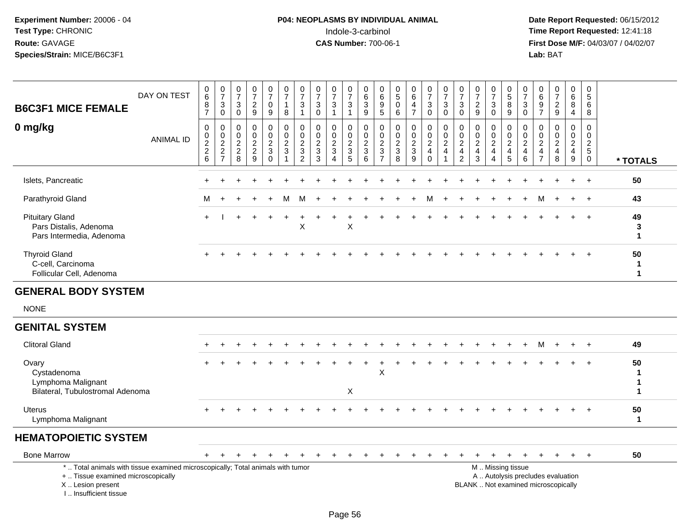# **P04: NEOPLASMS BY INDIVIDUAL ANIMAL**<br>Indole-3-carbinol Indole-3-carbinol **Time Report Requested:** 12:41:18

| <b>B6C3F1 MICE FEMALE</b>                                                                                                                                           | DAY ON TEST      | $\begin{array}{c} 0 \\ 6 \end{array}$<br>8<br>$\overline{7}$ | $\frac{0}{7}$<br>$\overline{3}$<br>$\mathbf 0$    | $\frac{0}{7}$<br>$\mathbf{3}$<br>$\mathbf 0$               | $\begin{array}{c} 0 \\ 7 \end{array}$<br>$\overline{c}$<br>9     | $\frac{0}{7}$<br>$\mathbf 0$<br>$\boldsymbol{9}$ | 0<br>$\overline{7}$<br>1<br>8                        | $\frac{0}{7}$<br>$\sqrt{3}$<br>$\mathbf{1}$                                      | 0<br>$\overline{7}$<br>$\mathbf{3}$<br>$\mathbf 0$ | $\begin{array}{c} 0 \\ 7 \end{array}$<br>3                          | $\frac{0}{7}$<br>$\sqrt{3}$<br>$\mathbf{1}$                 | 0<br>6<br>$\mathbf{3}$<br>9                                                 | $\mathbf 0$<br>6<br>9<br>$\sqrt{5}$               | $\pmb{0}$<br>$5\phantom{.0}$<br>$\Omega$<br>6                               | $_{6}^{\rm 0}$<br>4<br>$\overline{7}$ | $\frac{0}{7}$<br>$\mathbf{3}$<br>$\mathbf 0$                         | $\frac{0}{7}$<br>$\sqrt{3}$<br>$\mathbf 0$                   | $\frac{0}{7}$<br>$\sqrt{3}$<br>$\mathbf 0$          | $\frac{0}{7}$<br>$\sqrt{2}$<br>9                       | $\frac{0}{7}$<br>3<br>$\mathbf 0$                               | $\begin{array}{c} 0 \\ 5 \end{array}$<br>8<br>9                          | 0<br>$\overline{7}$<br>3<br>$\Omega$      | 0<br>$^6_9$<br>$\overline{7}$                                                 | $\begin{array}{c} 0 \\ 7 \end{array}$<br>$\overline{c}$<br>$\boldsymbol{9}$ | $\begin{array}{c} 0 \\ 6 \end{array}$<br>$\overline{8}$<br>$\overline{4}$          | $\pmb{0}$<br>$\sqrt{5}$<br>6<br>8                       |                        |
|---------------------------------------------------------------------------------------------------------------------------------------------------------------------|------------------|--------------------------------------------------------------|---------------------------------------------------|------------------------------------------------------------|------------------------------------------------------------------|--------------------------------------------------|------------------------------------------------------|----------------------------------------------------------------------------------|----------------------------------------------------|---------------------------------------------------------------------|-------------------------------------------------------------|-----------------------------------------------------------------------------|---------------------------------------------------|-----------------------------------------------------------------------------|---------------------------------------|----------------------------------------------------------------------|--------------------------------------------------------------|-----------------------------------------------------|--------------------------------------------------------|-----------------------------------------------------------------|--------------------------------------------------------------------------|-------------------------------------------|-------------------------------------------------------------------------------|-----------------------------------------------------------------------------|------------------------------------------------------------------------------------|---------------------------------------------------------|------------------------|
| 0 mg/kg                                                                                                                                                             | <b>ANIMAL ID</b> | $\mathbf 0$<br>0<br>$\overline{c}$<br>$\frac{2}{6}$          | 0<br>$\pmb{0}$<br>$\overline{c}$<br>$\frac{2}{7}$ | $\mathbf{0}$<br>0<br>$\overline{c}$<br>$\overline{c}$<br>8 | $\Omega$<br>$\mathbf 0$<br>$\overline{2}$<br>$\overline{c}$<br>9 | 0<br>$\mathbf 0$<br>$\frac{2}{3}$<br>$\mathbf 0$ | $\Omega$<br>0<br>$\overline{2}$<br>3<br>$\mathbf{1}$ | $\mathbf 0$<br>$\mathbf 0$<br>$\overline{c}$<br>$\overline{3}$<br>$\overline{2}$ | $\Omega$<br>0<br>$\overline{2}$<br>3<br>3          | $\Omega$<br>$\mathbf 0$<br>$\overline{2}$<br>$\sqrt{3}$<br>$\Delta$ | $\mathbf 0$<br>0<br>$\boldsymbol{2}$<br>$\overline{3}$<br>5 | $\Omega$<br>$\mathbf 0$<br>$\overline{c}$<br>$\ensuremath{\mathsf{3}}$<br>6 | 0<br>0<br>$\boldsymbol{2}$<br>3<br>$\overline{7}$ | $\Omega$<br>$\mathbf 0$<br>$\overline{2}$<br>$\ensuremath{\mathsf{3}}$<br>8 | 0<br>0<br>$\frac{2}{3}$<br>9          | 0<br>$\mathsf{O}$<br>$\overline{2}$<br>$\overline{4}$<br>$\mathbf 0$ | $\mathbf 0$<br>$\pmb{0}$<br>$\overline{c}$<br>$\overline{4}$ | 0<br>$\mathbf 0$<br>$\frac{2}{4}$<br>$\overline{2}$ | $\Omega$<br>0<br>$\overline{2}$<br>$\overline{4}$<br>3 | $\Omega$<br>0<br>$\overline{\mathbf{c}}$<br>4<br>$\overline{4}$ | $\mathbf 0$<br>$\mathbf 0$<br>$\begin{array}{c} 2 \\ 4 \\ 5 \end{array}$ | $\Omega$<br>0<br>$\overline{2}$<br>4<br>6 | $\Omega$<br>$\mathbf 0$<br>$\overline{c}$<br>$\overline{4}$<br>$\overline{7}$ | $\Omega$<br>$\mathbf 0$<br>$\overline{2}$<br>4<br>8                         | $\mathbf 0$<br>$\mathbf 0$<br>$\overline{c}$<br>$\overline{4}$<br>$\boldsymbol{9}$ | $\Omega$<br>$\mathbf 0$<br>$\frac{2}{5}$<br>$\mathbf 0$ | * TOTALS               |
| Islets, Pancreatic                                                                                                                                                  |                  |                                                              |                                                   |                                                            |                                                                  |                                                  |                                                      |                                                                                  |                                                    |                                                                     |                                                             |                                                                             |                                                   |                                                                             |                                       |                                                                      |                                                              |                                                     |                                                        |                                                                 |                                                                          |                                           |                                                                               |                                                                             |                                                                                    |                                                         | 50                     |
| Parathyroid Gland                                                                                                                                                   |                  | м                                                            |                                                   |                                                            |                                                                  |                                                  | м                                                    | м                                                                                |                                                    |                                                                     |                                                             |                                                                             |                                                   |                                                                             |                                       |                                                                      |                                                              |                                                     |                                                        |                                                                 |                                                                          |                                           |                                                                               |                                                                             |                                                                                    |                                                         | 43                     |
| <b>Pituitary Gland</b><br>Pars Distalis, Adenoma<br>Pars Intermedia, Adenoma                                                                                        |                  | $+$                                                          |                                                   |                                                            |                                                                  |                                                  |                                                      | X                                                                                |                                                    |                                                                     | X                                                           |                                                                             |                                                   |                                                                             |                                       |                                                                      |                                                              |                                                     |                                                        |                                                                 |                                                                          |                                           |                                                                               |                                                                             |                                                                                    | $+$                                                     | 49<br>3<br>1           |
| <b>Thyroid Gland</b><br>C-cell, Carcinoma<br>Follicular Cell, Adenoma                                                                                               |                  |                                                              |                                                   |                                                            |                                                                  |                                                  |                                                      |                                                                                  |                                                    |                                                                     |                                                             |                                                                             |                                                   |                                                                             |                                       |                                                                      |                                                              |                                                     |                                                        |                                                                 |                                                                          |                                           |                                                                               |                                                                             |                                                                                    |                                                         | 50<br>1<br>1           |
| <b>GENERAL BODY SYSTEM</b>                                                                                                                                          |                  |                                                              |                                                   |                                                            |                                                                  |                                                  |                                                      |                                                                                  |                                                    |                                                                     |                                                             |                                                                             |                                                   |                                                                             |                                       |                                                                      |                                                              |                                                     |                                                        |                                                                 |                                                                          |                                           |                                                                               |                                                                             |                                                                                    |                                                         |                        |
| <b>NONE</b>                                                                                                                                                         |                  |                                                              |                                                   |                                                            |                                                                  |                                                  |                                                      |                                                                                  |                                                    |                                                                     |                                                             |                                                                             |                                                   |                                                                             |                                       |                                                                      |                                                              |                                                     |                                                        |                                                                 |                                                                          |                                           |                                                                               |                                                                             |                                                                                    |                                                         |                        |
| <b>GENITAL SYSTEM</b>                                                                                                                                               |                  |                                                              |                                                   |                                                            |                                                                  |                                                  |                                                      |                                                                                  |                                                    |                                                                     |                                                             |                                                                             |                                                   |                                                                             |                                       |                                                                      |                                                              |                                                     |                                                        |                                                                 |                                                                          |                                           |                                                                               |                                                                             |                                                                                    |                                                         |                        |
| <b>Clitoral Gland</b>                                                                                                                                               |                  |                                                              |                                                   |                                                            |                                                                  |                                                  |                                                      |                                                                                  |                                                    |                                                                     |                                                             |                                                                             |                                                   |                                                                             |                                       |                                                                      |                                                              |                                                     |                                                        |                                                                 |                                                                          |                                           | м                                                                             |                                                                             |                                                                                    | $+$                                                     | 49                     |
| Ovary<br>Cystadenoma<br>Lymphoma Malignant<br>Bilateral, Tubulostromal Adenoma                                                                                      |                  |                                                              |                                                   |                                                            |                                                                  |                                                  |                                                      |                                                                                  |                                                    |                                                                     | X                                                           |                                                                             | X                                                 |                                                                             |                                       |                                                                      |                                                              |                                                     |                                                        |                                                                 |                                                                          |                                           |                                                                               |                                                                             |                                                                                    | $\overline{+}$                                          | 50<br>1<br>$\mathbf 1$ |
| <b>Uterus</b><br>Lymphoma Malignant                                                                                                                                 |                  |                                                              |                                                   |                                                            |                                                                  |                                                  |                                                      |                                                                                  |                                                    |                                                                     |                                                             |                                                                             |                                                   |                                                                             |                                       |                                                                      |                                                              |                                                     |                                                        |                                                                 |                                                                          |                                           |                                                                               |                                                                             |                                                                                    |                                                         | 50<br>1                |
| <b>HEMATOPOIETIC SYSTEM</b>                                                                                                                                         |                  |                                                              |                                                   |                                                            |                                                                  |                                                  |                                                      |                                                                                  |                                                    |                                                                     |                                                             |                                                                             |                                                   |                                                                             |                                       |                                                                      |                                                              |                                                     |                                                        |                                                                 |                                                                          |                                           |                                                                               |                                                                             |                                                                                    |                                                         |                        |
| <b>Bone Marrow</b>                                                                                                                                                  |                  |                                                              |                                                   |                                                            |                                                                  |                                                  |                                                      |                                                                                  |                                                    |                                                                     |                                                             |                                                                             |                                                   |                                                                             |                                       |                                                                      |                                                              |                                                     |                                                        |                                                                 |                                                                          |                                           |                                                                               |                                                                             | $\ddot{}$                                                                          | $+$                                                     | 50                     |
| *  Total animals with tissue examined microscopically; Total animals with tumor<br>+  Tissue examined microscopically<br>X  Lesion present<br>I Insufficient tissue |                  |                                                              |                                                   |                                                            |                                                                  |                                                  |                                                      |                                                                                  |                                                    |                                                                     |                                                             |                                                                             |                                                   |                                                                             |                                       |                                                                      |                                                              |                                                     |                                                        |                                                                 | M  Missing tissue                                                        |                                           |                                                                               | A  Autolysis precludes evaluation<br>BLANK  Not examined microscopically    |                                                                                    |                                                         |                        |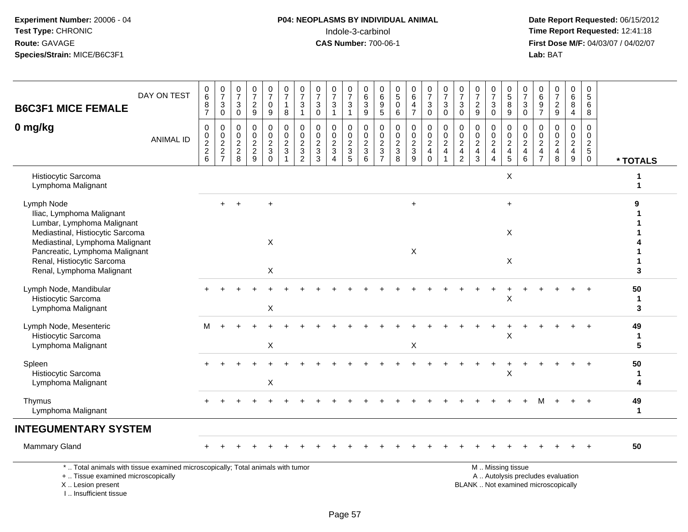## **P04: NEOPLASMS BY INDIVIDUAL ANIMAL**<br>Indole-3-carbinol Indole-3-carbinol **Time Report Requested:** 12:41:18

| <b>B6C3F1 MICE FEMALE</b>                                                                                                                                                                                                                 | DAY ON TEST                                                                     | $_{6}^{\rm 0}$<br>$\frac{8}{7}$             | $\begin{array}{c} 0 \\ 7 \end{array}$<br>$_{0}^{3}$ | $\frac{0}{7}$<br>$\ensuremath{\mathsf{3}}$<br>$\mathsf 0$ | $\pmb{0}$<br>$\overline{7}$<br>$\frac{2}{9}$                  | $\frac{0}{7}$<br>$\mathsf 0$<br>$\boldsymbol{9}$                       | $\frac{0}{7}$<br>$\mathbf{1}$<br>8 | $\frac{0}{7}$<br>$\mathbf{3}$<br>$\overline{1}$     | $\begin{array}{c} 0 \\ 7 \end{array}$<br>$\sqrt{3}$<br>$\mathsf{O}\xspace$           | $\frac{0}{7}$<br>$\sqrt{3}$<br>$\mathbf{1}$                                        | $\frac{0}{7}$<br>$\mathbf{3}$<br>$\overline{1}$                  | 0<br>$6\phantom{a}$<br>$\mathbf{3}$<br>$9\,$ | 0<br>6<br>$\boldsymbol{9}$<br>$\overline{5}$                                         | $\begin{array}{c} 0 \\ 5 \end{array}$<br>$\pmb{0}$<br>6       | 0<br>6<br>4<br>$\overline{7}$                               | $\frac{0}{7}$<br>$_{0}^{3}$                              | $\frac{0}{7}$<br>$_0^3$                              | $\frac{0}{7}$<br>$_{0}^{3}$                                    | $\frac{0}{7}$<br>$\frac{2}{9}$                                   | 0<br>$\overline{7}$<br>3<br>$\mathbf 0$                                      | $\begin{array}{c} 0 \\ 5 \end{array}$<br>8<br>9        | $\frac{0}{7}$<br>$_{0}^{3}$                               | $\begin{array}{c} 0 \\ 6 \end{array}$<br>$\frac{9}{7}$                   | $\frac{0}{7}$<br>$\frac{2}{9}$                                           | $\pmb{0}$<br>6<br>$\,8\,$<br>$\overline{4}$                                      | 0<br>$\sqrt{5}$<br>$\,6\,$<br>8                                       |                        |
|-------------------------------------------------------------------------------------------------------------------------------------------------------------------------------------------------------------------------------------------|---------------------------------------------------------------------------------|---------------------------------------------|-----------------------------------------------------|-----------------------------------------------------------|---------------------------------------------------------------|------------------------------------------------------------------------|------------------------------------|-----------------------------------------------------|--------------------------------------------------------------------------------------|------------------------------------------------------------------------------------|------------------------------------------------------------------|----------------------------------------------|--------------------------------------------------------------------------------------|---------------------------------------------------------------|-------------------------------------------------------------|----------------------------------------------------------|------------------------------------------------------|----------------------------------------------------------------|------------------------------------------------------------------|------------------------------------------------------------------------------|--------------------------------------------------------|-----------------------------------------------------------|--------------------------------------------------------------------------|--------------------------------------------------------------------------|----------------------------------------------------------------------------------|-----------------------------------------------------------------------|------------------------|
| 0 mg/kg                                                                                                                                                                                                                                   | <b>ANIMAL ID</b>                                                                | $\mathbf 0$<br>$\pmb{0}$<br>$\frac{2}{2}$ 6 | $\mathbf 0$<br>$\mathbf 0$<br>$\frac{2}{2}$         | 0<br>$\mathbf 0$<br>$\overline{2}$<br>$\frac{2}{8}$       | $\mathbf 0$<br>$\mathbf 0$<br>$\overline{c}$<br>$\frac{2}{9}$ | $\pmb{0}$<br>$\mathbf 0$<br>$\boldsymbol{2}$<br>$\sqrt{3}$<br>$\Omega$ | 0<br>0<br>$\frac{2}{3}$<br>1       | 0<br>$\mathbf 0$<br>$\overline{2}$<br>$\frac{3}{2}$ | $\mathbf 0$<br>$\mathsf{O}\xspace$<br>$\overline{2}$<br>$\sqrt{3}$<br>$\overline{3}$ | $\mathbf 0$<br>$\mathbf 0$<br>$\sqrt{2}$<br>$\mathbf{3}$<br>$\boldsymbol{\Lambda}$ | $\mathbf 0$<br>$\mathbf 0$<br>$\overline{2}$<br>$\mathsf 3$<br>5 | 0<br>0<br>$\sqrt{2}$<br>$\sqrt{3}$<br>6      | $\mathbf 0$<br>$\mathsf{O}\xspace$<br>$\overline{2}$<br>$\sqrt{3}$<br>$\overline{7}$ | $\mathbf 0$<br>$\mathbf 0$<br>$\sqrt{2}$<br>$\mathbf{3}$<br>8 | $\pmb{0}$<br>$\mathbf 0$<br>$\overline{c}$<br>$\frac{3}{9}$ | $\mathsf 0$<br>$\pmb{0}$<br>$\frac{2}{4}$<br>$\mathbf 0$ | 0<br>$\mathbf 0$<br>$\overline{2}$<br>$\overline{4}$ | $\pmb{0}$<br>$\overline{0}$<br>$\frac{2}{4}$<br>$\overline{2}$ | 0<br>$\mathbf 0$<br>$\sqrt{2}$<br>$\overline{4}$<br>$\mathbf{3}$ | $\mathbf 0$<br>$\mathbf 0$<br>$\sqrt{2}$<br>$\overline{4}$<br>$\overline{A}$ | 0<br>$\mathbf 0$<br>$\frac{2}{4}$<br>5                 | 0<br>$\mathbf 0$<br>$\overline{2}$<br>$\overline{4}$<br>6 | 0<br>$\mathbf 0$<br>$\boldsymbol{2}$<br>$\overline{4}$<br>$\overline{7}$ | $\mathbf 0$<br>$\mathbf 0$<br>$\sqrt{2}$<br>$\overline{\mathbf{4}}$<br>8 | $\mathbf 0$<br>$\mathbf 0$<br>$\overline{2}$<br>$\overline{4}$<br>$\overline{9}$ | $\mathbf 0$<br>$\mathbf 0$<br>$\sqrt{2}$<br>$\sqrt{5}$<br>$\mathbf 0$ | * TOTALS               |
| Histiocytic Sarcoma<br>Lymphoma Malignant                                                                                                                                                                                                 |                                                                                 |                                             |                                                     |                                                           |                                                               |                                                                        |                                    |                                                     |                                                                                      |                                                                                    |                                                                  |                                              |                                                                                      |                                                               |                                                             |                                                          |                                                      |                                                                |                                                                  |                                                                              | X                                                      |                                                           |                                                                          |                                                                          |                                                                                  |                                                                       | 1                      |
| Lymph Node<br>Iliac, Lymphoma Malignant<br>Lumbar, Lymphoma Malignant<br>Mediastinal, Histiocytic Sarcoma<br>Mediastinal, Lymphoma Malignant<br>Pancreatic, Lymphoma Malignant<br>Renal, Histiocytic Sarcoma<br>Renal, Lymphoma Malignant |                                                                                 |                                             |                                                     |                                                           |                                                               | $\sf X$<br>$\mathsf{X}$                                                |                                    |                                                     |                                                                                      |                                                                                    |                                                                  |                                              |                                                                                      |                                                               | $\ddot{}$<br>$\pmb{\times}$                                 |                                                          |                                                      |                                                                |                                                                  |                                                                              | $\ddot{}$<br>X<br>X                                    |                                                           |                                                                          |                                                                          |                                                                                  |                                                                       | 9<br>3                 |
| Lymph Node, Mandibular<br>Histiocytic Sarcoma<br>Lymphoma Malignant                                                                                                                                                                       |                                                                                 |                                             |                                                     |                                                           |                                                               | $\mathsf X$                                                            |                                    |                                                     |                                                                                      |                                                                                    |                                                                  |                                              |                                                                                      |                                                               |                                                             |                                                          |                                                      |                                                                |                                                                  |                                                                              | X                                                      |                                                           |                                                                          |                                                                          |                                                                                  | ÷.                                                                    | 50<br>$\mathbf 1$<br>3 |
| Lymph Node, Mesenteric<br>Histiocytic Sarcoma<br>Lymphoma Malignant                                                                                                                                                                       |                                                                                 | м                                           |                                                     |                                                           |                                                               | X                                                                      |                                    |                                                     |                                                                                      |                                                                                    |                                                                  |                                              |                                                                                      |                                                               | X                                                           |                                                          |                                                      |                                                                |                                                                  |                                                                              | X                                                      |                                                           |                                                                          |                                                                          |                                                                                  |                                                                       | 49<br>1<br>5           |
| Spleen<br>Histiocytic Sarcoma<br>Lymphoma Malignant                                                                                                                                                                                       |                                                                                 |                                             |                                                     |                                                           |                                                               | X                                                                      |                                    |                                                     |                                                                                      |                                                                                    |                                                                  |                                              |                                                                                      |                                                               |                                                             |                                                          |                                                      |                                                                |                                                                  |                                                                              | X                                                      |                                                           |                                                                          |                                                                          |                                                                                  |                                                                       | 50<br>$\mathbf 1$<br>4 |
| Thymus<br>Lymphoma Malignant                                                                                                                                                                                                              |                                                                                 |                                             |                                                     |                                                           |                                                               |                                                                        |                                    |                                                     |                                                                                      |                                                                                    |                                                                  |                                              |                                                                                      |                                                               |                                                             |                                                          |                                                      |                                                                |                                                                  |                                                                              |                                                        |                                                           | м                                                                        |                                                                          |                                                                                  | $+$                                                                   | 49<br>$\mathbf{1}$     |
| <b>INTEGUMENTARY SYSTEM</b>                                                                                                                                                                                                               |                                                                                 |                                             |                                                     |                                                           |                                                               |                                                                        |                                    |                                                     |                                                                                      |                                                                                    |                                                                  |                                              |                                                                                      |                                                               |                                                             |                                                          |                                                      |                                                                |                                                                  |                                                                              |                                                        |                                                           |                                                                          |                                                                          |                                                                                  |                                                                       |                        |
| <b>Mammary Gland</b>                                                                                                                                                                                                                      |                                                                                 |                                             |                                                     |                                                           |                                                               |                                                                        |                                    |                                                     |                                                                                      |                                                                                    |                                                                  |                                              |                                                                                      |                                                               |                                                             |                                                          |                                                      |                                                                |                                                                  |                                                                              |                                                        |                                                           |                                                                          |                                                                          |                                                                                  |                                                                       | 50                     |
| +  Tissue examined microscopically<br>X  Lesion present<br>I Insufficient tissue                                                                                                                                                          | *  Total animals with tissue examined microscopically; Total animals with tumor |                                             |                                                     |                                                           |                                                               |                                                                        |                                    |                                                     |                                                                                      |                                                                                    |                                                                  |                                              |                                                                                      |                                                               |                                                             |                                                          |                                                      |                                                                | BLANK  Not examined microscopically                              |                                                                              | M  Missing tissue<br>A  Autolysis precludes evaluation |                                                           |                                                                          |                                                                          |                                                                                  |                                                                       |                        |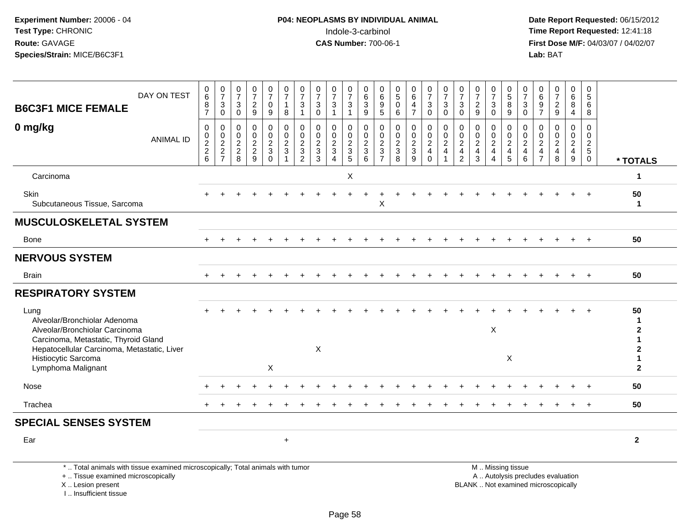I .. Insufficient tissue

| DAY ON TEST<br><b>B6C3F1 MICE FEMALE</b>                                                                                                                                             | 0<br>6<br>8<br>$\overline{7}$                                            | $\frac{0}{7}$<br>3<br>$\mathbf 0$         | $\frac{0}{7}$<br>$\mathsf 3$<br>$\mathbf 0$ | $\frac{0}{7}$<br>$\overline{c}$<br>$\boldsymbol{9}$ | 0<br>$\overline{7}$<br>0<br>9                       | 0<br>$\overline{7}$<br>$\mathbf{1}$<br>8                      | 0<br>$\overline{7}$<br>$\mathbf{3}$                            | $\frac{0}{7}$<br>$\sqrt{3}$<br>$\Omega$                    | $\frac{0}{7}$<br>$\mathbf{3}$<br>1                            | 0<br>$\overline{7}$<br>$\sqrt{3}$                             | 0<br>$\,6\,$<br>$\sqrt{3}$<br>9   | 0<br>$\,6\,$<br>$\boldsymbol{9}$<br>$\overline{5}$            | 0<br>$\overline{5}$<br>$\Omega$<br>6   | $\begin{array}{c} 0 \\ 6 \end{array}$<br>4<br>$\overline{7}$ | $\begin{smallmatrix}0\\7\end{smallmatrix}$<br>$\mathbf 3$<br>$\mathbf 0$ | 0<br>$\overline{7}$<br>$\ensuremath{\mathsf{3}}$<br>$\mathbf 0$ | 0<br>$\overline{7}$<br>3<br>$\mathbf 0$                                          | $\frac{0}{7}$<br>$\sqrt{2}$<br>9                              | 0<br>$\bar{7}$<br>$\mathbf{3}$<br>$\Omega$ | $\begin{matrix} 0 \\ 5 \end{matrix}$<br>$\overline{8}$<br>9 | 0<br>$\overline{7}$<br>$\ensuremath{\mathsf{3}}$<br>$\mathbf 0$        | 0<br>$\,6\,$<br>9<br>$\overline{7}$                              | $\frac{0}{7}$<br>$\sqrt{2}$<br>9                                         | 0<br>$\,6\,$<br>$\bf 8$<br>$\overline{4}$                       | 0<br>$5\phantom{.0}$<br>6<br>8                           |                                    |
|--------------------------------------------------------------------------------------------------------------------------------------------------------------------------------------|--------------------------------------------------------------------------|-------------------------------------------|---------------------------------------------|-----------------------------------------------------|-----------------------------------------------------|---------------------------------------------------------------|----------------------------------------------------------------|------------------------------------------------------------|---------------------------------------------------------------|---------------------------------------------------------------|-----------------------------------|---------------------------------------------------------------|----------------------------------------|--------------------------------------------------------------|--------------------------------------------------------------------------|-----------------------------------------------------------------|----------------------------------------------------------------------------------|---------------------------------------------------------------|--------------------------------------------|-------------------------------------------------------------|------------------------------------------------------------------------|------------------------------------------------------------------|--------------------------------------------------------------------------|-----------------------------------------------------------------|----------------------------------------------------------|------------------------------------|
| 0 mg/kg<br><b>ANIMAL ID</b>                                                                                                                                                          | $\mathbf 0$<br>$\mathsf 0$<br>$\begin{array}{c} 2 \\ 2 \\ 6 \end{array}$ | 0<br>$\mathsf{O}\xspace$<br>$\frac{2}{7}$ | $\mathbf 0$<br>$\mathbf 0$<br>$\frac{2}{8}$ | $\mathbf 0$<br>$\pmb{0}$<br>$\frac{2}{9}$           | 0<br>$\mathbf 0$<br>$\frac{2}{3}$<br>$\overline{0}$ | $\mathbf 0$<br>$\mathbf 0$<br>$\frac{2}{3}$<br>$\overline{1}$ | $\mathbf{0}$<br>$\mathbf 0$<br>$\frac{2}{3}$<br>$\overline{2}$ | $\mathbf 0$<br>$\Omega$<br>$\frac{2}{3}$<br>$\overline{3}$ | $\mathbf 0$<br>$\mathbf 0$<br>$\frac{2}{3}$<br>$\overline{4}$ | $\mathbf 0$<br>$\mathbf 0$<br>$\frac{2}{3}$<br>$\overline{5}$ | $\mathbf 0$<br>$\frac{0}{2}$<br>6 | $\mathbf 0$<br>$\mathbf 0$<br>$\frac{2}{3}$<br>$\overline{7}$ | 0<br>$\mathbf 0$<br>$\frac{2}{3}$<br>8 | 0<br>$\mathbf 0$<br>$\frac{2}{3}$<br>$\overline{9}$          | $\boldsymbol{0}$<br>$\pmb{0}$<br>$\frac{2}{4}$<br>$\mathbf 0$            | 0<br>$\mathsf{O}\xspace$<br>$\sqrt{2}$<br>$\overline{4}$        | $\mathbf 0$<br>$\mathbf 0$<br>$\overline{c}$<br>$\overline{4}$<br>$\overline{2}$ | $\mathbf 0$<br>$\mathbf 0$<br>$\frac{2}{4}$<br>$\overline{3}$ | 0<br>$\mathbf 0$<br>$\frac{2}{4}$<br>4     | 0<br>$\frac{0}{2}$<br>5                                     | 0<br>$\mathbf 0$<br>$\overline{c}$<br>$\overline{4}$<br>$6\phantom{a}$ | $\mathbf 0$<br>$\Omega$<br>$\overline{a}$<br>4<br>$\overline{7}$ | $\mathbf 0$<br>$\mathbf 0$<br>$\overline{2}$<br>$\overline{4}$<br>8      | $\mathbf 0$<br>$\mathbf 0$<br>$\frac{2}{4}$<br>$\boldsymbol{9}$ | $\mathbf 0$<br>$\mathbf 0$<br>$rac{2}{5}$<br>$\mathbf 0$ | * TOTALS                           |
| Carcinoma                                                                                                                                                                            |                                                                          |                                           |                                             |                                                     |                                                     |                                                               |                                                                |                                                            |                                                               | X                                                             |                                   |                                                               |                                        |                                                              |                                                                          |                                                                 |                                                                                  |                                                               |                                            |                                                             |                                                                        |                                                                  |                                                                          |                                                                 |                                                          | $\mathbf{1}$                       |
| Skin<br>Subcutaneous Tissue, Sarcoma                                                                                                                                                 |                                                                          |                                           |                                             |                                                     |                                                     |                                                               |                                                                |                                                            |                                                               |                                                               |                                   | X                                                             |                                        |                                                              |                                                                          |                                                                 |                                                                                  |                                                               |                                            |                                                             |                                                                        |                                                                  |                                                                          |                                                                 |                                                          | 50<br>$\mathbf{1}$                 |
| <b>MUSCULOSKELETAL SYSTEM</b>                                                                                                                                                        |                                                                          |                                           |                                             |                                                     |                                                     |                                                               |                                                                |                                                            |                                                               |                                                               |                                   |                                                               |                                        |                                                              |                                                                          |                                                                 |                                                                                  |                                                               |                                            |                                                             |                                                                        |                                                                  |                                                                          |                                                                 |                                                          |                                    |
| <b>Bone</b>                                                                                                                                                                          |                                                                          |                                           |                                             |                                                     |                                                     |                                                               |                                                                |                                                            |                                                               |                                                               |                                   |                                                               |                                        |                                                              |                                                                          |                                                                 |                                                                                  |                                                               |                                            |                                                             |                                                                        |                                                                  |                                                                          |                                                                 |                                                          | 50                                 |
| <b>NERVOUS SYSTEM</b>                                                                                                                                                                |                                                                          |                                           |                                             |                                                     |                                                     |                                                               |                                                                |                                                            |                                                               |                                                               |                                   |                                                               |                                        |                                                              |                                                                          |                                                                 |                                                                                  |                                                               |                                            |                                                             |                                                                        |                                                                  |                                                                          |                                                                 |                                                          |                                    |
| Brain                                                                                                                                                                                |                                                                          |                                           |                                             |                                                     |                                                     |                                                               |                                                                |                                                            |                                                               |                                                               |                                   |                                                               |                                        |                                                              |                                                                          |                                                                 |                                                                                  |                                                               |                                            |                                                             |                                                                        |                                                                  |                                                                          |                                                                 |                                                          | 50                                 |
| <b>RESPIRATORY SYSTEM</b>                                                                                                                                                            |                                                                          |                                           |                                             |                                                     |                                                     |                                                               |                                                                |                                                            |                                                               |                                                               |                                   |                                                               |                                        |                                                              |                                                                          |                                                                 |                                                                                  |                                                               |                                            |                                                             |                                                                        |                                                                  |                                                                          |                                                                 |                                                          |                                    |
| Lung<br>Alveolar/Bronchiolar Adenoma<br>Alveolar/Bronchiolar Carcinoma<br>Carcinoma, Metastatic, Thyroid Gland<br>Hepatocellular Carcinoma, Metastatic, Liver<br>Histiocytic Sarcoma |                                                                          |                                           |                                             |                                                     |                                                     |                                                               |                                                                | X                                                          |                                                               |                                                               |                                   |                                                               |                                        |                                                              |                                                                          |                                                                 |                                                                                  |                                                               | $\mathsf X$                                | X                                                           |                                                                        |                                                                  |                                                                          |                                                                 |                                                          | 50<br>-1<br>$\mathbf{2}$<br>2<br>1 |
| Lymphoma Malignant                                                                                                                                                                   |                                                                          |                                           |                                             |                                                     | X                                                   |                                                               |                                                                |                                                            |                                                               |                                                               |                                   |                                                               |                                        |                                                              |                                                                          |                                                                 |                                                                                  |                                                               |                                            |                                                             |                                                                        |                                                                  |                                                                          |                                                                 |                                                          | $\mathbf{2}$                       |
| Nose                                                                                                                                                                                 |                                                                          |                                           |                                             |                                                     |                                                     |                                                               |                                                                |                                                            |                                                               |                                                               |                                   |                                                               |                                        |                                                              |                                                                          |                                                                 |                                                                                  |                                                               |                                            |                                                             |                                                                        |                                                                  |                                                                          |                                                                 |                                                          | 50                                 |
| Trachea                                                                                                                                                                              |                                                                          |                                           |                                             |                                                     |                                                     |                                                               |                                                                |                                                            |                                                               |                                                               |                                   |                                                               |                                        |                                                              |                                                                          |                                                                 |                                                                                  |                                                               |                                            |                                                             |                                                                        |                                                                  |                                                                          |                                                                 |                                                          | 50                                 |
| <b>SPECIAL SENSES SYSTEM</b>                                                                                                                                                         |                                                                          |                                           |                                             |                                                     |                                                     |                                                               |                                                                |                                                            |                                                               |                                                               |                                   |                                                               |                                        |                                                              |                                                                          |                                                                 |                                                                                  |                                                               |                                            |                                                             |                                                                        |                                                                  |                                                                          |                                                                 |                                                          |                                    |
| Ear                                                                                                                                                                                  |                                                                          |                                           |                                             |                                                     |                                                     | $+$                                                           |                                                                |                                                            |                                                               |                                                               |                                   |                                                               |                                        |                                                              |                                                                          |                                                                 |                                                                                  |                                                               |                                            |                                                             |                                                                        |                                                                  |                                                                          |                                                                 |                                                          | $\overline{2}$                     |
| *  Total animals with tissue examined microscopically; Total animals with tumor<br>+  Tissue examined microscopically<br>X Lesion present                                            |                                                                          |                                           |                                             |                                                     |                                                     |                                                               |                                                                |                                                            |                                                               |                                                               |                                   |                                                               |                                        |                                                              |                                                                          |                                                                 |                                                                                  |                                                               |                                            | M  Missing tissue                                           |                                                                        |                                                                  | A  Autolysis precludes evaluation<br>BLANK  Not examined microscopically |                                                                 |                                                          |                                    |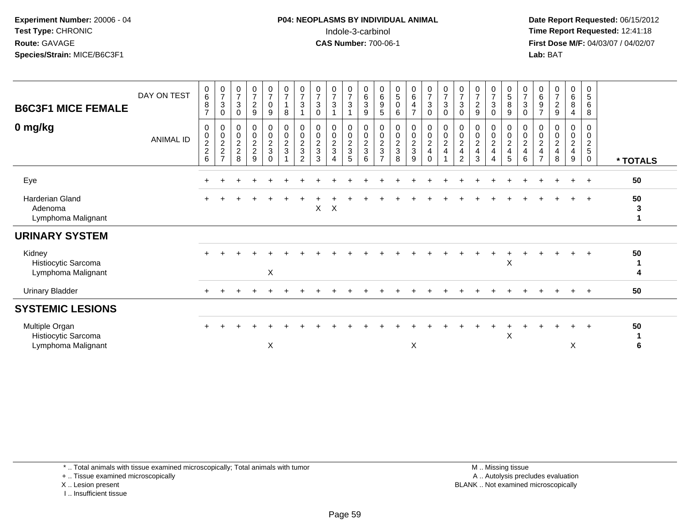#### **P04: NEOPLASMS BY INDIVIDUAL ANIMAL**Indole-3-carbinol **Time Report Requested:** 12:41:18

 **Date Report Requested:** 06/15/2012 **First Dose M/F:** 04/03/07 / 04/02/07<br>Lab: BAT **Lab:** BAT

| <b>B6C3F1 MICE FEMALE</b>                                   | DAY ON TEST      | $\boldsymbol{0}$<br>$\,6\,$<br>$\boldsymbol{8}$<br>$\overline{7}$ | $\frac{0}{7}$<br>$\ensuremath{\mathsf{3}}$<br>$\mathbf 0$ | $\frac{0}{7}$<br>$\mathbf{3}$<br>$\mathbf 0$ | $\frac{0}{7}$<br>$\overline{2}$<br>9                             | $\frac{0}{7}$<br>0<br>9                               | $\frac{0}{7}$<br>$\overline{1}$<br>8            | $\frac{0}{7}$<br>$\ensuremath{\mathsf{3}}$<br>$\overline{1}$ | $\frac{0}{7}$<br>$\ensuremath{\mathsf{3}}$<br>$\mathbf 0$ | $\frac{0}{7}$<br>3                                        | $\frac{0}{7}$<br>$\sqrt{3}$ | $\overline{0}$<br>$^6_3$<br>9                                | 0<br>$\,6\,$<br>$\boldsymbol{9}$<br>5        | $\mathbf 0$<br>5<br>$\pmb{0}$<br>6                          | $\begin{matrix} 0 \\ 6 \end{matrix}$<br>4<br>$\overline{7}$ | $\frac{0}{7}$<br>$\sqrt{3}$<br>$\mathbf 0$ | $\boldsymbol{0}$<br>$\overline{7}$<br>$\sqrt{3}$<br>$\mathbf 0$ | $\frac{0}{7}$<br>$\mathbf{3}$<br>$\mathbf 0$                     | $\mathbf 0$<br>$\overline{\mathcal{I}}$<br>$\boldsymbol{2}$<br>9 | $\mathbf 0$<br>$\overline{7}$<br>3<br>$\mathbf 0$ | $\begin{array}{c} 0 \\ 5 \\ 8 \end{array}$<br>$9\,$ | $\mathbf 0$<br>$\overline{7}$<br>$\ensuremath{\mathsf{3}}$<br>$\mathbf 0$ | 0<br>$\,6\,$<br>9<br>$\overline{7}$                     | $\mathbf 0$<br>$\overline{\mathcal{I}}$<br>$\sqrt{2}$<br>9       | 0<br>6<br>8<br>$\overline{4}$                             | 0<br>$\sqrt{5}$<br>6<br>8                   |               |
|-------------------------------------------------------------|------------------|-------------------------------------------------------------------|-----------------------------------------------------------|----------------------------------------------|------------------------------------------------------------------|-------------------------------------------------------|-------------------------------------------------|--------------------------------------------------------------|-----------------------------------------------------------|-----------------------------------------------------------|-----------------------------|--------------------------------------------------------------|----------------------------------------------|-------------------------------------------------------------|-------------------------------------------------------------|--------------------------------------------|-----------------------------------------------------------------|------------------------------------------------------------------|------------------------------------------------------------------|---------------------------------------------------|-----------------------------------------------------|---------------------------------------------------------------------------|---------------------------------------------------------|------------------------------------------------------------------|-----------------------------------------------------------|---------------------------------------------|---------------|
| 0 mg/kg                                                     | <b>ANIMAL ID</b> | $\mathbf 0$<br>$\begin{array}{c} 0 \\ 2 \\ 2 \end{array}$<br>6    | 0<br>$\frac{0}{2}$<br>$\overline{ }$                      | $\pmb{0}$<br>$\frac{0}{2}$<br>8              | $\mathsf{O}\xspace$<br>$\mathsf{O}\xspace$<br>$\frac{2}{2}$<br>9 | 0<br>$\mathsf{O}\xspace$<br>$\frac{2}{3}$<br>$\Omega$ | $\begin{array}{c} 0 \\ 0 \\ 2 \\ 3 \end{array}$ | $\pmb{0}$<br>$\pmb{0}$<br>$\frac{2}{3}$<br>2                 | $\pmb{0}$<br>$\frac{0}{2}$<br>3                           | $\mathbf 0$<br>$\mathsf{O}\xspace$<br>$\overline{2}$<br>3 | 0<br>$\frac{0}{2}$<br>5     | $\pmb{0}$<br>$\begin{array}{c} 0 \\ 2 \\ 3 \end{array}$<br>6 | $\pmb{0}$<br>$\frac{0}{2}$<br>$\overline{7}$ | 0<br>$\begin{smallmatrix} 0\\2 \end{smallmatrix}$<br>3<br>8 | 0<br>$\frac{0}{2}$<br>9                                     | $\pmb{0}$<br>$\frac{0}{2}$<br>$\Omega$     | $\pmb{0}$<br>$\frac{0}{2}$                                      | 0<br>$\pmb{0}$<br>$\overline{2}$<br>$\overline{\mathbf{4}}$<br>2 | 0<br>$\pmb{0}$<br>$\boldsymbol{2}$<br>$\overline{4}$<br>3        | 0<br>0<br>$\overline{a}$<br>4                     | $\pmb{0}$<br>$\frac{0}{2}$<br>$\overline{5}$        | 0<br>$\mathbf 0$<br>$\overline{2}$<br>$\overline{\mathbf{4}}$<br>6        | 0<br>$\pmb{0}$<br>$\overline{2}$<br>4<br>$\overline{ }$ | 0<br>$\pmb{0}$<br>$\overline{c}$<br>$\overline{\mathbf{4}}$<br>8 | 0<br>$\mathbf 0$<br>$\overline{c}$<br>$\overline{4}$<br>9 | 0<br>$\boldsymbol{0}$<br>$\frac{2}{5}$<br>0 | * TOTALS      |
| Eye                                                         |                  |                                                                   |                                                           |                                              |                                                                  |                                                       |                                                 |                                                              |                                                           |                                                           |                             |                                                              |                                              |                                                             |                                                             |                                            |                                                                 |                                                                  |                                                                  |                                                   |                                                     |                                                                           |                                                         |                                                                  |                                                           | $\overline{+}$                              | 50            |
| <b>Harderian Gland</b><br>Adenoma<br>Lymphoma Malignant     |                  |                                                                   |                                                           |                                              |                                                                  |                                                       |                                                 |                                                              | X                                                         | X                                                         |                             |                                                              |                                              |                                                             |                                                             |                                            |                                                                 |                                                                  |                                                                  |                                                   |                                                     |                                                                           |                                                         |                                                                  |                                                           | $\overline{+}$                              | 50<br>3<br>1  |
| <b>URINARY SYSTEM</b>                                       |                  |                                                                   |                                                           |                                              |                                                                  |                                                       |                                                 |                                                              |                                                           |                                                           |                             |                                                              |                                              |                                                             |                                                             |                                            |                                                                 |                                                                  |                                                                  |                                                   |                                                     |                                                                           |                                                         |                                                                  |                                                           |                                             |               |
| Kidney<br>Histiocytic Sarcoma<br>Lymphoma Malignant         |                  |                                                                   |                                                           |                                              |                                                                  | X                                                     |                                                 |                                                              |                                                           |                                                           |                             |                                                              |                                              |                                                             |                                                             |                                            |                                                                 |                                                                  |                                                                  |                                                   | X                                                   |                                                                           |                                                         |                                                                  |                                                           |                                             | 50<br>-1<br>4 |
| <b>Urinary Bladder</b>                                      |                  |                                                                   |                                                           |                                              |                                                                  |                                                       |                                                 |                                                              |                                                           |                                                           |                             |                                                              |                                              |                                                             |                                                             |                                            |                                                                 |                                                                  |                                                                  |                                                   |                                                     |                                                                           |                                                         |                                                                  |                                                           | $\pm$                                       | 50            |
| <b>SYSTEMIC LESIONS</b>                                     |                  |                                                                   |                                                           |                                              |                                                                  |                                                       |                                                 |                                                              |                                                           |                                                           |                             |                                                              |                                              |                                                             |                                                             |                                            |                                                                 |                                                                  |                                                                  |                                                   |                                                     |                                                                           |                                                         |                                                                  |                                                           |                                             |               |
| Multiple Organ<br>Histiocytic Sarcoma<br>Lymphoma Malignant |                  |                                                                   |                                                           |                                              |                                                                  | X                                                     |                                                 |                                                              |                                                           |                                                           |                             |                                                              |                                              |                                                             | X                                                           |                                            |                                                                 |                                                                  |                                                                  |                                                   | X                                                   |                                                                           |                                                         |                                                                  | $\ddot{}$<br>X                                            | $\overline{+}$                              | 50<br>6       |

\* .. Total animals with tissue examined microscopically; Total animals with tumor

+ .. Tissue examined microscopically

X .. Lesion present

I .. Insufficient tissue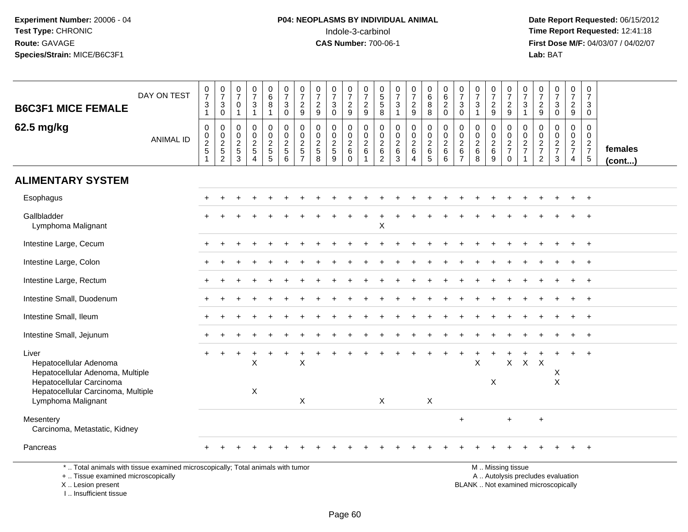**Date Report Requested:** 06/15/2012 **First Dose M/F:** 04/03/07 / 04/02/07<br>Lab: BAT **Lab:** BAT

| <b>B6C3F1 MICE FEMALE</b>                                                                       | DAY ON TEST      | $\frac{0}{7}$<br>$\ensuremath{\mathsf{3}}$<br>$\mathbf{1}$ | $\begin{array}{c} 0 \\ 7 \end{array}$<br>$\ensuremath{\mathsf{3}}$<br>$\mathsf{O}\xspace$ | $\frac{0}{7}$<br>$\mathbf 0$<br>$\overline{1}$ | $\begin{array}{c} 0 \\ 7 \end{array}$<br>$\sqrt{3}$<br>$\mathbf{1}$ | $_6^0$<br>8<br>1                                               | $\begin{array}{c} 0 \\ 7 \end{array}$<br>$\mathbf{3}$<br>$\mathbf 0$ | $\frac{0}{7}$<br>$\frac{2}{9}$                            | 0<br>$\overline{7}$<br>$\sqrt{2}$<br>$\boldsymbol{9}$          | $\begin{array}{c} 0 \\ 7 \end{array}$<br>$_{0}^{3}$ | $\frac{0}{7}$<br>$\frac{2}{9}$                    | $\begin{matrix} 0 \\ 7 \end{matrix}$<br>$\frac{2}{9}$                            | $\begin{array}{c} 0 \\ 5 \end{array}$<br>5<br>8             | $\frac{0}{7}$<br>$\sqrt{3}$<br>$\overline{1}$  | $\frac{0}{7}$<br>$\frac{2}{9}$                    | $_{6}^{\rm 0}$<br>8<br>8 | $\begin{array}{c} 0 \\ 6 \end{array}$<br>$\frac{2}{0}$ | $\frac{0}{7}$<br>$\mathbf 3$<br>$\mathbf 0$                     | $\pmb{0}$<br>$\overline{7}$<br>$\sqrt{3}$<br>$\overline{1}$ | $\frac{0}{7}$<br>$\frac{2}{9}$ | $\frac{0}{7}$<br>$\frac{2}{9}$    | $\begin{array}{c} 0 \\ 7 \end{array}$<br>$\sqrt{3}$<br>$\mathbf{1}$ | 0<br>$\overline{7}$<br>$\frac{2}{9}$                | $\begin{array}{c} 0 \\ 7 \end{array}$<br>$\ensuremath{\mathsf{3}}$<br>$\mathbf 0$ | $\frac{0}{7}$<br>$\frac{2}{9}$                    | $\pmb{0}$<br>$\overline{7}$<br>3<br>$\mathbf 0$                                   |                   |
|-------------------------------------------------------------------------------------------------|------------------|------------------------------------------------------------|-------------------------------------------------------------------------------------------|------------------------------------------------|---------------------------------------------------------------------|----------------------------------------------------------------|----------------------------------------------------------------------|-----------------------------------------------------------|----------------------------------------------------------------|-----------------------------------------------------|---------------------------------------------------|----------------------------------------------------------------------------------|-------------------------------------------------------------|------------------------------------------------|---------------------------------------------------|--------------------------|--------------------------------------------------------|-----------------------------------------------------------------|-------------------------------------------------------------|--------------------------------|-----------------------------------|---------------------------------------------------------------------|-----------------------------------------------------|-----------------------------------------------------------------------------------|---------------------------------------------------|-----------------------------------------------------------------------------------|-------------------|
| 62.5 mg/kg                                                                                      | <b>ANIMAL ID</b> | $\pmb{0}$<br>$\frac{0}{2}$                                 | $\pmb{0}$<br>$\frac{0}{2}$<br>5<br>2                                                      | 0<br>$\mathbf 0$<br>$\frac{2}{5}$<br>3         | $\mathbf 0$<br>$\mathbf 0$<br>$\frac{2}{5}$<br>$\overline{4}$       | 0<br>$\mathbf 0$<br>$\begin{array}{c} 2 \\ 5 \\ 5 \end{array}$ | $\mathbf 0$<br>$\frac{0}{2}$<br>$\,6\,$                              | 0<br>$\mathbf 0$<br>$\overline{c}$<br>5<br>$\overline{7}$ | $\mathbf 0$<br>0<br>$\overline{\mathbf{c}}$<br>$\sqrt{5}$<br>8 | $\mathbf 0$<br>$\frac{0}{2}$<br>9                   | 0<br>$\pmb{0}$<br>$\sqrt{2}$<br>$\,6$<br>$\Omega$ | $\mathbf 0$<br>$\begin{smallmatrix} 0\\2 \end{smallmatrix}$<br>6<br>$\mathbf{1}$ | 0<br>$\mathbf 0$<br>$\boldsymbol{2}$<br>6<br>$\overline{c}$ | $\mathbf 0$<br>$\pmb{0}$<br>$\frac{2}{6}$<br>3 | 0<br>$\pmb{0}$<br>$\frac{2}{6}$<br>$\overline{4}$ | 0<br>$0$<br>$6$<br>$5$   | $\mathbf 0$<br>$\frac{0}{2}$<br>6                      | $\mathbf 0$<br>$\mathbf 0$<br>$\sqrt{2}$<br>6<br>$\overline{7}$ | $\mathbf 0$<br>$\mathbf 0$<br>$\sqrt{2}$<br>6<br>8          | 0<br>0<br>$\frac{2}{6}$<br>9   | 0<br>$\frac{0}{2}$<br>$\mathbf 0$ | $\mathbf 0$<br>$\mathbf 0$<br>$\frac{2}{7}$<br>$\mathbf{1}$         | $\mathbf 0$<br>0<br>$\frac{2}{7}$<br>$\overline{2}$ | $\mathbf 0$<br>$\begin{array}{c} 0 \\ 2 \\ 7 \end{array}$<br>3                    | 0<br>$\mathbf 0$<br>$rac{2}{7}$<br>$\overline{4}$ | $\mathbf 0$<br>$\mathbf 0$<br>$\overline{2}$<br>$\overline{7}$<br>$5\phantom{.0}$ | females<br>(cont) |
| <b>ALIMENTARY SYSTEM</b>                                                                        |                  |                                                            |                                                                                           |                                                |                                                                     |                                                                |                                                                      |                                                           |                                                                |                                                     |                                                   |                                                                                  |                                                             |                                                |                                                   |                          |                                                        |                                                                 |                                                             |                                |                                   |                                                                     |                                                     |                                                                                   |                                                   |                                                                                   |                   |
| Esophagus                                                                                       |                  |                                                            |                                                                                           |                                                |                                                                     |                                                                |                                                                      |                                                           |                                                                |                                                     |                                                   |                                                                                  |                                                             |                                                |                                                   |                          |                                                        |                                                                 |                                                             |                                |                                   |                                                                     |                                                     |                                                                                   |                                                   | $+$                                                                               |                   |
| Gallbladder<br>Lymphoma Malignant                                                               |                  |                                                            |                                                                                           |                                                |                                                                     |                                                                |                                                                      |                                                           |                                                                |                                                     |                                                   |                                                                                  | Χ                                                           |                                                |                                                   |                          |                                                        |                                                                 |                                                             |                                |                                   |                                                                     |                                                     |                                                                                   |                                                   |                                                                                   |                   |
| Intestine Large, Cecum                                                                          |                  |                                                            |                                                                                           |                                                |                                                                     |                                                                |                                                                      |                                                           |                                                                |                                                     |                                                   |                                                                                  |                                                             |                                                |                                                   |                          |                                                        |                                                                 |                                                             |                                |                                   |                                                                     |                                                     |                                                                                   |                                                   |                                                                                   |                   |
| Intestine Large, Colon                                                                          |                  |                                                            |                                                                                           |                                                |                                                                     |                                                                |                                                                      |                                                           |                                                                |                                                     |                                                   |                                                                                  |                                                             |                                                |                                                   |                          |                                                        |                                                                 |                                                             |                                |                                   |                                                                     |                                                     |                                                                                   |                                                   | $\ddot{}$                                                                         |                   |
| Intestine Large, Rectum                                                                         |                  |                                                            |                                                                                           |                                                |                                                                     |                                                                |                                                                      |                                                           |                                                                |                                                     |                                                   |                                                                                  |                                                             |                                                |                                                   |                          |                                                        |                                                                 |                                                             |                                |                                   |                                                                     |                                                     |                                                                                   |                                                   | $\ddot{}$                                                                         |                   |
| Intestine Small, Duodenum                                                                       |                  |                                                            |                                                                                           |                                                |                                                                     |                                                                |                                                                      |                                                           |                                                                |                                                     |                                                   |                                                                                  |                                                             |                                                |                                                   |                          |                                                        |                                                                 |                                                             |                                |                                   |                                                                     |                                                     |                                                                                   |                                                   |                                                                                   |                   |
| Intestine Small, Ileum                                                                          |                  |                                                            |                                                                                           |                                                |                                                                     |                                                                |                                                                      |                                                           |                                                                |                                                     |                                                   |                                                                                  |                                                             |                                                |                                                   |                          |                                                        |                                                                 |                                                             |                                |                                   |                                                                     |                                                     |                                                                                   |                                                   |                                                                                   |                   |
| Intestine Small, Jejunum                                                                        |                  |                                                            |                                                                                           |                                                |                                                                     |                                                                |                                                                      |                                                           |                                                                |                                                     |                                                   |                                                                                  |                                                             |                                                |                                                   |                          |                                                        |                                                                 |                                                             |                                |                                   |                                                                     |                                                     |                                                                                   |                                                   | $\ddot{}$                                                                         |                   |
| Liver<br>Hepatocellular Adenoma<br>Hepatocellular Adenoma, Multiple<br>Hepatocellular Carcinoma |                  |                                                            |                                                                                           |                                                | X                                                                   |                                                                |                                                                      | $\sf X$                                                   |                                                                |                                                     |                                                   |                                                                                  |                                                             |                                                |                                                   |                          |                                                        |                                                                 | X                                                           | X                              | $\mathsf{X}$                      | $\mathsf{X}$                                                        | $\boldsymbol{\mathsf{X}}$                           | X<br>$\times$                                                                     |                                                   |                                                                                   |                   |
| Hepatocellular Carcinoma, Multiple<br>Lymphoma Malignant                                        |                  |                                                            |                                                                                           |                                                | $\sf X$                                                             |                                                                |                                                                      | X                                                         |                                                                |                                                     |                                                   |                                                                                  | $\mathsf{X}$                                                |                                                |                                                   | X                        |                                                        |                                                                 |                                                             |                                |                                   |                                                                     |                                                     |                                                                                   |                                                   |                                                                                   |                   |
| Mesentery<br>Carcinoma, Metastatic, Kidney                                                      |                  |                                                            |                                                                                           |                                                |                                                                     |                                                                |                                                                      |                                                           |                                                                |                                                     |                                                   |                                                                                  |                                                             |                                                |                                                   |                          |                                                        | $\ddot{}$                                                       |                                                             |                                | $\ddot{}$                         |                                                                     | $\ddot{}$                                           |                                                                                   |                                                   |                                                                                   |                   |
| Pancreas                                                                                        |                  |                                                            |                                                                                           |                                                |                                                                     |                                                                |                                                                      |                                                           |                                                                |                                                     |                                                   |                                                                                  |                                                             |                                                |                                                   |                          |                                                        |                                                                 |                                                             |                                |                                   |                                                                     |                                                     |                                                                                   |                                                   | $\ddot{}$                                                                         |                   |
| *  Total animals with tissue examined microscopically; Total animals with tumor                 |                  |                                                            |                                                                                           |                                                |                                                                     |                                                                |                                                                      |                                                           |                                                                |                                                     |                                                   |                                                                                  |                                                             |                                                |                                                   |                          |                                                        |                                                                 |                                                             |                                | M  Missing tissue                 |                                                                     |                                                     | $\sim$ $\sim$                                                                     |                                                   |                                                                                   |                   |

+ .. Tissue examined microscopically

X .. Lesion present

I .. Insufficient tissue

y the contract of the contract of the contract of the contract of the contract of the contract of the contract of  $A$ . Autolysis precludes evaluation

Lesion present BLANK .. Not examined microscopically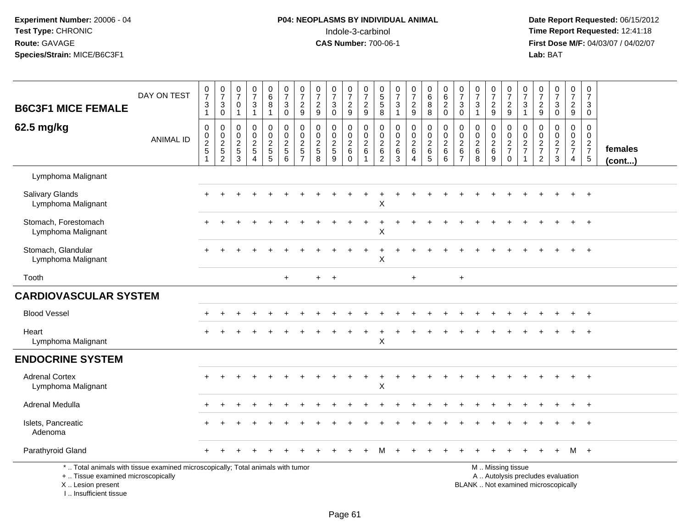## **P04: NEOPLASMS BY INDIVIDUAL ANIMAL**<br>Indole-3-carbinol Indole-3-carbinol **Time Report Requested:** 12:41:18

| <b>B6C3F1 MICE FEMALE</b>                                                                                                                                            | DAY ON TEST      | $\frac{0}{7}$<br>3<br>$\mathbf{1}$                   | $\begin{array}{c} 0 \\ 7 \end{array}$<br>$\mathbf{3}$<br>$\overline{0}$    | $\frac{0}{7}$<br>0<br>$\mathbf{1}$                        | $\frac{0}{7}$<br>$\frac{3}{1}$                                             | 0<br>$\overline{6}$<br>$\,8\,$<br>$\mathbf{1}$                              | $\begin{array}{c} 0 \\ 7 \end{array}$<br>$\sqrt{3}$<br>$\mathbf 0$            | $\frac{0}{7}$<br>$\frac{2}{9}$                    | $\begin{smallmatrix}0\\7\end{smallmatrix}$<br>$\frac{2}{9}$                         | $\begin{array}{c} 0 \\ 7 \end{array}$<br>$\mathbf{3}$<br>$\pmb{0}$ | $\frac{0}{7}$<br>$\frac{2}{9}$                               | $\frac{0}{7}$<br>$\frac{2}{9}$                                                 | 0<br>$\overline{5}$<br>$\frac{5}{8}$                                      | $\begin{array}{c} 0 \\ 7 \end{array}$<br>$\mathbf{3}$<br>$\mathbf{1}$   | $\frac{0}{7}$<br>$\frac{2}{9}$                                                         | 0<br>8<br>8                                          | 0620                                                                            | $\frac{0}{7}$<br>$\mathbf 3$<br>$\mathbf 0$                             | $\begin{array}{c} 0 \\ 7 \end{array}$<br>$\mathbf{3}$<br>$\mathbf{1}$   | $\frac{0}{7}$<br>$\frac{2}{9}$                                  | $\frac{0}{7}$<br>$\frac{2}{9}$                                 | $\frac{0}{7}$<br>$\mathbf{3}$<br>$\mathbf{1}$                        | $\begin{smallmatrix}0\\7\end{smallmatrix}$<br>$\frac{2}{9}$ | $\begin{array}{c} 0 \\ 7 \end{array}$<br>$_{\rm 0}^3$                          | $\frac{0}{7}$<br>$\frac{2}{9}$                            | $\begin{array}{c} 0 \\ 7 \end{array}$<br>3<br>$\mathbf 0$                    |                   |
|----------------------------------------------------------------------------------------------------------------------------------------------------------------------|------------------|------------------------------------------------------|----------------------------------------------------------------------------|-----------------------------------------------------------|----------------------------------------------------------------------------|-----------------------------------------------------------------------------|-------------------------------------------------------------------------------|---------------------------------------------------|-------------------------------------------------------------------------------------|--------------------------------------------------------------------|--------------------------------------------------------------|--------------------------------------------------------------------------------|---------------------------------------------------------------------------|-------------------------------------------------------------------------|----------------------------------------------------------------------------------------|------------------------------------------------------|---------------------------------------------------------------------------------|-------------------------------------------------------------------------|-------------------------------------------------------------------------|-----------------------------------------------------------------|----------------------------------------------------------------|----------------------------------------------------------------------|-------------------------------------------------------------|--------------------------------------------------------------------------------|-----------------------------------------------------------|------------------------------------------------------------------------------|-------------------|
| 62.5 mg/kg                                                                                                                                                           | <b>ANIMAL ID</b> | $\pmb{0}$<br>$_2^0$<br>$\,$ 5 $\,$<br>$\overline{1}$ | $\pmb{0}$<br>$\begin{smallmatrix} 0\\2 \end{smallmatrix}$<br>$\frac{5}{2}$ | 0<br>0<br>$\overline{2}$<br>$\,$ 5 $\,$<br>$\overline{3}$ | $\pmb{0}$<br>$\mathbf 0$<br>$\overline{2}$<br>$\sqrt{5}$<br>$\overline{4}$ | 0<br>$\mathbf 0$<br>$\overline{2}$<br>$\begin{array}{c} 5 \\ 5 \end{array}$ | $\pmb{0}$<br>$\overline{0}$<br>$\overline{2}$<br>$\sqrt{5}$<br>$\overline{6}$ | $\pmb{0}$<br>0<br>$\overline{2}$<br>$\frac{5}{7}$ | $\pmb{0}$<br>$\mathbf 0$<br>$\overline{2}$<br>$\begin{array}{c} 5 \\ 8 \end{array}$ | $\mathbf 0$<br>0<br>$\overline{2}$<br>$\sqrt{5}$<br>$\overline{9}$ | 0<br>$\mathbf 0$<br>$\overline{2}$<br>$\,6\,$<br>$\mathbf 0$ | $\boldsymbol{0}$<br>$\mathbf 0$<br>$\overline{2}$<br>$\,6\,$<br>$\overline{1}$ | $\mathbf 0$<br>$\mathbf 0$<br>$\overline{c}$<br>$\,6\,$<br>$\overline{2}$ | $\pmb{0}$<br>$\mathbf 0$<br>$\overline{2}$<br>$\,6\,$<br>$\overline{3}$ | $\mathsf{O}$<br>$\mathbf 0$<br>$\overline{2}$<br>$\begin{array}{c} 6 \\ 4 \end{array}$ | $\pmb{0}$<br>$\mathbf 0$<br>$\overline{2}$<br>$^6$ 5 | $\pmb{0}$<br>$\mathsf{O}\xspace$<br>$\overline{2}$<br>$\,6\,$<br>$\overline{6}$ | $\pmb{0}$<br>$\mathbf 0$<br>$\overline{2}$<br>$\,6\,$<br>$\overline{7}$ | $\pmb{0}$<br>$\mathbf 0$<br>$\overline{2}$<br>$\,6\,$<br>$\overline{8}$ | 0<br>$\mathbf 0$<br>$\overline{2}$<br>$\,6\,$<br>$\overline{9}$ | $\mathbf 0$<br>$\begin{array}{c} 0 \\ 2 \\ 7 \\ 0 \end{array}$ | 0<br>$\mathbf 0$<br>$\overline{2}$<br>$\overline{7}$<br>$\mathbf{1}$ | 0<br>0<br>$\overline{2}$<br>$\overline{7}$<br>$\sqrt{2}$    | $\mathbf 0$<br>$\mathbf 0$<br>$\overline{2}$<br>$\overline{7}$<br>$\mathbf{3}$ | 0<br>$\mathbf 0$<br>$\overline{2}$<br>$\overline{7}$<br>4 | $\pmb{0}$<br>$\mathbf 0$<br>$\sqrt{2}$<br>$\boldsymbol{7}$<br>$\overline{5}$ | females<br>(cont) |
| Lymphoma Malignant                                                                                                                                                   |                  |                                                      |                                                                            |                                                           |                                                                            |                                                                             |                                                                               |                                                   |                                                                                     |                                                                    |                                                              |                                                                                |                                                                           |                                                                         |                                                                                        |                                                      |                                                                                 |                                                                         |                                                                         |                                                                 |                                                                |                                                                      |                                                             |                                                                                |                                                           |                                                                              |                   |
| <b>Salivary Glands</b><br>Lymphoma Malignant                                                                                                                         |                  |                                                      |                                                                            |                                                           |                                                                            |                                                                             |                                                                               |                                                   |                                                                                     |                                                                    |                                                              |                                                                                | X                                                                         |                                                                         |                                                                                        |                                                      |                                                                                 |                                                                         |                                                                         |                                                                 |                                                                |                                                                      |                                                             |                                                                                |                                                           |                                                                              |                   |
| Stomach, Forestomach<br>Lymphoma Malignant                                                                                                                           |                  |                                                      |                                                                            |                                                           |                                                                            |                                                                             |                                                                               |                                                   |                                                                                     |                                                                    |                                                              | $\ddot{}$                                                                      | Χ                                                                         |                                                                         |                                                                                        |                                                      |                                                                                 |                                                                         |                                                                         |                                                                 |                                                                |                                                                      |                                                             |                                                                                |                                                           | $\ddot{}$                                                                    |                   |
| Stomach, Glandular<br>Lymphoma Malignant                                                                                                                             |                  |                                                      |                                                                            |                                                           |                                                                            |                                                                             |                                                                               |                                                   |                                                                                     |                                                                    |                                                              |                                                                                | X                                                                         |                                                                         |                                                                                        |                                                      |                                                                                 |                                                                         |                                                                         |                                                                 |                                                                |                                                                      |                                                             |                                                                                |                                                           |                                                                              |                   |
| Tooth                                                                                                                                                                |                  |                                                      |                                                                            |                                                           |                                                                            |                                                                             | $\ddot{}$                                                                     |                                                   |                                                                                     | $+$ $+$                                                            |                                                              |                                                                                |                                                                           |                                                                         | $\ddot{}$                                                                              |                                                      |                                                                                 | $\ddot{}$                                                               |                                                                         |                                                                 |                                                                |                                                                      |                                                             |                                                                                |                                                           |                                                                              |                   |
| <b>CARDIOVASCULAR SYSTEM</b>                                                                                                                                         |                  |                                                      |                                                                            |                                                           |                                                                            |                                                                             |                                                                               |                                                   |                                                                                     |                                                                    |                                                              |                                                                                |                                                                           |                                                                         |                                                                                        |                                                      |                                                                                 |                                                                         |                                                                         |                                                                 |                                                                |                                                                      |                                                             |                                                                                |                                                           |                                                                              |                   |
| <b>Blood Vessel</b>                                                                                                                                                  |                  |                                                      |                                                                            |                                                           |                                                                            |                                                                             |                                                                               |                                                   |                                                                                     |                                                                    |                                                              |                                                                                |                                                                           |                                                                         |                                                                                        |                                                      |                                                                                 |                                                                         |                                                                         |                                                                 |                                                                |                                                                      |                                                             |                                                                                |                                                           |                                                                              |                   |
| Heart<br>Lymphoma Malignant                                                                                                                                          |                  |                                                      |                                                                            |                                                           |                                                                            |                                                                             |                                                                               |                                                   |                                                                                     |                                                                    |                                                              |                                                                                | X                                                                         |                                                                         |                                                                                        |                                                      |                                                                                 |                                                                         |                                                                         |                                                                 |                                                                |                                                                      |                                                             |                                                                                |                                                           |                                                                              |                   |
| <b>ENDOCRINE SYSTEM</b>                                                                                                                                              |                  |                                                      |                                                                            |                                                           |                                                                            |                                                                             |                                                                               |                                                   |                                                                                     |                                                                    |                                                              |                                                                                |                                                                           |                                                                         |                                                                                        |                                                      |                                                                                 |                                                                         |                                                                         |                                                                 |                                                                |                                                                      |                                                             |                                                                                |                                                           |                                                                              |                   |
| <b>Adrenal Cortex</b><br>Lymphoma Malignant                                                                                                                          |                  |                                                      |                                                                            |                                                           |                                                                            |                                                                             |                                                                               |                                                   |                                                                                     |                                                                    |                                                              |                                                                                | X                                                                         |                                                                         |                                                                                        |                                                      |                                                                                 |                                                                         |                                                                         |                                                                 |                                                                |                                                                      |                                                             |                                                                                |                                                           | $+$                                                                          |                   |
| Adrenal Medulla                                                                                                                                                      |                  |                                                      |                                                                            |                                                           |                                                                            |                                                                             |                                                                               |                                                   |                                                                                     |                                                                    |                                                              |                                                                                |                                                                           |                                                                         |                                                                                        |                                                      |                                                                                 |                                                                         |                                                                         |                                                                 |                                                                |                                                                      |                                                             |                                                                                |                                                           |                                                                              |                   |
| Islets, Pancreatic<br>Adenoma                                                                                                                                        |                  |                                                      |                                                                            |                                                           |                                                                            |                                                                             |                                                                               |                                                   |                                                                                     |                                                                    |                                                              |                                                                                |                                                                           |                                                                         |                                                                                        |                                                      |                                                                                 |                                                                         |                                                                         |                                                                 |                                                                |                                                                      |                                                             |                                                                                |                                                           |                                                                              |                   |
| Parathyroid Gland                                                                                                                                                    |                  |                                                      |                                                                            |                                                           |                                                                            |                                                                             |                                                                               |                                                   |                                                                                     |                                                                    |                                                              |                                                                                |                                                                           |                                                                         |                                                                                        |                                                      |                                                                                 |                                                                         |                                                                         |                                                                 |                                                                |                                                                      |                                                             |                                                                                |                                                           | M +                                                                          |                   |
| *  Total animals with tissue examined microscopically; Total animals with tumor<br>+  Tissue examined microscopically<br>X  Lesion present<br>L. Insufficient tissue |                  |                                                      |                                                                            |                                                           |                                                                            |                                                                             |                                                                               |                                                   |                                                                                     |                                                                    |                                                              |                                                                                |                                                                           |                                                                         |                                                                                        |                                                      |                                                                                 |                                                                         | BLANK  Not examined microscopically                                     |                                                                 | M  Missing tissue                                              |                                                                      |                                                             | A  Autolysis precludes evaluation                                              |                                                           |                                                                              |                   |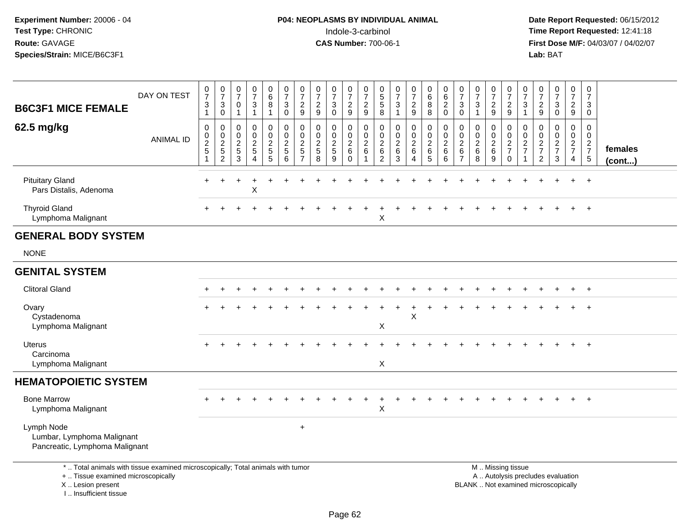| <b>B6C3F1 MICE FEMALE</b>                                                                                                                                           | DAY ON TEST      | 0<br>$\overline{7}$<br>3<br>$\mathbf{1}$        | $\frac{0}{7}$<br>$\sqrt{3}$<br>$\mathbf 0$ | 0<br>$\overline{7}$<br>0<br>$\overline{1}$              | 0<br>$\overline{7}$<br>$\ensuremath{\mathsf{3}}$<br>$\overline{1}$       | $_{6}^{\rm 0}$<br>8<br>$\mathbf{1}$       | 0<br>$\overline{7}$<br>$\ensuremath{\mathsf{3}}$<br>$\mathbf 0$         | $\frac{0}{7}$<br>$\overline{c}$<br>9                      | $\pmb{0}$<br>$\overline{7}$<br>$\overline{2}$<br>9 | $\frac{0}{7}$<br>$\ensuremath{\mathsf{3}}$<br>$\mathbf 0$ | $\frac{0}{7}$<br>$\boldsymbol{2}$<br>$9\,$                 | $\pmb{0}$<br>$\overline{7}$<br>$\overline{c}$<br>$\boldsymbol{9}$         | $\begin{array}{c} 0 \\ 5 \\ 5 \end{array}$<br>8           | 0<br>$\overline{7}$<br>$\ensuremath{\mathsf{3}}$<br>$\mathbf{1}$          | $\frac{0}{7}$<br>$\frac{2}{9}$                                            | $\begin{array}{c} 0 \\ 6 \end{array}$<br>8<br>8  | 0<br>6<br>$\overline{c}$<br>$\mathbf 0$                  | $\pmb{0}$<br>$\overline{7}$<br>3<br>$\mathbf 0$                 | $\pmb{0}$<br>$\overline{7}$<br>$\ensuremath{\mathsf{3}}$<br>$\overline{1}$ | $\frac{0}{7}$<br>$\overline{a}$<br>9 | 0<br>$\overline{7}$<br>$\frac{2}{9}$ | $\begin{array}{c} 0 \\ 7 \end{array}$<br>$\ensuremath{\mathsf{3}}$<br>$\mathbf{1}$ | $\frac{0}{7}$<br>$\frac{2}{9}$                    | $\begin{array}{c} 0 \\ 7 \end{array}$<br>$\ensuremath{\mathsf{3}}$<br>$\mathbf 0$ | $\frac{0}{7}$<br>$\overline{2}$<br>$\boldsymbol{9}$ | $\pmb{0}$<br>$\overline{7}$<br>$\ensuremath{\mathsf{3}}$<br>$\mathbf 0$ |                         |
|---------------------------------------------------------------------------------------------------------------------------------------------------------------------|------------------|-------------------------------------------------|--------------------------------------------|---------------------------------------------------------|--------------------------------------------------------------------------|-------------------------------------------|-------------------------------------------------------------------------|-----------------------------------------------------------|----------------------------------------------------|-----------------------------------------------------------|------------------------------------------------------------|---------------------------------------------------------------------------|-----------------------------------------------------------|---------------------------------------------------------------------------|---------------------------------------------------------------------------|--------------------------------------------------|----------------------------------------------------------|-----------------------------------------------------------------|----------------------------------------------------------------------------|--------------------------------------|--------------------------------------|------------------------------------------------------------------------------------|---------------------------------------------------|-----------------------------------------------------------------------------------|-----------------------------------------------------|-------------------------------------------------------------------------|-------------------------|
| 62.5 mg/kg                                                                                                                                                          | <b>ANIMAL ID</b> | 0<br>$\begin{array}{c} 0 \\ 2 \\ 5 \end{array}$ | 0<br>$\frac{0}{2}$<br>$\overline{2}$       | 0<br>$\mathbf 0$<br>$\boldsymbol{2}$<br>$\sqrt{5}$<br>3 | $\mathbf 0$<br>$\mathbf 0$<br>$\sqrt{2}$<br>$\sqrt{5}$<br>$\overline{4}$ | 0<br>$\mathsf{O}\xspace$<br>$\frac{2}{5}$ | 0<br>$\ddot{\mathbf{0}}$<br>$\overline{c}$<br>$\overline{5}$<br>$\,6\,$ | $\pmb{0}$<br>$\pmb{0}$<br>$\overline{c}$<br>$\frac{1}{7}$ | $\mathbf 0$<br>0<br>$\frac{2}{5}$<br>8             | 0<br>$\mathbf 0$<br>$\overline{c}$<br>$\sqrt{5}$<br>9     | 0<br>$\mathbf 0$<br>$\overline{c}$<br>$\,6$<br>$\mathbf 0$ | $\mathbf 0$<br>$\pmb{0}$<br>$\boldsymbol{2}$<br>$\,6\,$<br>$\overline{1}$ | $\mathbf 0$<br>0<br>$\overline{c}$<br>6<br>$\overline{2}$ | $\mathbf 0$<br>$\mathbf 0$<br>$\boldsymbol{2}$<br>$\,6\,$<br>$\mathbf{3}$ | $\mathbf 0$<br>$\pmb{0}$<br>$\boldsymbol{2}$<br>$\,6\,$<br>$\overline{4}$ | 0<br>$\pmb{0}$<br>$^2\phantom{1}6$<br>$\sqrt{5}$ | 0<br>$\pmb{0}$<br>$\boldsymbol{2}$<br>$\,6\,$<br>$\,6\,$ | 0<br>$\mathbf 0$<br>$\overline{c}$<br>$\,6\,$<br>$\overline{7}$ | $\mathbf 0$<br>$\boldsymbol{0}$<br>$^2\phantom{1}6$<br>8                   | 0<br>0<br>$^2\phantom{1}6$<br>9      | 0<br>$\frac{0}{2}$<br>$\mathbf 0$    | 0<br>$\pmb{0}$<br>$\frac{2}{7}$<br>$\overline{1}$                                  | 0<br>$\pmb{0}$<br>$\frac{2}{7}$<br>$\overline{2}$ | $\mathbf 0$<br>$\mathbf 0$<br>$\frac{2}{7}$<br>$\mathfrak{Z}$                     | 0<br>$\mathbf 0$<br>$\frac{2}{7}$<br>4              | 0<br>$\mathsf{O}\xspace$<br>$\begin{array}{c} 2 \\ 7 \\ 5 \end{array}$  | females<br>$($ cont $)$ |
| <b>Pituitary Gland</b><br>Pars Distalis, Adenoma                                                                                                                    |                  | $\pm$                                           |                                            |                                                         | X                                                                        |                                           |                                                                         |                                                           |                                                    |                                                           |                                                            |                                                                           |                                                           |                                                                           |                                                                           |                                                  |                                                          |                                                                 |                                                                            |                                      |                                      |                                                                                    |                                                   |                                                                                   |                                                     | $\ddot{}$                                                               |                         |
| <b>Thyroid Gland</b><br>Lymphoma Malignant                                                                                                                          |                  |                                                 |                                            |                                                         |                                                                          |                                           |                                                                         |                                                           |                                                    |                                                           |                                                            |                                                                           | X                                                         |                                                                           |                                                                           |                                                  |                                                          |                                                                 |                                                                            |                                      |                                      |                                                                                    |                                                   |                                                                                   |                                                     | $\overline{+}$                                                          |                         |
| <b>GENERAL BODY SYSTEM</b>                                                                                                                                          |                  |                                                 |                                            |                                                         |                                                                          |                                           |                                                                         |                                                           |                                                    |                                                           |                                                            |                                                                           |                                                           |                                                                           |                                                                           |                                                  |                                                          |                                                                 |                                                                            |                                      |                                      |                                                                                    |                                                   |                                                                                   |                                                     |                                                                         |                         |
| <b>NONE</b>                                                                                                                                                         |                  |                                                 |                                            |                                                         |                                                                          |                                           |                                                                         |                                                           |                                                    |                                                           |                                                            |                                                                           |                                                           |                                                                           |                                                                           |                                                  |                                                          |                                                                 |                                                                            |                                      |                                      |                                                                                    |                                                   |                                                                                   |                                                     |                                                                         |                         |
| <b>GENITAL SYSTEM</b>                                                                                                                                               |                  |                                                 |                                            |                                                         |                                                                          |                                           |                                                                         |                                                           |                                                    |                                                           |                                                            |                                                                           |                                                           |                                                                           |                                                                           |                                                  |                                                          |                                                                 |                                                                            |                                      |                                      |                                                                                    |                                                   |                                                                                   |                                                     |                                                                         |                         |
| <b>Clitoral Gland</b>                                                                                                                                               |                  |                                                 |                                            |                                                         |                                                                          |                                           |                                                                         |                                                           |                                                    |                                                           |                                                            |                                                                           |                                                           |                                                                           |                                                                           |                                                  |                                                          |                                                                 |                                                                            |                                      |                                      |                                                                                    |                                                   |                                                                                   |                                                     | $\overline{+}$                                                          |                         |
| Ovary<br>Cystadenoma<br>Lymphoma Malignant                                                                                                                          |                  |                                                 |                                            |                                                         |                                                                          |                                           |                                                                         |                                                           |                                                    |                                                           |                                                            |                                                                           | X                                                         |                                                                           | $\pmb{\times}$                                                            |                                                  |                                                          |                                                                 |                                                                            |                                      |                                      |                                                                                    |                                                   |                                                                                   |                                                     | $\overline{ }$                                                          |                         |
| <b>Uterus</b><br>Carcinoma<br>Lymphoma Malignant                                                                                                                    |                  |                                                 |                                            |                                                         |                                                                          |                                           |                                                                         |                                                           |                                                    |                                                           |                                                            |                                                                           | X                                                         |                                                                           |                                                                           |                                                  |                                                          |                                                                 |                                                                            |                                      |                                      |                                                                                    |                                                   |                                                                                   |                                                     | $\ddot{+}$                                                              |                         |
| <b>HEMATOPOIETIC SYSTEM</b>                                                                                                                                         |                  |                                                 |                                            |                                                         |                                                                          |                                           |                                                                         |                                                           |                                                    |                                                           |                                                            |                                                                           |                                                           |                                                                           |                                                                           |                                                  |                                                          |                                                                 |                                                                            |                                      |                                      |                                                                                    |                                                   |                                                                                   |                                                     |                                                                         |                         |
| <b>Bone Marrow</b><br>Lymphoma Malignant                                                                                                                            |                  |                                                 |                                            |                                                         |                                                                          |                                           |                                                                         |                                                           |                                                    |                                                           |                                                            |                                                                           | X                                                         |                                                                           |                                                                           |                                                  |                                                          |                                                                 |                                                                            |                                      |                                      |                                                                                    |                                                   |                                                                                   |                                                     |                                                                         |                         |
| Lymph Node<br>Lumbar, Lymphoma Malignant<br>Pancreatic, Lymphoma Malignant                                                                                          |                  |                                                 |                                            |                                                         |                                                                          |                                           |                                                                         | $\ddot{}$                                                 |                                                    |                                                           |                                                            |                                                                           |                                                           |                                                                           |                                                                           |                                                  |                                                          |                                                                 |                                                                            |                                      |                                      |                                                                                    |                                                   |                                                                                   |                                                     |                                                                         |                         |
| *  Total animals with tissue examined microscopically; Total animals with tumor<br>+  Tissue examined microscopically<br>X  Lesion present<br>I Insufficient tissue |                  |                                                 |                                            |                                                         |                                                                          |                                           |                                                                         |                                                           |                                                    |                                                           |                                                            |                                                                           |                                                           |                                                                           |                                                                           |                                                  |                                                          |                                                                 |                                                                            | M  Missing tissue                    |                                      |                                                                                    |                                                   | A  Autolysis precludes evaluation<br>BLANK  Not examined microscopically          |                                                     |                                                                         |                         |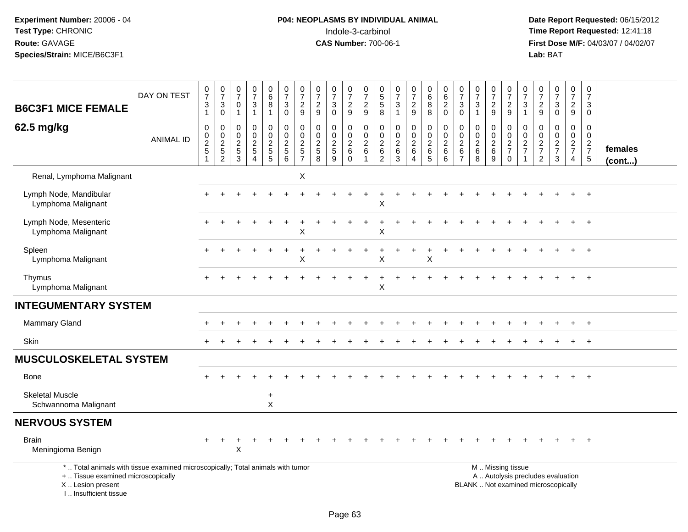I .. Insufficient tissue

# **P04: NEOPLASMS BY INDIVIDUAL ANIMAL**<br>Indole-3-carbinol Indole-3-carbinol **Time Report Requested:** 12:41:18

|                                                                                                                                            | DAY ON TEST | 0<br>$\overline{7}$                       | $\frac{0}{7}$                                                  | 0<br>$\overline{7}$                                   | $\pmb{0}$<br>$\overline{7}$                                                          | $^{\rm 0}_{\rm 6}$                               | 0<br>$\overline{7}$                                            | $\frac{0}{7}$                                                      | $\boldsymbol{0}$<br>$\overline{7}$                    | $\frac{0}{7}$                                             | $\frac{0}{7}$                                            | 0<br>$\overline{7}$                              | $\begin{matrix}0\\5\end{matrix}$                              | 0<br>$\overline{7}$                                          | $\frac{0}{7}$                                                     | $\mathbf 0$<br>$\,6\,$                             | 0<br>$\,6\,$                                                      | $\pmb{0}$<br>$\overline{7}$                                             | 0<br>$\overline{7}$                              | $\frac{0}{7}$                                      | $\frac{0}{7}$                          | $\frac{0}{7}$                          | $\frac{0}{7}$                                       | $\frac{0}{7}$                                                            | $\frac{0}{7}$                                     | 0<br>$\boldsymbol{7}$                                    |                   |
|--------------------------------------------------------------------------------------------------------------------------------------------|-------------|-------------------------------------------|----------------------------------------------------------------|-------------------------------------------------------|--------------------------------------------------------------------------------------|--------------------------------------------------|----------------------------------------------------------------|--------------------------------------------------------------------|-------------------------------------------------------|-----------------------------------------------------------|----------------------------------------------------------|--------------------------------------------------|---------------------------------------------------------------|--------------------------------------------------------------|-------------------------------------------------------------------|----------------------------------------------------|-------------------------------------------------------------------|-------------------------------------------------------------------------|--------------------------------------------------|----------------------------------------------------|----------------------------------------|----------------------------------------|-----------------------------------------------------|--------------------------------------------------------------------------|---------------------------------------------------|----------------------------------------------------------|-------------------|
| <b>B6C3F1 MICE FEMALE</b>                                                                                                                  |             | $\ensuremath{\mathsf{3}}$<br>$\mathbf{1}$ | $\sqrt{3}$<br>$\boldsymbol{0}$                                 | 0<br>$\overline{1}$                                   | 3<br>$\mathbf{1}$                                                                    | 8<br>1                                           | 3<br>$\mathbf 0$                                               | $\frac{2}{9}$                                                      | $\frac{2}{9}$                                         | 3<br>$\mathbf 0$                                          | $\frac{2}{9}$                                            | $\frac{2}{9}$                                    | $\mathbf 5$<br>8                                              | 3<br>$\mathbf{1}$                                            | $\frac{2}{9}$                                                     | 8<br>8                                             | $\overline{c}$<br>$\mathbf 0$                                     | $\mathbf{3}$<br>$\mathbf 0$                                             | 3<br>$\mathbf{1}$                                | $\overline{c}$<br>9                                | $\frac{2}{9}$                          | $\mathbf{3}$<br>$\mathbf{1}$           | $\frac{2}{9}$                                       | $\sqrt{3}$<br>$\mathbf 0$                                                | $\frac{2}{9}$                                     | $\mathbf{3}$<br>$\mathbf 0$                              |                   |
| 62.5 mg/kg                                                                                                                                 | ANIMAL ID   | 0<br>$\mathsf{O}$<br>$rac{2}{5}$          | 0<br>$\mathsf 0$<br>$\begin{array}{c} 2 \\ 5 \\ 2 \end{array}$ | 0<br>$\mathbf 0$<br>$\overline{2}$<br>$\sqrt{5}$<br>3 | $\mathbf 0$<br>$\mathbf 0$<br>$\sqrt{2}$<br>$\overline{5}$<br>$\boldsymbol{\Lambda}$ | 0<br>$\mathbf 0$<br>$\overline{c}$<br>$5\,$<br>5 | 0<br>0<br>$\boldsymbol{2}$<br>$\overline{5}$<br>$6\phantom{1}$ | 0<br>$\pmb{0}$<br>$\boldsymbol{2}$<br>$\sqrt{5}$<br>$\overline{7}$ | 0<br>$\mathbf 0$<br>$\overline{2}$<br>$\sqrt{5}$<br>8 | 0<br>$\mathbf 0$<br>$\overline{2}$<br>$\overline{5}$<br>9 | 0<br>$\mathbf 0$<br>$\sqrt{2}$<br>$\,6\,$<br>$\mathbf 0$ | 0<br>$\mathsf{O}$<br>$\sqrt{2}$<br>$\,6\,$<br>-1 | 0<br>$\mathbf 0$<br>$\overline{c}$<br>$\,6$<br>$\overline{2}$ | $\mathbf 0$<br>$\mathbf 0$<br>$\overline{c}$<br>$\,6\,$<br>3 | $\pmb{0}$<br>$\pmb{0}$<br>$\boldsymbol{2}$<br>$\,6\,$<br>$\Delta$ | 0<br>$\mathbf 0$<br>$\overline{2}$<br>$\,6\,$<br>5 | 0<br>$\mathbf 0$<br>$\boldsymbol{2}$<br>$\,6\,$<br>$6\phantom{1}$ | $\mathbf 0$<br>$\mathbf 0$<br>$\overline{2}$<br>$\,6$<br>$\overline{7}$ | 0<br>$\mathbf 0$<br>$\overline{c}$<br>$\,6$<br>8 | 0<br>$\mathbf 0$<br>$\overline{c}$<br>$\,6\,$<br>9 | 0<br>0<br>$\frac{2}{7}$<br>$\mathbf 0$ | 0<br>$\mathbf 0$<br>$\frac{2}{7}$<br>1 | 0<br>$\mathbf 0$<br>$\frac{2}{7}$<br>$\overline{2}$ | $\mathbf 0$<br>$\mathbf 0$<br>$\frac{2}{7}$<br>$\mathbf{3}$              | 0<br>$\mathbf 0$<br>$rac{2}{7}$<br>$\overline{4}$ | 0<br>$\boldsymbol{0}$<br>$\frac{2}{7}$<br>$\overline{5}$ | females<br>(cont) |
| Renal, Lymphoma Malignant                                                                                                                  |             |                                           |                                                                |                                                       |                                                                                      |                                                  |                                                                | X                                                                  |                                                       |                                                           |                                                          |                                                  |                                                               |                                                              |                                                                   |                                                    |                                                                   |                                                                         |                                                  |                                                    |                                        |                                        |                                                     |                                                                          |                                                   |                                                          |                   |
| Lymph Node, Mandibular<br>Lymphoma Malignant                                                                                               |             |                                           |                                                                |                                                       |                                                                                      |                                                  |                                                                |                                                                    |                                                       |                                                           |                                                          |                                                  | X                                                             |                                                              |                                                                   |                                                    |                                                                   |                                                                         |                                                  |                                                    |                                        |                                        |                                                     |                                                                          |                                                   |                                                          |                   |
| Lymph Node, Mesenteric<br>Lymphoma Malignant                                                                                               |             |                                           |                                                                |                                                       |                                                                                      |                                                  |                                                                | X                                                                  |                                                       |                                                           |                                                          |                                                  | X                                                             |                                                              |                                                                   |                                                    |                                                                   |                                                                         |                                                  |                                                    |                                        |                                        |                                                     |                                                                          |                                                   |                                                          |                   |
| Spleen<br>Lymphoma Malignant                                                                                                               |             |                                           |                                                                |                                                       |                                                                                      |                                                  |                                                                | $\sf X$                                                            |                                                       |                                                           |                                                          |                                                  | X                                                             |                                                              |                                                                   | X                                                  |                                                                   |                                                                         |                                                  |                                                    |                                        |                                        |                                                     |                                                                          |                                                   |                                                          |                   |
| Thymus<br>Lymphoma Malignant                                                                                                               |             |                                           |                                                                |                                                       |                                                                                      |                                                  |                                                                |                                                                    |                                                       |                                                           |                                                          |                                                  | X                                                             |                                                              |                                                                   |                                                    |                                                                   |                                                                         |                                                  |                                                    |                                        |                                        |                                                     |                                                                          |                                                   |                                                          |                   |
| <b>INTEGUMENTARY SYSTEM</b>                                                                                                                |             |                                           |                                                                |                                                       |                                                                                      |                                                  |                                                                |                                                                    |                                                       |                                                           |                                                          |                                                  |                                                               |                                                              |                                                                   |                                                    |                                                                   |                                                                         |                                                  |                                                    |                                        |                                        |                                                     |                                                                          |                                                   |                                                          |                   |
| <b>Mammary Gland</b>                                                                                                                       |             |                                           |                                                                |                                                       |                                                                                      |                                                  |                                                                |                                                                    |                                                       |                                                           |                                                          |                                                  |                                                               |                                                              |                                                                   |                                                    |                                                                   |                                                                         |                                                  |                                                    |                                        |                                        |                                                     |                                                                          |                                                   | $\overline{+}$                                           |                   |
| Skin                                                                                                                                       |             |                                           |                                                                |                                                       |                                                                                      |                                                  |                                                                |                                                                    |                                                       |                                                           |                                                          |                                                  |                                                               |                                                              |                                                                   |                                                    |                                                                   |                                                                         |                                                  |                                                    |                                        |                                        |                                                     |                                                                          |                                                   | $\overline{+}$                                           |                   |
| <b>MUSCULOSKELETAL SYSTEM</b>                                                                                                              |             |                                           |                                                                |                                                       |                                                                                      |                                                  |                                                                |                                                                    |                                                       |                                                           |                                                          |                                                  |                                                               |                                                              |                                                                   |                                                    |                                                                   |                                                                         |                                                  |                                                    |                                        |                                        |                                                     |                                                                          |                                                   |                                                          |                   |
| <b>Bone</b>                                                                                                                                |             |                                           |                                                                |                                                       |                                                                                      |                                                  |                                                                |                                                                    |                                                       |                                                           |                                                          |                                                  |                                                               |                                                              |                                                                   |                                                    |                                                                   |                                                                         |                                                  |                                                    |                                        |                                        |                                                     |                                                                          | $\ddot{}$                                         | $+$                                                      |                   |
| <b>Skeletal Muscle</b><br>Schwannoma Malignant                                                                                             |             |                                           |                                                                |                                                       |                                                                                      | $\ddot{}$<br>X                                   |                                                                |                                                                    |                                                       |                                                           |                                                          |                                                  |                                                               |                                                              |                                                                   |                                                    |                                                                   |                                                                         |                                                  |                                                    |                                        |                                        |                                                     |                                                                          |                                                   |                                                          |                   |
| <b>NERVOUS SYSTEM</b>                                                                                                                      |             |                                           |                                                                |                                                       |                                                                                      |                                                  |                                                                |                                                                    |                                                       |                                                           |                                                          |                                                  |                                                               |                                                              |                                                                   |                                                    |                                                                   |                                                                         |                                                  |                                                    |                                        |                                        |                                                     |                                                                          |                                                   |                                                          |                   |
| <b>Brain</b><br>Meningioma Benign                                                                                                          |             |                                           |                                                                | $\mathsf X$                                           |                                                                                      |                                                  |                                                                |                                                                    |                                                       |                                                           |                                                          |                                                  |                                                               |                                                              |                                                                   |                                                    |                                                                   |                                                                         |                                                  |                                                    |                                        |                                        |                                                     |                                                                          |                                                   |                                                          |                   |
| *  Total animals with tissue examined microscopically; Total animals with tumor<br>+  Tissue examined microscopically<br>X  Lesion present |             |                                           |                                                                |                                                       |                                                                                      |                                                  |                                                                |                                                                    |                                                       |                                                           |                                                          |                                                  |                                                               |                                                              |                                                                   |                                                    |                                                                   |                                                                         |                                                  |                                                    | M  Missing tissue                      |                                        |                                                     | A  Autolysis precludes evaluation<br>BLANK  Not examined microscopically |                                                   |                                                          |                   |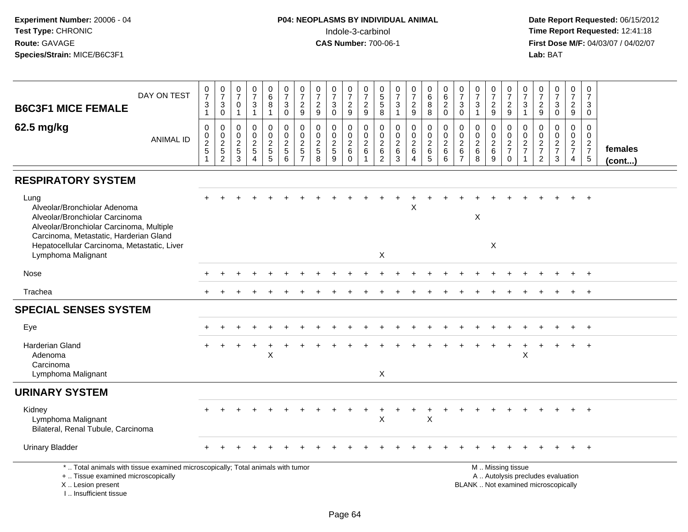| DAY ON TEST<br><b>B6C3F1 MICE FEMALE</b>                                                                                                                                                                                          | $\frac{0}{7}$<br>3<br>$\mathbf{1}$                                         | $\frac{0}{7}$<br>$\sqrt{3}$<br>$\overline{0}$                              | $\begin{array}{c} 0 \\ 7 \end{array}$<br>$\mathbf 0$<br>$\mathbf{1}$ | $\begin{array}{c} 0 \\ 7 \end{array}$<br>$\ensuremath{\mathsf{3}}$<br>$\mathbf{1}$       | 0<br>$6\phantom{a}$<br>$\bf8$<br>$\mathbf{1}$                 | $\begin{array}{c} 0 \\ 7 \end{array}$<br>$\sqrt{3}$<br>$\mathbf 0$ | $\frac{0}{7}$<br>$\frac{2}{9}$                                   | $\begin{smallmatrix}0\\7\end{smallmatrix}$<br>$\frac{2}{9}$             | $\begin{array}{c} 0 \\ 7 \end{array}$<br>$\mathbf{3}$<br>$\mathsf{O}\xspace$ | $\frac{0}{7}$<br>$\frac{2}{9}$                            | $\frac{0}{7}$<br>$\frac{2}{9}$                                                 | 0<br>$\sqrt{5}$<br>$\sqrt{5}$<br>$\overline{8}$                 | $\frac{0}{7}$<br>$\mathbf{3}$<br>$\mathbf{1}$                           | $\frac{0}{7}$<br>$\frac{2}{9}$                                         | $\begin{array}{c} 0 \\ 6 \\ 8 \end{array}$<br>$\overline{8}$            | 0620                                                                    | $\frac{0}{7}$<br>$_{\rm 0}^3$                             | $\frac{0}{7}$<br>$\mathbf{3}$<br>$\mathbf{1}$            | $\frac{0}{7}$<br>$\frac{2}{9}$     | $\frac{0}{7}$<br>$\frac{2}{9}$                      | $\frac{0}{7}$<br>3<br>$\mathbf{1}$                         | $\frac{0}{7}$<br>$\frac{2}{9}$                      | $\begin{array}{c} 0 \\ 7 \end{array}$<br>$\mathbf{3}$<br>$\overline{0}$  | $\frac{0}{7}$<br>$\frac{2}{9}$                      | $\mathbf 0$<br>$\overline{7}$<br>3<br>$\mathbf 0$             |                   |
|-----------------------------------------------------------------------------------------------------------------------------------------------------------------------------------------------------------------------------------|----------------------------------------------------------------------------|----------------------------------------------------------------------------|----------------------------------------------------------------------|------------------------------------------------------------------------------------------|---------------------------------------------------------------|--------------------------------------------------------------------|------------------------------------------------------------------|-------------------------------------------------------------------------|------------------------------------------------------------------------------|-----------------------------------------------------------|--------------------------------------------------------------------------------|-----------------------------------------------------------------|-------------------------------------------------------------------------|------------------------------------------------------------------------|-------------------------------------------------------------------------|-------------------------------------------------------------------------|-----------------------------------------------------------|----------------------------------------------------------|------------------------------------|-----------------------------------------------------|------------------------------------------------------------|-----------------------------------------------------|--------------------------------------------------------------------------|-----------------------------------------------------|---------------------------------------------------------------|-------------------|
| 62.5 mg/kg<br><b>ANIMAL ID</b>                                                                                                                                                                                                    | $\pmb{0}$<br>$\mathbf 0$<br>$\overline{2}$<br>$\sqrt{5}$<br>$\overline{1}$ | $\pmb{0}$<br>$\begin{smallmatrix} 0\\2 \end{smallmatrix}$<br>$\frac{5}{2}$ | $\mathbf 0$<br>$\mathbf 0$<br>$\sqrt{2}$<br>$\sqrt{5}$<br>3          | $\pmb{0}$<br>$\mathbf 0$<br>$\boldsymbol{2}$<br>$\overline{5}$<br>$\boldsymbol{\Lambda}$ | $\mathbf 0$<br>$\mathbf 0$<br>$\overline{2}$<br>$\frac{5}{5}$ | $\pmb{0}$<br>0<br>$\overline{2}$<br>$5\phantom{.0}$<br>6           | $\pmb{0}$<br>0<br>$\overline{c}$<br>$\sqrt{5}$<br>$\overline{7}$ | 0<br>$\mathbf 0$<br>$\sqrt{2}$<br>$\begin{array}{c} 5 \\ 8 \end{array}$ | $\mathbf 0$<br>0<br>$\overline{2}$<br>5<br>9                                 | 0<br>0<br>$\overline{2}$<br>$6\phantom{1}$<br>$\mathbf 0$ | $\boldsymbol{0}$<br>$\mathbf 0$<br>$\overline{2}$<br>$\,6\,$<br>$\overline{1}$ | $\mathbf 0$<br>0<br>$\overline{c}$<br>$\,6\,$<br>$\overline{2}$ | $\pmb{0}$<br>$\mathbf 0$<br>$\overline{2}$<br>$\,6\,$<br>$\overline{3}$ | $\mathsf{O}$<br>$\mathbf 0$<br>$\sqrt{2}$<br>$\,6\,$<br>$\overline{4}$ | $\mathbf 0$<br>$\mathbf 0$<br>$\overline{2}$<br>$\,6$<br>$\overline{5}$ | $\pmb{0}$<br>$\mathsf 0$<br>$\overline{2}$<br>$\,6\,$<br>$6\phantom{1}$ | $\mathbf 0$<br>0<br>$\overline{2}$<br>6<br>$\overline{7}$ | $\mathbf 0$<br>$\mathbf 0$<br>$\sqrt{2}$<br>$\,6\,$<br>8 | 0<br>0<br>$\overline{2}$<br>6<br>9 | 0<br>$\mathbf 0$<br>$\frac{2}{7}$<br>$\overline{0}$ | 0<br>0<br>$\overline{c}$<br>$\overline{7}$<br>$\mathbf{1}$ | $\mathbf 0$<br>0<br>$\frac{2}{7}$<br>$\overline{2}$ | $\pmb{0}$<br>$\mathbf 0$<br>$\frac{2}{7}$<br>$\mathbf{3}$                | 0<br>$\mathbf 0$<br>$\frac{2}{7}$<br>$\overline{4}$ | $\mathbf 0$<br>$\mathbf 0$<br>$\frac{2}{7}$<br>$\overline{5}$ | females<br>(cont) |
| <b>RESPIRATORY SYSTEM</b>                                                                                                                                                                                                         |                                                                            |                                                                            |                                                                      |                                                                                          |                                                               |                                                                    |                                                                  |                                                                         |                                                                              |                                                           |                                                                                |                                                                 |                                                                         |                                                                        |                                                                         |                                                                         |                                                           |                                                          |                                    |                                                     |                                                            |                                                     |                                                                          |                                                     |                                                               |                   |
| Lung<br>Alveolar/Bronchiolar Adenoma<br>Alveolar/Bronchiolar Carcinoma<br>Alveolar/Bronchiolar Carcinoma, Multiple<br>Carcinoma, Metastatic, Harderian Gland<br>Hepatocellular Carcinoma, Metastatic, Liver<br>Lymphoma Malignant |                                                                            |                                                                            |                                                                      |                                                                                          |                                                               |                                                                    |                                                                  |                                                                         |                                                                              |                                                           |                                                                                | X                                                               |                                                                         | X                                                                      |                                                                         |                                                                         |                                                           | $\mathsf X$                                              | X                                  |                                                     |                                                            |                                                     |                                                                          |                                                     |                                                               |                   |
| <b>Nose</b>                                                                                                                                                                                                                       |                                                                            |                                                                            |                                                                      |                                                                                          |                                                               |                                                                    |                                                                  |                                                                         |                                                                              |                                                           |                                                                                |                                                                 |                                                                         |                                                                        |                                                                         |                                                                         |                                                           |                                                          |                                    |                                                     |                                                            |                                                     |                                                                          |                                                     | $+$                                                           |                   |
| Trachea                                                                                                                                                                                                                           |                                                                            |                                                                            |                                                                      |                                                                                          |                                                               |                                                                    |                                                                  |                                                                         |                                                                              |                                                           |                                                                                |                                                                 |                                                                         |                                                                        |                                                                         |                                                                         |                                                           |                                                          |                                    |                                                     |                                                            |                                                     |                                                                          |                                                     | $\overline{+}$                                                |                   |
| <b>SPECIAL SENSES SYSTEM</b>                                                                                                                                                                                                      |                                                                            |                                                                            |                                                                      |                                                                                          |                                                               |                                                                    |                                                                  |                                                                         |                                                                              |                                                           |                                                                                |                                                                 |                                                                         |                                                                        |                                                                         |                                                                         |                                                           |                                                          |                                    |                                                     |                                                            |                                                     |                                                                          |                                                     |                                                               |                   |
| Eye                                                                                                                                                                                                                               |                                                                            |                                                                            |                                                                      |                                                                                          |                                                               |                                                                    |                                                                  |                                                                         |                                                                              |                                                           |                                                                                |                                                                 |                                                                         |                                                                        |                                                                         |                                                                         |                                                           |                                                          |                                    |                                                     |                                                            |                                                     |                                                                          |                                                     | $\overline{ }$                                                |                   |
| Harderian Gland<br>Adenoma<br>Carcinoma<br>Lymphoma Malignant                                                                                                                                                                     |                                                                            |                                                                            |                                                                      |                                                                                          | X                                                             |                                                                    |                                                                  |                                                                         |                                                                              |                                                           |                                                                                | X                                                               |                                                                         |                                                                        |                                                                         |                                                                         |                                                           |                                                          |                                    |                                                     | X                                                          |                                                     |                                                                          |                                                     | $+$                                                           |                   |
| <b>URINARY SYSTEM</b>                                                                                                                                                                                                             |                                                                            |                                                                            |                                                                      |                                                                                          |                                                               |                                                                    |                                                                  |                                                                         |                                                                              |                                                           |                                                                                |                                                                 |                                                                         |                                                                        |                                                                         |                                                                         |                                                           |                                                          |                                    |                                                     |                                                            |                                                     |                                                                          |                                                     |                                                               |                   |
| Kidney<br>Lymphoma Malignant<br>Bilateral, Renal Tubule, Carcinoma                                                                                                                                                                |                                                                            |                                                                            |                                                                      |                                                                                          |                                                               |                                                                    |                                                                  |                                                                         |                                                                              |                                                           |                                                                                | X                                                               |                                                                         |                                                                        | +<br>$\pmb{\times}$                                                     |                                                                         |                                                           |                                                          |                                    |                                                     |                                                            |                                                     |                                                                          |                                                     | $+$                                                           |                   |
| <b>Urinary Bladder</b>                                                                                                                                                                                                            |                                                                            |                                                                            |                                                                      |                                                                                          |                                                               |                                                                    |                                                                  |                                                                         |                                                                              |                                                           |                                                                                |                                                                 |                                                                         |                                                                        |                                                                         |                                                                         |                                                           |                                                          |                                    |                                                     |                                                            |                                                     |                                                                          |                                                     | $+$                                                           |                   |
| *  Total animals with tissue examined microscopically; Total animals with tumor<br>+  Tissue examined microscopically<br>X  Lesion present<br>L. Insufficient tissue                                                              |                                                                            |                                                                            |                                                                      |                                                                                          |                                                               |                                                                    |                                                                  |                                                                         |                                                                              |                                                           |                                                                                |                                                                 |                                                                         |                                                                        |                                                                         |                                                                         |                                                           |                                                          |                                    | M  Missing tissue                                   |                                                            |                                                     | A  Autolysis precludes evaluation<br>BLANK  Not examined microscopically |                                                     |                                                               |                   |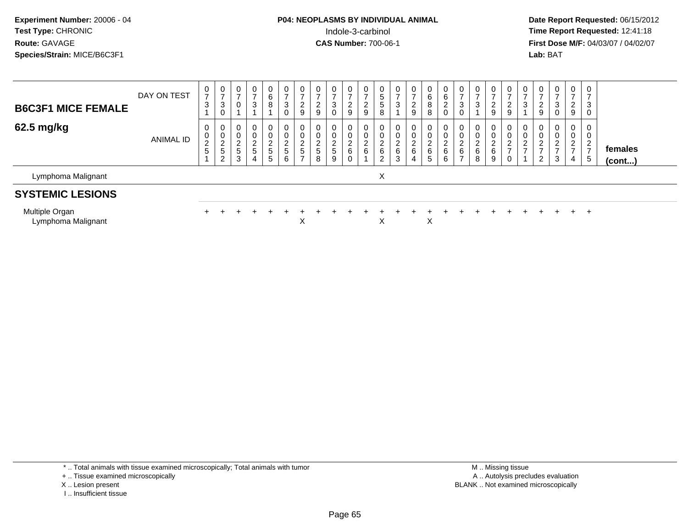**Date Report Requested:** 06/15/2012 **First Dose M/F:** 04/03/07 / 04/02/07<br>**Lab:** BAT **Lab:** BAT

| <b>B6C3F1 MICE FEMALE</b> | DAY ON TEST | 0<br>$\rightarrow$<br>3    | 0<br>$\rightarrow$<br>3<br>0                                 | 0<br>$\rightarrow$<br>$\mathbf{0}$ | 0<br>$\rightarrow$<br>3         | 0<br>6<br>8                                              | 0<br>$\rightarrow$<br>3<br>0                   | 0<br>$\overline{ }$<br>$\overline{2}$<br>9                                       | 0<br>$\rightarrow$<br>2<br>9             | 0<br>$\rightarrow$<br>3<br>0      | 0<br>ົ<br>L<br>9                  | $\overline{ }$<br>2<br>9        | 0<br>ა<br>5<br>8                     | 0<br>3      | 0<br>$\overline{ }$<br>$\overline{2}$<br>9                            | 0<br>6<br>8<br>8                                              | 0<br>$\,6\,$<br>$\sqrt{2}$<br>$\pmb{0}$ | 0<br>$\rightarrow$<br>3<br>0                | 0<br>$\overline{ }$<br>3   | 0<br>$\rightarrow$<br>ົ<br>$\epsilon$<br>9 | $\mathbf 0$<br>$\overline{\phantom{a}}$<br>$\overline{2}$<br>9      | 0<br>3           | 0<br>$\epsilon$<br>9         | $\mathbf{0}$<br>$\rightarrow$<br>3<br>$\mathbf 0$         | $\mathbf{0}$<br>$\rightarrow$<br>2<br>9        | 0<br>$\overline{\phantom{a}}$<br>3<br>$\mathbf 0$    |                   |
|---------------------------|-------------|----------------------------|--------------------------------------------------------------|------------------------------------|---------------------------------|----------------------------------------------------------|------------------------------------------------|----------------------------------------------------------------------------------|------------------------------------------|-----------------------------------|-----------------------------------|---------------------------------|--------------------------------------|-------------|-----------------------------------------------------------------------|---------------------------------------------------------------|-----------------------------------------|---------------------------------------------|----------------------------|--------------------------------------------|---------------------------------------------------------------------|------------------|------------------------------|-----------------------------------------------------------|------------------------------------------------|------------------------------------------------------|-------------------|
| 62.5 mg/kg                | ANIMAL ID   | 0<br>0<br>$\sim$<br>∼<br>5 | 0<br>0<br>$\sim$<br>∠<br>$\overline{r}$<br><sub>5</sub><br>2 | 0<br>0<br>$\sim$<br>∠<br>5<br>3    | 0<br>0<br>$\sim$<br>∠<br>5<br>4 | 0<br>0<br>$\Omega$<br>∠<br>$\sqrt{5}$<br>$5\phantom{.0}$ | $\mathbf{0}$<br>0<br>2<br>$5\phantom{.0}$<br>6 | $\mathbf 0$<br>$\mathbf 0$<br>$\overline{2}$<br>$\overline{5}$<br>$\overline{ }$ | 0<br>0<br>C<br>∠<br>$5\phantom{.0}$<br>8 | 0<br>0<br>$\mathcal{D}$<br>5<br>9 | $\Omega$<br>$\sim$<br>6<br>$\sim$ | $\mathbf 0$<br>$\sim$<br>∠<br>6 | 0<br>0<br>$\sim$<br>▵<br>6<br>ົ<br>▵ | ▃<br>6<br>3 | $\mathbf 0$<br>0<br>$\Omega$<br>∠<br>$6\phantom{1}$<br>$\overline{4}$ | $\mathbf{0}$<br>0<br>C.<br>$\epsilon$<br>6<br>$5\phantom{.0}$ | 0<br>$\pmb{0}$<br>$\frac{2}{6}$<br>6    | 0<br>0<br>$\sim$<br>∼<br>6<br>$\rightarrow$ | $\mathbf 0$<br>0<br>6<br>8 | 0<br>0<br>$\sim$<br>$\epsilon$<br>6<br>9   | $\mathbf 0$<br>0<br>$\overline{c}$<br>$\overline{\phantom{a}}$<br>0 | 0<br>υ<br>റ<br>∼ | 0<br>0<br>ົ<br><u>_</u><br>2 | $\mathbf 0$<br>0<br>$\overline{2}$<br>$\overline{ }$<br>3 | 0<br>0<br>C.<br><u>_</u><br>$\rightarrow$<br>4 | 0<br>0<br>$\mathcal{D}$<br>∼<br>$\overline{ }$<br>-5 | females<br>(cont) |
| Lymphoma Malignant        |             |                            |                                                              |                                    |                                 |                                                          |                                                |                                                                                  |                                          |                                   |                                   |                                 | X                                    |             |                                                                       |                                                               |                                         |                                             |                            |                                            |                                                                     |                  |                              |                                                           |                                                |                                                      |                   |
| <b>SYSTEMIC LESIONS</b>   |             |                            |                                                              |                                    |                                 |                                                          |                                                |                                                                                  |                                          |                                   |                                   |                                 |                                      |             |                                                                       |                                                               |                                         |                                             |                            |                                            |                                                                     |                  |                              |                                                           |                                                |                                                      |                   |

Multiple Organiitipie Organ<br>Lymphoma Malignant <sup>+</sup> <sup>+</sup> <sup>+</sup> <sup>+</sup> <sup>+</sup> <sup>+</sup> <sup>+</sup> <sup>+</sup> <sup>+</sup> <sup>+</sup> <sup>+</sup> <sup>+</sup> <sup>+</sup> <sup>+</sup> <sup>+</sup> <sup>+</sup> <sup>+</sup> <sup>+</sup> <sup>+</sup> <sup>+</sup> <sup>+</sup> <sup>+</sup> <sup>+</sup> <sup>+</sup> t x x x x

\* .. Total animals with tissue examined microscopically; Total animals with tumor

+ .. Tissue examined microscopically

X .. Lesion present

I .. Insufficient tissue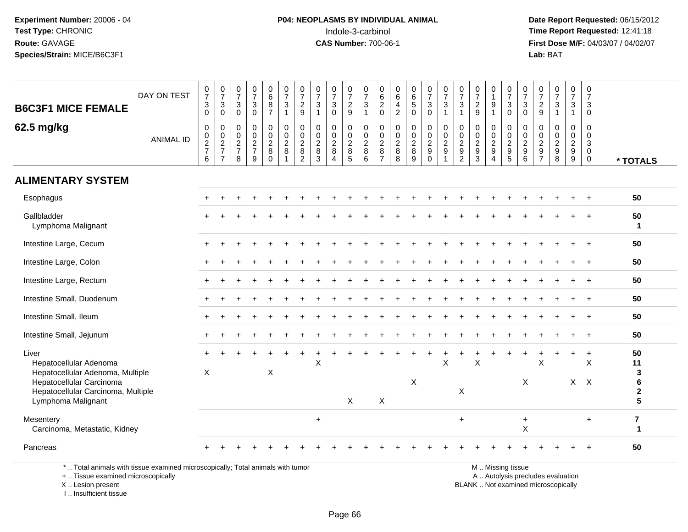**Date Report Requested:** 06/15/2012 **First Dose M/F:** 04/03/07 / 04/02/07<br>Lab: BAT **Lab:** BAT

| <b>B6C3F1 MICE FEMALE</b>                                                                                                                                   | DAY ON TEST      | $\begin{smallmatrix}0\\7\end{smallmatrix}$<br>$\overline{3}$<br>$\overline{0}$ | $\frac{0}{7}$<br>3<br>$\mathbf 0$                                           | $\frac{0}{7}$<br>$\mathbf{3}$<br>$\mathbf 0$                   | $\frac{0}{7}$<br>3<br>$\mathbf 0$      | 0687                                      | $\frac{0}{7}$<br>$\mathfrak{Z}$<br>$\overline{1}$              | 0<br>$\overline{7}$<br>$\overline{2}$<br>$\overline{9}$                   | $\frac{0}{7}$<br>$\mathbf{3}$<br>$\overline{1}$              | 0<br>$\overline{7}$<br>$\mathbf{3}$<br>$\mathbf 0$              | $\frac{0}{7}$<br>$\frac{2}{9}$                               | 0<br>$\overline{7}$<br>$\mathbf{3}$<br>$\mathbf{1}$ | $\begin{matrix} 0 \\ 6 \\ 2 \end{matrix}$<br>$\mathsf{O}\xspace$ | $\begin{matrix} 0 \\ 6 \end{matrix}$<br>$\overline{4}$<br>$\overline{2}$ | $\begin{array}{c} 0 \\ 6 \end{array}$<br>$\overline{5}$<br>$\mathbf 0$ | $\frac{0}{7}$<br>$\mathbf{3}$<br>$\mathsf 0$                 | 0<br>$\overline{7}$<br>3                            | $\frac{0}{7}$<br>$\mathbf{3}$<br>$\mathbf 1$                | $\frac{0}{7}$<br>$\frac{2}{9}$                   | 0<br>$\overline{1}$<br>9<br>$\overline{1}$                                      | 0<br>$\overline{7}$<br>3<br>$\pmb{0}$                                 | $\frac{0}{7}$<br>3<br>$\mathbf 0$                                     | $\frac{0}{7}$<br>$\frac{2}{9}$                            | $\frac{0}{7}$<br>3<br>$\overline{1}$                                  | $\frac{0}{7}$<br>3<br>$\mathbf{1}$          | 0<br>$\overline{7}$<br>3<br>$\mathbf 0$              |                                              |
|-------------------------------------------------------------------------------------------------------------------------------------------------------------|------------------|--------------------------------------------------------------------------------|-----------------------------------------------------------------------------|----------------------------------------------------------------|----------------------------------------|-------------------------------------------|----------------------------------------------------------------|---------------------------------------------------------------------------|--------------------------------------------------------------|-----------------------------------------------------------------|--------------------------------------------------------------|-----------------------------------------------------|------------------------------------------------------------------|--------------------------------------------------------------------------|------------------------------------------------------------------------|--------------------------------------------------------------|-----------------------------------------------------|-------------------------------------------------------------|--------------------------------------------------|---------------------------------------------------------------------------------|-----------------------------------------------------------------------|-----------------------------------------------------------------------|-----------------------------------------------------------|-----------------------------------------------------------------------|---------------------------------------------|------------------------------------------------------|----------------------------------------------|
| 62.5 mg/kg                                                                                                                                                  | <b>ANIMAL ID</b> | $\mathbf 0$<br>$\begin{array}{c} 0 \\ 2 \\ 7 \end{array}$<br>6                 | $\mathbf 0$<br>$\begin{array}{c} 0 \\ 2 \\ 7 \end{array}$<br>$\overline{7}$ | $\mathbf 0$<br>$\begin{array}{c} 0 \\ 2 \\ 7 \end{array}$<br>8 | 0<br>$\mathbf 0$<br>$\frac{2}{7}$<br>9 | 0<br>$\frac{0}{2}$<br>$\bf 8$<br>$\Omega$ | $\mathbf 0$<br>$^{\rm 0}_{\rm 2}$<br>$\,8\,$<br>$\overline{1}$ | $\mathbf 0$<br>$\mathbf 0$<br>$\overline{2}$<br>$\bf 8$<br>$\overline{2}$ | $\mathbf 0$<br>$\mathbf 0$<br>$\overline{2}$<br>$\bf 8$<br>3 | 0<br>$\mathbf 0$<br>$\overline{2}$<br>$\,8\,$<br>$\overline{A}$ | $\mathbf 0$<br>$\mathsf 0$<br>$\overline{2}$<br>$\,8\,$<br>5 | 0<br>$\mathbf 0$<br>$\overline{2}$<br>8<br>6        | $\mathbf 0$<br>0<br>$\overline{2}$<br>$\,8\,$<br>$\overline{7}$  | 0<br>0<br>$\overline{2}$<br>$\bf 8$<br>8                                 | 0<br>$\mathbf 0$<br>$\overline{2}$<br>$\,8\,$<br>9                     | $\mathbf 0$<br>$\frac{0}{2}$<br>$\boldsymbol{9}$<br>$\Omega$ | $\Omega$<br>0<br>$\overline{2}$<br>$\boldsymbol{9}$ | $\mathbf 0$<br>$\pmb{0}$<br>$\frac{2}{9}$<br>$\overline{2}$ | 0<br>$\mathbf 0$<br>$\overline{2}$<br>$9\,$<br>3 | $\mathbf 0$<br>$\mathbf 0$<br>$\overline{2}$<br>$9\,$<br>$\boldsymbol{\Lambda}$ | $\mathbf 0$<br>$\mathbf 0$<br>$\overline{2}$<br>$\boldsymbol{9}$<br>5 | $\mathbf 0$<br>$\mathbf 0$<br>$\overline{2}$<br>$\boldsymbol{9}$<br>6 | 0<br>0<br>$\overline{2}$<br>$\mathsf g$<br>$\overline{7}$ | $\mathbf 0$<br>$\mathbf 0$<br>$\overline{2}$<br>$\boldsymbol{9}$<br>8 | $\mathbf 0$<br>$^{\rm 0}_{\rm 2}$<br>9<br>9 | $\Omega$<br>$\Omega$<br>3<br>$\mathbf 0$<br>$\Omega$ | * TOTALS                                     |
| <b>ALIMENTARY SYSTEM</b>                                                                                                                                    |                  |                                                                                |                                                                             |                                                                |                                        |                                           |                                                                |                                                                           |                                                              |                                                                 |                                                              |                                                     |                                                                  |                                                                          |                                                                        |                                                              |                                                     |                                                             |                                                  |                                                                                 |                                                                       |                                                                       |                                                           |                                                                       |                                             |                                                      |                                              |
| Esophagus                                                                                                                                                   |                  |                                                                                |                                                                             |                                                                |                                        |                                           |                                                                |                                                                           |                                                              |                                                                 |                                                              |                                                     |                                                                  |                                                                          |                                                                        |                                                              |                                                     |                                                             |                                                  |                                                                                 |                                                                       |                                                                       |                                                           |                                                                       |                                             |                                                      | 50                                           |
| Gallbladder<br>Lymphoma Malignant                                                                                                                           |                  |                                                                                |                                                                             |                                                                |                                        |                                           |                                                                |                                                                           |                                                              |                                                                 |                                                              |                                                     |                                                                  |                                                                          |                                                                        |                                                              |                                                     |                                                             |                                                  |                                                                                 |                                                                       |                                                                       |                                                           |                                                                       |                                             |                                                      | 50<br>1                                      |
| Intestine Large, Cecum                                                                                                                                      |                  |                                                                                |                                                                             |                                                                |                                        |                                           |                                                                |                                                                           |                                                              |                                                                 |                                                              |                                                     |                                                                  |                                                                          |                                                                        |                                                              |                                                     |                                                             |                                                  |                                                                                 |                                                                       |                                                                       |                                                           |                                                                       |                                             |                                                      | 50                                           |
| Intestine Large, Colon                                                                                                                                      |                  |                                                                                |                                                                             |                                                                |                                        |                                           |                                                                |                                                                           |                                                              |                                                                 |                                                              |                                                     |                                                                  |                                                                          |                                                                        |                                                              |                                                     |                                                             |                                                  |                                                                                 |                                                                       |                                                                       |                                                           |                                                                       |                                             |                                                      | 50                                           |
| Intestine Large, Rectum                                                                                                                                     |                  |                                                                                |                                                                             |                                                                |                                        |                                           |                                                                |                                                                           |                                                              |                                                                 |                                                              |                                                     |                                                                  |                                                                          |                                                                        |                                                              |                                                     |                                                             |                                                  |                                                                                 |                                                                       |                                                                       |                                                           |                                                                       |                                             |                                                      | 50                                           |
| Intestine Small, Duodenum                                                                                                                                   |                  |                                                                                |                                                                             |                                                                |                                        |                                           |                                                                |                                                                           |                                                              |                                                                 |                                                              |                                                     |                                                                  |                                                                          |                                                                        |                                                              |                                                     |                                                             |                                                  |                                                                                 |                                                                       |                                                                       |                                                           |                                                                       |                                             |                                                      | 50                                           |
| Intestine Small, Ileum                                                                                                                                      |                  |                                                                                |                                                                             |                                                                |                                        |                                           |                                                                |                                                                           |                                                              |                                                                 |                                                              |                                                     |                                                                  |                                                                          |                                                                        |                                                              |                                                     |                                                             |                                                  |                                                                                 |                                                                       |                                                                       |                                                           |                                                                       |                                             |                                                      | 50                                           |
| Intestine Small, Jejunum                                                                                                                                    |                  |                                                                                |                                                                             |                                                                |                                        |                                           |                                                                |                                                                           |                                                              |                                                                 |                                                              |                                                     |                                                                  |                                                                          |                                                                        |                                                              |                                                     |                                                             |                                                  |                                                                                 |                                                                       |                                                                       |                                                           |                                                                       |                                             |                                                      | 50                                           |
| Liver<br>Hepatocellular Adenoma<br>Hepatocellular Adenoma, Multiple<br>Hepatocellular Carcinoma<br>Hepatocellular Carcinoma, Multiple<br>Lymphoma Malignant |                  | $\boldsymbol{\mathsf{X}}$                                                      |                                                                             |                                                                |                                        | $\boldsymbol{\mathsf{X}}$                 |                                                                |                                                                           | $\pmb{\times}$                                               |                                                                 | $\mathsf{X}$                                                 |                                                     | X                                                                |                                                                          | X                                                                      |                                                              | X                                                   | $\pmb{\times}$                                              | $\mathsf X$                                      |                                                                                 |                                                                       | X                                                                     | $\boldsymbol{\mathsf{X}}$                                 |                                                                       |                                             | $\div$<br>X<br>$X$ $X$                               | 50<br>11<br>3<br>$\bf 6$<br>$\mathbf 2$<br>5 |
| Mesentery<br>Carcinoma, Metastatic, Kidney                                                                                                                  |                  |                                                                                |                                                                             |                                                                |                                        |                                           |                                                                |                                                                           | $+$                                                          |                                                                 |                                                              |                                                     |                                                                  |                                                                          |                                                                        |                                                              |                                                     | $\ddot{}$                                                   |                                                  |                                                                                 |                                                                       | $\ddot{}$<br>X                                                        |                                                           |                                                                       |                                             | $+$                                                  | $\overline{7}$<br>1                          |
| Pancreas                                                                                                                                                    |                  |                                                                                |                                                                             |                                                                |                                        |                                           |                                                                |                                                                           |                                                              |                                                                 |                                                              |                                                     |                                                                  |                                                                          |                                                                        |                                                              |                                                     |                                                             |                                                  |                                                                                 |                                                                       |                                                                       |                                                           |                                                                       |                                             |                                                      | 50                                           |
| *  Total animals with tissue examined microscopically; Total animals with tumor                                                                             |                  |                                                                                |                                                                             |                                                                |                                        |                                           |                                                                |                                                                           |                                                              |                                                                 |                                                              |                                                     |                                                                  |                                                                          |                                                                        |                                                              |                                                     |                                                             |                                                  |                                                                                 | M  Missing tissue                                                     |                                                                       |                                                           |                                                                       |                                             |                                                      |                                              |

+ .. Tissue examined microscopically

X .. Lesion present

I .. Insufficient tissue

A .. Autolysis precludes evaluation Lesion present BLANK .. Not examined microscopically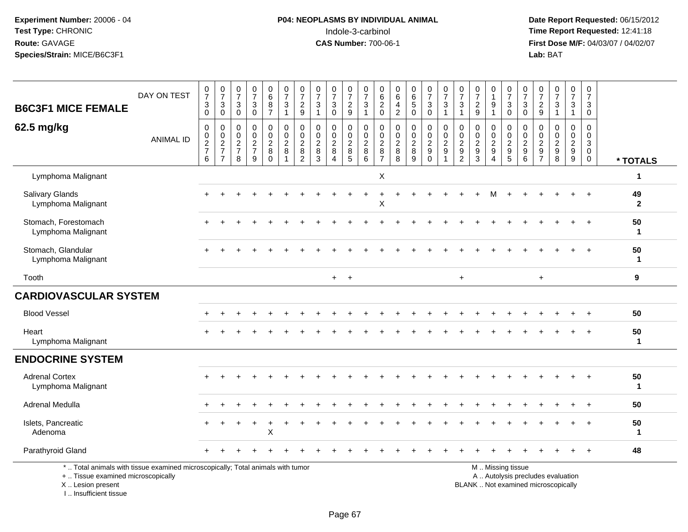#### **P04: NEOPLASMS BY INDIVIDUAL ANIMAL**<br>Indole-3-carbinol Indole-3-carbinol **Time Report Requested:** 12:41:18

 **Date Report Requested:** 06/15/2012 **First Dose M/F:** 04/03/07 / 04/02/07<br>Lab: BAT **Lab:** BAT

|                                                                                                                                           |                  |                                        |                                                     |                                            |                                                | $\mathbf 0$                                    |                                                               |                                                             |                                                    |                                                                                  |                                                       |                                                  | $\mathbf 0$                                                   | 0                                                            |                                                      |                                                                 |                                                     |                                                            |                                                                               | 0                                      |                                   |                                                           |                                                  |                                                                          |                                            | 0                                                                   |                    |
|-------------------------------------------------------------------------------------------------------------------------------------------|------------------|----------------------------------------|-----------------------------------------------------|--------------------------------------------|------------------------------------------------|------------------------------------------------|---------------------------------------------------------------|-------------------------------------------------------------|----------------------------------------------------|----------------------------------------------------------------------------------|-------------------------------------------------------|--------------------------------------------------|---------------------------------------------------------------|--------------------------------------------------------------|------------------------------------------------------|-----------------------------------------------------------------|-----------------------------------------------------|------------------------------------------------------------|-------------------------------------------------------------------------------|----------------------------------------|-----------------------------------|-----------------------------------------------------------|--------------------------------------------------|--------------------------------------------------------------------------|--------------------------------------------|---------------------------------------------------------------------|--------------------|
|                                                                                                                                           | DAY ON TEST      | $\frac{0}{7}$                          | $\frac{0}{7}$                                       | $\begin{smallmatrix}0\\7\end{smallmatrix}$ | $\frac{0}{7}$                                  | $6\phantom{a}$                                 | $\frac{0}{7}$                                                 | $\frac{0}{7}$                                               | $\frac{0}{7}$                                      | $\frac{0}{7}$                                                                    | $\begin{array}{c} 0 \\ 7 \end{array}$                 | $\frac{0}{7}$                                    | $\,6\,$                                                       | $\,6\,$                                                      | $_{6}^{\rm 0}$                                       | $\begin{smallmatrix}0\\7\end{smallmatrix}$                      | $\frac{0}{7}$                                       | $\frac{0}{7}$                                              | $\frac{0}{7}$                                                                 | $\mathbf{1}$                           | $\frac{0}{7}$                     | $\frac{0}{7}$                                             | $\begin{smallmatrix}0\\7\end{smallmatrix}$       | $\frac{0}{7}$                                                            | $\begin{smallmatrix}0\\7\end{smallmatrix}$ | $\overline{7}$                                                      |                    |
| <b>B6C3F1 MICE FEMALE</b>                                                                                                                 |                  | 3<br>$\mathbf 0$                       | $\mathbf{3}$<br>$\mathbf 0$                         | $\ensuremath{\mathsf{3}}$<br>$\mathbf 0$   | $_{0}^{3}$                                     | $\frac{8}{7}$                                  | $\sqrt{3}$<br>$\mathbf{1}$                                    | $\frac{2}{9}$                                               | $\sqrt{3}$<br>$\overline{1}$                       | $\sqrt{3}$<br>$\mathbf 0$                                                        | $\frac{2}{9}$                                         | $\sqrt{3}$<br>$\overline{1}$                     | $^2_{\rm 0}$                                                  | 4<br>$\overline{2}$                                          | $\begin{array}{c} 5 \\ 0 \end{array}$                | $_0^3$                                                          | $\ensuremath{\mathsf{3}}$<br>$\mathbf{1}$           | 3<br>$\overline{1}$                                        | $\frac{2}{9}$                                                                 | 9<br>1                                 | $_0^3$                            | $\sqrt{3}$<br>$\mathbf 0$                                 | $\frac{2}{9}$                                    | $\ensuremath{\mathsf{3}}$<br>$\overline{1}$                              | $\mathbf{3}$<br>$\mathbf{1}$               | 3<br>0                                                              |                    |
| 62.5 mg/kg                                                                                                                                | <b>ANIMAL ID</b> | $\mathbf 0$<br>0<br>$\frac{2}{7}$<br>6 | 0<br>$\mathbf 0$<br>$\frac{2}{7}$<br>$\overline{7}$ | 0<br>$\mathbf 0$<br>$\frac{2}{7}$<br>8     | $\pmb{0}$<br>$\mathbf 0$<br>$\frac{2}{7}$<br>9 | 0<br>$\pmb{0}$<br>$\frac{2}{8}$<br>$\mathbf 0$ | $\mathbf 0$<br>$\mathbf 0$<br>$\frac{2}{8}$<br>$\overline{1}$ | $\mathbf 0$<br>$\Omega$<br>$_{8}^{\rm 2}$<br>$\overline{2}$ | $\Omega$<br>$\Omega$<br>$\sqrt{2}$<br>$\bf 8$<br>3 | $\mathbf 0$<br>$\mathbf 0$<br>$\overline{c}$<br>$\overline{8}$<br>$\overline{4}$ | 0<br>$\mathbf 0$<br>$_{8}^{\rm 2}$<br>$5\phantom{.0}$ | $\mathbf 0$<br>$\mathbf 0$<br>$\frac{2}{8}$<br>6 | $\mathbf 0$<br>$\mathbf 0$<br>$\frac{2}{8}$<br>$\overline{7}$ | $\mathbf 0$<br>$\mathbf 0$<br>$\overline{c}$<br>$\bf 8$<br>8 | 0<br>$\mathbf 0$<br>$_{8}^{\rm 2}$<br>$\overline{9}$ | 0<br>$\mathbf 0$<br>$\begin{bmatrix} 2 \\ 9 \\ 0 \end{bmatrix}$ | 0<br>$\mathsf 0$<br>$\frac{2}{9}$<br>$\overline{1}$ | $\mathbf 0$<br>$\Omega$<br>$\frac{2}{9}$<br>$\overline{2}$ | $\mathbf{0}$<br>$\mathbf 0$<br>$\sqrt{2}$<br>$\boldsymbol{9}$<br>$\mathbf{3}$ | 0<br>$\mathbf 0$<br>$\frac{2}{9}$<br>4 | 0<br>$\mathbf 0$<br>$\frac{2}{9}$ | 0<br>$\mathbf 0$<br>$\overline{c}$<br>$\overline{9}$<br>6 | 0<br>$\Omega$<br>$\frac{2}{9}$<br>$\overline{7}$ | $\mathbf 0$<br>$\mathbf 0$<br>$\frac{2}{9}$<br>8                         | 0<br>$\mathbf 0$<br>$\frac{2}{9}$<br>9     | $\mathbf 0$<br>$\mathbf 0$<br>3<br>$\overline{0}$<br>$\overline{0}$ | * TOTALS           |
| Lymphoma Malignant                                                                                                                        |                  |                                        |                                                     |                                            |                                                |                                                |                                                               |                                                             |                                                    |                                                                                  |                                                       |                                                  | X                                                             |                                                              |                                                      |                                                                 |                                                     |                                                            |                                                                               |                                        |                                   |                                                           |                                                  |                                                                          |                                            |                                                                     | $\mathbf 1$        |
| <b>Salivary Glands</b><br>Lymphoma Malignant                                                                                              |                  |                                        |                                                     |                                            |                                                |                                                |                                                               |                                                             |                                                    |                                                                                  |                                                       |                                                  | Χ                                                             |                                                              |                                                      |                                                                 |                                                     |                                                            |                                                                               |                                        |                                   |                                                           |                                                  |                                                                          |                                            |                                                                     | 49<br>$\mathbf{2}$ |
| Stomach, Forestomach<br>Lymphoma Malignant                                                                                                |                  |                                        |                                                     |                                            |                                                |                                                |                                                               |                                                             |                                                    |                                                                                  |                                                       |                                                  |                                                               |                                                              |                                                      |                                                                 |                                                     |                                                            |                                                                               |                                        |                                   |                                                           |                                                  |                                                                          |                                            |                                                                     | 50<br>$\mathbf{1}$ |
| Stomach, Glandular<br>Lymphoma Malignant                                                                                                  |                  |                                        |                                                     |                                            |                                                |                                                |                                                               |                                                             |                                                    |                                                                                  |                                                       |                                                  |                                                               |                                                              |                                                      |                                                                 |                                                     |                                                            |                                                                               |                                        |                                   |                                                           |                                                  |                                                                          |                                            |                                                                     | 50<br>1            |
| Tooth                                                                                                                                     |                  |                                        |                                                     |                                            |                                                |                                                |                                                               |                                                             |                                                    | $+$                                                                              | $+$                                                   |                                                  |                                                               |                                                              |                                                      |                                                                 |                                                     | $\ddot{}$                                                  |                                                                               |                                        |                                   |                                                           | $+$                                              |                                                                          |                                            |                                                                     | 9                  |
| <b>CARDIOVASCULAR SYSTEM</b>                                                                                                              |                  |                                        |                                                     |                                            |                                                |                                                |                                                               |                                                             |                                                    |                                                                                  |                                                       |                                                  |                                                               |                                                              |                                                      |                                                                 |                                                     |                                                            |                                                                               |                                        |                                   |                                                           |                                                  |                                                                          |                                            |                                                                     |                    |
| <b>Blood Vessel</b>                                                                                                                       |                  |                                        |                                                     |                                            |                                                |                                                |                                                               |                                                             |                                                    |                                                                                  |                                                       |                                                  |                                                               |                                                              |                                                      |                                                                 |                                                     |                                                            |                                                                               |                                        |                                   |                                                           |                                                  |                                                                          |                                            |                                                                     | 50                 |
| Heart<br>Lymphoma Malignant                                                                                                               |                  |                                        |                                                     |                                            |                                                |                                                |                                                               |                                                             |                                                    |                                                                                  |                                                       |                                                  |                                                               |                                                              |                                                      |                                                                 |                                                     |                                                            |                                                                               |                                        |                                   |                                                           |                                                  |                                                                          |                                            |                                                                     | 50<br>$\mathbf{1}$ |
| <b>ENDOCRINE SYSTEM</b>                                                                                                                   |                  |                                        |                                                     |                                            |                                                |                                                |                                                               |                                                             |                                                    |                                                                                  |                                                       |                                                  |                                                               |                                                              |                                                      |                                                                 |                                                     |                                                            |                                                                               |                                        |                                   |                                                           |                                                  |                                                                          |                                            |                                                                     |                    |
| <b>Adrenal Cortex</b><br>Lymphoma Malignant                                                                                               |                  |                                        |                                                     |                                            |                                                |                                                |                                                               |                                                             |                                                    |                                                                                  |                                                       |                                                  |                                                               |                                                              |                                                      |                                                                 |                                                     |                                                            |                                                                               |                                        |                                   |                                                           |                                                  |                                                                          |                                            |                                                                     | 50<br>$\mathbf{1}$ |
| Adrenal Medulla                                                                                                                           |                  |                                        |                                                     |                                            |                                                |                                                |                                                               |                                                             |                                                    |                                                                                  |                                                       |                                                  |                                                               |                                                              |                                                      |                                                                 |                                                     |                                                            |                                                                               |                                        |                                   |                                                           |                                                  |                                                                          |                                            |                                                                     | 50                 |
| Islets, Pancreatic<br>Adenoma                                                                                                             |                  |                                        |                                                     |                                            |                                                | X                                              |                                                               |                                                             |                                                    |                                                                                  |                                                       |                                                  |                                                               |                                                              |                                                      |                                                                 |                                                     |                                                            |                                                                               |                                        |                                   |                                                           |                                                  |                                                                          |                                            |                                                                     | 50<br>1            |
| Parathyroid Gland                                                                                                                         |                  |                                        |                                                     |                                            |                                                |                                                |                                                               |                                                             |                                                    |                                                                                  |                                                       |                                                  |                                                               |                                                              |                                                      |                                                                 |                                                     |                                                            |                                                                               |                                        |                                   |                                                           |                                                  |                                                                          |                                            |                                                                     | 48                 |
| *  Total animals with tissue examined microscopically; Total animals with tumor<br>+  Tissue examined microscopically<br>X Lesion present |                  |                                        |                                                     |                                            |                                                |                                                |                                                               |                                                             |                                                    |                                                                                  |                                                       |                                                  |                                                               |                                                              |                                                      |                                                                 |                                                     |                                                            |                                                                               |                                        | M  Missing tissue                 |                                                           |                                                  | A  Autolysis precludes evaluation<br>BLANK  Not examined microscopically |                                            |                                                                     |                    |

I .. Insufficient tissue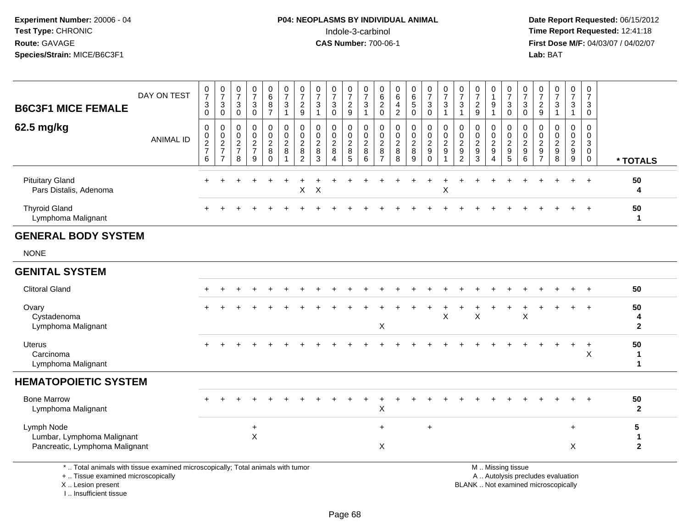**Date Report Requested:** 06/15/2012 **First Dose M/F:** 04/03/07 / 04/02/07<br>Lab: BAT **Lab:** BAT

| <b>B6C3F1 MICE FEMALE</b>                                                                                                                  | DAY ON TEST      | 0<br>$\overline{7}$<br>3<br>0    | $\frac{0}{7}$<br>3<br>$\mathbf 0$                 | $\frac{0}{7}$<br>3<br>$\mathbf 0$                         | $\pmb{0}$<br>$\overline{7}$<br>3<br>0                                 | $\begin{array}{c} 0 \\ 6 \end{array}$<br>$\bf 8$<br>$\overline{7}$  | $\frac{0}{7}$<br>$\ensuremath{\mathsf{3}}$<br>$\overline{1}$ | $\frac{0}{7}$<br>$\frac{2}{9}$                              | $\frac{0}{7}$<br>3<br>$\mathbf{1}$                  | $\frac{0}{7}$<br>$\sqrt{3}$<br>$\mathbf 0$              | $\frac{0}{7}$<br>$\overline{2}$<br>9                | $\frac{0}{7}$<br>$\ensuremath{\mathsf{3}}$<br>$\mathbf{1}$ | $\pmb{0}$<br>$\,6\,$<br>$^2_{\rm 0}$                        | 0<br>$\,6\,$<br>4<br>$\boldsymbol{2}$               | 0<br>$\,6\,$<br>$\sqrt{5}$<br>$\mathbf 0$              | $\frac{0}{7}$<br>3<br>$\mathsf 0$                                  | $\frac{0}{7}$<br>3<br>$\overline{1}$                   | $\begin{array}{c} 0 \\ 7 \end{array}$<br>3<br>$\mathbf{1}$         | $\frac{0}{7}$<br>$\overline{c}$<br>9                                  | $\mathbf 0$<br>$\overline{1}$<br>9<br>$\overline{1}$          | $\pmb{0}$<br>$\overline{7}$<br>3<br>$\mathbf 0$ | 0<br>$\overline{7}$<br>3<br>0                               | $\frac{0}{7}$<br>$\frac{2}{9}$                                           | $\pmb{0}$<br>$\overline{7}$<br>$\ensuremath{\mathsf{3}}$<br>$\mathbf{1}$ | $\begin{array}{c} 0 \\ 7 \end{array}$<br>$\sqrt{3}$<br>$\mathbf{1}$                  | $\mathbf 0$<br>$\overline{7}$<br>3<br>$\mathbf 0$                |                                           |
|--------------------------------------------------------------------------------------------------------------------------------------------|------------------|----------------------------------|---------------------------------------------------|-----------------------------------------------------------|-----------------------------------------------------------------------|---------------------------------------------------------------------|--------------------------------------------------------------|-------------------------------------------------------------|-----------------------------------------------------|---------------------------------------------------------|-----------------------------------------------------|------------------------------------------------------------|-------------------------------------------------------------|-----------------------------------------------------|--------------------------------------------------------|--------------------------------------------------------------------|--------------------------------------------------------|--------------------------------------------------------------------|-----------------------------------------------------------------------|---------------------------------------------------------------|-------------------------------------------------|-------------------------------------------------------------|--------------------------------------------------------------------------|--------------------------------------------------------------------------|--------------------------------------------------------------------------------------|------------------------------------------------------------------|-------------------------------------------|
| 62.5 mg/kg                                                                                                                                 | <b>ANIMAL ID</b> | 0<br>0<br>$\frac{2}{7}$<br>$\,6$ | 0<br>$\pmb{0}$<br>$\frac{2}{7}$<br>$\overline{7}$ | 0<br>$\mathbf 0$<br>$\overline{c}$<br>$\overline{7}$<br>8 | $\mathbf 0$<br>$\mathbf 0$<br>$\overline{c}$<br>$\boldsymbol{7}$<br>9 | $\mathbf 0$<br>$\mathbf 0$<br>$\overline{2}$<br>$\bf 8$<br>$\Omega$ | 0<br>$\mathsf{O}\xspace$<br>$_{\rm 8}^2$<br>$\overline{1}$   | 0<br>$\mathbf 0$<br>$\sqrt{2}$<br>$\,8\,$<br>$\overline{c}$ | $\mathbf 0$<br>$\Omega$<br>$\overline{c}$<br>8<br>3 | $\mathbf 0$<br>$\mathbf 0$<br>$\sqrt{2}$<br>$\bf8$<br>4 | $\mathbf 0$<br>$\Omega$<br>$\overline{2}$<br>8<br>5 | 0<br>$\mathbf 0$<br>$_{8}^{\rm 2}$<br>6                    | 0<br>$\mathbf 0$<br>$\sqrt{2}$<br>$\bf 8$<br>$\overline{7}$ | $\mathbf 0$<br>$\Omega$<br>$\overline{c}$<br>8<br>8 | $\mathbf 0$<br>$\mathbf 0$<br>$\overline{c}$<br>8<br>9 | 0<br>$\mathbf 0$<br>$\overline{c}$<br>$\boldsymbol{9}$<br>$\Omega$ | 0<br>$\mathbf 0$<br>$\overline{c}$<br>$\boldsymbol{9}$ | 0<br>$\mathbf 0$<br>$\sqrt{2}$<br>$\overline{9}$<br>$\overline{c}$ | $\mathbf 0$<br>$\mathbf 0$<br>$\overline{2}$<br>$\boldsymbol{9}$<br>3 | $\mathbf 0$<br>$\mathbf 0$<br>$\overline{c}$<br>9<br>$\Delta$ | 0<br>$\mathbf 0$<br>$\frac{2}{9}$<br>$\sqrt{5}$ | 0<br>$\mathbf 0$<br>$\overline{c}$<br>$\boldsymbol{9}$<br>6 | 0<br>$\Omega$<br>$\overline{c}$<br>9<br>$\overline{7}$                   | $\Omega$<br>$\Omega$<br>$\overline{c}$<br>9<br>8                         | $\mathbf 0$<br>$\mathbf 0$<br>$\overline{2}$<br>$\boldsymbol{9}$<br>$\boldsymbol{9}$ | $\mathbf 0$<br>$\mathbf 0$<br>3<br>$\overline{0}$<br>$\mathbf 0$ | * TOTALS                                  |
| <b>Pituitary Gland</b><br>Pars Distalis, Adenoma                                                                                           |                  |                                  |                                                   |                                                           |                                                                       |                                                                     |                                                              | X                                                           | $\times$                                            |                                                         |                                                     |                                                            |                                                             |                                                     |                                                        |                                                                    | X                                                      |                                                                    |                                                                       |                                                               |                                                 |                                                             |                                                                          |                                                                          |                                                                                      | $\ddot{}$                                                        | 50<br>4                                   |
| <b>Thyroid Gland</b><br>Lymphoma Malignant                                                                                                 |                  |                                  |                                                   |                                                           |                                                                       |                                                                     |                                                              |                                                             |                                                     |                                                         |                                                     |                                                            |                                                             |                                                     |                                                        |                                                                    |                                                        |                                                                    |                                                                       |                                                               |                                                 |                                                             |                                                                          |                                                                          |                                                                                      |                                                                  | 50<br>$\mathbf{1}$                        |
| <b>GENERAL BODY SYSTEM</b>                                                                                                                 |                  |                                  |                                                   |                                                           |                                                                       |                                                                     |                                                              |                                                             |                                                     |                                                         |                                                     |                                                            |                                                             |                                                     |                                                        |                                                                    |                                                        |                                                                    |                                                                       |                                                               |                                                 |                                                             |                                                                          |                                                                          |                                                                                      |                                                                  |                                           |
| <b>NONE</b>                                                                                                                                |                  |                                  |                                                   |                                                           |                                                                       |                                                                     |                                                              |                                                             |                                                     |                                                         |                                                     |                                                            |                                                             |                                                     |                                                        |                                                                    |                                                        |                                                                    |                                                                       |                                                               |                                                 |                                                             |                                                                          |                                                                          |                                                                                      |                                                                  |                                           |
| <b>GENITAL SYSTEM</b>                                                                                                                      |                  |                                  |                                                   |                                                           |                                                                       |                                                                     |                                                              |                                                             |                                                     |                                                         |                                                     |                                                            |                                                             |                                                     |                                                        |                                                                    |                                                        |                                                                    |                                                                       |                                                               |                                                 |                                                             |                                                                          |                                                                          |                                                                                      |                                                                  |                                           |
| <b>Clitoral Gland</b>                                                                                                                      |                  |                                  |                                                   |                                                           |                                                                       |                                                                     |                                                              |                                                             |                                                     |                                                         |                                                     |                                                            |                                                             |                                                     |                                                        |                                                                    |                                                        |                                                                    |                                                                       |                                                               |                                                 |                                                             |                                                                          |                                                                          |                                                                                      |                                                                  | 50                                        |
| Ovary<br>Cystadenoma<br>Lymphoma Malignant                                                                                                 |                  |                                  |                                                   |                                                           |                                                                       |                                                                     |                                                              |                                                             |                                                     |                                                         |                                                     |                                                            | X                                                           |                                                     |                                                        |                                                                    | X                                                      |                                                                    | X                                                                     |                                                               |                                                 | X                                                           |                                                                          |                                                                          |                                                                                      |                                                                  | 50<br>4<br>$\mathbf{2}$                   |
| <b>Uterus</b><br>Carcinoma<br>Lymphoma Malignant                                                                                           |                  | +                                |                                                   |                                                           |                                                                       |                                                                     |                                                              |                                                             |                                                     |                                                         |                                                     |                                                            |                                                             |                                                     |                                                        |                                                                    |                                                        |                                                                    |                                                                       |                                                               |                                                 |                                                             |                                                                          |                                                                          |                                                                                      | $\ddot{}$<br>X                                                   | 50<br>$\mathbf{1}$<br>$\mathbf{1}$        |
| <b>HEMATOPOIETIC SYSTEM</b>                                                                                                                |                  |                                  |                                                   |                                                           |                                                                       |                                                                     |                                                              |                                                             |                                                     |                                                         |                                                     |                                                            |                                                             |                                                     |                                                        |                                                                    |                                                        |                                                                    |                                                                       |                                                               |                                                 |                                                             |                                                                          |                                                                          |                                                                                      |                                                                  |                                           |
| <b>Bone Marrow</b><br>Lymphoma Malignant                                                                                                   |                  |                                  |                                                   |                                                           |                                                                       |                                                                     |                                                              |                                                             |                                                     |                                                         |                                                     |                                                            | X                                                           |                                                     |                                                        |                                                                    |                                                        |                                                                    |                                                                       |                                                               |                                                 |                                                             |                                                                          |                                                                          |                                                                                      | $\ddot{}$                                                        | 50<br>$\mathbf{2}$                        |
| Lymph Node<br>Lumbar, Lymphoma Malignant<br>Pancreatic, Lymphoma Malignant                                                                 |                  |                                  |                                                   |                                                           | $\ddot{}$<br>X                                                        |                                                                     |                                                              |                                                             |                                                     |                                                         |                                                     |                                                            | $\ddot{}$<br>X                                              |                                                     |                                                        | $\ddot{}$                                                          |                                                        |                                                                    |                                                                       |                                                               |                                                 |                                                             |                                                                          |                                                                          | $\ddot{}$<br>X                                                                       |                                                                  | 5<br>$\blacktriangleleft$<br>$\mathbf{2}$ |
| *  Total animals with tissue examined microscopically; Total animals with tumor<br>+  Tissue examined microscopically<br>X  Lesion present |                  |                                  |                                                   |                                                           |                                                                       |                                                                     |                                                              |                                                             |                                                     |                                                         |                                                     |                                                            |                                                             |                                                     |                                                        |                                                                    |                                                        |                                                                    |                                                                       |                                                               | M  Missing tissue                               |                                                             | A  Autolysis precludes evaluation<br>BLANK  Not examined microscopically |                                                                          |                                                                                      |                                                                  |                                           |

I .. Insufficient tissue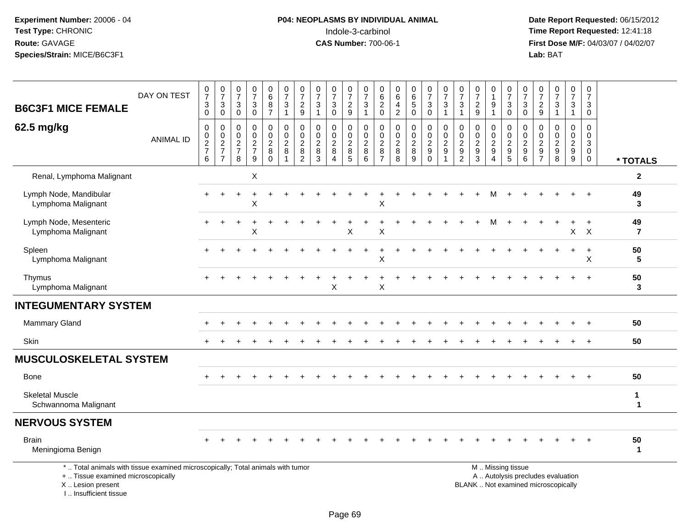# **P04: NEOPLASMS BY INDIVIDUAL ANIMAL**<br>Indole-3-carbinol Indole-3-carbinol **Time Report Requested:** 12:41:18

| <b>B6C3F1 MICE FEMALE</b>                                                                                                                                           | DAY ON TEST      | $\frac{0}{7}$<br>3<br>$\overline{0}$ | $\begin{array}{c} 0 \\ 7 \end{array}$<br>3<br>$\overline{0}$        | $\begin{smallmatrix}0\\7\end{smallmatrix}$<br>$\ensuremath{\mathsf{3}}$<br>$\overline{0}$ | $\begin{array}{c} 0 \\ 7 \end{array}$<br>$_{\rm 0}^3$               | $\begin{array}{c} 0 \\ 6 \end{array}$<br>$\begin{array}{c} 8 \\ 7 \end{array}$ | $\frac{0}{7}$<br>$\sqrt{3}$<br>$\overline{1}$                  | $\frac{0}{7}$<br>$\frac{2}{9}$                                    | $\frac{0}{7}$<br>$\ensuremath{\mathsf{3}}$<br>$\mathbf{1}$ | $\frac{0}{7}$<br>3<br>$\bar{0}$                                       | $\frac{0}{7}$<br>$\frac{2}{9}$                             | $\mathbf 0$<br>$\overline{7}$<br>$\sqrt{3}$<br>$\overline{1}$ | 0<br>$\,6\,$<br>$^2_{\rm 0}$                          | 0<br>$\,6\,$<br>$\overline{\mathbf{4}}$<br>$\overline{2}$                 | $\begin{array}{c} 0 \\ 6 \end{array}$<br>$\sqrt{5}$<br>$\pmb{0}$                           | $\frac{0}{7}$<br>3<br>$\overline{0}$                           | $\frac{0}{7}$<br>$\ensuremath{\mathsf{3}}$<br>$\mathbf{1}$             | $\pmb{0}$<br>$\overline{7}$<br>$\sqrt{3}$<br>$\overline{1}$              | $\frac{0}{7}$<br>$\overline{c}$<br>9                 | 0<br>$\mathbf{1}$<br>$\boldsymbol{9}$<br>$\mathbf{1}$ | 0<br>$\overline{7}$<br>$\ensuremath{\mathsf{3}}$<br>$\mathbf 0$                             | $\frac{0}{7}$<br>3<br>$\pmb{0}$                               | $\pmb{0}$<br>$\overline{7}$<br>$\frac{2}{9}$                    | $\begin{array}{c} 0 \\ 7 \end{array}$<br>$\ensuremath{\mathsf{3}}$<br>$\mathbf{1}$ | $\mathbf 0$<br>$\overline{7}$<br>$\mathsf 3$<br>$\mathbf{1}$ | $\pmb{0}$<br>$\overline{7}$<br>$\ensuremath{\mathsf{3}}$<br>$\mathbf 0$  |                             |
|---------------------------------------------------------------------------------------------------------------------------------------------------------------------|------------------|--------------------------------------|---------------------------------------------------------------------|-------------------------------------------------------------------------------------------|---------------------------------------------------------------------|--------------------------------------------------------------------------------|----------------------------------------------------------------|-------------------------------------------------------------------|------------------------------------------------------------|-----------------------------------------------------------------------|------------------------------------------------------------|---------------------------------------------------------------|-------------------------------------------------------|---------------------------------------------------------------------------|--------------------------------------------------------------------------------------------|----------------------------------------------------------------|------------------------------------------------------------------------|--------------------------------------------------------------------------|------------------------------------------------------|-------------------------------------------------------|---------------------------------------------------------------------------------------------|---------------------------------------------------------------|-----------------------------------------------------------------|------------------------------------------------------------------------------------|--------------------------------------------------------------|--------------------------------------------------------------------------|-----------------------------|
| 62.5 mg/kg                                                                                                                                                          | <b>ANIMAL ID</b> | $\pmb{0}$<br>0<br>$\frac{2}{7}$<br>6 | $\pmb{0}$<br>$\mathsf{O}\xspace$<br>$\frac{2}{7}$<br>$\overline{7}$ | $\pmb{0}$<br>$\boldsymbol{0}$<br>$\frac{2}{7}$<br>8                                       | $\pmb{0}$<br>$\mathsf{O}\xspace$<br>$\frac{2}{7}$<br>$\overline{9}$ | $\pmb{0}$<br>$\pmb{0}$<br>$\frac{2}{8}$<br>$\overline{0}$                      | $\pmb{0}$<br>$\overline{0}$<br>$\frac{2}{8}$<br>$\overline{1}$ | 0<br>$\mathbf 0$<br>$\boldsymbol{2}$<br>$\bf 8$<br>$\overline{2}$ | $\pmb{0}$<br>$\pmb{0}$<br>$\frac{2}{8}$<br>$\overline{3}$  | $\mathbf 0$<br>$\mathbf 0$<br>$\frac{2}{8}$<br>$\boldsymbol{\Lambda}$ | 0<br>$\mathsf{O}$<br>$\overline{c}$<br>8<br>$\overline{5}$ | $\pmb{0}$<br>$\mathsf{O}\xspace$<br>$\frac{2}{8}$<br>6        | 0<br>$\mathbf 0$<br>$\sqrt{2}$<br>8<br>$\overline{7}$ | $\mathbf 0$<br>$\pmb{0}$<br>$\boldsymbol{2}$<br>$\bf 8$<br>$\overline{8}$ | $\boldsymbol{0}$<br>$\mathbf 0$<br>$\begin{array}{c} 2 \\ 8 \end{array}$<br>$\overline{9}$ | 0<br>$\mathbf 0$<br>$\sqrt{2}$<br>$\boldsymbol{9}$<br>$\Omega$ | $\pmb{0}$<br>$\mathbf 0$<br>$\boldsymbol{2}$<br>$\boldsymbol{9}$<br>-1 | $\mathbf 0$<br>$\mathbf 0$<br>$\begin{array}{c} 2 \\ 9 \\ 2 \end{array}$ | $\mathbf 0$<br>$\mathbf 0$<br>$\sqrt{2}$<br>$9$<br>3 | 0<br>0<br>$\frac{2}{9}$<br>$\overline{4}$             | $\mathbf 0$<br>$\mathsf 0$<br>$\overline{\mathbf{c}}$<br>$\boldsymbol{9}$<br>$\overline{5}$ | 0<br>$\mathbf 0$<br>$\boldsymbol{2}$<br>$\boldsymbol{9}$<br>6 | $\mathbf 0$<br>$\mathbf 0$<br>$\boldsymbol{2}$<br>$\frac{9}{7}$ | $\mathbf 0$<br>$\mathbf 0$<br>$\frac{2}{9}$                                        | $\mathbf 0$<br>$\mathbf 0$<br>$\frac{2}{9}$                  | $\mathbf 0$<br>$\mathbf 0$<br>$\mathbf{3}$<br>$\mathbf 0$<br>$\mathbf 0$ | * TOTALS                    |
| Renal, Lymphoma Malignant                                                                                                                                           |                  |                                      |                                                                     |                                                                                           | X                                                                   |                                                                                |                                                                |                                                                   |                                                            |                                                                       |                                                            |                                                               |                                                       |                                                                           |                                                                                            |                                                                |                                                                        |                                                                          |                                                      |                                                       |                                                                                             |                                                               |                                                                 |                                                                                    |                                                              |                                                                          | $\mathbf{2}$                |
| Lymph Node, Mandibular<br>Lymphoma Malignant                                                                                                                        |                  |                                      |                                                                     |                                                                                           | X                                                                   |                                                                                |                                                                |                                                                   |                                                            |                                                                       |                                                            |                                                               | X                                                     |                                                                           |                                                                                            |                                                                |                                                                        |                                                                          |                                                      | м                                                     |                                                                                             |                                                               |                                                                 |                                                                                    |                                                              | $+$                                                                      | 49<br>3                     |
| Lymph Node, Mesenteric<br>Lymphoma Malignant                                                                                                                        |                  |                                      | $\div$                                                              | $\ddot{}$                                                                                 | $\ddot{}$<br>X                                                      | ÷.                                                                             |                                                                |                                                                   |                                                            | $\overline{1}$                                                        | ÷<br>X                                                     | $\ddot{}$                                                     | $\ddot{}$<br>Χ                                        |                                                                           |                                                                                            |                                                                |                                                                        |                                                                          |                                                      | м                                                     | $\div$                                                                                      |                                                               |                                                                 | $\ddot{}$                                                                          | $+$<br>$\pmb{\times}$                                        | $+$<br>$\times$                                                          | 49<br>$\overline{7}$        |
| Spleen<br>Lymphoma Malignant                                                                                                                                        |                  |                                      |                                                                     |                                                                                           |                                                                     |                                                                                |                                                                |                                                                   |                                                            |                                                                       |                                                            |                                                               | X                                                     |                                                                           |                                                                                            |                                                                |                                                                        |                                                                          |                                                      |                                                       |                                                                                             |                                                               |                                                                 |                                                                                    | $+$                                                          | $\ddot{}$<br>X                                                           | 50<br>5                     |
| Thymus<br>Lymphoma Malignant                                                                                                                                        |                  |                                      |                                                                     |                                                                                           |                                                                     |                                                                                |                                                                |                                                                   |                                                            | X                                                                     |                                                            |                                                               | X                                                     |                                                                           |                                                                                            |                                                                |                                                                        |                                                                          |                                                      |                                                       |                                                                                             |                                                               |                                                                 |                                                                                    |                                                              | $\ddot{}$                                                                | 50<br>3                     |
| <b>INTEGUMENTARY SYSTEM</b>                                                                                                                                         |                  |                                      |                                                                     |                                                                                           |                                                                     |                                                                                |                                                                |                                                                   |                                                            |                                                                       |                                                            |                                                               |                                                       |                                                                           |                                                                                            |                                                                |                                                                        |                                                                          |                                                      |                                                       |                                                                                             |                                                               |                                                                 |                                                                                    |                                                              |                                                                          |                             |
| Mammary Gland                                                                                                                                                       |                  |                                      |                                                                     |                                                                                           |                                                                     |                                                                                |                                                                |                                                                   |                                                            |                                                                       |                                                            |                                                               |                                                       |                                                                           |                                                                                            |                                                                |                                                                        |                                                                          |                                                      |                                                       |                                                                                             |                                                               |                                                                 |                                                                                    |                                                              | $\ddot{}$                                                                | 50                          |
| <b>Skin</b>                                                                                                                                                         |                  |                                      |                                                                     |                                                                                           |                                                                     |                                                                                |                                                                |                                                                   |                                                            |                                                                       |                                                            |                                                               |                                                       |                                                                           |                                                                                            |                                                                |                                                                        |                                                                          |                                                      |                                                       |                                                                                             |                                                               |                                                                 |                                                                                    |                                                              | $\div$                                                                   | 50                          |
| <b>MUSCULOSKELETAL SYSTEM</b>                                                                                                                                       |                  |                                      |                                                                     |                                                                                           |                                                                     |                                                                                |                                                                |                                                                   |                                                            |                                                                       |                                                            |                                                               |                                                       |                                                                           |                                                                                            |                                                                |                                                                        |                                                                          |                                                      |                                                       |                                                                                             |                                                               |                                                                 |                                                                                    |                                                              |                                                                          |                             |
| <b>Bone</b>                                                                                                                                                         |                  |                                      |                                                                     |                                                                                           |                                                                     |                                                                                |                                                                |                                                                   |                                                            |                                                                       |                                                            |                                                               |                                                       |                                                                           |                                                                                            |                                                                |                                                                        |                                                                          |                                                      |                                                       |                                                                                             |                                                               |                                                                 |                                                                                    |                                                              |                                                                          | 50                          |
| <b>Skeletal Muscle</b><br>Schwannoma Malignant                                                                                                                      |                  |                                      |                                                                     |                                                                                           |                                                                     |                                                                                |                                                                |                                                                   |                                                            |                                                                       |                                                            |                                                               |                                                       |                                                                           |                                                                                            |                                                                |                                                                        |                                                                          |                                                      |                                                       |                                                                                             |                                                               |                                                                 |                                                                                    |                                                              |                                                                          | $\mathbf{1}$<br>$\mathbf 1$ |
| <b>NERVOUS SYSTEM</b>                                                                                                                                               |                  |                                      |                                                                     |                                                                                           |                                                                     |                                                                                |                                                                |                                                                   |                                                            |                                                                       |                                                            |                                                               |                                                       |                                                                           |                                                                                            |                                                                |                                                                        |                                                                          |                                                      |                                                       |                                                                                             |                                                               |                                                                 |                                                                                    |                                                              |                                                                          |                             |
| <b>Brain</b><br>Meningioma Benign                                                                                                                                   |                  |                                      |                                                                     |                                                                                           |                                                                     |                                                                                |                                                                |                                                                   |                                                            |                                                                       |                                                            |                                                               |                                                       |                                                                           |                                                                                            |                                                                |                                                                        |                                                                          |                                                      |                                                       |                                                                                             |                                                               |                                                                 |                                                                                    |                                                              | $+$                                                                      | 50<br>$\mathbf 1$           |
| *  Total animals with tissue examined microscopically; Total animals with tumor<br>+  Tissue examined microscopically<br>X  Lesion present<br>I Insufficient tissue |                  |                                      |                                                                     |                                                                                           |                                                                     |                                                                                |                                                                |                                                                   |                                                            |                                                                       |                                                            |                                                               |                                                       |                                                                           |                                                                                            |                                                                |                                                                        |                                                                          |                                                      | M  Missing tissue                                     |                                                                                             |                                                               |                                                                 | A  Autolysis precludes evaluation<br>BLANK  Not examined microscopically           |                                                              |                                                                          |                             |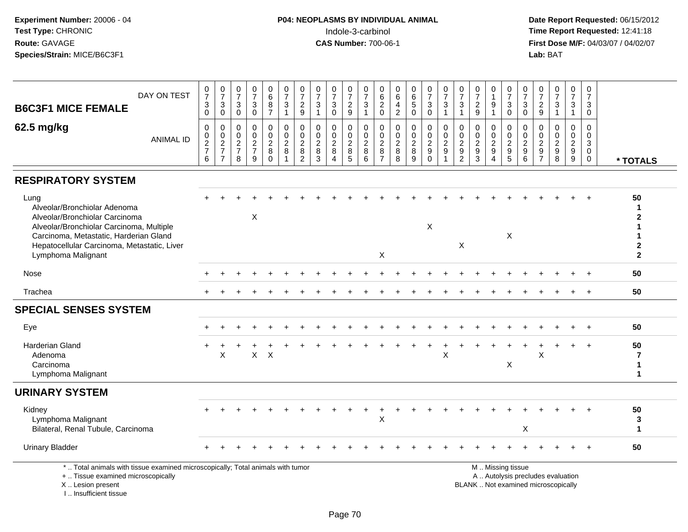**Date Report Requested:** 06/15/2012 **First Dose M/F:** 04/03/07 / 04/02/07<br>Lab: BAT **Lab:** BAT

| DAY ON TEST<br><b>B6C3F1 MICE FEMALE</b>                                                                                                                                                                                          | $\frac{0}{7}$<br>$_{\rm 0}^3$                    | $\frac{0}{7}$<br>$\sqrt{3}$<br>$\mathbf 0$          | $\frac{0}{7}$<br>3<br>$\mathbf 0$                         | $\frac{0}{7}$<br>$_{0}^{3}$                                           | $_{6}^{\rm 0}$<br>$\frac{8}{7}$                               | $\begin{smallmatrix}0\\7\end{smallmatrix}$<br>3<br>$\mathbf{1}$ | $\frac{0}{7}$<br>$\frac{2}{9}$                                      | $\frac{0}{7}$<br>3<br>$\overline{1}$                               | $\pmb{0}$<br>$\overline{7}$<br>$\sqrt{3}$<br>$\mathbf{0}$                   | $\frac{0}{7}$<br>$\overline{c}$<br>$\overline{9}$ | $\frac{0}{7}$<br>$\ensuremath{\mathsf{3}}$<br>$\overline{1}$ | $\boldsymbol{0}$<br>6<br>$\sqrt{2}$<br>$\mathbf 0$          | $\begin{array}{c} 0 \\ 6 \end{array}$<br>$\overline{a}$<br>$\overline{2}$ | $\begin{array}{c} 0 \\ 6 \end{array}$<br>$\sqrt{5}$<br>$\mathbf 0$ | $\frac{0}{7}$<br>3<br>$\overline{0}$                                  | $\frac{0}{7}$<br>$\mathsf 3$<br>$\mathbf{1}$      | $\frac{0}{7}$<br>3<br>$\mathbf{1}$                                                   | $\frac{0}{7}$<br>$\frac{2}{9}$                 | $\pmb{0}$<br>$\mathbf{1}$<br>$\boldsymbol{9}$<br>$\overline{1}$                        | $\frac{0}{7}$<br>$\mathbf{3}$<br>0                               | $\frac{0}{7}$<br>$\mathbf{3}$<br>$\mathbf 0$            | 0<br>$\overline{7}$<br>$\frac{2}{9}$                     | $\frac{0}{7}$<br>3<br>$\overline{1}$                                     | $\frac{0}{7}$<br>$\mathbf{3}$<br>$\mathbf{1}$                                          | 0<br>$\overline{7}$<br>3<br>$\mathbf 0$                          |                                                              |
|-----------------------------------------------------------------------------------------------------------------------------------------------------------------------------------------------------------------------------------|--------------------------------------------------|-----------------------------------------------------|-----------------------------------------------------------|-----------------------------------------------------------------------|---------------------------------------------------------------|-----------------------------------------------------------------|---------------------------------------------------------------------|--------------------------------------------------------------------|-----------------------------------------------------------------------------|---------------------------------------------------|--------------------------------------------------------------|-------------------------------------------------------------|---------------------------------------------------------------------------|--------------------------------------------------------------------|-----------------------------------------------------------------------|---------------------------------------------------|--------------------------------------------------------------------------------------|------------------------------------------------|----------------------------------------------------------------------------------------|------------------------------------------------------------------|---------------------------------------------------------|----------------------------------------------------------|--------------------------------------------------------------------------|----------------------------------------------------------------------------------------|------------------------------------------------------------------|--------------------------------------------------------------|
| 62.5 mg/kg<br><b>ANIMAL ID</b>                                                                                                                                                                                                    | $\mathbf 0$<br>$\mathbf 0$<br>$\frac{2}{7}$<br>6 | 0<br>$\mathsf 0$<br>$\frac{2}{7}$<br>$\overline{7}$ | 0<br>$\mathbf 0$<br>$\overline{2}$<br>$\overline{7}$<br>8 | $\mathbf 0$<br>$\mathbf 0$<br>$\boldsymbol{2}$<br>$\overline{7}$<br>9 | 0<br>$\mathsf{O}$<br>$\overline{c}$<br>$\bf 8$<br>$\mathbf 0$ | 0<br>$\mathbf 0$<br>$\overline{2}$<br>8                         | $\mathbf 0$<br>$\pmb{0}$<br>$\sqrt{2}$<br>$\bf 8$<br>$\overline{2}$ | $\mathbf 0$<br>$\mathbf{0}$<br>$\overline{2}$<br>8<br>$\mathbf{3}$ | $\mathbf 0$<br>$\mathbf 0$<br>$\overline{c}$<br>8<br>$\boldsymbol{\Lambda}$ | 0<br>$\mathbf 0$<br>$\mathbf{2}$<br>$\bf 8$<br>5  | 0<br>0<br>$\overline{c}$<br>$\,8\,$<br>6                     | 0<br>$\mathsf 0$<br>$\sqrt{2}$<br>$\,8\,$<br>$\overline{7}$ | $\mathbf 0$<br>$\mathbf 0$<br>$\sqrt{2}$<br>$\, 8$<br>$\bf8$              | $\mathbf 0$<br>$\mathbf 0$<br>$\boldsymbol{2}$<br>$\bf8$<br>9      | 0<br>$\mathbf 0$<br>$\overline{c}$<br>$\boldsymbol{9}$<br>$\mathbf 0$ | 0<br>$\mathbf 0$<br>$\frac{2}{9}$<br>$\mathbf{1}$ | $\mathbf 0$<br>$\mathbf 0$<br>$\boldsymbol{2}$<br>$\boldsymbol{9}$<br>$\overline{2}$ | 0<br>$\mathbf 0$<br>2<br>$\boldsymbol{9}$<br>3 | $\mathbf 0$<br>$\mathbf 0$<br>$\sqrt{2}$<br>$\boldsymbol{9}$<br>$\boldsymbol{\Lambda}$ | 0<br>$\mathbf 0$<br>$\sqrt{2}$<br>$\boldsymbol{9}$<br>$\sqrt{5}$ | 0<br>$\mathbf 0$<br>$\sqrt{2}$<br>$\boldsymbol{9}$<br>6 | 0<br>$\Omega$<br>2<br>$\boldsymbol{9}$<br>$\overline{7}$ | $\mathbf 0$<br>$\mathbf 0$<br>$\overline{c}$<br>$\boldsymbol{9}$<br>8    | $\mathbf 0$<br>$\mathbf 0$<br>$\boldsymbol{2}$<br>$\boldsymbol{9}$<br>$\boldsymbol{9}$ | $\mathbf 0$<br>$\mathbf 0$<br>3<br>$\overline{0}$<br>$\mathbf 0$ | * TOTALS                                                     |
| <b>RESPIRATORY SYSTEM</b>                                                                                                                                                                                                         |                                                  |                                                     |                                                           |                                                                       |                                                               |                                                                 |                                                                     |                                                                    |                                                                             |                                                   |                                                              |                                                             |                                                                           |                                                                    |                                                                       |                                                   |                                                                                      |                                                |                                                                                        |                                                                  |                                                         |                                                          |                                                                          |                                                                                        |                                                                  |                                                              |
| Lung<br>Alveolar/Bronchiolar Adenoma<br>Alveolar/Bronchiolar Carcinoma<br>Alveolar/Bronchiolar Carcinoma, Multiple<br>Carcinoma, Metastatic, Harderian Gland<br>Hepatocellular Carcinoma, Metastatic, Liver<br>Lymphoma Malignant |                                                  |                                                     |                                                           | X                                                                     |                                                               |                                                                 |                                                                     |                                                                    |                                                                             |                                                   |                                                              | X                                                           |                                                                           |                                                                    | X                                                                     |                                                   | X                                                                                    |                                                |                                                                                        | X                                                                |                                                         |                                                          |                                                                          |                                                                                        |                                                                  | 50<br>1<br>$\mathbf{2}$<br>2<br>$\overline{2}$               |
| Nose                                                                                                                                                                                                                              |                                                  |                                                     |                                                           |                                                                       |                                                               |                                                                 |                                                                     |                                                                    |                                                                             |                                                   |                                                              |                                                             |                                                                           |                                                                    |                                                                       |                                                   |                                                                                      |                                                |                                                                                        |                                                                  |                                                         |                                                          |                                                                          |                                                                                        |                                                                  | 50                                                           |
| Trachea                                                                                                                                                                                                                           |                                                  |                                                     |                                                           |                                                                       |                                                               |                                                                 |                                                                     |                                                                    |                                                                             |                                                   |                                                              |                                                             |                                                                           |                                                                    |                                                                       |                                                   |                                                                                      |                                                |                                                                                        |                                                                  |                                                         |                                                          |                                                                          |                                                                                        | $\ddot{}$                                                        | 50                                                           |
| <b>SPECIAL SENSES SYSTEM</b>                                                                                                                                                                                                      |                                                  |                                                     |                                                           |                                                                       |                                                               |                                                                 |                                                                     |                                                                    |                                                                             |                                                   |                                                              |                                                             |                                                                           |                                                                    |                                                                       |                                                   |                                                                                      |                                                |                                                                                        |                                                                  |                                                         |                                                          |                                                                          |                                                                                        |                                                                  |                                                              |
| Eye                                                                                                                                                                                                                               |                                                  |                                                     |                                                           |                                                                       |                                                               |                                                                 |                                                                     |                                                                    |                                                                             |                                                   |                                                              |                                                             |                                                                           |                                                                    |                                                                       |                                                   |                                                                                      |                                                |                                                                                        |                                                                  |                                                         |                                                          |                                                                          |                                                                                        |                                                                  | 50                                                           |
| Harderian Gland<br>Adenoma<br>Carcinoma<br>Lymphoma Malignant                                                                                                                                                                     |                                                  | X                                                   |                                                           | X                                                                     | $\times$                                                      |                                                                 |                                                                     |                                                                    |                                                                             |                                                   |                                                              |                                                             |                                                                           |                                                                    |                                                                       | $\boldsymbol{\mathsf{X}}$                         |                                                                                      |                                                |                                                                                        | X                                                                |                                                         | X                                                        |                                                                          |                                                                                        |                                                                  | 50<br>$\overline{7}$<br>$\mathbf{1}$<br>$\blacktriangleleft$ |
| <b>URINARY SYSTEM</b>                                                                                                                                                                                                             |                                                  |                                                     |                                                           |                                                                       |                                                               |                                                                 |                                                                     |                                                                    |                                                                             |                                                   |                                                              |                                                             |                                                                           |                                                                    |                                                                       |                                                   |                                                                                      |                                                |                                                                                        |                                                                  |                                                         |                                                          |                                                                          |                                                                                        |                                                                  |                                                              |
| Kidney<br>Lymphoma Malignant<br>Bilateral, Renal Tubule, Carcinoma                                                                                                                                                                |                                                  |                                                     |                                                           |                                                                       |                                                               |                                                                 |                                                                     |                                                                    |                                                                             |                                                   |                                                              | $\sf X$                                                     |                                                                           |                                                                    |                                                                       |                                                   |                                                                                      |                                                |                                                                                        |                                                                  | X                                                       |                                                          |                                                                          |                                                                                        |                                                                  | 50<br>3<br>$\blacktriangleleft$                              |
| <b>Urinary Bladder</b>                                                                                                                                                                                                            |                                                  |                                                     |                                                           |                                                                       |                                                               |                                                                 |                                                                     |                                                                    |                                                                             |                                                   |                                                              |                                                             |                                                                           |                                                                    |                                                                       |                                                   |                                                                                      |                                                |                                                                                        |                                                                  |                                                         |                                                          |                                                                          |                                                                                        |                                                                  | 50                                                           |
| *  Total animals with tissue examined microscopically; Total animals with tumor<br>+  Tissue examined microscopically<br>X  Lesion present                                                                                        |                                                  |                                                     |                                                           |                                                                       |                                                               |                                                                 |                                                                     |                                                                    |                                                                             |                                                   |                                                              |                                                             |                                                                           |                                                                    |                                                                       |                                                   |                                                                                      |                                                |                                                                                        | M  Missing tissue                                                |                                                         |                                                          | A  Autolysis precludes evaluation<br>BLANK  Not examined microscopically |                                                                                        |                                                                  |                                                              |

I .. Insufficient tissue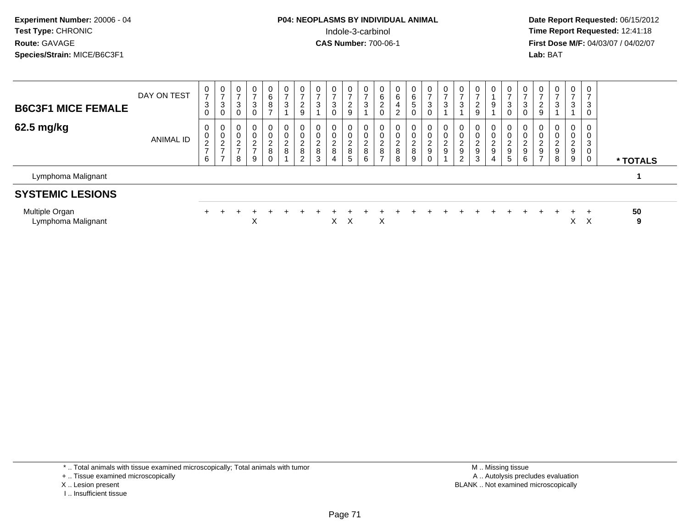**Date Report Requested:** 06/15/2012 **First Dose M/F:** 04/03/07 / 04/02/07<br>Lab: BAT **Lab:** BAT

| <b>B6C3F1 MICE FEMALE</b>            | DAY ON TEST | 0<br>$\overline{ }$<br>3<br>0                   | $\mathbf 0$<br>$\overline{ }$<br>3<br>$\mathbf 0$                     | $\mathbf 0$<br>$\rightarrow$<br>3                     | $\mathbf 0$<br>$\overline{ }$<br>3                                  | 0<br>6<br>8<br>-                                                    | 0<br>$\rightarrow$<br>3                | $\mathbf 0$<br>$\overline{ }$<br>$\sqrt{2}$<br>$\boldsymbol{9}$ | 0<br>$\overline{ }$<br>3            | 0<br>$\overline{ }$<br>3<br>$\mathbf 0$                   | $\mathbf 0$<br>$\rightarrow$<br>2<br>9 | $\mathbf 0$<br>$\overline{ }$<br>3               | 0<br>6<br>$\overline{c}$<br>0                                      | 0<br>6<br>4<br>$\overline{2}$  | $\overline{0}$<br>6<br>$\sqrt{5}$<br>$\mathbf 0$      | $\overline{0}$<br>$\overline{ }$<br>$\mathbf{3}$<br>0 | $\mathbf 0$<br>$\overline{7}$<br>$\sqrt{3}$ | 0<br>$\rightarrow$<br>3                   | 0<br>$\overline{ }$<br>2<br>9                                   | $\mathbf 0$<br>9                        | $\frac{0}{7}$<br>3<br>0                                | 0<br>$\rightarrow$<br>3<br>0                                 | $\mathbf 0$<br>$\overline{ }$<br>2<br>9           | $\overline{0}$<br>$\overline{ }$<br>3                     | 0<br>$\overline{\phantom{a}}$<br>3 | 7<br>3<br>0                |          |
|--------------------------------------|-------------|-------------------------------------------------|-----------------------------------------------------------------------|-------------------------------------------------------|---------------------------------------------------------------------|---------------------------------------------------------------------|----------------------------------------|-----------------------------------------------------------------|-------------------------------------|-----------------------------------------------------------|----------------------------------------|--------------------------------------------------|--------------------------------------------------------------------|--------------------------------|-------------------------------------------------------|-------------------------------------------------------|---------------------------------------------|-------------------------------------------|-----------------------------------------------------------------|-----------------------------------------|--------------------------------------------------------|--------------------------------------------------------------|---------------------------------------------------|-----------------------------------------------------------|------------------------------------|----------------------------|----------|
| 62.5 mg/kg                           | ANIMAL ID   | 0<br>0<br>$\overline{c}$<br>$\overline{ }$<br>6 | 0<br>$\mathbf 0$<br>$\overline{2}$<br>$\overline{ }$<br>$\rightarrow$ | 0<br>$\mathbf 0$<br>$\sim$<br>∼<br>$\rightarrow$<br>8 | $\mathbf 0$<br>$\mathbf 0$<br>$\overline{2}$<br>$\overline{7}$<br>9 | $\mathbf 0$<br>$\overline{0}$<br>$\boldsymbol{2}$<br>8<br>$\pmb{0}$ | 0<br>0<br>$\overline{\mathbf{c}}$<br>8 | $\mathbf 0$<br>$\pmb{0}$<br>$\frac{2}{8}$<br>$\overline{2}$     | 0<br>$\pmb{0}$<br>$_{\rm 8}^2$<br>3 | 0<br>$\mathbf 0$<br>$\overline{c}$<br>8<br>$\overline{4}$ | 0<br>0<br>2<br>8<br>5                  | $\mathbf 0$<br>$\overline{\mathbf{c}}$<br>8<br>6 | 0<br>$\mathsf{O}\xspace$<br>$\boldsymbol{2}$<br>8<br>$\rightarrow$ | 0<br>ົ<br>$\epsilon$<br>8<br>8 | 0<br>$\mathbf 0$<br>$\frac{2}{8}$<br>$\boldsymbol{9}$ | $\mathbf 0$<br>$\pmb{0}$<br>$\frac{2}{9}$<br>0        | 0<br>$\pmb{0}$<br>$\frac{2}{9}$             | 0<br>0<br>C<br>∼<br>$\boldsymbol{9}$<br>2 | $\mathbf 0$<br>$\overline{\mathbf{c}}$<br>$\boldsymbol{9}$<br>3 | 0<br>$\mathsf{O}$<br>$\frac{2}{9}$<br>4 | 0<br>0<br>$\begin{array}{c}\n2 \\ 9 \\ 5\n\end{array}$ | $\mathbf{0}$<br>0<br>$\overline{c}$<br>$\boldsymbol{9}$<br>6 | 0<br>$\pmb{0}$<br>$\frac{2}{9}$<br>$\overline{7}$ | 0<br>$\pmb{0}$<br>$\overline{c}$<br>$\boldsymbol{9}$<br>8 | 0<br>0<br>$\overline{c}$<br>9<br>9 | 0<br>3<br>0<br>$\mathbf 0$ | * TOTALS |
| Lymphoma Malignant                   |             |                                                 |                                                                       |                                                       |                                                                     |                                                                     |                                        |                                                                 |                                     |                                                           |                                        |                                                  |                                                                    |                                |                                                       |                                                       |                                             |                                           |                                                                 |                                         |                                                        |                                                              |                                                   |                                                           |                                    |                            |          |
| <b>SYSTEMIC LESIONS</b>              |             |                                                 |                                                                       |                                                       |                                                                     |                                                                     |                                        |                                                                 |                                     |                                                           |                                        |                                                  |                                                                    |                                |                                                       |                                                       |                                             |                                           |                                                                 |                                         |                                                        |                                                              |                                                   |                                                           |                                    |                            |          |
| Multiple Organ<br>Lymphoma Malignant |             |                                                 |                                                                       |                                                       | X                                                                   |                                                                     |                                        |                                                                 |                                     | X.                                                        | X                                      |                                                  | X                                                                  |                                |                                                       |                                                       |                                             |                                           |                                                                 |                                         |                                                        |                                                              |                                                   |                                                           | $\div$<br>X                        | X                          | 50<br>9  |

\* .. Total animals with tissue examined microscopically; Total animals with tumor

- X .. Lesion present
- I .. Insufficient tissue

<sup>+ ..</sup> Tissue examined microscopically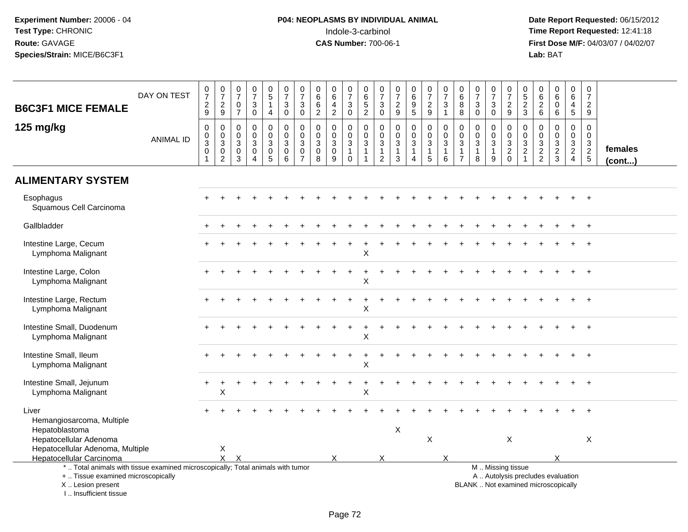| <b>B6C3F1 MICE FEMALE</b>                                                                                                                                             | DAY ON TEST      | 0729                                                                  | 0729                                                                                     | $\frac{0}{7}$<br>$\mathbf 0$<br>$\overline{7}$                  | $\begin{array}{c} 0 \\ 7 \end{array}$<br>$\sqrt{3}$<br>$\mathbf 0$         | $\begin{array}{c} 0 \\ 5 \end{array}$<br>1<br>$\overline{4}$ | $\frac{0}{7}$<br>$\mathbf{3}$<br>$\mathsf{O}\xspace$                                | $\begin{array}{c} 0 \\ 7 \end{array}$<br>3<br>$\mathbf 0$      | 0<br>$\,6\,$<br>6<br>$\overline{2}$      | $\begin{array}{c} 0 \\ 6 \end{array}$<br>$\overline{a}$<br>$\sqrt{2}$   | $\frac{0}{7}$<br>3<br>$\pmb{0}$                         | $\mathbf 0$<br>$\,6\,$<br>$\sqrt{5}$<br>$\overline{2}$                                        | 0<br>$\overline{7}$<br>3<br>$\mathsf 0$ | $\begin{array}{c} 0 \\ 7 \\ 2 \end{array}$<br>$\boldsymbol{9}$   | $\begin{array}{c} 0 \\ 6 \\ 9 \end{array}$<br>$\overline{5}$         | $\frac{0}{7}$<br>$\frac{2}{9}$                             | $\frac{0}{7}$<br>$\sqrt{3}$<br>$\mathbf{1}$                   | $\pmb{0}$<br>$\,6\,$<br>8<br>$\bf8$           | $\frac{0}{7}$<br>3<br>$\mathbf 0$                               | $\frac{0}{7}$<br>3<br>$\pmb{0}$            | $\begin{array}{c} 0 \\ 7 \\ 2 \end{array}$<br>9        | $\begin{array}{c} 0 \\ 5 \\ 2 \end{array}$<br>$\mathbf{3}$      | 0<br>$\begin{array}{c} 6 \\ 2 \\ 6 \end{array}$ | $\begin{array}{c} 0 \\ 6 \end{array}$<br>$\mathbf 0$<br>$\,6\,$          | 0<br>$\,6\,$<br>4<br>$5\phantom{.0}$                                           | $\pmb{0}$<br>$\overline{7}$<br>$\boldsymbol{2}$<br>$9\,$    |                   |
|-----------------------------------------------------------------------------------------------------------------------------------------------------------------------|------------------|-----------------------------------------------------------------------|------------------------------------------------------------------------------------------|-----------------------------------------------------------------|----------------------------------------------------------------------------|--------------------------------------------------------------|-------------------------------------------------------------------------------------|----------------------------------------------------------------|------------------------------------------|-------------------------------------------------------------------------|---------------------------------------------------------|-----------------------------------------------------------------------------------------------|-----------------------------------------|------------------------------------------------------------------|----------------------------------------------------------------------|------------------------------------------------------------|---------------------------------------------------------------|-----------------------------------------------|-----------------------------------------------------------------|--------------------------------------------|--------------------------------------------------------|-----------------------------------------------------------------|-------------------------------------------------|--------------------------------------------------------------------------|--------------------------------------------------------------------------------|-------------------------------------------------------------|-------------------|
| 125 mg/kg                                                                                                                                                             | <b>ANIMAL ID</b> | $\pmb{0}$<br>$\pmb{0}$<br>$\overline{3}$<br>$\pmb{0}$<br>$\mathbf{1}$ | $\pmb{0}$<br>$\pmb{0}$<br>$\overline{3}$<br>$\begin{smallmatrix} 0\\2 \end{smallmatrix}$ | $\mathbf 0$<br>0<br>$\sqrt{3}$<br>$\mathbf 0$<br>$\overline{3}$ | $\mathbf 0$<br>$\mathbf 0$<br>$\mathsf 3$<br>$\mathbf 0$<br>$\overline{4}$ | 0<br>$\mathbf 0$<br>3<br>$\mathbf 0$<br>$\overline{5}$       | $\mathbf 0$<br>$\mathbf 0$<br>$\mathbf{3}$<br>$\begin{array}{c} 0 \\ 6 \end{array}$ | $\mathbf 0$<br>$\mathbf 0$<br>3<br>$\pmb{0}$<br>$\overline{7}$ | 0<br>0<br>$\mathbf{3}$<br>$\pmb{0}$<br>8 | $\pmb{0}$<br>$\pmb{0}$<br>$\overline{3}$<br>$\pmb{0}$<br>$\overline{9}$ | 0<br>0<br>$\mathbf{3}$<br>$\overline{1}$<br>$\mathbf 0$ | $\boldsymbol{0}$<br>$\mathsf{O}\xspace$<br>$\overline{3}$<br>$\overline{1}$<br>$\overline{1}$ | 0<br>0<br>3<br>1<br>$\overline{c}$      | 0<br>$\mathbf 0$<br>$\mathbf{3}$<br>$\mathbf{1}$<br>$\mathbf{3}$ | $\boldsymbol{0}$<br>$\mathsf 0$<br>$\mathbf{3}$<br>$\mathbf{1}$<br>4 | 0<br>$\overline{0}$<br>3<br>$\mathbf{1}$<br>$\overline{5}$ | $\pmb{0}$<br>$\pmb{0}$<br>$\overline{3}$<br>$\mathbf{1}$<br>6 | 0<br>0<br>3<br>$\mathbf{1}$<br>$\overline{7}$ | $\mathbf 0$<br>$\mathbf 0$<br>$\mathbf{3}$<br>$\mathbf{1}$<br>8 | 0<br>$\mathbf 0$<br>3<br>$\mathbf{1}$<br>9 | 0<br>$\mathsf{O}\xspace$<br>$\frac{3}{2}$ <sub>0</sub> | $\,0\,$<br>$\mathsf{O}\xspace$<br>$\frac{3}{2}$<br>$\mathbf{1}$ | 0<br>0<br>$\mathbf{3}$<br>$\frac{2}{2}$         | $\mathbf 0$<br>$\mathbf 0$<br>$\frac{3}{2}$                              | $\mathbf 0$<br>$\mathbf 0$<br>$\mathbf{3}$<br>$\overline{2}$<br>$\overline{4}$ | $\mathbf 0$<br>$\mathbf 0$<br>$\mathbf{3}$<br>$\frac{2}{5}$ | females<br>(cont) |
| <b>ALIMENTARY SYSTEM</b>                                                                                                                                              |                  |                                                                       |                                                                                          |                                                                 |                                                                            |                                                              |                                                                                     |                                                                |                                          |                                                                         |                                                         |                                                                                               |                                         |                                                                  |                                                                      |                                                            |                                                               |                                               |                                                                 |                                            |                                                        |                                                                 |                                                 |                                                                          |                                                                                |                                                             |                   |
| Esophagus<br>Squamous Cell Carcinoma                                                                                                                                  |                  |                                                                       |                                                                                          |                                                                 |                                                                            |                                                              |                                                                                     |                                                                |                                          |                                                                         |                                                         |                                                                                               |                                         |                                                                  |                                                                      |                                                            |                                                               |                                               |                                                                 |                                            |                                                        |                                                                 |                                                 |                                                                          |                                                                                |                                                             |                   |
| Gallbladder                                                                                                                                                           |                  |                                                                       |                                                                                          |                                                                 |                                                                            |                                                              |                                                                                     |                                                                |                                          |                                                                         |                                                         |                                                                                               |                                         |                                                                  |                                                                      |                                                            |                                                               |                                               |                                                                 |                                            |                                                        |                                                                 |                                                 |                                                                          |                                                                                |                                                             |                   |
| Intestine Large, Cecum<br>Lymphoma Malignant                                                                                                                          |                  |                                                                       |                                                                                          |                                                                 |                                                                            |                                                              |                                                                                     |                                                                |                                          |                                                                         |                                                         | X                                                                                             |                                         |                                                                  |                                                                      |                                                            |                                                               |                                               |                                                                 |                                            |                                                        |                                                                 |                                                 |                                                                          |                                                                                |                                                             |                   |
| Intestine Large, Colon<br>Lymphoma Malignant                                                                                                                          |                  |                                                                       |                                                                                          |                                                                 |                                                                            |                                                              |                                                                                     |                                                                |                                          |                                                                         |                                                         | X                                                                                             |                                         |                                                                  |                                                                      |                                                            |                                                               |                                               |                                                                 |                                            |                                                        |                                                                 |                                                 |                                                                          |                                                                                |                                                             |                   |
| Intestine Large, Rectum<br>Lymphoma Malignant                                                                                                                         |                  |                                                                       |                                                                                          |                                                                 |                                                                            |                                                              |                                                                                     |                                                                |                                          |                                                                         |                                                         | X                                                                                             |                                         |                                                                  |                                                                      |                                                            |                                                               |                                               |                                                                 |                                            |                                                        |                                                                 |                                                 |                                                                          |                                                                                |                                                             |                   |
| Intestine Small, Duodenum<br>Lymphoma Malignant                                                                                                                       |                  |                                                                       |                                                                                          |                                                                 |                                                                            |                                                              |                                                                                     |                                                                |                                          |                                                                         |                                                         | $\sf X$                                                                                       |                                         |                                                                  |                                                                      |                                                            |                                                               |                                               |                                                                 |                                            |                                                        |                                                                 |                                                 |                                                                          |                                                                                |                                                             |                   |
| Intestine Small, Ileum<br>Lymphoma Malignant                                                                                                                          |                  |                                                                       |                                                                                          |                                                                 |                                                                            |                                                              |                                                                                     |                                                                |                                          |                                                                         |                                                         | X                                                                                             |                                         |                                                                  |                                                                      |                                                            |                                                               |                                               |                                                                 |                                            |                                                        |                                                                 |                                                 |                                                                          |                                                                                |                                                             |                   |
| Intestine Small, Jejunum<br>Lymphoma Malignant                                                                                                                        |                  |                                                                       | $\sf X$                                                                                  |                                                                 |                                                                            |                                                              |                                                                                     |                                                                |                                          |                                                                         |                                                         | $\sf X$                                                                                       |                                         |                                                                  |                                                                      |                                                            |                                                               |                                               |                                                                 |                                            |                                                        |                                                                 |                                                 |                                                                          |                                                                                |                                                             |                   |
| Liver<br>Hemangiosarcoma, Multiple<br>Hepatoblastoma<br>Hepatocellular Adenoma                                                                                        |                  |                                                                       |                                                                                          |                                                                 |                                                                            |                                                              |                                                                                     |                                                                |                                          |                                                                         |                                                         |                                                                                               |                                         | X                                                                |                                                                      | X                                                          |                                                               |                                               |                                                                 |                                            | $\times$                                               |                                                                 |                                                 |                                                                          |                                                                                | $\times$                                                    |                   |
| Hepatocellular Adenoma, Multiple<br>Hepatocellular Carcinoma                                                                                                          |                  |                                                                       | X<br>$\mathsf{x}$                                                                        | $\boldsymbol{\mathsf{x}}$                                       |                                                                            |                                                              |                                                                                     |                                                                |                                          | X                                                                       |                                                         |                                                                                               | X                                       |                                                                  |                                                                      |                                                            | X                                                             |                                               |                                                                 |                                            |                                                        |                                                                 |                                                 | X                                                                        |                                                                                |                                                             |                   |
| *  Total animals with tissue examined microscopically; Total animals with tumor<br>+  Tissue examined microscopically<br>X  Lesion present<br>I., Insufficient tissue |                  |                                                                       |                                                                                          |                                                                 |                                                                            |                                                              |                                                                                     |                                                                |                                          |                                                                         |                                                         |                                                                                               |                                         |                                                                  |                                                                      |                                                            |                                                               |                                               |                                                                 |                                            | M  Missing tissue                                      |                                                                 |                                                 | A  Autolysis precludes evaluation<br>BLANK  Not examined microscopically |                                                                                |                                                             |                   |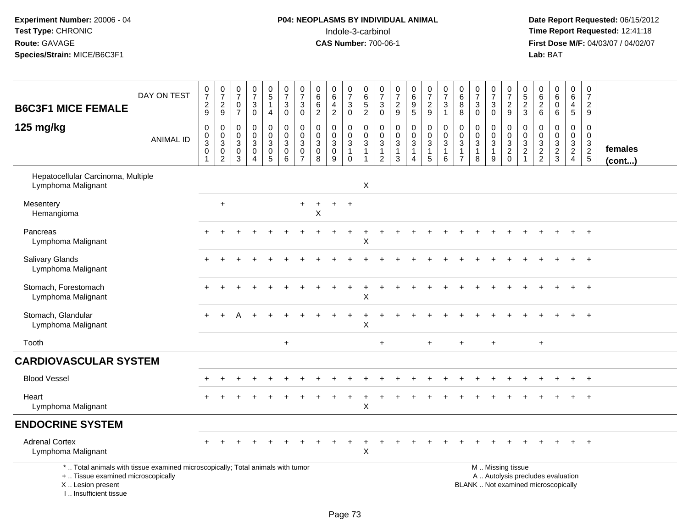# **P04: NEOPLASMS BY INDIVIDUAL ANIMAL**<br>Indole-3-carbinol Indole-3-carbinol **Time Report Requested:** 12:41:18

| <b>B6C3F1 MICE FEMALE</b>                                                                                                                                           | DAY ON TEST      | $\frac{0}{7}$<br>$\frac{2}{9}$                                            | $\frac{0}{7}$<br>$\frac{2}{9}$                                                | $\begin{array}{c} 0 \\ 7 \end{array}$<br>$\mathbf 0$<br>$\overline{7}$ | $\frac{0}{7}$<br>3<br>0                             | $\begin{array}{c} 0 \\ 5 \end{array}$<br>$\mathbf{1}$<br>4                     | $\frac{0}{7}$<br>$\sqrt{3}$<br>$\mathbf 0$                                   | $\frac{0}{7}$<br>$\sqrt{3}$<br>$\mathbf 0$            | $\pmb{0}$<br>$6\phantom{a}$<br>$\,6\,$<br>$\overline{2}$     | 0<br>$6\overline{6}$<br>$\overline{4}$<br>$\overline{c}$ | $\frac{0}{7}$<br>$_0^3$                                                                  | $_{\rm 6}^{\rm 0}$<br>$\frac{5}{2}$                                     | 0<br>$\overline{7}$<br>$\sqrt{3}$<br>$\mathsf 0$                 | $\begin{smallmatrix}0\\7\end{smallmatrix}$<br>$\frac{2}{9}$                  | $\begin{array}{c} 0 \\ 6 \end{array}$<br>$\boldsymbol{9}$<br>$\overline{5}$ | $\begin{array}{c} 0 \\ 7 \end{array}$<br>$\frac{2}{9}$                       | $\frac{0}{7}$<br>$\mathbf{3}$<br>$\mathbf{1}$ | $\pmb{0}$<br>$6\phantom{a}$<br>8<br>8                              | $\frac{0}{7}$<br>$\mathbf{3}$<br>$\pmb{0}$                    | $\begin{array}{c} 0 \\ 7 \end{array}$<br>$_0^3$                 | $\frac{0}{7}$<br>$\frac{2}{9}$                              | 0<br>$\sqrt{5}$<br>$\frac{2}{3}$                          | 0<br>$6\phantom{a}$<br>$\frac{2}{6}$            | $_{6}^{\rm 0}$<br>0<br>$6\phantom{a}$   | $\pmb{0}$<br>$6\phantom{a}$<br>$\overline{4}$<br>$\overline{5}$ | $\frac{0}{7}$<br>$\frac{2}{9}$                                 |                         |
|---------------------------------------------------------------------------------------------------------------------------------------------------------------------|------------------|---------------------------------------------------------------------------|-------------------------------------------------------------------------------|------------------------------------------------------------------------|-----------------------------------------------------|--------------------------------------------------------------------------------|------------------------------------------------------------------------------|-------------------------------------------------------|--------------------------------------------------------------|----------------------------------------------------------|------------------------------------------------------------------------------------------|-------------------------------------------------------------------------|------------------------------------------------------------------|------------------------------------------------------------------------------|-----------------------------------------------------------------------------|------------------------------------------------------------------------------|-----------------------------------------------|--------------------------------------------------------------------|---------------------------------------------------------------|-----------------------------------------------------------------|-------------------------------------------------------------|-----------------------------------------------------------|-------------------------------------------------|-----------------------------------------|-----------------------------------------------------------------|----------------------------------------------------------------|-------------------------|
| 125 mg/kg                                                                                                                                                           | <b>ANIMAL ID</b> | $\mathsf 0$<br>$\pmb{0}$<br>$\mathbf{3}$<br>$\mathbf 0$<br>$\overline{1}$ | $\mathbf 0$<br>$\mathbf 0$<br>$\overline{3}$<br>$\mathbf 0$<br>$\overline{c}$ | $\mathbf 0$<br>$\mathbf 0$<br>$\mathfrak{S}$<br>$\mathbf 0$<br>3       | $\mathbf 0$<br>$\mathbf 0$<br>3<br>$\mathbf 0$<br>4 | $\pmb{0}$<br>$\mathbf 0$<br>$\overline{3}$<br>$\begin{matrix}0\\5\end{matrix}$ | $\mathbf 0$<br>$\pmb{0}$<br>$\overline{3}$<br>$\mathbf 0$<br>$6\phantom{1}6$ | 0<br>$\mathbf 0$<br>$\sqrt{3}$<br>0<br>$\overline{7}$ | $\pmb{0}$<br>$\mathbf 0$<br>$\mathbf{3}$<br>$\mathbf 0$<br>8 | 0<br>$\mathbf 0$<br>$\sqrt{3}$<br>$\mathbf 0$<br>9       | $\mathbf 0$<br>$\boldsymbol{0}$<br>$\overline{3}$<br>$\mathbf{1}$<br>$\ddot{\mathbf{0}}$ | $\mathsf{O}\xspace$<br>$\mathbf 0$<br>$\mathbf{3}$<br>$\mathbf{1}$<br>1 | 0<br>$\mathbf 0$<br>$\sqrt{3}$<br>$\mathbf{1}$<br>$\overline{c}$ | $\pmb{0}$<br>$\mathbf 0$<br>$\overline{3}$<br>$\mathbf{1}$<br>$\overline{3}$ | 0<br>0<br>$\sqrt{3}$<br>$\mathbf{1}$<br>4                                   | $\pmb{0}$<br>$\mathbf 0$<br>$\overline{3}$<br>$\mathbf{1}$<br>$\overline{5}$ | $\mathbf 0$<br>0<br>$\mathbf{3}$<br>1<br>6    | 0<br>$\mathbf 0$<br>$\mathbf{3}$<br>$\mathbf{1}$<br>$\overline{7}$ | $\mathbf 0$<br>$\mathbf 0$<br>$\sqrt{3}$<br>$\mathbf{1}$<br>8 | $\mathbf 0$<br>$\mathbf 0$<br>$\mathbf{3}$<br>$\mathbf{1}$<br>9 | $\boldsymbol{0}$<br>$\pmb{0}$<br>$\frac{3}{2}$ <sub>0</sub> | $\mathbf 0$<br>$\mathbf 0$<br>$\sqrt{3}$<br>$\frac{2}{1}$ | 0<br>$\mathbf 0$<br>$\sqrt{3}$<br>$\frac{2}{2}$ | 0<br>0<br>$\mathbf{3}$<br>$\frac{2}{3}$ | $\pmb{0}$<br>$\mathbf 0$<br>$\mathbf{3}$<br>$\frac{2}{4}$       | $\mathbf 0$<br>0<br>$\ensuremath{\mathsf{3}}$<br>$\frac{2}{5}$ | females<br>$($ cont $)$ |
| Hepatocellular Carcinoma, Multiple<br>Lymphoma Malignant                                                                                                            |                  |                                                                           |                                                                               |                                                                        |                                                     |                                                                                |                                                                              |                                                       |                                                              |                                                          |                                                                                          | X                                                                       |                                                                  |                                                                              |                                                                             |                                                                              |                                               |                                                                    |                                                               |                                                                 |                                                             |                                                           |                                                 |                                         |                                                                 |                                                                |                         |
| Mesentery<br>Hemangioma                                                                                                                                             |                  |                                                                           | $\ddot{}$                                                                     |                                                                        |                                                     |                                                                                |                                                                              | $\ddot{}$                                             | Χ                                                            |                                                          | $\ddot{}$                                                                                |                                                                         |                                                                  |                                                                              |                                                                             |                                                                              |                                               |                                                                    |                                                               |                                                                 |                                                             |                                                           |                                                 |                                         |                                                                 |                                                                |                         |
| Pancreas<br>Lymphoma Malignant                                                                                                                                      |                  |                                                                           |                                                                               |                                                                        |                                                     |                                                                                |                                                                              |                                                       |                                                              |                                                          |                                                                                          | X                                                                       |                                                                  |                                                                              |                                                                             |                                                                              |                                               |                                                                    |                                                               |                                                                 |                                                             |                                                           |                                                 |                                         |                                                                 |                                                                |                         |
| <b>Salivary Glands</b><br>Lymphoma Malignant                                                                                                                        |                  |                                                                           |                                                                               |                                                                        |                                                     |                                                                                |                                                                              |                                                       |                                                              |                                                          |                                                                                          |                                                                         |                                                                  |                                                                              |                                                                             |                                                                              |                                               |                                                                    |                                                               |                                                                 |                                                             |                                                           |                                                 |                                         |                                                                 |                                                                |                         |
| Stomach, Forestomach<br>Lymphoma Malignant                                                                                                                          |                  |                                                                           |                                                                               |                                                                        |                                                     |                                                                                |                                                                              |                                                       |                                                              |                                                          |                                                                                          | X                                                                       |                                                                  |                                                                              |                                                                             |                                                                              |                                               |                                                                    |                                                               |                                                                 |                                                             |                                                           |                                                 |                                         |                                                                 | $\ddot{}$                                                      |                         |
| Stomach, Glandular<br>Lymphoma Malignant                                                                                                                            |                  |                                                                           |                                                                               |                                                                        |                                                     |                                                                                |                                                                              |                                                       |                                                              |                                                          |                                                                                          | $\mathsf X$                                                             |                                                                  |                                                                              |                                                                             |                                                                              |                                               |                                                                    |                                                               |                                                                 |                                                             |                                                           |                                                 |                                         |                                                                 |                                                                |                         |
| Tooth                                                                                                                                                               |                  |                                                                           |                                                                               |                                                                        |                                                     |                                                                                | $\ddot{}$                                                                    |                                                       |                                                              |                                                          |                                                                                          |                                                                         | $\ddot{}$                                                        |                                                                              |                                                                             | $+$                                                                          |                                               | $\ddot{}$                                                          |                                                               | $+$                                                             |                                                             |                                                           | $\ddot{}$                                       |                                         |                                                                 |                                                                |                         |
| <b>CARDIOVASCULAR SYSTEM</b>                                                                                                                                        |                  |                                                                           |                                                                               |                                                                        |                                                     |                                                                                |                                                                              |                                                       |                                                              |                                                          |                                                                                          |                                                                         |                                                                  |                                                                              |                                                                             |                                                                              |                                               |                                                                    |                                                               |                                                                 |                                                             |                                                           |                                                 |                                         |                                                                 |                                                                |                         |
| <b>Blood Vessel</b>                                                                                                                                                 |                  |                                                                           |                                                                               |                                                                        |                                                     |                                                                                |                                                                              |                                                       |                                                              |                                                          |                                                                                          |                                                                         |                                                                  |                                                                              |                                                                             |                                                                              |                                               |                                                                    |                                                               |                                                                 |                                                             |                                                           |                                                 |                                         |                                                                 |                                                                |                         |
| Heart<br>Lymphoma Malignant                                                                                                                                         |                  |                                                                           |                                                                               |                                                                        |                                                     |                                                                                |                                                                              |                                                       |                                                              |                                                          |                                                                                          | X                                                                       |                                                                  |                                                                              |                                                                             |                                                                              |                                               |                                                                    |                                                               |                                                                 |                                                             |                                                           |                                                 |                                         |                                                                 |                                                                |                         |
| <b>ENDOCRINE SYSTEM</b>                                                                                                                                             |                  |                                                                           |                                                                               |                                                                        |                                                     |                                                                                |                                                                              |                                                       |                                                              |                                                          |                                                                                          |                                                                         |                                                                  |                                                                              |                                                                             |                                                                              |                                               |                                                                    |                                                               |                                                                 |                                                             |                                                           |                                                 |                                         |                                                                 |                                                                |                         |
| <b>Adrenal Cortex</b><br>Lymphoma Malignant                                                                                                                         |                  |                                                                           |                                                                               |                                                                        |                                                     |                                                                                |                                                                              |                                                       |                                                              |                                                          |                                                                                          | $\sf X$                                                                 |                                                                  |                                                                              |                                                                             |                                                                              |                                               |                                                                    |                                                               |                                                                 |                                                             |                                                           |                                                 |                                         |                                                                 | $+$                                                            |                         |
| *  Total animals with tissue examined microscopically; Total animals with tumor<br>+  Tissue examined microscopically<br>X  Lesion present<br>I Insufficient tissue |                  |                                                                           |                                                                               |                                                                        |                                                     |                                                                                |                                                                              |                                                       |                                                              |                                                          |                                                                                          |                                                                         |                                                                  |                                                                              |                                                                             |                                                                              |                                               |                                                                    | BLANK  Not examined microscopically                           |                                                                 | M  Missing tissue<br>A  Autolysis precludes evaluation      |                                                           |                                                 |                                         |                                                                 |                                                                |                         |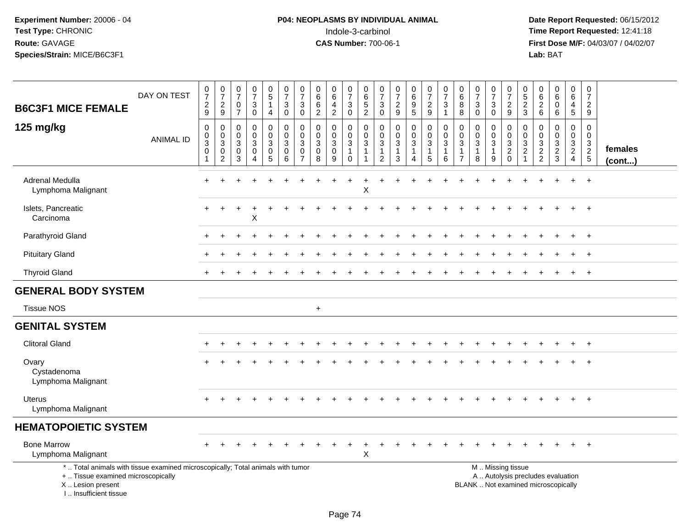# **P04: NEOPLASMS BY INDIVIDUAL ANIMAL**<br>Indole-3-carbinol Indole-3-carbinol **Time Report Requested:** 12:41:18

| <b>B6C3F1 MICE FEMALE</b>                                                                                                                                             | DAY ON TEST      | $\begin{array}{c} 0 \\ 7 \\ 2 \end{array}$<br>$\mathsf g$    | $\frac{0}{7}$<br>$\overline{2}$<br>$\boldsymbol{9}$ | $\frac{0}{7}$<br>$\mathbf 0$<br>$\overline{7}$    | $\frac{0}{7}$<br>3<br>$\mathsf 0$ | $\begin{array}{c} 0 \\ 5 \end{array}$<br>$\mathbf{1}$<br>4                      | $\frac{0}{7}$<br>$\sqrt{3}$<br>$\pmb{0}$             | $\frac{0}{7}$<br>3<br>$\pmb{0}$                               | $\pmb{0}$<br>$\,6\,$<br>6<br>$\overline{2}$                    | 0<br>$\,6\,$<br>$\overline{4}$<br>$\overline{2}$ | $\frac{0}{7}$<br>$\mathbf{3}$<br>$\ddot{\mathbf{0}}$                        | 0<br>$\frac{6}{5}$<br>$\overline{2}$                          | 0<br>$\overline{7}$<br>3<br>$\mathbf 0$                 | $\frac{0}{7}$<br>$\sqrt{2}$<br>$\boldsymbol{9}$               | $\pmb{0}$<br>$\frac{6}{9}$<br>$\overline{5}$         | $\frac{0}{7}$<br>$\overline{c}$<br>9 | $\frac{0}{7}$<br>3<br>$\mathbf{1}$         | 0<br>$\frac{6}{8}$<br>$\,8\,$                 | $\begin{array}{c} 0 \\ 7 \end{array}$<br>$\sqrt{3}$<br>$\mathsf{O}\xspace$ | $\frac{0}{7}$<br>$\mathbf{3}$<br>$\mathbf 0$        | $\frac{0}{7}$<br>$\frac{2}{9}$                                 | 0<br>$\frac{5}{2}$<br>$\mathbf{3}$      | 0<br>$\frac{6}{2}$<br>$6\phantom{a}$              | $_{6}^{\rm 0}$<br>$\mathbf 0$<br>$\,6\,$                                 | 0<br>$6^{\circ}$<br>4<br>$\overline{5}$              | $\boldsymbol{0}$<br>$\overline{7}$<br>$\overline{2}$<br>9 |                         |
|-----------------------------------------------------------------------------------------------------------------------------------------------------------------------|------------------|--------------------------------------------------------------|-----------------------------------------------------|---------------------------------------------------|-----------------------------------|---------------------------------------------------------------------------------|------------------------------------------------------|---------------------------------------------------------------|----------------------------------------------------------------|--------------------------------------------------|-----------------------------------------------------------------------------|---------------------------------------------------------------|---------------------------------------------------------|---------------------------------------------------------------|------------------------------------------------------|--------------------------------------|--------------------------------------------|-----------------------------------------------|----------------------------------------------------------------------------|-----------------------------------------------------|----------------------------------------------------------------|-----------------------------------------|---------------------------------------------------|--------------------------------------------------------------------------|------------------------------------------------------|-----------------------------------------------------------|-------------------------|
| 125 mg/kg                                                                                                                                                             | <b>ANIMAL ID</b> | $\pmb{0}$<br>$_{3}^{\rm 0}$<br>$\mathbf 0$<br>$\overline{1}$ | 0<br>0<br>$\sqrt{3}$<br>0<br>$\overline{c}$         | $\mathbf 0$<br>$\Omega$<br>$\mathbf{3}$<br>0<br>3 | 0<br>$\mathbf 0$<br>3<br>0<br>4   | $\mathbf 0$<br>$\mathbf 0$<br>$\mathsf 3$<br>$\boldsymbol{0}$<br>$\overline{5}$ | $\mathbf 0$<br>$\pmb{0}$<br>$\mathfrak{Z}$<br>0<br>6 | $\pmb{0}$<br>0<br>$\sqrt{3}$<br>$\mathbf 0$<br>$\overline{7}$ | $\mathbf 0$<br>$\mathbf 0$<br>$\mathbf{3}$<br>$\mathbf 0$<br>8 | 0<br>$\mathbf 0$<br>3<br>$\mathbf 0$<br>9        | $\mathbf 0$<br>$\mathbf 0$<br>$\overline{3}$<br>$\mathbf{1}$<br>$\mathbf 0$ | $\pmb{0}$<br>$\mathbf 0$<br>$\mathbf{3}$<br>$\mathbf{1}$<br>1 | 0<br>$\mathbf 0$<br>3<br>$\mathbf{1}$<br>$\overline{2}$ | $\pmb{0}$<br>$\pmb{0}$<br>$\overline{3}$<br>$\mathbf{1}$<br>3 | 0<br>$\mathbf 0$<br>$\mathsf 3$<br>$\mathbf{1}$<br>4 | 0<br>0<br>3<br>1<br>5                | 0<br>$\mathbf 0$<br>3<br>$\mathbf{1}$<br>6 | 0<br>0<br>3<br>$\mathbf{1}$<br>$\overline{7}$ | $\mathbf 0$<br>$\mathbf 0$<br>$\sqrt{3}$<br>$\mathbf{1}$<br>8              | 0<br>$\mathbf 0$<br>$\sqrt{3}$<br>$\mathbf{1}$<br>9 | $\mathbf 0$<br>$\begin{array}{c} 0 \\ 3 \\ 2 \\ 0 \end{array}$ | 0<br>$\mathbf 0$<br>3<br>$\overline{c}$ | 0<br>$\mathbf 0$<br>$\mathbf{3}$<br>$\frac{2}{2}$ | $\mathbf 0$<br>$\mathbf 0$<br>$\frac{3}{2}$                              | 0<br>$\overline{0}$<br>$\mathbf{3}$<br>$\frac{2}{4}$ | $\mathbf 0$<br>$\mathbf 0$<br>$\frac{3}{2}$               | females<br>$($ cont $)$ |
| Adrenal Medulla<br>Lymphoma Malignant                                                                                                                                 |                  |                                                              |                                                     |                                                   |                                   |                                                                                 |                                                      |                                                               |                                                                |                                                  |                                                                             | X                                                             |                                                         |                                                               |                                                      |                                      |                                            |                                               |                                                                            |                                                     |                                                                |                                         |                                                   |                                                                          |                                                      |                                                           |                         |
| Islets, Pancreatic<br>Carcinoma                                                                                                                                       |                  |                                                              |                                                     |                                                   | X                                 |                                                                                 |                                                      |                                                               |                                                                |                                                  |                                                                             |                                                               |                                                         |                                                               |                                                      |                                      |                                            |                                               |                                                                            |                                                     |                                                                |                                         |                                                   |                                                                          |                                                      | $\ddot{}$                                                 |                         |
| Parathyroid Gland                                                                                                                                                     |                  |                                                              |                                                     |                                                   |                                   |                                                                                 |                                                      |                                                               |                                                                |                                                  |                                                                             |                                                               |                                                         |                                                               |                                                      |                                      |                                            |                                               |                                                                            |                                                     |                                                                |                                         |                                                   |                                                                          |                                                      | $+$                                                       |                         |
| <b>Pituitary Gland</b>                                                                                                                                                |                  |                                                              |                                                     |                                                   |                                   |                                                                                 |                                                      |                                                               |                                                                |                                                  |                                                                             |                                                               |                                                         |                                                               |                                                      |                                      |                                            |                                               |                                                                            |                                                     |                                                                |                                         |                                                   |                                                                          |                                                      |                                                           |                         |
| <b>Thyroid Gland</b>                                                                                                                                                  |                  |                                                              |                                                     |                                                   |                                   |                                                                                 |                                                      |                                                               |                                                                |                                                  |                                                                             |                                                               |                                                         |                                                               |                                                      |                                      |                                            |                                               |                                                                            |                                                     |                                                                |                                         |                                                   |                                                                          | $\ddot{}$                                            | $+$                                                       |                         |
| <b>GENERAL BODY SYSTEM</b>                                                                                                                                            |                  |                                                              |                                                     |                                                   |                                   |                                                                                 |                                                      |                                                               |                                                                |                                                  |                                                                             |                                                               |                                                         |                                                               |                                                      |                                      |                                            |                                               |                                                                            |                                                     |                                                                |                                         |                                                   |                                                                          |                                                      |                                                           |                         |
| <b>Tissue NOS</b>                                                                                                                                                     |                  |                                                              |                                                     |                                                   |                                   |                                                                                 |                                                      |                                                               | $\ddot{}$                                                      |                                                  |                                                                             |                                                               |                                                         |                                                               |                                                      |                                      |                                            |                                               |                                                                            |                                                     |                                                                |                                         |                                                   |                                                                          |                                                      |                                                           |                         |
| <b>GENITAL SYSTEM</b>                                                                                                                                                 |                  |                                                              |                                                     |                                                   |                                   |                                                                                 |                                                      |                                                               |                                                                |                                                  |                                                                             |                                                               |                                                         |                                                               |                                                      |                                      |                                            |                                               |                                                                            |                                                     |                                                                |                                         |                                                   |                                                                          |                                                      |                                                           |                         |
| <b>Clitoral Gland</b>                                                                                                                                                 |                  |                                                              |                                                     |                                                   |                                   |                                                                                 |                                                      |                                                               |                                                                |                                                  |                                                                             |                                                               |                                                         |                                                               |                                                      |                                      |                                            |                                               |                                                                            |                                                     |                                                                |                                         |                                                   |                                                                          |                                                      | $+$                                                       |                         |
| Ovary<br>Cystadenoma<br>Lymphoma Malignant                                                                                                                            |                  |                                                              |                                                     |                                                   |                                   |                                                                                 |                                                      |                                                               |                                                                |                                                  |                                                                             |                                                               |                                                         |                                                               |                                                      |                                      |                                            |                                               |                                                                            |                                                     |                                                                |                                         |                                                   |                                                                          |                                                      | $+$                                                       |                         |
| Uterus<br>Lymphoma Malignant                                                                                                                                          |                  |                                                              |                                                     |                                                   |                                   |                                                                                 |                                                      |                                                               |                                                                |                                                  |                                                                             |                                                               |                                                         |                                                               |                                                      |                                      |                                            |                                               |                                                                            |                                                     |                                                                |                                         |                                                   |                                                                          |                                                      | $+$                                                       |                         |
| <b>HEMATOPOIETIC SYSTEM</b>                                                                                                                                           |                  |                                                              |                                                     |                                                   |                                   |                                                                                 |                                                      |                                                               |                                                                |                                                  |                                                                             |                                                               |                                                         |                                                               |                                                      |                                      |                                            |                                               |                                                                            |                                                     |                                                                |                                         |                                                   |                                                                          |                                                      |                                                           |                         |
| <b>Bone Marrow</b><br>Lymphoma Malignant                                                                                                                              |                  |                                                              |                                                     |                                                   |                                   |                                                                                 |                                                      |                                                               |                                                                |                                                  |                                                                             | +<br>X                                                        |                                                         |                                                               |                                                      |                                      |                                            |                                               |                                                                            |                                                     |                                                                |                                         |                                                   |                                                                          |                                                      | $^{+}$                                                    |                         |
| *  Total animals with tissue examined microscopically; Total animals with tumor<br>+  Tissue examined microscopically<br>X  Lesion present<br>I., Insufficient tissue |                  |                                                              |                                                     |                                                   |                                   |                                                                                 |                                                      |                                                               |                                                                |                                                  |                                                                             |                                                               |                                                         |                                                               |                                                      |                                      |                                            |                                               |                                                                            |                                                     | M  Missing tissue                                              |                                         |                                                   | A  Autolysis precludes evaluation<br>BLANK  Not examined microscopically |                                                      |                                                           |                         |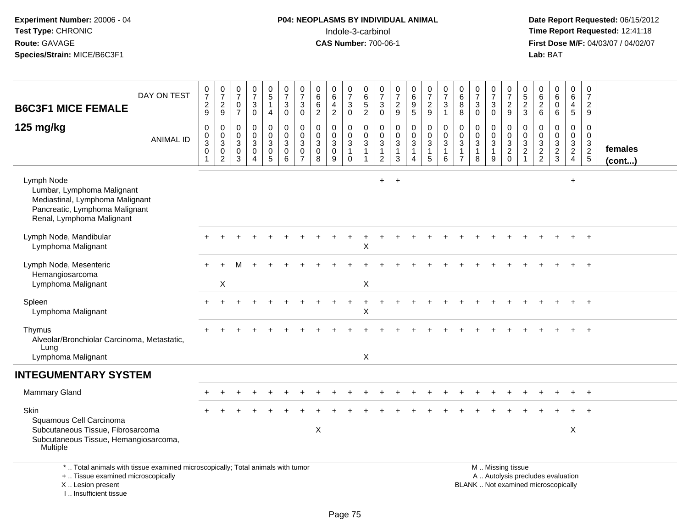### **P04: NEOPLASMS BY INDIVIDUAL ANIMAL**Indole-3-carbinol **Time Report Requested:** 12:41:18

 **Date Report Requested:** 06/15/2012 **First Dose M/F:** 04/03/07 / 04/02/07<br>Lab: BAT **Lab:** BAT

| <b>B6C3F1 MICE FEMALE</b>                                                                                                                  | DAY ON TEST      | $\frac{0}{7}$<br>$\sqrt{2}$<br>$\boldsymbol{9}$                   | $\frac{0}{7}$<br>$\frac{2}{9}$                                    | $\frac{0}{7}$<br>$\mathbf 0$<br>$\overline{7}$               | $\frac{0}{7}$<br>$\ensuremath{\mathsf{3}}$<br>$\mathbf 0$           | $\begin{array}{c} 0 \\ 5 \end{array}$<br>$\mathbf{1}$<br>$\overline{4}$     | $\frac{0}{7}$<br>$\sqrt{3}$<br>$\mathbf 0$                   | $\frac{0}{7}$<br>3<br>$\mathbf 0$                                        | $\begin{array}{c} 0 \\ 6 \end{array}$<br>$\,6\,$<br>$\overline{2}$ | $_6^0$<br>$\overline{4}$<br>$\overline{2}$                   | $\frac{0}{7}$<br>$\ensuremath{\mathsf{3}}$<br>$\mathbf 0$       | 0<br>$6\phantom{a}$<br>$\frac{5}{2}$                         | $\frac{0}{7}$<br>$\sqrt{3}$<br>$\mathbf 0$                    | $\frac{0}{7}$<br>$\frac{2}{9}$                                    | $_{6}^{\rm 0}$<br>9<br>5                                  | $\frac{0}{7}$<br>$\frac{2}{9}$                                                      | $\frac{0}{7}$<br>$\mathbf{3}$<br>$\mathbf{1}$                   | $_{6}^{\rm 0}$<br>8<br>8                                          | $\frac{0}{7}$<br>$\mathbf{3}$<br>$\Omega$                         | $\frac{0}{7}$<br>$\sqrt{3}$<br>$\mathbf 0$  | 0<br>$\overline{7}$<br>$\sqrt{2}$<br>$\boldsymbol{9}$                     | 0<br>$\,$ 5 $\,$<br>$\frac{2}{3}$                                                         | 0<br>$\,6\,$<br>$\overline{c}$<br>6         | $\begin{array}{c} 0 \\ 6 \end{array}$<br>$\pmb{0}$<br>6 | $\mathbf 0$<br>$\,6\,$<br>$\overline{4}$<br>$\overline{5}$    | 0<br>$\overline{7}$<br>$\overline{2}$<br>9                     |                   |
|--------------------------------------------------------------------------------------------------------------------------------------------|------------------|-------------------------------------------------------------------|-------------------------------------------------------------------|--------------------------------------------------------------|---------------------------------------------------------------------|-----------------------------------------------------------------------------|--------------------------------------------------------------|--------------------------------------------------------------------------|--------------------------------------------------------------------|--------------------------------------------------------------|-----------------------------------------------------------------|--------------------------------------------------------------|---------------------------------------------------------------|-------------------------------------------------------------------|-----------------------------------------------------------|-------------------------------------------------------------------------------------|-----------------------------------------------------------------|-------------------------------------------------------------------|-------------------------------------------------------------------|---------------------------------------------|---------------------------------------------------------------------------|-------------------------------------------------------------------------------------------|---------------------------------------------|---------------------------------------------------------|---------------------------------------------------------------|----------------------------------------------------------------|-------------------|
| 125 mg/kg                                                                                                                                  | <b>ANIMAL ID</b> | $\mathbf 0$<br>$\mathbf 0$<br>$\overline{3}$<br>$\mathbf 0$<br>-1 | 0<br>$\mathbf 0$<br>$\overline{3}$<br>$\pmb{0}$<br>$\overline{2}$ | $\mathbf 0$<br>$\mathbf 0$<br>$\sqrt{3}$<br>$\mathbf 0$<br>3 | $\pmb{0}$<br>$\mathbf 0$<br>$\overline{3}$<br>$\pmb{0}$<br>$\Delta$ | $\mathbf 0$<br>$\mathbf 0$<br>$\ensuremath{\mathsf{3}}$<br>$\mathbf 0$<br>5 | $\mathbf 0$<br>$\mathbf 0$<br>$\sqrt{3}$<br>$\mathbf 0$<br>6 | $\mathbf 0$<br>$\Omega$<br>$\mathbf{3}$<br>$\mathbf 0$<br>$\overline{7}$ | $\mathbf 0$<br>$\mathbf 0$<br>$\overline{3}$<br>$\mathbf 0$<br>8   | $\mathbf 0$<br>$\mathbf 0$<br>$\mathbf{3}$<br>$\pmb{0}$<br>9 | 0<br>$\pmb{0}$<br>$\overline{3}$<br>$\mathbf{1}$<br>$\mathbf 0$ | $\pmb{0}$<br>$\mathbf 0$<br>$\overline{3}$<br>$\overline{1}$ | 0<br>$\mathsf{O}\xspace$<br>$\sqrt{3}$<br>$\overline{1}$<br>2 | $\mathbf 0$<br>$\mathbf 0$<br>$\overline{3}$<br>$\mathbf{1}$<br>3 | $\mathbf 0$<br>0<br>$\overline{3}$<br>1<br>$\overline{4}$ | $\pmb{0}$<br>$\mathbf 0$<br>$\overline{3}$<br>$\begin{array}{c} 1 \\ 5 \end{array}$ | $\pmb{0}$<br>$\mathbf 0$<br>$\overline{3}$<br>$\mathbf{1}$<br>6 | $\mathbf 0$<br>$\mathbf 0$<br>3<br>$\mathbf{1}$<br>$\overline{7}$ | $\mathbf 0$<br>$\mathbf 0$<br>$\mathbf{3}$<br>$\overline{1}$<br>8 | 0<br>0<br>$\mathbf{3}$<br>$\mathbf{1}$<br>9 | $\mathbf 0$<br>$\overline{0}$<br>$\overline{3}$<br>$\sqrt{2}$<br>$\Omega$ | $\mathbf 0$<br>$\mathbf 0$<br>$\ensuremath{\mathsf{3}}$<br>$\overline{c}$<br>$\mathbf{1}$ | $\mathbf 0$<br>$\mathbf 0$<br>$\frac{3}{2}$ | $\pmb{0}$<br>$\mathbf 0$<br>$\frac{3}{2}$               | $\mathbf 0$<br>$\mathbf 0$<br>$\frac{3}{2}$<br>$\overline{4}$ | $\mathbf 0$<br>$\mathbf 0$<br>$\frac{3}{2}$<br>$5\phantom{.0}$ | females<br>(cont) |
| Lymph Node<br>Lumbar, Lymphoma Malignant<br>Mediastinal, Lymphoma Malignant<br>Pancreatic, Lymphoma Malignant<br>Renal, Lymphoma Malignant |                  |                                                                   |                                                                   |                                                              |                                                                     |                                                                             |                                                              |                                                                          |                                                                    |                                                              |                                                                 |                                                              | $+$                                                           | $\ddot{}$                                                         |                                                           |                                                                                     |                                                                 |                                                                   |                                                                   |                                             |                                                                           |                                                                                           |                                             |                                                         | $\ddot{}$                                                     |                                                                |                   |
| Lymph Node, Mandibular<br>Lymphoma Malignant                                                                                               |                  |                                                                   |                                                                   |                                                              |                                                                     |                                                                             |                                                              |                                                                          |                                                                    |                                                              |                                                                 | $\mathsf{X}$                                                 |                                                               |                                                                   |                                                           |                                                                                     |                                                                 |                                                                   |                                                                   |                                             |                                                                           |                                                                                           |                                             |                                                         |                                                               |                                                                |                   |
| Lymph Node, Mesenteric<br>Hemangiosarcoma<br>Lymphoma Malignant                                                                            |                  |                                                                   | Χ                                                                 |                                                              |                                                                     |                                                                             |                                                              |                                                                          |                                                                    |                                                              |                                                                 | X                                                            |                                                               |                                                                   |                                                           |                                                                                     |                                                                 |                                                                   |                                                                   |                                             |                                                                           |                                                                                           |                                             |                                                         |                                                               | $\ddot{}$                                                      |                   |
| Spleen<br>Lymphoma Malignant                                                                                                               |                  |                                                                   |                                                                   |                                                              |                                                                     |                                                                             |                                                              |                                                                          |                                                                    |                                                              |                                                                 | $\overline{1}$<br>$\mathsf X$                                |                                                               |                                                                   |                                                           |                                                                                     |                                                                 |                                                                   |                                                                   |                                             |                                                                           |                                                                                           |                                             |                                                         |                                                               | $+$                                                            |                   |
| Thymus<br>Alveolar/Bronchiolar Carcinoma, Metastatic,<br>Lung<br>Lymphoma Malignant                                                        |                  |                                                                   |                                                                   |                                                              |                                                                     |                                                                             |                                                              |                                                                          |                                                                    |                                                              |                                                                 | X                                                            |                                                               |                                                                   |                                                           |                                                                                     |                                                                 |                                                                   |                                                                   |                                             |                                                                           |                                                                                           |                                             |                                                         |                                                               | $\ddot{}$                                                      |                   |
| <b>INTEGUMENTARY SYSTEM</b>                                                                                                                |                  |                                                                   |                                                                   |                                                              |                                                                     |                                                                             |                                                              |                                                                          |                                                                    |                                                              |                                                                 |                                                              |                                                               |                                                                   |                                                           |                                                                                     |                                                                 |                                                                   |                                                                   |                                             |                                                                           |                                                                                           |                                             |                                                         |                                                               |                                                                |                   |
| <b>Mammary Gland</b>                                                                                                                       |                  |                                                                   |                                                                   |                                                              |                                                                     |                                                                             |                                                              |                                                                          |                                                                    |                                                              |                                                                 |                                                              |                                                               |                                                                   |                                                           |                                                                                     |                                                                 |                                                                   |                                                                   |                                             |                                                                           |                                                                                           |                                             |                                                         |                                                               | $\overline{+}$                                                 |                   |
| Skin<br>Squamous Cell Carcinoma<br>Subcutaneous Tissue, Fibrosarcoma<br>Subcutaneous Tissue, Hemangiosarcoma,<br>Multiple                  |                  |                                                                   |                                                                   |                                                              |                                                                     |                                                                             |                                                              |                                                                          | X                                                                  |                                                              |                                                                 |                                                              |                                                               |                                                                   |                                                           |                                                                                     |                                                                 |                                                                   |                                                                   |                                             |                                                                           |                                                                                           |                                             |                                                         | X                                                             |                                                                |                   |
| *  Total animals with tissue examined microscopically; Total animals with tumor<br>+  Tissue examined microscopically                      |                  |                                                                   |                                                                   |                                                              |                                                                     |                                                                             |                                                              |                                                                          |                                                                    |                                                              |                                                                 |                                                              |                                                               |                                                                   |                                                           |                                                                                     |                                                                 |                                                                   |                                                                   |                                             | M  Missing tissue                                                         |                                                                                           |                                             | A  Autolysis precludes evaluation                       |                                                               |                                                                |                   |

X .. Lesion present I .. Insufficient tissue

Lesion present BLANK .. Not examined microscopically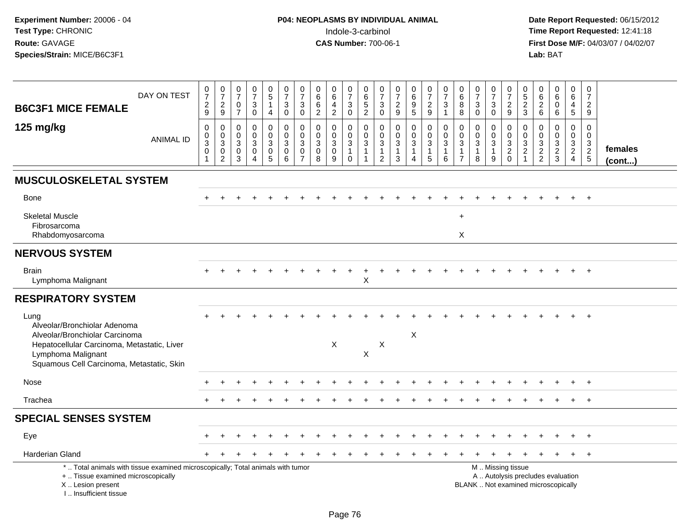| <b>B6C3F1 MICE FEMALE</b>                                                                                                                                             | DAY ON TEST      | $\frac{0}{7}$<br>$\overline{c}$<br>$\boldsymbol{9}$ | $\begin{smallmatrix}0\\7\end{smallmatrix}$<br>$\frac{2}{9}$             | $\frac{0}{7}$<br>$\mathbf 0$<br>$\overline{7}$ | $\begin{array}{c} 0 \\ 7 \end{array}$<br>$\ensuremath{\mathsf{3}}$<br>$\mathbf 0$ | $\begin{array}{c} 0 \\ 5 \end{array}$<br>$\mathbf{1}$<br>$\overline{4}$ | $\frac{0}{7}$<br>3<br>0                              | 0<br>$\overline{7}$<br>$\mathbf{3}$<br>$\mathbf 0$     | $\mathbf 0$<br>$\overline{6}$<br>$\frac{6}{2}$                                    | 0<br>$\overline{6}$<br>$\frac{4}{2}$               | $\frac{0}{7}$<br>$\ensuremath{\mathsf{3}}$<br>$\mathsf 0$          | 0<br>$6\phantom{1}$<br>$\frac{5}{2}$ | $\frac{0}{7}$<br>$\sqrt{3}$<br>0                                 | $\frac{0}{7}$<br>$\frac{2}{9}$                      | $\pmb{0}$<br>$\overline{6}$<br>$\frac{9}{5}$  | $\begin{array}{c} 0 \\ 7 \end{array}$<br>$\frac{2}{9}$          | 0<br>$\overline{7}$<br>$\mathbf{3}$<br>$\overline{1}$ | $\mathbf 0$<br>$6\phantom{a}$<br>8<br>8                                     | $\frac{0}{7}$<br>3<br>$\mathbf 0$                     | $\begin{array}{c} 0 \\ 7 \end{array}$<br>$_{0}^{3}$     | $\pmb{0}$<br>$\overline{7}$<br>$\frac{2}{9}$                                                  | $\begin{array}{c} 0 \\ 5 \\ 2 \\ 3 \end{array}$          | $\mathbf 0$<br>$\overline{6}$<br>$\sqrt{2}$<br>6          | 0<br>$\overline{6}$<br>$\mathbf 0$<br>6 | $_{6}^{\rm 0}$<br>$\overline{4}$<br>$\overline{5}$  | $\mathbf 0$<br>$\overline{7}$<br>$\overline{2}$<br>9 |                         |
|-----------------------------------------------------------------------------------------------------------------------------------------------------------------------|------------------|-----------------------------------------------------|-------------------------------------------------------------------------|------------------------------------------------|-----------------------------------------------------------------------------------|-------------------------------------------------------------------------|------------------------------------------------------|--------------------------------------------------------|-----------------------------------------------------------------------------------|----------------------------------------------------|--------------------------------------------------------------------|--------------------------------------|------------------------------------------------------------------|-----------------------------------------------------|-----------------------------------------------|-----------------------------------------------------------------|-------------------------------------------------------|-----------------------------------------------------------------------------|-------------------------------------------------------|---------------------------------------------------------|-----------------------------------------------------------------------------------------------|----------------------------------------------------------|-----------------------------------------------------------|-----------------------------------------|-----------------------------------------------------|------------------------------------------------------|-------------------------|
| 125 mg/kg                                                                                                                                                             | <b>ANIMAL ID</b> | $\mathbf 0$<br>$_3^0$<br>$\pmb{0}$<br>1             | 0<br>$\mathbf 0$<br>$\sqrt{3}$<br>$\mathsf{O}\xspace$<br>$\overline{2}$ | 0<br>$\mathbf 0$<br>3<br>$\mathbf 0$<br>3      | 0<br>$\mathbf 0$<br>$\mathbf{3}$<br>$\mathbf 0$<br>$\overline{4}$                 | 0<br>$\mathbf 0$<br>$\mathsf 3$<br>$\mathbf 0$<br>5                     | $\mathbf 0$<br>$\mathbf 0$<br>3<br>$\mathsf{O}$<br>6 | $\mathbf 0$<br>$\mathbf 0$<br>3<br>0<br>$\overline{7}$ | $\mathbf 0$<br>$\mathbf 0$<br>$\sqrt{3}$<br>$\mathsf{O}\xspace$<br>$\overline{8}$ | 0<br>$\mathbf 0$<br>$\sqrt{3}$<br>$\mathbf 0$<br>9 | 0<br>$\boldsymbol{0}$<br>$\sqrt{3}$<br>$\mathbf{1}$<br>$\mathbf 0$ | 0<br>$\mathbf 0$<br>3                | 0<br>$\mathbf 0$<br>$\sqrt{3}$<br>$\mathbf{1}$<br>$\overline{2}$ | 0<br>$\pmb{0}$<br>$\mathbf{3}$<br>$\mathbf{1}$<br>3 | 0<br>$\overline{0}$<br>3<br>$\mathbf{1}$<br>4 | $\mathbf 0$<br>$\pmb{0}$<br>$\mathbf{3}$<br>$\overline{1}$<br>5 | 0<br>$\mathbf 0$<br>3<br>$\mathbf{1}$<br>6            | $\mathbf 0$<br>$\mathbf 0$<br>$\mathbf{3}$<br>$\mathbf 1$<br>$\overline{7}$ | 0<br>$\mathbf 0$<br>$\mathbf{3}$<br>$\mathbf{1}$<br>8 | 0<br>$\mathbf 0$<br>$\overline{3}$<br>$\mathbf{1}$<br>9 | $\mathbf 0$<br>$\pmb{0}$<br>$\overline{3}$<br>$\frac{2}{0}$                                   | 0<br>$\boldsymbol{0}$<br>$\overline{3}$<br>$\frac{2}{1}$ | $\mathbf 0$<br>$\mathbf 0$<br>$\sqrt{3}$<br>$\frac{2}{2}$ | 0<br>$\mathbf 0$<br>3<br>$\frac{2}{3}$  | 0<br>$\mathbf 0$<br>$\overline{3}$<br>$\frac{2}{4}$ | $\mathbf 0$<br>$\mathbf 0$<br>3<br>$\frac{2}{5}$     | females<br>$($ cont $)$ |
| <b>MUSCULOSKELETAL SYSTEM</b>                                                                                                                                         |                  |                                                     |                                                                         |                                                |                                                                                   |                                                                         |                                                      |                                                        |                                                                                   |                                                    |                                                                    |                                      |                                                                  |                                                     |                                               |                                                                 |                                                       |                                                                             |                                                       |                                                         |                                                                                               |                                                          |                                                           |                                         |                                                     |                                                      |                         |
| <b>Bone</b>                                                                                                                                                           |                  |                                                     |                                                                         |                                                |                                                                                   |                                                                         |                                                      |                                                        |                                                                                   |                                                    |                                                                    |                                      |                                                                  |                                                     |                                               |                                                                 |                                                       |                                                                             |                                                       |                                                         |                                                                                               |                                                          |                                                           |                                         |                                                     | $\overline{+}$                                       |                         |
| <b>Skeletal Muscle</b><br>Fibrosarcoma<br>Rhabdomyosarcoma                                                                                                            |                  |                                                     |                                                                         |                                                |                                                                                   |                                                                         |                                                      |                                                        |                                                                                   |                                                    |                                                                    |                                      |                                                                  |                                                     |                                               |                                                                 |                                                       | $\ddot{}$<br>$\mathsf{X}$                                                   |                                                       |                                                         |                                                                                               |                                                          |                                                           |                                         |                                                     |                                                      |                         |
| <b>NERVOUS SYSTEM</b>                                                                                                                                                 |                  |                                                     |                                                                         |                                                |                                                                                   |                                                                         |                                                      |                                                        |                                                                                   |                                                    |                                                                    |                                      |                                                                  |                                                     |                                               |                                                                 |                                                       |                                                                             |                                                       |                                                         |                                                                                               |                                                          |                                                           |                                         |                                                     |                                                      |                         |
| <b>Brain</b><br>Lymphoma Malignant                                                                                                                                    |                  |                                                     |                                                                         |                                                |                                                                                   |                                                                         |                                                      |                                                        |                                                                                   |                                                    |                                                                    | X                                    |                                                                  |                                                     |                                               |                                                                 |                                                       |                                                                             |                                                       |                                                         |                                                                                               |                                                          |                                                           |                                         |                                                     |                                                      |                         |
| <b>RESPIRATORY SYSTEM</b>                                                                                                                                             |                  |                                                     |                                                                         |                                                |                                                                                   |                                                                         |                                                      |                                                        |                                                                                   |                                                    |                                                                    |                                      |                                                                  |                                                     |                                               |                                                                 |                                                       |                                                                             |                                                       |                                                         |                                                                                               |                                                          |                                                           |                                         |                                                     |                                                      |                         |
| Lung<br>Alveolar/Bronchiolar Adenoma<br>Alveolar/Bronchiolar Carcinoma                                                                                                |                  |                                                     |                                                                         |                                                |                                                                                   |                                                                         |                                                      |                                                        |                                                                                   | X                                                  |                                                                    |                                      | $\times$                                                         |                                                     | X                                             |                                                                 |                                                       |                                                                             |                                                       |                                                         |                                                                                               |                                                          |                                                           |                                         |                                                     | $\overline{1}$                                       |                         |
| Hepatocellular Carcinoma, Metastatic, Liver<br>Lymphoma Malignant<br>Squamous Cell Carcinoma, Metastatic, Skin                                                        |                  |                                                     |                                                                         |                                                |                                                                                   |                                                                         |                                                      |                                                        |                                                                                   |                                                    |                                                                    | X                                    |                                                                  |                                                     |                                               |                                                                 |                                                       |                                                                             |                                                       |                                                         |                                                                                               |                                                          |                                                           |                                         |                                                     |                                                      |                         |
| Nose                                                                                                                                                                  |                  |                                                     |                                                                         |                                                |                                                                                   |                                                                         |                                                      |                                                        |                                                                                   |                                                    |                                                                    |                                      |                                                                  |                                                     |                                               |                                                                 |                                                       |                                                                             |                                                       |                                                         |                                                                                               |                                                          |                                                           |                                         |                                                     | $\div$                                               |                         |
| Trachea                                                                                                                                                               |                  | $\div$                                              |                                                                         |                                                |                                                                                   |                                                                         |                                                      |                                                        |                                                                                   |                                                    |                                                                    |                                      |                                                                  |                                                     |                                               |                                                                 |                                                       |                                                                             |                                                       |                                                         |                                                                                               |                                                          |                                                           |                                         | $+$                                                 | $+$                                                  |                         |
| <b>SPECIAL SENSES SYSTEM</b>                                                                                                                                          |                  |                                                     |                                                                         |                                                |                                                                                   |                                                                         |                                                      |                                                        |                                                                                   |                                                    |                                                                    |                                      |                                                                  |                                                     |                                               |                                                                 |                                                       |                                                                             |                                                       |                                                         |                                                                                               |                                                          |                                                           |                                         |                                                     |                                                      |                         |
| Eye                                                                                                                                                                   |                  |                                                     |                                                                         |                                                |                                                                                   |                                                                         |                                                      |                                                        |                                                                                   |                                                    |                                                                    |                                      |                                                                  |                                                     |                                               |                                                                 |                                                       |                                                                             |                                                       |                                                         |                                                                                               |                                                          |                                                           |                                         |                                                     | $\overline{ }$                                       |                         |
| <b>Harderian Gland</b>                                                                                                                                                |                  |                                                     |                                                                         |                                                |                                                                                   |                                                                         |                                                      |                                                        |                                                                                   |                                                    |                                                                    |                                      |                                                                  |                                                     |                                               |                                                                 |                                                       |                                                                             |                                                       |                                                         |                                                                                               |                                                          |                                                           |                                         |                                                     | $+$                                                  |                         |
| *  Total animals with tissue examined microscopically; Total animals with tumor<br>+  Tissue examined microscopically<br>X  Lesion present<br>I., Insufficient tissue |                  |                                                     |                                                                         |                                                |                                                                                   |                                                                         |                                                      |                                                        |                                                                                   |                                                    |                                                                    |                                      |                                                                  |                                                     |                                               |                                                                 |                                                       |                                                                             |                                                       |                                                         | M  Missing tissue<br>A  Autolysis precludes evaluation<br>BLANK  Not examined microscopically |                                                          |                                                           |                                         |                                                     |                                                      |                         |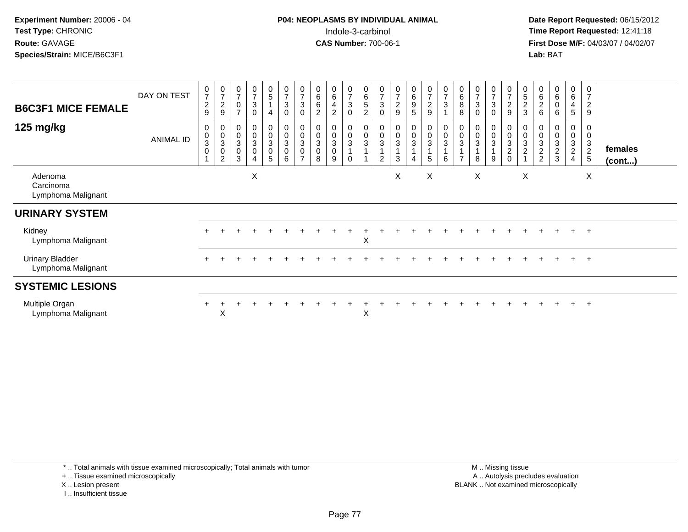**Date Report Requested:** 06/15/2012 **First Dose M/F:** 04/03/07 / 04/02/07<br>Lab: BAT **Lab:** BAT

| <b>B6C3F1 MICE FEMALE</b><br>125 mg/kg       | DAY ON TEST      | $\frac{0}{7}$<br>$\frac{2}{9}$<br>$\mathbf 0$ | $\frac{0}{7}$<br>$\boldsymbol{2}$<br>9<br>0  | $\frac{0}{7}$<br>0<br>$\rightarrow$<br>0<br>$\mathsf{O}\xspace$ | $\frac{0}{7}$<br>$\sqrt{3}$<br>$\mathbf 0$<br>$\mathbf 0$ | $\begin{array}{c} 0 \\ 5 \end{array}$<br>4<br>0<br>0 | $\frac{0}{7}$<br>$\sqrt{3}$<br>$\mathbf 0$<br>0<br>$\pmb{0}$ | $\frac{0}{7}$<br>$\ensuremath{\mathsf{3}}$<br>0<br>0<br>$\pmb{0}$ | $\begin{array}{c} 0 \\ 6 \end{array}$<br>6<br>$\overline{c}$<br>0<br>$\pmb{0}$ | 0<br>$\,6$<br>4<br>$\overline{2}$<br>0<br>$\mathbf 0$ | $\frac{0}{7}$<br>$\sqrt{3}$<br>0<br>0<br>$\mathbf 0$ | 0<br>$6\phantom{a}$<br>$\sqrt{5}$<br>$\overline{2}$<br>0<br>$\pmb{0}$ | $\frac{0}{7}$<br>3<br>$\mathbf 0$<br>$\pmb{0}$<br>$\,0\,$ | $\frac{0}{7}$<br>$\boldsymbol{2}$<br>$\boldsymbol{9}$<br>$\overline{0}$<br>$\pmb{0}$ | $_6^0$<br>9<br>5<br>0<br>$\mathbf 0$ | $\frac{0}{7}$<br>$\sqrt{2}$<br>$\boldsymbol{9}$<br>0<br>$\mathsf 0$ | $\frac{0}{7}$<br>3<br>$\boldsymbol{0}$<br>$\pmb{0}$ | $_{6}^{\rm 0}$<br>8<br>8<br>0<br>$\pmb{0}$ | $\frac{0}{7}$<br>$\sqrt{3}$<br>$\Omega$<br>$\boldsymbol{0}$<br>$\pmb{0}$ | 0<br>$\overline{7}$<br>3<br>$\Omega$<br>0<br>$\mathsf 0$ | $\frac{0}{7}$<br>$\frac{2}{9}$<br>$\boldsymbol{0}$<br>$\mathsf{O}\xspace$ | $\begin{array}{c} 0 \\ 5 \end{array}$<br>$\frac{2}{3}$<br>$\boldsymbol{0}$<br>$\pmb{0}$ | 0<br>$\,6$<br>$\sqrt{2}$<br>6<br>0<br>$\pmb{0}$ | $\begin{array}{c} 0 \\ 6 \end{array}$<br>$\pmb{0}$<br>6<br>0<br>$\pmb{0}$ | $\begin{array}{c} 0 \\ 6 \end{array}$<br>4<br>5<br>0<br>$\pmb{0}$ | $\pmb{0}$<br>7<br>$\boldsymbol{2}$<br>9<br>0           |                         |
|----------------------------------------------|------------------|-----------------------------------------------|----------------------------------------------|-----------------------------------------------------------------|-----------------------------------------------------------|------------------------------------------------------|--------------------------------------------------------------|-------------------------------------------------------------------|--------------------------------------------------------------------------------|-------------------------------------------------------|------------------------------------------------------|-----------------------------------------------------------------------|-----------------------------------------------------------|--------------------------------------------------------------------------------------|--------------------------------------|---------------------------------------------------------------------|-----------------------------------------------------|--------------------------------------------|--------------------------------------------------------------------------|----------------------------------------------------------|---------------------------------------------------------------------------|-----------------------------------------------------------------------------------------|-------------------------------------------------|---------------------------------------------------------------------------|-------------------------------------------------------------------|--------------------------------------------------------|-------------------------|
|                                              | <b>ANIMAL ID</b> | $_3^0$<br>$\boldsymbol{0}$                    | $\frac{0}{3}$<br>$\pmb{0}$<br>$\overline{c}$ | 3<br>0<br>3                                                     | $\frac{0}{3}$<br>$\pmb{0}$<br>$\overline{4}$              | $\mathbf{3}$<br>0<br>5                               | $\mathbf{3}$<br>$\pmb{0}$<br>6                               | $\mathbf{3}$<br>$\pmb{0}$<br>$\overline{ }$                       | $\mathbf 3$<br>$\pmb{0}$<br>8                                                  | 3<br>$\mathbf 0$<br>9                                 | $\mathbf{3}$<br>$\mathbf 0$                          | $\mathbf{3}$                                                          | 3<br>2                                                    | $\mathbf{3}$<br>3                                                                    | 3                                    | $\mathbf{3}$<br>5                                                   | $\mathbf{3}$<br>$\,6\,$                             | $\mathbf{3}$<br>$\overline{ }$             | 3<br>8                                                                   | 3<br>9                                                   | $\sqrt{3}$<br>$\frac{2}{0}$                                               | 3<br>$\boldsymbol{2}$                                                                   | $\ensuremath{\mathsf{3}}$<br>$\frac{2}{2}$      | $\sqrt{3}$<br>$\frac{2}{3}$                                               | $\mathbf{3}$<br>$\overline{c}$<br>4                               | 0<br>$\mathbf{3}$<br>$\overline{c}$<br>$5\phantom{.0}$ | females<br>$($ cont $)$ |
| Adenoma<br>Carcinoma<br>Lymphoma Malignant   |                  |                                               |                                              |                                                                 | X                                                         |                                                      |                                                              |                                                                   |                                                                                |                                                       |                                                      |                                                                       |                                                           | X                                                                                    |                                      | X                                                                   |                                                     |                                            | X                                                                        |                                                          |                                                                           | X                                                                                       |                                                 |                                                                           |                                                                   | X                                                      |                         |
| <b>URINARY SYSTEM</b>                        |                  |                                               |                                              |                                                                 |                                                           |                                                      |                                                              |                                                                   |                                                                                |                                                       |                                                      |                                                                       |                                                           |                                                                                      |                                      |                                                                     |                                                     |                                            |                                                                          |                                                          |                                                                           |                                                                                         |                                                 |                                                                           |                                                                   |                                                        |                         |
| Kidney<br>Lymphoma Malignant                 |                  |                                               |                                              |                                                                 |                                                           |                                                      |                                                              |                                                                   |                                                                                |                                                       |                                                      | X                                                                     |                                                           |                                                                                      |                                      |                                                                     |                                                     |                                            |                                                                          |                                                          |                                                                           |                                                                                         |                                                 |                                                                           | $+$                                                               | $+$                                                    |                         |
| <b>Urinary Bladder</b><br>Lymphoma Malignant |                  |                                               |                                              |                                                                 |                                                           |                                                      |                                                              |                                                                   |                                                                                |                                                       |                                                      |                                                                       |                                                           |                                                                                      |                                      |                                                                     |                                                     |                                            |                                                                          |                                                          |                                                                           |                                                                                         |                                                 |                                                                           | $+$                                                               | $+$                                                    |                         |
| <b>SYSTEMIC LESIONS</b>                      |                  |                                               |                                              |                                                                 |                                                           |                                                      |                                                              |                                                                   |                                                                                |                                                       |                                                      |                                                                       |                                                           |                                                                                      |                                      |                                                                     |                                                     |                                            |                                                                          |                                                          |                                                                           |                                                                                         |                                                 |                                                                           |                                                                   |                                                        |                         |
| Multiple Organ<br>Lymphoma Malignant         |                  |                                               | X                                            |                                                                 |                                                           |                                                      |                                                              |                                                                   |                                                                                |                                                       |                                                      | X                                                                     |                                                           |                                                                                      |                                      |                                                                     |                                                     |                                            |                                                                          |                                                          |                                                                           |                                                                                         |                                                 |                                                                           | $+$                                                               | $+$                                                    |                         |

\* .. Total animals with tissue examined microscopically; Total animals with tumor

+ .. Tissue examined microscopically

X .. Lesion present

I .. Insufficient tissue

 M .. Missing tissuey the contract of the contract of the contract of the contract of the contract of the contract of the contract of  $A$ . Autolysis precludes evaluation Lesion present BLANK .. Not examined microscopically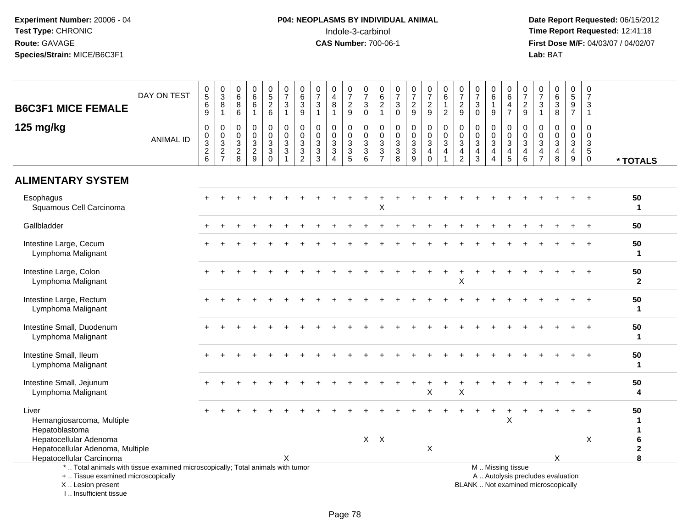| <b>B6C3F1 MICE FEMALE</b>                                                                                                                                           | DAY ON TEST      | $\begin{array}{c} 0 \\ 5 \end{array}$<br>$\,6\,$<br>9        | $\begin{array}{c} 0 \\ 3 \\ 8 \end{array}$<br>$\mathbf{1}$ | $\begin{array}{c} 0 \\ 6 \end{array}$<br>8<br>$6\phantom{1}$               | $0$<br>6<br>6<br>$\mathbf{1}$                                 | $\begin{array}{c} 0 \\ 5 \\ 2 \end{array}$<br>$6\phantom{1}$ | $\frac{0}{7}$<br>$\sqrt{3}$<br>$\mathbf{1}$             | $\begin{array}{c} 0 \\ 6 \end{array}$<br>$\sqrt{3}$<br>$\overline{9}$                                  | $\frac{0}{7}$<br>$\mathbf{3}$<br>$\mathbf{1}$                              | $\begin{smallmatrix}0\0\4\end{smallmatrix}$<br>$\, 8$<br>$\mathbf{1}$                                         | $\frac{0}{7}$<br>$\boldsymbol{2}$<br>$\boldsymbol{9}$               | $\frac{0}{7}$<br>3<br>$\mathbf 0$                  | $\begin{matrix} 0 \\ 6 \end{matrix}$<br>$\overline{2}$<br>$\mathbf{1}$                                 | $\frac{0}{7}$<br>$\sqrt{3}$<br>$\mathbf 0$        | $\frac{0}{7}$<br>$\frac{2}{9}$            | $\frac{0}{7}$<br>$\overline{c}$<br>$\boldsymbol{9}$                                  | $\begin{array}{c} 0 \\ 6 \end{array}$<br>$\overline{1}$<br>$\overline{2}$     | $\begin{array}{c} 0 \\ 7 \end{array}$<br>$\frac{2}{9}$                        | $\frac{0}{7}$<br>$\mathbf{3}$<br>$\mathbf 0$                       | 0<br>$\,6\,$<br>$\mathbf{1}$<br>$9\,$                                        | 0<br>$\,6\,$<br>4<br>$\overline{7}$                                                           | $\frac{0}{7}$<br>$\frac{2}{9}$                                      | $\frac{0}{7}$<br>3<br>$\mathbf{1}$                                | $_{6}^{\rm 0}$<br>$\overline{3}$<br>8                                          | $\begin{array}{c} 0 \\ 5 \end{array}$<br>$\overline{9}$<br>$\overline{7}$     | $\pmb{0}$<br>$\overline{7}$<br>3<br>$\mathbf{1}$               |                       |
|---------------------------------------------------------------------------------------------------------------------------------------------------------------------|------------------|--------------------------------------------------------------|------------------------------------------------------------|----------------------------------------------------------------------------|---------------------------------------------------------------|--------------------------------------------------------------|---------------------------------------------------------|--------------------------------------------------------------------------------------------------------|----------------------------------------------------------------------------|---------------------------------------------------------------------------------------------------------------|---------------------------------------------------------------------|----------------------------------------------------|--------------------------------------------------------------------------------------------------------|---------------------------------------------------|-------------------------------------------|--------------------------------------------------------------------------------------|-------------------------------------------------------------------------------|-------------------------------------------------------------------------------|--------------------------------------------------------------------|------------------------------------------------------------------------------|-----------------------------------------------------------------------------------------------|---------------------------------------------------------------------|-------------------------------------------------------------------|--------------------------------------------------------------------------------|-------------------------------------------------------------------------------|----------------------------------------------------------------|-----------------------|
| 125 mg/kg                                                                                                                                                           | <b>ANIMAL ID</b> | $\pmb{0}$<br>$\begin{array}{c} 0 \\ 3 \\ 2 \end{array}$<br>6 | $\mathbf 0$<br>$\mathsf{O}\xspace$<br>$\frac{3}{2}$<br>7   | $\mathbf 0$<br>$\mathbf 0$<br>$\ensuremath{\mathsf{3}}$<br>$\sqrt{2}$<br>8 | $\mathbf 0$<br>$\pmb{0}$<br>$\sqrt{3}$<br>$\overline{2}$<br>9 | 0<br>$\mathbf 0$<br>$\mathbf{3}$<br>3<br>$\mathbf 0$         | $\pmb{0}$<br>$\pmb{0}$<br>$\frac{3}{3}$<br>$\mathbf{1}$ | $\mathbf 0$<br>$\mathbf 0$<br>$\ensuremath{\mathsf{3}}$<br>$\ensuremath{\mathsf{3}}$<br>$\overline{2}$ | $\mathbf 0$<br>$\mathbf 0$<br>$\ensuremath{\mathsf{3}}$<br>$\sqrt{3}$<br>3 | 0<br>$\mathsf{O}\xspace$<br>$\ensuremath{\mathsf{3}}$<br>$\ensuremath{\mathsf{3}}$<br>$\overline{\mathbf{4}}$ | $\mathbf 0$<br>$\mathsf{O}\xspace$<br>$\sqrt{3}$<br>$\sqrt{3}$<br>5 | $\mathbf 0$<br>$\mathbf 0$<br>3<br>$\sqrt{3}$<br>6 | $\mathbf 0$<br>$\mathbf 0$<br>$\ensuremath{\mathsf{3}}$<br>$\ensuremath{\mathsf{3}}$<br>$\overline{7}$ | 0<br>$\pmb{0}$<br>$\sqrt{3}$<br>$\mathbf{3}$<br>8 | 0<br>$\mathsf{O}\xspace$<br>$\frac{3}{9}$ | $\mathbf 0$<br>$\pmb{0}$<br>$\ensuremath{\mathsf{3}}$<br>$\overline{4}$<br>$\pmb{0}$ | $\mathbf 0$<br>$\mathbf 0$<br>$\mathsf 3$<br>$\overline{4}$<br>$\overline{1}$ | $\mathbf 0$<br>$\mathbf 0$<br>$\mathbf 3$<br>$\overline{4}$<br>$\overline{2}$ | 0<br>$\mathbf 0$<br>$\mathbf{3}$<br>$\overline{4}$<br>$\mathbf{3}$ | $\mathbf 0$<br>$\mathbf 0$<br>$\sqrt{3}$<br>$\overline{4}$<br>$\overline{4}$ | 0<br>$\mathbf 0$<br>3<br>4<br>5                                                               | $\mathbf 0$<br>$\mathbf 0$<br>$\sqrt{3}$<br>$\overline{4}$<br>$\,6$ | $\mathbf 0$<br>$\mathbf 0$<br>$\mathbf{3}$<br>4<br>$\overline{7}$ | $\mathbf 0$<br>$\mathbf 0$<br>$\ensuremath{\mathsf{3}}$<br>$\overline{4}$<br>8 | $\mathbf 0$<br>$\mathsf{O}\xspace$<br>$\ensuremath{\mathsf{3}}$<br>4<br>$9\,$ | $\Omega$<br>$\mathbf 0$<br>$\mathbf{3}$<br>$\overline{5}$<br>0 | * TOTALS              |
| <b>ALIMENTARY SYSTEM</b>                                                                                                                                            |                  |                                                              |                                                            |                                                                            |                                                               |                                                              |                                                         |                                                                                                        |                                                                            |                                                                                                               |                                                                     |                                                    |                                                                                                        |                                                   |                                           |                                                                                      |                                                                               |                                                                               |                                                                    |                                                                              |                                                                                               |                                                                     |                                                                   |                                                                                |                                                                               |                                                                |                       |
| Esophagus<br>Squamous Cell Carcinoma                                                                                                                                |                  |                                                              |                                                            |                                                                            |                                                               |                                                              |                                                         |                                                                                                        |                                                                            |                                                                                                               |                                                                     |                                                    |                                                                                                        |                                                   |                                           |                                                                                      |                                                                               |                                                                               |                                                                    |                                                                              |                                                                                               |                                                                     |                                                                   |                                                                                |                                                                               |                                                                | 50<br>1               |
| Gallbladder                                                                                                                                                         |                  |                                                              |                                                            |                                                                            |                                                               |                                                              |                                                         |                                                                                                        |                                                                            |                                                                                                               |                                                                     |                                                    |                                                                                                        |                                                   |                                           |                                                                                      |                                                                               |                                                                               |                                                                    |                                                                              |                                                                                               |                                                                     |                                                                   |                                                                                |                                                                               |                                                                | 50                    |
| Intestine Large, Cecum<br>Lymphoma Malignant                                                                                                                        |                  |                                                              |                                                            |                                                                            |                                                               |                                                              |                                                         |                                                                                                        |                                                                            |                                                                                                               |                                                                     |                                                    |                                                                                                        |                                                   |                                           |                                                                                      |                                                                               |                                                                               |                                                                    |                                                                              |                                                                                               |                                                                     |                                                                   |                                                                                |                                                                               |                                                                | 50<br>$\mathbf 1$     |
| Intestine Large, Colon<br>Lymphoma Malignant                                                                                                                        |                  |                                                              |                                                            |                                                                            |                                                               |                                                              |                                                         |                                                                                                        |                                                                            |                                                                                                               |                                                                     |                                                    |                                                                                                        |                                                   |                                           |                                                                                      |                                                                               | X                                                                             |                                                                    |                                                                              |                                                                                               |                                                                     |                                                                   |                                                                                |                                                                               |                                                                | 50<br>$\mathbf{2}$    |
| Intestine Large, Rectum<br>Lymphoma Malignant                                                                                                                       |                  |                                                              |                                                            |                                                                            |                                                               |                                                              |                                                         |                                                                                                        |                                                                            |                                                                                                               |                                                                     |                                                    |                                                                                                        |                                                   |                                           |                                                                                      |                                                                               |                                                                               |                                                                    |                                                                              |                                                                                               |                                                                     |                                                                   |                                                                                |                                                                               |                                                                | 50<br>$\mathbf 1$     |
| Intestine Small, Duodenum<br>Lymphoma Malignant                                                                                                                     |                  |                                                              |                                                            |                                                                            |                                                               |                                                              |                                                         |                                                                                                        |                                                                            |                                                                                                               |                                                                     |                                                    |                                                                                                        |                                                   |                                           |                                                                                      |                                                                               |                                                                               |                                                                    |                                                                              |                                                                                               |                                                                     |                                                                   |                                                                                |                                                                               |                                                                | 50<br>1               |
| Intestine Small, Ileum<br>Lymphoma Malignant                                                                                                                        |                  |                                                              |                                                            |                                                                            |                                                               |                                                              |                                                         |                                                                                                        |                                                                            |                                                                                                               |                                                                     |                                                    |                                                                                                        |                                                   |                                           |                                                                                      |                                                                               |                                                                               |                                                                    |                                                                              |                                                                                               |                                                                     |                                                                   |                                                                                |                                                                               |                                                                | 50<br>$\mathbf 1$     |
| Intestine Small, Jejunum<br>Lymphoma Malignant                                                                                                                      |                  |                                                              |                                                            |                                                                            |                                                               |                                                              |                                                         |                                                                                                        |                                                                            |                                                                                                               |                                                                     |                                                    |                                                                                                        |                                                   |                                           | X                                                                                    |                                                                               | X                                                                             |                                                                    |                                                                              |                                                                                               |                                                                     |                                                                   |                                                                                |                                                                               |                                                                | 50<br>4               |
| Liver<br>Hemangiosarcoma, Multiple<br>Hepatoblastoma                                                                                                                |                  |                                                              |                                                            |                                                                            |                                                               |                                                              |                                                         |                                                                                                        |                                                                            |                                                                                                               |                                                                     |                                                    |                                                                                                        |                                                   |                                           |                                                                                      |                                                                               |                                                                               |                                                                    |                                                                              | X                                                                                             |                                                                     |                                                                   |                                                                                |                                                                               |                                                                | 50<br>1<br>1          |
| Hepatocellular Adenoma<br>Hepatocellular Adenoma, Multiple<br><b>Hepatocellular Carcinoma</b>                                                                       |                  |                                                              |                                                            |                                                                            |                                                               |                                                              |                                                         |                                                                                                        |                                                                            |                                                                                                               |                                                                     |                                                    | $X$ $X$                                                                                                |                                                   |                                           | X                                                                                    |                                                                               |                                                                               |                                                                    |                                                                              |                                                                                               |                                                                     |                                                                   | X                                                                              |                                                                               | X                                                              | 6<br>$\mathbf 2$<br>8 |
| *  Total animals with tissue examined microscopically; Total animals with tumor<br>+  Tissue examined microscopically<br>X  Lesion present<br>I Insufficient tissue |                  |                                                              |                                                            |                                                                            |                                                               |                                                              |                                                         |                                                                                                        |                                                                            |                                                                                                               |                                                                     |                                                    |                                                                                                        |                                                   |                                           |                                                                                      |                                                                               |                                                                               |                                                                    |                                                                              | M  Missing tissue<br>A  Autolysis precludes evaluation<br>BLANK  Not examined microscopically |                                                                     |                                                                   |                                                                                |                                                                               |                                                                |                       |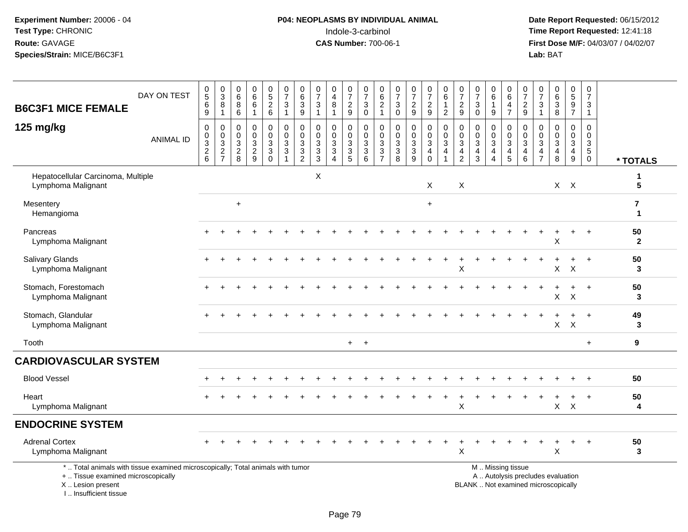## **P04: NEOPLASMS BY INDIVIDUAL ANIMAL**<br>Indole-3-carbinol Indole-3-carbinol **Time Report Requested:** 12:41:18

| <b>B6C3F1 MICE FEMALE</b>                                                                                                                                             | DAY ON TEST      | $\begin{array}{c} 0 \\ 5 \end{array}$<br>$\,6\,$<br>$9\,$          | $_{3}^{\rm 0}$<br>$\bf 8$<br>$\mathbf{1}$                    | 0<br>$6\phantom{a}$<br>$\bf 8$<br>$6\phantom{1}$ | $_{6}^{\rm 0}$<br>$6\phantom{a}$<br>$\mathbf{1}$            | $\begin{array}{c} 0 \\ 5 \end{array}$<br>$\frac{2}{6}$                 | $\frac{0}{7}$<br>$\ensuremath{\mathsf{3}}$<br>$\overline{1}$                      | $\begin{array}{c} 0 \\ 6 \end{array}$<br>$\ensuremath{\mathsf{3}}$<br>9         | $\frac{0}{7}$<br>$\ensuremath{\mathsf{3}}$<br>$\mathbf{1}$               | $\begin{smallmatrix}0\0\4\end{smallmatrix}$<br>$\, 8$<br>$\mathbf 1$ | $\begin{array}{c} 0 \\ 7 \end{array}$<br>$\sqrt{2}$<br>9 | $\frac{0}{7}$<br>$\ensuremath{\mathsf{3}}$<br>$\mathsf 0$ | $\begin{array}{c} 0 \\ 6 \end{array}$<br>$\overline{2}$<br>$\mathbf{1}$ | $\frac{0}{7}$<br>$\ensuremath{\mathsf{3}}$<br>$\mathbf 0$ | $\frac{0}{7}$<br>$\sqrt{2}$<br>$\boldsymbol{9}$   | $\frac{0}{7}$<br>$\frac{2}{9}$                      | $_{6}^{\rm 0}$<br>$\mathbf{1}$<br>$\overline{2}$ | $\pmb{0}$<br>$\overline{7}$<br>$\sqrt{2}$<br>$9\,$         | $\frac{0}{7}$<br>$\ensuremath{\mathsf{3}}$<br>$\mathbf 0$ | $\begin{array}{c} 0 \\ 6 \end{array}$<br>$\mathbf{1}$<br>$9\,$     | $_{6}^{\rm 0}$<br>$\frac{4}{7}$                             | $\begin{smallmatrix}0\\7\end{smallmatrix}$<br>$\boldsymbol{2}$<br>9 | $\frac{0}{7}$<br>$\ensuremath{\mathsf{3}}$<br>$\mathbf{1}$  | $\begin{array}{c} 0 \\ 6 \\ 3 \end{array}$<br>8                          | $0$<br>$5$<br>$9$<br>$7$                                  | $\pmb{0}$<br>$\overline{7}$<br>$\sqrt{3}$<br>$\overline{1}$                                  |                    |
|-----------------------------------------------------------------------------------------------------------------------------------------------------------------------|------------------|--------------------------------------------------------------------|--------------------------------------------------------------|--------------------------------------------------|-------------------------------------------------------------|------------------------------------------------------------------------|-----------------------------------------------------------------------------------|---------------------------------------------------------------------------------|--------------------------------------------------------------------------|----------------------------------------------------------------------|----------------------------------------------------------|-----------------------------------------------------------|-------------------------------------------------------------------------|-----------------------------------------------------------|---------------------------------------------------|-----------------------------------------------------|--------------------------------------------------|------------------------------------------------------------|-----------------------------------------------------------|--------------------------------------------------------------------|-------------------------------------------------------------|---------------------------------------------------------------------|-------------------------------------------------------------|--------------------------------------------------------------------------|-----------------------------------------------------------|----------------------------------------------------------------------------------------------|--------------------|
| 125 mg/kg                                                                                                                                                             | <b>ANIMAL ID</b> | $\mathbf 0$<br>$_{3}^{\rm 0}$<br>$\overline{2}$<br>$6\phantom{1}6$ | 0<br>$\pmb{0}$<br>$\ensuremath{\mathsf{3}}$<br>$\frac{2}{7}$ | 0<br>$\mathsf 0$<br>3<br>$\sqrt{2}$<br>8         | $\mathbf 0$<br>$\mathsf 0$<br>$\mathbf{3}$<br>$\frac{2}{9}$ | 0<br>$\overline{0}$<br>$\mathfrak{S}$<br>$\overline{3}$<br>$\mathbf 0$ | $\overline{0}$<br>$\mathbf 0$<br>$\mathbf{3}$<br>$\overline{3}$<br>$\overline{1}$ | 0<br>$\mathbf 0$<br>$\mathbf{3}$<br>$\ensuremath{\mathsf{3}}$<br>$\overline{2}$ | $\mathbf 0$<br>$\mathbf 0$<br>$\ensuremath{\mathsf{3}}$<br>$\frac{3}{3}$ | 0<br>$\mathbf 0$<br>3<br>$\overline{3}$<br>$\overline{A}$            | 0<br>$\mathbf 0$<br>$\sqrt{3}$<br>$\overline{3}$<br>5    | 0<br>$_{3}^{\rm 0}$<br>$\overline{3}$ 6                   | $\mathbf 0$<br>$\mathbf 0$<br>$\sqrt{3}$<br>$\frac{3}{7}$               | 0<br>$\mathbf 0$<br>$\mathbf{3}$<br>$\overline{3}$<br>8   | 0<br>$\pmb{0}$<br>$\overline{3}$<br>$\frac{3}{9}$ | 0<br>$\frac{0}{3}$<br>$\overline{4}$<br>$\mathbf 0$ | 0<br>$\mathbf 0$<br>$\mathbf{3}$<br>4            | 0<br>0<br>$\mathbf{3}$<br>$\overline{4}$<br>$\overline{2}$ | 0<br>$\mathbf 0$<br>$\sqrt{3}$<br>$\frac{4}{3}$           | 0<br>$\mathbf 0$<br>$\sqrt{3}$<br>$\overline{4}$<br>$\overline{4}$ | 0<br>$\mathsf{O}\xspace$<br>$\overline{3}$<br>$\frac{4}{5}$ | 0<br>$\mathbf 0$<br>3<br>4<br>6                                     | 0<br>$\mathsf{O}\xspace$<br>$\overline{3}$<br>$\frac{4}{7}$ | 0<br>$\mathbf 0$<br>$\mathbf{3}$<br>$\overline{4}$<br>8                  | 0<br>$\mathbf 0$<br>$\overline{3}$<br>$\overline{4}$<br>9 | $\mathbf 0$<br>$\mathsf{O}\xspace$<br>$\ensuremath{\mathsf{3}}$<br>$\sqrt{5}$<br>$\mathbf 0$ | * TOTALS           |
| Hepatocellular Carcinoma, Multiple<br>Lymphoma Malignant                                                                                                              |                  |                                                                    |                                                              |                                                  |                                                             |                                                                        |                                                                                   |                                                                                 | $\mathsf{X}$                                                             |                                                                      |                                                          |                                                           |                                                                         |                                                           |                                                   | $\times$                                            |                                                  | X                                                          |                                                           |                                                                    |                                                             |                                                                     |                                                             |                                                                          | $X$ $X$                                                   |                                                                                              | 5                  |
| Mesentery<br>Hemangioma                                                                                                                                               |                  |                                                                    |                                                              | $\ddot{}$                                        |                                                             |                                                                        |                                                                                   |                                                                                 |                                                                          |                                                                      |                                                          |                                                           |                                                                         |                                                           |                                                   | $\ddot{}$                                           |                                                  |                                                            |                                                           |                                                                    |                                                             |                                                                     |                                                             |                                                                          |                                                           |                                                                                              | 7<br>$\mathbf 1$   |
| Pancreas<br>Lymphoma Malignant                                                                                                                                        |                  |                                                                    |                                                              |                                                  |                                                             |                                                                        |                                                                                   |                                                                                 |                                                                          |                                                                      |                                                          |                                                           |                                                                         |                                                           |                                                   |                                                     |                                                  |                                                            |                                                           |                                                                    |                                                             |                                                                     |                                                             | $\pm$<br>X                                                               | $\ddot{}$                                                 | $\overline{+}$                                                                               | 50<br>$\mathbf{2}$ |
| <b>Salivary Glands</b><br>Lymphoma Malignant                                                                                                                          |                  |                                                                    |                                                              |                                                  |                                                             |                                                                        |                                                                                   |                                                                                 |                                                                          |                                                                      |                                                          |                                                           |                                                                         |                                                           |                                                   |                                                     |                                                  | X                                                          |                                                           |                                                                    |                                                             |                                                                     |                                                             | X                                                                        | $\boldsymbol{\mathsf{X}}$                                 |                                                                                              | 50<br>3            |
| Stomach, Forestomach<br>Lymphoma Malignant                                                                                                                            |                  |                                                                    |                                                              |                                                  |                                                             |                                                                        |                                                                                   |                                                                                 |                                                                          |                                                                      |                                                          |                                                           |                                                                         |                                                           |                                                   |                                                     |                                                  |                                                            |                                                           |                                                                    |                                                             |                                                                     |                                                             | $\ddot{}$<br>X                                                           | $\ddot{}$<br>$\mathsf X$                                  | $+$                                                                                          | 50<br>3            |
| Stomach, Glandular<br>Lymphoma Malignant                                                                                                                              |                  |                                                                    |                                                              |                                                  |                                                             |                                                                        |                                                                                   |                                                                                 |                                                                          |                                                                      |                                                          |                                                           |                                                                         |                                                           |                                                   |                                                     |                                                  |                                                            |                                                           |                                                                    |                                                             |                                                                     |                                                             | $\mathsf X$                                                              | $\mathsf{X}$                                              |                                                                                              | 49<br>3            |
| Tooth                                                                                                                                                                 |                  |                                                                    |                                                              |                                                  |                                                             |                                                                        |                                                                                   |                                                                                 |                                                                          |                                                                      | $+$                                                      | $+$                                                       |                                                                         |                                                           |                                                   |                                                     |                                                  |                                                            |                                                           |                                                                    |                                                             |                                                                     |                                                             |                                                                          |                                                           | $+$                                                                                          | 9                  |
| <b>CARDIOVASCULAR SYSTEM</b>                                                                                                                                          |                  |                                                                    |                                                              |                                                  |                                                             |                                                                        |                                                                                   |                                                                                 |                                                                          |                                                                      |                                                          |                                                           |                                                                         |                                                           |                                                   |                                                     |                                                  |                                                            |                                                           |                                                                    |                                                             |                                                                     |                                                             |                                                                          |                                                           |                                                                                              |                    |
| <b>Blood Vessel</b>                                                                                                                                                   |                  |                                                                    |                                                              |                                                  |                                                             |                                                                        |                                                                                   |                                                                                 |                                                                          |                                                                      |                                                          |                                                           |                                                                         |                                                           |                                                   |                                                     |                                                  |                                                            |                                                           |                                                                    |                                                             |                                                                     |                                                             |                                                                          |                                                           |                                                                                              | 50                 |
| Heart<br>Lymphoma Malignant                                                                                                                                           |                  |                                                                    |                                                              |                                                  |                                                             |                                                                        |                                                                                   |                                                                                 |                                                                          |                                                                      |                                                          |                                                           |                                                                         |                                                           |                                                   |                                                     |                                                  | X                                                          |                                                           |                                                                    |                                                             |                                                                     |                                                             |                                                                          | $\pm$<br>$X$ $X$                                          | $\overline{1}$                                                                               | 50<br>4            |
| <b>ENDOCRINE SYSTEM</b>                                                                                                                                               |                  |                                                                    |                                                              |                                                  |                                                             |                                                                        |                                                                                   |                                                                                 |                                                                          |                                                                      |                                                          |                                                           |                                                                         |                                                           |                                                   |                                                     |                                                  |                                                            |                                                           |                                                                    |                                                             |                                                                     |                                                             |                                                                          |                                                           |                                                                                              |                    |
| <b>Adrenal Cortex</b><br>Lymphoma Malignant                                                                                                                           |                  |                                                                    |                                                              |                                                  |                                                             |                                                                        |                                                                                   |                                                                                 |                                                                          |                                                                      |                                                          |                                                           |                                                                         |                                                           |                                                   |                                                     |                                                  | X                                                          |                                                           |                                                                    |                                                             |                                                                     |                                                             | X                                                                        |                                                           |                                                                                              | 50<br>3            |
| *  Total animals with tissue examined microscopically; Total animals with tumor<br>+  Tissue examined microscopically<br>X  Lesion present<br>I., Insufficient tissue |                  |                                                                    |                                                              |                                                  |                                                             |                                                                        |                                                                                   |                                                                                 |                                                                          |                                                                      |                                                          |                                                           |                                                                         |                                                           |                                                   |                                                     |                                                  |                                                            |                                                           |                                                                    | M  Missing tissue                                           |                                                                     |                                                             | A  Autolysis precludes evaluation<br>BLANK  Not examined microscopically |                                                           |                                                                                              |                    |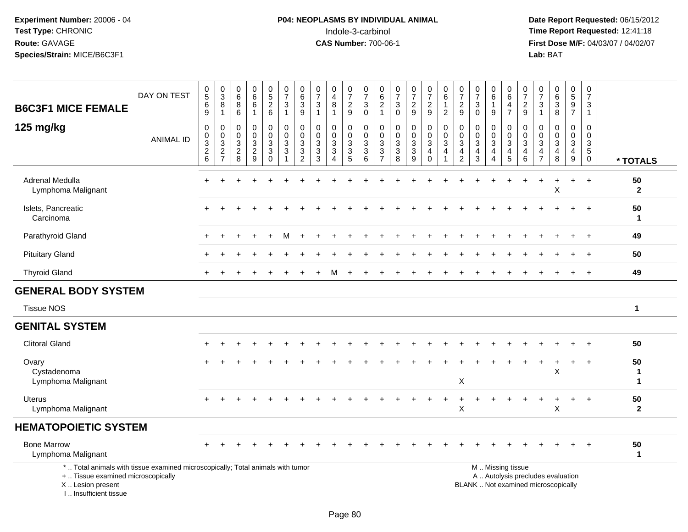# **P04: NEOPLASMS BY INDIVIDUAL ANIMAL**<br>Indole-3-carbinol Indole-3-carbinol **Time Report Requested:** 12:41:18

| <b>B6C3F1 MICE FEMALE</b>                                                                                                                                           | DAY ON TEST      | $\begin{array}{c} 0 \\ 5 \end{array}$<br>$\,6\,$<br>9                                           | $\mathbf 0$<br>$\overline{3}$<br>8<br>$\mathbf{1}$            | $\begin{array}{c} 0 \\ 6 \end{array}$<br>8<br>6            | $\begin{array}{c} 0 \\ 6 \end{array}$<br>6<br>$\mathbf{1}$ | $\begin{smallmatrix} 0\\5 \end{smallmatrix}$<br>$\frac{2}{6}$ | $\frac{0}{7}$<br>$\sqrt{3}$<br>$\mathbf{1}$            | 0<br>$\,6\,$<br>$\mathbf{3}$<br>$\boldsymbol{9}$                                           | $\begin{array}{c} 0 \\ 7 \end{array}$<br>3<br>$\mathbf{1}$ | 0<br>$\overline{\mathbf{4}}$<br>8<br>$\mathbf 1$      | $\begin{array}{c} 0 \\ 7 \end{array}$<br>$\frac{2}{9}$ | $\frac{0}{7}$<br>$\sqrt{3}$<br>$\overline{0}$       | 0<br>$6^{6}_{2}$ 1                                  | $\frac{0}{7}$<br>$\sqrt{3}$<br>$\mathbf 0$                  | $\frac{0}{7}$<br>$\frac{2}{9}$                           | $\frac{0}{7}$<br>$\frac{2}{9}$                         | $\begin{array}{c} 0 \\ 6 \end{array}$<br>$\mathbf{1}$<br>$\overline{c}$ | $\begin{smallmatrix}0\\7\end{smallmatrix}$<br>$\frac{2}{9}$                  | $\pmb{0}$<br>$\overline{7}$<br>3<br>0                            | 0<br>6<br>$\mathbf{1}$<br>$\boldsymbol{9}$                                       | 0<br>$6\overline{6}$<br>4<br>$\overline{7}$                   | $\frac{0}{7}$<br>$\frac{2}{9}$     | 0<br>$\overline{7}$<br>3                        | $\begin{array}{c} 0 \\ 6 \end{array}$<br>$\sqrt{3}$<br>$\overline{8}$        | $\begin{array}{c} 0 \\ 5 \end{array}$<br>$9\,$<br>$\overline{7}$     | $\pmb{0}$<br>$\overline{7}$<br>3<br>$\mathbf{1}$                             |                        |
|---------------------------------------------------------------------------------------------------------------------------------------------------------------------|------------------|-------------------------------------------------------------------------------------------------|---------------------------------------------------------------|------------------------------------------------------------|------------------------------------------------------------|---------------------------------------------------------------|--------------------------------------------------------|--------------------------------------------------------------------------------------------|------------------------------------------------------------|-------------------------------------------------------|--------------------------------------------------------|-----------------------------------------------------|-----------------------------------------------------|-------------------------------------------------------------|----------------------------------------------------------|--------------------------------------------------------|-------------------------------------------------------------------------|------------------------------------------------------------------------------|------------------------------------------------------------------|----------------------------------------------------------------------------------|---------------------------------------------------------------|------------------------------------|-------------------------------------------------|------------------------------------------------------------------------------|----------------------------------------------------------------------|------------------------------------------------------------------------------|------------------------|
| 125 mg/kg                                                                                                                                                           | <b>ANIMAL ID</b> | $\boldsymbol{0}$<br>$\boldsymbol{0}$<br>$\overline{3}$<br>$\begin{array}{c} 2 \\ 6 \end{array}$ | $\mathbf 0$<br>$\mathbf 0$<br>$\overline{3}$<br>$\frac{2}{7}$ | $\mathbf 0$<br>$\mathbf 0$<br>$\mathbf{3}$<br>$_{\rm 8}^2$ | 0<br>$\mathbf 0$<br>3<br>$\frac{2}{9}$                     | $\mathbf 0$<br>$\mathbf 0$<br>$\mathbf{3}$<br>$\frac{3}{0}$   | $\mathbf 0$<br>$\mathbf 0$<br>$\sqrt{3}$<br>$\sqrt{3}$ | $\mathbf 0$<br>$\mathbf{0}$<br>$\mathbf{3}$<br>$\ensuremath{\mathsf{3}}$<br>$\overline{2}$ | 0<br>$\Omega$<br>$\mathfrak{Z}$<br>$\mathbf{3}$<br>3       | 0<br>$\mathbf 0$<br>$\mathbf{3}$<br>$\mathbf{3}$<br>4 | 0<br>0<br>$\sqrt{3}$<br>$\frac{3}{5}$                  | $\mathbf 0$<br>0<br>$\overline{3}$<br>$\frac{3}{6}$ | $\mathbf 0$<br>0<br>$\overline{3}$<br>$\frac{3}{7}$ | $\mathbf 0$<br>$\mathbf 0$<br>$\sqrt{3}$<br>$\sqrt{3}$<br>8 | 0<br>0<br>$\mathbf{3}$<br>$\ensuremath{\mathsf{3}}$<br>9 | 0<br>$\mathbf 0$<br>$\overline{3}$<br>4<br>$\mathbf 0$ | $\mathbf 0$<br>$\pmb{0}$<br>$\overline{3}$<br>$\overline{4}$            | $\mathbf 0$<br>$\mathbf 0$<br>$\sqrt{3}$<br>$\overline{4}$<br>$\overline{c}$ | $\mathbf 0$<br>$\mathbf 0$<br>$\mathbf 3$<br>$\overline{4}$<br>3 | 0<br>0<br>$\ensuremath{\mathsf{3}}$<br>$\overline{\mathbf{4}}$<br>$\overline{4}$ | 0<br>0<br>$\sqrt{3}$<br>$\begin{array}{c} 4 \\ 5 \end{array}$ | 0<br>0<br>3<br>4<br>$\overline{6}$ | 0<br>0<br>3<br>$\overline{4}$<br>$\overline{7}$ | $\mathbf 0$<br>$\mathbf 0$<br>$\sqrt{3}$<br>$\overline{4}$<br>$\overline{8}$ | 0<br>$\mathbf 0$<br>$\mathbf{3}$<br>$\overline{4}$<br>$\overline{9}$ | $\mathbf 0$<br>$\mathbf 0$<br>$\mathbf{3}$<br>$5\phantom{.0}$<br>$\mathbf 0$ | * TOTALS               |
| Adrenal Medulla<br>Lymphoma Malignant                                                                                                                               |                  |                                                                                                 |                                                               |                                                            |                                                            |                                                               |                                                        |                                                                                            |                                                            |                                                       |                                                        |                                                     |                                                     |                                                             |                                                          |                                                        |                                                                         |                                                                              |                                                                  |                                                                                  |                                                               |                                    |                                                 | X                                                                            |                                                                      | $\ddot{}$                                                                    | 50<br>$\mathbf{2}$     |
| Islets, Pancreatic<br>Carcinoma                                                                                                                                     |                  |                                                                                                 |                                                               |                                                            |                                                            |                                                               |                                                        |                                                                                            |                                                            |                                                       |                                                        |                                                     |                                                     |                                                             |                                                          |                                                        |                                                                         |                                                                              |                                                                  |                                                                                  |                                                               |                                    |                                                 |                                                                              |                                                                      |                                                                              | 50<br>1                |
| Parathyroid Gland                                                                                                                                                   |                  |                                                                                                 |                                                               |                                                            |                                                            |                                                               |                                                        |                                                                                            |                                                            |                                                       |                                                        |                                                     |                                                     |                                                             |                                                          |                                                        |                                                                         |                                                                              |                                                                  |                                                                                  |                                                               |                                    |                                                 |                                                                              |                                                                      |                                                                              | 49                     |
| <b>Pituitary Gland</b>                                                                                                                                              |                  |                                                                                                 |                                                               |                                                            |                                                            |                                                               |                                                        |                                                                                            |                                                            |                                                       |                                                        |                                                     |                                                     |                                                             |                                                          |                                                        |                                                                         |                                                                              |                                                                  |                                                                                  |                                                               |                                    |                                                 |                                                                              |                                                                      |                                                                              | 50                     |
| <b>Thyroid Gland</b>                                                                                                                                                |                  |                                                                                                 |                                                               |                                                            |                                                            |                                                               |                                                        |                                                                                            |                                                            | м                                                     |                                                        |                                                     |                                                     |                                                             |                                                          |                                                        |                                                                         |                                                                              |                                                                  |                                                                                  |                                                               |                                    |                                                 |                                                                              |                                                                      | $^{+}$                                                                       | 49                     |
| <b>GENERAL BODY SYSTEM</b>                                                                                                                                          |                  |                                                                                                 |                                                               |                                                            |                                                            |                                                               |                                                        |                                                                                            |                                                            |                                                       |                                                        |                                                     |                                                     |                                                             |                                                          |                                                        |                                                                         |                                                                              |                                                                  |                                                                                  |                                                               |                                    |                                                 |                                                                              |                                                                      |                                                                              |                        |
| <b>Tissue NOS</b>                                                                                                                                                   |                  |                                                                                                 |                                                               |                                                            |                                                            |                                                               |                                                        |                                                                                            |                                                            |                                                       |                                                        |                                                     |                                                     |                                                             |                                                          |                                                        |                                                                         |                                                                              |                                                                  |                                                                                  |                                                               |                                    |                                                 |                                                                              |                                                                      |                                                                              | $\mathbf{1}$           |
| <b>GENITAL SYSTEM</b>                                                                                                                                               |                  |                                                                                                 |                                                               |                                                            |                                                            |                                                               |                                                        |                                                                                            |                                                            |                                                       |                                                        |                                                     |                                                     |                                                             |                                                          |                                                        |                                                                         |                                                                              |                                                                  |                                                                                  |                                                               |                                    |                                                 |                                                                              |                                                                      |                                                                              |                        |
| <b>Clitoral Gland</b>                                                                                                                                               |                  |                                                                                                 |                                                               |                                                            |                                                            |                                                               |                                                        |                                                                                            |                                                            |                                                       |                                                        |                                                     |                                                     |                                                             |                                                          |                                                        |                                                                         |                                                                              |                                                                  |                                                                                  |                                                               |                                    |                                                 |                                                                              |                                                                      |                                                                              | 50                     |
| Ovary<br>Cystadenoma<br>Lymphoma Malignant                                                                                                                          |                  |                                                                                                 |                                                               |                                                            |                                                            |                                                               |                                                        |                                                                                            |                                                            |                                                       |                                                        |                                                     |                                                     |                                                             |                                                          |                                                        |                                                                         | X                                                                            |                                                                  |                                                                                  |                                                               |                                    |                                                 | X                                                                            |                                                                      | $\ddot{}$                                                                    | 50<br>1<br>$\mathbf 1$ |
| Uterus<br>Lymphoma Malignant                                                                                                                                        |                  |                                                                                                 |                                                               |                                                            |                                                            |                                                               |                                                        |                                                                                            |                                                            |                                                       |                                                        |                                                     |                                                     |                                                             |                                                          |                                                        |                                                                         | $\ddot{}$<br>X                                                               |                                                                  |                                                                                  |                                                               |                                    |                                                 | X                                                                            | $\ddot{}$                                                            | $+$                                                                          | 50<br>$\mathbf{2}$     |
| <b>HEMATOPOIETIC SYSTEM</b>                                                                                                                                         |                  |                                                                                                 |                                                               |                                                            |                                                            |                                                               |                                                        |                                                                                            |                                                            |                                                       |                                                        |                                                     |                                                     |                                                             |                                                          |                                                        |                                                                         |                                                                              |                                                                  |                                                                                  |                                                               |                                    |                                                 |                                                                              |                                                                      |                                                                              |                        |
| <b>Bone Marrow</b><br>Lymphoma Malignant                                                                                                                            |                  |                                                                                                 |                                                               |                                                            |                                                            |                                                               |                                                        |                                                                                            |                                                            |                                                       |                                                        |                                                     |                                                     |                                                             |                                                          |                                                        |                                                                         |                                                                              |                                                                  |                                                                                  |                                                               |                                    |                                                 |                                                                              |                                                                      |                                                                              | 50<br>$\mathbf{1}$     |
| *  Total animals with tissue examined microscopically; Total animals with tumor<br>+  Tissue examined microscopically<br>X  Lesion present<br>I Insufficient tissue |                  |                                                                                                 |                                                               |                                                            |                                                            |                                                               |                                                        |                                                                                            |                                                            |                                                       |                                                        |                                                     |                                                     |                                                             |                                                          |                                                        |                                                                         |                                                                              | M  Missing tissue<br>BLANK  Not examined microscopically         |                                                                                  |                                                               |                                    |                                                 | A  Autolysis precludes evaluation                                            |                                                                      |                                                                              |                        |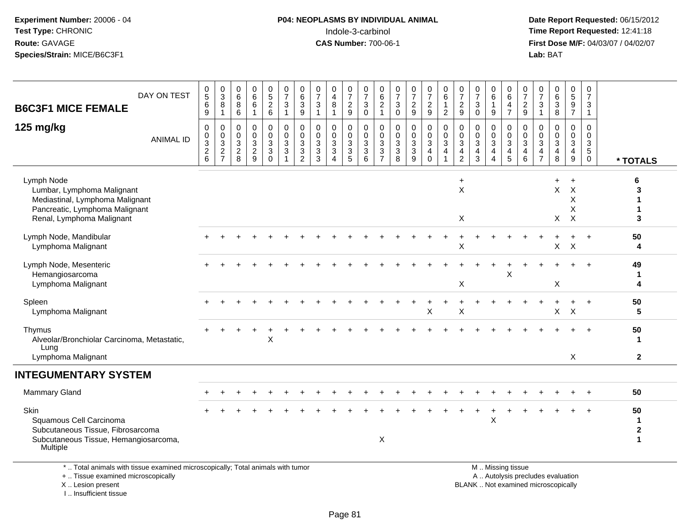#### **P04: NEOPLASMS BY INDIVIDUAL ANIMAL**<br>Indole-3-carbinol Indole-3-carbinol **Time Report Requested:** 12:41:18

 **Date Report Requested:** 06/15/2012 **First Dose M/F:** 04/03/07 / 04/02/07<br>Lab: BAT **Lab:** BAT

| DAY ON TEST<br><b>B6C3F1 MICE FEMALE</b>                                                                                                   | $\begin{matrix} 0 \\ 5 \end{matrix}$<br>$\,6\,$<br>$\boldsymbol{9}$ | $\begin{array}{c} 0 \\ 3 \\ 8 \end{array}$<br>$\mathbf{1}$                      | 0<br>$\,6\,$<br>8<br>6                                  | 0<br>$\,6\,$<br>$\,6\,$<br>$\overline{1}$                     | $\begin{array}{c} 0 \\ 5 \end{array}$<br>$\overline{c}$<br>$\,6\,$ | $\frac{0}{7}$<br>$\sqrt{3}$<br>$\overline{1}$                    | $\boldsymbol{0}$<br>6<br>$\sqrt{3}$<br>$\boldsymbol{9}$                                   | $\frac{0}{7}$<br>$\mathbf{3}$<br>$\overline{1}$                    | 0<br>$\overline{4}$<br>$\,8\,$<br>-1                                                      | 0<br>$\boldsymbol{7}$<br>$\boldsymbol{2}$<br>$\boldsymbol{9}$                 | 0<br>$\overline{7}$<br>3<br>$\mathsf 0$    | 0<br>$\overline{6}$<br>$\overline{a}$<br>$\mathbf{1}$      | $\frac{0}{7}$<br>$\mathsf 3$<br>$\pmb{0}$                               | $\frac{0}{7}$<br>$\boldsymbol{2}$<br>$\boldsymbol{9}$                      | $\frac{0}{7}$<br>$\boldsymbol{2}$<br>$\boldsymbol{9}$                    | 0<br>$\,6\,$<br>$\mathbf{1}$<br>$\sqrt{2}$                                     | $\frac{0}{7}$<br>$\overline{c}$<br>9       | $\frac{0}{7}$<br>$\sqrt{3}$<br>$\mathbf 0$                                  | $\begin{array}{c} 0 \\ 6 \end{array}$<br>$\mathbf{1}$<br>$\boldsymbol{9}$               | 0<br>$\,6\,$<br>$\overline{4}$<br>$\overline{7}$ | $\frac{0}{7}$<br>$\overline{c}$<br>$\boldsymbol{9}$                 | 0<br>$\overline{7}$<br>3<br>$\mathbf{1}$     | 0<br>6<br>3<br>8                          | $\begin{matrix} 0 \\ 5 \end{matrix}$<br>$\boldsymbol{9}$<br>$\overline{7}$ | $\begin{smallmatrix}0\\7\end{smallmatrix}$<br>$\mathsf 3$<br>$\mathbf{1}$ |                              |
|--------------------------------------------------------------------------------------------------------------------------------------------|---------------------------------------------------------------------|---------------------------------------------------------------------------------|---------------------------------------------------------|---------------------------------------------------------------|--------------------------------------------------------------------|------------------------------------------------------------------|-------------------------------------------------------------------------------------------|--------------------------------------------------------------------|-------------------------------------------------------------------------------------------|-------------------------------------------------------------------------------|--------------------------------------------|------------------------------------------------------------|-------------------------------------------------------------------------|----------------------------------------------------------------------------|--------------------------------------------------------------------------|--------------------------------------------------------------------------------|--------------------------------------------|-----------------------------------------------------------------------------|-----------------------------------------------------------------------------------------|--------------------------------------------------|---------------------------------------------------------------------|----------------------------------------------|-------------------------------------------|----------------------------------------------------------------------------|---------------------------------------------------------------------------|------------------------------|
| 125 mg/kg<br><b>ANIMAL ID</b>                                                                                                              | 0<br>0<br>3<br>$\sqrt{2}$<br>6                                      | 0<br>$\begin{smallmatrix}0\\3\end{smallmatrix}$<br>$\sqrt{2}$<br>$\overline{7}$ | 0<br>$\pmb{0}$<br>$\mathbf{3}$<br>$\boldsymbol{2}$<br>8 | $\mathbf 0$<br>$\mathbf 0$<br>$\mathbf{3}$<br>$\sqrt{2}$<br>9 | 0<br>$\pmb{0}$<br>3<br>$\mathbf 3$<br>$\Omega$                     | $\mathbf 0$<br>$\mathbf 0$<br>$\mathfrak{Z}$<br>$\sqrt{3}$<br>-1 | $\mathbf 0$<br>$\pmb{0}$<br>$\mathfrak{Z}$<br>$\ensuremath{\mathsf{3}}$<br>$\overline{2}$ | 0<br>$\mathbf 0$<br>$\mathbf{3}$<br>$\ensuremath{\mathsf{3}}$<br>3 | $\mathbf 0$<br>$\mathbf 0$<br>$\mathbf{3}$<br>$\ensuremath{\mathsf{3}}$<br>$\overline{4}$ | 0<br>$\pmb{0}$<br>$\ensuremath{\mathsf{3}}$<br>$\ensuremath{\mathsf{3}}$<br>5 | 0<br>$\mathbf 0$<br>$\mathbf{3}$<br>3<br>6 | 0<br>0<br>3<br>$\ensuremath{\mathsf{3}}$<br>$\overline{7}$ | 0<br>$\boldsymbol{0}$<br>$\mathbf{3}$<br>$\ensuremath{\mathsf{3}}$<br>8 | $\pmb{0}$<br>$\pmb{0}$<br>$\overline{3}$<br>$\ensuremath{\mathsf{3}}$<br>9 | 0<br>$\mathbf 0$<br>$\sqrt{3}$<br>$\overline{\mathbf{4}}$<br>$\mathbf 0$ | $\mathbf 0$<br>$\pmb{0}$<br>$\overline{3}$<br>$\overline{4}$<br>$\overline{1}$ | 0<br>$\pmb{0}$<br>3<br>$\overline{4}$<br>2 | $\mathbf 0$<br>$\mathsf{O}\xspace$<br>$\mathfrak{Z}$<br>$\overline{4}$<br>3 | $\mathbf 0$<br>$\pmb{0}$<br>$\mathfrak{Z}$<br>$\overline{\mathbf{4}}$<br>$\overline{4}$ | 0<br>0<br>3<br>$\overline{4}$<br>5               | $\mathbf 0$<br>$\mathbf 0$<br>$\overline{3}$<br>$\overline{4}$<br>6 | 0<br>$\mathbf 0$<br>3<br>4<br>$\overline{7}$ | $\mathbf 0$<br>$\mathbf 0$<br>3<br>4<br>8 | 0<br>$\mathbf 0$<br>3<br>$\overline{\mathbf{4}}$<br>9                      | $\mathbf 0$<br>$\mathbf 0$<br>3<br>$\sqrt{5}$<br>$\mathbf 0$              | * TOTALS                     |
| Lymph Node<br>Lumbar, Lymphoma Malignant<br>Mediastinal, Lymphoma Malignant<br>Pancreatic, Lymphoma Malignant<br>Renal, Lymphoma Malignant |                                                                     |                                                                                 |                                                         |                                                               |                                                                    |                                                                  |                                                                                           |                                                                    |                                                                                           |                                                                               |                                            |                                                            |                                                                         |                                                                            |                                                                          |                                                                                | $\ddot{}$<br>X<br>X                        |                                                                             |                                                                                         |                                                  |                                                                     |                                              | $+$<br>X<br>X                             | $\ddot{}$<br>$\times$<br>X<br>Χ<br>$\times$                                |                                                                           | 6<br>3<br>3                  |
| Lymph Node, Mandibular<br>Lymphoma Malignant                                                                                               |                                                                     |                                                                                 |                                                         |                                                               |                                                                    |                                                                  |                                                                                           |                                                                    |                                                                                           |                                                                               |                                            |                                                            |                                                                         |                                                                            |                                                                          |                                                                                | X                                          |                                                                             |                                                                                         |                                                  |                                                                     |                                              | X.                                        | $\boldsymbol{\mathsf{X}}$                                                  |                                                                           | 50<br>4                      |
| Lymph Node, Mesenteric<br>Hemangiosarcoma<br>Lymphoma Malignant                                                                            |                                                                     |                                                                                 |                                                         |                                                               |                                                                    |                                                                  |                                                                                           |                                                                    |                                                                                           |                                                                               |                                            |                                                            |                                                                         |                                                                            |                                                                          |                                                                                | X                                          |                                                                             |                                                                                         | X                                                |                                                                     |                                              | X                                         |                                                                            | $\ddot{}$                                                                 | 49<br>-1<br>4                |
| Spleen<br>Lymphoma Malignant                                                                                                               |                                                                     |                                                                                 |                                                         |                                                               |                                                                    |                                                                  |                                                                                           |                                                                    |                                                                                           |                                                                               |                                            |                                                            |                                                                         |                                                                            | X                                                                        |                                                                                | X                                          |                                                                             |                                                                                         |                                                  |                                                                     |                                              | X                                         | $\mathsf{X}$                                                               |                                                                           | 50<br>5                      |
| Thymus<br>Alveolar/Bronchiolar Carcinoma, Metastatic,<br>Lung<br>Lymphoma Malignant                                                        |                                                                     |                                                                                 |                                                         |                                                               | Χ                                                                  |                                                                  |                                                                                           |                                                                    |                                                                                           |                                                                               |                                            |                                                            |                                                                         |                                                                            |                                                                          |                                                                                |                                            |                                                                             |                                                                                         |                                                  |                                                                     |                                              |                                           | X                                                                          |                                                                           | 50<br>1<br>$\mathbf{2}$      |
| <b>INTEGUMENTARY SYSTEM</b>                                                                                                                |                                                                     |                                                                                 |                                                         |                                                               |                                                                    |                                                                  |                                                                                           |                                                                    |                                                                                           |                                                                               |                                            |                                                            |                                                                         |                                                                            |                                                                          |                                                                                |                                            |                                                                             |                                                                                         |                                                  |                                                                     |                                              |                                           |                                                                            |                                                                           |                              |
| <b>Mammary Gland</b>                                                                                                                       |                                                                     |                                                                                 |                                                         |                                                               |                                                                    |                                                                  |                                                                                           |                                                                    |                                                                                           |                                                                               |                                            |                                                            |                                                                         |                                                                            |                                                                          |                                                                                |                                            |                                                                             |                                                                                         |                                                  |                                                                     |                                              |                                           |                                                                            | $\ddot{}$                                                                 | 50                           |
| <b>Skin</b><br>Squamous Cell Carcinoma<br>Subcutaneous Tissue, Fibrosarcoma<br>Subcutaneous Tissue, Hemangiosarcoma,<br>Multiple           |                                                                     |                                                                                 |                                                         |                                                               |                                                                    |                                                                  |                                                                                           |                                                                    |                                                                                           |                                                                               |                                            | $\mathsf X$                                                |                                                                         |                                                                            |                                                                          |                                                                                |                                            |                                                                             | X                                                                                       |                                                  |                                                                     |                                              |                                           |                                                                            |                                                                           | 50<br>-1<br>$\mathbf 2$<br>1 |
| *  Total animals with tissue examined microscopically; Total animals with tumor                                                            |                                                                     |                                                                                 |                                                         |                                                               |                                                                    |                                                                  |                                                                                           |                                                                    |                                                                                           |                                                                               |                                            |                                                            |                                                                         |                                                                            |                                                                          |                                                                                |                                            |                                                                             |                                                                                         | M  Missing tissue                                |                                                                     |                                              |                                           |                                                                            |                                                                           |                              |

+ .. Tissue examined microscopically

X .. Lesion present

I .. Insufficient tissue

y the contract of the contract of the contract of the contract of the contract of the contract of the contract of  $A$ . Autolysis precludes evaluation

Lesion present BLANK .. Not examined microscopically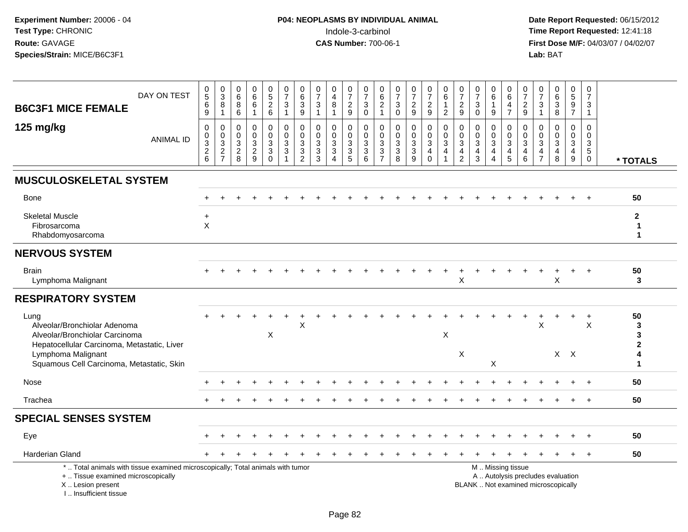| <b>B6C3F1 MICE FEMALE</b>                                                                                                                                             | DAY ON TEST      | $\begin{array}{c} 0 \\ 5 \end{array}$<br>6<br>$9\,$                           | $\pmb{0}$<br>$\overline{3}$<br>8<br>$\mathbf{1}$ | 0<br>6<br>8<br>6                                            | $_6^0$<br>$\overline{6}$<br>$\mathbf{1}$          | $0$<br>5<br>2<br>6                                                       | $\frac{0}{7}$<br>$\ensuremath{\mathsf{3}}$<br>$\mathbf{1}$     | $\mathbf 0$<br>6<br>$\ensuremath{\mathsf{3}}$<br>9                | $\pmb{0}$<br>$\overline{7}$<br>$\ensuremath{\mathsf{3}}$<br>$\overline{1}$ | 0<br>$\overline{4}$<br>8<br>$\mathbf{1}$          | $\frac{0}{7}$<br>$\frac{2}{9}$                                  | $\frac{0}{7}$<br>$\ensuremath{\mathsf{3}}$<br>$\mathbf 0$                         | $\begin{array}{c} 0 \\ 6 \end{array}$<br>$\begin{array}{c} 2 \\ 1 \end{array}$ | $\frac{0}{7}$<br>$\sqrt{3}$<br>$\mathbf 0$                                 | $\frac{0}{7}$<br>$\overline{a}$<br>$9\,$                | $\frac{0}{7}$<br>$\frac{2}{9}$                                                                  | $_{\rm 6}^{\rm 0}$<br>$\mathbf{1}$<br>$\overline{2}$                      | 0<br>$\overline{7}$<br>$\boldsymbol{2}$<br>$9\,$                    | $\pmb{0}$<br>$\overline{7}$<br>$\ensuremath{\mathsf{3}}$<br>$\mathbf 0$               | 0<br>6<br>$\mathbf{1}$<br>9                                        | 0<br>6<br>$\overline{4}$<br>$\overline{7}$ | 0<br>$\overline{7}$<br>$\frac{2}{9}$  | 0<br>$\overline{7}$<br>$\ensuremath{\mathsf{3}}$<br>$\overline{1}$           | 0<br>0<br>0<br>0<br>0                                                    | $0$<br>5<br>9<br>7                             | $\mathbf 0$<br>$\overline{7}$<br>3<br>$\mathbf{1}$                      |                                              |
|-----------------------------------------------------------------------------------------------------------------------------------------------------------------------|------------------|-------------------------------------------------------------------------------|--------------------------------------------------|-------------------------------------------------------------|---------------------------------------------------|--------------------------------------------------------------------------|----------------------------------------------------------------|-------------------------------------------------------------------|----------------------------------------------------------------------------|---------------------------------------------------|-----------------------------------------------------------------|-----------------------------------------------------------------------------------|--------------------------------------------------------------------------------|----------------------------------------------------------------------------|---------------------------------------------------------|-------------------------------------------------------------------------------------------------|---------------------------------------------------------------------------|---------------------------------------------------------------------|---------------------------------------------------------------------------------------|--------------------------------------------------------------------|--------------------------------------------|---------------------------------------|------------------------------------------------------------------------------|--------------------------------------------------------------------------|------------------------------------------------|-------------------------------------------------------------------------|----------------------------------------------|
| 125 mg/kg                                                                                                                                                             | <b>ANIMAL ID</b> | $\mathbf 0$<br>$\pmb{0}$<br>$\mathbf{3}$<br>$\overline{2}$<br>$6\phantom{1}6$ | 0<br>$\mathbf 0$<br>$\sqrt{3}$<br>$\frac{2}{7}$  | $\mathbf 0$<br>$\mathbf 0$<br>$\sqrt{3}$<br>$\sqrt{2}$<br>8 | 0<br>$\mathbf 0$<br>$\mathbf{3}$<br>$\frac{2}{9}$ | $\pmb{0}$<br>$\overline{0}$<br>$\mathsf 3$<br>$\mathsf 3$<br>$\mathbf 0$ | $\mathbf 0$<br>$\ddot{\mathbf{0}}$<br>$\sqrt{3}$<br>$\sqrt{3}$ | $\mathbf 0$<br>$\mathbf 0$<br>$\mathbf{3}$<br>3<br>$\overline{2}$ | $\mathbf 0$<br>$\mathbf 0$<br>$\sqrt{3}$<br>$\ensuremath{\mathsf{3}}$<br>3 | 0<br>$\mathbf 0$<br>3<br>$\mathbf{3}$<br>$\Delta$ | 0<br>$\mathbf 0$<br>$\ensuremath{\mathsf{3}}$<br>$\overline{3}$ | 0<br>$\mathbf 0$<br>$\ensuremath{\mathsf{3}}$<br>$\overline{3}$<br>$6\phantom{a}$ | $\mathbf 0$<br>$\mathbf 0$<br>$\mathsf 3$<br>$\frac{3}{7}$                     | $\mathbf 0$<br>$\mathbf 0$<br>$\sqrt{3}$<br>$\ensuremath{\mathsf{3}}$<br>8 | 0<br>$\mathbf 0$<br>3<br>$\mathbf{3}$<br>$\overline{9}$ | 0<br>$\ddot{\mathbf{0}}$<br>$\ensuremath{\mathsf{3}}$<br>$\overline{\mathbf{4}}$<br>$\mathbf 0$ | $\mathbf 0$<br>$\mathsf{O}\xspace$<br>$\mathbf{3}$<br>4<br>$\overline{1}$ | $\mathbf 0$<br>$\mathbf 0$<br>3<br>$\overline{4}$<br>$\overline{c}$ | $\mathbf 0$<br>$\mathbf 0$<br>$\mathbf{3}$<br>$\overline{\mathbf{4}}$<br>$\mathbf{3}$ | 0<br>$\mathbf 0$<br>$\sqrt{3}$<br>$\overline{4}$<br>$\overline{4}$ | 0<br>$\mathbf 0$<br>$\sqrt{3}$<br>4<br>5   | 0<br>$\mathbf 0$<br>3<br>4<br>$\,6\,$ | $\mathbf 0$<br>$\mathbf 0$<br>$\sqrt{3}$<br>$\overline{4}$<br>$\overline{7}$ | $\mathbf 0$<br>$\mathbf 0$<br>$\mathsf 3$<br>$\overline{4}$<br>8         | 0<br>$\mathbf 0$<br>$\mathbf{3}$<br>4<br>$9\,$ | $\Omega$<br>$\mathbf 0$<br>$\sqrt{3}$<br>$5\phantom{.0}$<br>$\mathbf 0$ | * TOTALS                                     |
| <b>MUSCULOSKELETAL SYSTEM</b>                                                                                                                                         |                  |                                                                               |                                                  |                                                             |                                                   |                                                                          |                                                                |                                                                   |                                                                            |                                                   |                                                                 |                                                                                   |                                                                                |                                                                            |                                                         |                                                                                                 |                                                                           |                                                                     |                                                                                       |                                                                    |                                            |                                       |                                                                              |                                                                          |                                                |                                                                         |                                              |
| <b>Bone</b>                                                                                                                                                           |                  |                                                                               |                                                  |                                                             |                                                   |                                                                          |                                                                |                                                                   |                                                                            |                                                   |                                                                 |                                                                                   |                                                                                |                                                                            |                                                         |                                                                                                 |                                                                           |                                                                     |                                                                                       |                                                                    |                                            |                                       |                                                                              |                                                                          |                                                |                                                                         | 50                                           |
| <b>Skeletal Muscle</b><br>Fibrosarcoma<br>Rhabdomyosarcoma                                                                                                            |                  | $\ddot{}$<br>$\sf X$                                                          |                                                  |                                                             |                                                   |                                                                          |                                                                |                                                                   |                                                                            |                                                   |                                                                 |                                                                                   |                                                                                |                                                                            |                                                         |                                                                                                 |                                                                           |                                                                     |                                                                                       |                                                                    |                                            |                                       |                                                                              |                                                                          |                                                |                                                                         | $\mathbf{2}$<br>$\mathbf{1}$<br>$\mathbf{1}$ |
| <b>NERVOUS SYSTEM</b>                                                                                                                                                 |                  |                                                                               |                                                  |                                                             |                                                   |                                                                          |                                                                |                                                                   |                                                                            |                                                   |                                                                 |                                                                                   |                                                                                |                                                                            |                                                         |                                                                                                 |                                                                           |                                                                     |                                                                                       |                                                                    |                                            |                                       |                                                                              |                                                                          |                                                |                                                                         |                                              |
| <b>Brain</b><br>Lymphoma Malignant                                                                                                                                    |                  |                                                                               |                                                  |                                                             |                                                   |                                                                          |                                                                |                                                                   |                                                                            |                                                   |                                                                 |                                                                                   |                                                                                |                                                                            |                                                         |                                                                                                 |                                                                           | X                                                                   |                                                                                       |                                                                    |                                            |                                       |                                                                              | X                                                                        |                                                |                                                                         | 50<br>3                                      |
| <b>RESPIRATORY SYSTEM</b>                                                                                                                                             |                  |                                                                               |                                                  |                                                             |                                                   |                                                                          |                                                                |                                                                   |                                                                            |                                                   |                                                                 |                                                                                   |                                                                                |                                                                            |                                                         |                                                                                                 |                                                                           |                                                                     |                                                                                       |                                                                    |                                            |                                       |                                                                              |                                                                          |                                                |                                                                         |                                              |
| Lung<br>Alveolar/Bronchiolar Adenoma<br>Alveolar/Bronchiolar Carcinoma<br>Hepatocellular Carcinoma, Metastatic, Liver                                                 |                  |                                                                               |                                                  |                                                             |                                                   | X                                                                        |                                                                | $\pmb{\times}$                                                    |                                                                            |                                                   |                                                                 |                                                                                   |                                                                                |                                                                            |                                                         |                                                                                                 | X                                                                         |                                                                     |                                                                                       |                                                                    |                                            |                                       | X                                                                            |                                                                          |                                                | $\ddot{}$<br>X                                                          | 50<br>3<br>3<br>$\overline{2}$               |
| Lymphoma Malignant<br>Squamous Cell Carcinoma, Metastatic, Skin                                                                                                       |                  |                                                                               |                                                  |                                                             |                                                   |                                                                          |                                                                |                                                                   |                                                                            |                                                   |                                                                 |                                                                                   |                                                                                |                                                                            |                                                         |                                                                                                 |                                                                           | X                                                                   |                                                                                       | X                                                                  |                                            |                                       |                                                                              | $X$ $X$                                                                  |                                                |                                                                         | 4<br>1                                       |
| Nose                                                                                                                                                                  |                  |                                                                               |                                                  |                                                             |                                                   |                                                                          |                                                                |                                                                   |                                                                            |                                                   |                                                                 |                                                                                   |                                                                                |                                                                            |                                                         |                                                                                                 |                                                                           |                                                                     |                                                                                       |                                                                    |                                            |                                       |                                                                              |                                                                          |                                                | $\ddot{}$                                                               | 50                                           |
| Trachea                                                                                                                                                               |                  |                                                                               |                                                  |                                                             |                                                   |                                                                          |                                                                |                                                                   |                                                                            |                                                   |                                                                 |                                                                                   |                                                                                |                                                                            |                                                         |                                                                                                 |                                                                           |                                                                     |                                                                                       |                                                                    |                                            |                                       |                                                                              |                                                                          |                                                | $+$                                                                     | 50                                           |
| <b>SPECIAL SENSES SYSTEM</b>                                                                                                                                          |                  |                                                                               |                                                  |                                                             |                                                   |                                                                          |                                                                |                                                                   |                                                                            |                                                   |                                                                 |                                                                                   |                                                                                |                                                                            |                                                         |                                                                                                 |                                                                           |                                                                     |                                                                                       |                                                                    |                                            |                                       |                                                                              |                                                                          |                                                |                                                                         |                                              |
| Eye                                                                                                                                                                   |                  |                                                                               |                                                  |                                                             |                                                   |                                                                          |                                                                |                                                                   |                                                                            |                                                   |                                                                 |                                                                                   |                                                                                |                                                                            |                                                         |                                                                                                 |                                                                           |                                                                     |                                                                                       |                                                                    |                                            |                                       |                                                                              |                                                                          |                                                |                                                                         | 50                                           |
| <b>Harderian Gland</b>                                                                                                                                                |                  |                                                                               |                                                  |                                                             |                                                   |                                                                          |                                                                |                                                                   |                                                                            |                                                   |                                                                 |                                                                                   |                                                                                |                                                                            |                                                         |                                                                                                 |                                                                           |                                                                     |                                                                                       |                                                                    |                                            |                                       |                                                                              |                                                                          |                                                |                                                                         | 50                                           |
| *  Total animals with tissue examined microscopically; Total animals with tumor<br>+  Tissue examined microscopically<br>X  Lesion present<br>I., Insufficient tissue |                  |                                                                               |                                                  |                                                             |                                                   |                                                                          |                                                                |                                                                   |                                                                            |                                                   |                                                                 |                                                                                   |                                                                                |                                                                            |                                                         |                                                                                                 |                                                                           |                                                                     | M  Missing tissue                                                                     |                                                                    |                                            |                                       |                                                                              | A  Autolysis precludes evaluation<br>BLANK  Not examined microscopically |                                                |                                                                         |                                              |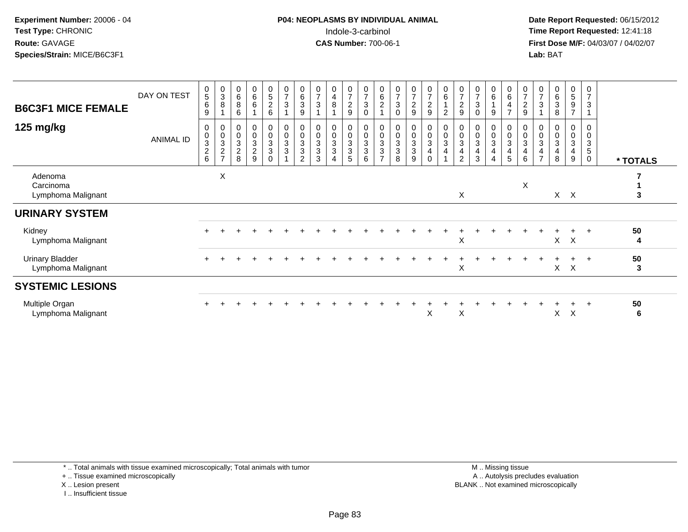**Date Report Requested:** 06/15/2012 **First Dose M/F:** 04/03/07 / 04/02/07<br>Lab: BAT **Lab:** BAT

| <b>B6C3F1 MICE FEMALE</b>                    | DAY ON TEST      | $\begin{matrix} 0 \\ 5 \end{matrix}$<br>$\,6$<br>9           | $_3^0$<br>$\bf 8$                                                | 0<br>6<br>8<br>6                                                     | $\begin{array}{c} 0 \\ 6 \end{array}$<br>6                       | $\begin{array}{c} 0 \\ 5 \end{array}$<br>$\boldsymbol{2}$<br>6 | $\begin{array}{c} 0 \\ 7 \end{array}$<br>3       | $\begin{array}{c} 0 \\ 6 \end{array}$<br>$\mathbf{3}$<br>9         | $\frac{0}{7}$<br>3                           | 0<br>4<br>8                                 | $\frac{0}{7}$<br>$\sqrt{2}$<br>9                          | $\pmb{0}$<br>$\overline{7}$<br>$\mathbf{3}$<br>$\mathbf 0$ | 0<br>$\,6\,$<br>$\sqrt{2}$                                         | $\pmb{0}$<br>$\overline{7}$<br>$\ensuremath{\mathsf{3}}$<br>$\Omega$          | $\frac{0}{7}$<br>$\overline{a}$<br>9 | $\frac{0}{7}$<br>$\sqrt{2}$<br>$9\,$                                      | $\begin{array}{c} 0 \\ 6 \end{array}$<br>$\overline{c}$ | $\begin{array}{c} 0 \\ 7 \end{array}$<br>$\frac{2}{9}$ | $\frac{0}{7}$<br>$\mathbf 3$<br>$\Omega$                             | 0<br>6<br>9                           | $\begin{array}{c} 0 \\ 6 \\ 4 \end{array}$<br>$\overline{7}$ | $\frac{0}{7}$<br>$\boldsymbol{2}$<br>$9\,$                   | 3                              | $\begin{array}{c} 0 \\ 6 \end{array}$<br>$\sqrt{3}$<br>8     | $^0$ 5<br>9<br>$\overline{ }$ | $\pmb{0}$<br>$\overline{7}$<br>3                                      |          |
|----------------------------------------------|------------------|--------------------------------------------------------------|------------------------------------------------------------------|----------------------------------------------------------------------|------------------------------------------------------------------|----------------------------------------------------------------|--------------------------------------------------|--------------------------------------------------------------------|----------------------------------------------|---------------------------------------------|-----------------------------------------------------------|------------------------------------------------------------|--------------------------------------------------------------------|-------------------------------------------------------------------------------|--------------------------------------|---------------------------------------------------------------------------|---------------------------------------------------------|--------------------------------------------------------|----------------------------------------------------------------------|---------------------------------------|--------------------------------------------------------------|--------------------------------------------------------------|--------------------------------|--------------------------------------------------------------|-------------------------------|-----------------------------------------------------------------------|----------|
| 125 mg/kg                                    | <b>ANIMAL ID</b> | 0<br>$\pmb{0}$<br>$\ensuremath{\mathsf{3}}$<br>$\frac{2}{6}$ | $\begin{smallmatrix} 0\\0\\3 \end{smallmatrix}$<br>$\frac{2}{7}$ | 0<br>$\pmb{0}$<br>$\ensuremath{\mathsf{3}}$<br>$\boldsymbol{2}$<br>8 | $\begin{smallmatrix}0\\0\\3\end{smallmatrix}$<br>$\sqrt{2}$<br>9 | 0<br>0<br>$\mathbf 3$<br>3<br>$\Omega$                         | 0<br>$\pmb{0}$<br>$\ensuremath{\mathsf{3}}$<br>3 | 0<br>$\pmb{0}$<br>$\ensuremath{\mathsf{3}}$<br>3<br>$\overline{2}$ | $\pmb{0}$<br>$\mathbf 3$<br>$\mathbf 3$<br>3 | 0<br>$\mathsf{O}\xspace$<br>3<br>$\sqrt{3}$ | 0<br>$\mathsf{O}\xspace$<br>$\sqrt{3}$<br>$\sqrt{3}$<br>5 | 0<br>$\pmb{0}$<br>$\mathbf{3}$<br>$\mathbf{3}$<br>6        | 0<br>$\pmb{0}$<br>$\ensuremath{\mathsf{3}}$<br>3<br>$\overline{ }$ | 0<br>$\pmb{0}$<br>$\ensuremath{\mathsf{3}}$<br>$\ensuremath{\mathsf{3}}$<br>8 | 0<br>0<br>3<br>3<br>9                | 0<br>$\mathsf 0$<br>$\mathbf 3$<br>$\overline{\mathbf{4}}$<br>$\mathbf 0$ | 0<br>$\pmb{0}$<br>$\sqrt{3}$<br>$\overline{4}$          | $_{\rm 0}^{\rm 0}$<br>$\sqrt{3}$<br>4<br>2             | $\pmb{0}$<br>$\pmb{0}$<br>$\sqrt{3}$<br>$\overline{\mathbf{4}}$<br>3 | 0<br>$\pmb{0}$<br>3<br>$\overline{4}$ | $\pmb{0}$<br>$\ensuremath{\mathsf{3}}$<br>4<br>5             | 0<br>$\pmb{0}$<br>$\sqrt{3}$<br>$\overline{\mathbf{4}}$<br>6 | $\ensuremath{\mathsf{3}}$<br>4 | 0<br>$\pmb{0}$<br>$\sqrt{3}$<br>$\overline{\mathbf{4}}$<br>8 | 0<br>0<br>3<br>4<br>9         | $\mathbf 0$<br>$\mathbf 0$<br>$\sqrt{3}$<br>$\sqrt{5}$<br>$\mathbf 0$ | * TOTALS |
| Adenoma<br>Carcinoma<br>Lymphoma Malignant   |                  |                                                              | X                                                                |                                                                      |                                                                  |                                                                |                                                  |                                                                    |                                              |                                             |                                                           |                                                            |                                                                    |                                                                               |                                      |                                                                           |                                                         | X                                                      |                                                                      |                                       |                                                              | $\mathsf X$                                                  |                                |                                                              | $X$ $X$                       |                                                                       | 3        |
| <b>URINARY SYSTEM</b>                        |                  |                                                              |                                                                  |                                                                      |                                                                  |                                                                |                                                  |                                                                    |                                              |                                             |                                                           |                                                            |                                                                    |                                                                               |                                      |                                                                           |                                                         |                                                        |                                                                      |                                       |                                                              |                                                              |                                |                                                              |                               |                                                                       |          |
| Kidney<br>Lymphoma Malignant                 |                  |                                                              |                                                                  |                                                                      |                                                                  |                                                                |                                                  |                                                                    |                                              |                                             |                                                           |                                                            |                                                                    |                                                                               |                                      |                                                                           |                                                         | X                                                      |                                                                      |                                       |                                                              |                                                              |                                | X                                                            | $\boldsymbol{\mathsf{X}}$     | $\ddot{}$                                                             | 50<br>4  |
| <b>Urinary Bladder</b><br>Lymphoma Malignant |                  |                                                              |                                                                  |                                                                      |                                                                  |                                                                |                                                  |                                                                    |                                              |                                             |                                                           |                                                            |                                                                    |                                                                               |                                      |                                                                           |                                                         | X                                                      |                                                                      |                                       |                                                              |                                                              |                                | X                                                            | X                             | $+$                                                                   | 50<br>3  |
| <b>SYSTEMIC LESIONS</b>                      |                  |                                                              |                                                                  |                                                                      |                                                                  |                                                                |                                                  |                                                                    |                                              |                                             |                                                           |                                                            |                                                                    |                                                                               |                                      |                                                                           |                                                         |                                                        |                                                                      |                                       |                                                              |                                                              |                                |                                                              |                               |                                                                       |          |
| Multiple Organ<br>Lymphoma Malignant         |                  |                                                              |                                                                  |                                                                      |                                                                  |                                                                |                                                  |                                                                    |                                              |                                             |                                                           |                                                            |                                                                    |                                                                               |                                      | X                                                                         |                                                         | X                                                      |                                                                      |                                       |                                                              |                                                              |                                | X.                                                           | X                             | $\ddot{}$                                                             | 50<br>6  |

\* .. Total animals with tissue examined microscopically; Total animals with tumor

+ .. Tissue examined microscopically

X .. Lesion present

I .. Insufficient tissue

 M .. Missing tissuey the contract of the contract of the contract of the contract of the contract of the contract of the contract of  $A$ . Autolysis precludes evaluation Lesion present BLANK .. Not examined microscopically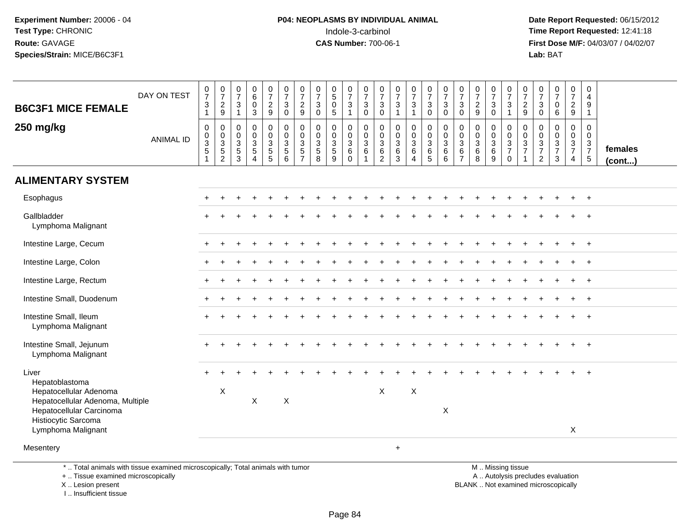**Date Report Requested:** 06/15/2012 **First Dose M/F:** 04/03/07 / 04/02/07<br>Lab: BAT **Lab:** BAT

| <b>B6C3F1 MICE FEMALE</b>                                                                                                           | DAY ON TEST      | $\frac{0}{7}$<br>$\ensuremath{\mathsf{3}}$<br>$\mathbf{1}$ | $\begin{array}{c} 0 \\ 7 \end{array}$<br>$\frac{2}{9}$       | $\frac{0}{7}$<br>$\mathbf{3}$<br>$\overline{1}$     | 0<br>6<br>$\mathbf 0$<br>$\mathbf{3}$                                   | $\frac{0}{7}$<br>$\overline{a}$<br>9                    | 0<br>$\overline{7}$<br>$\mathbf{3}$<br>$\mathbf 0$  | $\frac{0}{7}$<br>$\overline{c}$<br>$\boldsymbol{9}$ | $\frac{0}{7}$<br>$\sqrt{3}$<br>$\mathbf 0$       | $\begin{array}{c} 0 \\ 5 \end{array}$<br>$\mathbf 0$<br>$\overline{5}$ | $\frac{0}{7}$<br>$\sqrt{3}$<br>$\mathbf{1}$  | $\frac{0}{7}$<br>$\sqrt{3}$<br>$\mathsf{O}\xspace$                  | 0<br>$\overline{7}$<br>$\sqrt{3}$<br>$\mathbf 0$                                   | $\begin{array}{c} 0 \\ 7 \end{array}$<br>$\ensuremath{\mathsf{3}}$<br>$\overline{1}$ | $\frac{0}{7}$<br>$\sqrt{3}$<br>$\mathbf{1}$                               | $\begin{smallmatrix}0\\7\end{smallmatrix}$<br>$\ensuremath{\mathsf{3}}$<br>$\mathsf{O}\xspace$ | $\frac{0}{7}$<br>$\mathbf 3$<br>$\mathbf 0$             | $\begin{array}{c} 0 \\ 7 \end{array}$<br>$\sqrt{3}$<br>$\mathbf 0$      | $\frac{0}{7}$<br>$\overline{c}$<br>$\boldsymbol{9}$ | $\frac{0}{7}$<br>3<br>$\mathbf 0$         | $\frac{0}{7}$<br>$\sqrt{3}$<br>$\mathbf{1}$                                      | $\begin{array}{c} 0 \\ 7 \end{array}$<br>$\boldsymbol{2}$<br>9 | $\frac{0}{7}$<br>$\mathbf{3}$<br>$\mathbf 0$                       | $\frac{0}{7}$<br>$\pmb{0}$<br>$\,6\,$                       | $\begin{array}{c} 0 \\ 7 \end{array}$<br>$\overline{a}$<br>$\boldsymbol{9}$ | 0<br>$\overline{4}$<br>$\boldsymbol{9}$<br>$\mathbf{1}$ |                         |
|-------------------------------------------------------------------------------------------------------------------------------------|------------------|------------------------------------------------------------|--------------------------------------------------------------|-----------------------------------------------------|-------------------------------------------------------------------------|---------------------------------------------------------|-----------------------------------------------------|-----------------------------------------------------|--------------------------------------------------|------------------------------------------------------------------------|----------------------------------------------|---------------------------------------------------------------------|------------------------------------------------------------------------------------|--------------------------------------------------------------------------------------|---------------------------------------------------------------------------|------------------------------------------------------------------------------------------------|---------------------------------------------------------|-------------------------------------------------------------------------|-----------------------------------------------------|-------------------------------------------|----------------------------------------------------------------------------------|----------------------------------------------------------------|--------------------------------------------------------------------|-------------------------------------------------------------|-----------------------------------------------------------------------------|---------------------------------------------------------|-------------------------|
| 250 mg/kg                                                                                                                           | <b>ANIMAL ID</b> | $\pmb{0}$<br>$\frac{0}{3}$                                 | $\pmb{0}$<br>$\begin{array}{c} 0 \\ 3 \\ 5 \\ 2 \end{array}$ | 0<br>$\mathbf 0$<br>$\mathbf{3}$<br>$\sqrt{5}$<br>3 | $\mathbf 0$<br>$\mathbf 0$<br>3<br>$\sqrt{5}$<br>$\boldsymbol{\Lambda}$ | $\mathsf 0$<br>0<br>$\mathbf{3}$<br>5<br>$\overline{5}$ | 0<br>$\mathbf 0$<br>$\frac{3}{5}$<br>$6\phantom{1}$ | $\pmb{0}$<br>$\pmb{0}$<br>$\frac{3}{5}$             | $\mathbf 0$<br>$\mathbf 0$<br>$\frac{3}{5}$<br>8 | $\mathbf 0$<br>$\mathbf 0$<br>$\frac{3}{5}$<br>9                       | 0<br>$\mathbf 0$<br>3<br>$\,6\,$<br>$\Omega$ | $\pmb{0}$<br>$\mathbf 0$<br>$\mathbf{3}$<br>$\,6\,$<br>$\mathbf{1}$ | $\mathbf 0$<br>$\mathbf 0$<br>$\ensuremath{\mathsf{3}}$<br>$\,6$<br>$\overline{2}$ | 0<br>$\mathbf 0$<br>$\sqrt{3}$<br>$\,6\,$<br>3                                       | $\pmb{0}$<br>$\begin{array}{c} 0 \\ 3 \\ 6 \end{array}$<br>$\overline{4}$ | $\mathbf 0$<br>$\frac{0}{3}$<br>$\overline{5}$                                                 | $\pmb{0}$<br>$\mathbf 0$<br>$\mathbf 3$<br>$\,6\,$<br>6 | $\mathbf 0$<br>$\mathbf 0$<br>$\mathbf{3}$<br>$\,6\,$<br>$\overline{7}$ | $\pmb{0}$<br>$\mathbf 0$<br>$\frac{3}{6}$<br>8      | 0<br>0<br>$\frac{3}{6}$<br>$\overline{9}$ | $\mathsf{O}\xspace$<br>$\begin{array}{c} 0 \\ 3 \\ 7 \end{array}$<br>$\mathbf 0$ | $\mathsf 0$<br>$\mathbf 0$<br>$\frac{3}{7}$                    | $\mathbf 0$<br>$\boldsymbol{0}$<br>$\frac{3}{7}$<br>$\overline{2}$ | $\mathbf 0$<br>$\mathbf 0$<br>$\frac{3}{7}$<br>$\mathbf{3}$ | 0<br>0<br>$\frac{3}{7}$<br>$\overline{4}$                                   | $\pmb{0}$<br>$\mathbf 0$<br>$\frac{3}{7}$               | females<br>$($ cont $)$ |
| <b>ALIMENTARY SYSTEM</b>                                                                                                            |                  |                                                            |                                                              |                                                     |                                                                         |                                                         |                                                     |                                                     |                                                  |                                                                        |                                              |                                                                     |                                                                                    |                                                                                      |                                                                           |                                                                                                |                                                         |                                                                         |                                                     |                                           |                                                                                  |                                                                |                                                                    |                                                             |                                                                             |                                                         |                         |
| Esophagus                                                                                                                           |                  |                                                            |                                                              |                                                     |                                                                         |                                                         |                                                     |                                                     |                                                  |                                                                        |                                              |                                                                     |                                                                                    |                                                                                      |                                                                           |                                                                                                |                                                         |                                                                         |                                                     |                                           |                                                                                  |                                                                |                                                                    |                                                             |                                                                             |                                                         |                         |
| Gallbladder<br>Lymphoma Malignant                                                                                                   |                  |                                                            |                                                              |                                                     |                                                                         |                                                         |                                                     |                                                     |                                                  |                                                                        |                                              |                                                                     |                                                                                    |                                                                                      |                                                                           |                                                                                                |                                                         |                                                                         |                                                     |                                           |                                                                                  |                                                                |                                                                    |                                                             |                                                                             |                                                         |                         |
| Intestine Large, Cecum                                                                                                              |                  |                                                            |                                                              |                                                     |                                                                         |                                                         |                                                     |                                                     |                                                  |                                                                        |                                              |                                                                     |                                                                                    |                                                                                      |                                                                           |                                                                                                |                                                         |                                                                         |                                                     |                                           |                                                                                  |                                                                |                                                                    |                                                             |                                                                             | $\overline{+}$                                          |                         |
| Intestine Large, Colon                                                                                                              |                  |                                                            |                                                              |                                                     |                                                                         |                                                         |                                                     |                                                     |                                                  |                                                                        |                                              |                                                                     |                                                                                    |                                                                                      |                                                                           |                                                                                                |                                                         |                                                                         |                                                     |                                           |                                                                                  |                                                                |                                                                    |                                                             |                                                                             |                                                         |                         |
| Intestine Large, Rectum                                                                                                             |                  |                                                            |                                                              |                                                     |                                                                         |                                                         |                                                     |                                                     |                                                  |                                                                        |                                              |                                                                     |                                                                                    |                                                                                      |                                                                           |                                                                                                |                                                         |                                                                         |                                                     |                                           |                                                                                  |                                                                |                                                                    |                                                             |                                                                             | $\overline{+}$                                          |                         |
| Intestine Small, Duodenum                                                                                                           |                  |                                                            |                                                              |                                                     |                                                                         |                                                         |                                                     |                                                     |                                                  |                                                                        |                                              |                                                                     |                                                                                    |                                                                                      |                                                                           |                                                                                                |                                                         |                                                                         |                                                     |                                           |                                                                                  |                                                                |                                                                    |                                                             |                                                                             |                                                         |                         |
| Intestine Small, Ileum<br>Lymphoma Malignant                                                                                        |                  |                                                            |                                                              |                                                     |                                                                         |                                                         |                                                     |                                                     |                                                  |                                                                        |                                              |                                                                     |                                                                                    |                                                                                      |                                                                           |                                                                                                |                                                         |                                                                         |                                                     |                                           |                                                                                  |                                                                |                                                                    |                                                             |                                                                             | $+$                                                     |                         |
| Intestine Small, Jejunum<br>Lymphoma Malignant                                                                                      |                  |                                                            |                                                              |                                                     |                                                                         |                                                         |                                                     |                                                     |                                                  |                                                                        |                                              |                                                                     |                                                                                    |                                                                                      |                                                                           |                                                                                                |                                                         |                                                                         |                                                     |                                           |                                                                                  |                                                                |                                                                    |                                                             |                                                                             | $+$                                                     |                         |
| Liver<br>Hepatoblastoma                                                                                                             |                  |                                                            |                                                              |                                                     |                                                                         |                                                         |                                                     |                                                     |                                                  |                                                                        |                                              |                                                                     |                                                                                    |                                                                                      |                                                                           |                                                                                                |                                                         |                                                                         |                                                     |                                           |                                                                                  |                                                                |                                                                    |                                                             |                                                                             |                                                         |                         |
| Hepatocellular Adenoma<br>Hepatocellular Adenoma, Multiple<br>Hepatocellular Carcinoma<br>Histiocytic Sarcoma<br>Lymphoma Malignant |                  |                                                            | $\boldsymbol{\mathsf{X}}$                                    |                                                     | $\mathsf X$                                                             |                                                         | $\mathsf X$                                         |                                                     |                                                  |                                                                        |                                              |                                                                     | $\times$                                                                           |                                                                                      | $\mathsf X$                                                               |                                                                                                | $\mathsf X$                                             |                                                                         |                                                     |                                           |                                                                                  |                                                                |                                                                    |                                                             | X                                                                           |                                                         |                         |
| Mesentery                                                                                                                           |                  |                                                            |                                                              |                                                     |                                                                         |                                                         |                                                     |                                                     |                                                  |                                                                        |                                              |                                                                     |                                                                                    | $+$                                                                                  |                                                                           |                                                                                                |                                                         |                                                                         |                                                     |                                           |                                                                                  |                                                                |                                                                    |                                                             |                                                                             |                                                         |                         |
| *  Total animals with tissue examined microscopically; Total animals with tumor<br>+  Tissue examined microscopically               |                  |                                                            |                                                              |                                                     |                                                                         |                                                         |                                                     |                                                     |                                                  |                                                                        |                                              |                                                                     |                                                                                    |                                                                                      |                                                                           |                                                                                                |                                                         |                                                                         |                                                     |                                           | M  Missing tissue                                                                |                                                                |                                                                    | A  Autolysis precludes evaluation                           |                                                                             |                                                         |                         |

X .. Lesion present

I .. Insufficient tissue

Lesion present BLANK .. Not examined microscopically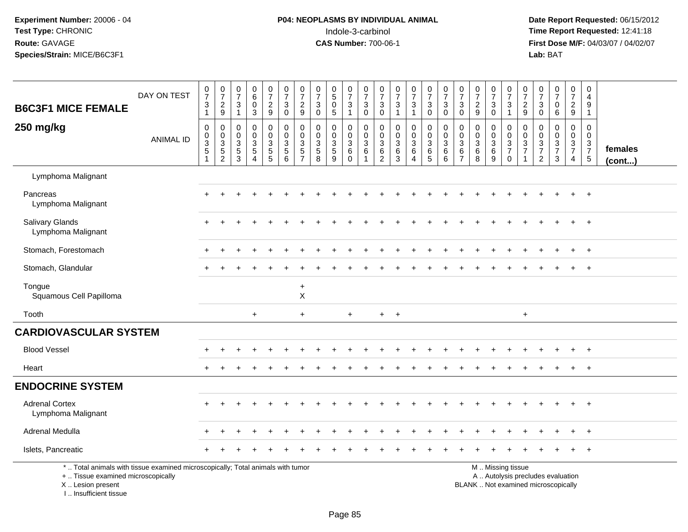### **P04: NEOPLASMS BY INDIVIDUAL ANIMAL**<br>Indole-3-carbinol Indole-3-carbinol **Time Report Requested:** 12:41:18

| <b>B6C3F1 MICE FEMALE</b>                                                                                                                                           | DAY ON TEST      | $\frac{0}{7}$<br>$\mathbf{3}$<br>$\mathbf{1}$ | $\begin{smallmatrix}0\\7\end{smallmatrix}$<br>$rac{2}{9}$      | $\frac{0}{7}$<br>3<br>$\overline{1}$    | $\pmb{0}$<br>6<br>$\mathbf 0$<br>$\sqrt{3}$                             | $\begin{smallmatrix}0\\7\end{smallmatrix}$<br>$\overline{c}$<br>$\boldsymbol{9}$ | $\frac{0}{7}$<br>$\mathbf{3}$<br>$\mathbf 0$                             | $\frac{0}{7}$<br>$\overline{c}$<br>9            | 0<br>$\overline{7}$<br>$\sqrt{3}$<br>$\mathbf 0$    | $\begin{array}{c} 0 \\ 5 \end{array}$<br>$\mathbf 0$<br>5 | $\frac{0}{7}$<br>$\ensuremath{\mathsf{3}}$<br>$\mathbf{1}$ | $\frac{0}{7}$<br>$\mathbf{3}$<br>$\mathbf 0$                       | 0<br>$\overline{7}$<br>$\mathbf{3}$<br>$\mathbf 0$ | $\frac{0}{7}$<br>$\sqrt{3}$<br>$\overline{1}$ | $\begin{array}{c} 0 \\ 7 \end{array}$<br>$\sqrt{3}$<br>$\mathbf{1}$                        | $\begin{smallmatrix}0\\7\end{smallmatrix}$<br>$\mathbf{3}$<br>$\mathbf 0$ | $\frac{0}{7}$<br>$\sqrt{3}$<br>$\Omega$                    | $\frac{0}{7}$<br>$\sqrt{3}$<br>$\mathbf 0$   | $\frac{0}{7}$<br>$\overline{2}$<br>$\boldsymbol{9}$  | $\frac{0}{7}$<br>3<br>$\mathbf 0$            | $\begin{array}{c} 0 \\ 7 \end{array}$<br>$\mathbf{3}$<br>$\mathbf{1}$ | $\frac{0}{7}$<br>$\boldsymbol{2}$<br>9                     | $\mathbf 0$<br>$\overline{7}$<br>$\mathsf 3$<br>$\mathbf 0$        | $\begin{array}{c} 0 \\ 7 \end{array}$<br>$\mathbf 0$<br>6                | $\frac{0}{7}$<br>$\overline{c}$<br>$9\,$                            | $\mathbf 0$<br>$\overline{4}$<br>$\boldsymbol{9}$<br>$\mathbf{1}$ |                   |
|---------------------------------------------------------------------------------------------------------------------------------------------------------------------|------------------|-----------------------------------------------|----------------------------------------------------------------|-----------------------------------------|-------------------------------------------------------------------------|----------------------------------------------------------------------------------|--------------------------------------------------------------------------|-------------------------------------------------|-----------------------------------------------------|-----------------------------------------------------------|------------------------------------------------------------|--------------------------------------------------------------------|----------------------------------------------------|-----------------------------------------------|--------------------------------------------------------------------------------------------|---------------------------------------------------------------------------|------------------------------------------------------------|----------------------------------------------|------------------------------------------------------|----------------------------------------------|-----------------------------------------------------------------------|------------------------------------------------------------|--------------------------------------------------------------------|--------------------------------------------------------------------------|---------------------------------------------------------------------|-------------------------------------------------------------------|-------------------|
| 250 mg/kg                                                                                                                                                           | <b>ANIMAL ID</b> | 0<br>0<br>$\frac{3}{5}$<br>1                  | $\mathbf 0$<br>$\begin{array}{c} 0 \\ 3 \\ 5 \\ 2 \end{array}$ | $\Omega$<br>0<br>3<br>5<br>$\mathbf{3}$ | $\Omega$<br>$\mathbf 0$<br>$\mathbf{3}$<br>$\sqrt{5}$<br>$\overline{A}$ | 0<br>$\mathbf 0$<br>$\mathbf{3}$<br>$\frac{5}{5}$                                | $\mathbf 0$<br>$\mathbf 0$<br>$\ensuremath{\mathsf{3}}$<br>$\frac{5}{6}$ | 0<br>$\pmb{0}$<br>$\mathbf{3}$<br>$\frac{5}{7}$ | $\mathbf{0}$<br>$\mathbf 0$<br>3<br>$\sqrt{5}$<br>8 | $\mathbf 0$<br>$\mathbf 0$<br>3<br>$\frac{5}{9}$          | 0<br>$\mathbf 0$<br>3<br>6<br>$\mathbf 0$                  | $\Omega$<br>$\mathsf{O}$<br>3<br>$6\phantom{1}6$<br>$\overline{1}$ | 0<br>0<br>$\mathbf{3}$<br>6<br>$\overline{2}$      | 0<br>$\mathbf 0$<br>$\mathbf{3}$<br>6<br>3    | $\mathbf 0$<br>$\pmb{0}$<br>$\ensuremath{\mathsf{3}}$<br>$\,6\,$<br>$\boldsymbol{\Lambda}$ | 0<br>$\mathbf 0$<br>$\mathsf 3$<br>$6\over 5$                             | $\mathbf 0$<br>$\mathbf 0$<br>$\mathbf{3}$<br>$\,6\,$<br>6 | $\mathbf 0$<br>0<br>3<br>6<br>$\overline{7}$ | $\mathbf 0$<br>$\mathbf 0$<br>$\mathbf{3}$<br>6<br>8 | 0<br>$\mathbf 0$<br>3<br>$\overline{6}$<br>9 | $\mathbf 0$<br>$\mathbf 0$<br>$\frac{3}{7}$<br>$\mathbf 0$            | $\mathbf 0$<br>$\mathsf 0$<br>$\sqrt{3}$<br>$\overline{7}$ | $\mathbf 0$<br>$\boldsymbol{0}$<br>$\frac{3}{7}$<br>$\overline{2}$ | $\Omega$<br>$\mathbf 0$<br>$\frac{3}{7}$<br>$\mathbf{3}$                 | $\mathbf 0$<br>$\mathbf 0$<br>3<br>$\overline{7}$<br>$\overline{4}$ | 0<br>$\mathbf 0$<br>$\frac{3}{7}$                                 | females<br>(cont) |
| Lymphoma Malignant                                                                                                                                                  |                  |                                               |                                                                |                                         |                                                                         |                                                                                  |                                                                          |                                                 |                                                     |                                                           |                                                            |                                                                    |                                                    |                                               |                                                                                            |                                                                           |                                                            |                                              |                                                      |                                              |                                                                       |                                                            |                                                                    |                                                                          |                                                                     |                                                                   |                   |
| Pancreas<br>Lymphoma Malignant                                                                                                                                      |                  | ÷                                             |                                                                |                                         |                                                                         |                                                                                  |                                                                          |                                                 |                                                     |                                                           |                                                            |                                                                    |                                                    |                                               |                                                                                            |                                                                           |                                                            |                                              |                                                      |                                              |                                                                       |                                                            |                                                                    |                                                                          |                                                                     | $+$                                                               |                   |
| Salivary Glands<br>Lymphoma Malignant                                                                                                                               |                  | ÷                                             |                                                                |                                         |                                                                         |                                                                                  |                                                                          |                                                 |                                                     |                                                           |                                                            |                                                                    |                                                    |                                               |                                                                                            |                                                                           |                                                            |                                              |                                                      |                                              |                                                                       |                                                            |                                                                    |                                                                          |                                                                     |                                                                   |                   |
| Stomach, Forestomach                                                                                                                                                |                  | ÷                                             |                                                                |                                         |                                                                         |                                                                                  |                                                                          |                                                 |                                                     |                                                           |                                                            |                                                                    |                                                    |                                               |                                                                                            |                                                                           |                                                            |                                              |                                                      |                                              |                                                                       |                                                            |                                                                    |                                                                          | $\ddot{}$                                                           | $^+$                                                              |                   |
| Stomach, Glandular                                                                                                                                                  |                  |                                               |                                                                |                                         |                                                                         |                                                                                  |                                                                          |                                                 |                                                     |                                                           |                                                            |                                                                    |                                                    |                                               |                                                                                            |                                                                           |                                                            |                                              |                                                      |                                              |                                                                       |                                                            |                                                                    |                                                                          | $\ddot{}$                                                           | $^{+}$                                                            |                   |
| Tongue<br>Squamous Cell Papilloma                                                                                                                                   |                  |                                               |                                                                |                                         |                                                                         |                                                                                  |                                                                          | $\ddot{}$<br>$\pmb{\times}$                     |                                                     |                                                           |                                                            |                                                                    |                                                    |                                               |                                                                                            |                                                                           |                                                            |                                              |                                                      |                                              |                                                                       |                                                            |                                                                    |                                                                          |                                                                     |                                                                   |                   |
| Tooth                                                                                                                                                               |                  |                                               |                                                                |                                         | $\ddot{}$                                                               |                                                                                  |                                                                          | $\ddot{}$                                       |                                                     |                                                           | $\ddot{}$                                                  |                                                                    | $+$                                                | $+$                                           |                                                                                            |                                                                           |                                                            |                                              |                                                      |                                              |                                                                       | $\ddot{}$                                                  |                                                                    |                                                                          |                                                                     |                                                                   |                   |
| <b>CARDIOVASCULAR SYSTEM</b>                                                                                                                                        |                  |                                               |                                                                |                                         |                                                                         |                                                                                  |                                                                          |                                                 |                                                     |                                                           |                                                            |                                                                    |                                                    |                                               |                                                                                            |                                                                           |                                                            |                                              |                                                      |                                              |                                                                       |                                                            |                                                                    |                                                                          |                                                                     |                                                                   |                   |
| <b>Blood Vessel</b>                                                                                                                                                 |                  |                                               |                                                                |                                         |                                                                         |                                                                                  |                                                                          |                                                 |                                                     |                                                           |                                                            |                                                                    |                                                    |                                               |                                                                                            |                                                                           |                                                            |                                              |                                                      |                                              |                                                                       |                                                            |                                                                    |                                                                          |                                                                     | $\overline{ }$                                                    |                   |
| Heart                                                                                                                                                               |                  | $+$                                           |                                                                |                                         |                                                                         |                                                                                  |                                                                          |                                                 |                                                     |                                                           |                                                            |                                                                    |                                                    |                                               |                                                                                            |                                                                           |                                                            |                                              |                                                      |                                              |                                                                       |                                                            |                                                                    |                                                                          | +                                                                   | $+$                                                               |                   |
| <b>ENDOCRINE SYSTEM</b>                                                                                                                                             |                  |                                               |                                                                |                                         |                                                                         |                                                                                  |                                                                          |                                                 |                                                     |                                                           |                                                            |                                                                    |                                                    |                                               |                                                                                            |                                                                           |                                                            |                                              |                                                      |                                              |                                                                       |                                                            |                                                                    |                                                                          |                                                                     |                                                                   |                   |
| <b>Adrenal Cortex</b><br>Lymphoma Malignant                                                                                                                         |                  |                                               |                                                                |                                         |                                                                         |                                                                                  |                                                                          |                                                 |                                                     |                                                           |                                                            |                                                                    |                                                    |                                               |                                                                                            |                                                                           |                                                            |                                              |                                                      |                                              |                                                                       |                                                            |                                                                    |                                                                          |                                                                     | $\overline{+}$                                                    |                   |
| Adrenal Medulla                                                                                                                                                     |                  |                                               |                                                                |                                         |                                                                         |                                                                                  |                                                                          |                                                 |                                                     |                                                           |                                                            |                                                                    |                                                    |                                               |                                                                                            |                                                                           |                                                            |                                              |                                                      |                                              |                                                                       |                                                            |                                                                    |                                                                          |                                                                     |                                                                   |                   |
| Islets, Pancreatic                                                                                                                                                  |                  |                                               |                                                                |                                         |                                                                         |                                                                                  |                                                                          |                                                 |                                                     |                                                           |                                                            |                                                                    |                                                    |                                               |                                                                                            |                                                                           |                                                            |                                              |                                                      |                                              |                                                                       |                                                            |                                                                    |                                                                          |                                                                     |                                                                   |                   |
| *  Total animals with tissue examined microscopically; Total animals with tumor<br>+  Tissue examined microscopically<br>X  Lesion present<br>I Insufficient tissue |                  |                                               |                                                                |                                         |                                                                         |                                                                                  |                                                                          |                                                 |                                                     |                                                           |                                                            |                                                                    |                                                    |                                               |                                                                                            |                                                                           |                                                            |                                              |                                                      |                                              | M  Missing tissue                                                     |                                                            |                                                                    | A  Autolysis precludes evaluation<br>BLANK  Not examined microscopically |                                                                     |                                                                   |                   |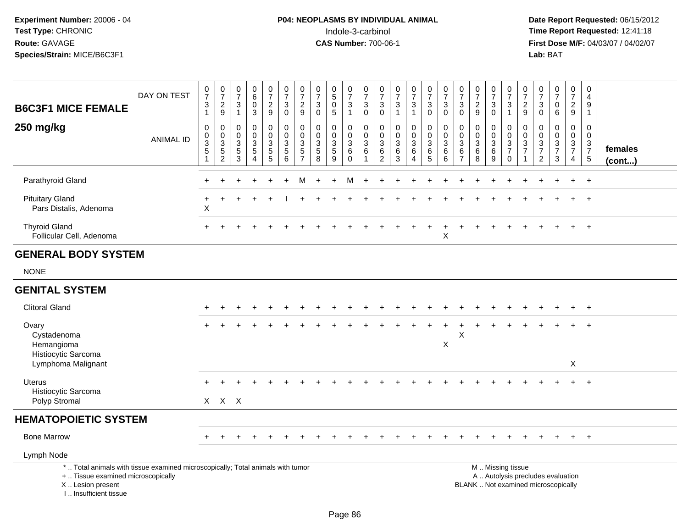| <b>B6C3F1 MICE FEMALE</b>                                                                                                                                           | DAY ON TEST      | $\frac{0}{7}$<br>$\ensuremath{\mathsf{3}}$<br>$\mathbf{1}$ | $\frac{0}{7}$<br>$\frac{2}{9}$                                         | $\frac{0}{7}$<br>3<br>$\mathbf{1}$                                                      | $\pmb{0}$<br>$\,6\,$<br>$\pmb{0}$<br>$\overline{3}$                      | $\frac{0}{7}$<br>$\frac{2}{9}$                            | $\frac{0}{7}$<br>$\mathbf{3}$<br>$\overline{0}$                                     | $\begin{array}{c} 0 \\ 7 \end{array}$<br>$\frac{2}{9}$            | $\frac{0}{7}$<br>$\mathbf{3}$<br>$\mathbf 0$                      | $\begin{array}{c} 0 \\ 5 \end{array}$<br>$\mathbf 0$<br>5                      | $\frac{0}{7}$<br>$\mathsf 3$<br>$\mathbf{1}$    | $\frac{0}{7}$<br>$\sqrt{3}$<br>$\mathbf 0$                      | $\frac{0}{7}$<br>$\mathbf{3}$<br>$\mathbf 0$                      | $\frac{0}{7}$<br>$\ensuremath{\mathsf{3}}$<br>$\overline{1}$ | $\frac{0}{7}$<br>$\ensuremath{\mathsf{3}}$<br>$\mathbf{1}$ | $\begin{smallmatrix}0\\7\end{smallmatrix}$<br>$_{\rm 0}^3$    | $\frac{0}{7}$<br>$\ensuremath{\mathsf{3}}$<br>$\overline{0}$ | $\frac{0}{7}$<br>$\sqrt{3}$<br>$\mathbf 0$                         | $\begin{smallmatrix}0\\7\end{smallmatrix}$<br>$\frac{2}{9}$   | $\frac{0}{7}$<br>$\mathbf{3}$<br>$\overline{0}$                         | $\frac{0}{7}$<br>$\mathbf{3}$<br>$\mathbf{1}$       | $\frac{0}{7}$<br>$\frac{2}{9}$                            | $\frac{0}{7}$<br>$\mathbf{3}$<br>$\mathbf 0$                  | $\frac{0}{7}$<br>$\pmb{0}$<br>6                                          | $\frac{0}{7}$<br>$\overline{a}$<br>9                          | 0<br>$\overline{4}$<br>$\boldsymbol{9}$<br>$\mathbf{1}$        |                   |
|---------------------------------------------------------------------------------------------------------------------------------------------------------------------|------------------|------------------------------------------------------------|------------------------------------------------------------------------|-----------------------------------------------------------------------------------------|--------------------------------------------------------------------------|-----------------------------------------------------------|-------------------------------------------------------------------------------------|-------------------------------------------------------------------|-------------------------------------------------------------------|--------------------------------------------------------------------------------|-------------------------------------------------|-----------------------------------------------------------------|-------------------------------------------------------------------|--------------------------------------------------------------|------------------------------------------------------------|---------------------------------------------------------------|--------------------------------------------------------------|--------------------------------------------------------------------|---------------------------------------------------------------|-------------------------------------------------------------------------|-----------------------------------------------------|-----------------------------------------------------------|---------------------------------------------------------------|--------------------------------------------------------------------------|---------------------------------------------------------------|----------------------------------------------------------------|-------------------|
| 250 mg/kg                                                                                                                                                           | <b>ANIMAL ID</b> | $\pmb{0}$<br>$\frac{0}{3}$<br>$\mathbf{1}$                 | $\mathsf{O}\xspace$<br>$\begin{array}{c} 0 \\ 3 \\ 5 \\ 2 \end{array}$ | $\mathbf 0$<br>$\mathbf 0$<br>$\ensuremath{\mathsf{3}}$<br>$\sqrt{5}$<br>$\overline{3}$ | $\mathbf 0$<br>$\mathsf 0$<br>$\sqrt{3}$<br>$\sqrt{5}$<br>$\overline{4}$ | $\pmb{0}$<br>$\mathbf 0$<br>$\mathbf{3}$<br>$\frac{5}{5}$ | $\begin{smallmatrix}0\0\0\end{smallmatrix}$<br>$\mathbf{3}$<br>$5\phantom{.0}$<br>6 | $\mathbf 0$<br>$\ddot{\mathbf{0}}$<br>$\sqrt{3}$<br>$\frac{5}{7}$ | $\mathbf 0$<br>$\mathbf 0$<br>$\mathbf{3}$<br>5<br>$\overline{8}$ | $\boldsymbol{0}$<br>$\mathbf 0$<br>$\mathbf 3$<br>$\sqrt{5}$<br>$\overline{9}$ | 0<br>$\mathbf 0$<br>$\sqrt{3}$<br>6<br>$\Omega$ | $\pmb{0}$<br>$\mathbf 0$<br>$\mathbf{3}$<br>6<br>$\overline{1}$ | $\mathbf 0$<br>$\mathbf 0$<br>$\mathbf{3}$<br>6<br>$\overline{2}$ | $\mathsf 0$<br>$\mathbf 0$<br>$\sqrt{3}$<br>$\,6\,$<br>3     | $\pmb{0}$<br>$\mathbf 0$<br>$\sqrt{3}$<br>$\,6\,$<br>4     | $\mathbf 0$<br>$\mathbf 0$<br>$\frac{3}{6}$<br>$\overline{5}$ | $\pmb{0}$<br>$\mathsf{O}\xspace$<br>$\sqrt{3}$<br>6<br>6     | $\pmb{0}$<br>$\mathbf 0$<br>3<br>$6\phantom{1}6$<br>$\overline{7}$ | $\mathbf 0$<br>$\mathbf 0$<br>$\frac{3}{6}$<br>$\overline{8}$ | 0<br>$\overline{0}$<br>$\mathbf{3}$<br>$\overline{6}$<br>$\overline{9}$ | 0<br>$\overline{0}$<br>$\frac{3}{7}$<br>$\mathbf 0$ | $\pmb{0}$<br>$\mathbf 0$<br>$\frac{3}{7}$<br>$\mathbf{1}$ | $\mathbf 0$<br>$\mathbf 0$<br>$\frac{3}{7}$<br>$\overline{2}$ | $\mathbf 0$<br>$\mathbf 0$<br>$\frac{3}{7}$<br>$\overline{3}$            | $\mathbf 0$<br>$\mathbf 0$<br>$\frac{3}{7}$<br>$\overline{4}$ | $\mathbf 0$<br>$\mathbf 0$<br>$\frac{3}{7}$<br>$5\phantom{.0}$ | females<br>(cont) |
| Parathyroid Gland                                                                                                                                                   |                  |                                                            |                                                                        |                                                                                         |                                                                          |                                                           |                                                                                     | M                                                                 |                                                                   |                                                                                | M                                               |                                                                 |                                                                   |                                                              |                                                            |                                                               |                                                              |                                                                    |                                                               |                                                                         |                                                     |                                                           |                                                               |                                                                          |                                                               | $\ddot{}$                                                      |                   |
| <b>Pituitary Gland</b><br>Pars Distalis, Adenoma                                                                                                                    |                  | $\ddot{}$<br>X                                             |                                                                        |                                                                                         |                                                                          |                                                           |                                                                                     |                                                                   |                                                                   |                                                                                |                                                 |                                                                 |                                                                   |                                                              |                                                            |                                                               |                                                              |                                                                    |                                                               |                                                                         |                                                     |                                                           |                                                               |                                                                          |                                                               |                                                                |                   |
| <b>Thyroid Gland</b><br>Follicular Cell, Adenoma                                                                                                                    |                  | $\ddot{}$                                                  |                                                                        |                                                                                         |                                                                          |                                                           |                                                                                     |                                                                   |                                                                   |                                                                                |                                                 |                                                                 |                                                                   |                                                              |                                                            |                                                               | X                                                            |                                                                    |                                                               |                                                                         |                                                     |                                                           |                                                               |                                                                          |                                                               |                                                                |                   |
| <b>GENERAL BODY SYSTEM</b>                                                                                                                                          |                  |                                                            |                                                                        |                                                                                         |                                                                          |                                                           |                                                                                     |                                                                   |                                                                   |                                                                                |                                                 |                                                                 |                                                                   |                                                              |                                                            |                                                               |                                                              |                                                                    |                                                               |                                                                         |                                                     |                                                           |                                                               |                                                                          |                                                               |                                                                |                   |
| <b>NONE</b>                                                                                                                                                         |                  |                                                            |                                                                        |                                                                                         |                                                                          |                                                           |                                                                                     |                                                                   |                                                                   |                                                                                |                                                 |                                                                 |                                                                   |                                                              |                                                            |                                                               |                                                              |                                                                    |                                                               |                                                                         |                                                     |                                                           |                                                               |                                                                          |                                                               |                                                                |                   |
| <b>GENITAL SYSTEM</b>                                                                                                                                               |                  |                                                            |                                                                        |                                                                                         |                                                                          |                                                           |                                                                                     |                                                                   |                                                                   |                                                                                |                                                 |                                                                 |                                                                   |                                                              |                                                            |                                                               |                                                              |                                                                    |                                                               |                                                                         |                                                     |                                                           |                                                               |                                                                          |                                                               |                                                                |                   |
| <b>Clitoral Gland</b>                                                                                                                                               |                  |                                                            |                                                                        |                                                                                         |                                                                          |                                                           |                                                                                     |                                                                   |                                                                   |                                                                                |                                                 |                                                                 |                                                                   |                                                              |                                                            |                                                               |                                                              |                                                                    |                                                               |                                                                         |                                                     |                                                           |                                                               |                                                                          |                                                               | $\ddot{}$                                                      |                   |
| Ovary<br>Cystadenoma<br>Hemangioma                                                                                                                                  |                  |                                                            |                                                                        |                                                                                         |                                                                          |                                                           |                                                                                     |                                                                   |                                                                   |                                                                                |                                                 |                                                                 |                                                                   |                                                              |                                                            |                                                               | X                                                            | X                                                                  |                                                               |                                                                         |                                                     |                                                           |                                                               |                                                                          |                                                               |                                                                |                   |
| Histiocytic Sarcoma<br>Lymphoma Malignant                                                                                                                           |                  |                                                            |                                                                        |                                                                                         |                                                                          |                                                           |                                                                                     |                                                                   |                                                                   |                                                                                |                                                 |                                                                 |                                                                   |                                                              |                                                            |                                                               |                                                              |                                                                    |                                                               |                                                                         |                                                     |                                                           |                                                               |                                                                          | X                                                             |                                                                |                   |
| <b>Uterus</b><br>Histiocytic Sarcoma<br>Polyp Stromal                                                                                                               |                  |                                                            | X X X                                                                  |                                                                                         |                                                                          |                                                           |                                                                                     |                                                                   |                                                                   |                                                                                |                                                 |                                                                 |                                                                   |                                                              |                                                            |                                                               |                                                              |                                                                    |                                                               |                                                                         |                                                     |                                                           |                                                               |                                                                          |                                                               |                                                                |                   |
| <b>HEMATOPOIETIC SYSTEM</b>                                                                                                                                         |                  |                                                            |                                                                        |                                                                                         |                                                                          |                                                           |                                                                                     |                                                                   |                                                                   |                                                                                |                                                 |                                                                 |                                                                   |                                                              |                                                            |                                                               |                                                              |                                                                    |                                                               |                                                                         |                                                     |                                                           |                                                               |                                                                          |                                                               |                                                                |                   |
| <b>Bone Marrow</b>                                                                                                                                                  |                  |                                                            |                                                                        |                                                                                         |                                                                          |                                                           |                                                                                     |                                                                   |                                                                   |                                                                                |                                                 |                                                                 |                                                                   |                                                              |                                                            |                                                               |                                                              |                                                                    |                                                               |                                                                         |                                                     |                                                           |                                                               |                                                                          |                                                               |                                                                |                   |
| Lymph Node                                                                                                                                                          |                  |                                                            |                                                                        |                                                                                         |                                                                          |                                                           |                                                                                     |                                                                   |                                                                   |                                                                                |                                                 |                                                                 |                                                                   |                                                              |                                                            |                                                               |                                                              |                                                                    |                                                               |                                                                         |                                                     |                                                           |                                                               |                                                                          |                                                               |                                                                |                   |
| *  Total animals with tissue examined microscopically; Total animals with tumor<br>+  Tissue examined microscopically<br>X  Lesion present<br>I Insufficient tissue |                  |                                                            |                                                                        |                                                                                         |                                                                          |                                                           |                                                                                     |                                                                   |                                                                   |                                                                                |                                                 |                                                                 |                                                                   |                                                              |                                                            |                                                               |                                                              |                                                                    |                                                               | M  Missing tissue                                                       |                                                     |                                                           |                                                               | A  Autolysis precludes evaluation<br>BLANK  Not examined microscopically |                                                               |                                                                |                   |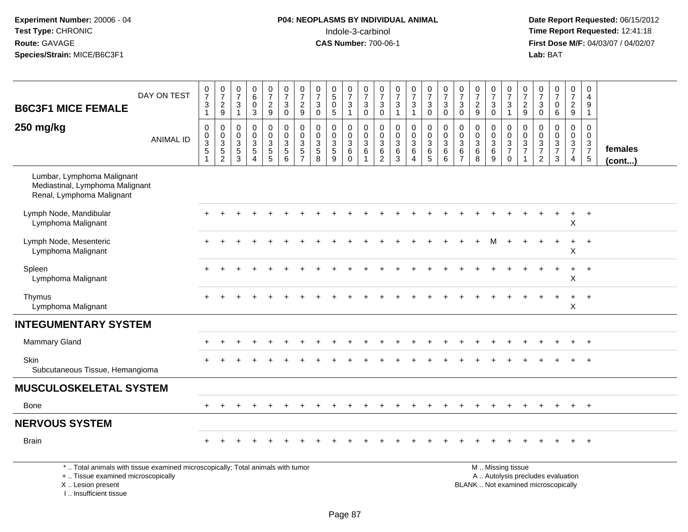# **P04: NEOPLASMS BY INDIVIDUAL ANIMAL**Indole-3-carbinol **Time Report Requested:** 12:41:18

 **Date Report Requested:** 06/15/2012 **First Dose M/F:** 04/03/07 / 04/02/07<br>Lab: BAT **Lab:** BAT

|                                                                                                                       |                  |                                                  |                                                              |                                                       |                                                                            |                                                                    |                                                           |                                                     |                                        |                                                                    |                                                            | $\mathbf 0$                                                         |                                                                                   |                                                                   |                                                              |                                                       |                                                                       |                                                               |                                                                   |                              |                                                | 0                                       |                                                               |                                                                         |                                                                     | 0                                                              |                         |
|-----------------------------------------------------------------------------------------------------------------------|------------------|--------------------------------------------------|--------------------------------------------------------------|-------------------------------------------------------|----------------------------------------------------------------------------|--------------------------------------------------------------------|-----------------------------------------------------------|-----------------------------------------------------|----------------------------------------|--------------------------------------------------------------------|------------------------------------------------------------|---------------------------------------------------------------------|-----------------------------------------------------------------------------------|-------------------------------------------------------------------|--------------------------------------------------------------|-------------------------------------------------------|-----------------------------------------------------------------------|---------------------------------------------------------------|-------------------------------------------------------------------|------------------------------|------------------------------------------------|-----------------------------------------|---------------------------------------------------------------|-------------------------------------------------------------------------|---------------------------------------------------------------------|----------------------------------------------------------------|-------------------------|
|                                                                                                                       | DAY ON TEST      | $\frac{0}{7}$<br>$\ensuremath{\mathsf{3}}$       | $\frac{0}{7}$<br>$\sqrt{2}$                                  | $\begin{array}{c} 0 \\ 7 \end{array}$<br>$\mathbf{3}$ | $\begin{array}{c} 0 \\ 6 \end{array}$<br>$\mathbf 0$                       | $\frac{0}{7}$<br>$\overline{2}$                                    | $\frac{0}{7}$<br>3                                        | $\frac{0}{7}$<br>$\sqrt{2}$                         | $\frac{0}{7}$<br>$\mathbf{3}$          | $\begin{smallmatrix}0\0\5\end{smallmatrix}$<br>$\mathsf{O}\xspace$ | $\frac{0}{7}$<br>$\mathsf 3$                               | $\overline{7}$<br>$\mathbf 3$                                       | $\frac{0}{7}$<br>$\mathbf{3}$                                                     | $\frac{0}{7}$<br>$\sqrt{3}$                                       | $\frac{0}{7}$<br>$\mathbf{3}$                                | $\begin{array}{c} 0 \\ 7 \end{array}$<br>$\mathbf{3}$ | $\frac{0}{7}$<br>$\sqrt{3}$                                           | $\frac{0}{7}$<br>$\sqrt{3}$                                   | $\frac{0}{7}$<br>$\sqrt{2}$                                       | $\frac{0}{7}$<br>$\sqrt{3}$  | $\frac{0}{7}$<br>$\mathbf{3}$                  | $\overline{7}$<br>$\overline{c}$        | $\frac{0}{7}$<br>$\mathbf{3}$                                 | $\frac{0}{7}$<br>$\pmb{0}$                                              | $\begin{array}{c} 0 \\ 7 \end{array}$<br>$\sqrt{2}$                 | $\overline{4}$<br>9                                            |                         |
| <b>B6C3F1 MICE FEMALE</b>                                                                                             |                  | $\overline{1}$                                   | $9\,$                                                        | $\mathbf{1}$                                          | 3                                                                          | 9                                                                  | $\mathbf 0$                                               | 9                                                   | $\mathbf 0$                            | 5                                                                  | $\mathbf{1}$                                               | $\Omega$                                                            | $\overline{0}$                                                                    | $\overline{1}$                                                    | $\mathbf{1}$                                                 | $\mathsf{O}$                                          | $\mathbf 0$                                                           | $\mathbf 0$                                                   | 9                                                                 | $\mathbf{0}$                 | $\mathbf{1}$                                   | 9                                       | $\mathbf 0$                                                   | 6                                                                       | 9                                                                   | $\mathbf{1}$                                                   |                         |
| 250 mg/kg                                                                                                             | <b>ANIMAL ID</b> | 0<br>0<br>$\overline{3}$<br>$\overline{5}$<br>-1 | $\pmb{0}$<br>$\begin{array}{c} 0 \\ 3 \\ 5 \\ 2 \end{array}$ | $\mathbf 0$<br>$\mathbf 0$<br>$\frac{3}{5}$<br>3      | $\pmb{0}$<br>$\mathbf 0$<br>$\overline{3}$<br>$\sqrt{5}$<br>$\overline{4}$ | 0<br>$\mathbf 0$<br>$\overline{3}$<br>$\overline{5}$<br>$\sqrt{5}$ | 0<br>$\mathbf 0$<br>$\overline{3}$<br>$\overline{5}$<br>6 | $\mathbf 0$<br>0<br>$\frac{3}{5}$<br>$\overline{7}$ | 0<br>$\mathbf 0$<br>$\frac{3}{5}$<br>8 | 0<br>0<br>$\frac{3}{5}$<br>9                                       | $\mathbf 0$<br>$\mathbf 0$<br>$\frac{3}{6}$<br>$\mathbf 0$ | $\mathbf 0$<br>$\mathbf 0$<br>$\overline{3}$<br>6<br>$\overline{1}$ | $\mathbf 0$<br>$\overline{0}$<br>$\mathbf{3}$<br>$6\phantom{a}$<br>$\overline{2}$ | $\pmb{0}$<br>$\mathbf 0$<br>$\overline{3}$<br>$6\phantom{a}$<br>3 | 0<br>0<br>$\overline{3}$<br>$6\phantom{a}$<br>$\overline{4}$ | $\pmb{0}$<br>$_3^0$<br>$\overline{6}$<br>5            | $\pmb{0}$<br>$\pmb{0}$<br>$\overline{3}$<br>$6\phantom{a}$<br>$\,6\,$ | $\mathbf 0$<br>$\mathbf 0$<br>$\frac{3}{6}$<br>$\overline{7}$ | $\pmb{0}$<br>$\mathbf 0$<br>$\overline{3}$<br>$6\phantom{a}$<br>8 | 0<br>0<br>$\frac{3}{6}$<br>9 | 0<br>$\mathsf 0$<br>$\frac{3}{7}$<br>$\pmb{0}$ | 0<br>0<br>$\frac{3}{7}$<br>$\mathbf{1}$ | $\mathbf 0$<br>$\mathbf 0$<br>$\frac{3}{7}$<br>$\overline{2}$ | $\pmb{0}$<br>$\begin{array}{c} 0 \\ 3 \\ 7 \end{array}$<br>$\mathbf{3}$ | $\pmb{0}$<br>$\mathsf{O}\xspace$<br>$\frac{3}{7}$<br>$\overline{4}$ | $\mathbf 0$<br>$\mathbf 0$<br>$\frac{3}{7}$<br>$5\phantom{.0}$ | females<br>$($ cont $)$ |
| Lumbar, Lymphoma Malignant<br>Mediastinal, Lymphoma Malignant<br>Renal, Lymphoma Malignant                            |                  |                                                  |                                                              |                                                       |                                                                            |                                                                    |                                                           |                                                     |                                        |                                                                    |                                                            |                                                                     |                                                                                   |                                                                   |                                                              |                                                       |                                                                       |                                                               |                                                                   |                              |                                                |                                         |                                                               |                                                                         |                                                                     |                                                                |                         |
| Lymph Node, Mandibular<br>Lymphoma Malignant                                                                          |                  |                                                  |                                                              |                                                       |                                                                            |                                                                    |                                                           |                                                     |                                        |                                                                    |                                                            |                                                                     |                                                                                   |                                                                   |                                                              |                                                       |                                                                       |                                                               |                                                                   |                              |                                                |                                         |                                                               |                                                                         | $\boldsymbol{\mathsf{X}}$                                           | $\overline{+}$                                                 |                         |
| Lymph Node, Mesenteric<br>Lymphoma Malignant                                                                          |                  |                                                  |                                                              |                                                       |                                                                            |                                                                    |                                                           |                                                     |                                        |                                                                    |                                                            |                                                                     |                                                                                   |                                                                   |                                                              |                                                       |                                                                       |                                                               |                                                                   |                              |                                                |                                         |                                                               |                                                                         | $\ddot{}$<br>$\sf X$                                                | $+$                                                            |                         |
| Spleen<br>Lymphoma Malignant                                                                                          |                  |                                                  |                                                              |                                                       |                                                                            |                                                                    |                                                           |                                                     |                                        |                                                                    |                                                            |                                                                     |                                                                                   |                                                                   |                                                              |                                                       |                                                                       |                                                               |                                                                   |                              |                                                |                                         |                                                               |                                                                         | $+$<br>X                                                            | $+$                                                            |                         |
| Thymus<br>Lymphoma Malignant                                                                                          |                  |                                                  |                                                              |                                                       |                                                                            |                                                                    |                                                           |                                                     |                                        |                                                                    |                                                            |                                                                     |                                                                                   |                                                                   |                                                              |                                                       |                                                                       |                                                               |                                                                   |                              |                                                |                                         |                                                               |                                                                         | $\boldsymbol{\mathsf{X}}$                                           |                                                                |                         |
| <b>INTEGUMENTARY SYSTEM</b>                                                                                           |                  |                                                  |                                                              |                                                       |                                                                            |                                                                    |                                                           |                                                     |                                        |                                                                    |                                                            |                                                                     |                                                                                   |                                                                   |                                                              |                                                       |                                                                       |                                                               |                                                                   |                              |                                                |                                         |                                                               |                                                                         |                                                                     |                                                                |                         |
| <b>Mammary Gland</b>                                                                                                  |                  |                                                  |                                                              |                                                       |                                                                            |                                                                    |                                                           |                                                     |                                        |                                                                    |                                                            |                                                                     |                                                                                   |                                                                   |                                                              |                                                       |                                                                       |                                                               |                                                                   |                              |                                                |                                         |                                                               |                                                                         |                                                                     | $+$                                                            |                         |
| Skin<br>Subcutaneous Tissue, Hemangioma                                                                               |                  |                                                  |                                                              |                                                       |                                                                            |                                                                    |                                                           |                                                     |                                        |                                                                    |                                                            |                                                                     |                                                                                   |                                                                   |                                                              |                                                       |                                                                       |                                                               |                                                                   |                              |                                                |                                         |                                                               |                                                                         |                                                                     |                                                                |                         |
| <b>MUSCULOSKELETAL SYSTEM</b>                                                                                         |                  |                                                  |                                                              |                                                       |                                                                            |                                                                    |                                                           |                                                     |                                        |                                                                    |                                                            |                                                                     |                                                                                   |                                                                   |                                                              |                                                       |                                                                       |                                                               |                                                                   |                              |                                                |                                         |                                                               |                                                                         |                                                                     |                                                                |                         |
| Bone                                                                                                                  |                  |                                                  |                                                              |                                                       |                                                                            |                                                                    |                                                           |                                                     |                                        |                                                                    |                                                            |                                                                     |                                                                                   |                                                                   |                                                              |                                                       |                                                                       |                                                               |                                                                   |                              |                                                |                                         |                                                               |                                                                         | $+$                                                                 | $+$                                                            |                         |
| <b>NERVOUS SYSTEM</b>                                                                                                 |                  |                                                  |                                                              |                                                       |                                                                            |                                                                    |                                                           |                                                     |                                        |                                                                    |                                                            |                                                                     |                                                                                   |                                                                   |                                                              |                                                       |                                                                       |                                                               |                                                                   |                              |                                                |                                         |                                                               |                                                                         |                                                                     |                                                                |                         |
| <b>Brain</b>                                                                                                          |                  |                                                  |                                                              |                                                       |                                                                            |                                                                    |                                                           |                                                     |                                        |                                                                    |                                                            |                                                                     |                                                                                   |                                                                   |                                                              |                                                       |                                                                       |                                                               |                                                                   |                              |                                                |                                         |                                                               |                                                                         |                                                                     | $+$                                                            |                         |
| *  Total animals with tissue examined microscopically; Total animals with tumor<br>+  Tissue examined microscopically |                  |                                                  |                                                              |                                                       |                                                                            |                                                                    |                                                           |                                                     |                                        |                                                                    |                                                            |                                                                     |                                                                                   |                                                                   |                                                              |                                                       |                                                                       |                                                               |                                                                   |                              | M  Missing tissue                              |                                         |                                                               | A  Autolysis precludes evaluation                                       |                                                                     |                                                                |                         |

X .. Lesion present

I .. Insufficient tissue

Lesion present BLANK .. Not examined microscopically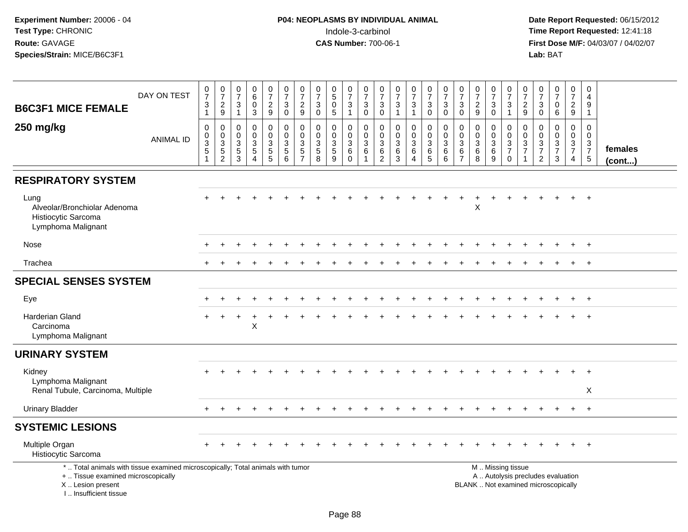| DAY ON TEST<br><b>B6C3F1 MICE FEMALE</b>                                                                                                                            | $\frac{0}{7}$<br>$\ensuremath{\mathsf{3}}$<br>$\mathbf{1}$                  | $\frac{0}{7}$<br>$\boldsymbol{2}$<br>$\boldsymbol{9}$         | $\frac{0}{7}$<br>$\ensuremath{\mathsf{3}}$<br>$\overline{1}$ | $_{6}^{\rm 0}$<br>$\bar{0}$<br>3                                          | $\begin{array}{c} 0 \\ 7 \end{array}$<br>$\frac{2}{9}$ | $\frac{0}{7}$<br>$\sqrt{3}$<br>$\mathbf 0$                            | $\frac{0}{7}$<br>$\sqrt{2}$<br>9                                           | $\frac{0}{7}$<br>$\ensuremath{\mathsf{3}}$<br>$\mathbf 0$   | $\begin{array}{c} 0 \\ 5 \end{array}$<br>$\ddot{\mathbf{0}}$<br>5 | $\begin{smallmatrix}0\\7\end{smallmatrix}$<br>3<br>$\mathbf{1}$               | $\frac{0}{7}$<br>$\ensuremath{\mathsf{3}}$<br>$\mathbf 0$ | $\frac{0}{7}$<br>$\ensuremath{\mathsf{3}}$<br>$\mathbf 0$     | $\begin{array}{c} 0 \\ 7 \end{array}$<br>$\ensuremath{\mathsf{3}}$<br>$\overline{1}$ | $\frac{0}{7}$<br>3<br>$\mathbf{1}$                                      | $\begin{smallmatrix}0\\7\end{smallmatrix}$<br>$\frac{3}{0}$    | $\begin{smallmatrix}0\\7\end{smallmatrix}$<br>$\ensuremath{\mathsf{3}}$<br>$\mathbf 0$ | $\frac{0}{7}$<br>$\sqrt{3}$<br>$\mathbf 0$                            | $\frac{0}{7}$<br>$\sqrt{2}$<br>9                                                      | $\frac{0}{7}$<br>$\ensuremath{\mathsf{3}}$<br>$\mathbf 0$ | $\frac{0}{7}$<br>$\sqrt{3}$<br>$\overline{1}$              | $\frac{0}{7}$<br>$\boldsymbol{2}$<br>9                                    | $\frac{0}{7}$<br>$\ensuremath{\mathsf{3}}$<br>$\mathbf 0$                        | $\frac{0}{7}$<br>$\pmb{0}$<br>6                                          | $\begin{smallmatrix}0\\7\end{smallmatrix}$<br>$\frac{2}{9}$   | $\mathbf 0$<br>$\overline{4}$<br>$\boldsymbol{9}$<br>$\overline{1}$ |                   |
|---------------------------------------------------------------------------------------------------------------------------------------------------------------------|-----------------------------------------------------------------------------|---------------------------------------------------------------|--------------------------------------------------------------|---------------------------------------------------------------------------|--------------------------------------------------------|-----------------------------------------------------------------------|----------------------------------------------------------------------------|-------------------------------------------------------------|-------------------------------------------------------------------|-------------------------------------------------------------------------------|-----------------------------------------------------------|---------------------------------------------------------------|--------------------------------------------------------------------------------------|-------------------------------------------------------------------------|----------------------------------------------------------------|----------------------------------------------------------------------------------------|-----------------------------------------------------------------------|---------------------------------------------------------------------------------------|-----------------------------------------------------------|------------------------------------------------------------|---------------------------------------------------------------------------|----------------------------------------------------------------------------------|--------------------------------------------------------------------------|---------------------------------------------------------------|---------------------------------------------------------------------|-------------------|
| 250 mg/kg<br><b>ANIMAL ID</b>                                                                                                                                       | $\mathbf 0$<br>$\mathbf 0$<br>$\overline{3}$<br>$\mathbf 5$<br>$\mathbf{1}$ | $\mathbf 0$<br>$\mathbf 0$<br>$\overline{3}$<br>$\frac{5}{2}$ | $\mathbf 0$<br>0<br>$\overline{3}$<br>$\frac{5}{3}$          | $\mathbf 0$<br>$\mathbf 0$<br>$\mathbf 3$<br>$\sqrt{5}$<br>$\overline{4}$ | 0<br>$\mathbf 0$<br>$\overline{3}$<br>$\frac{5}{5}$    | $\mathbf 0$<br>$\mathsf{O}\xspace$<br>$\overline{3}$<br>$\frac{5}{6}$ | $\mathbf 0$<br>$\mathbf 0$<br>$\mathbf{3}$<br>$\sqrt{5}$<br>$\overline{7}$ | $\mathbf 0$<br>$\mathbf 0$<br>$\sqrt{3}$<br>$\sqrt{5}$<br>8 | 0<br>0<br>$\overline{3}$<br>$\overline{5}$<br>9                   | $\mathbf 0$<br>$\mathbf 0$<br>$\overline{3}$<br>$6\phantom{1}$<br>$\mathbf 0$ | $\mathbf 0$<br>$\mathsf 0$<br>$\overline{3}$<br>$\,6\,$   | $\mathbf 0$<br>$\mathbf 0$<br>$\overline{3}$<br>$\frac{6}{2}$ | $\mathbf 0$<br>$\mathbf 0$<br>$\sqrt{3}$<br>$\,6\,$<br>3                             | $\mathbf 0$<br>$\mathbf 0$<br>$\mathbf{3}$<br>$\,6\,$<br>$\overline{4}$ | $\begin{smallmatrix}0\0\0\3\end{smallmatrix}$<br>$\frac{6}{5}$ | $\mathbf 0$<br>$\mathbf 0$<br>$\mathbf{3}$<br>6<br>6                                   | $\mathbf 0$<br>$\mathbf 0$<br>$\sqrt{3}$<br>$\,6\,$<br>$\overline{7}$ | $\mathbf 0$<br>$\mathbf 0$<br>$\overline{3}$<br>$\begin{array}{c} 6 \\ 8 \end{array}$ | 0<br>$\mathbf{0}$<br>$\mathbf{3}$<br>$\,6\,$<br>9         | $\mathbf 0$<br>$\mathbf 0$<br>$\frac{3}{7}$<br>$\mathbf 0$ | $\mathbf 0$<br>$\mathbf 0$<br>$\ensuremath{\mathsf{3}}$<br>$\overline{7}$ | $\mathbf 0$<br>$\mathbf 0$<br>$\overline{3}$<br>$\overline{7}$<br>$\overline{2}$ | $\mathbf 0$<br>$\pmb{0}$<br>$\frac{3}{7}$<br>3                           | $\mathbf 0$<br>$\mathbf 0$<br>$\frac{3}{7}$<br>$\overline{4}$ | $\Omega$<br>$\mathbf 0$<br>$\frac{3}{7}$<br>$5\phantom{.0}$         | females<br>(cont) |
| <b>RESPIRATORY SYSTEM</b>                                                                                                                                           |                                                                             |                                                               |                                                              |                                                                           |                                                        |                                                                       |                                                                            |                                                             |                                                                   |                                                                               |                                                           |                                                               |                                                                                      |                                                                         |                                                                |                                                                                        |                                                                       |                                                                                       |                                                           |                                                            |                                                                           |                                                                                  |                                                                          |                                                               |                                                                     |                   |
| Lung<br>Alveolar/Bronchiolar Adenoma<br>Histiocytic Sarcoma<br>Lymphoma Malignant                                                                                   |                                                                             |                                                               |                                                              |                                                                           |                                                        |                                                                       |                                                                            |                                                             |                                                                   |                                                                               |                                                           |                                                               |                                                                                      |                                                                         |                                                                |                                                                                        |                                                                       | $\ddot{}$<br>$\pmb{\times}$                                                           | $\ddot{}$                                                 |                                                            |                                                                           |                                                                                  |                                                                          | $+$                                                           | $+$                                                                 |                   |
| Nose                                                                                                                                                                |                                                                             |                                                               |                                                              |                                                                           |                                                        |                                                                       |                                                                            |                                                             |                                                                   |                                                                               |                                                           |                                                               |                                                                                      |                                                                         |                                                                |                                                                                        |                                                                       |                                                                                       |                                                           |                                                            |                                                                           |                                                                                  |                                                                          |                                                               | $+$                                                                 |                   |
| Trachea                                                                                                                                                             |                                                                             |                                                               |                                                              |                                                                           |                                                        |                                                                       |                                                                            |                                                             |                                                                   |                                                                               |                                                           |                                                               |                                                                                      |                                                                         |                                                                |                                                                                        |                                                                       |                                                                                       |                                                           |                                                            |                                                                           |                                                                                  |                                                                          |                                                               | $+$                                                                 |                   |
| <b>SPECIAL SENSES SYSTEM</b>                                                                                                                                        |                                                                             |                                                               |                                                              |                                                                           |                                                        |                                                                       |                                                                            |                                                             |                                                                   |                                                                               |                                                           |                                                               |                                                                                      |                                                                         |                                                                |                                                                                        |                                                                       |                                                                                       |                                                           |                                                            |                                                                           |                                                                                  |                                                                          |                                                               |                                                                     |                   |
| Eye                                                                                                                                                                 |                                                                             |                                                               |                                                              |                                                                           |                                                        |                                                                       |                                                                            |                                                             |                                                                   |                                                                               |                                                           |                                                               |                                                                                      |                                                                         |                                                                |                                                                                        |                                                                       |                                                                                       |                                                           |                                                            |                                                                           |                                                                                  |                                                                          | $+$                                                           | $+$                                                                 |                   |
| <b>Harderian Gland</b><br>Carcinoma<br>Lymphoma Malignant                                                                                                           |                                                                             |                                                               |                                                              | $\mathsf X$                                                               |                                                        |                                                                       |                                                                            |                                                             |                                                                   |                                                                               |                                                           |                                                               |                                                                                      |                                                                         |                                                                |                                                                                        |                                                                       |                                                                                       |                                                           |                                                            |                                                                           |                                                                                  |                                                                          |                                                               | $\ddot{}$                                                           |                   |
| <b>URINARY SYSTEM</b>                                                                                                                                               |                                                                             |                                                               |                                                              |                                                                           |                                                        |                                                                       |                                                                            |                                                             |                                                                   |                                                                               |                                                           |                                                               |                                                                                      |                                                                         |                                                                |                                                                                        |                                                                       |                                                                                       |                                                           |                                                            |                                                                           |                                                                                  |                                                                          |                                                               |                                                                     |                   |
| Kidney<br>Lymphoma Malignant<br>Renal Tubule, Carcinoma, Multiple                                                                                                   |                                                                             |                                                               |                                                              |                                                                           |                                                        |                                                                       |                                                                            |                                                             |                                                                   |                                                                               |                                                           |                                                               |                                                                                      |                                                                         |                                                                |                                                                                        |                                                                       |                                                                                       |                                                           |                                                            |                                                                           |                                                                                  |                                                                          |                                                               | $\ddot{}$<br>X                                                      |                   |
| <b>Urinary Bladder</b>                                                                                                                                              |                                                                             |                                                               |                                                              |                                                                           |                                                        |                                                                       |                                                                            |                                                             |                                                                   |                                                                               |                                                           |                                                               |                                                                                      |                                                                         |                                                                |                                                                                        |                                                                       |                                                                                       |                                                           |                                                            |                                                                           |                                                                                  |                                                                          | $\pm$                                                         | $+$                                                                 |                   |
| <b>SYSTEMIC LESIONS</b>                                                                                                                                             |                                                                             |                                                               |                                                              |                                                                           |                                                        |                                                                       |                                                                            |                                                             |                                                                   |                                                                               |                                                           |                                                               |                                                                                      |                                                                         |                                                                |                                                                                        |                                                                       |                                                                                       |                                                           |                                                            |                                                                           |                                                                                  |                                                                          |                                                               |                                                                     |                   |
| Multiple Organ<br>Histiocytic Sarcoma                                                                                                                               |                                                                             |                                                               |                                                              |                                                                           |                                                        |                                                                       |                                                                            |                                                             |                                                                   |                                                                               |                                                           |                                                               |                                                                                      |                                                                         |                                                                |                                                                                        |                                                                       |                                                                                       |                                                           |                                                            |                                                                           |                                                                                  |                                                                          |                                                               | $^{+}$                                                              |                   |
| *  Total animals with tissue examined microscopically; Total animals with tumor<br>+  Tissue examined microscopically<br>X  Lesion present<br>I Insufficient tissue |                                                                             |                                                               |                                                              |                                                                           |                                                        |                                                                       |                                                                            |                                                             |                                                                   |                                                                               |                                                           |                                                               |                                                                                      |                                                                         |                                                                |                                                                                        |                                                                       |                                                                                       |                                                           | M  Missing tissue                                          |                                                                           |                                                                                  | A  Autolysis precludes evaluation<br>BLANK  Not examined microscopically |                                                               |                                                                     |                   |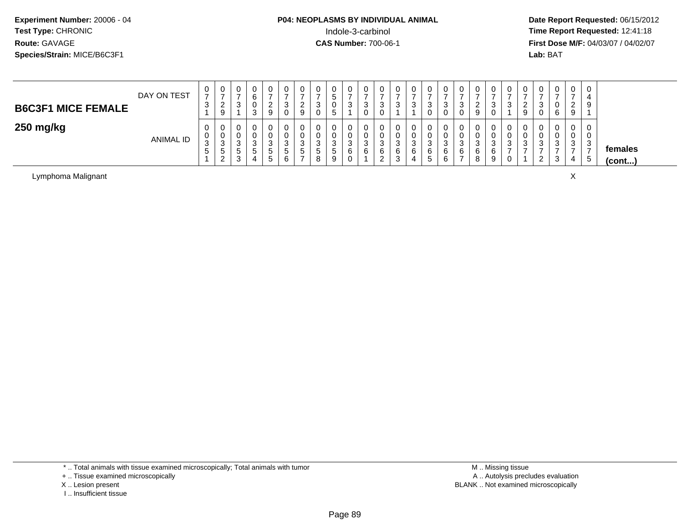**Date Report Requested:** 06/15/2012 **First Dose M/F:** 04/03/07 / 04/02/07<br>Lab: BAT **Lab:** BAT

| <b>B6C3F1 MICE FEMALE</b> | DAY ON TEST      | ◡<br>-<br>◠<br>ັບ      | 0<br>-<br>n<br><u>_</u><br>9       | U<br>ົ<br>J                | 0<br>3           | _ |     | ັບ<br>▃<br>9     |           | c<br>.5       | U<br>ົ<br>ັ                | v<br>ാ<br>ు   | C.  | v<br>3           | U<br>J      | U<br>-<br>-3          | U<br>ີ<br>ັ<br>U           | റ<br>9            |   | v<br>9        | v              | $\mathbf{0}$<br>-<br>6 | 0<br>ົ<br><u>_</u><br>9 | 9                                    |                   |
|---------------------------|------------------|------------------------|------------------------------------|----------------------------|------------------|---|-----|------------------|-----------|---------------|----------------------------|---------------|-----|------------------|-------------|-----------------------|----------------------------|-------------------|---|---------------|----------------|------------------------|-------------------------|--------------------------------------|-------------------|
| 250 mg/kg                 | <b>ANIMAL ID</b> | 0<br>U<br>ว<br>ັບ<br>5 | 0<br>0<br>3<br>৾৾<br>ົ<br><u>_</u> | U<br>U<br>ີ<br>◡<br>э<br>3 | 0<br>3<br>G<br>4 |   | - 0 | U<br>U<br>ა<br>G | - 11<br>8 | -3<br>.5<br>9 | U<br>U<br>ົ<br>ັ<br>6<br>ັ | ີ<br>- ఎ<br>6 | - ა | υ<br>U<br>ۍ<br>6 | ◠<br>w<br>O | U<br>U<br>3<br>6<br>6 | U<br>v<br>ີ<br>◡<br>6<br>- | ີ<br>ت.<br>6<br>8 | ు | ν<br>U<br>- 0 | ັບ<br><u>_</u> | 0<br>0<br>3<br>-<br>3  | 0<br>0<br>2<br>◡<br>4   | 3<br>$\overline{\phantom{0}}$<br>. 5 | females<br>(cont) |

Lymphoma Malignantt to the contract of the contract of the contract of the contract of the contract of the contract of the contract of the contract of the contract of the contract of the contract of the contract of the contract of the contr

\* .. Total animals with tissue examined microscopically; Total animals with tumor

+ .. Tissue examined microscopically

- X .. Lesion present
- I .. Insufficient tissue

 M .. Missing tissuey the contract of the contract of the contract of the contract of the contract of the contract of the contract of  $A$ . Autolysis precludes evaluation Lesion present BLANK .. Not examined microscopically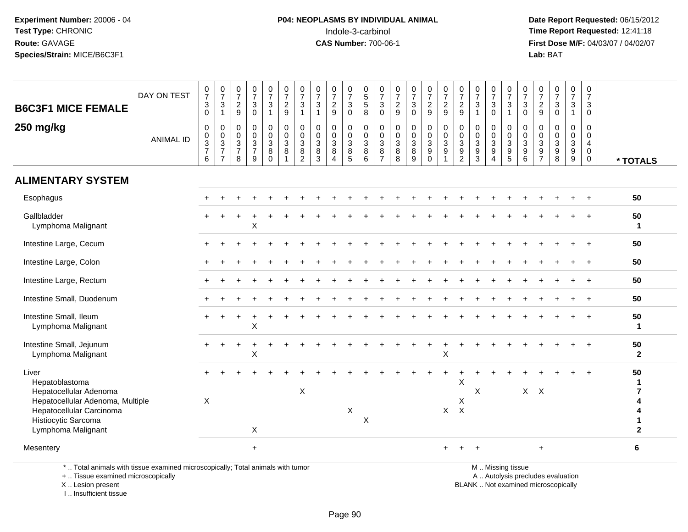**Date Report Requested:** 06/15/2012 **First Dose M/F:** 04/03/07 / 04/02/07<br>Lab: BAT **Lab:** BAT

|                                                                                                                                            | DAY ON TEST      | $\frac{0}{7}$<br>$\sqrt{3}$                                          | $\frac{0}{7}$<br>$\mathbf{3}$                                                     | $\frac{0}{7}$<br>$\boldsymbol{2}$                       | $\frac{0}{7}$<br>$\mathbf{3}$                                        | $\frac{0}{7}$<br>$\sqrt{3}$                               | $\frac{0}{7}$<br>$\overline{c}$                               | $\frac{0}{7}$<br>$\mathbf{3}$                                           | $\frac{0}{7}$<br>$\ensuremath{\mathsf{3}}$                           | $\frac{0}{7}$<br>$\overline{2}$                             | $\frac{0}{7}$<br>$\mathbf{3}$                        | $\begin{array}{c} 0 \\ 5 \end{array}$<br>$\sqrt{5}$  | $\frac{0}{7}$<br>$\sqrt{3}$                             | $\frac{0}{7}$<br>$\overline{c}$                         | $\frac{0}{7}$<br>$\mathbf{3}$              | $\frac{0}{7}$<br>$\overline{c}$                            | $\frac{0}{7}$<br>$\boldsymbol{2}$                 | $\frac{0}{7}$                                                                               | $\frac{0}{7}$<br>$\mathbf 3$                          | $\frac{0}{7}$<br>$\sqrt{3}$                                       | $\frac{0}{7}$<br>$\mathbf{3}$                                       | $\frac{0}{7}$<br>$\mathbf{3}$              | $\frac{0}{7}$<br>$\overline{c}$                                          | $\frac{0}{7}$<br>$\mathbf{3}$                             | $\frac{0}{7}$<br>$\mathbf{3}$                        | $\begin{array}{c} 0 \\ 7 \end{array}$<br>3 |                              |
|--------------------------------------------------------------------------------------------------------------------------------------------|------------------|----------------------------------------------------------------------|-----------------------------------------------------------------------------------|---------------------------------------------------------|----------------------------------------------------------------------|-----------------------------------------------------------|---------------------------------------------------------------|-------------------------------------------------------------------------|----------------------------------------------------------------------|-------------------------------------------------------------|------------------------------------------------------|------------------------------------------------------|---------------------------------------------------------|---------------------------------------------------------|--------------------------------------------|------------------------------------------------------------|---------------------------------------------------|---------------------------------------------------------------------------------------------|-------------------------------------------------------|-------------------------------------------------------------------|---------------------------------------------------------------------|--------------------------------------------|--------------------------------------------------------------------------|-----------------------------------------------------------|------------------------------------------------------|--------------------------------------------|------------------------------|
| <b>B6C3F1 MICE FEMALE</b>                                                                                                                  |                  | $\mathbf 0$                                                          | $\mathbf{1}$                                                                      | $9\,$                                                   | $\mathbf 0$                                                          | $\overline{1}$                                            | 9                                                             | $\overline{1}$                                                          | $\overline{1}$                                                       | 9                                                           | $\mathbf 0$                                          | 8                                                    | $\mathbf 0$                                             | 9                                                       | $\mathbf 0$                                | 9                                                          | $\overline{9}$                                    | $\frac{2}{9}$                                                                               | $\overline{1}$                                        | $\mathbf 0$                                                       | $\mathbf{1}$                                                        | $\mathbf 0$                                | 9                                                                        | $\mathbf 0$                                               | $\mathbf{1}$                                         | $\mathbf 0$                                |                              |
| 250 mg/kg                                                                                                                                  | <b>ANIMAL ID</b> | $\mathbf 0$<br>0<br>$\ensuremath{\mathsf{3}}$<br>$\overline{7}$<br>6 | $\boldsymbol{0}$<br>$\mathbf 0$<br>$\sqrt{3}$<br>$\overline{7}$<br>$\overline{7}$ | $\mathbf 0$<br>0<br>$\mathbf{3}$<br>$\overline{7}$<br>8 | $\mathbf 0$<br>0<br>$\ensuremath{\mathsf{3}}$<br>$\overline{7}$<br>9 | $\mathbf 0$<br>$\mathbf 0$<br>$\sqrt{3}$<br>8<br>$\Omega$ | $\pmb{0}$<br>$\pmb{0}$<br>$\mathbf{3}$<br>8<br>$\overline{1}$ | $\Omega$<br>0<br>$\ensuremath{\mathsf{3}}$<br>$\bf 8$<br>$\overline{2}$ | $\pmb{0}$<br>$\mathbf 0$<br>$\ensuremath{\mathsf{3}}$<br>$\bf8$<br>3 | 0<br>$\boldsymbol{0}$<br>$\mathbf 3$<br>8<br>$\overline{4}$ | $\mathbf 0$<br>$\mathbf 0$<br>$\mathbf{3}$<br>8<br>5 | $\mathbf 0$<br>$\mathbf 0$<br>$\mathbf{3}$<br>8<br>6 | $\mathbf 0$<br>0<br>$\mathbf{3}$<br>8<br>$\overline{7}$ | $\mathbf 0$<br>0<br>$\ensuremath{\mathsf{3}}$<br>8<br>8 | $\mathbf 0$<br>0<br>$\mathbf{3}$<br>8<br>9 | $\pmb{0}$<br>$\pmb{0}$<br>$\mathbf{3}$<br>9<br>$\mathbf 0$ | $\Omega$<br>0<br>$\mathbf{3}$<br>$\boldsymbol{9}$ | $\pmb{0}$<br>$\mathbf 0$<br>$\ensuremath{\mathsf{3}}$<br>$\boldsymbol{9}$<br>$\overline{2}$ | 0<br>$\boldsymbol{0}$<br>$\mathbf 3$<br>$\frac{9}{3}$ | $\mathbf 0$<br>$\mathbf 0$<br>$\sqrt{3}$<br>$\boldsymbol{9}$<br>4 | $\mathbf 0$<br>$\mathbf 0$<br>$\sqrt{3}$<br>$9\,$<br>$\overline{5}$ | $\mathbf 0$<br>0<br>$\mathbf{3}$<br>9<br>6 | 0<br>0<br>$\ensuremath{\mathsf{3}}$<br>9<br>$\overline{7}$               | $\mathbf 0$<br>0<br>$\mathbf{3}$<br>$\boldsymbol{9}$<br>8 | $\mathbf 0$<br>$\mathbf 0$<br>$\mathbf{3}$<br>9<br>9 | 0<br>$\Omega$<br>4<br>0<br>$\mathbf 0$     | * TOTALS                     |
| <b>ALIMENTARY SYSTEM</b>                                                                                                                   |                  |                                                                      |                                                                                   |                                                         |                                                                      |                                                           |                                                               |                                                                         |                                                                      |                                                             |                                                      |                                                      |                                                         |                                                         |                                            |                                                            |                                                   |                                                                                             |                                                       |                                                                   |                                                                     |                                            |                                                                          |                                                           |                                                      |                                            |                              |
| Esophagus                                                                                                                                  |                  |                                                                      |                                                                                   |                                                         |                                                                      |                                                           |                                                               |                                                                         |                                                                      |                                                             |                                                      |                                                      |                                                         |                                                         |                                            |                                                            |                                                   |                                                                                             |                                                       |                                                                   |                                                                     |                                            |                                                                          |                                                           |                                                      |                                            | 50                           |
| Gallbladder<br>Lymphoma Malignant                                                                                                          |                  |                                                                      |                                                                                   |                                                         | X                                                                    |                                                           |                                                               |                                                                         |                                                                      |                                                             |                                                      |                                                      |                                                         |                                                         |                                            |                                                            |                                                   |                                                                                             |                                                       |                                                                   |                                                                     |                                            |                                                                          |                                                           |                                                      |                                            | 50<br>1                      |
| Intestine Large, Cecum                                                                                                                     |                  |                                                                      |                                                                                   |                                                         |                                                                      |                                                           |                                                               |                                                                         |                                                                      |                                                             |                                                      |                                                      |                                                         |                                                         |                                            |                                                            |                                                   |                                                                                             |                                                       |                                                                   |                                                                     |                                            |                                                                          |                                                           |                                                      |                                            | 50                           |
| Intestine Large, Colon                                                                                                                     |                  |                                                                      |                                                                                   |                                                         |                                                                      |                                                           |                                                               |                                                                         |                                                                      |                                                             |                                                      |                                                      |                                                         |                                                         |                                            |                                                            |                                                   |                                                                                             |                                                       |                                                                   |                                                                     |                                            |                                                                          |                                                           |                                                      |                                            | 50                           |
| Intestine Large, Rectum                                                                                                                    |                  |                                                                      |                                                                                   |                                                         |                                                                      |                                                           |                                                               |                                                                         |                                                                      |                                                             |                                                      |                                                      |                                                         |                                                         |                                            |                                                            |                                                   |                                                                                             |                                                       |                                                                   |                                                                     |                                            |                                                                          |                                                           |                                                      |                                            | 50                           |
| Intestine Small, Duodenum                                                                                                                  |                  |                                                                      |                                                                                   |                                                         |                                                                      |                                                           |                                                               |                                                                         |                                                                      |                                                             |                                                      |                                                      |                                                         |                                                         |                                            |                                                            |                                                   |                                                                                             |                                                       |                                                                   |                                                                     |                                            |                                                                          |                                                           |                                                      | $\ddot{+}$                                 | 50                           |
| Intestine Small, Ileum<br>Lymphoma Malignant                                                                                               |                  |                                                                      |                                                                                   |                                                         | X                                                                    |                                                           |                                                               |                                                                         |                                                                      |                                                             |                                                      |                                                      |                                                         |                                                         |                                            |                                                            |                                                   |                                                                                             |                                                       |                                                                   |                                                                     |                                            |                                                                          |                                                           |                                                      |                                            | 50<br>-1                     |
| Intestine Small, Jejunum<br>Lymphoma Malignant                                                                                             |                  |                                                                      |                                                                                   |                                                         | X                                                                    |                                                           |                                                               |                                                                         |                                                                      |                                                             |                                                      |                                                      |                                                         |                                                         |                                            |                                                            | X                                                 |                                                                                             |                                                       |                                                                   |                                                                     |                                            |                                                                          |                                                           |                                                      |                                            | 50<br>$\mathbf{2}$           |
| Liver<br>Hepatoblastoma                                                                                                                    |                  |                                                                      |                                                                                   |                                                         |                                                                      |                                                           |                                                               |                                                                         |                                                                      |                                                             |                                                      |                                                      |                                                         |                                                         |                                            |                                                            |                                                   | X                                                                                           |                                                       |                                                                   |                                                                     |                                            |                                                                          |                                                           |                                                      |                                            | 50                           |
| Hepatocellular Adenoma<br>Hepatocellular Adenoma, Multiple                                                                                 |                  | X                                                                    |                                                                                   |                                                         |                                                                      |                                                           |                                                               | $\pmb{\times}$                                                          |                                                                      |                                                             |                                                      |                                                      |                                                         |                                                         |                                            |                                                            |                                                   | X                                                                                           | X                                                     |                                                                   |                                                                     |                                            | $X$ $X$                                                                  |                                                           |                                                      |                                            | $\overline{\mathbf{r}}$<br>4 |
| Hepatocellular Carcinoma<br>Histiocytic Sarcoma                                                                                            |                  |                                                                      |                                                                                   |                                                         |                                                                      |                                                           |                                                               |                                                                         |                                                                      |                                                             | X                                                    | $\boldsymbol{\mathsf{X}}$                            |                                                         |                                                         |                                            |                                                            |                                                   | $X$ $X$                                                                                     |                                                       |                                                                   |                                                                     |                                            |                                                                          |                                                           |                                                      |                                            | 4<br>1                       |
| Lymphoma Malignant                                                                                                                         |                  |                                                                      |                                                                                   |                                                         | X                                                                    |                                                           |                                                               |                                                                         |                                                                      |                                                             |                                                      |                                                      |                                                         |                                                         |                                            |                                                            |                                                   |                                                                                             |                                                       |                                                                   |                                                                     |                                            |                                                                          |                                                           |                                                      |                                            | $\mathbf{2}$                 |
| Mesentery                                                                                                                                  |                  |                                                                      |                                                                                   |                                                         | $\ddot{}$                                                            |                                                           |                                                               |                                                                         |                                                                      |                                                             |                                                      |                                                      |                                                         |                                                         |                                            |                                                            | $+$                                               |                                                                                             |                                                       |                                                                   |                                                                     |                                            | +                                                                        |                                                           |                                                      |                                            | 6                            |
| *  Total animals with tissue examined microscopically; Total animals with tumor<br>+  Tissue examined microscopically<br>X  Lesion present |                  |                                                                      |                                                                                   |                                                         |                                                                      |                                                           |                                                               |                                                                         |                                                                      |                                                             |                                                      |                                                      |                                                         |                                                         |                                            |                                                            |                                                   |                                                                                             |                                                       |                                                                   | M  Missing tissue                                                   |                                            | A  Autolysis precludes evaluation<br>BLANK  Not examined microscopically |                                                           |                                                      |                                            |                              |

X .. Lesion present

I .. Insufficient tissue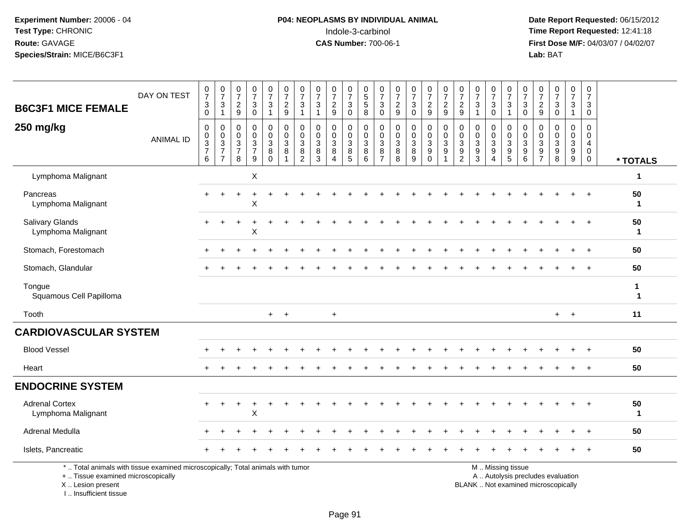## **P04: NEOPLASMS BY INDIVIDUAL ANIMAL**<br>Indole-3-carbinol Indole-3-carbinol **Time Report Requested:** 12:41:18

 **Date Report Requested:** 06/15/2012 **First Dose M/F:** 04/03/07 / 04/02/07<br>Lab: BAT **Lab:** BAT

| <b>B6C3F1 MICE FEMALE</b>                                                                                                                  | DAY ON TEST      | $\frac{0}{7}$<br>3<br>0                          | $\frac{0}{7}$<br>$\sqrt{3}$<br>$\mathbf{1}$       | $\begin{smallmatrix}0\\7\end{smallmatrix}$<br>$\boldsymbol{2}$<br>$9\,$        | $\frac{0}{7}$<br>$\ensuremath{\mathsf{3}}$<br>$\mathsf 0$     | $\frac{0}{7}$<br>3<br>$\mathbf{1}$               | $\frac{0}{7}$<br>$\sqrt{2}$<br>9                                | 0<br>$\overline{7}$<br>3<br>$\mathbf{1}$               | 0<br>$\overline{7}$<br>$\mathbf{3}$<br>$\overline{1}$ | $\begin{array}{c} 0 \\ 7 \end{array}$<br>$\overline{\mathbf{c}}$<br>$\overline{9}$ | $\frac{0}{7}$<br>$\ensuremath{\mathsf{3}}$<br>$\mathbf 0$ | 0<br>$\overline{5}$<br>$\sqrt{5}$<br>8 | 0<br>$\overline{7}$<br>$\mathbf{3}$<br>$\mathbf 0$     | $\frac{0}{7}$<br>$\frac{2}{9}$                                          | $\frac{0}{7}$<br>$\ensuremath{\mathsf{3}}$<br>$\mathsf{O}\xspace$ | $\frac{0}{7}$<br>$\frac{2}{9}$                           | $\frac{0}{7}$<br>$\frac{2}{9}$                      | $\frac{0}{7}$<br>$\overline{c}$<br>9                                             | 0<br>$\overline{7}$<br>$\mathbf{3}$<br>$\overline{1}$ | $\frac{0}{7}$<br>3<br>$\mathbf 0$                           | $\frac{0}{7}$<br>$\ensuremath{\mathsf{3}}$<br>$\mathbf{1}$                                    | $\begin{array}{c} 0 \\ 7 \end{array}$<br>$\sqrt{3}$<br>$\mathbf 0$ | $\frac{0}{7}$<br>$\overline{c}$<br>$\boldsymbol{9}$      | $\frac{0}{7}$<br>$\sqrt{3}$<br>$\mathbf 0$ | 0<br>$\overline{7}$<br>3<br>$\mathbf{1}$                  | 0<br>$\overline{7}$<br>3<br>0                                           |                             |
|--------------------------------------------------------------------------------------------------------------------------------------------|------------------|--------------------------------------------------|---------------------------------------------------|--------------------------------------------------------------------------------|---------------------------------------------------------------|--------------------------------------------------|-----------------------------------------------------------------|--------------------------------------------------------|-------------------------------------------------------|------------------------------------------------------------------------------------|-----------------------------------------------------------|----------------------------------------|--------------------------------------------------------|-------------------------------------------------------------------------|-------------------------------------------------------------------|----------------------------------------------------------|-----------------------------------------------------|----------------------------------------------------------------------------------|-------------------------------------------------------|-------------------------------------------------------------|-----------------------------------------------------------------------------------------------|--------------------------------------------------------------------|----------------------------------------------------------|--------------------------------------------|-----------------------------------------------------------|-------------------------------------------------------------------------|-----------------------------|
| 250 mg/kg                                                                                                                                  | <b>ANIMAL ID</b> | $\mathbf 0$<br>$\mathbf 0$<br>$\frac{3}{7}$<br>6 | 0<br>$\pmb{0}$<br>$\frac{3}{7}$<br>$\overline{7}$ | $\mathbf 0$<br>$\mathbf 0$<br>$\ensuremath{\mathsf{3}}$<br>$\overline{7}$<br>8 | $\pmb{0}$<br>$\mathbf 0$<br>$\frac{3}{7}$<br>$\boldsymbol{9}$ | 0<br>$\pmb{0}$<br>$\sqrt{3}$<br>8<br>$\mathbf 0$ | $\mathbf 0$<br>$\mathbf 0$<br>$\sqrt{3}$<br>8<br>$\overline{1}$ | $\mathbf 0$<br>$\mathbf 0$<br>3<br>8<br>$\overline{2}$ | $\Omega$<br>$\Omega$<br>3<br>8<br>3                   | 0<br>$\mathbf 0$<br>$\sqrt{3}$<br>8<br>$\boldsymbol{\Lambda}$                      | 0<br>$\mathbf 0$<br>$\mathsf 3$<br>$\bf 8$<br>5           | 0<br>$\Omega$<br>$\sqrt{3}$<br>8<br>6  | $\mathbf 0$<br>$\mathbf 0$<br>3<br>8<br>$\overline{7}$ | $\mathbf 0$<br>$\mathbf 0$<br>$\ensuremath{\mathsf{3}}$<br>$\,8\,$<br>8 | $\boldsymbol{0}$<br>$\mathbf 0$<br>$\mathbf{3}$<br>$\bf 8$<br>9   | 0<br>$\mathbf 0$<br>$\mathbf{3}$<br>$9\,$<br>$\mathbf 0$ | 0<br>$\mathbf 0$<br>$\frac{3}{9}$<br>$\overline{1}$ | $\mathbf 0$<br>$\mathbf 0$<br>$\mathbf{3}$<br>$\boldsymbol{9}$<br>$\overline{2}$ | $\mathbf 0$<br>$\mathbf{0}$<br>3<br>9<br>3            | 0<br>$\mathbf 0$<br>3<br>$\boldsymbol{9}$<br>$\overline{4}$ | 0<br>$\mathsf{O}\xspace$<br>$\ensuremath{\mathsf{3}}$<br>$\frac{9}{5}$                        | 0<br>$\Omega$<br>$\sqrt{3}$<br>$\boldsymbol{9}$<br>$\,6\,$         | 0<br>$\mathbf{0}$<br>$\mathbf{3}$<br>9<br>$\overline{7}$ | $\Omega$<br>$\Omega$<br>3<br>9<br>8        | 0<br>$\mathbf 0$<br>$\mathbf{3}$<br>$\boldsymbol{9}$<br>9 | $\Omega$<br>$\mathbf 0$<br>$\overline{4}$<br>$\mathbf 0$<br>$\mathbf 0$ | * TOTALS                    |
| Lymphoma Malignant                                                                                                                         |                  |                                                  |                                                   |                                                                                | X                                                             |                                                  |                                                                 |                                                        |                                                       |                                                                                    |                                                           |                                        |                                                        |                                                                         |                                                                   |                                                          |                                                     |                                                                                  |                                                       |                                                             |                                                                                               |                                                                    |                                                          |                                            |                                                           |                                                                         | 1                           |
| Pancreas<br>Lymphoma Malignant                                                                                                             |                  |                                                  |                                                   |                                                                                | X                                                             |                                                  |                                                                 |                                                        |                                                       |                                                                                    |                                                           |                                        |                                                        |                                                                         |                                                                   |                                                          |                                                     |                                                                                  |                                                       |                                                             |                                                                                               |                                                                    |                                                          |                                            |                                                           |                                                                         | 50<br>-1                    |
| Salivary Glands<br>Lymphoma Malignant                                                                                                      |                  |                                                  |                                                   |                                                                                | X                                                             |                                                  |                                                                 |                                                        |                                                       |                                                                                    |                                                           |                                        |                                                        |                                                                         |                                                                   |                                                          |                                                     |                                                                                  |                                                       |                                                             |                                                                                               |                                                                    |                                                          |                                            |                                                           |                                                                         | 50<br>$\mathbf{1}$          |
| Stomach, Forestomach                                                                                                                       |                  |                                                  |                                                   |                                                                                |                                                               |                                                  |                                                                 |                                                        |                                                       |                                                                                    |                                                           |                                        |                                                        |                                                                         |                                                                   |                                                          |                                                     |                                                                                  |                                                       |                                                             |                                                                                               |                                                                    |                                                          |                                            |                                                           |                                                                         | 50                          |
| Stomach, Glandular                                                                                                                         |                  |                                                  |                                                   |                                                                                |                                                               |                                                  |                                                                 |                                                        |                                                       |                                                                                    |                                                           |                                        |                                                        |                                                                         |                                                                   |                                                          |                                                     |                                                                                  |                                                       |                                                             |                                                                                               |                                                                    |                                                          |                                            |                                                           |                                                                         | 50                          |
| Tongue<br>Squamous Cell Papilloma                                                                                                          |                  |                                                  |                                                   |                                                                                |                                                               |                                                  |                                                                 |                                                        |                                                       |                                                                                    |                                                           |                                        |                                                        |                                                                         |                                                                   |                                                          |                                                     |                                                                                  |                                                       |                                                             |                                                                                               |                                                                    |                                                          |                                            |                                                           |                                                                         | $\mathbf{1}$<br>$\mathbf 1$ |
| Tooth                                                                                                                                      |                  |                                                  |                                                   |                                                                                |                                                               | $+$                                              | $+$                                                             |                                                        |                                                       | $+$                                                                                |                                                           |                                        |                                                        |                                                                         |                                                                   |                                                          |                                                     |                                                                                  |                                                       |                                                             |                                                                                               |                                                                    |                                                          | $+$                                        | $+$                                                       |                                                                         | 11                          |
| <b>CARDIOVASCULAR SYSTEM</b>                                                                                                               |                  |                                                  |                                                   |                                                                                |                                                               |                                                  |                                                                 |                                                        |                                                       |                                                                                    |                                                           |                                        |                                                        |                                                                         |                                                                   |                                                          |                                                     |                                                                                  |                                                       |                                                             |                                                                                               |                                                                    |                                                          |                                            |                                                           |                                                                         |                             |
| <b>Blood Vessel</b>                                                                                                                        |                  |                                                  |                                                   |                                                                                |                                                               |                                                  |                                                                 |                                                        |                                                       |                                                                                    |                                                           |                                        |                                                        |                                                                         |                                                                   |                                                          |                                                     |                                                                                  |                                                       |                                                             |                                                                                               |                                                                    |                                                          |                                            |                                                           |                                                                         | 50                          |
| Heart                                                                                                                                      |                  |                                                  |                                                   |                                                                                |                                                               |                                                  |                                                                 |                                                        |                                                       |                                                                                    |                                                           |                                        |                                                        |                                                                         |                                                                   |                                                          |                                                     |                                                                                  |                                                       |                                                             |                                                                                               |                                                                    |                                                          |                                            |                                                           | $+$                                                                     | 50                          |
| <b>ENDOCRINE SYSTEM</b>                                                                                                                    |                  |                                                  |                                                   |                                                                                |                                                               |                                                  |                                                                 |                                                        |                                                       |                                                                                    |                                                           |                                        |                                                        |                                                                         |                                                                   |                                                          |                                                     |                                                                                  |                                                       |                                                             |                                                                                               |                                                                    |                                                          |                                            |                                                           |                                                                         |                             |
| <b>Adrenal Cortex</b><br>Lymphoma Malignant                                                                                                |                  |                                                  |                                                   |                                                                                | X                                                             |                                                  |                                                                 |                                                        |                                                       |                                                                                    |                                                           |                                        |                                                        |                                                                         |                                                                   |                                                          |                                                     |                                                                                  |                                                       |                                                             |                                                                                               |                                                                    |                                                          |                                            |                                                           |                                                                         | 50<br>$\mathbf 1$           |
| Adrenal Medulla                                                                                                                            |                  |                                                  |                                                   |                                                                                |                                                               |                                                  |                                                                 |                                                        |                                                       |                                                                                    |                                                           |                                        |                                                        |                                                                         |                                                                   |                                                          |                                                     |                                                                                  |                                                       |                                                             |                                                                                               |                                                                    |                                                          |                                            |                                                           |                                                                         | 50                          |
| Islets, Pancreatic                                                                                                                         |                  |                                                  |                                                   |                                                                                |                                                               |                                                  |                                                                 |                                                        |                                                       |                                                                                    |                                                           |                                        |                                                        |                                                                         |                                                                   |                                                          |                                                     |                                                                                  |                                                       |                                                             |                                                                                               |                                                                    |                                                          |                                            |                                                           |                                                                         | 50                          |
| *  Total animals with tissue examined microscopically; Total animals with tumor<br>+  Tissue examined microscopically<br>X  Lesion present |                  |                                                  |                                                   |                                                                                |                                                               |                                                  |                                                                 |                                                        |                                                       |                                                                                    |                                                           |                                        |                                                        |                                                                         |                                                                   |                                                          |                                                     |                                                                                  |                                                       |                                                             | M  Missing tissue<br>A  Autolysis precludes evaluation<br>BLANK  Not examined microscopically |                                                                    |                                                          |                                            |                                                           |                                                                         |                             |

I .. Insufficient tissue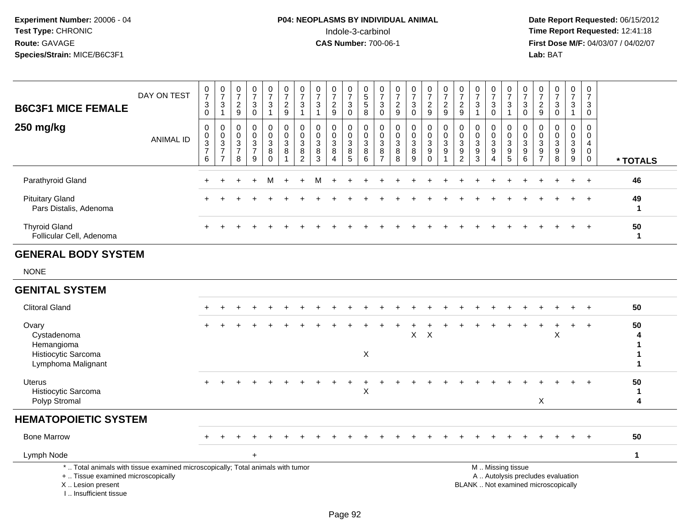# **P04: NEOPLASMS BY INDIVIDUAL ANIMAL**<br>Indole-3-carbinol Indole-3-carbinol **Time Report Requested:** 12:41:18

 **Date Report Requested:** 06/15/2012 **First Dose M/F:** 04/03/07 / 04/02/07<br>Lab: BAT **Lab:** BAT

| <b>B6C3F1 MICE FEMALE</b>                        | DAY ON TEST | $\frac{0}{7}$<br>$\ensuremath{\mathsf{3}}$<br>$\Omega$ | $\frac{0}{7}$<br>$\ensuremath{\mathsf{3}}$                                        | $\frac{0}{7}$<br>$\overline{\mathbf{c}}$<br>9 | $\frac{0}{7}$<br>$\ensuremath{\mathsf{3}}$<br>$\Omega$               | $\frac{0}{7}$<br>$\ensuremath{\mathsf{3}}$ | $\frac{0}{7}$<br>$\frac{2}{9}$                   | $\frac{0}{7}$<br>3                         | $\frac{0}{7}$<br>3 | $\frac{0}{7}$<br>$\overline{c}$<br>9     | $\frac{0}{7}$<br>$\mathbf{3}$<br>0                        | $\frac{0}{5}$<br>5<br>8                             | $\overline{7}$<br>3<br>$\Omega$       | $\frac{0}{7}$<br>$\overline{c}$<br>9 | $\frac{0}{7}$<br>3<br>0 | $\frac{0}{7}$<br>$\frac{2}{9}$                                                  | $\frac{0}{7}$<br>$\frac{2}{9}$                                    | $\frac{0}{7}$<br>$\frac{2}{9}$             | $\frac{0}{7}$<br>3 | $\frac{0}{7}$<br>$\ensuremath{\mathsf{3}}$<br>$\mathbf 0$ | $\frac{0}{7}$<br>3                                        | $\frac{0}{7}$<br>$\sqrt{3}$<br>$\Omega$      | $\frac{0}{7}$<br>$\overline{c}$<br>9     | $\overline{7}$<br>3<br>$\Omega$ | $\frac{0}{7}$<br>3    | 0<br>$\overline{ }$<br>$\sqrt{3}$<br>0 |          |
|--------------------------------------------------|-------------|--------------------------------------------------------|-----------------------------------------------------------------------------------|-----------------------------------------------|----------------------------------------------------------------------|--------------------------------------------|--------------------------------------------------|--------------------------------------------|--------------------|------------------------------------------|-----------------------------------------------------------|-----------------------------------------------------|---------------------------------------|--------------------------------------|-------------------------|---------------------------------------------------------------------------------|-------------------------------------------------------------------|--------------------------------------------|--------------------|-----------------------------------------------------------|-----------------------------------------------------------|----------------------------------------------|------------------------------------------|---------------------------------|-----------------------|----------------------------------------|----------|
| 250 mg/kg                                        | ANIMAL ID   | 0<br>$\begin{array}{c} 0 \\ 3 \\ 7 \end{array}$<br>6   | $\begin{smallmatrix}0\\0\\3\end{smallmatrix}$<br>$\overline{ }$<br>$\overline{ }$ | 0<br>0<br>3<br>$\overline{ }$<br>8            | $\begin{smallmatrix}0\\0\\3\end{smallmatrix}$<br>$\overline{ }$<br>9 | 0<br>$\pmb{0}$<br>3<br>8<br>$\Omega$       | 0<br>$\pmb{0}$<br>$\ensuremath{\mathsf{3}}$<br>8 | 0<br>$\pmb{0}$<br>3<br>8<br>$\overline{2}$ | 3<br>8<br>3        | 0<br>$_3^0$<br>$\,8\,$<br>$\overline{4}$ | 0<br>$\begin{smallmatrix}0\3 \end{smallmatrix}$<br>8<br>5 | $\begin{matrix} 0 \\ 0 \\ 3 \end{matrix}$<br>8<br>6 | $\pmb{0}$<br>3<br>8<br>$\overline{ }$ | $\pmb{0}$<br>3<br>8<br>8             | 0<br>$_3^0$<br>8<br>9   | $\begin{smallmatrix} 0\\0\\3 \end{smallmatrix}$<br>$\boldsymbol{9}$<br>$\Omega$ | $\begin{smallmatrix}0\\0\\3\end{smallmatrix}$<br>$\boldsymbol{9}$ | 0<br>$\pmb{0}$<br>3<br>9<br>$\overline{2}$ | 3<br>9<br>3        | 0<br>$\mathsf 0$<br>$\mathbf{3}$<br>9<br>4                | 0<br>$\begin{smallmatrix}0\3 \end{smallmatrix}$<br>9<br>5 | $\boldsymbol{0}$<br>$_{3}^{\rm 0}$<br>9<br>6 | 0<br>$\,0\,$<br>3<br>9<br>$\overline{ }$ | 3<br>9<br>8                     | 0<br>0<br>3<br>9<br>9 | 0<br>0<br>4<br>$\mathbf 0$<br>0        | * TOTALS |
| Parathyroid Gland                                |             |                                                        |                                                                                   |                                               | $+$                                                                  | М                                          | $+$                                              | $\ddot{}$                                  | м                  |                                          |                                                           |                                                     |                                       |                                      |                         |                                                                                 |                                                                   |                                            |                    |                                                           |                                                           |                                              |                                          |                                 |                       | $+$                                    | 46       |
| <b>Pituitary Gland</b><br>Pars Distalis, Adenoma |             |                                                        |                                                                                   |                                               |                                                                      |                                            |                                                  |                                            |                    |                                          |                                                           |                                                     |                                       |                                      |                         |                                                                                 |                                                                   |                                            |                    |                                                           |                                                           |                                              |                                          |                                 | $+$                   | $\pm$                                  | 49<br>-1 |
| <b>Thyroid Gland</b><br>Follicular Cell, Adenoma |             |                                                        |                                                                                   |                                               |                                                                      |                                            |                                                  |                                            |                    |                                          |                                                           |                                                     |                                       |                                      |                         |                                                                                 |                                                                   |                                            |                    |                                                           |                                                           |                                              |                                          |                                 | $+$                   | $+$                                    | 50<br>1  |
| <b>GENERAL BODY SYSTEM</b>                       |             |                                                        |                                                                                   |                                               |                                                                      |                                            |                                                  |                                            |                    |                                          |                                                           |                                                     |                                       |                                      |                         |                                                                                 |                                                                   |                                            |                    |                                                           |                                                           |                                              |                                          |                                 |                       |                                        |          |
| <b>NONE</b>                                      |             |                                                        |                                                                                   |                                               |                                                                      |                                            |                                                  |                                            |                    |                                          |                                                           |                                                     |                                       |                                      |                         |                                                                                 |                                                                   |                                            |                    |                                                           |                                                           |                                              |                                          |                                 |                       |                                        |          |
| <b>GENITAL SYSTEM</b>                            |             |                                                        |                                                                                   |                                               |                                                                      |                                            |                                                  |                                            |                    |                                          |                                                           |                                                     |                                       |                                      |                         |                                                                                 |                                                                   |                                            |                    |                                                           |                                                           |                                              |                                          |                                 |                       |                                        |          |

| <b>Clitoral Gland</b>                                                                                                                      |       |  |        |  |  |  |   |  |    |              |  |  |                   |                                                                          |   |     |           | 50 |
|--------------------------------------------------------------------------------------------------------------------------------------------|-------|--|--------|--|--|--|---|--|----|--------------|--|--|-------------------|--------------------------------------------------------------------------|---|-----|-----------|----|
| Ovary<br>Cystadenoma<br>Hemangioma<br>Histiocytic Sarcoma<br>Lymphoma Malignant                                                            | $\pm$ |  |        |  |  |  | X |  | X. | $\mathsf{X}$ |  |  |                   |                                                                          | X | $+$ | $\ddot{}$ | 50 |
| Uterus<br>Histiocytic Sarcoma<br>Polyp Stromal                                                                                             |       |  |        |  |  |  | X |  |    |              |  |  |                   | Χ                                                                        |   |     | $+$       | 50 |
| <b>HEMATOPOIETIC SYSTEM</b>                                                                                                                |       |  |        |  |  |  |   |  |    |              |  |  |                   |                                                                          |   |     |           |    |
| <b>Bone Marrow</b>                                                                                                                         |       |  |        |  |  |  |   |  |    |              |  |  |                   |                                                                          |   | ÷.  | $+$       | 50 |
| Lymph Node                                                                                                                                 |       |  | $\div$ |  |  |  |   |  |    |              |  |  |                   |                                                                          |   |     |           |    |
| *  Total animals with tissue examined microscopically; Total animals with tumor<br>+  Tissue examined microscopically<br>X  Lesion present |       |  |        |  |  |  |   |  |    |              |  |  | M  Missing tissue | A  Autolysis precludes evaluation<br>BLANK  Not examined microscopically |   |     |           |    |

I .. Insufficient tissue

Page 92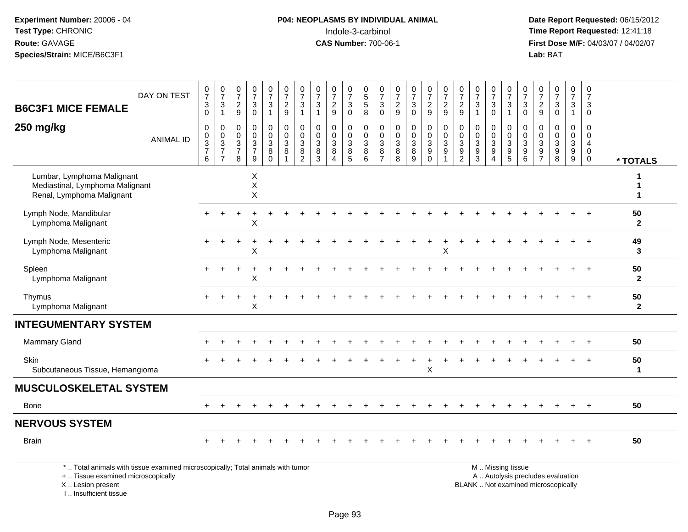# **P04: NEOPLASMS BY INDIVIDUAL ANIMAL**<br>Indole-3-carbinol Indole-3-carbinol **Time Report Requested:** 12:41:18

 **Date Report Requested:** 06/15/2012 **First Dose M/F:** 04/03/07 / 04/02/07<br>Lab: BAT **Lab:** BAT

| DAY ON TEST                                                                                | $\frac{0}{7}$                                  | $\frac{0}{7}$                                     | $\frac{0}{7}$                                                          | $\frac{0}{7}$                                                     | $\frac{0}{7}$                                                 | $\frac{0}{7}$                                              | $\frac{0}{7}$                                          | $\frac{0}{7}$                                | $\begin{array}{c} 0 \\ 7 \end{array}$                     | $\frac{0}{7}$                   | $\begin{array}{c} 0 \\ 5 \\ 5 \end{array}$         | 0<br>$\overline{7}$                                       | $\frac{0}{7}$                                   | $\frac{0}{7}$                 | $\begin{smallmatrix}0\\7\end{smallmatrix}$                                 | $\frac{0}{7}$                                                   | $\frac{0}{7}$                                                               | $\frac{0}{7}$                                                    | $\frac{0}{7}$                                                  | $\frac{0}{7}$                                        | $\frac{0}{7}$                                               | $\frac{0}{7}$                          | $\begin{array}{c} 0 \\ 7 \end{array}$ | $\frac{0}{7}$                                               | 0<br>$\overline{7}$                          |                      |
|--------------------------------------------------------------------------------------------|------------------------------------------------|---------------------------------------------------|------------------------------------------------------------------------|-------------------------------------------------------------------|---------------------------------------------------------------|------------------------------------------------------------|--------------------------------------------------------|----------------------------------------------|-----------------------------------------------------------|---------------------------------|----------------------------------------------------|-----------------------------------------------------------|-------------------------------------------------|-------------------------------|----------------------------------------------------------------------------|-----------------------------------------------------------------|-----------------------------------------------------------------------------|------------------------------------------------------------------|----------------------------------------------------------------|------------------------------------------------------|-------------------------------------------------------------|----------------------------------------|---------------------------------------|-------------------------------------------------------------|----------------------------------------------|----------------------|
| <b>B6C3F1 MICE FEMALE</b>                                                                  | $\ensuremath{\mathsf{3}}$<br>$\mathbf 0$       | $\mathbf{3}$<br>$\mathbf{1}$                      | $\sqrt{2}$<br>9                                                        | $\ensuremath{\mathsf{3}}$<br>$\mathbf 0$                          | $\ensuremath{\mathsf{3}}$<br>$\overline{\mathbf{1}}$          | $\overline{c}$<br>9                                        | 3<br>1                                                 | $\mathbf{3}$<br>$\overline{1}$               | $\sqrt{2}$<br>9                                           | $\sqrt{3}$<br>$\mathbf 0$       | 8                                                  | $\mathbf{3}$<br>$\mathbf 0$                               | $\overline{c}$<br>$\boldsymbol{9}$              | 3<br>0                        | $\frac{2}{9}$                                                              | $\sqrt{2}$<br>$\boldsymbol{9}$                                  | $\overline{c}$<br>9                                                         | $\sqrt{3}$<br>$\overline{1}$                                     | 3<br>$\Omega$                                                  | $\ensuremath{\mathsf{3}}$<br>$\overline{1}$          | $\ensuremath{\mathsf{3}}$<br>$\Omega$                       | $\overline{a}$<br>9                    | $\ensuremath{\mathsf{3}}$<br>$\Omega$ | $\mathbf 3$<br>$\mathbf{1}$                                 | 3<br>$\mathbf 0$                             |                      |
| 250 mg/kg<br><b>ANIMAL ID</b>                                                              | $\mathbf 0$<br>$\pmb{0}$<br>$\frac{3}{7}$<br>6 | 0<br>$\pmb{0}$<br>$\frac{3}{7}$<br>$\overline{7}$ | $\pmb{0}$<br>$\boldsymbol{0}$<br>$\mathbf{3}$<br>$\boldsymbol{7}$<br>8 | $\mathsf 0$<br>$_{3}^{\rm 0}$<br>$\overline{7}$<br>$\overline{9}$ | $\pmb{0}$<br>$\mathbf 0$<br>$\sqrt{3}$<br>$\bf 8$<br>$\Omega$ | $\mathbf 0$<br>$_{3}^{\rm 0}$<br>$\bf 8$<br>$\overline{1}$ | $\mathbf 0$<br>$\mathbf 0$<br>3<br>8<br>$\overline{2}$ | $\mathsf{O}\xspace$<br>0<br>3<br>$\bf8$<br>3 | 0<br>$\pmb{0}$<br>$\sqrt{3}$<br>$\bf 8$<br>$\overline{4}$ | 0<br>$\mathbf 0$<br>3<br>8<br>5 | $\boldsymbol{0}$<br>$_{3}^{\rm 0}$<br>$\bf 8$<br>6 | $\mathbf 0$<br>$\pmb{0}$<br>3<br>$\, 8$<br>$\overline{7}$ | $\mathbf 0$<br>$\mathbf 0$<br>3<br>$\bf 8$<br>8 | 0<br>$_{3}^{\rm 0}$<br>$^8_9$ | $\pmb{0}$<br>$\mathbf 0$<br>$\mathbf 3$<br>$\boldsymbol{9}$<br>$\mathsf 0$ | $\pmb{0}$<br>$_{3}^{\rm 0}$<br>$\boldsymbol{9}$<br>$\mathbf{1}$ | 0<br>$\boldsymbol{0}$<br>$\mathbf{3}$<br>$\boldsymbol{9}$<br>$\overline{2}$ | $\mathbf 0$<br>$\pmb{0}$<br>$\mathbf 3$<br>$\boldsymbol{9}$<br>3 | 0<br>$\pmb{0}$<br>$\mathbf{3}$<br>9<br>$\overline{\mathbf{4}}$ | 0<br>$\begin{array}{c} 0 \\ 3 \\ 9 \\ 5 \end{array}$ | $\mathbf 0$<br>$\mathbf 0$<br>$\mathbf{3}$<br>$\frac{9}{6}$ | 0<br>$\mathbf 0$<br>3<br>$\frac{9}{7}$ | $\mathsf{O}\xspace$<br>0<br>9<br>8    | $\mathbf 0$<br>$\mathbf 0$<br>$\mathbf{3}$<br>$\frac{9}{9}$ | $\mathbf 0$<br>0<br>$\overline{4}$<br>0<br>0 | * TOTALS             |
| Lumbar, Lymphoma Malignant<br>Mediastinal, Lymphoma Malignant<br>Renal, Lymphoma Malignant |                                                |                                                   |                                                                        | Χ<br>X<br>$\sf X$                                                 |                                                               |                                                            |                                                        |                                              |                                                           |                                 |                                                    |                                                           |                                                 |                               |                                                                            |                                                                 |                                                                             |                                                                  |                                                                |                                                      |                                                             |                                        |                                       |                                                             |                                              | 1                    |
| Lymph Node, Mandibular<br>Lymphoma Malignant                                               |                                                |                                                   |                                                                        | X                                                                 |                                                               |                                                            |                                                        |                                              |                                                           |                                 |                                                    |                                                           |                                                 |                               |                                                                            |                                                                 |                                                                             |                                                                  |                                                                |                                                      |                                                             |                                        |                                       |                                                             |                                              | 50<br>$\overline{2}$ |
| Lymph Node, Mesenteric<br>Lymphoma Malignant                                               |                                                |                                                   |                                                                        | X                                                                 |                                                               |                                                            |                                                        |                                              |                                                           |                                 |                                                    |                                                           |                                                 |                               |                                                                            | X                                                               |                                                                             |                                                                  |                                                                |                                                      |                                                             |                                        |                                       |                                                             |                                              | 49<br>3              |
| Spleen<br>Lymphoma Malignant                                                               |                                                |                                                   |                                                                        | X                                                                 |                                                               |                                                            |                                                        |                                              |                                                           |                                 |                                                    |                                                           |                                                 |                               |                                                                            |                                                                 |                                                                             |                                                                  |                                                                |                                                      |                                                             |                                        |                                       |                                                             |                                              | 50<br>$\mathbf{2}$   |
| Thymus<br>Lymphoma Malignant                                                               |                                                |                                                   |                                                                        | X                                                                 |                                                               |                                                            |                                                        |                                              |                                                           |                                 |                                                    |                                                           |                                                 |                               |                                                                            |                                                                 |                                                                             |                                                                  |                                                                |                                                      |                                                             |                                        |                                       |                                                             |                                              | 50<br>$\overline{2}$ |
| <b>INTEGUMENTARY SYSTEM</b>                                                                |                                                |                                                   |                                                                        |                                                                   |                                                               |                                                            |                                                        |                                              |                                                           |                                 |                                                    |                                                           |                                                 |                               |                                                                            |                                                                 |                                                                             |                                                                  |                                                                |                                                      |                                                             |                                        |                                       |                                                             |                                              |                      |
| <b>Mammary Gland</b>                                                                       |                                                |                                                   |                                                                        |                                                                   |                                                               |                                                            |                                                        |                                              |                                                           |                                 |                                                    |                                                           |                                                 |                               |                                                                            |                                                                 |                                                                             |                                                                  |                                                                |                                                      |                                                             |                                        |                                       |                                                             |                                              | 50                   |
| Skin<br>Subcutaneous Tissue, Hemangioma                                                    |                                                |                                                   |                                                                        |                                                                   |                                                               |                                                            |                                                        |                                              |                                                           |                                 |                                                    |                                                           |                                                 |                               | X                                                                          |                                                                 |                                                                             |                                                                  |                                                                |                                                      |                                                             |                                        |                                       |                                                             |                                              | 50<br>1              |
| <b>MUSCULOSKELETAL SYSTEM</b>                                                              |                                                |                                                   |                                                                        |                                                                   |                                                               |                                                            |                                                        |                                              |                                                           |                                 |                                                    |                                                           |                                                 |                               |                                                                            |                                                                 |                                                                             |                                                                  |                                                                |                                                      |                                                             |                                        |                                       |                                                             |                                              |                      |
| Bone                                                                                       |                                                |                                                   |                                                                        |                                                                   |                                                               |                                                            |                                                        |                                              |                                                           |                                 |                                                    |                                                           |                                                 |                               |                                                                            |                                                                 |                                                                             |                                                                  |                                                                |                                                      |                                                             |                                        |                                       |                                                             |                                              | 50                   |
| <b>NERVOUS SYSTEM</b>                                                                      |                                                |                                                   |                                                                        |                                                                   |                                                               |                                                            |                                                        |                                              |                                                           |                                 |                                                    |                                                           |                                                 |                               |                                                                            |                                                                 |                                                                             |                                                                  |                                                                |                                                      |                                                             |                                        |                                       |                                                             |                                              |                      |
| <b>Brain</b>                                                                               |                                                |                                                   |                                                                        |                                                                   |                                                               |                                                            |                                                        |                                              |                                                           |                                 |                                                    |                                                           |                                                 |                               |                                                                            |                                                                 |                                                                             |                                                                  |                                                                |                                                      |                                                             |                                        |                                       |                                                             |                                              | 50                   |
| *  Total animals with tissue examined microscopically; Total animals with tumor            |                                                |                                                   |                                                                        |                                                                   |                                                               |                                                            |                                                        |                                              |                                                           |                                 |                                                    |                                                           |                                                 |                               |                                                                            |                                                                 |                                                                             |                                                                  |                                                                | M  Missing tissue                                    |                                                             |                                        |                                       | $\sim$ $\sim$                                               |                                              |                      |

+ .. Tissue examined microscopically

 Lesion present BLANK .. Not examined microscopicallyX .. Lesion present

I .. Insufficient tissue

y the contract of the contract of the contract of the contract of the contract of the contract of the contract of  $A$ . Autolysis precludes evaluation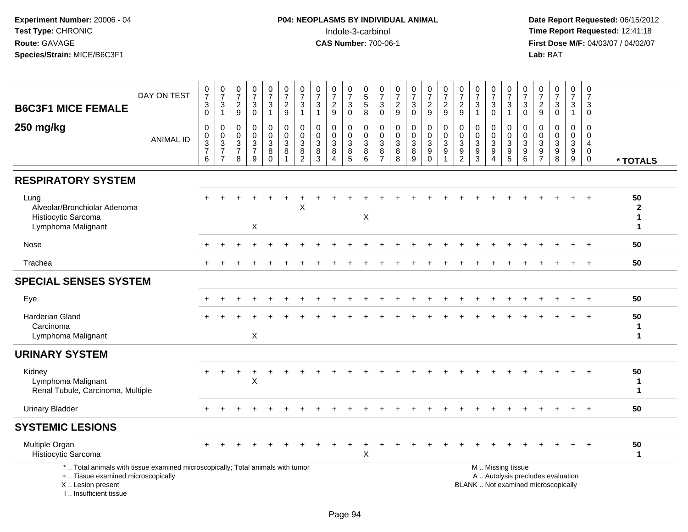| <b>B6C3F1 MICE FEMALE</b>                                                                                                                                             | DAY ON TEST      | $\frac{0}{7}$<br>$\ensuremath{\mathsf{3}}$<br>$\mathbf 0$            | $\frac{0}{7}$<br>$\frac{3}{1}$                                     | $\begin{array}{c} 0 \\ 7 \end{array}$<br>$\frac{2}{9}$            | $\frac{0}{7}$<br>$\mathbf{3}$<br>$\mathbf 0$                      | $\frac{0}{7}$<br>$\mathbf{3}$<br>$\mathbf{1}$                 | $\frac{0}{7}$<br>$\overline{c}$<br>9 | $\frac{0}{7}$<br>$\mathbf{3}$<br>$\mathbf{1}$                                                              | $\begin{array}{c} 0 \\ 7 \end{array}$<br>$\sqrt{3}$<br>1                | $\frac{0}{7}$<br>$\frac{2}{9}$                              | $\frac{0}{7}$<br>$\sqrt{3}$<br>$\mathbf 0$ | $\begin{array}{c} 0 \\ 5 \end{array}$<br>$\overline{5}$<br>$\,8\,$ | $\frac{0}{7}$<br>$\sqrt{3}$<br>$\mathbf 0$                   | $\frac{0}{7}$<br>$\frac{2}{9}$  | $\frac{0}{7}$<br>$\mathbf{3}$<br>$\overline{0}$                | $\begin{array}{c} 0 \\ 7 \end{array}$<br>$\frac{2}{9}$                         | $\frac{0}{7}$<br>$\frac{2}{9}$                      | $\frac{0}{7}$<br>$\frac{2}{9}$                     | $\frac{0}{7}$<br>$\sqrt{3}$<br>$\mathbf{1}$                                    | $\begin{array}{c} 0 \\ 7 \end{array}$<br>3<br>$\mathbf 0$                           | $\frac{0}{7}$<br>$\mathbf{3}$<br>$\mathbf{1}$                          | $\begin{array}{c} 0 \\ 7 \end{array}$<br>$\sqrt{3}$<br>$\mathbf 0$ | $\begin{array}{c} 0 \\ 7 \end{array}$<br>$\frac{2}{9}$                                        | $\begin{array}{c} 0 \\ 7 \end{array}$<br>$\mathsf 3$<br>$\mathbf 0$      | $\frac{0}{7}$<br>$\mathbf{3}$<br>$\overline{1}$     | 0<br>$\overline{7}$<br>3<br>$\mathbf 0$                              |                                    |
|-----------------------------------------------------------------------------------------------------------------------------------------------------------------------|------------------|----------------------------------------------------------------------|--------------------------------------------------------------------|-------------------------------------------------------------------|-------------------------------------------------------------------|---------------------------------------------------------------|--------------------------------------|------------------------------------------------------------------------------------------------------------|-------------------------------------------------------------------------|-------------------------------------------------------------|--------------------------------------------|--------------------------------------------------------------------|--------------------------------------------------------------|---------------------------------|----------------------------------------------------------------|--------------------------------------------------------------------------------|-----------------------------------------------------|----------------------------------------------------|--------------------------------------------------------------------------------|-------------------------------------------------------------------------------------|------------------------------------------------------------------------|--------------------------------------------------------------------|-----------------------------------------------------------------------------------------------|--------------------------------------------------------------------------|-----------------------------------------------------|----------------------------------------------------------------------|------------------------------------|
| 250 mg/kg                                                                                                                                                             | <b>ANIMAL ID</b> | 0<br>$\mathbf 0$<br>$\ensuremath{\mathsf{3}}$<br>$\overline{7}$<br>6 | $\boldsymbol{0}$<br>$\mathbf 0$<br>$\frac{3}{7}$<br>$\overline{7}$ | $\mathbf 0$<br>$\mathbf 0$<br>$\mathbf{3}$<br>$\overline{7}$<br>8 | $\mathbf 0$<br>$\mathbf 0$<br>$\mathbf{3}$<br>$\overline{7}$<br>9 | 0<br>$\mathsf{O}\xspace$<br>$\sqrt{3}$<br>$\bf 8$<br>$\Omega$ | $\mathbf 0$<br>$\Omega$<br>3<br>8    | $\mathbf{0}$<br>$\mathbf 0$<br>$\ensuremath{\mathsf{3}}$<br>$\begin{smallmatrix} 8 \\ 2 \end{smallmatrix}$ | $\mathbf 0$<br>$\mathbf 0$<br>$\ensuremath{\mathsf{3}}$<br>$\bf 8$<br>3 | 0<br>$\mathbf 0$<br>$\mathbf 3$<br>$\bf8$<br>$\overline{4}$ | 0<br>$\Omega$<br>$\sqrt{3}$<br>$\, 8$<br>5 | $\mathbf 0$<br>$\mathbf 0$<br>3<br>8<br>6                          | $\mathbf 0$<br>$\mathbf 0$<br>3<br>$\bf 8$<br>$\overline{7}$ | 0<br>$\mathbf 0$<br>3<br>8<br>8 | 0<br>$\mathbf 0$<br>$\ensuremath{\mathsf{3}}$<br>$\frac{8}{9}$ | 0<br>$\pmb{0}$<br>$\ensuremath{\mathsf{3}}$<br>$\boldsymbol{9}$<br>$\mathbf 0$ | $\mathbf 0$<br>$\mathbf 0$<br>3<br>$\boldsymbol{9}$ | $\Omega$<br>$\Omega$<br>3<br>$\boldsymbol{9}$<br>2 | 0<br>$\mathsf{O}\xspace$<br>$\ensuremath{\mathsf{3}}$<br>$\boldsymbol{9}$<br>3 | 0<br>$\mathbf 0$<br>$\ensuremath{\mathsf{3}}$<br>$\boldsymbol{9}$<br>$\overline{4}$ | 0<br>$\mathbf 0$<br>$\ensuremath{\mathsf{3}}$<br>$\boldsymbol{9}$<br>5 | $\mathbf 0$<br>$\mathbf 0$<br>3<br>$\boldsymbol{9}$<br>6           | $\mathbf 0$<br>$\mathbf 0$<br>$\ensuremath{\mathsf{3}}$<br>$\boldsymbol{9}$<br>$\overline{7}$ | $\overline{0}$<br>$\mathbf 0$<br>3<br>9<br>8                             | $\mathbf 0$<br>$\mathbf 0$<br>$\mathbf 3$<br>9<br>9 | $\Omega$<br>$\Omega$<br>$\overline{4}$<br>$\mathbf 0$<br>$\mathbf 0$ | * TOTALS                           |
| <b>RESPIRATORY SYSTEM</b>                                                                                                                                             |                  |                                                                      |                                                                    |                                                                   |                                                                   |                                                               |                                      |                                                                                                            |                                                                         |                                                             |                                            |                                                                    |                                                              |                                 |                                                                |                                                                                |                                                     |                                                    |                                                                                |                                                                                     |                                                                        |                                                                    |                                                                                               |                                                                          |                                                     |                                                                      |                                    |
| Lung<br>Alveolar/Bronchiolar Adenoma<br>Histiocytic Sarcoma<br>Lymphoma Malignant                                                                                     |                  |                                                                      |                                                                    |                                                                   | X                                                                 |                                                               |                                      | X                                                                                                          |                                                                         |                                                             |                                            | $\times$                                                           |                                                              |                                 |                                                                |                                                                                |                                                     |                                                    |                                                                                |                                                                                     |                                                                        |                                                                    |                                                                                               |                                                                          |                                                     |                                                                      | 50<br>$\overline{2}$<br>1<br>1     |
| Nose                                                                                                                                                                  |                  |                                                                      |                                                                    |                                                                   |                                                                   |                                                               |                                      |                                                                                                            |                                                                         |                                                             |                                            |                                                                    |                                                              |                                 |                                                                |                                                                                |                                                     |                                                    |                                                                                |                                                                                     |                                                                        |                                                                    |                                                                                               |                                                                          |                                                     | $\overline{+}$                                                       | 50                                 |
| Trachea                                                                                                                                                               |                  |                                                                      |                                                                    |                                                                   |                                                                   |                                                               |                                      |                                                                                                            |                                                                         |                                                             |                                            |                                                                    |                                                              |                                 |                                                                |                                                                                |                                                     |                                                    |                                                                                |                                                                                     |                                                                        |                                                                    |                                                                                               |                                                                          |                                                     |                                                                      | 50                                 |
| <b>SPECIAL SENSES SYSTEM</b>                                                                                                                                          |                  |                                                                      |                                                                    |                                                                   |                                                                   |                                                               |                                      |                                                                                                            |                                                                         |                                                             |                                            |                                                                    |                                                              |                                 |                                                                |                                                                                |                                                     |                                                    |                                                                                |                                                                                     |                                                                        |                                                                    |                                                                                               |                                                                          |                                                     |                                                                      |                                    |
| Eye                                                                                                                                                                   |                  |                                                                      |                                                                    |                                                                   |                                                                   |                                                               |                                      |                                                                                                            |                                                                         |                                                             |                                            |                                                                    |                                                              |                                 |                                                                |                                                                                |                                                     |                                                    |                                                                                |                                                                                     |                                                                        |                                                                    |                                                                                               |                                                                          |                                                     |                                                                      | 50                                 |
| <b>Harderian Gland</b><br>Carcinoma<br>Lymphoma Malignant                                                                                                             |                  |                                                                      |                                                                    |                                                                   | X                                                                 |                                                               |                                      |                                                                                                            |                                                                         |                                                             |                                            |                                                                    |                                                              |                                 |                                                                |                                                                                |                                                     |                                                    |                                                                                |                                                                                     |                                                                        |                                                                    |                                                                                               |                                                                          |                                                     | $+$                                                                  | 50<br>1<br>1                       |
| <b>URINARY SYSTEM</b>                                                                                                                                                 |                  |                                                                      |                                                                    |                                                                   |                                                                   |                                                               |                                      |                                                                                                            |                                                                         |                                                             |                                            |                                                                    |                                                              |                                 |                                                                |                                                                                |                                                     |                                                    |                                                                                |                                                                                     |                                                                        |                                                                    |                                                                                               |                                                                          |                                                     |                                                                      |                                    |
| Kidney<br>Lymphoma Malignant<br>Renal Tubule, Carcinoma, Multiple                                                                                                     |                  |                                                                      |                                                                    |                                                                   | $\sf X$                                                           |                                                               |                                      |                                                                                                            |                                                                         |                                                             |                                            |                                                                    |                                                              |                                 |                                                                |                                                                                |                                                     |                                                    |                                                                                |                                                                                     |                                                                        |                                                                    |                                                                                               |                                                                          |                                                     |                                                                      | 50<br>$\mathbf{1}$<br>$\mathbf{1}$ |
| <b>Urinary Bladder</b>                                                                                                                                                |                  |                                                                      |                                                                    |                                                                   |                                                                   |                                                               |                                      |                                                                                                            |                                                                         |                                                             |                                            |                                                                    |                                                              |                                 |                                                                |                                                                                |                                                     |                                                    |                                                                                |                                                                                     |                                                                        |                                                                    |                                                                                               |                                                                          |                                                     |                                                                      | 50                                 |
| <b>SYSTEMIC LESIONS</b>                                                                                                                                               |                  |                                                                      |                                                                    |                                                                   |                                                                   |                                                               |                                      |                                                                                                            |                                                                         |                                                             |                                            |                                                                    |                                                              |                                 |                                                                |                                                                                |                                                     |                                                    |                                                                                |                                                                                     |                                                                        |                                                                    |                                                                                               |                                                                          |                                                     |                                                                      |                                    |
| Multiple Organ<br>Histiocytic Sarcoma                                                                                                                                 |                  |                                                                      |                                                                    |                                                                   |                                                                   |                                                               |                                      |                                                                                                            |                                                                         |                                                             |                                            | X                                                                  |                                                              |                                 |                                                                |                                                                                |                                                     |                                                    |                                                                                |                                                                                     |                                                                        |                                                                    |                                                                                               |                                                                          |                                                     |                                                                      | 50<br>$\mathbf{1}$                 |
| *  Total animals with tissue examined microscopically; Total animals with tumor<br>+  Tissue examined microscopically<br>X  Lesion present<br>I., Insufficient tissue |                  |                                                                      |                                                                    |                                                                   |                                                                   |                                                               |                                      |                                                                                                            |                                                                         |                                                             |                                            |                                                                    |                                                              |                                 |                                                                |                                                                                |                                                     |                                                    |                                                                                |                                                                                     | M  Missing tissue                                                      |                                                                    |                                                                                               | A  Autolysis precludes evaluation<br>BLANK  Not examined microscopically |                                                     |                                                                      |                                    |